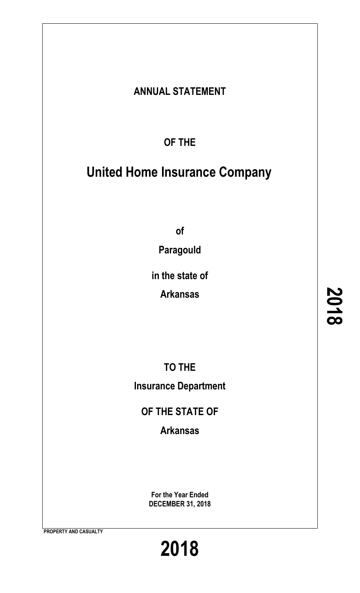# **ANNUAL STATEMENT**

**OF THE**

# **United Home Insurance Company**

**of**

**Paragould**

**in the state of**

**Arkansas**

**TO THE**

**Insurance Department**

**OF THE STATE OF**

**Arkansas**

**For the Year Ended DECEMBER 31, 2018**

**PROPERTY AND CASUALTY**

**2018**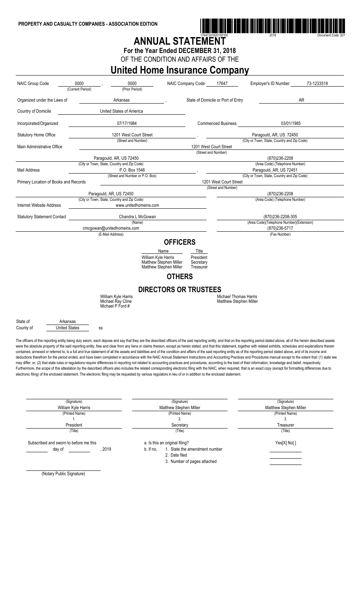

# ANNUAL STATEMENT

**For the Year Ended DECEMBER 31, 2018**

OF THE CONDITION AND AFFAIRS OF THE

## **United Home Insurance Company**

| 0000<br>0000<br>17647<br><b>NAIC Group Code</b><br>NAIC Company Code<br>(Current Period)<br>(Prior Period) |                      | Employer's ID Number                           | 73-1233518                                       |                                                                       |                        |                                    |                                                                                                                                                                                                                                                                                                                                                                                                                                                                                                                                                                                                                                                                                                                                                                                                                                                                                                                                                                                                                                                                                                                                                                                                                                                                                                                                                                                        |    |  |
|------------------------------------------------------------------------------------------------------------|----------------------|------------------------------------------------|--------------------------------------------------|-----------------------------------------------------------------------|------------------------|------------------------------------|----------------------------------------------------------------------------------------------------------------------------------------------------------------------------------------------------------------------------------------------------------------------------------------------------------------------------------------------------------------------------------------------------------------------------------------------------------------------------------------------------------------------------------------------------------------------------------------------------------------------------------------------------------------------------------------------------------------------------------------------------------------------------------------------------------------------------------------------------------------------------------------------------------------------------------------------------------------------------------------------------------------------------------------------------------------------------------------------------------------------------------------------------------------------------------------------------------------------------------------------------------------------------------------------------------------------------------------------------------------------------------------|----|--|
| Organized under the Laws of                                                                                |                      | Arkansas                                       |                                                  |                                                                       |                        | State of Domicile or Port of Entry |                                                                                                                                                                                                                                                                                                                                                                                                                                                                                                                                                                                                                                                                                                                                                                                                                                                                                                                                                                                                                                                                                                                                                                                                                                                                                                                                                                                        | AR |  |
| Country of Domicile                                                                                        |                      | United States of America                       |                                                  |                                                                       |                        |                                    |                                                                                                                                                                                                                                                                                                                                                                                                                                                                                                                                                                                                                                                                                                                                                                                                                                                                                                                                                                                                                                                                                                                                                                                                                                                                                                                                                                                        |    |  |
| Incorporated/Organized                                                                                     |                      | 07/17/1984                                     |                                                  | 03/01/1985<br><b>Commenced Business</b>                               |                        |                                    |                                                                                                                                                                                                                                                                                                                                                                                                                                                                                                                                                                                                                                                                                                                                                                                                                                                                                                                                                                                                                                                                                                                                                                                                                                                                                                                                                                                        |    |  |
| <b>Statutory Home Office</b>                                                                               |                      | 1201 West Court Street                         |                                                  | Paragould, AR, US 72450                                               |                        |                                    |                                                                                                                                                                                                                                                                                                                                                                                                                                                                                                                                                                                                                                                                                                                                                                                                                                                                                                                                                                                                                                                                                                                                                                                                                                                                                                                                                                                        |    |  |
| Main Administrative Office                                                                                 |                      | (Street and Number)                            |                                                  | (City or Town, State, Country and Zip Code)<br>1201 West Court Street |                        |                                    |                                                                                                                                                                                                                                                                                                                                                                                                                                                                                                                                                                                                                                                                                                                                                                                                                                                                                                                                                                                                                                                                                                                                                                                                                                                                                                                                                                                        |    |  |
|                                                                                                            |                      |                                                |                                                  |                                                                       | (Street and Number)    |                                    |                                                                                                                                                                                                                                                                                                                                                                                                                                                                                                                                                                                                                                                                                                                                                                                                                                                                                                                                                                                                                                                                                                                                                                                                                                                                                                                                                                                        |    |  |
|                                                                                                            |                      | Paragould, AR, US 72450                        |                                                  |                                                                       |                        |                                    | (870)236-2208                                                                                                                                                                                                                                                                                                                                                                                                                                                                                                                                                                                                                                                                                                                                                                                                                                                                                                                                                                                                                                                                                                                                                                                                                                                                                                                                                                          |    |  |
|                                                                                                            |                      | (City or Town, State, Country and Zip Code)    |                                                  |                                                                       |                        |                                    | (Area Code) (Telephone Number)                                                                                                                                                                                                                                                                                                                                                                                                                                                                                                                                                                                                                                                                                                                                                                                                                                                                                                                                                                                                                                                                                                                                                                                                                                                                                                                                                         |    |  |
| Mail Address                                                                                               |                      | P.O. Box 1546                                  |                                                  |                                                                       |                        |                                    | Paragould, AR, US 72451                                                                                                                                                                                                                                                                                                                                                                                                                                                                                                                                                                                                                                                                                                                                                                                                                                                                                                                                                                                                                                                                                                                                                                                                                                                                                                                                                                |    |  |
| (Street and Number or P.O. Box)                                                                            |                      |                                                |                                                  |                                                                       |                        | 1201 West Court Street             | (City or Town, State, Country and Zip Code)                                                                                                                                                                                                                                                                                                                                                                                                                                                                                                                                                                                                                                                                                                                                                                                                                                                                                                                                                                                                                                                                                                                                                                                                                                                                                                                                            |    |  |
| Primary Location of Books and Records                                                                      |                      |                                                |                                                  |                                                                       |                        | (Street and Number)                |                                                                                                                                                                                                                                                                                                                                                                                                                                                                                                                                                                                                                                                                                                                                                                                                                                                                                                                                                                                                                                                                                                                                                                                                                                                                                                                                                                                        |    |  |
|                                                                                                            |                      | Paragould, AR, US 72450                        |                                                  |                                                                       |                        |                                    | (870)236-2208                                                                                                                                                                                                                                                                                                                                                                                                                                                                                                                                                                                                                                                                                                                                                                                                                                                                                                                                                                                                                                                                                                                                                                                                                                                                                                                                                                          |    |  |
|                                                                                                            |                      | (City or Town, State, Country and Zip Code)    |                                                  |                                                                       |                        |                                    | (Area Code) (Telephone Number)                                                                                                                                                                                                                                                                                                                                                                                                                                                                                                                                                                                                                                                                                                                                                                                                                                                                                                                                                                                                                                                                                                                                                                                                                                                                                                                                                         |    |  |
| Internet Website Address<br>www.unitedhomeins.com                                                          |                      |                                                |                                                  |                                                                       |                        |                                    |                                                                                                                                                                                                                                                                                                                                                                                                                                                                                                                                                                                                                                                                                                                                                                                                                                                                                                                                                                                                                                                                                                                                                                                                                                                                                                                                                                                        |    |  |
| <b>Statutory Statement Contact</b><br>Chandra L McGowan                                                    |                      |                                                |                                                  |                                                                       |                        |                                    | (870)236-2208-305                                                                                                                                                                                                                                                                                                                                                                                                                                                                                                                                                                                                                                                                                                                                                                                                                                                                                                                                                                                                                                                                                                                                                                                                                                                                                                                                                                      |    |  |
|                                                                                                            |                      |                                                | (Name)                                           |                                                                       |                        |                                    | (Area Code)(Telephone Number)(Extension)                                                                                                                                                                                                                                                                                                                                                                                                                                                                                                                                                                                                                                                                                                                                                                                                                                                                                                                                                                                                                                                                                                                                                                                                                                                                                                                                               |    |  |
|                                                                                                            |                      | cmcgowan@unitedhomeins.com<br>(E-Mail Address) |                                                  | (870)236-5717<br>(Fax Number)                                         |                        |                                    |                                                                                                                                                                                                                                                                                                                                                                                                                                                                                                                                                                                                                                                                                                                                                                                                                                                                                                                                                                                                                                                                                                                                                                                                                                                                                                                                                                                        |    |  |
|                                                                                                            |                      |                                                |                                                  | <b>OFFICERS</b>                                                       |                        |                                    |                                                                                                                                                                                                                                                                                                                                                                                                                                                                                                                                                                                                                                                                                                                                                                                                                                                                                                                                                                                                                                                                                                                                                                                                                                                                                                                                                                                        |    |  |
|                                                                                                            |                      |                                                | Name                                             |                                                                       | Title                  |                                    |                                                                                                                                                                                                                                                                                                                                                                                                                                                                                                                                                                                                                                                                                                                                                                                                                                                                                                                                                                                                                                                                                                                                                                                                                                                                                                                                                                                        |    |  |
|                                                                                                            |                      |                                                | William Kyle Harris                              |                                                                       | President              |                                    |                                                                                                                                                                                                                                                                                                                                                                                                                                                                                                                                                                                                                                                                                                                                                                                                                                                                                                                                                                                                                                                                                                                                                                                                                                                                                                                                                                                        |    |  |
|                                                                                                            |                      |                                                | Matthew Stephen Miller<br>Matthew Stephen Miller |                                                                       | Secretary<br>Treasurer |                                    |                                                                                                                                                                                                                                                                                                                                                                                                                                                                                                                                                                                                                                                                                                                                                                                                                                                                                                                                                                                                                                                                                                                                                                                                                                                                                                                                                                                        |    |  |
|                                                                                                            |                      |                                                |                                                  | <b>OTHERS</b>                                                         |                        |                                    |                                                                                                                                                                                                                                                                                                                                                                                                                                                                                                                                                                                                                                                                                                                                                                                                                                                                                                                                                                                                                                                                                                                                                                                                                                                                                                                                                                                        |    |  |
|                                                                                                            |                      |                                                | <b>DIRECTORS OR TRUSTEES</b>                     |                                                                       |                        |                                    |                                                                                                                                                                                                                                                                                                                                                                                                                                                                                                                                                                                                                                                                                                                                                                                                                                                                                                                                                                                                                                                                                                                                                                                                                                                                                                                                                                                        |    |  |
|                                                                                                            |                      | William Kyle Harris                            |                                                  |                                                                       |                        | <b>Michael Thomas Harris</b>       |                                                                                                                                                                                                                                                                                                                                                                                                                                                                                                                                                                                                                                                                                                                                                                                                                                                                                                                                                                                                                                                                                                                                                                                                                                                                                                                                                                                        |    |  |
|                                                                                                            |                      | Michael Ray Cline<br>Michael P Ford #          |                                                  |                                                                       |                        | Matthew Stephen Miller             |                                                                                                                                                                                                                                                                                                                                                                                                                                                                                                                                                                                                                                                                                                                                                                                                                                                                                                                                                                                                                                                                                                                                                                                                                                                                                                                                                                                        |    |  |
| State of                                                                                                   | Arkansas             |                                                |                                                  |                                                                       |                        |                                    |                                                                                                                                                                                                                                                                                                                                                                                                                                                                                                                                                                                                                                                                                                                                                                                                                                                                                                                                                                                                                                                                                                                                                                                                                                                                                                                                                                                        |    |  |
| County of                                                                                                  | <b>United States</b> | SS                                             |                                                  |                                                                       |                        |                                    |                                                                                                                                                                                                                                                                                                                                                                                                                                                                                                                                                                                                                                                                                                                                                                                                                                                                                                                                                                                                                                                                                                                                                                                                                                                                                                                                                                                        |    |  |
|                                                                                                            |                      |                                                |                                                  |                                                                       |                        |                                    | The officers of this reporting entity being duly swom, each depose and say that they are the described officers of the said reporting entity, and that on the reporting period stated above, all of the herein described asset<br>were the absolute property of the said reporting entity, free and clear from any liens or claims thereon, except as herein stated, and that this statement, together with related exhibits, schedules and explanations therein<br>contained, annexed or referred to, is a full and true statement of all the assets and liabilities and of the condition and affairs of the said reporting entity as of the reporting period stated above, and of its income and<br>deductions therefrom for the period ended, and have been completed in accordance with the NAIC Annual Statement Instructions and Accounting Practices and Procedures manual except to the extent that: (1) state law<br>may differ; or, (2) that state rules or regulations require differences in reporting not related to accounting practices and procedures, according to the best of their information, knowledge and belief, respectively.<br>Furthermore, the scope of this attestation by the described officers also includes the related corresponding electronic filing with the NAIC, when required, that is an exact copy (except for formatting differences due to |    |  |

| (Signature)                                                                                                                                                                                                                                                                                             |        |           | (Signature)                    | (Signature)                   |  |  |
|---------------------------------------------------------------------------------------------------------------------------------------------------------------------------------------------------------------------------------------------------------------------------------------------------------|--------|-----------|--------------------------------|-------------------------------|--|--|
| William Kyle Harris                                                                                                                                                                                                                                                                                     |        |           | Matthew Stephen Miller         | <b>Matthew Stephen Miller</b> |  |  |
| (Printed Name)                                                                                                                                                                                                                                                                                          |        |           | (Printed Name)                 | (Printed Name)                |  |  |
| ъ.                                                                                                                                                                                                                                                                                                      |        |           | 2.                             | 3.                            |  |  |
| President                                                                                                                                                                                                                                                                                               |        |           | Secretary                      | Treasurer                     |  |  |
| (Title)                                                                                                                                                                                                                                                                                                 |        |           | (Title)                        | (Title)                       |  |  |
| Subscribed and sworn to before me this                                                                                                                                                                                                                                                                  |        |           | a. Is this an original filing? | Yes[X] No[]                   |  |  |
| day of                                                                                                                                                                                                                                                                                                  | . 2019 | b. If no, | 1. State the amendment number  |                               |  |  |
|                                                                                                                                                                                                                                                                                                         |        |           | 2. Date filed                  |                               |  |  |
|                                                                                                                                                                                                                                                                                                         |        |           | 3. Number of pages attached    |                               |  |  |
| $(A)$ . $(A)$ . $(B)$ . $(B)$ . $(B)$ . $(B)$ . $(B)$ . $(B)$ . $(B)$ . $(B)$ . $(B)$ . $(B)$ . $(B)$ . $(B)$ . $(B)$ . $(B)$ . $(B)$ . $(B)$ . $(B)$ . $(B)$ . $(B)$ . $(B)$ . $(B)$ . $(B)$ . $(B)$ . $(B)$ . $(B)$ . $(B)$ . $(B)$ . $(B)$ . $(C)$ . $(D)$ . $(D)$ . $(D)$ . $(D)$ . $(D)$ . $(D)$ . |        |           |                                |                               |  |  |

electronic filing) of the enclosed statement. The electronic filing may be requested by various regulators in lieu of or in addition to the enclosed statement.

(Notary Public Signature)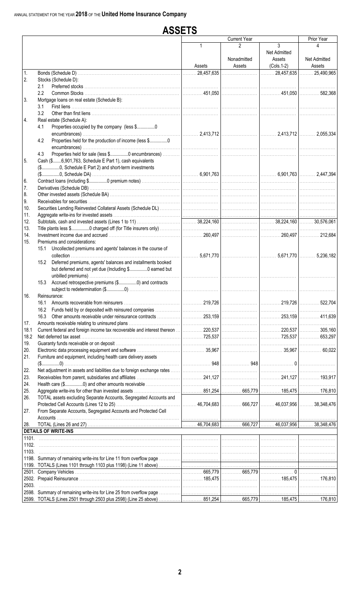|                | <b>ASSETS</b>                                                                                                              |                                                                           |                     |                                          |                                            |
|----------------|----------------------------------------------------------------------------------------------------------------------------|---------------------------------------------------------------------------|---------------------|------------------------------------------|--------------------------------------------|
|                |                                                                                                                            |                                                                           | <b>Current Year</b> |                                          | Prior Year                                 |
|                |                                                                                                                            | $\mathbf{1}$                                                              | 2<br>Nonadmitted    | 3<br>Net Admitted<br>Assets              | 4<br>Net Admitted                          |
| 1.             |                                                                                                                            | Assets<br>$\begin{array}{ccc}\n\ldots & \ldots & 28,457,635\n\end{array}$ | Assets              | $(Cols.1-2)$<br>28,457,635    25,490,965 | Assets                                     |
| 2.             | Stocks (Schedule D):                                                                                                       |                                                                           |                     |                                          |                                            |
|                | 2.1                                                                                                                        |                                                                           |                     |                                          |                                            |
|                | 2.2                                                                                                                        |                                                                           |                     |                                          |                                            |
| 3.             | Mortgage loans on real estate (Schedule B):                                                                                |                                                                           |                     |                                          |                                            |
|                | 3.1                                                                                                                        |                                                                           |                     |                                          |                                            |
|                | 3.2                                                                                                                        |                                                                           |                     |                                          |                                            |
| 4.             | Real estate (Schedule A):                                                                                                  |                                                                           |                     |                                          |                                            |
|                | Properties occupied by the company (less \$0<br>4.1                                                                        |                                                                           |                     |                                          |                                            |
|                | Properties held for the production of income (less \$0<br>4.2                                                              |                                                                           |                     |                                          |                                            |
|                | 4.3                                                                                                                        |                                                                           |                     |                                          |                                            |
| 5.             | Cash (\$6,901,763, Schedule E Part 1), cash equivalents                                                                    |                                                                           |                     |                                          |                                            |
|                | (\$0, Schedule E Part 2) and short-term investments                                                                        |                                                                           |                     |                                          |                                            |
| 6.             |                                                                                                                            |                                                                           |                     |                                          | <b>Contract Contract Contract Contract</b> |
| 7.             |                                                                                                                            |                                                                           |                     |                                          |                                            |
| 8.             |                                                                                                                            |                                                                           |                     |                                          |                                            |
| 9.             |                                                                                                                            |                                                                           |                     |                                          |                                            |
| 10.            |                                                                                                                            |                                                                           |                     |                                          |                                            |
| 11.            |                                                                                                                            |                                                                           |                     |                                          |                                            |
| 12.            |                                                                                                                            |                                                                           |                     |                                          |                                            |
| 13.            |                                                                                                                            |                                                                           |                     |                                          |                                            |
| 14.            |                                                                                                                            |                                                                           |                     |                                          |                                            |
| 15.            | Premiums and considerations:                                                                                               |                                                                           |                     |                                          |                                            |
|                | 15.1 Uncollected premiums and agents' balances in the course of                                                            |                                                                           |                     |                                          |                                            |
|                | 15.2 Deferred premiums, agents' balances and installments booked<br>but deferred and not yet due (Including \$0 earned but |                                                                           |                     |                                          |                                            |
|                | 15.3 Accrued retrospective premiums (\$0) and contracts                                                                    |                                                                           |                     |                                          |                                            |
| 16.            | Reinsurance:                                                                                                               |                                                                           |                     |                                          |                                            |
|                | 16.1                                                                                                                       |                                                                           |                     |                                          |                                            |
|                |                                                                                                                            |                                                                           |                     |                                          |                                            |
|                | 16.3                                                                                                                       |                                                                           |                     |                                          |                                            |
| 17.            |                                                                                                                            |                                                                           |                     |                                          |                                            |
| 18.1           |                                                                                                                            |                                                                           |                     |                                          |                                            |
| 18.2           |                                                                                                                            |                                                                           |                     |                                          |                                            |
| 19.            |                                                                                                                            |                                                                           |                     |                                          |                                            |
| 20.            |                                                                                                                            |                                                                           |                     |                                          |                                            |
| 21.            | Furniture and equipment, including health care delivery assets                                                             |                                                                           |                     |                                          |                                            |
|                |                                                                                                                            |                                                                           |                     |                                          |                                            |
| 22.            |                                                                                                                            |                                                                           |                     |                                          |                                            |
| 23.            |                                                                                                                            |                                                                           |                     |                                          |                                            |
| 24.            |                                                                                                                            |                                                                           |                     |                                          |                                            |
| 25.<br>26.     | TOTAL assets excluding Separate Accounts, Segregated Accounts and                                                          |                                                                           |                     |                                          |                                            |
|                |                                                                                                                            |                                                                           |                     |                                          |                                            |
| 27.            | From Separate Accounts, Segregated Accounts and Protected Cell                                                             |                                                                           |                     |                                          |                                            |
| 28.            |                                                                                                                            |                                                                           |                     |                                          |                                            |
|                | <b>DETAILS OF WRITE-INS</b>                                                                                                |                                                                           |                     |                                          |                                            |
| 1101.<br>1102. |                                                                                                                            |                                                                           |                     |                                          |                                            |
| 1103.          |                                                                                                                            |                                                                           |                     |                                          |                                            |
|                |                                                                                                                            |                                                                           |                     |                                          |                                            |
|                |                                                                                                                            |                                                                           |                     |                                          |                                            |
|                |                                                                                                                            |                                                                           |                     |                                          |                                            |
| 2503.          |                                                                                                                            |                                                                           |                     |                                          |                                            |
|                |                                                                                                                            |                                                                           |                     |                                          |                                            |
|                |                                                                                                                            |                                                                           |                     |                                          |                                            |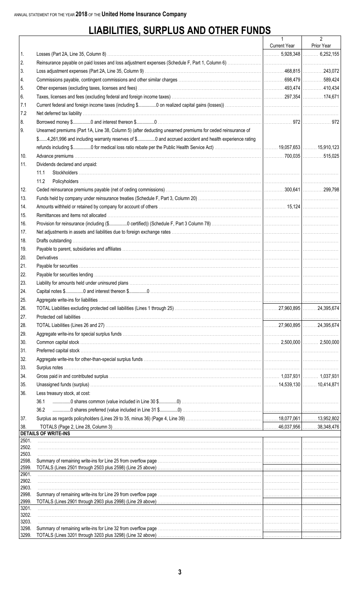# **LIABILITIES, SURPLUS AND OTHER FUNDS**

|                |                                                                                                                                                 | $\mathbf{1}$ | $\overline{2}$ |
|----------------|-------------------------------------------------------------------------------------------------------------------------------------------------|--------------|----------------|
|                |                                                                                                                                                 | Current Year | Prior Year     |
| 1.             |                                                                                                                                                 |              |                |
| 2.             |                                                                                                                                                 |              |                |
| 3.             |                                                                                                                                                 |              |                |
| 4.             |                                                                                                                                                 |              |                |
| 5.             |                                                                                                                                                 |              |                |
| 6.             |                                                                                                                                                 |              |                |
| 7.1            |                                                                                                                                                 |              |                |
| 7.2            |                                                                                                                                                 |              |                |
| 8.             |                                                                                                                                                 |              |                |
| 9.             | Unearned premiums (Part 1A, Line 38, Column 5) (after deducting unearned premiums for ceded reinsurance of                                      |              |                |
|                | \$4,261,996 and including warranty reserves of \$0 and accrued accident and health experience rating                                            |              |                |
|                |                                                                                                                                                 |              |                |
| 10.            |                                                                                                                                                 |              |                |
| 11.            | Dividends declared and unpaid:                                                                                                                  |              |                |
|                | 11.1                                                                                                                                            |              |                |
|                | 11.2                                                                                                                                            |              |                |
|                |                                                                                                                                                 |              |                |
| 12.            |                                                                                                                                                 |              |                |
| 13.            |                                                                                                                                                 |              |                |
| 14.            |                                                                                                                                                 |              |                |
| 15.            |                                                                                                                                                 |              |                |
| 16.            |                                                                                                                                                 |              |                |
| 17.            |                                                                                                                                                 |              |                |
| 18.            |                                                                                                                                                 |              |                |
| 19.            |                                                                                                                                                 |              |                |
| 20.            |                                                                                                                                                 |              |                |
| 21.            |                                                                                                                                                 |              |                |
| 22.            |                                                                                                                                                 |              |                |
| 23.            |                                                                                                                                                 |              |                |
| 24.            |                                                                                                                                                 |              |                |
| 25.            |                                                                                                                                                 |              |                |
| 26.            |                                                                                                                                                 |              |                |
| 27.            |                                                                                                                                                 |              |                |
| 28.            |                                                                                                                                                 |              |                |
| 29.            |                                                                                                                                                 |              |                |
| 30.            |                                                                                                                                                 |              |                |
| 31.            |                                                                                                                                                 |              |                |
| 32.            |                                                                                                                                                 |              |                |
| 33.            |                                                                                                                                                 |              |                |
| 34.            | [1,037,931] [1,037,931] [1,037,931] [1,037,931] [1,037,931] [1,037,931] [1,037,931] [1,037,931] [1,037,931] [1,037,931] [1,037,931] [1,037,931] |              |                |
| 35.            |                                                                                                                                                 |              |                |
| 36.            | Less treasury stock, at cost:                                                                                                                   |              |                |
|                | 36.1                                                                                                                                            |              |                |
|                | 36.2                                                                                                                                            |              |                |
| 37.            |                                                                                                                                                 |              |                |
| 38.            |                                                                                                                                                 |              |                |
| 2501.          | <b>DETAILS OF WRITE-INS</b>                                                                                                                     |              |                |
| 2502.          |                                                                                                                                                 |              |                |
| 2503.          |                                                                                                                                                 |              |                |
| 2598.          |                                                                                                                                                 |              |                |
| 2599.          |                                                                                                                                                 |              |                |
| 2901.<br>2902. |                                                                                                                                                 |              |                |
| 2903.          |                                                                                                                                                 |              |                |
| 2998.          |                                                                                                                                                 |              |                |
| 2999.          |                                                                                                                                                 |              |                |
| 3201.<br>3202. |                                                                                                                                                 |              |                |
| 3203.          |                                                                                                                                                 |              |                |
| 3298.          |                                                                                                                                                 |              |                |
| 3299.          |                                                                                                                                                 |              |                |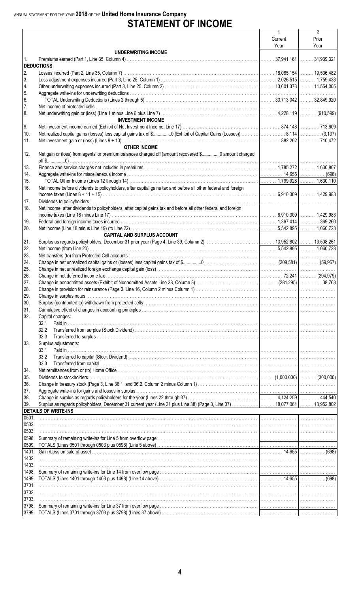# ANNUAL STATEMENT FOR THE YEAR 2018 OF THE United Home Insurance Company<br>
STATEMENT OF INCOME

|       |                                                                                                                | 1       | $\overline{2}$           |
|-------|----------------------------------------------------------------------------------------------------------------|---------|--------------------------|
|       |                                                                                                                | Current | Prior                    |
|       |                                                                                                                | Year    | Year                     |
|       | UNDERWRITING INCOME                                                                                            |         |                          |
| 1.    |                                                                                                                |         | . 37,941,161  31,939,321 |
|       | <b>DEDUCTIONS</b>                                                                                              |         |                          |
| 2.    |                                                                                                                |         |                          |
|       |                                                                                                                |         |                          |
| 3.    |                                                                                                                |         |                          |
| 4.    |                                                                                                                |         |                          |
| 5.    |                                                                                                                |         |                          |
| 6.    |                                                                                                                |         |                          |
| 7.    |                                                                                                                |         |                          |
| 8.    |                                                                                                                |         |                          |
|       | <b>INVESTMENT INCOME</b>                                                                                       |         |                          |
| 9.    |                                                                                                                |         |                          |
| 10.   |                                                                                                                |         |                          |
| 11.   |                                                                                                                |         |                          |
|       |                                                                                                                |         |                          |
|       | <b>OTHER INCOME</b>                                                                                            |         |                          |
| 12.   | Net gain or (loss) from agents' or premium balances charged off (amount recovered \$0 amount charged           |         |                          |
|       |                                                                                                                |         |                          |
| 13.   |                                                                                                                |         |                          |
| 14.   |                                                                                                                |         |                          |
| 15.   |                                                                                                                |         |                          |
| 16.   | Net income before dividends to policyholders, after capital gains tax and before all other federal and foreign |         |                          |
|       |                                                                                                                |         |                          |
|       |                                                                                                                |         |                          |
| 17.   |                                                                                                                |         |                          |
| 18.   | Net income, after dividends to policyholders, after capital gains tax and before all other federal and foreign |         |                          |
|       |                                                                                                                |         |                          |
| 19.   |                                                                                                                |         | 369,260                  |
| 20.   |                                                                                                                |         |                          |
|       | <b>CAPITAL AND SURPLUS ACCOUNT</b>                                                                             |         |                          |
| 21.   |                                                                                                                |         |                          |
|       |                                                                                                                |         |                          |
| 22.   |                                                                                                                |         |                          |
| 23.   |                                                                                                                |         |                          |
| 24.   |                                                                                                                |         |                          |
| 25.   |                                                                                                                |         |                          |
| 26.   |                                                                                                                |         |                          |
| 27.   |                                                                                                                |         |                          |
| 28.   |                                                                                                                |         |                          |
| 29.   |                                                                                                                |         |                          |
|       |                                                                                                                |         |                          |
| 30.   |                                                                                                                |         |                          |
| 31.   |                                                                                                                |         |                          |
| 32.   | Capital changes:                                                                                               |         |                          |
|       | 32.1                                                                                                           |         |                          |
|       |                                                                                                                |         |                          |
|       | 32.3                                                                                                           |         |                          |
| 33.   | Surplus adjustments:                                                                                           |         |                          |
|       | 33.1                                                                                                           |         |                          |
|       |                                                                                                                |         |                          |
|       | 33.2                                                                                                           |         |                          |
|       | 33.3                                                                                                           |         |                          |
| 34.   |                                                                                                                |         |                          |
| 35.   |                                                                                                                |         |                          |
| 36.   |                                                                                                                |         |                          |
| 37.   |                                                                                                                |         |                          |
| 38.   |                                                                                                                |         |                          |
| 39.   |                                                                                                                |         |                          |
|       | <b>DETAILS OF WRITE-INS</b>                                                                                    |         |                          |
| 0501. |                                                                                                                |         |                          |
|       |                                                                                                                |         |                          |
| 0502. |                                                                                                                |         |                          |
| 0503. |                                                                                                                |         |                          |
| 0598. |                                                                                                                |         |                          |
| 0599. |                                                                                                                |         |                          |
|       |                                                                                                                |         |                          |
| 1402. |                                                                                                                |         |                          |
| 1403. |                                                                                                                |         |                          |
| 1498. |                                                                                                                |         |                          |
|       |                                                                                                                |         |                          |
|       |                                                                                                                |         |                          |
| 3701. |                                                                                                                |         |                          |
| 3702. |                                                                                                                |         |                          |
| 3703. |                                                                                                                |         |                          |
| 3798. |                                                                                                                |         |                          |
|       |                                                                                                                |         |                          |
|       |                                                                                                                |         |                          |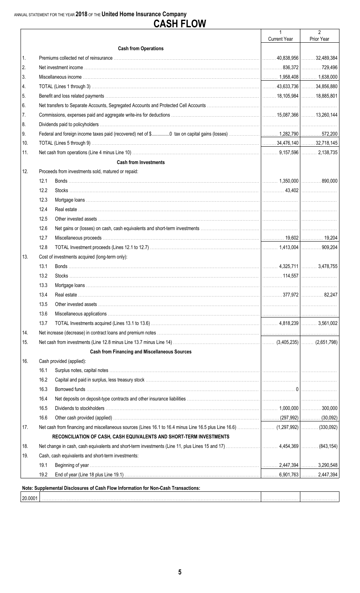# **CASH FLOW**

|         |                                                                                    | $\mathbf{1}$        | $\overline{2}$ |
|---------|------------------------------------------------------------------------------------|---------------------|----------------|
|         |                                                                                    | <b>Current Year</b> | Prior Year     |
|         | <b>Cash from Operations</b>                                                        |                     |                |
| 1.      |                                                                                    |                     |                |
| 2.      |                                                                                    |                     |                |
| 3.      |                                                                                    |                     |                |
| 4.      |                                                                                    |                     |                |
| 5.      |                                                                                    |                     |                |
| 6.      |                                                                                    |                     |                |
| 7.      |                                                                                    |                     |                |
| 8.      |                                                                                    |                     |                |
| 9.      |                                                                                    |                     |                |
| 10.     |                                                                                    |                     |                |
| 11.     |                                                                                    |                     |                |
|         | <b>Cash from Investments</b>                                                       |                     |                |
| 12.     | Proceeds from investments sold, matured or repaid:                                 |                     |                |
|         | 12.1                                                                               |                     |                |
|         | 12.2                                                                               |                     |                |
|         | 12.3                                                                               |                     |                |
|         | 12.4                                                                               |                     |                |
|         | 12.5                                                                               |                     |                |
|         | 12.6                                                                               |                     |                |
|         | 12.7                                                                               |                     |                |
|         | 12.8                                                                               |                     |                |
| 13.     | Cost of investments acquired (long-term only):                                     |                     |                |
|         | 13.1                                                                               |                     |                |
|         | 13.2                                                                               |                     |                |
|         | 13.3                                                                               |                     |                |
|         | 13.4                                                                               |                     |                |
|         | 13.5                                                                               |                     |                |
|         | 13.6                                                                               |                     |                |
|         | 13.7                                                                               |                     |                |
| 14.     |                                                                                    |                     |                |
|         |                                                                                    |                     |                |
| 15.     |                                                                                    |                     |                |
|         | <b>Cash from Financing and Miscellaneous Sources</b>                               |                     |                |
| 16.     | Cash provided (applied):                                                           |                     |                |
|         | 16.1                                                                               |                     |                |
|         | 16.2                                                                               |                     |                |
|         | 16.3                                                                               |                     |                |
|         | 16.4                                                                               |                     |                |
|         | 16.5                                                                               |                     |                |
|         | 16.6                                                                               |                     |                |
| 17.     |                                                                                    |                     |                |
|         | RECONCILIATION OF CASH, CASH EQUIVALENTS AND SHORT-TERM INVESTMENTS                |                     |                |
| 18.     |                                                                                    |                     |                |
| 19.     | Cash, cash equivalents and short-term investments:                                 |                     |                |
|         | 19.1                                                                               |                     |                |
|         | 19.2                                                                               |                     |                |
|         | Note: Supplemental Disclosures of Cash Flow Information for Non-Cash Transactions: |                     |                |
|         |                                                                                    |                     |                |
| 20.0001 |                                                                                    |                     |                |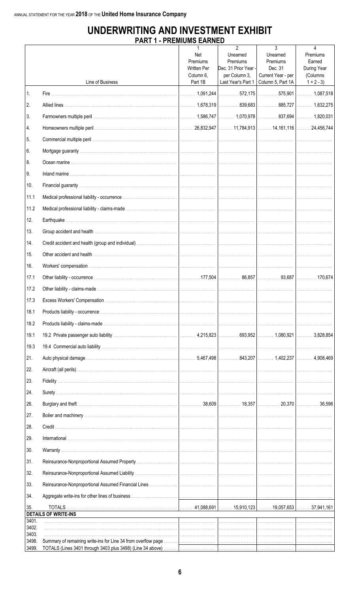## UNDERWRITING AND INVESTMENT EXHIBIT **PART 1 - PREMIUMS EARNED**

|                | Line of Business                                                                                              | Net<br>Premiums<br><b>Written Per</b><br>Column 6,<br>Part 1B | $\overline{2}$<br>Unearned<br>Premiums<br>Dec. 31 Prior Year -<br>per Column 3, | 3<br>Unearned<br>Premiums<br>Dec. 31<br>Current Year - per<br>Last Year's Part 1   Column 5, Part 1A | 4<br>Premiums<br>Earned<br>During Year<br>(Columns<br>$1 + 2 - 3$ |
|----------------|---------------------------------------------------------------------------------------------------------------|---------------------------------------------------------------|---------------------------------------------------------------------------------|------------------------------------------------------------------------------------------------------|-------------------------------------------------------------------|
| 1.             |                                                                                                               |                                                               |                                                                                 |                                                                                                      |                                                                   |
| 2.             |                                                                                                               |                                                               |                                                                                 |                                                                                                      |                                                                   |
| 3.             |                                                                                                               |                                                               |                                                                                 |                                                                                                      |                                                                   |
| 4.             |                                                                                                               |                                                               |                                                                                 |                                                                                                      |                                                                   |
| 5.             |                                                                                                               |                                                               |                                                                                 |                                                                                                      |                                                                   |
| 6.             |                                                                                                               |                                                               |                                                                                 |                                                                                                      |                                                                   |
| 8.             |                                                                                                               |                                                               |                                                                                 |                                                                                                      |                                                                   |
| 9.             |                                                                                                               |                                                               |                                                                                 |                                                                                                      |                                                                   |
| 10.            |                                                                                                               |                                                               |                                                                                 |                                                                                                      |                                                                   |
| 11.1           |                                                                                                               |                                                               |                                                                                 |                                                                                                      |                                                                   |
| 11.2           |                                                                                                               |                                                               |                                                                                 |                                                                                                      |                                                                   |
| 12.            |                                                                                                               |                                                               |                                                                                 |                                                                                                      |                                                                   |
| 13.            |                                                                                                               |                                                               |                                                                                 |                                                                                                      |                                                                   |
| 14.            |                                                                                                               |                                                               |                                                                                 |                                                                                                      |                                                                   |
| 15.            |                                                                                                               |                                                               |                                                                                 |                                                                                                      |                                                                   |
| 16.            |                                                                                                               |                                                               |                                                                                 |                                                                                                      |                                                                   |
| 17.1           |                                                                                                               |                                                               |                                                                                 |                                                                                                      |                                                                   |
| 17.2           |                                                                                                               |                                                               |                                                                                 |                                                                                                      |                                                                   |
| 17.3           |                                                                                                               |                                                               |                                                                                 |                                                                                                      |                                                                   |
| 18.1           |                                                                                                               |                                                               |                                                                                 |                                                                                                      |                                                                   |
| 18.2           |                                                                                                               |                                                               |                                                                                 |                                                                                                      |                                                                   |
| 19.1           |                                                                                                               |                                                               |                                                                                 |                                                                                                      |                                                                   |
| 19.3           |                                                                                                               |                                                               |                                                                                 |                                                                                                      |                                                                   |
| 21.            |                                                                                                               |                                                               |                                                                                 |                                                                                                      |                                                                   |
| 22.            |                                                                                                               |                                                               |                                                                                 |                                                                                                      |                                                                   |
| 23.            |                                                                                                               |                                                               |                                                                                 |                                                                                                      |                                                                   |
| 24.            |                                                                                                               |                                                               |                                                                                 |                                                                                                      |                                                                   |
| 26.            |                                                                                                               |                                                               |                                                                                 |                                                                                                      |                                                                   |
| 27.            |                                                                                                               |                                                               |                                                                                 |                                                                                                      |                                                                   |
| 28.            |                                                                                                               |                                                               |                                                                                 |                                                                                                      |                                                                   |
| 29.            |                                                                                                               |                                                               |                                                                                 |                                                                                                      |                                                                   |
| 30.            |                                                                                                               |                                                               |                                                                                 |                                                                                                      |                                                                   |
| 31.            |                                                                                                               |                                                               |                                                                                 |                                                                                                      |                                                                   |
| 32.            |                                                                                                               |                                                               |                                                                                 |                                                                                                      |                                                                   |
| 33.            |                                                                                                               |                                                               |                                                                                 |                                                                                                      |                                                                   |
| 34.            |                                                                                                               |                                                               |                                                                                 |                                                                                                      |                                                                   |
| 35.            | <b>DETAILS OF WRITE-INS</b>                                                                                   |                                                               |                                                                                 |                                                                                                      |                                                                   |
| 3401.<br>3402. | 1000 - 1000 - 1000 - 1000 - 1000 - 1000 - 1000 - 1000 - 1000 - 1000 - 1000 - 1000 - 1000 - 1000 - 1000 - 1000 |                                                               |                                                                                 |                                                                                                      |                                                                   |
| 3403.<br>3498. |                                                                                                               |                                                               |                                                                                 |                                                                                                      |                                                                   |
| 3499.          |                                                                                                               |                                                               |                                                                                 |                                                                                                      |                                                                   |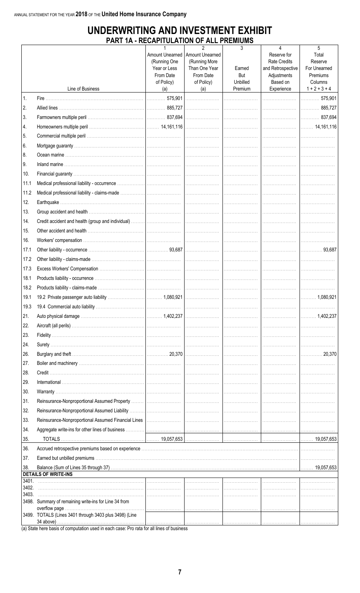## UNDERWRITING AND INVESTMENT EXHIBIT PART 1A - RECAPITULATION OF ALL PREMIUMS

|                |                                                        | (Running One<br>Year or Less<br>From Date<br>of Policy) | $\overline{2}$<br>Amount Unearned   Amount Unearned<br>(Running More<br>Than One Year<br>From Date<br>of Policy) | 3<br>Earned<br>But<br>Unbilled | 4<br>Reserve for<br><b>Rate Credits</b><br>and Retrospective<br>Adjustments<br>Based on | 5<br>Total<br>Reserve<br>For Unearned<br>Premiums<br>Columns |
|----------------|--------------------------------------------------------|---------------------------------------------------------|------------------------------------------------------------------------------------------------------------------|--------------------------------|-----------------------------------------------------------------------------------------|--------------------------------------------------------------|
|                | Line of Business                                       | (a)                                                     | (a)                                                                                                              | Premium                        | Experience                                                                              | $1 + 2 + 3 + 4$                                              |
| 1.             |                                                        |                                                         |                                                                                                                  |                                |                                                                                         | 575,901<br>.                                                 |
| 2.             |                                                        |                                                         |                                                                                                                  |                                |                                                                                         |                                                              |
| 3.             |                                                        |                                                         |                                                                                                                  |                                |                                                                                         |                                                              |
| 4.             |                                                        |                                                         |                                                                                                                  |                                |                                                                                         |                                                              |
| 5.             |                                                        |                                                         |                                                                                                                  |                                |                                                                                         |                                                              |
| 6.             |                                                        |                                                         |                                                                                                                  |                                |                                                                                         |                                                              |
| 8.             |                                                        |                                                         |                                                                                                                  |                                |                                                                                         |                                                              |
| 9.             |                                                        |                                                         |                                                                                                                  |                                |                                                                                         |                                                              |
| 10.            |                                                        |                                                         |                                                                                                                  |                                |                                                                                         |                                                              |
| 11.1           |                                                        |                                                         |                                                                                                                  |                                |                                                                                         |                                                              |
| 11.2           |                                                        |                                                         |                                                                                                                  |                                |                                                                                         |                                                              |
| 12.            |                                                        |                                                         |                                                                                                                  |                                |                                                                                         |                                                              |
| 13.            |                                                        |                                                         |                                                                                                                  |                                |                                                                                         |                                                              |
| 14.            |                                                        |                                                         |                                                                                                                  |                                |                                                                                         |                                                              |
| 15.            |                                                        |                                                         |                                                                                                                  |                                |                                                                                         |                                                              |
| 16.            |                                                        |                                                         |                                                                                                                  |                                |                                                                                         |                                                              |
| 17.1           |                                                        |                                                         |                                                                                                                  |                                |                                                                                         |                                                              |
| 17.2           |                                                        |                                                         |                                                                                                                  |                                |                                                                                         |                                                              |
| 17.3           |                                                        |                                                         |                                                                                                                  |                                |                                                                                         |                                                              |
| 18.1           |                                                        |                                                         |                                                                                                                  |                                |                                                                                         |                                                              |
| 18.2           |                                                        |                                                         |                                                                                                                  |                                |                                                                                         |                                                              |
| 19.1           |                                                        |                                                         |                                                                                                                  |                                |                                                                                         | 1,080,921                                                    |
|                |                                                        |                                                         |                                                                                                                  |                                |                                                                                         |                                                              |
| 21.            |                                                        |                                                         |                                                                                                                  |                                |                                                                                         |                                                              |
| 22.            |                                                        |                                                         |                                                                                                                  |                                |                                                                                         |                                                              |
| 23.            |                                                        |                                                         |                                                                                                                  |                                |                                                                                         |                                                              |
| 24.            |                                                        |                                                         |                                                                                                                  |                                |                                                                                         |                                                              |
| 26.            |                                                        |                                                         |                                                                                                                  |                                |                                                                                         |                                                              |
| 27.            |                                                        |                                                         |                                                                                                                  |                                |                                                                                         |                                                              |
| 28.            |                                                        |                                                         |                                                                                                                  |                                |                                                                                         |                                                              |
| 29.            |                                                        |                                                         |                                                                                                                  |                                |                                                                                         |                                                              |
| 30.            |                                                        |                                                         |                                                                                                                  |                                |                                                                                         |                                                              |
| 31.            |                                                        |                                                         |                                                                                                                  |                                |                                                                                         |                                                              |
| 32.            |                                                        |                                                         |                                                                                                                  |                                |                                                                                         |                                                              |
| 33.            |                                                        |                                                         |                                                                                                                  |                                |                                                                                         |                                                              |
| 34.            |                                                        |                                                         |                                                                                                                  |                                |                                                                                         |                                                              |
| 35.            |                                                        |                                                         |                                                                                                                  |                                |                                                                                         |                                                              |
| 36.            |                                                        |                                                         |                                                                                                                  |                                |                                                                                         |                                                              |
| 37.            |                                                        |                                                         |                                                                                                                  |                                |                                                                                         |                                                              |
| 38.            | <b>DETAILS OF WRITE-INS</b>                            |                                                         |                                                                                                                  |                                |                                                                                         |                                                              |
| 3401.          |                                                        |                                                         |                                                                                                                  |                                |                                                                                         |                                                              |
| 3402.<br>3403. |                                                        |                                                         |                                                                                                                  |                                |                                                                                         |                                                              |
|                | 3498. Summary of remaining write-ins for Line 34 from  |                                                         |                                                                                                                  |                                |                                                                                         |                                                              |
|                | 3499. TOTALS (Lines 3401 through 3403 plus 3498) (Line |                                                         |                                                                                                                  |                                |                                                                                         |                                                              |
|                |                                                        |                                                         |                                                                                                                  |                                |                                                                                         |                                                              |

(a) State here basis of computation used in each case: Pro rata for all lines of business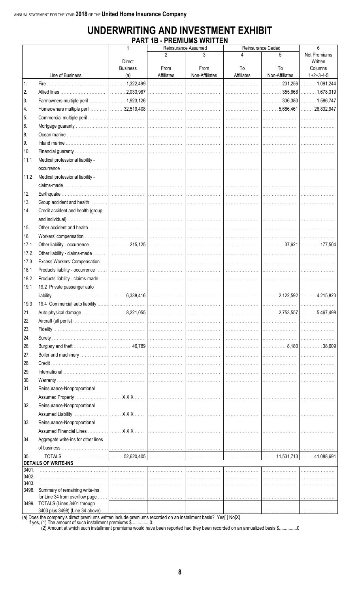## UNDERWRITING AND INVESTMENT EXHIBIT **PART 1B - PREMIUMS WRITTEN**

|       |                                      | 1                      |                    | Reinsurance Assumed    |                  | Reinsurance Ceded        | 6                       |
|-------|--------------------------------------|------------------------|--------------------|------------------------|------------------|--------------------------|-------------------------|
|       |                                      | <b>Direct</b>          |                    |                        |                  | 5                        | Net Premiums<br>Written |
|       | Line of Business                     | <b>Business</b><br>(a) | From<br>Affiliates | From<br>Non-Affiliates | To<br>Affiliates | To<br>Non-Affiliates     | Columns<br>$1+2+3-4-5$  |
| 1.    |                                      |                        |                    |                        |                  |                          |                         |
| 2.    |                                      |                        |                    |                        |                  |                          |                         |
|       |                                      |                        |                    |                        |                  |                          |                         |
| 3.    |                                      |                        |                    |                        |                  |                          |                         |
| 4.    |                                      |                        |                    |                        |                  |                          |                         |
| 5.    |                                      |                        |                    |                        |                  |                          |                         |
| 6.    |                                      |                        |                    |                        |                  |                          |                         |
| 8.    |                                      |                        |                    |                        |                  |                          |                         |
| 9.    |                                      |                        |                    |                        |                  |                          |                         |
| 10.   |                                      |                        |                    |                        |                  |                          |                         |
| 11.1  | Medical professional liability -     |                        |                    |                        |                  |                          |                         |
|       |                                      |                        |                    |                        |                  |                          |                         |
| 11.2  | Medical professional liability -     |                        |                    |                        |                  |                          |                         |
|       |                                      |                        |                    |                        |                  |                          |                         |
| 12.   |                                      |                        |                    |                        |                  |                          |                         |
| 13.   |                                      |                        |                    |                        |                  |                          |                         |
| 14.   | Credit accident and health (group    |                        |                    |                        |                  |                          |                         |
|       |                                      |                        |                    |                        |                  |                          |                         |
| 15.   |                                      |                        |                    |                        |                  |                          |                         |
| 16.   |                                      |                        |                    |                        |                  |                          |                         |
| 17.1  |                                      |                        |                    |                        |                  |                          |                         |
| 17.2  |                                      |                        |                    |                        |                  |                          |                         |
| 17.3  |                                      |                        |                    |                        |                  |                          |                         |
| 18.1  |                                      |                        |                    |                        |                  |                          |                         |
| 18.2  |                                      |                        |                    |                        |                  |                          |                         |
| 19.1  | 19.2 Private passenger auto          |                        |                    |                        |                  |                          |                         |
|       |                                      |                        |                    |                        |                  |                          |                         |
| 19.3  |                                      |                        |                    |                        |                  |                          |                         |
| 21.   |                                      |                        |                    |                        |                  |                          |                         |
| 22.   |                                      |                        |                    |                        |                  |                          |                         |
| 23.   |                                      |                        |                    |                        |                  |                          |                         |
| 24.   |                                      |                        |                    |                        |                  |                          |                         |
| 26.   |                                      |                        |                    |                        |                  | $ $ 8,180 $ $ 38,609 $ $ |                         |
| 27.   |                                      |                        |                    |                        |                  |                          |                         |
| 28.   |                                      |                        |                    |                        |                  |                          |                         |
| 29.   |                                      |                        |                    |                        |                  |                          |                         |
| 30.   |                                      |                        |                    |                        |                  |                          |                         |
| 31.   | Reinsurance-Nonproportional          |                        |                    |                        |                  |                          |                         |
|       |                                      |                        |                    |                        |                  |                          |                         |
| 32.   | Reinsurance-Nonproportional          |                        |                    |                        |                  |                          |                         |
|       |                                      |                        |                    |                        |                  |                          |                         |
| 33.   | Reinsurance-Nonproportional          |                        |                    |                        |                  |                          |                         |
|       |                                      |                        |                    |                        |                  |                          |                         |
| 34.   | Aggregate write-ins for other lines  |                        |                    |                        |                  |                          |                         |
|       |                                      |                        |                    |                        |                  |                          |                         |
| 35.   |                                      |                        |                    |                        |                  |                          |                         |
|       | <b>DETAILS OF WRITE-INS</b>          |                        |                    |                        |                  |                          |                         |
| 3401. |                                      |                        |                    |                        |                  |                          |                         |
| 3402. |                                      |                        |                    |                        |                  |                          |                         |
| 3403. | 3498. Summary of remaining write-ins |                        |                    |                        |                  |                          |                         |
|       | for Line 34 from overflow page       |                        |                    |                        |                  |                          |                         |
|       | 3499. TOTALS (Lines 3401 through     |                        |                    |                        |                  |                          |                         |
|       | 3403 plus 3498) (Line 34 above)      |                        |                    |                        |                  |                          |                         |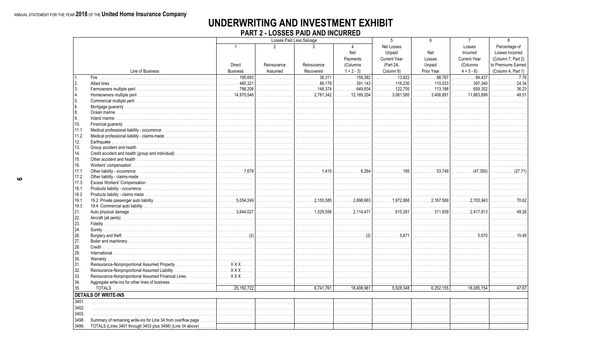## UNDERWRITING AND INVESTMENT EXHIBIT **PART 2 - LOSSES PAID AND INCURRED**

|              |                                               |                                                                   |                | Losses Paid Less Salvage |                             | 5                              | 6                              | $\overline{7}$      | 8                                           |
|--------------|-----------------------------------------------|-------------------------------------------------------------------|----------------|--------------------------|-----------------------------|--------------------------------|--------------------------------|---------------------|---------------------------------------------|
|              |                                               | $\mathbf{1}$                                                      | $\mathfrak{p}$ | 3                        | $\overline{4}$              | Net Losses                     |                                | Losses              | Percentage of                               |
|              |                                               |                                                                   |                |                          | Net                         | Unpaid                         | Net                            | Incurred            | Losses Incurred                             |
|              |                                               |                                                                   |                |                          | Payments                    | <b>Current Year</b>            | Losses                         | <b>Current Year</b> | (Column 7, Part 2)                          |
|              |                                               | <b>Direct</b>                                                     | Reinsurance    | Reinsurance              | (Columns)                   | (Part 2A,                      | Unpaid                         | (Columns            | to Premiums Earned                          |
|              | Line of Business                              | <b>Business</b>                                                   | Assumed        | Recovered                | $1 + 2 - 3$                 | Column 8)                      | Prior Year                     | $4 + 5 - 6$         | (Column 4, Part 1)                          |
|              |                                               | . 195.693                                                         |                | 36.311<br>.              | $\overline{\cdots}$ 159,382 | 13.822                         | . 88.767                       | 84.437<br>.         | $\ldots \ldots \ldots \ldots \ldots$ . 7.76 |
| 2.           |                                               | $\ldots \ldots \ldots 480.321$                                    |                | . 89.178                 | 391.143                     | $\ldots \ldots \ldots 116.230$ | $\ldots \ldots \ldots 110.033$ | . 397.340           | 24.34                                       |
| 3.           |                                               |                                                                   |                |                          | 649.834                     |                                | $\ldots \ldots \ldots 113.188$ | . 659.352           | $\ldots \ldots \ldots \ldots$ 36.23         |
| 4.           |                                               |                                                                   |                |                          |                             | . 3.081.585                    | 3.406.891                      | $\ldots$ 11.863.899 | . 48.51                                     |
| 5.           |                                               |                                                                   |                |                          |                             |                                |                                |                     |                                             |
| 6.           |                                               |                                                                   |                |                          |                             |                                |                                |                     |                                             |
| 8.           |                                               |                                                                   |                |                          |                             |                                |                                |                     |                                             |
| 9.           |                                               |                                                                   |                |                          |                             |                                |                                |                     |                                             |
| 10.          |                                               |                                                                   |                |                          |                             |                                |                                |                     |                                             |
| 11.1         |                                               |                                                                   |                |                          |                             |                                |                                |                     |                                             |
| 11.2         |                                               |                                                                   |                |                          |                             |                                |                                |                     |                                             |
| 12.          |                                               |                                                                   |                |                          |                             |                                |                                |                     |                                             |
| 13.          |                                               |                                                                   |                |                          |                             |                                |                                |                     |                                             |
| 14.          |                                               |                                                                   |                |                          |                             |                                |                                |                     |                                             |
| 15.          |                                               |                                                                   |                |                          |                             |                                |                                |                     |                                             |
|              |                                               |                                                                   |                |                          |                             |                                |                                |                     |                                             |
| 16.          |                                               |                                                                   |                | . 1.415                  |                             | . 185                          | . 53.749                       |                     | $\ldots \ldots \ldots \ldots (27.71)$       |
| 17.1         |                                               |                                                                   |                |                          |                             |                                |                                |                     |                                             |
| 17.2<br>17.3 |                                               |                                                                   |                |                          |                             |                                |                                |                     |                                             |
|              |                                               |                                                                   |                |                          |                             |                                |                                |                     |                                             |
| 18.1         |                                               |                                                                   |                |                          |                             |                                |                                |                     |                                             |
| 18.2         |                                               | $\begin{bmatrix} \dots & \dots & \dots & 5,054,249 \end{bmatrix}$ |                |                          |                             | 1,972,868                      | $\ldots$ , 2.167.589           | $\ldots$ 2.703.943  | . 70.62                                     |
| 19.1<br>19.3 |                                               |                                                                   |                |                          |                             |                                |                                |                     |                                             |
|              |                                               |                                                                   |                | . 1,529,556              | $\ldots$ 2.114.471          | $\ldots \ldots \ldots 615.281$ | 311.939                        | 2,417,813           |                                             |
| 21.          |                                               |                                                                   |                |                          |                             |                                |                                |                     |                                             |
| 22.<br>23.   |                                               |                                                                   |                |                          |                             |                                |                                |                     |                                             |
| 24.          |                                               |                                                                   |                |                          |                             |                                |                                |                     |                                             |
| 26.          |                                               |                                                                   |                |                          |                             | 5.671                          |                                | 5.670               |                                             |
| 27.          |                                               |                                                                   |                |                          |                             |                                |                                |                     |                                             |
| 28.          |                                               |                                                                   |                |                          |                             |                                |                                |                     |                                             |
| 29.          |                                               |                                                                   |                |                          |                             |                                |                                |                     |                                             |
|              |                                               |                                                                   |                |                          |                             |                                |                                |                     |                                             |
| 30.<br>31.   |                                               |                                                                   |                |                          |                             |                                |                                |                     |                                             |
| 32.          | Reinsurance-Nonproportional Assumed Liability | I XXX                                                             |                |                          |                             |                                |                                |                     |                                             |
| 33.          |                                               |                                                                   |                |                          |                             |                                |                                |                     |                                             |
| 34.          |                                               |                                                                   |                |                          |                             |                                |                                |                     |                                             |
|              |                                               |                                                                   |                |                          |                             |                                |                                |                     |                                             |
| 35.          |                                               |                                                                   |                | $\overline{6,741,761}$   | 18,408,961                  | $\overline{5,928,348}$         | . 6.252,155                    |                     | . 47.67                                     |
|              | <b>DETAILS OF WRITE-INS</b>                   |                                                                   |                |                          |                             |                                |                                |                     |                                             |
| 3401.        |                                               |                                                                   |                |                          |                             |                                |                                |                     |                                             |
| 3402.        |                                               |                                                                   |                |                          |                             |                                |                                |                     |                                             |
| 3403.        |                                               |                                                                   |                |                          |                             |                                |                                |                     |                                             |
| 3498.        |                                               |                                                                   |                |                          |                             |                                |                                |                     |                                             |
| 3499.        |                                               |                                                                   |                |                          |                             |                                |                                |                     |                                             |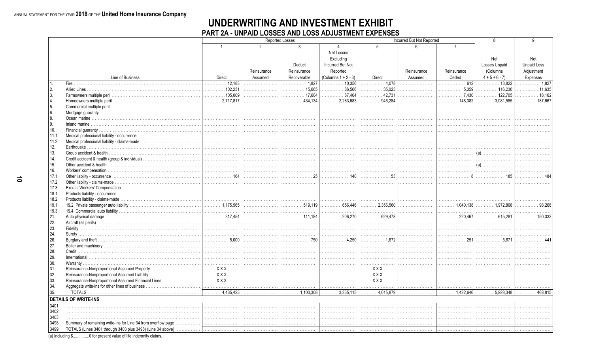## UNDERWRITING AND INVESTMENT EXHIBIT PART 2A - UNPAID LOSSES AND LOSS ADJUSTMENT EXPENSES

|                |                                                                    | <b>Reported Losses</b><br>Incurred But Not Reported |                |                               |                                |                        |             | <sub>R</sub>                        | a                                     |                    |
|----------------|--------------------------------------------------------------------|-----------------------------------------------------|----------------|-------------------------------|--------------------------------|------------------------|-------------|-------------------------------------|---------------------------------------|--------------------|
|                |                                                                    |                                                     |                |                               |                                |                        |             |                                     |                                       |                    |
|                |                                                                    | $\overline{1}$                                      | $\mathfrak{D}$ | $\mathcal{S}$                 | $\overline{4}$                 | $\overline{5}$         | ĥ           | $\overline{7}$                      |                                       |                    |
|                |                                                                    |                                                     |                |                               | Net Losses                     |                        |             |                                     |                                       |                    |
|                |                                                                    |                                                     |                |                               | Excluding                      |                        |             |                                     | Net                                   | Net                |
|                |                                                                    |                                                     |                | Deduct                        | <b>Incurred But Not</b>        |                        |             |                                     | <b>Losses Unpaid</b>                  | <b>Unpaid Loss</b> |
|                |                                                                    |                                                     | Reinsurance    | Reinsurance                   | Reported                       |                        | Reinsurance | Reinsurance                         | (Columns                              |                    |
|                |                                                                    |                                                     |                |                               |                                |                        |             |                                     |                                       | Adjustment         |
|                | Line of Business                                                   | Direct                                              | Assumed        | Recoverable                   | (Columns $1 + 2 - 3$ )         | Direct                 | Assumed     | Ceded                               | $4 + 5 + 6 - 7$                       | Expenses           |
|                |                                                                    | 12.183                                              |                | 1.827                         |                                | . 4,078                |             | . 612                               | 13.822                                | . 1.827            |
| 2.             |                                                                    | $\frac{1}{2}$ 102.231                               |                | 15.665                        | 86.566<br>.                    | 35,023<br>.            |             | 5.359<br>.                          | 116.230                               | 11.635             |
| 3.             |                                                                    | 105.009                                             |                | $\ldots \ldots \ldots 17.604$ | 87.404<br>.                    | 42.731<br>.            |             | $\ldots \ldots \ldots \ldots$ 7.430 | . 122,705                             | 18,162             |
| $\overline{4}$ |                                                                    |                                                     |                | 434.134<br>.                  | 2.283.683<br>.                 | 946.284<br>.           |             | $\ldots$ 148.382                    | 3.081.585<br>.                        | . 187,667          |
| 5.             |                                                                    |                                                     |                |                               |                                |                        |             |                                     |                                       |                    |
| 6.             |                                                                    |                                                     |                |                               |                                |                        |             |                                     |                                       |                    |
| 8.             |                                                                    |                                                     |                |                               |                                |                        |             |                                     |                                       |                    |
| 9.             |                                                                    |                                                     |                |                               |                                |                        |             |                                     |                                       |                    |
| 10.            |                                                                    |                                                     |                |                               |                                |                        |             |                                     |                                       |                    |
| 11.1           |                                                                    |                                                     |                |                               |                                |                        |             |                                     |                                       |                    |
| 11.2           |                                                                    |                                                     |                |                               |                                |                        |             |                                     |                                       |                    |
| 12.            |                                                                    |                                                     |                |                               |                                |                        |             |                                     |                                       |                    |
| 13.            |                                                                    |                                                     |                |                               |                                |                        |             |                                     | $(a)$                                 |                    |
| 14.            |                                                                    |                                                     |                |                               |                                |                        |             |                                     |                                       |                    |
|                |                                                                    |                                                     |                |                               |                                |                        |             |                                     |                                       |                    |
| 15.            |                                                                    |                                                     |                |                               |                                |                        |             |                                     |                                       |                    |
| 16.            |                                                                    |                                                     |                |                               |                                |                        |             |                                     |                                       |                    |
| 17.1           |                                                                    |                                                     |                | . 25                          | . 140                          | . 53                   |             | . 8                                 | . 185                                 |                    |
| 17.2           |                                                                    |                                                     |                |                               |                                |                        |             |                                     |                                       |                    |
| 17.3           |                                                                    |                                                     |                |                               |                                |                        |             |                                     |                                       |                    |
| 18.1           |                                                                    |                                                     |                |                               |                                |                        |             |                                     |                                       |                    |
| 18.2           |                                                                    |                                                     |                |                               |                                |                        |             |                                     |                                       |                    |
| 19.1           |                                                                    |                                                     |                | . 519.119                     |                                | $\ldots$ 2.356.560     |             |                                     | 1.972.868                             | .98,266            |
| 19.3           |                                                                    |                                                     |                |                               |                                |                        |             |                                     |                                       |                    |
| 21.            |                                                                    |                                                     |                | . 111,184                     | $\ldots \ldots \ldots 206.270$ | 629,478                |             | 220,467                             | $\ldots \ldots \ldots \ldots 615.281$ | . 150.333          |
| 22.            |                                                                    |                                                     |                |                               |                                |                        |             |                                     |                                       |                    |
| 23.            |                                                                    |                                                     |                |                               |                                |                        |             |                                     |                                       |                    |
| 24.            |                                                                    |                                                     |                |                               |                                |                        |             |                                     |                                       |                    |
| 26.            |                                                                    |                                                     |                | . 750                         | . 4,250                        | . 1.672                |             | . 251                               | . 5.671                               |                    |
| 27.            |                                                                    |                                                     |                |                               |                                |                        |             |                                     |                                       |                    |
| 28.            | Credit.                                                            |                                                     |                |                               |                                |                        |             |                                     |                                       |                    |
|                |                                                                    |                                                     |                |                               |                                |                        |             |                                     |                                       |                    |
| 29.            |                                                                    |                                                     |                |                               |                                |                        |             |                                     |                                       |                    |
| 30.            |                                                                    |                                                     |                |                               |                                |                        |             |                                     |                                       |                    |
| 31.            |                                                                    |                                                     |                |                               |                                | XXX                    |             |                                     |                                       |                    |
| 32.            |                                                                    |                                                     |                |                               |                                | XXX                    |             |                                     |                                       |                    |
| 33.            |                                                                    |                                                     |                |                               |                                | <u>. XXX</u>           |             |                                     |                                       |                    |
| 34.            |                                                                    |                                                     |                |                               |                                |                        |             |                                     |                                       |                    |
| 35.            |                                                                    |                                                     |                | $\overline{1,100,308}$        | $\ldots$ 3,335,115             | $\overline{4,015,879}$ |             | $\ldots$ 1,422,646                  | $\overline{\cdots}$ 5,928,348         | 468,815            |
|                | <b>DETAILS OF WRITE-INS</b>                                        |                                                     |                |                               |                                |                        |             |                                     |                                       |                    |
| 3401.          |                                                                    |                                                     |                |                               |                                |                        |             |                                     |                                       |                    |
| 3402.          |                                                                    |                                                     |                |                               |                                |                        |             |                                     |                                       |                    |
| 3403.          |                                                                    |                                                     |                |                               |                                |                        |             |                                     |                                       |                    |
| 3498.          |                                                                    |                                                     |                |                               |                                |                        |             |                                     |                                       |                    |
|                |                                                                    |                                                     |                |                               |                                |                        |             |                                     |                                       |                    |
| 3499.          |                                                                    |                                                     |                |                               |                                |                        |             |                                     |                                       |                    |
|                | (a) Including $$$<br>0 for present value of life indemnity claims. |                                                     |                |                               |                                |                        |             |                                     |                                       |                    |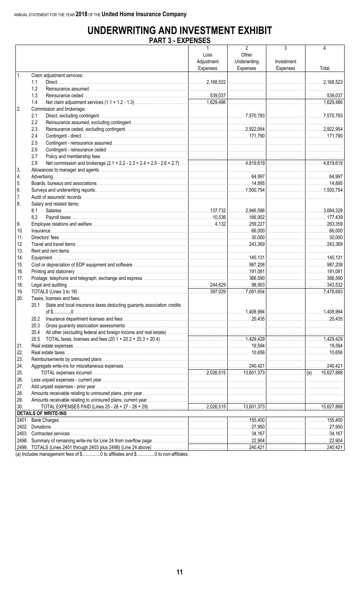# **UNDERWRITING AND INVESTMENT EXHIBIT**

|            | PARI 3 - EAPENDED                                                                               |                 |                |            |       |
|------------|-------------------------------------------------------------------------------------------------|-----------------|----------------|------------|-------|
|            |                                                                                                 |                 | $\overline{2}$ | 3          | 4     |
|            |                                                                                                 | Loss            | Other          |            |       |
|            |                                                                                                 | Adjustment      | Underwriting   | Investment |       |
|            |                                                                                                 |                 |                |            |       |
|            |                                                                                                 | <b>Expenses</b> | Expenses       | Expenses   | Total |
| $\vert$ 1. | Claim adjustment services:                                                                      |                 |                |            |       |
|            | 1.1                                                                                             |                 |                |            |       |
|            | 1.2                                                                                             |                 |                |            |       |
|            | 1.3                                                                                             |                 |                |            |       |
|            | 1.4                                                                                             |                 |                |            |       |
|            |                                                                                                 |                 |                |            |       |
| 2.         | Commission and brokerage:                                                                       |                 |                |            |       |
|            | 2.1                                                                                             |                 |                |            |       |
|            | 2.2                                                                                             |                 |                |            |       |
|            | 2.3                                                                                             |                 |                |            |       |
|            | 2.4                                                                                             |                 |                |            |       |
|            |                                                                                                 |                 |                |            |       |
|            | 2.5                                                                                             |                 |                |            |       |
|            | 2.6                                                                                             |                 |                |            |       |
|            | 2.7                                                                                             |                 |                |            |       |
|            | 2.8                                                                                             |                 |                |            |       |
| 3.         |                                                                                                 |                 |                |            |       |
| 4.         |                                                                                                 |                 |                |            |       |
|            |                                                                                                 |                 |                |            |       |
| l 5.       |                                                                                                 |                 |                |            |       |
| 6.         |                                                                                                 |                 |                |            |       |
| 7.         |                                                                                                 |                 |                |            |       |
| 8.         | Salary and related items:                                                                       |                 |                |            |       |
|            | 8.1                                                                                             |                 |                |            |       |
|            | 8.2                                                                                             |                 |                |            |       |
|            |                                                                                                 |                 |                |            |       |
| 9.         |                                                                                                 |                 |                |            |       |
| 10.        |                                                                                                 |                 |                |            |       |
| 11.        |                                                                                                 |                 |                |            |       |
| 12.        |                                                                                                 |                 |                |            |       |
| 13.        |                                                                                                 |                 |                |            |       |
|            |                                                                                                 |                 |                |            |       |
| 14.        |                                                                                                 |                 |                |            |       |
| 15.        |                                                                                                 |                 |                |            |       |
| 16.        |                                                                                                 |                 |                |            |       |
| 17.        |                                                                                                 |                 |                |            |       |
| 18.        |                                                                                                 |                 |                |            |       |
| 19.        |                                                                                                 |                 |                |            |       |
|            |                                                                                                 |                 |                |            |       |
| 20.        | Taxes, licenses and fees:                                                                       |                 |                |            |       |
|            | 20.1 State and local insurance taxes deducting guaranty association credits                     |                 |                |            |       |
|            |                                                                                                 |                 |                |            |       |
|            | 20.2                                                                                            |                 |                |            |       |
|            | 20.3                                                                                            |                 |                |            |       |
|            |                                                                                                 |                 |                |            |       |
|            | 20.4                                                                                            |                 |                |            |       |
|            | 20.5                                                                                            |                 |                |            |       |
| 21.        |                                                                                                 |                 |                |            |       |
| 22.        |                                                                                                 |                 |                |            |       |
| 23.        |                                                                                                 |                 |                |            |       |
| 24.        |                                                                                                 |                 |                |            |       |
|            |                                                                                                 |                 |                |            |       |
| 25.        |                                                                                                 |                 |                |            |       |
| 26.        |                                                                                                 |                 |                |            |       |
| 27.        |                                                                                                 |                 |                |            |       |
| 28.        |                                                                                                 |                 |                |            |       |
| 29.        |                                                                                                 |                 |                |            |       |
|            |                                                                                                 |                 |                |            |       |
| 30.        |                                                                                                 |                 |                |            |       |
|            | <b>DETAILS OF WRITE-INS</b><br><u> 1989 - Johann Stone, margaret eta biztanleria (h. 1989).</u> |                 |                |            |       |
| 2401.      |                                                                                                 |                 |                |            |       |
| 2402.      |                                                                                                 |                 |                |            |       |
| 2403.      |                                                                                                 |                 |                |            |       |
|            |                                                                                                 |                 |                |            |       |
|            |                                                                                                 |                 |                |            |       |
|            |                                                                                                 |                 |                |            |       |

(a) Includes management fees of \$................0 to affiliates and \$...............0 to non-affiliates.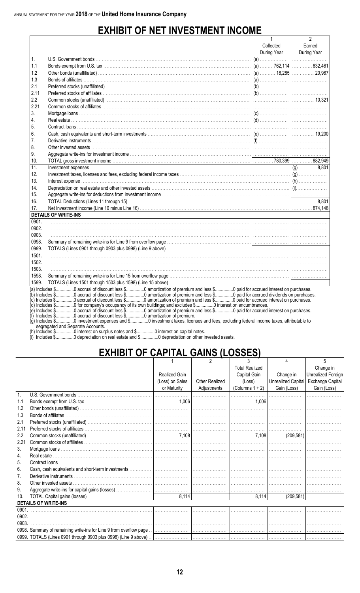# **EXHIBIT OF NET INVESTMENT INCOME**

|                                                                                                                                                            |                                                                                                                                                                                                                                                           |             | 2                    |  |  |  |  |  |  |
|------------------------------------------------------------------------------------------------------------------------------------------------------------|-----------------------------------------------------------------------------------------------------------------------------------------------------------------------------------------------------------------------------------------------------------|-------------|----------------------|--|--|--|--|--|--|
|                                                                                                                                                            |                                                                                                                                                                                                                                                           | Collected   | Earned               |  |  |  |  |  |  |
|                                                                                                                                                            |                                                                                                                                                                                                                                                           | During Year | During Year          |  |  |  |  |  |  |
| 1.                                                                                                                                                         |                                                                                                                                                                                                                                                           |             | $\frac{3}{\sqrt{2}}$ |  |  |  |  |  |  |
| 1.1                                                                                                                                                        |                                                                                                                                                                                                                                                           |             |                      |  |  |  |  |  |  |
| 1.2                                                                                                                                                        |                                                                                                                                                                                                                                                           |             |                      |  |  |  |  |  |  |
| 1.3                                                                                                                                                        |                                                                                                                                                                                                                                                           |             |                      |  |  |  |  |  |  |
| 2.1                                                                                                                                                        |                                                                                                                                                                                                                                                           |             |                      |  |  |  |  |  |  |
| 2.11                                                                                                                                                       |                                                                                                                                                                                                                                                           |             |                      |  |  |  |  |  |  |
| 2.2                                                                                                                                                        |                                                                                                                                                                                                                                                           |             |                      |  |  |  |  |  |  |
| 2.21                                                                                                                                                       |                                                                                                                                                                                                                                                           |             |                      |  |  |  |  |  |  |
| 3.                                                                                                                                                         |                                                                                                                                                                                                                                                           |             |                      |  |  |  |  |  |  |
| 4.                                                                                                                                                         |                                                                                                                                                                                                                                                           |             |                      |  |  |  |  |  |  |
| 5.                                                                                                                                                         |                                                                                                                                                                                                                                                           |             |                      |  |  |  |  |  |  |
| 6.                                                                                                                                                         |                                                                                                                                                                                                                                                           |             |                      |  |  |  |  |  |  |
| 7.                                                                                                                                                         |                                                                                                                                                                                                                                                           |             |                      |  |  |  |  |  |  |
| 8.                                                                                                                                                         |                                                                                                                                                                                                                                                           |             |                      |  |  |  |  |  |  |
| 9.                                                                                                                                                         |                                                                                                                                                                                                                                                           |             |                      |  |  |  |  |  |  |
| 10.                                                                                                                                                        |                                                                                                                                                                                                                                                           |             |                      |  |  |  |  |  |  |
| 11.                                                                                                                                                        |                                                                                                                                                                                                                                                           |             |                      |  |  |  |  |  |  |
| 12.                                                                                                                                                        |                                                                                                                                                                                                                                                           |             |                      |  |  |  |  |  |  |
| 13.                                                                                                                                                        |                                                                                                                                                                                                                                                           |             |                      |  |  |  |  |  |  |
| 14.                                                                                                                                                        |                                                                                                                                                                                                                                                           |             |                      |  |  |  |  |  |  |
| 15.                                                                                                                                                        |                                                                                                                                                                                                                                                           |             |                      |  |  |  |  |  |  |
| 16.                                                                                                                                                        |                                                                                                                                                                                                                                                           |             |                      |  |  |  |  |  |  |
| 17.                                                                                                                                                        |                                                                                                                                                                                                                                                           |             |                      |  |  |  |  |  |  |
|                                                                                                                                                            | <b>DETAILS OF WRITE-INS</b>                                                                                                                                                                                                                               |             |                      |  |  |  |  |  |  |
| 0901.                                                                                                                                                      |                                                                                                                                                                                                                                                           |             |                      |  |  |  |  |  |  |
| 0902.                                                                                                                                                      |                                                                                                                                                                                                                                                           |             |                      |  |  |  |  |  |  |
| 0903.                                                                                                                                                      |                                                                                                                                                                                                                                                           |             |                      |  |  |  |  |  |  |
| 0998.                                                                                                                                                      |                                                                                                                                                                                                                                                           |             |                      |  |  |  |  |  |  |
| 0999.                                                                                                                                                      |                                                                                                                                                                                                                                                           |             |                      |  |  |  |  |  |  |
| 1501.                                                                                                                                                      |                                                                                                                                                                                                                                                           |             |                      |  |  |  |  |  |  |
| 1502.                                                                                                                                                      | $\frac{1}{2}$ . The contract of the contract of the contract of the contract of the contract of the contract of the contract of the contract of the contract of the contract of the contract of the contract of the contract of t                         |             |                      |  |  |  |  |  |  |
| 1503.                                                                                                                                                      |                                                                                                                                                                                                                                                           |             |                      |  |  |  |  |  |  |
| 1598.                                                                                                                                                      |                                                                                                                                                                                                                                                           |             |                      |  |  |  |  |  |  |
| 1599.                                                                                                                                                      |                                                                                                                                                                                                                                                           |             |                      |  |  |  |  |  |  |
|                                                                                                                                                            | (a) Includes \$0 accrual of discount less \$0 amortization of premium and less \$0 paid for accrued interest on purchases.                                                                                                                                |             |                      |  |  |  |  |  |  |
|                                                                                                                                                            | (b) Includes \$0 accrual of discount less \$0 amortization of premium and less \$0 paid for accrued dividends on purchases.<br>(c) Includes \$0 accrual of discount less \$0 amortization of premium and less \$0 paid for accrued interest on purchases. |             |                      |  |  |  |  |  |  |
|                                                                                                                                                            |                                                                                                                                                                                                                                                           |             |                      |  |  |  |  |  |  |
| (d) Includes \$0 for company's occupancy of its own buildings; and excludes \$ 0 interest on encumbrances.<br>(e) Includes \$0 accrual of discount less \$ |                                                                                                                                                                                                                                                           |             |                      |  |  |  |  |  |  |
| (f) Includes \$0 accrual of discount less \$0 amortization of premium.                                                                                     |                                                                                                                                                                                                                                                           |             |                      |  |  |  |  |  |  |
|                                                                                                                                                            | (g) Includes \$0 investment expenses and \$0 investment taxes, licenses and fees, excluding federal income taxes, attributable to                                                                                                                         |             |                      |  |  |  |  |  |  |
|                                                                                                                                                            | segregated and Separate Accounts.<br>(b) $ $ ncludes \$ $\qquad$ $\qquad$ 0 interest on surplus notes and \$ $\qquad$ 0 interest on capital notes                                                                                                         |             |                      |  |  |  |  |  |  |

# **EXHIBIT OF CAPITAL GAINS (LOSSES)**

|                  |                                                                    |                 |                       | 3                     |                    |                         |
|------------------|--------------------------------------------------------------------|-----------------|-----------------------|-----------------------|--------------------|-------------------------|
|                  |                                                                    |                 |                       | <b>Total Realized</b> |                    | Change in               |
|                  |                                                                    | Realized Gain   |                       | Capital Gain          | Change in          | Unrealized Foreign      |
|                  |                                                                    | (Loss) on Sales | <b>Other Realized</b> | (Loss)                | Unrealized Capital | <b>Exchange Capital</b> |
|                  |                                                                    | or Maturity     | Adjustments           | $(Columns 1 + 2)$     | Gain (Loss)        | Gain (Loss)             |
| 1.               |                                                                    |                 |                       |                       |                    |                         |
| 1.1              |                                                                    |                 |                       |                       |                    |                         |
| 1.2              |                                                                    |                 |                       |                       |                    |                         |
| 1.3              |                                                                    |                 |                       |                       |                    |                         |
| 2.1              |                                                                    |                 |                       |                       |                    |                         |
| 2.11             |                                                                    |                 |                       |                       |                    |                         |
| 2.2              |                                                                    |                 |                       |                       |                    |                         |
| 2.21             |                                                                    |                 |                       |                       |                    |                         |
| 3.               |                                                                    |                 |                       |                       |                    |                         |
| $\overline{4}$ . |                                                                    |                 |                       |                       |                    |                         |
| 5.               | Contract loans                                                     |                 |                       |                       |                    |                         |
| 6.               |                                                                    |                 |                       |                       |                    |                         |
| 7.               |                                                                    |                 |                       |                       |                    |                         |
| 8.               |                                                                    |                 |                       |                       |                    |                         |
| 9.               |                                                                    |                 |                       |                       |                    |                         |
| 10.              |                                                                    |                 |                       |                       |                    |                         |
|                  | <b>DETAILS OF WRITE-INS</b>                                        |                 |                       |                       |                    |                         |
| 0901.            |                                                                    |                 |                       |                       |                    |                         |
| 0902.            |                                                                    |                 |                       |                       |                    |                         |
| 0903.            |                                                                    |                 |                       |                       |                    |                         |
|                  | 0998. Summary of remaining write-ins for Line 9 from overflow page |                 |                       |                       |                    |                         |
|                  |                                                                    |                 |                       |                       |                    |                         |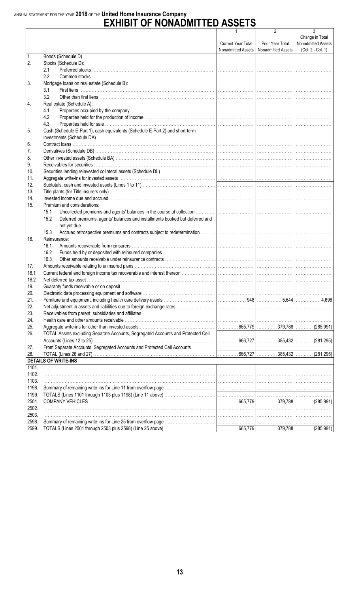# ANNUAL STATEMENT FOR THE YEAR 2018 OF THE United Home Insurance Company<br>
EXHIBIT OF NONADMITTED ASSETS

|       |                                                                                                                                                                                              | 1                  | 2                                       | 3                  |
|-------|----------------------------------------------------------------------------------------------------------------------------------------------------------------------------------------------|--------------------|-----------------------------------------|--------------------|
|       |                                                                                                                                                                                              |                    |                                         | Change in Total    |
|       |                                                                                                                                                                                              | Current Year Total | Prior Year Total                        | Nonadmitted Assets |
|       |                                                                                                                                                                                              |                    | Nonadmitted Assets   Nonadmitted Assets | (Col. 2 - Col. 1)  |
| 1.    |                                                                                                                                                                                              |                    |                                         |                    |
| 2.    | Stocks (Schedule D):                                                                                                                                                                         |                    |                                         |                    |
|       | 2.1                                                                                                                                                                                          |                    |                                         |                    |
|       | $2.2^{\circ}$                                                                                                                                                                                |                    |                                         |                    |
| 3.    | Mortgage loans on real estate (Schedule B):                                                                                                                                                  |                    |                                         |                    |
|       | 3.1                                                                                                                                                                                          |                    |                                         |                    |
|       | 3.2                                                                                                                                                                                          |                    |                                         |                    |
| 4.    | Real estate (Schedule A):                                                                                                                                                                    |                    |                                         |                    |
|       | 4.1                                                                                                                                                                                          |                    |                                         |                    |
|       | 4.2                                                                                                                                                                                          |                    |                                         |                    |
|       | 4.3                                                                                                                                                                                          |                    |                                         |                    |
| 5.    | Cash (Schedule E-Part 1), cash equivalents (Schedule E-Part 2) and short-term                                                                                                                |                    |                                         |                    |
|       |                                                                                                                                                                                              |                    |                                         |                    |
|       |                                                                                                                                                                                              |                    |                                         |                    |
| 6.    |                                                                                                                                                                                              |                    |                                         |                    |
| 7.    |                                                                                                                                                                                              |                    |                                         |                    |
| 8.    |                                                                                                                                                                                              |                    |                                         |                    |
| 9.    |                                                                                                                                                                                              |                    |                                         |                    |
| 10.   |                                                                                                                                                                                              |                    |                                         |                    |
| 11.   |                                                                                                                                                                                              |                    |                                         |                    |
| 12.   |                                                                                                                                                                                              |                    |                                         |                    |
| 13.   |                                                                                                                                                                                              |                    |                                         |                    |
| 14.   |                                                                                                                                                                                              |                    |                                         |                    |
| 15.   | Premium and considerations:                                                                                                                                                                  |                    |                                         |                    |
|       | 15.1                                                                                                                                                                                         |                    |                                         |                    |
|       | Deferred premiums, agents' balances and installments booked but deferred and<br>15.2                                                                                                         |                    |                                         |                    |
|       |                                                                                                                                                                                              |                    |                                         |                    |
|       | 15.3                                                                                                                                                                                         |                    |                                         |                    |
|       |                                                                                                                                                                                              |                    |                                         |                    |
| 16.   | Reinsurance:                                                                                                                                                                                 |                    |                                         |                    |
|       | 16.1                                                                                                                                                                                         |                    |                                         |                    |
|       | 16.2                                                                                                                                                                                         |                    |                                         |                    |
|       | 16.3                                                                                                                                                                                         |                    |                                         |                    |
| 17.   |                                                                                                                                                                                              |                    |                                         |                    |
| 18.1  |                                                                                                                                                                                              |                    |                                         |                    |
| 18.2  |                                                                                                                                                                                              |                    |                                         |                    |
| 19.   |                                                                                                                                                                                              |                    |                                         |                    |
| 20.   | Electronic data processing equipment and software manufactured contained and contained at a processing equipment and software manufactured contained at a processing equipment and software. |                    |                                         |                    |
| 21.   |                                                                                                                                                                                              |                    |                                         |                    |
| 22.   |                                                                                                                                                                                              |                    |                                         |                    |
| 23.   |                                                                                                                                                                                              |                    |                                         |                    |
| 24.   |                                                                                                                                                                                              |                    |                                         |                    |
| 25.   |                                                                                                                                                                                              |                    |                                         |                    |
| 26.   | TOTAL Assets excluding Separate Accounts, Segregated Accounts and Protected Cell                                                                                                             |                    |                                         |                    |
|       |                                                                                                                                                                                              |                    |                                         |                    |
|       |                                                                                                                                                                                              |                    |                                         |                    |
| 27.   |                                                                                                                                                                                              |                    |                                         |                    |
| 28.   |                                                                                                                                                                                              |                    |                                         |                    |
|       | <b>DETAILS OF WRITE-INS</b>                                                                                                                                                                  |                    |                                         |                    |
| 1101. |                                                                                                                                                                                              |                    |                                         |                    |
| 1102. |                                                                                                                                                                                              |                    |                                         |                    |
| 1103. |                                                                                                                                                                                              |                    |                                         |                    |
| 1198. |                                                                                                                                                                                              |                    |                                         |                    |
| 1199. |                                                                                                                                                                                              |                    |                                         |                    |
| 2501. |                                                                                                                                                                                              |                    |                                         |                    |
| 2502. |                                                                                                                                                                                              |                    |                                         |                    |
| 2503. |                                                                                                                                                                                              |                    |                                         |                    |
| 2598. |                                                                                                                                                                                              |                    |                                         |                    |
|       |                                                                                                                                                                                              |                    |                                         |                    |
| 2599. |                                                                                                                                                                                              |                    |                                         |                    |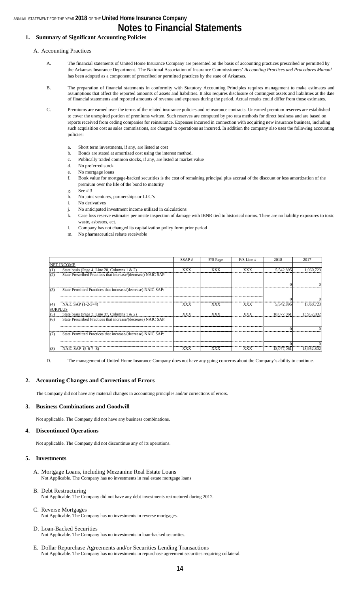#### **1. Summary of Significant Accounting Policies**

A. Accounting Practices

- A. The financial statements of United Home Insurance Company are presented on the basis of accounting practices prescribed or permitted by the Arkansas Insurance Department. The National Association of Insurance Commissioners' *Accounting Practices and Procedures Manual*  has been adopted as a component of prescribed or permitted practices by the state of Arkansas.
- B. The preparation of financial statements in conformity with Statutory Accounting Principles requires management to make estimates and assumptions that affect the reported amounts of assets and liabilities. It also requires disclosure of contingent assets and liabilities at the date of financial statements and reported amounts of revenue and expenses during the period. Actual results could differ from those estimates.

C. Premiums are earned over the terms of the related insurance policies and reinsurance contracts. Unearned premium reserves are established to cover the unexpired portion of premiums written. Such reserves are computed by pro rata methods for direct business and are based on reports received from ceding companies for reinsurance. Expenses incurred in connection with acquiring new insurance business, including such acquisition cost as sales commissions, are charged to operations as incurred. In addition the company also uses the following accounting policies:

- a. Short term investments, if any, are listed at cost
- b. Bonds are stated at amortized cost using the interest method.
- c. Publically traded common stocks, if any, are listed at market value
- d. No preferred stock
- e. No mortgage loans
- f. Book value for mortgage-backed securities is the cost of remaining principal plus accrual of the discount or less amortization of the premium over the life of the bond to maturity
- g. See # 3
- h. No joint ventures, partnerships or LLC's
- i. No derivatives
- j. No anticipated investment income utilized in calculations
- k. Case loss reserve estimates per onsite inspection of damage with IBNR tied to historical norms. There are no liability exposures to toxic waste, asbestos, ect.
- l. Company has not changed its capitalization policy form prior period
- m. No pharmaceutical rebate receivable

|                |                                                               | SSAP#      | F/S Page | $F/S$ Line # | 2018       | 2017       |
|----------------|---------------------------------------------------------------|------------|----------|--------------|------------|------------|
|                | <b>NET INCOME</b>                                             |            |          |              |            |            |
| (1)            | State basis (Page 4, Line 20, Columns 1 & 2)                  | XXX        | XXX      | <b>XXX</b>   | 5.542.895  | 1.060.723  |
| (2)            | State Prescribed Practices that increase/(decrease) NAIC SAP: |            |          |              |            |            |
|                |                                                               |            |          |              |            |            |
| (3)            | State Permitted Practices that increase/(decrease) NAIC SAP:  |            |          |              |            |            |
|                |                                                               |            |          |              |            |            |
| (4)            | NAIC SAP $(1-2-3=4)$                                          | XXX        | XXX      | XXX          | 5.542.895  | 1.060.723  |
| <b>SURPLUS</b> |                                                               |            |          |              |            |            |
| (5)            | State basis (Page 3, Line 37, Columns $1 \& 2$ )              | <b>XXX</b> | xxx      | <b>XXX</b>   | 18,077,061 | 13.952.802 |
| (6)            | State Prescribed Practices that increase/(decrease) NAIC SAP: |            |          |              |            |            |
|                |                                                               |            |          |              |            |            |
| (7)            | State Permitted Practices that increase/(decrease) NAIC SAP:  |            |          |              |            |            |
|                |                                                               |            |          |              |            |            |
| (8)            | NAIC SAP $(5-6-7=8)$                                          | XXX        | XXX      | XXX          | 18,077,061 | 13.952.802 |

D. The management of United Home Insurance Company does not have any going concerns about the Company's ability to continue.

#### **2. Accounting Changes and Corrections of Errors**

The Company did not have any material changes in accounting principles and/or corrections of errors.

#### **3. Business Combinations and Goodwill**

Not applicable. The Company did not have any business combinations.

#### **4. Discontinued Operations**

Not applicable. The Company did not discontinue any of its operations.

#### **5. Investments**

- A. Mortgage Loans, including Mezzanine Real Estate Loans Not Applicable. The Company has no investments in real estate mortgage loans
- B. Debt Restructuring
	- Not Applicable. The Company did not have any debt investments restructured during 2017.
- C. Reverse Mortgages Not Applicable. The Company has no investments in reverse mortgages.
- D. Loan-Backed Securities Not Applicable. The Company has no investments in loan-backed securities.
- E. Dollar Repurchase Agreements and/or Securities Lending Transactions Not Applicable. The Company has no investments in repurchase agreement securities requiring collateral.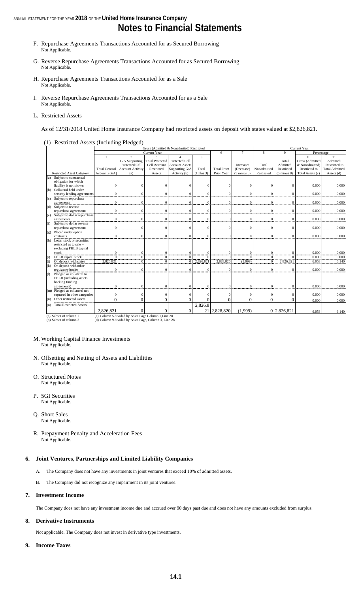# **Notes to Financial Statements**

- F. Repurchase Agreements Transactions Accounted for as Secured Borrowing Not Applicable.
- G. Reverse Repurchase Agreements Transactions Accounted for as Secured Borrowing Not Applicable.
- H. Repurchase Agreements Transactions Accounted for as a Sale Not Applicable.
- I. Reverse Repurchase Agreements Transactions Accounted for as a Sale Not Applicable.
- L. Restricted Assets

As of 12/31/2018 United Home Insurance Company had restricted assets on deposit with states valued at \$2,826,821.

(1) Restricted Assets (Including Pledged)

|         |                                  |                                                      | Gross (Admitted & Nonadmited) Restricted<br>Current Year |                        |                       |                |                   |                        |              |                        |                  |                       |
|---------|----------------------------------|------------------------------------------------------|----------------------------------------------------------|------------------------|-----------------------|----------------|-------------------|------------------------|--------------|------------------------|------------------|-----------------------|
|         |                                  |                                                      |                                                          | <b>Current Year</b>    |                       |                | 6                 | $\tau$                 | 8            | 9                      | Percentage       |                       |
|         |                                  |                                                      | 2                                                        | 3                      | 4                     | 5              |                   |                        |              |                        | 10               | 11                    |
|         |                                  |                                                      | G/A Supporting                                           | <b>Total Protected</b> | Protected Cell        |                |                   |                        |              | Total                  | Gross (Admitted  | Admitted              |
|         |                                  |                                                      | Protected Cell                                           | Cell Account           | <b>Account Assets</b> |                |                   | Increase/              | Total        | Admitted               | & Nonadmitted)   | Restricted to         |
|         |                                  | <b>Total General</b>                                 | <b>Account Activity</b>                                  | Restricted             | Supporting G/A        | Total          | <b>Total From</b> | (Decrease)             | Nonadmitted  | Restricted             | Restricted to    | <b>Total Admitted</b> |
|         | <b>Restricted Asset Category</b> | Account $(G/A)$                                      | (a)                                                      | Assets                 | Activity (b)          | $(1$ plus $3)$ | Prior Year        | $(5 \text{ minus } 6)$ | Restricted   | $(5 \text{ minus } 8)$ | Total Assets (c) | Assets (d)            |
| (a)     | Subject to contractual           |                                                      |                                                          |                        |                       |                |                   |                        |              |                        |                  |                       |
|         | obligation for which             |                                                      |                                                          |                        |                       |                |                   |                        |              |                        |                  |                       |
|         | liability is not shown           | $\Omega$                                             | $\Omega$                                                 | $\Omega$               | $\Omega$              | $\mathbf{0}$   | $\Omega$          | $\mathbf{0}$           | $\mathbf{0}$ | $\mathbf{0}$           | 0.000            | 0.000                 |
| (b)     | Collateral held under            |                                                      |                                                          |                        |                       |                |                   |                        |              |                        |                  |                       |
|         | security lending agreements      | $\Omega$                                             | $\Omega$                                                 | $\Omega$               | $\Omega$              | $\mathbf{0}$   | $\Omega$          | $\Omega$               | $\mathbf{0}$ | $\Omega$               | 0.000            | 0.000                 |
| (c)     | Subject to repurchase            |                                                      |                                                          |                        |                       |                |                   |                        |              |                        |                  |                       |
|         | agreements                       | $\theta$                                             | $\Omega$                                                 | $\mathbf{0}$           | $\Omega$              | $\mathbf{0}$   | $\overline{0}$    | $\mathbf{0}$           | $\mathbf{0}$ | $\mathbf{0}$           | 0.000            | 0.000                 |
| (d)     | Subject to reverse               |                                                      |                                                          |                        |                       |                |                   |                        |              |                        |                  |                       |
|         | repurchase agreements            | $\mathbf{0}$                                         | $\Omega$                                                 | $\Omega$               | $\Omega$              | $\mathbf{0}$   | $\sqrt{ }$        | $\theta$               | $\mathbf{0}$ | $\mathbf{0}$           | 0.000            | 0.000                 |
| (e)     | Subject to dollar repurchase     |                                                      |                                                          |                        |                       |                |                   |                        |              |                        |                  |                       |
|         | agreements                       | $\Omega$                                             | $\Omega$                                                 | $\Omega$               | $\Omega$              | $\mathbf{0}$   | $\Omega$          | $\Omega$               | $\mathbf{0}$ | $\Omega$               | 0.000            | 0.000                 |
| (f)     | Subject to dollar reverse        |                                                      |                                                          |                        |                       |                |                   |                        |              |                        |                  |                       |
|         | repurchase agreements            | $\Omega$                                             |                                                          | $\Omega$               |                       | $\mathbf{0}$   | $\sqrt{ }$        | $\Omega$               | $\mathbf{0}$ | $\theta$               | 0.000            | 0.000                 |
| (g)     | Placed under option              |                                                      |                                                          |                        |                       |                |                   |                        |              |                        |                  |                       |
|         | contracts                        | $\Omega$                                             | O                                                        | $\Omega$               | $\Omega$              | $\mathbf{0}$   | $\Omega$          | $\theta$               | $\Omega$     | $\Omega$               | 0.000            | 0.000                 |
| (h)     | Letter stock or securities       |                                                      |                                                          |                        |                       |                |                   |                        |              |                        |                  |                       |
|         | restricted as to sale -          |                                                      |                                                          |                        |                       |                |                   |                        |              |                        |                  |                       |
|         | excluding FHLB capital           |                                                      |                                                          |                        |                       |                |                   |                        |              |                        |                  |                       |
|         | stock                            | $\Omega$                                             |                                                          | $\Omega$               |                       | $\mathbf{0}$   | $\sqrt{ }$        | $\Omega$               | $\mathbf{0}$ | $\mathbf{0}$           | 0.000            | 0.000                 |
| (i)     | FHLB capital stock               | $\Omega$                                             | $\Omega$                                                 | $\Omega$               |                       | $\Omega$       |                   |                        | $\theta$     | $\Omega$               | 0.000            | 0.000                 |
| (i)     | On deposit with states           | 2,826,821                                            |                                                          | $\Omega$               | $\Omega$              | 2,826,821      | 2,828,820         | (1,999)                | $\mathbf{0}$ | 2,826,821              | 6.053            | 6.140                 |
| (k)     | On deposit with other            |                                                      |                                                          |                        |                       |                |                   |                        |              |                        |                  |                       |
|         | regulatory bodies                | $\Omega$                                             | $\Omega$                                                 | $\Omega$               | $\Omega$              | $\Omega$       | $\Omega$          | $\Omega$               | $\Omega$     | $\theta$               | 0.000            | 0.000                 |
| $\circ$ | Pledged as collateral to         |                                                      |                                                          |                        |                       |                |                   |                        |              |                        |                  |                       |
|         | FHLB (including assets           |                                                      |                                                          |                        |                       |                |                   |                        |              |                        |                  |                       |
|         | backing funding                  |                                                      |                                                          |                        |                       |                |                   |                        |              |                        |                  |                       |
|         | agreements)                      | $\Omega$                                             | $\Omega$                                                 | $\Omega$               | $\Omega$              | $\mathbf{0}$   | $\Omega$          | $\Omega$               | $\Omega$     | $\Omega$               | 0.000            | 0.000                 |
|         | (m) Pledged as collateral not    |                                                      |                                                          |                        |                       |                |                   |                        |              |                        |                  |                       |
|         | captured in other categories     | $\theta$                                             | $\Omega$                                                 | $\mathbf{0}$           | $\Omega$              | $\mathbf{0}$   | $\sqrt{ }$        | $\mathbf{0}$           | $\mathbf{0}$ | $\mathbf{0}$           | 0.000            | 0.000                 |
| (n)     | Other restricted assets          | $\Omega$                                             | 0                                                        | $\theta$               | 0                     | $\Omega$       | $\Omega$          | $\theta$               | $\theta$     | $\theta$               | 0.000            | 0.000                 |
| (O)     | <b>Total Restricted Assets</b>   |                                                      |                                                          |                        |                       | 2,826,8        |                   |                        |              |                        |                  |                       |
|         |                                  | 2,826,821                                            |                                                          | $\Omega$               | $\Omega$              |                | 21 2,828,820      | (1,999)                |              | 0 2,826,821            | 6.053            | 6.140                 |
|         | (a) Subset of column 1           |                                                      |                                                          |                        |                       |                |                   |                        |              |                        |                  |                       |
|         |                                  | (c) Column 5 divided by Asset Page Column 1, Line 28 |                                                          |                        |                       |                |                   |                        |              |                        |                  |                       |

(a) Subset of column 1 (b) Subset of column 3 (c) Column 5 divided by Asset Page Column 1,Line 28 (d) Column 9 divided by Asset Page, Column 3, Line 28

- M. Working Capital Finance Investments Not Applicable.
- N. Offsetting and Netting of Assets and Liabilities Not Applicable.
- O. Structured Notes Not Applicable.
- P. 5GI Securities Not Applicable.
- Q. Short Sales Not Applicable.
- R. Prepayment Penalty and Acceleration Fees Not Applicable.

## **6. Joint Ventures, Partnerships and Limited Liability Companies**

- A. The Company does not have any investments in joint ventures that exceed 10% of admitted assets.
- B. The Company did not recognize any impairment in its joint ventures.

### **7. Investment Income**

The Company does not have any investment income due and accrued over 90 days past due and does not have any amounts excluded from surplus.

## **8. Derivative Instruments**

Not applicable. The Company does not invest in derivative type investments.

**9. Income Taxes**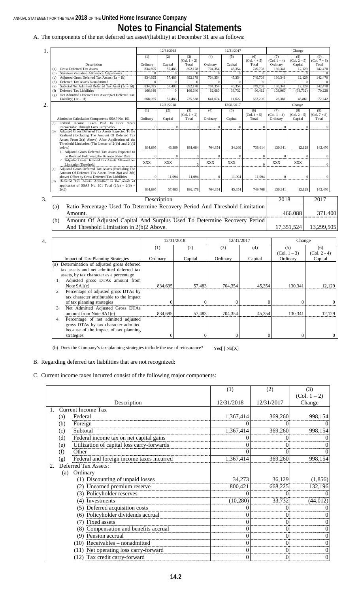# **Notes to Financial Statements**

A. The components of the net deferred tax asset/(liability) at December 31 are as follows:

| 1. |                                                                                    |            | 12/31/2018   |                       |              | 12/31/2017 |                       |                       | Change                |                       |
|----|------------------------------------------------------------------------------------|------------|--------------|-----------------------|--------------|------------|-----------------------|-----------------------|-----------------------|-----------------------|
|    |                                                                                    | (1)        | (2)          | (3)<br>$(Col. 1 + 2)$ | (4)          | (5)        | (6)<br>$(Col. 4 + 5)$ | (7)<br>$(Col. 1 - 4)$ | (8)<br>$(Col. 2 - 5)$ | (9)<br>$(Col. 7 + 8)$ |
|    | Description                                                                        | Ordinary   | Capital      | Total                 | Ordinary     | Capital    | Total                 | Ordinary              | Capital               | Total                 |
|    | <b>Gross Deferred Tax Assets</b><br>(a)                                            | 834,695    | 57,483       | 892,178               | 704,354      | 45,354     | 749,708               | 130,341               | 12,129                | 142,470               |
|    | <b>Statutory Valuation Allowance Adjustments</b><br>(b)                            | $\Omega$   | $\Omega$     | $\Omega$              | $\Omega$     | $\Omega$   | $\Omega$              | $\Omega$              | $\Omega$              |                       |
|    | Adjusted Gross Deferred Tax Assets $(1a - 1b)$<br>(c)                              | 834,695    | 57,483       | 892,178               | 704.354      | 45,354     | 749,708               | 130,341               | 12,129                | 142,470               |
|    | Deferred Tax Assets Nonadmitted<br>(d)                                             | $\Omega$   | $\Omega$     | $\Omega$              |              | $\Omega$   | $\Omega$              | $\sqrt{ }$            | $\Omega$              | $\Omega$              |
|    | Subtotal Net Admitted Deferred Tax Asset $(1c - 1d)$<br>(e)                        | 834,695    | 57,483       | 892,178               | 704,354      | 45,354     | 749,708               | 130,341               | 12,129                | 142,470               |
|    | Deferred Tax Liabilities<br>(f)                                                    | 166,640    | $\mathbf{0}$ | 166,640               | 62,680       | 33,732     | 96,412                | 103,960               | (33, 732)             | 70,228                |
|    | Net Admitted Deferred Tax Asset/(Net Deferred Tax<br>(g)<br>Liability) $(1e - 1f)$ | 668,055    | 57,483       | 725,538               | 641,674      | 11,622     | 653,296               | 26,381                | 45,861                | 72,242                |
| 2. |                                                                                    |            | 12/31/2018   |                       |              | 12/31/2017 |                       |                       | Change                |                       |
|    |                                                                                    | (1)        | (2)          | (3)                   | (4)          | (5)        | (6)                   | (7)                   | (8)                   | (9)                   |
|    |                                                                                    |            |              | $(Col. 1 + 2)$        |              |            | $(Col. 4 + 5)$        | $(Col. 1 - 4)$        | $(Col. 2 - 5)$        | $(Col. 7 + 8)$        |
|    | Admission Calculation Components SSAP No. 101                                      | Ordinary   | Capital      | Total                 | Ordinary     | Capital    | Total                 | Ordinary              | Capital               | Total                 |
|    | Federal Income Taxes Paid In Prior Years<br>(a)                                    |            |              |                       |              |            |                       |                       |                       |                       |
|    | Recoverable Through Loss Carrybacks                                                | C          | $\sqrt{ }$   | $\Omega$              | $\Omega$     | $\Omega$   | $\Omega$              | $\Omega$              | $\Omega$              | $\Omega$              |
|    | Adjusted Gross Deferred Tax Assets Expected To Be<br>(b)                           |            |              |                       |              |            |                       |                       |                       |                       |
|    | Realized (Excluding The Amount Of Deferred Tax                                     |            |              |                       |              |            |                       |                       |                       |                       |
|    | Assets From 2(a) Above) After Application of the                                   |            |              |                       |              |            |                       |                       |                       |                       |
|    | Threshold Limitation (The Lesser of $2(b)1$ and $2(b)2$                            |            |              |                       |              |            |                       |                       |                       |                       |
|    | below)<br>1. Adjusted Gross Deferred Tax Assets Expected to                        | 834,695    | 46,389       | 881,084               | 704,354      | 34,260     | 738,614               | 130,341               | 12,129                | 142,470               |
|    | be Realized Following the Balance Sheet Date                                       | $\sqrt{ }$ | $\sqrt{ }$   | $\mathbf{0}$          | $\mathbf{0}$ | $\Omega$   | $\Omega$              | $\Omega$              |                       | $\mathbf{0}$          |
|    | 2. Adjusted Gross Deferred Tax Assets Allowed per                                  |            |              |                       |              |            |                       |                       |                       |                       |
|    | <b>Limitation Threshold</b>                                                        | <b>XXX</b> | <b>XXX</b>   | $\theta$              | <b>XXX</b>   | <b>XXX</b> | $\Omega$              | <b>XXX</b>            | <b>XXX</b>            | $\Omega$              |
|    | Adjusted Gross Deferred Tax Assets (Excluding The<br>(c)                           |            |              |                       |              |            |                       |                       |                       |                       |
|    | Amount Of Deferred Tax Assets From 2(a) and 2(b)                                   |            |              |                       |              |            |                       |                       |                       |                       |
|    | above) Offset by Gross Deferred Tax Liabilities                                    | $\Omega$   | 11,094       | 11,094                | $\mathbf{0}$ | 11,094     | 11,094                | $\Omega$              | $\Omega$              | $\mathbf{0}$          |
|    | Deferred Tax Assets Admitted as the result of<br>(d)                               |            |              |                       |              |            |                       |                       |                       |                       |
|    | application of SSAP No. 101 Total $(2(a) + 2(b) +$                                 |            |              |                       |              |            |                       |                       |                       |                       |
|    | 2(c)                                                                               | 834,695    | 57,483       | 892,178               | 704,354      | 45,354     | 749,708               | 130,341               | 12,129                | 142,470               |
|    |                                                                                    |            |              |                       |              |            |                       |                       |                       |                       |
| 3. |                                                                                    |            | Description  |                       |              |            |                       | 2018                  |                       | 2017                  |
|    | Ratio Percentage Used To Determine Recovery Period And Threshold Limitation<br>(a) |            |              |                       |              |            |                       |                       |                       |                       |
|    | Amount.                                                                            |            |              |                       |              |            |                       |                       | 466.088               | 371.400               |
|    |                                                                                    |            |              |                       |              |            |                       |                       |                       |                       |
|    | Amount Of Adjusted Capital And Surplus Used To Determine Recovery Period<br>(b)    |            |              |                       |              |            |                       |                       |                       |                       |
|    | And Threshold Limitation in 2(b)2 Above.                                           |            |              |                       |              |            |                       |                       | 17.351.524            | 13,299,505            |
|    |                                                                                    |            |              |                       |              |            |                       |                       |                       |                       |

| 4. |                                                 |          | 12/31/2018 | 12/31/2017 |          | Change         |                |
|----|-------------------------------------------------|----------|------------|------------|----------|----------------|----------------|
|    |                                                 | (1)      | (2)        | (3)        | (4)      | (5)            | (6)            |
|    |                                                 |          |            |            |          | $(Col. 1 - 3)$ | $(Col. 2 - 4)$ |
|    | <b>Impact of Tax-Planning Strategies</b>        | Ordinary | Capital    | Ordinary   | Capital  | Ordinary       | Capital        |
|    | Determination of adjusted gross deferred<br>(a) |          |            |            |          |                |                |
|    | tax assets and net admitted deferred tax        |          |            |            |          |                |                |
|    | assets, by tax character as a percentage        |          |            |            |          |                |                |
|    | Adjusted gross DTAs amount from                 |          |            |            |          |                |                |
|    | Note $9A1(c)$                                   | 834.695  | 57,483     | 704,354    | 45,354   | 130.341        | 12,129         |
|    | Percentage of adjusted gross DTAs by            |          |            |            |          |                |                |
|    | tax character attributable to the impact        |          |            |            |          |                |                |
|    | of tax planning strategies                      | $\Omega$ |            |            |          |                |                |
|    | Net Admitted Adjusted Gross DTAs<br>3.          |          |            |            |          |                |                |
|    | amount from Note 9A1(e)                         | 834.695  | 57,483     | 704.354    | 45,354   | 130.341        | 12,129         |
|    | Percentage of net admitted adjusted<br>4.       |          |            |            |          |                |                |
|    | gross DTAs by tax character admitted            |          |            |            |          |                |                |
|    | because of the impact of tax planning           |          |            |            |          |                |                |
|    | strategies                                      | $\theta$ |            |            | $\Omega$ |                | $\Omega$       |

(b) Does the Company's tax-planning strategies include the use of reinsurance? Yes[] No[X]

B. Regarding deferred tax liabilities that are not recognized:

C. Current income taxes incurred consist of the following major components:

|    |     |                                            | (1)        | (2)        | (3)              |
|----|-----|--------------------------------------------|------------|------------|------------------|
|    |     |                                            |            |            | $(Col. 1 - 2)$   |
|    |     | Description                                | 12/31/2018 | 12/31/2017 | Change           |
|    |     | <b>Current Income Tax</b>                  |            |            |                  |
|    | (a) | Federal                                    | 1,367,414  | 369,260    | 998,154          |
|    | (b) | Foreign                                    |            |            | $\overline{0}$   |
|    | (c) | Subtotal                                   | 1,367,414  | 369,260    | 998,154          |
|    | (d) | Federal income tax on net capital gains    |            |            | 0                |
|    | (e) | Utilization of capital loss carry-forwards |            |            | 0                |
|    | (f) | Other                                      |            |            | $\mathbf{0}$     |
|    | (g) | Federal and foreign income taxes incurred  | 1,367,414  | 369,260    | 998,154          |
| 2. |     | Deferred Tax Assets:                       |            |            |                  |
|    | (a) | Ordinary                                   |            |            |                  |
|    |     | (1) Discounting of unpaid losses           | 34,273     | 36,129     | (1, 856)         |
|    |     | (2) Unearned premium reserve               | 800,421    | 668,225    | 132,196          |
|    |     | (3) Policyholder reserves                  |            |            | $\overline{0}$   |
|    |     | (4) Investments                            | (10, 280)  | 33,732     | (44, 012)        |
|    |     | (5) Deferred acquisition costs             |            |            | 0                |
|    |     | (6) Policyholder dividends accrual         |            | $\theta$   | $\overline{0}$   |
|    |     | (7) Fixed assets                           |            | $\theta$   | $\boldsymbol{0}$ |
|    |     | (8) Compensation and benefits accrual      |            | $\theta$   | $\mathbf{0}$     |
|    |     | (9) Pension accrual                        |            | $\theta$   | $\boldsymbol{0}$ |
|    |     | $(10)$ Receivables - nonadmitted           | 0          | $\theta$   | $\boldsymbol{0}$ |
|    |     | (11) Net operating loss carry-forward      | 0          | $\theta$   | $\boldsymbol{0}$ |
|    |     | (12) Tax credit carry-forward              |            | $\theta$   | $\mathbf{0}$     |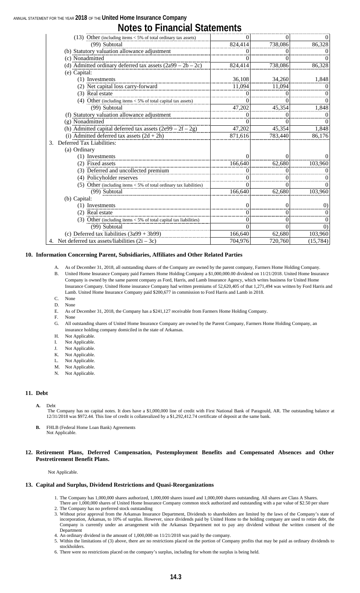# **Notes to Financial Statements**

| (13) Other (including items $<$ 5% of total ordinary tax assets)     | $_{0}$   |                  | 0                 |
|----------------------------------------------------------------------|----------|------------------|-------------------|
| (99) Subtotal                                                        | 824,414  | 738,086          | 86,328            |
| (b) Statutory valuation allowance adjustment                         | $\theta$ |                  | 0                 |
| (c) Nonadmitted                                                      | $\theta$ |                  | $^{(1)}$          |
| (d) Admitted ordinary deferred tax assets $(2a99 – 2b – 2c)$         | 824,414  | 738,086          | 86,328            |
| (e) Capital:                                                         |          |                  |                   |
| (1) Investments                                                      | 36,108   | 34,260           | 1,848             |
| (2) Net capital loss carry-forward                                   | 11,094   | 11,094           | $^{(1)}$          |
| (3) Real estate                                                      |          |                  | 0                 |
| (4) Other (including items $<$ 5% of total capital tax assets)       |          |                  | $\Omega$          |
| (99) Subtotal                                                        | 47,202   | 45,354           | 1,848             |
| (f) Statutory valuation allowance adjustment                         | $\theta$ |                  | 0                 |
| (g) Nonadmitted                                                      | 0        |                  | $\theta$          |
| (h) Admitted capital deferred tax assets $(2e99 – 2f – 2g)$          | 47,202   | 45,354           | 1,848             |
| (i) Admitted deferred tax assets $(2d + 2h)$                         | 871,616  | 783,440          | 86,176            |
| Deferred Tax Liabilities:<br>3.                                      |          |                  |                   |
| (a) Ordinary                                                         |          |                  |                   |
| (1) Investments                                                      | 0        |                  | $\Omega$          |
| (2) Fixed assets                                                     | 166,640  | 62,680           | 103,960           |
| (3) Deferred and uncollected premium                                 |          |                  |                   |
| (4) Policyholder reserves                                            | $\theta$ |                  | 0                 |
| (5) Other (including items $<$ 5% of total ordinary tax liabilities) | 0        | $\left( \right)$ | $\Omega$          |
| (99) Subtotal                                                        | 166,640  | 62,680           | 103,960           |
| (b) Capital:                                                         |          |                  |                   |
| (1) Investments                                                      | 0        | 0                | (0)               |
| (2) Real estate                                                      |          | $\left( \right)$ | $\theta$          |
| (3) Other (including items $<$ 5% of total capital tax liabilities)  | $\theta$ | 0                | 0                 |
| (99) Subtotal                                                        |          |                  | $\left( 0\right)$ |
| (c) Deferred tax liabilities $(3a99 + 3b99)$                         | 166,640  | 62,680           | 103,960           |
| 4. Net deferred tax assets/liabilities $(2i – 3c)$                   | 704,976  | 720,760          | (15, 784)         |

#### **10. Information Concerning Parent, Subsidiaries, Affiliates and Other Related Parties**

- A. As of December 31, 2018, all outstanding shares of the Company are owned by the parent company, Farmers Home Holding Company. B. United Home Insurance Company paid Farmers Home Holding Company a \$1,000,000.00 dividend on 11/21/2018. United Home Insurance Company is owned by the same parent company as Ford, Harris, and Lamb Insurance Agency, which writes business for United Home Insurance Company. United Home insurance Company had written premiums of 52,620,405 of that 1,271,494 was written by Ford Harris and Lamb. United Home Insurance Company paid \$200,677 in commission to Ford Harris and Lamb in 2018.
- C. None D. None
- E. As of December 31, 2018, the Company has a \$241,127 receivable from Farmers Home Holding Company.
- F. None
- G. All outstanding shares of United Home Insurance Company are owned by the Parent Company, Farmers Home Holding Company, an insurance holding company domiciled in the state of Arkansas.
- H. Not Applicable.
- I. Not Applicable.
- J. Not Applicable.
- K. Not Applicable.
- L. Not Applicable.
- M. Not Applicable.
- N. Not Applicable.

#### **11. Debt**

#### **A.** Debt

The Company has no capital notes. It does have a \$1,000,000 line of credit with First National Bank of Paragould, AR. The outstanding balance at 12/31/2018 was \$972.44. This line of credit is collateralized by a \$1,292,412.74 certificate of deposit at the same bank.

**B.** FHLB (Federal Home Loan Bank) Agreements Not Applicable.

#### **12. Retirement Plans, Deferred Compensation, Postemployment Benefits and Compensated Absences and Other Postretirement Benefit Plans.**

#### Not Applicable.

#### **13. Capital and Surplus, Dividend Restrictions and Quasi-Reorganizations**

- 1. The Company has 1,000,000 shares authorized, 1,000,000 shares issued and 1,000,000 shares outstanding. All shares are Class A Shares.
- There are 1,000,000 shares of United Home Insurance Company common stock authorized and outstanding with a par value of \$2.50 per share
- 2. The Company has no preferred stock outstanding
- 3. Without prior approval from the Arkansas Insurance Department, Dividends to shareholders are limited by the laws of the Company's state of incorporation, Arkansas, to 10% of surplus. However, since dividends paid by United Home to the holding company are used to retire debt, the Company is currently under an arrangement with the Arkansas Department not to pay any dividend without the written consent of the Department
- 4. An ordinary dividend in the amount of 1,000,000 on 11/21/2018 was paid by the company.
- 5. Within the limitations of (3) above, there are no restrictions placed on the portion of Company profits that may be paid as ordinary dividends to stockholders.
- 6. There were no restrictions placed on the company's surplus, including for whom the surplus is being held.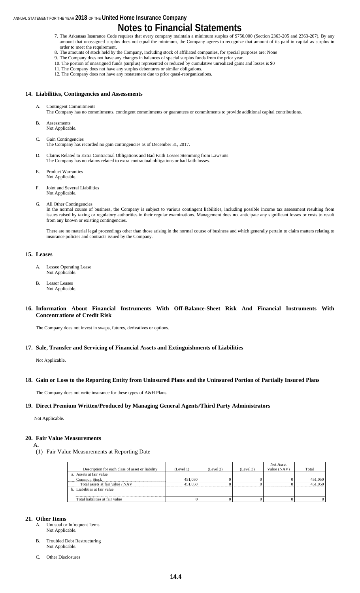- 7. The Arkansas Insurance Code requires that every company maintain a minimum surplus of \$750,000 (Section 2363-205 and 2363-207). By any amount that unassigned surplus does not equal the minimum, the Company agrees to recognize that amount of its paid in capital as surplus in order to meet the requirement.
- 8. The amounts of stock held by the Company, including stock of affiliated companies, for special purposes are: None
- 9. The Company does not have any changes in balances of special surplus funds from the prior year. 10. The portion of unassigned funds (surplus) represented or reduced by cumulative unrealized gains and losses is \$0
- 11. The Company does not have any surplus debentures or similar obligations.
- 12. The Company does not have any restatement due to prior quasi-reorganizations.

#### **14. Liabilities, Contingencies and Assessments**

- Contingent Commitments
	- The Company has no commitments, contingent commitments or guarantees or commitments to provide additional capital contributions.
- B. Assessments Not Applicable.
- C. Gain Contingencies
- The Company has recorded no gain contingencies as of December 31, 2017.
- D. Claims Related to Extra Contractual Obligations and Bad Faith Losses Stemming from Lawsuits The Company has no claims related to extra contractual obligations or bad faith losses.
- E. Product Warranties Not Applicable.
- F. Joint and Several Liabilities Not Applicable.
- G. All Other Contingencies

In the normal course of business, the Company is subject to various contingent liabilities, including possible income tax assessment resulting from issues raised by taxing or regulatory authorities in their regular examinations. Management does not anticipate any significant losses or costs to result from any known or existing contingencies.

There are no material legal proceedings other than those arising in the normal course of business and which generally pertain to claim matters relating to insurance policies and contracts issued by the Company.

#### **15. Leases**

- A. Lessee Operating Lease Not Applicable.
- B. Lessor Leases Not Applicable.

#### **16. Information About Financial Instruments With Off-Balance-Sheet Risk And Financial Instruments With Concentrations of Credit Risk**

The Company does not invest in swaps, futures, derivatives or options.

#### **17. Sale, Transfer and Servicing of Financial Assets and Extinguishments of Liabilities**

Not Applicable.

#### **18. Gain or Loss to the Reporting Entity from Uninsured Plans and the Uninsured Portion of Partially Insured Plans**

The Company does not write insurance for these types of A&H Plans.

#### **19. Direct Premium Written/Produced by Managing General Agents/Third Party Administrators**

Not Applicable.

#### **20. Fair Value Measurements**

A.

(1) Fair Value Measurements at Reporting Date

|                                                  |           |           |           | Net Asset   |         |
|--------------------------------------------------|-----------|-----------|-----------|-------------|---------|
| Description for each class of asset or liability | (Level 1) | (Level 2) | (Level 3) | Value (NAV) | Total   |
| a. Assets at fair value                          |           |           |           |             |         |
| Common Stock                                     | 451,050   |           |           |             | 451.050 |
| Total assets at fair value / NAV                 | 451.050   |           |           |             |         |
| b. Liabilities at fair value                     |           |           |           |             |         |
|                                                  |           |           |           |             |         |
| Total liabilities at fair value                  |           |           |           |             |         |

#### **21. Other Items**

- A. Unusual or Infrequent Items Not Applicable.
- B. Troubled Debt Restructuring Not Applicable.
- C. Other Disclosures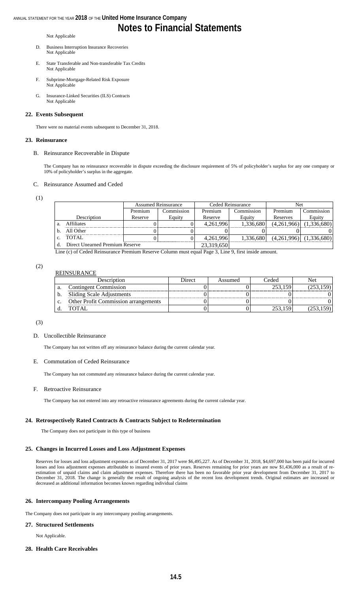#### Not Applicable

- D. Business Interruption Insurance Recoveries Not Applicable
- E. State Transferable and Non-transferable Tax Credits Not Applicable
- F. Subprime-Mortgage-Related Risk Exposure Not Applicable
- G. Insurance-Linked Securities (ILS) Contracts Not Applicable

#### **22. Events Subsequent**

There were no material events subsequent to December 31, 2018.

#### **23. Reinsurance**

#### B. Reinsurance Recoverable in Dispute

The Company has no reinsurance recoverable in dispute exceeding the disclosure requirement of 5% of policyholder's surplus for any one company or 10% of policyholder's surplus in the aggregate.

#### C. Reinsurance Assumed and Ceded

(1)

|                |                                 | <b>Assumed Reinsurance</b> |            |            | Ceded Reinsurance | Net         |                             |
|----------------|---------------------------------|----------------------------|------------|------------|-------------------|-------------|-----------------------------|
|                |                                 | Premium                    | Commission | Premium    | Commission        | Premium     | Commission                  |
|                | Description                     | Reserve                    | Equity     | Reserve    | Equity            | Reserves    | Equity                      |
| -a.            | <b>Affiliates</b>               |                            |            | 4,261,996  | 1.336.680         | (4,261,966) | (1,336,680)                 |
|                | All Other                       |                            |            |            |                   |             |                             |
| $\mathbf{C}$ . | TOTAL                           |                            |            | 4,261,996  | 1.336.680         |             | $(4,261,996)$ $(1,336,680)$ |
|                | Direct Unearned Premium Reserve |                            |            | 23,319,650 |                   |             |                             |

Line (c) of Ceded Reinsurance Premium Reserve Column must equal Page 3, Line 9, first inside amount.

#### (2) REINSURANCE

|    | ----------------                            |        |         |         |     |  |  |  |  |  |  |
|----|---------------------------------------------|--------|---------|---------|-----|--|--|--|--|--|--|
|    | Description                                 | Direct | Assumed | Ceded   | Net |  |  |  |  |  |  |
| a. | <b>Contingent Commission</b>                |        |         | 253.159 |     |  |  |  |  |  |  |
|    | Sliding Scale Adjustments                   |        |         |         |     |  |  |  |  |  |  |
| c. | <b>Other Profit Commission arrangements</b> |        |         |         |     |  |  |  |  |  |  |
|    | <b>TOTAI</b>                                |        |         |         |     |  |  |  |  |  |  |

(3)

#### D. Uncollectible Reinsurance

The Company has not written off any reinsurance balance during the current calendar year.

#### E. Commutation of Ceded Reinsurance

The Company has not commuted any reinsurance balance during the current calendar year.

#### F. Retroactive Reinsurance

The Company has not entered into any retroactive reinsurance agreements during the current calendar year.

#### **24. Retrospectively Rated Contracts & Contracts Subject to Redetermination**

The Company does not participate in this type of business

#### **25. Changes in Incurred Losses and Loss Adjustment Expenses**

Reserves for losses and loss adjustment expenses as of December 31, 2017 were \$6,495,227. As of December 31, 2018, \$4,697,000 has been paid for incurred losses and loss adjustment expenses attributable to insured events of prior years. Reserves remaining for prior years are now \$1,436,000 as a result of reestimation of unpaid claims and claim adjustment expenses. Therefore there has been no favorable prior year development from December 31, 2017 to December 31, 2018. The change is generally the result of ongoing analysis of the recent loss development trends. Original estimates are increased or decreased as additional information becomes known regarding individual claims

#### **26. Intercompany Pooling Arrangements**

The Company does not participate in any intercompany pooling arrangements.

#### **27. Structured Settlements**

Not Applicable.

#### **28. Health Care Receivables**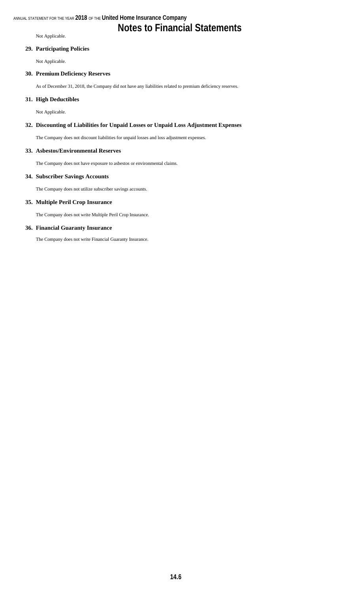Not Applicable.

#### **29. Participating Policies**

Not Applicable.

#### **30. Premium Deficiency Reserves**

As of December 31, 2018, the Company did not have any liabilities related to premium deficiency reserves.

#### **31. High Deductibles**

Not Applicable.

#### **32. Discounting of Liabilities for Unpaid Losses or Unpaid Loss Adjustment Expenses**

The Company does not discount liabilities for unpaid losses and loss adjustment expenses.

#### **33. Asbestos/Environmental Reserves**

The Company does not have exposure to asbestos or environmental claims.

#### **34. Subscriber Savings Accounts**

The Company does not utilize subscriber savings accounts.

#### **35. Multiple Peril Crop Insurance**

The Company does not write Multiple Peril Crop Insurance.

#### **36. Financial Guaranty Insurance**

The Company does not write Financial Guaranty Insurance.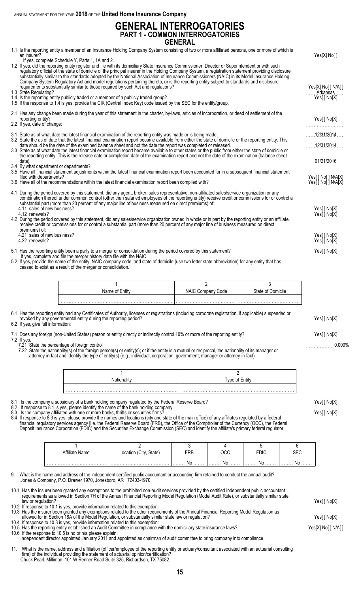## **GENERAL INTERROGATORIES PART 1 - COMMON INTERROGATORIES GENERAL**

|                                                                                                                                                                                                                                                                                                                                                                                                                                                                                                                                                                                                                                                                                                                                                                                  | <b>GENERAL</b>    |                   |                                          |
|----------------------------------------------------------------------------------------------------------------------------------------------------------------------------------------------------------------------------------------------------------------------------------------------------------------------------------------------------------------------------------------------------------------------------------------------------------------------------------------------------------------------------------------------------------------------------------------------------------------------------------------------------------------------------------------------------------------------------------------------------------------------------------|-------------------|-------------------|------------------------------------------|
| 1.1 Is the reporting entity a member of an Insurance Holding Company System consisting of two or more affiliated persons, one or more of which is<br>an insurer?                                                                                                                                                                                                                                                                                                                                                                                                                                                                                                                                                                                                                 |                   |                   | Yes[X] No[]                              |
| If yes, complete Schedule Y, Parts 1, 1A and 2.<br>1.2 If yes, did the reporting entity register and file with its domiciliary State Insurance Commissioner, Director or Superintendent or with such<br>regulatory official of the state of domicile of the principal insurer in the Holding Company System, a registration statement providing disclosure<br>substantially similar to the standards adopted by the National Association of Insurance Commissioners (NAIC) in its Model Insurance Holding<br>Company System Regulatory Act and model regulations pertaining thereto, or is the reporting entity subject to standards and disclosure<br>requirements substantially similar to those required by such Act and regulations?<br>1.3 State Regulating?                |                   |                   | Yes[X] No[ ] N/A[ ]<br>Arkansas          |
| 1.4 Is the reporting entity publicly traded or a member of a publicly traded group?<br>1.5 If the response to 1.4 is yes, provide the CIK (Central Index Key) code issued by the SEC for the entity/group.                                                                                                                                                                                                                                                                                                                                                                                                                                                                                                                                                                       |                   |                   | Yes[] No[X]                              |
| 2.1 Has any change been made during the year of this statement in the charter, by-laws, articles of incorporation, or deed of settlement of the<br>reporting entity?<br>2.2 If yes, date of change:                                                                                                                                                                                                                                                                                                                                                                                                                                                                                                                                                                              |                   |                   | Yes[ ] No[X]                             |
| 3.1 State as of what date the latest financial examination of the reporting entity was made or is being made.                                                                                                                                                                                                                                                                                                                                                                                                                                                                                                                                                                                                                                                                    |                   |                   | $\ldots$ 12/31/2014                      |
| 3.2 State the as of date that the latest financial examination report became available from either the state of domicile or the reporting entity. This<br>date should be the date of the examined balance sheet and not the date the report was completed or released.                                                                                                                                                                                                                                                                                                                                                                                                                                                                                                           |                   |                   | $\ldots$ 12/31/2014.                     |
| 3.3 State as of what date the latest financial examination report became available to other states or the public from either the state of domicile or<br>the reporting entity. This is the release date or completion date of the examination report and not the date of the examination (balance sheet<br>date).<br>3.4 By what department or departments?                                                                                                                                                                                                                                                                                                                                                                                                                      |                   |                   | 01/21/2016                               |
| 3.5 Have all financial statement adjustments within the latest financial examination report been accounted for in a subsequent financial statement<br>filed with departments?<br>3.6 Have all of the recommendations within the latest financial examination report been complied with?                                                                                                                                                                                                                                                                                                                                                                                                                                                                                          |                   |                   | Yes[] No[] N/A[X]<br>Yes[ ] No[ ] N/A[X] |
| 4.1 During the period covered by this statement, did any agent, broker, sales representative, non-affiliated sales/service organization or any<br>combination thereof under common control (other than salaried employees of the reporting entity) receive credit or commissions for or control a<br>substantial part (more than 20 percent of any major line of business measured on direct premiums) of:<br>4.11 sales of new business?<br>4.12 renewals?<br>4.2 During the period covered by this statement, did any sales/service organization owned in whole or in part by the reporting entity or an affiliate,<br>receive credit or commissions for or control a substantial part (more than 20 percent of any major line of business measured on direct<br>premiums) of: |                   |                   | Yes[] No[X]<br>Yes[ ] No[X]              |
| 4.21 sales of new business?<br>4.22 renewals?                                                                                                                                                                                                                                                                                                                                                                                                                                                                                                                                                                                                                                                                                                                                    |                   |                   | Yes[] No[X]<br>Yes[] No[X]               |
| 5.1 Has the reporting entity been a party to a merger or consolidation during the period covered by this statement?<br>If yes, complete and file the merger history data file with the NAIC.<br>5.2 If yes, provide the name of the entity, NAIC company code, and state of domicile (use two letter state abbreviation) for any entity that has<br>ceased to exist as a result of the merger or consolidation.                                                                                                                                                                                                                                                                                                                                                                  |                   |                   | Yes[] No[X]                              |
| 1                                                                                                                                                                                                                                                                                                                                                                                                                                                                                                                                                                                                                                                                                                                                                                                | 2                 | 3                 |                                          |
| Name of Entity                                                                                                                                                                                                                                                                                                                                                                                                                                                                                                                                                                                                                                                                                                                                                                   | NAIC Company Code | State of Domicile |                                          |
|                                                                                                                                                                                                                                                                                                                                                                                                                                                                                                                                                                                                                                                                                                                                                                                  |                   |                   |                                          |
|                                                                                                                                                                                                                                                                                                                                                                                                                                                                                                                                                                                                                                                                                                                                                                                  |                   |                   |                                          |

6.1 Has the reporting entity had any Certificates of Authority, licenses or registrations (including corporate registration, if applicable) suspended or revoked by any governmental entity during the reporting period? Yes[ ] No[X]

6.2 If yes, give full information:

| 7.1 Does any foreign (non-United States) person or entity directly or indirectly control 10% or more of the reporting entity?                                                                                                                                                                                                                                              | Yes[ ] No[X] |
|----------------------------------------------------------------------------------------------------------------------------------------------------------------------------------------------------------------------------------------------------------------------------------------------------------------------------------------------------------------------------|--------------|
|                                                                                                                                                                                                                                                                                                                                                                            |              |
| $\overline{ }$ 0 $\overline{ }$ 10 $\overline{ }$ 10 $\overline{ }$ 10 $\overline{ }$ 10 $\overline{ }$ 10 $\overline{ }$ 10 $\overline{ }$ 10 $\overline{ }$ 10 $\overline{ }$ 10 $\overline{ }$ 10 $\overline{ }$ 10 $\overline{ }$ 10 $\overline{ }$ 10 $\overline{ }$ 10 $\overline{ }$ 10 $\overline{ }$ 10 $\overline{ }$ 10 $\overline{ }$ 10 $\overline{ }$ 10 $\$ |              |

7.2 If yes,

7.21 State the percentage of foreign control . . . . . . . . . . . . . . . . . . 0.000% 7.22 State the nationality(s) of the foreign person(s) or entity(s); or if the entity is a mutual or reciprocal, the nationality of its manager or attorney-in-fact and identify the type of entity(s) (e.g., individual, corporation, government, manager or attorney-in-fact).

| Tyne of Entity |
|----------------|
|                |
|                |

- 8.1 Is the company a subsidiary of a bank holding company regulated by the Federal Reserve Board? Yeserous and the South of Norman Yeserous Reserve Board and the South of Norman Yeserous Reserve Board?
- 8.2 If response to 8.1 is yes, please identify the name of the bank holding company.
- 8.3 Is the company affiliated with one or more banks, thrifts or securities firms? The company of the company of the SI No[X]

8.4 If response to 8.3 is yes, please provide the names and locations (city and state of the main office) of any affiliates regulated by a federal financial regulatory services agency [i.e. the Federal Reserve Board (FRB), the Office of the Comptroller of the Currency (OCC), the Federal Deposit Insurance Corporation (FDIC) and the Securities Exchange Commission (SEC) and identify the affiliate's primary federal regulator.

| $\overline{\phantom{a}}$ | State.<br>ùt∨<br>∩∩ | FRB               | no c<br>טיי       | FDIC               | ∼~                  |
|--------------------------|---------------------|-------------------|-------------------|--------------------|---------------------|
|                          |                     | -Nr<br>. <b>.</b> | ΛIΓ<br>. <b>.</b> | Nr<br>. <b>INU</b> | N۸<br>1. <b>INU</b> |

9. What is the name and address of the independent certified public accountant or accounting firm retained to conduct the annual audit? Jones & Company, P.O. Drawer 1970, Jonesboro, AR 72403-1970

10.1 Has the insurer been granted any exemptions to the prohibited non-audit services provided by the certified independent public accountant requirements as allowed in Section 7H of the Annual Financial Reporting Model Regulation (Model Audit Rule), or substantially similar state law or regulation? Yes[ ] No[X]

10.2 If response to 10.1 is yes, provide information related to this exemption:

10.3 Has the insurer been granted any exemptions related to the other requirements of the Annual Financial Reporting Model Regulation as allowed for in Section 18A of the Model Regulation, or substantially similar state law or regulation? Yes[ ] No[X]

10.4 If response to 10.3 is yes, provide information related to this exemption:

10.5 Has the reporting entity established an Audit Committee in compliance with the domiciliary state insurance laws? Yes[X] No[ ] N/A[ ] 10.6 If the response to 10.5 is no or n/a please explain:

- Independent director appointed January 2011 and appointed as chairman of audit committee to bring company into compliance.
- 11. What is the name, address and affiliation (officer/employee of the reporting entity or actuary/consultant associated with an actuarial consulting firm) of the individual providing the statement of actuarial opinion/certification? Chuck Pearl, Milliman, 101 W Renner Road Suite 325, Richardson, TX 75082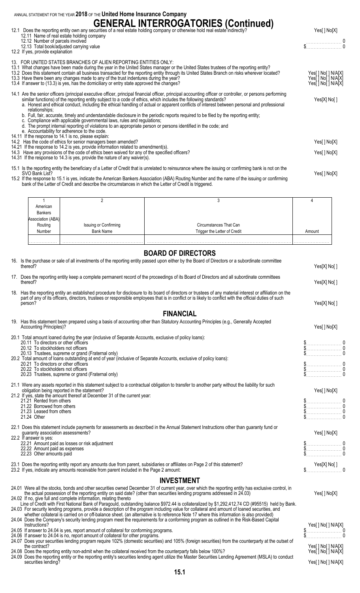| ANNUAL STATEMENT FOR THE YEAR 2018 OF THE United Home Insurance Company                                                                                                                                                                                                                                                                                                                                                                                                                                                                                                                                                                                                                                                                                                                                                           |                                                                      |
|-----------------------------------------------------------------------------------------------------------------------------------------------------------------------------------------------------------------------------------------------------------------------------------------------------------------------------------------------------------------------------------------------------------------------------------------------------------------------------------------------------------------------------------------------------------------------------------------------------------------------------------------------------------------------------------------------------------------------------------------------------------------------------------------------------------------------------------|----------------------------------------------------------------------|
| 12.1 Does the reporting entity own any securities of a real estate holding company or otherwise hold real estate indirectly?<br>12.11 Name of real estate holding company<br>12.12 Number of parcels involved<br>12.13 Total book/adjusted carrying value<br>12.2 If yes, provide explanation                                                                                                                                                                                                                                                                                                                                                                                                                                                                                                                                     | Yes[] No[X]<br>$\begin{array}{c} 0 \\ \updownarrow \\ 0 \end{array}$ |
| 13. FOR UNITED STATES BRANCHES OF ALIEN REPORTING ENTITIES ONLY:<br>13.1 What changes have been made during the year in the United States manager or the United States trustees of the reporting entity?<br>13.2 Does this statement contain all business transacted for the reporting entity through its United States Branch on risks wherever located?<br>13.3 Have there been any changes made to any of the trust indentures during the year?<br>13.4 If answer to (13.3) is yes, has the domiciliary or entry state approved the changes?                                                                                                                                                                                                                                                                                   | Yes[] No[] N/A[X]<br>Yes[ ] No[ ] N/A[X]<br>Yes[] No[] N/A[X]        |
| 14.1 Are the senior officers (principal executive officer, principal financial officer, principal accounting officer or controller, or persons performing<br>similar functions) of the reporting entity subject to a code of ethics, which includes the following standards?<br>a. Honest and ethical conduct, including the ethical handling of actual or apparent conflicts of interest between personal and professional<br>relationships:<br>b. Full, fair, accurate, timely and understandable disclosure in the periodic reports required to be filed by the reporting entity;<br>c. Compliance with applicable governmental laws, rules and regulations;<br>d. The prompt internal reporting of violations to an appropriate person or persons identified in the code; and<br>e. Accountability for adherence to the code. | Yes[X] No[]                                                          |
| 14.11 If the response to 14.1 is no, please explain:<br>14.2 Has the code of ethics for senior managers been amended?                                                                                                                                                                                                                                                                                                                                                                                                                                                                                                                                                                                                                                                                                                             | Yes[] No[X]                                                          |
| 14.21 If the response to 14.2 is yes, provide information related to amendment(s).<br>14.3 Have any provisions of the code of ethics been waived for any of the specified officers?<br>14.31 If the response to 14.3 is yes, provide the nature of any waiver(s).                                                                                                                                                                                                                                                                                                                                                                                                                                                                                                                                                                 | Yes[] No[X]                                                          |
| 15.1 Is the reporting entity the beneficiary of a Letter of Credit that is unrelated to reinsurance where the issuing or confirming bank is not on the<br>SVO Bank List?<br>15.2 If the response to 15.1 is yes, indicate the American Bankers Association (ABA) Routing Number and the name of the issuing or confirming<br>bank of the Letter of Credit and describe the circumstances in which the Letter of Credit is triggered.                                                                                                                                                                                                                                                                                                                                                                                              | Yes[] No[X]                                                          |

| American          |                                    |                              |        |
|-------------------|------------------------------------|------------------------------|--------|
| <b>Bankers</b>    |                                    |                              |        |
| Association (ABA) |                                    |                              |        |
| Routing           |                                    | Circumstances That Can       |        |
| Number            | Issuing or Confirming<br>Bank Name | Trigger the Letter of Credit | Amount |
|                   |                                    |                              |        |
| .                 |                                    | .                            |        |

## **BOARD OF DIRECTORS**

| טחטושוען זט שחאט                                                                                                                                                                                                                                                                                                                                                                                                                                                                                                                                                                                                                                                                                                                                                                                                                                                                                                                             |                                                                                                                 |
|----------------------------------------------------------------------------------------------------------------------------------------------------------------------------------------------------------------------------------------------------------------------------------------------------------------------------------------------------------------------------------------------------------------------------------------------------------------------------------------------------------------------------------------------------------------------------------------------------------------------------------------------------------------------------------------------------------------------------------------------------------------------------------------------------------------------------------------------------------------------------------------------------------------------------------------------|-----------------------------------------------------------------------------------------------------------------|
| 16. Is the purchase or sale of all investments of the reporting entity passed upon either by the Board of Directors or a subordinate committee<br>thereof?                                                                                                                                                                                                                                                                                                                                                                                                                                                                                                                                                                                                                                                                                                                                                                                   | Yes[X] No[]                                                                                                     |
| 17. Does the reporting entity keep a complete permanent record of the proceedings of its Board of Directors and all subordinate committees<br>thereof?                                                                                                                                                                                                                                                                                                                                                                                                                                                                                                                                                                                                                                                                                                                                                                                       | Yes[X] No[]                                                                                                     |
| 18. Has the reporting entity an established procedure for disclosure to its board of directors or trustees of any material interest or affiliation on the<br>part of any of its officers, directors, trustees or responsible employees that is in conflict or is likely to conflict with the official duties of such<br>person?                                                                                                                                                                                                                                                                                                                                                                                                                                                                                                                                                                                                              | Yes[X] No[]                                                                                                     |
| <b>FINANCIAL</b>                                                                                                                                                                                                                                                                                                                                                                                                                                                                                                                                                                                                                                                                                                                                                                                                                                                                                                                             |                                                                                                                 |
| 19. Has this statement been prepared using a basis of accounting other than Statutory Accounting Principles (e.g., Generally Accepted<br><b>Accounting Principles)?</b>                                                                                                                                                                                                                                                                                                                                                                                                                                                                                                                                                                                                                                                                                                                                                                      | Yes[] No[X]                                                                                                     |
| 20.1 Total amount loaned during the year (inclusive of Separate Accounts, exclusive of policy loans):<br>20.11 To directors or other officers<br>20.12 To stockholders not officers<br>20.13 Trustees, supreme or grand (Fraternal only)<br>20.2 Total amount of loans outstanding at end of year (inclusive of Separate Accounts, exclusive of policy loans):<br>20.21 To directors or other officers<br>20.22 To stockholders not officers<br>20.23 Trustees, supreme or grand (Fraternal only)                                                                                                                                                                                                                                                                                                                                                                                                                                            | $\$\ldots\ldots\ldots\ldots\ldots\ldots\ldots$<br>$\frac{1}{2}$<br>$\begin{matrix} 5 & 0 \\ 5 & 0 \end{matrix}$ |
| 21.1 Were any assets reported in this statement subject to a contractual obligation to transfer to another party without the liability for such<br>obligation being reported in the statement?<br>21.2 If yes, state the amount thereof at December 31 of the current year:<br>21.21 Rented from others<br>21.22 Borrowed from others<br>21.23 Leased from others<br>21.24 Other                                                                                                                                                                                                                                                                                                                                                                                                                                                                                                                                                             | Yes[] No[X]                                                                                                     |
| 22.1 Does this statement include payments for assessments as described in the Annual Statement Instructions other than guaranty fund or<br>guaranty association assessments?<br>22.2 If answer is yes:<br>22.21 Amount paid as losses or risk adjustment<br>22.22 Amount paid as expenses<br>22.23 Other amounts paid                                                                                                                                                                                                                                                                                                                                                                                                                                                                                                                                                                                                                        | Yes[] No[X]<br>$\frac{1}{2}$<br>$\frac{1}{2}$                                                                   |
| 23.1 Does the reporting entity report any amounts due from parent, subsidiaries or affiliates on Page 2 of this statement?<br>23.2 If yes, indicate any amounts receivable from parent included in the Page 2 amount:                                                                                                                                                                                                                                                                                                                                                                                                                                                                                                                                                                                                                                                                                                                        | Yes[X] No[ ]                                                                                                    |
| <b>INVESTMENT</b>                                                                                                                                                                                                                                                                                                                                                                                                                                                                                                                                                                                                                                                                                                                                                                                                                                                                                                                            |                                                                                                                 |
| 24.01 Were all the stocks, bonds and other securities owned December 31 of current year, over which the reporting entity has exclusive control, in<br>the actual possession of the reporting entity on said date? (other than securities lending programs addressed in 24.03)<br>24.02 If no, give full and complete information, relating thereto<br>Line of Credit with First National Bank of Paragould, outstanding balance \$972.44 is collateralized by \$1,292,412.74 CD (#95515) held by Bank.<br>24.03 For security lending programs, provide a description of the program including value for collateral and amount of loaned securities, and<br>whether collateral is carried on or off-balance sheet. (an alternative is to reference Note 17 where this information is also provided)<br>24.04 Does the Company's security lending program meet the requirements for a conforming program as outlined in the Risk-Based Capital | Yes[] No[X]                                                                                                     |
| Instructions?<br>24.05 If answer to 24.04 is yes, report amount of collateral for conforming programs.<br>24.06 If answer to 24.04 is no, report amount of collateral for other programs.<br>24.07 Does your securities lending program require 102% (domestic securities) and 105% (foreign securities) from the counterparty at the outset of<br>the contract?                                                                                                                                                                                                                                                                                                                                                                                                                                                                                                                                                                             | Yes[ ] No[ ] N/A[X]<br>Yes[] No[] N/A[X]                                                                        |

- 24.08 Does the reporting entity non-admit when the collateral received from the counterparty falls below 100%? Yesel interparty falls below 100%?
- 24.09 Does the reporting entity or the reporting entity's securities lending agent utilize the Master Securities Lending Agreement (MSLA) to conduct securities lending? Yes[ ] No[ ] N/A[X] Necessary Necessary Necessary Necessary Necessary Necessary Necessary Necessary Necessary Necessary Necessary Necessary Necessary Necessary Necessary Necessary Necessary Necessary Ne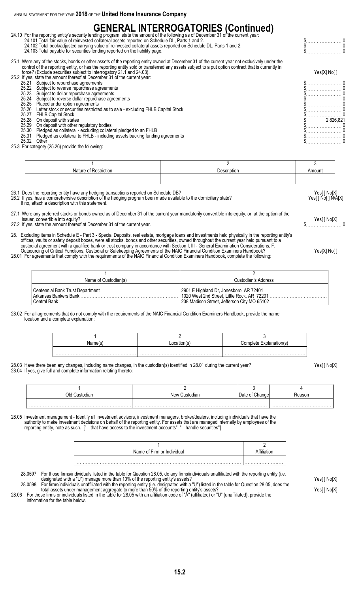# **GENERAL INTERROGATORIES (Continued)**<br>24.10 For the reporting entity's security lending program, state the amount of the following as of December 31 of the current year:

24.101 Total fair value of reinvested collateral assets reported on Schedule DL, Parts 1 and 2. \$. . . . . . . . . . . . . . . . . . . . . . . 0 24.102 Total book/adjusted carrying value of reinvested collateral assets reported on Schedule DL, Parts 1 and 2. \$. . . . . . . . . . . . . . . . . . . . . . . 0 24.103 Total payable for securities lending reported on the liability page. Notice that the control of the liability page. A securities of the liability page.

25.1 Were any of the stocks, bonds or other assets of the reporting entity owned at December 31 of the current year not exclusively under the control of the reporting entity, or has the reporting entity sold or transferred any assets subject to a put option contract that is currently in force? (Exclude securities subject to Interrogatory 21.1 and 24.03). Yes[X] No[ ]

|  | $10.001$ . The contract contract complete the internet district $\frac{1}{2}$ . The contract of $\frac{1}{2}$ | . 331. 1.33 |
|--|---------------------------------------------------------------------------------------------------------------|-------------|
|  | 25.2 If yes, state the amount thereof at December 31 of the current year:                                     |             |
|  | 25.21 Subject to repurchase agreements                                                                        |             |
|  | 25.22 Subject to reverse repurchase agreements                                                                |             |
|  | 25.23 Subject to dollar repurchase agreements                                                                 |             |
|  | 25.24 Subject to reverse dollar repurchase agreements                                                         |             |
|  | 25.25 Placed under option agreements                                                                          |             |
|  | 25.26 Letter stock or securities restricted as to sale - excluding FHLB Capital Stock                         |             |
|  | 25.27 FHLB Capital Stock                                                                                      |             |
|  | 25.28 On deposit with states                                                                                  | 2.826.821   |
|  | 25.29 On deposit with other regulatory bodies                                                                 |             |
|  | 25.30 Pledged as collateral - excluding collateral pledged to an FHLB                                         |             |
|  | 25.31 Pledged as collateral to FHLB - including assets backing funding agreements                             |             |
|  | Other                                                                                                         |             |
|  |                                                                                                               |             |

25.3 For category (25.26) provide the following:

| Nature of Restriction                                                                                                                                                                                                                                                            | Description | Amount                            |
|----------------------------------------------------------------------------------------------------------------------------------------------------------------------------------------------------------------------------------------------------------------------------------|-------------|-----------------------------------|
|                                                                                                                                                                                                                                                                                  |             |                                   |
| 26.1 Does the reporting entity have any hedging transactions reported on Schedule DB?<br>26.2 If yes, has a comprehensive description of the hedging program been made available to the domiciliary state?<br>. Handi a compared to a constant and constitute to the proposed of |             | Yes[ ] No[X]<br>Yes[] No[] N/A[X] |

If no, attach a description with this statement.

27.1 Were any preferred stocks or bonds owned as of December 31 of the current year mandatorily convertible into equity, or, at the option of the issuer, convertible into equity?<br>If yes, state the amount thereof at December 31 of the current year

27.2 If yes, state the amount thereof at December 31 of the current year. \$. . . . . . . . . . . . . . . . . . . . . . . 0

28. Excluding items in Schedule E - Part 3 - Special Deposits, real estate, mortgage loans and investments held physically in the reporting entity's offices, vaults or safety deposit boxes, were all stocks, bonds and other securities, owned throughout the current year held pursuant to a custodial agreement with a qualified bank or trust company in accordance with Section I, III - General Examination Considerations, F. Outsourcing of Critical Functions, Custodial or Safekeeping Agreements of the NAIC Financial Condition Examiners Handbook? Yes[X] No[ ]

28.01 For agreements that comply with the requirements of the NAIC Financial Condition Examiners Handbook, complete the following:

| Name of Custodian(s) | Custodian's Address                                                                                                                                                          |
|----------------------|------------------------------------------------------------------------------------------------------------------------------------------------------------------------------|
|                      | Centennial Bank Trust Department ………………………………………………………   2901 E Highland Dr, Jonesboro, AR 72401 …………………………………<br>  1020 West 2nd Street. Little Rock. AR_72201 ……………………………… |

#### 28.02 For all agreements that do not comply with the requirements of the NAIC Financial Condition Examiners Handbook, provide the name, location and a complete explanation:

|  | Complete Explanation(s) |
|--|-------------------------|
|  |                         |
|  |                         |

#### 28.03 Have there been any changes, including name changes, in the custodian(s) identified in 28.01 during the current year? Yes[ ] No[X] 28.04 If yes, give full and complete information relating thereto:

| Old Custodian | New Custodian | Changel | Reason |
|---------------|---------------|---------|--------|
|               |               |         |        |
| .             |               | .       |        |

28.05 Investment management - Identify all investment advisors, investment managers, broker/dealers, including individuals that have the authority to make investment decisions on behalf of the reporting entity. For assets that are managed internally by employees of the reporting entity, note as such. I" that have access to the investment accounts": " handle reporting entity, note as such. [" that have access to the investment accounts";

| Name of Firm or Individual |  |
|----------------------------|--|
|                            |  |
|                            |  |

28.0597 For those firms/individuals listed in the table for Question 28.05, do any firms/individuals unaffiliated with the reporting entity (i.e. designated with a "U") manage more than 10% of the reporting entity's assets? Yes[ ] No[X]

28.0598 For firms/individuals unaffiliated with the reporting entity (i.e. designated with a "U") listed in the table for Question 28.05, does the total assets under management aggregate to more than 50% of the reporting entity's assets? Yese and the reporting than the reporting entity's assets? 28.06 For those firms or individuals listed in the table for 28.05 with an affiliation code of "A" (affiliated) or "U" (unaffiliated), provide the information for the table below.

**15.2**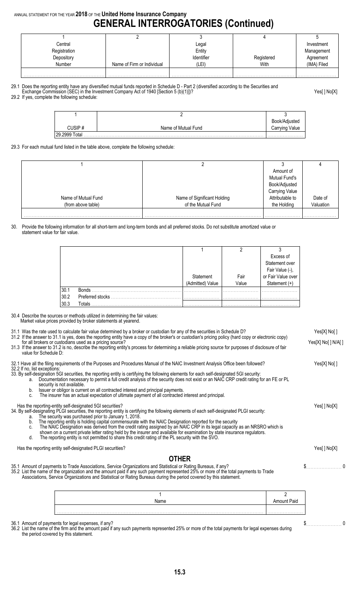## ANNUAL STATEMENT FOR THE YEAR **2018** OF THE **United Home Insurance Company GENERAL INTERROGATORIES (Continued)**

|                            | ∟egal             |            | Investment  |
|----------------------------|-------------------|------------|-------------|
|                            | Entity            |            | Management  |
|                            | <b>Identifier</b> | Registered | Agreement   |
| Name of Firm or Individual | (LEI)             | With       | (IMA) Filed |
|                            |                   |            |             |
|                            |                   |            |             |

- 29.1 Does the reporting entity have any diversified mutual funds reported in Schedule D Part 2 (diversified according to the Securities and
- Exchange Commission (SEC) in the Investment Company Act of 1940 [Section 5 (b)(1)])? Yes[ ] No[X]

29.2 If yes, complete the following schedule:

|                  |                     | Book/Adjusted  |
|------------------|---------------------|----------------|
|                  | Name of Mutual Fund | Carrying Value |
| 29.2999<br>™otal |                     |                |

29.3 For each mutual fund listed in the table above, complete the following schedule:

|                     |                             | Amount of             |           |
|---------------------|-----------------------------|-----------------------|-----------|
|                     |                             | Mutual Fund's         |           |
|                     |                             | Book/Adjusted         |           |
|                     |                             | <b>Carrying Value</b> |           |
| Name of Mutual Fund | Name of Significant Holding | Attributable to       | Date of   |
| (from above table)  | of the Mutual Fund          | the Holding           | Valuation |
|                     |                             |                       |           |

#### 30. Provide the following information for all short-term and long-term bonds and all preferred stocks. Do not substitute amortized value or statement value for fair value.

|      |                  |                    |       | Excess of                             |
|------|------------------|--------------------|-------|---------------------------------------|
|      |                  |                    |       | Statement over                        |
|      |                  |                    |       |                                       |
|      |                  | Statement          | Fair  | Fair Value (-),<br>or Fair Value over |
|      |                  | Value<br>Admitted) | Value | Statement (+)                         |
| 30.1 | <b>Bonds</b>     |                    |       |                                       |
| 30.2 | Preferred stocks |                    |       | .                                     |
| 30.3 | Totals           |                    |       |                                       |

30.4 Describe the sources or methods utilized in determining the fair values: Market value prices provided by broker statements at yearend.

| value for Schedule D:                          | 31.1 Was the rate used to calculate fair value determined by a broker or custodian for any of the securities in Schedule D?<br>31.2 If the answer to 31.1 is yes, does the reporting entity have a copy of the broker's or custodian's pricing policy (hard copy or electronic copy)<br>for all brokers or custodians used as a pricing source?<br>31.3 If the answer to 31.2 is no, describe the reporting entity's process for determining a reliable pricing source for purposes of disclosure of fair                                                                                                                                                                                                                                  |                    | Yes[X] No[]<br>Yes[X] No[ ] N/A[ ] |
|------------------------------------------------|--------------------------------------------------------------------------------------------------------------------------------------------------------------------------------------------------------------------------------------------------------------------------------------------------------------------------------------------------------------------------------------------------------------------------------------------------------------------------------------------------------------------------------------------------------------------------------------------------------------------------------------------------------------------------------------------------------------------------------------------|--------------------|------------------------------------|
| 32.2 If no, list exceptions:<br>a.<br>b.<br>C. | 32.1 Have all the filing requirements of the Purposes and Procedures Manual of the NAIC Investment Analysis Office been followed?<br>33. By self-designation 5GI securities, the reporting entity is certifying the following elements for each self-designated 5GI security:<br>Documentation necessary to permit a full credit analysis of the security does not exist or an NAIC CRP credit rating for an FE or PL<br>security is not available.<br>Issuer or obligor is current on all contracted interest and principal payments.<br>The insurer has an actual expectation of ultimate payment of all contracted interest and principal.                                                                                              |                    | Yes[X] No[]                        |
| a.<br>b.<br>C.<br>d.                           | Has the reporting-entity self-designated 5GI securities?<br>34. By self-designating PLGI securities, the reporting entity is certifying the following elements of each self-designated PLGI security:<br>The security was purchased prior to January 1, 2018.<br>The reporting entity is holding capital commensurate with the NAIC Designation reported for the security<br>The NAIC Designation was derived from the credit rating assigned by an NAIC CRP in its legal capacity as an NRSRO which is<br>shown on a current private letter rating held by the insurer and available for examination by state insurance regulators.<br>The reporting entity is not permitted to share this credit rating of the PL security with the SVO. |                    | Yes[] No[X]                        |
|                                                | Has the reporting entity self-designated PLGI securities?                                                                                                                                                                                                                                                                                                                                                                                                                                                                                                                                                                                                                                                                                  |                    | Yes[] No[X]                        |
|                                                | <b>OTHER</b><br>35.1 Amount of payments to Trade Associations, Service Organizations and Statistical or Rating Bureaus, if any?<br>35.2 List the name of the organization and the amount paid if any such payment represented 25% or more of the total payments to Trade<br>Associations, Service Organizations and Statistical or Rating Bureaus during the period covered by this statement.                                                                                                                                                                                                                                                                                                                                             |                    | \$                                 |
|                                                |                                                                                                                                                                                                                                                                                                                                                                                                                                                                                                                                                                                                                                                                                                                                            | $\mathfrak{p}$     |                                    |
|                                                | Name                                                                                                                                                                                                                                                                                                                                                                                                                                                                                                                                                                                                                                                                                                                                       | <b>Amount Paid</b> |                                    |
|                                                |                                                                                                                                                                                                                                                                                                                                                                                                                                                                                                                                                                                                                                                                                                                                            |                    |                                    |

36.1 Amount of payments for legal expenses, if any? \$. . . . . . . . . . . . . . . . . . . . . . . 0

36.2 List the name of the firm and the amount paid if any such payments represented 25% or more of the total payments for legal expenses during the period covered by this statement.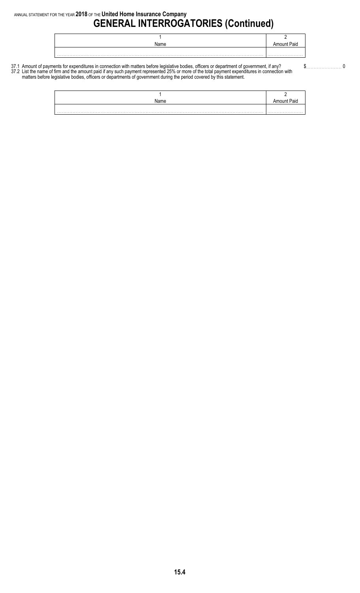| Name | Paig |
|------|------|
|      |      |
|      |      |

37.1 Amount of payments for expenditures in connection with matters before legislative bodies, officers or department of government, if any? \$. . . . . . . . . . . . . . . . . . . . . . . 0 37.2 List the name of firm and the amount paid if any such payment represented 25% or more of the total payment expenditures in connection with matters before legislative bodies, officers or departments of government during the period covered by this statement.

| Name | aid |
|------|-----|
|      |     |
|      |     |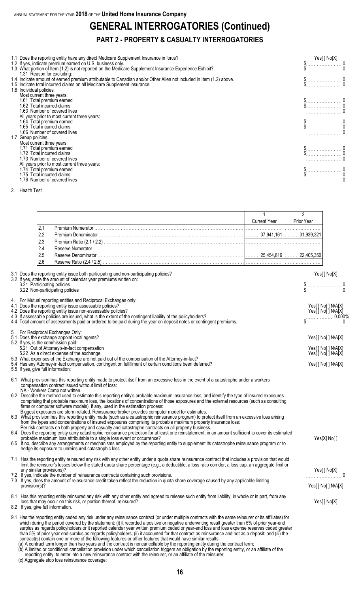# **GENERAL INTERROGATORIES (Continued)**

## **PART 2 - PROPERTY & CASUALTY INTERROGATORIES**

| 1.4 Indicate amount of earned premium attributable to Canadian and/or Other Alien not included in Item (1.2) above.<br>1.5 Indicate total incurred claims on all Medicare Supplement insurance.<br>1.6 Individual policies<br>Most current three years:<br>1.61 Total premium earned<br>1.62 Total incurred claims<br>1.63 Number of covered lives<br>All years prior to most current three years:<br>1.64 Total premium earned<br>1.65 Total incurred claims<br>1.66 Number of covered lives<br>1.7 Group policies<br>Most current three years:<br>1.71 Total premium earned<br>1.72 Total incurred claims<br>1.73 Number of covered lives<br>All years prior to most current three years:<br>1.74 Total premium earned<br>$\sum_{i=1}^{n}$<br>1.75 Total incurred claims<br>1.76 Number of covered lives | 1.1 Does the reporting entity have any direct Medicare Supplement Insurance in force?<br>1.2 If yes, indicate premium earned on U.S. business only.<br>1.3 What portion of Item (1.2) is not reported on the Medicare Supplement Insurance Experience Exhibit?<br>1.31 Reason for excluding: | Yes[] No[X] |  |
|------------------------------------------------------------------------------------------------------------------------------------------------------------------------------------------------------------------------------------------------------------------------------------------------------------------------------------------------------------------------------------------------------------------------------------------------------------------------------------------------------------------------------------------------------------------------------------------------------------------------------------------------------------------------------------------------------------------------------------------------------------------------------------------------------------|----------------------------------------------------------------------------------------------------------------------------------------------------------------------------------------------------------------------------------------------------------------------------------------------|-------------|--|
|                                                                                                                                                                                                                                                                                                                                                                                                                                                                                                                                                                                                                                                                                                                                                                                                            |                                                                                                                                                                                                                                                                                              |             |  |
|                                                                                                                                                                                                                                                                                                                                                                                                                                                                                                                                                                                                                                                                                                                                                                                                            |                                                                                                                                                                                                                                                                                              |             |  |
|                                                                                                                                                                                                                                                                                                                                                                                                                                                                                                                                                                                                                                                                                                                                                                                                            |                                                                                                                                                                                                                                                                                              |             |  |
|                                                                                                                                                                                                                                                                                                                                                                                                                                                                                                                                                                                                                                                                                                                                                                                                            |                                                                                                                                                                                                                                                                                              |             |  |
|                                                                                                                                                                                                                                                                                                                                                                                                                                                                                                                                                                                                                                                                                                                                                                                                            |                                                                                                                                                                                                                                                                                              |             |  |
|                                                                                                                                                                                                                                                                                                                                                                                                                                                                                                                                                                                                                                                                                                                                                                                                            |                                                                                                                                                                                                                                                                                              |             |  |
|                                                                                                                                                                                                                                                                                                                                                                                                                                                                                                                                                                                                                                                                                                                                                                                                            |                                                                                                                                                                                                                                                                                              |             |  |
|                                                                                                                                                                                                                                                                                                                                                                                                                                                                                                                                                                                                                                                                                                                                                                                                            |                                                                                                                                                                                                                                                                                              |             |  |
|                                                                                                                                                                                                                                                                                                                                                                                                                                                                                                                                                                                                                                                                                                                                                                                                            |                                                                                                                                                                                                                                                                                              |             |  |
|                                                                                                                                                                                                                                                                                                                                                                                                                                                                                                                                                                                                                                                                                                                                                                                                            |                                                                                                                                                                                                                                                                                              |             |  |
|                                                                                                                                                                                                                                                                                                                                                                                                                                                                                                                                                                                                                                                                                                                                                                                                            |                                                                                                                                                                                                                                                                                              |             |  |
|                                                                                                                                                                                                                                                                                                                                                                                                                                                                                                                                                                                                                                                                                                                                                                                                            |                                                                                                                                                                                                                                                                                              |             |  |
|                                                                                                                                                                                                                                                                                                                                                                                                                                                                                                                                                                                                                                                                                                                                                                                                            |                                                                                                                                                                                                                                                                                              |             |  |
|                                                                                                                                                                                                                                                                                                                                                                                                                                                                                                                                                                                                                                                                                                                                                                                                            |                                                                                                                                                                                                                                                                                              |             |  |
|                                                                                                                                                                                                                                                                                                                                                                                                                                                                                                                                                                                                                                                                                                                                                                                                            |                                                                                                                                                                                                                                                                                              |             |  |
|                                                                                                                                                                                                                                                                                                                                                                                                                                                                                                                                                                                                                                                                                                                                                                                                            |                                                                                                                                                                                                                                                                                              |             |  |
|                                                                                                                                                                                                                                                                                                                                                                                                                                                                                                                                                                                                                                                                                                                                                                                                            |                                                                                                                                                                                                                                                                                              |             |  |
|                                                                                                                                                                                                                                                                                                                                                                                                                                                                                                                                                                                                                                                                                                                                                                                                            |                                                                                                                                                                                                                                                                                              |             |  |
|                                                                                                                                                                                                                                                                                                                                                                                                                                                                                                                                                                                                                                                                                                                                                                                                            |                                                                                                                                                                                                                                                                                              |             |  |

2. Health Test

|     |                           | <b>Current Year</b> | <b>Prior Year</b>         |
|-----|---------------------------|---------------------|---------------------------|
|     | <b>Premium Numerator</b>  |                     |                           |
|     |                           | 37.941.161          |                           |
| 2.3 |                           |                     |                           |
| 2.4 |                           |                     |                           |
| 2.5 |                           |                     | . 25.454,816│. 22,405,35Ր |
|     | Reserve Ratio (2.4 / 2.5) |                     |                           |

| 3.1 Does the reporting entity issue both participating and non-participating policies?<br>3.2 If yes, state the amount of calendar year premiums written on:<br>3.21 Participating policies<br>3.22 Non-participating policies                                                                                                                                                                                                                                                                                                                                                                                                                                                                                                                                                                                                                                                                                                                                                                                                                                                                                                                                                                                                                                                                                                                                                                                                                                                                                                            | Yes[] No[X]<br>$\begin{matrix} \mathsf{S} & \mathsf{O} \\ \mathsf{S} & \mathsf{O} \end{matrix}$                                                                                                                                                                                                                                                                                                                                                                                                                                                                                                                                                                      |
|-------------------------------------------------------------------------------------------------------------------------------------------------------------------------------------------------------------------------------------------------------------------------------------------------------------------------------------------------------------------------------------------------------------------------------------------------------------------------------------------------------------------------------------------------------------------------------------------------------------------------------------------------------------------------------------------------------------------------------------------------------------------------------------------------------------------------------------------------------------------------------------------------------------------------------------------------------------------------------------------------------------------------------------------------------------------------------------------------------------------------------------------------------------------------------------------------------------------------------------------------------------------------------------------------------------------------------------------------------------------------------------------------------------------------------------------------------------------------------------------------------------------------------------------|----------------------------------------------------------------------------------------------------------------------------------------------------------------------------------------------------------------------------------------------------------------------------------------------------------------------------------------------------------------------------------------------------------------------------------------------------------------------------------------------------------------------------------------------------------------------------------------------------------------------------------------------------------------------|
| 4. For Mutual reporting entities and Reciprocal Exchanges only:<br>4.1 Does the reporting entity issue assessable policies?<br>4.2 Does the reporting entity issue non-assessable policies?<br>4.3 If assessable policies are issued, what is the extent of the contingent liability of the policyholders?<br>4.4 Total amount of assessments paid or ordered to be paid during the year on deposit notes or contingent premiums.                                                                                                                                                                                                                                                                                                                                                                                                                                                                                                                                                                                                                                                                                                                                                                                                                                                                                                                                                                                                                                                                                                         | Yes[ ] No[ ] N/A[X]<br>Yes[ ] No[ ] N/A[X]<br>$$\begin{array}{c} \begin{array}{c} \circ \\ \circ \\ \circ \end{array}$ \begin{array}{c} \circ \\ \circ \\ \circ \end{array}$ \begin{array}{c} \circ \\ \circ \\ \circ \end{array}$ \end{array}$ \begin{array}{c} \circ \\ \circ \\ \circ \end{array}$ \end{array}$ \begin{array}{c} \circ \\ \circ \\ \circ \\ \circ \end{array}$ \end{array}$ \begin{array}{c} \circ \\ \circ \\ \circ \\ \circ \end{array}$ \begin{array}{c} \circ \\ \circ \\ \circ \\ \circ \end{array}$ \end{array}$ \begin{array}{c} \circ \\ \circ \\ \circ \\ \circ \\ \circ \end{array}$ \begin{array}{c} \circ \\ \circ \\ \circ \\ \circ$ |
| 5. For Reciprocal Exchanges Only:<br>5.1 Does the exchange appoint local agents?<br>5.2 If yes, is the commission paid:<br>5.21 Out of Attorney's-in-fact compensation<br>5.22 As a direct expense of the exchange<br>5.3 What expenses of the Exchange are not paid out of the compensation of the Attorney-in-fact?<br>5.4 Has any Attorney-in-fact compensation, contingent on fulfillment of certain conditions been deferred?<br>5.5 If yes, give full information:                                                                                                                                                                                                                                                                                                                                                                                                                                                                                                                                                                                                                                                                                                                                                                                                                                                                                                                                                                                                                                                                  | Yes[] No[] N/A[X]<br>Yes[] No[] N/A[X]<br>Yes[ ] No[ ] N/A[X]<br>Yes[] No[] N/A[X]                                                                                                                                                                                                                                                                                                                                                                                                                                                                                                                                                                                   |
| 6.1 What provision has this reporting entity made to protect itself from an excessive loss in the event of a catastrophe under a workers'<br>compensation contract issued without limit of loss:<br>NA - Workers Comp not written.<br>6.2 Describe the method used to estimate this reporting entity's probable maximum insurance loss, and identify the type of insured exposures<br>comprising that probable maximum loss, the locations of concentrations of those exposures and the external resources (such as consulting<br>firms or computer software models), if any, used in the estimation process:<br>Biggest exposures are storm related. Reinsurance broker provides computer model for estimates.<br>6.3 What provision has this reporting entity made (such as a catastrophic reinsurance program) to protect itself from an excessive loss arising<br>from the types and concentrations of insured exposures comprising its probable maximum property insurance loss:<br>Per risk contracts on both property and casualty and catastrophe contracts on all property business.<br>6.4 Does the reporting entity carry catastrophic reinsurance protection for at least one reinstatement, in an amount sufficient to cover its estimated<br>probable maximum loss attributable to a single loss event or occurrence?<br>6.5 If no, describe any arrangements or mechanisms employed by the reporting entity to supplement its catastrophe reinsurance program or to<br>hedge its exposure to unreinsured catastrophic loss | Yes[X] No[]                                                                                                                                                                                                                                                                                                                                                                                                                                                                                                                                                                                                                                                          |
| 7.1 Has the reporting entity reinsured any risk with any other entity under a quota share reinsurance contract that includes a provision that would<br>limit the reinsurer's losses below the stated quota share percentage (e.g., a deductible, a loss ratio corridor, a loss cap, an aggregate limit or<br>any similar provisions)?<br>7.2 If yes, indicate the number of reinsurance contracts containing such provisions.<br>7.3 If yes, does the amount of reinsurance credit taken reflect the reduction in quota share coverage caused by any applicable limiting<br>provision(s)?                                                                                                                                                                                                                                                                                                                                                                                                                                                                                                                                                                                                                                                                                                                                                                                                                                                                                                                                                 | Yes[] No[X]<br>Yes[] No[] N/A[X]                                                                                                                                                                                                                                                                                                                                                                                                                                                                                                                                                                                                                                     |
| 8.1 Has this reporting entity reinsured any risk with any other entity and agreed to release such entity from liability, in whole or in part, from any<br>loss that may occur on this risk, or portion thereof, reinsured?<br>8.2 If yes, give full information.                                                                                                                                                                                                                                                                                                                                                                                                                                                                                                                                                                                                                                                                                                                                                                                                                                                                                                                                                                                                                                                                                                                                                                                                                                                                          | Yes[] No[X]                                                                                                                                                                                                                                                                                                                                                                                                                                                                                                                                                                                                                                                          |
| 9.1 Has the reporting entity ceded any risk under any reinsurance contract (or under multiple contracts with the same reinsurer or its affiliates) for<br>which during the period covered by the statement: (i) it recorded a positive or negative underwriting result greater than 5% of prior year-end<br>surplus as regards policyholders or it reported calendar year written premium ceded or year-end loss and loss expense reserves ceded greater<br>than 5% of prior year-end surplus as regards policyholders; (ii) it accounted for that contract as reinsurance and not as a deposit; and (iii) the<br>contract(s) contain one or more of the following features or other features that would have similar results:<br>(a) A contract term longer than two years and the contract is noncancellable by the reporting entity during the contract term;<br>(b) A limited or conditional cancellation provision under which cancellation triggers an obligation by the reporting entity, or an affiliate of the                                                                                                                                                                                                                                                                                                                                                                                                                                                                                                                   |                                                                                                                                                                                                                                                                                                                                                                                                                                                                                                                                                                                                                                                                      |

reporting entity, to enter into a new reinsurance contract with the reinsurer, or an affiliate of the reinsurer; (c) Aggregate stop loss reinsurance coverage;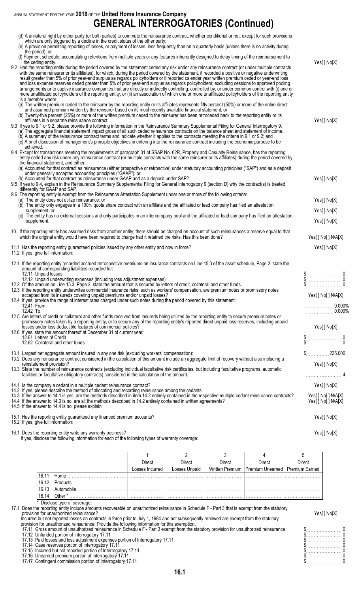# **GENERAL INTERROGATORIES (Continued)**

| (d) A unilateral right by either party (or both parties) to commute the reinsurance contract, whether conditional or not, except for such provisions<br>which are only triggered by a decline in the credit status of the other party;<br>(e) A provision permitting reporting of losses, or payment of losses, less frequently than on a quarterly basis (unless there is no activity during<br>the period); or<br>(f) Payment schedule, accumulating retentions from multiple years or any features inherently designed to delay timing of the reimbursement to<br>the ceding entity.<br>9.2 Has the reporting entity during the period covered by the statement ceded any risk under any reinsurance contract (or under multiple contracts<br>with the same reinsurer or its affiliates), for which, during the period covered by the statement, it recorded a positive or negative underwriting<br>result greater than 5% of prior year-end surplus as regards policyholders or it reported calendar year written premium ceded or year-end loss<br>and loss expense reserves ceded greater than 5% of prior year-end surplus as regards policyholders; excluding cessions to approved pooling<br>arrangements or to captive insurance companies that are directly or indirectly controlling, controlled by, or under common control with (i) one or<br>more unaffiliated policyholders of the reporting entity, or (ii) an association of which one or more unaffiliated policyholders of the reporting entity<br>is a member where:                                                                                                                    | Yes[] No[X]                                                                                                                                                                                                                                                                                                                                                                                                                                                                                                                                                       |
|--------------------------------------------------------------------------------------------------------------------------------------------------------------------------------------------------------------------------------------------------------------------------------------------------------------------------------------------------------------------------------------------------------------------------------------------------------------------------------------------------------------------------------------------------------------------------------------------------------------------------------------------------------------------------------------------------------------------------------------------------------------------------------------------------------------------------------------------------------------------------------------------------------------------------------------------------------------------------------------------------------------------------------------------------------------------------------------------------------------------------------------------------------------------------------------------------------------------------------------------------------------------------------------------------------------------------------------------------------------------------------------------------------------------------------------------------------------------------------------------------------------------------------------------------------------------------------------------------------------------------------------------------------------|-------------------------------------------------------------------------------------------------------------------------------------------------------------------------------------------------------------------------------------------------------------------------------------------------------------------------------------------------------------------------------------------------------------------------------------------------------------------------------------------------------------------------------------------------------------------|
| (a) The written premium ceded to the reinsurer by the reporting entity or its affiliates represents fifty percent (50%) or more of the entire direct<br>and assumed premium written by the reinsurer based on its most recently available financial statement; or<br>(b) Twenty-five percent (25%) or more of the written premium ceded to the reinsurer has been retroceded back to the reporting entity or its<br>affiliates in a separate reinsurance contract.<br>9.3 If yes to 9.1 or 9.2, please provide the following information in the Reinsurance Summary Supplemental Filing for General Interrogatory 9:<br>(a) The aggregate financial statement impact gross of all such ceded reinsurance contracts on the balance sheet and statement of income.<br>(b) A summary of the reinsurance contract terms and indicate whether it applies to the contracts meeting the criteria in 9.1 or 9.2; and<br>(c) A brief discussion of management's principle objectives in entering into the reinsurance contract including the economic purpose to be<br>achieved.<br>9.4 Except for transactions meeting the requirements of paragraph 31 of SSAP No. 62R, Property and Casualty Reinsurance, has the reporting                                                                                                                                                                                                                                                                                                                                                                                                                                        | Yes[] No[X]                                                                                                                                                                                                                                                                                                                                                                                                                                                                                                                                                       |
| entity ceded any risk under any reinsurance contract (or multiple contracts with the same reinsurer or its affiliates) during the period covered by<br>the financial statement, and either:<br>(a) Accounted for that contract as reinsurance (either prospective or retroactive) under statutory accounting principles ("SAP") and as a deposit<br>under generally accepted accounting principles ("GAAP"); or<br>(b) Accounted for that contract as reinsurance under GAAP and as a deposit under SAP?<br>9.5 If yes to 9.4, explain in the Reinsurance Summary Supplemental Filing for General Interrogatory 9 (section D) why the contract(s) is treated<br>differently for GAAP and SAP.<br>9.6 The reporting entity is exempt from the Reinsurance Attestation Supplement under one or more of the following criteria:                                                                                                                                                                                                                                                                                                                                                                                                                                                                                                                                                                                                                                                                                                                                                                                                                                 | Yes[] No[X]                                                                                                                                                                                                                                                                                                                                                                                                                                                                                                                                                       |
| (a) The entity does not utilize reinsurance; or<br>(b) The entity only engages in a 100% quota share contract with an affiliate and the affiliated or lead company has filed an attestation<br>supplement; or<br>(c) The entity has no external cessions and only participates in an intercompany pool and the affiliated or lead company has filed an attestation<br>supplement.                                                                                                                                                                                                                                                                                                                                                                                                                                                                                                                                                                                                                                                                                                                                                                                                                                                                                                                                                                                                                                                                                                                                                                                                                                                                            | Yes[] No[X]<br>Yes[] No[X]<br>Yes[] No[X]                                                                                                                                                                                                                                                                                                                                                                                                                                                                                                                         |
| 10. If the reporting entity has assumed risks from another entity, there should be charged on account of such reinsurances a reserve equal to that<br>which the original entity would have been required to charge had it retained the risks. Has this been done?<br>11.1 Has the reporting entity guaranteed policies issued by any other entity and now in force?                                                                                                                                                                                                                                                                                                                                                                                                                                                                                                                                                                                                                                                                                                                                                                                                                                                                                                                                                                                                                                                                                                                                                                                                                                                                                          | Yes[ ] No[ ] N/A[X]<br>Yes[] No[X]                                                                                                                                                                                                                                                                                                                                                                                                                                                                                                                                |
| 11.2 If yes, give full information:<br>12.1 If the reporting entity recorded accrued retrospective premiums on insurance contracts on Line 15.3 of the asset schedule, Page 2, state the<br>amount of corresponding liabilities recorded for:<br>12.11 Unpaid losses<br>12.12 Unpaid underwriting expenses (including loss adjustment expenses)<br>12.2 Of the amount on Line 15.3, Page 2, state the amount that is secured by letters of credit, collateral and other funds.<br>12.3 If the reporting entity underwrites commercial insurance risks, such as workers' compensation, are premium notes or promissory notes<br>accepted from its insureds covering unpaid premiums and/or unpaid losses?<br>12.4 If yes, provide the range of interest rates charged under such notes during the period covered by this statement:<br>12.41 From<br>12.42 To<br>12.5 Are letters of credit or collateral and other funds received from insureds being utilized by the reporting entity to secure premium notes or<br>promissory notes taken by a reporting entity, or to secure any of the reporting entity's reported direct unpaid loss reserves, including unpaid<br>losses under loss deductible features of commercial policies?<br>12.6 If yes, state the amount thereof at December 31 of current year:<br>12.61 Letters of Credit<br>12.62 Collateral and other funds<br>13.1 Largest net aggregate amount insured in any one risk (excluding workers' compensation):<br>13.2 Does any reinsurance contract considered in the calculation of this amount include an aggregate limit of recovery without also including a<br>reinstatement provision? | $\begin{matrix} \frac{6}{9} & 0 \\ 0 & 0 \end{matrix}$<br>$\mathbb{S}$<br>Yes[ ] No[ ] N/A[X]<br>0.000%<br>0.000%<br>Yes[] No[X]<br>$\begin{array}{c} \n\text{\$} \n\text{\$} \n\text{\$} \n\text{\$} \n\text{\$} \n\text{\$} \n\text{\$} \n\text{\$} \n\text{\$} \n\text{\$} \n\text{\$} \n\text{\$} \n\text{\$} \n\text{\$} \n\text{\$} \n\text{\$} \n\text{\$} \n\text{\$} \n\text{\$} \n\text{\$} \n\text{\$} \n\text{\$} \n\text{\$} \n\text{\$} \n\text{\$} \n\text{\$} \n\text{\$} \n\text{\$} \n\text{\$} \n\text{\$} \n\$<br>$$$ 225,000<br>Yes[ ] No[X] |
| 13.3 State the number of reinsurance contracts (excluding individual facultative risk certificates, but including facultative programs, automatic<br>facilities or facultative obligatory contracts) considered in the calculation of the amount.<br>14.1 Is the company a cedant in a multiple cedant reinsurance contract?<br>14.2 If yes, please describe the method of allocating and recording reinsurance among the cedants<br>14.3 If the answer to 14.1 is yes, are the methods described in item 14.2 entirely contained in the respective multiple cedant reinsurance contracts?<br>14.4 If the answer to 14.3 is no, are all the methods described in 14.2 entirely contained in written agreements?<br>14.5 If the answer to 14.4 is no, please explain                                                                                                                                                                                                                                                                                                                                                                                                                                                                                                                                                                                                                                                                                                                                                                                                                                                                                          | Yes[] No[X]<br>Yes[ ] No[ ] N/A[X]<br>Yes[ ] No[ ] N/A[X]                                                                                                                                                                                                                                                                                                                                                                                                                                                                                                         |
| 15.1 Has the reporting entity guaranteed any financed premium accounts?<br>15.2 If yes, give full information:                                                                                                                                                                                                                                                                                                                                                                                                                                                                                                                                                                                                                                                                                                                                                                                                                                                                                                                                                                                                                                                                                                                                                                                                                                                                                                                                                                                                                                                                                                                                               | Yes[ ] No[X]                                                                                                                                                                                                                                                                                                                                                                                                                                                                                                                                                      |
| 16.1 Does the reporting entity write any warranty business?                                                                                                                                                                                                                                                                                                                                                                                                                                                                                                                                                                                                                                                                                                                                                                                                                                                                                                                                                                                                                                                                                                                                                                                                                                                                                                                                                                                                                                                                                                                                                                                                  | Yes[] No[X]                                                                                                                                                                                                                                                                                                                                                                                                                                                                                                                                                       |

If yes, disclose the following information for each of the following types of warranty coverage:

|       |                | <b>Direct</b>   | Direct        | Direct | Direct                                              | Direct |
|-------|----------------|-----------------|---------------|--------|-----------------------------------------------------|--------|
|       |                | Losses Incurred | Losses Unpaid |        | Written Premium   Premium Unearned   Premium Earned |        |
| 16.11 | Home           |                 |               |        |                                                     |        |
|       | 16.12 Products |                 |               |        |                                                     |        |
| 16.13 | Automobile     |                 |               |        |                                                     | .      |
| 16.14 | Other *        |                 |               |        |                                                     | .      |

\* Disclose type of coverage:

17.1 Does the reporting entity include amounts recoverable on unauthorized reinsurance in Schedule F - Part 3 that is exempt from the statutory provision for unauthorized reinsurance? Yes[ ] No[X]

Incurred but not reported losses on contracts in force prior to July 1, 1984 and not subsequently renewed are exempt from the statutory provision for unauthorized reinsurance. Provide the following information for this exemption. 17.11 Gross amount of unauthorized reinsurance in Schedule F - Part 3 exempt from the statutory provision for unauthorized reinsurance \$. . . . . . . . . . . . . . . . . . . . . . . 0

17.12 Unfunded portion of Interrogatory 17.11 \$. . . . . . . . . . . . . . . . . . . . . . . 0

17.13 Paid losses and loss adjustment expenses portion of Interrogatory 17.11 \$. . . . . . . . . . . . . . . . . . . . . . . 0

17.14 Case reserves portion of Interrogatory 17.11 \$. . . . . . . . . . . . . . . . . . . . . . . 0

17.15 Incurred but not reported portion of Interrogatory 17.11 **and the set of the set of the set of the set of the set of the set of the set of the set of the set of the set of the set of the set of the set of the set of** 

17.16 Unearned premium portion of Interrogatory 17.11 \$. . . . . . . . . . . . . . . . . . . . . . . 0

17.17 Contingent commission portion of Interrogatory 17.11 \$. . . . . . . . . . . . . . . . . . . . . . . 0

|  |  |  |  |  |  |  |  |  |  |  | $\begin{bmatrix} 0 & 0 & 0 \ 0 & 0 & 0 \ 0 & 0 & 0 \ 0 & 0 & 0 \ 0 & 0 & 0 \end{bmatrix}$ |
|--|--|--|--|--|--|--|--|--|--|--|-------------------------------------------------------------------------------------------|
|  |  |  |  |  |  |  |  |  |  |  |                                                                                           |
|  |  |  |  |  |  |  |  |  |  |  |                                                                                           |
|  |  |  |  |  |  |  |  |  |  |  |                                                                                           |
|  |  |  |  |  |  |  |  |  |  |  |                                                                                           |
|  |  |  |  |  |  |  |  |  |  |  |                                                                                           |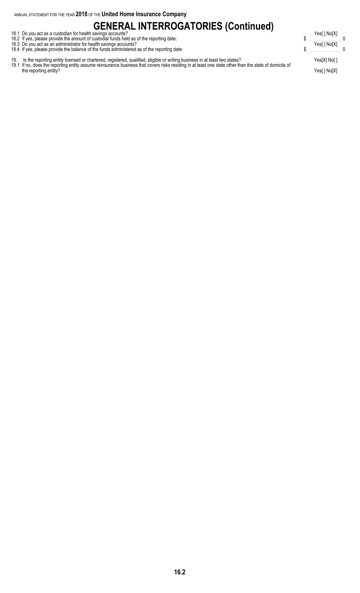# **GENERAL INTERROGATORIES (Continued)**

- 18.1 Do you act as a custodian for health savings accounts? Notice that the same of the same of the same of the same of the same of the same of the same of the same of the same of the same of the same of the same of the sa 18.2 If yes, please provide the amount of custodial funds held as of the reporting date: \$. . . . . . . . . . . . . . . . . . . . . . . 0
- 18.3 Do you act as an administrator for health savings accounts? Yes[ ] No[X]
- 18.4 If yes, please provide the balance of the funds administered as of the reporting date: \$. . . . . . . . . . . . . . . . . . . . . . . 0
- 19. Is the reporting entity licensed or chartered, registered, qualified, eligible or writing business in at least two states? Yes[X] No[ ]

19.1 If no, does the reporting entity assume reinsurance business that covers risks residing in at least one state other than the state of domicile of the reporting entity? Yes[ ] No[X]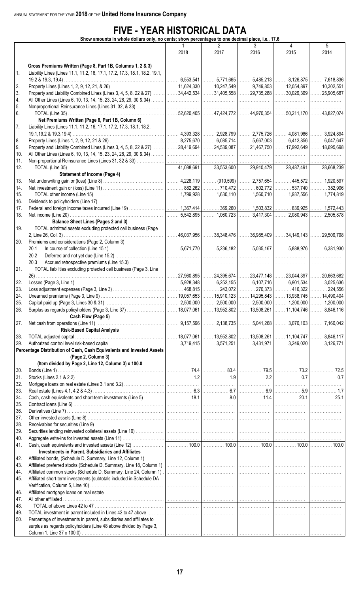# **FIVE - YEAR HISTORICAL DATA**

**Show amounts in whole dollars only, no cents; show percentages to one decimal place, i.e., 17.6**

|            |                                                                                                                                           | $\mathbf{1}$<br>2018 | $\overline{2}$<br>2017                                                           | 3<br>2016 | 4<br>2015                              | 5<br>2014                                |
|------------|-------------------------------------------------------------------------------------------------------------------------------------------|----------------------|----------------------------------------------------------------------------------|-----------|----------------------------------------|------------------------------------------|
|            |                                                                                                                                           |                      |                                                                                  |           |                                        |                                          |
| 1.         | Gross Premiums Written (Page 8, Part 1B, Columns 1, 2 & 3)<br>Liability Lines (Lines 11.1, 11.2, 16, 17.1, 17.2, 17.3, 18.1, 18.2, 19.1,  |                      |                                                                                  |           |                                        |                                          |
|            |                                                                                                                                           |                      | 6,553,541  5,771,665  5,485,213  8,126,875                                       |           |                                        | $\ldots$ 7,618,836                       |
| 2.<br>3.   |                                                                                                                                           |                      |                                                                                  |           |                                        | $\ldots$ . 10,302,551                    |
| 4.         |                                                                                                                                           |                      |                                                                                  |           |                                        | .                                        |
| 5.         |                                                                                                                                           |                      |                                                                                  |           |                                        |                                          |
| 6.         |                                                                                                                                           | 1.1.1.1.1            | $52,620,405$ 47,424,772  44,970,354  50,211,170  43,827,074                      |           |                                        |                                          |
|            | Net Premiums Written (Page 8, Part 1B, Column 6)                                                                                          |                      |                                                                                  |           |                                        |                                          |
| 7.         | Liability Lines (Lines 11.1, 11.2, 16, 17.1, 17.2, 17.3, 18.1, 18.2,                                                                      |                      |                                                                                  |           |                                        |                                          |
|            |                                                                                                                                           |                      |                                                                                  |           |                                        | $\ldots$ 3,924,894                       |
| 8.         |                                                                                                                                           |                      |                                                                                  |           |                                        |                                          |
| 9.         | Property and Liability Combined Lines (Lines 3, 4, 5, 8, 22 & 27)  28,419,694  24,539,087  21,467,750  17,992,649  18,695,698             |                      |                                                                                  |           |                                        |                                          |
| 10.<br>11. | Non-proportional Reinsurance Lines (Lines 31, 32 & 33)                                                                                    |                      |                                                                                  |           |                                        |                                          |
| 12.        |                                                                                                                                           | .                    | $41,088,691$ 33,553,600  29,910,479  28,487,491  28,668,239                      |           |                                        |                                          |
|            | <b>Statement of Income (Page 4)</b>                                                                                                       |                      |                                                                                  |           |                                        |                                          |
| 13.        |                                                                                                                                           |                      |                                                                                  |           |                                        |                                          |
| 14.        |                                                                                                                                           |                      |                                                                                  |           |                                        |                                          |
| 15.        |                                                                                                                                           |                      |                                                                                  |           |                                        |                                          |
| 16.        |                                                                                                                                           |                      |                                                                                  |           |                                        |                                          |
| 17.<br>18. |                                                                                                                                           |                      |                                                                                  |           |                                        |                                          |
|            | Balance Sheet Lines (Pages 2 and 3)                                                                                                       |                      |                                                                                  |           |                                        | $\ldots$ 2,505,878                       |
| 19.        | TOTAL admitted assets excluding protected cell business (Page                                                                             |                      | . 46,037,956   ……. 38,348,476   ……. 36,985,409   ……. 34,149,143   ……. 29,509,798 |           |                                        |                                          |
| 20.        | Premiums and considerations (Page 2, Column 3)                                                                                            |                      |                                                                                  |           |                                        |                                          |
|            | 20.1                                                                                                                                      |                      |                                                                                  |           |                                        |                                          |
|            | 20.2                                                                                                                                      |                      |                                                                                  |           |                                        |                                          |
|            | 20.3                                                                                                                                      |                      |                                                                                  |           |                                        |                                          |
| 21.        | TOTAL liabilities excluding protected cell business (Page 3, Line                                                                         |                      |                                                                                  |           |                                        |                                          |
|            |                                                                                                                                           |                      |                                                                                  |           | 24,395,674    23,477,148    23,044,397 | 20,663,682                               |
| 22.<br>23. |                                                                                                                                           |                      |                                                                                  |           |                                        | $\ldots$ . 3,025,636<br>$\ldots$ 224,556 |
| 24.        |                                                                                                                                           |                      |                                                                                  |           |                                        | $\ldots$ 14,490,404                      |
| 25.        |                                                                                                                                           |                      |                                                                                  |           |                                        |                                          |
| 26.        |                                                                                                                                           |                      |                                                                                  |           |                                        |                                          |
|            | Cash Flow (Page 5)                                                                                                                        |                      |                                                                                  |           |                                        |                                          |
| 27.        |                                                                                                                                           |                      |                                                                                  |           |                                        |                                          |
|            | <b>Risk-Based Capital Analysis</b>                                                                                                        |                      |                                                                                  |           |                                        |                                          |
| 28.<br>29. |                                                                                                                                           |                      |                                                                                  |           |                                        |                                          |
|            | Percentage Distribution of Cash, Cash Equivalents and Invested Assets                                                                     |                      |                                                                                  |           |                                        |                                          |
|            | (Page 2, Column 3)<br>(Item divided by Page 2, Line 12, Column 3) x 100.0                                                                 |                      |                                                                                  |           |                                        |                                          |
| 30.        |                                                                                                                                           |                      |                                                                                  |           |                                        |                                          |
| 31.        |                                                                                                                                           |                      |                                                                                  |           |                                        |                                          |
| 32.        |                                                                                                                                           |                      |                                                                                  |           |                                        |                                          |
| 33.        |                                                                                                                                           |                      |                                                                                  |           |                                        |                                          |
| 34.        |                                                                                                                                           |                      |                                                                                  |           |                                        |                                          |
| 35.<br>36. |                                                                                                                                           |                      |                                                                                  |           |                                        |                                          |
| 37.        |                                                                                                                                           |                      |                                                                                  |           |                                        |                                          |
| 38.        |                                                                                                                                           |                      |                                                                                  |           |                                        |                                          |
| 39.        |                                                                                                                                           |                      |                                                                                  |           |                                        |                                          |
| 40.        |                                                                                                                                           |                      |                                                                                  |           |                                        |                                          |
| 41.        |                                                                                                                                           |                      |                                                                                  |           |                                        |                                          |
|            | Investments in Parent, Subsidiaries and Affiliates                                                                                        |                      |                                                                                  |           |                                        |                                          |
| 42.<br>43. |                                                                                                                                           |                      |                                                                                  |           |                                        |                                          |
| 44.        |                                                                                                                                           |                      |                                                                                  |           |                                        |                                          |
| 45.        | Affiliated short-term investments (subtotals included in Schedule DA                                                                      |                      |                                                                                  |           |                                        |                                          |
|            |                                                                                                                                           |                      |                                                                                  |           |                                        |                                          |
| 46.        |                                                                                                                                           |                      |                                                                                  |           |                                        |                                          |
| 47.        |                                                                                                                                           |                      |                                                                                  |           |                                        |                                          |
| 48.        |                                                                                                                                           |                      |                                                                                  |           |                                        |                                          |
| 49.<br>50. |                                                                                                                                           |                      |                                                                                  |           |                                        |                                          |
|            | Percentage of investments in parent, subsidiaries and affiliates to<br>surplus as regards policyholders (Line 48 above divided by Page 3, |                      |                                                                                  |           |                                        |                                          |
|            |                                                                                                                                           |                      |                                                                                  |           |                                        |                                          |
|            |                                                                                                                                           |                      |                                                                                  |           |                                        |                                          |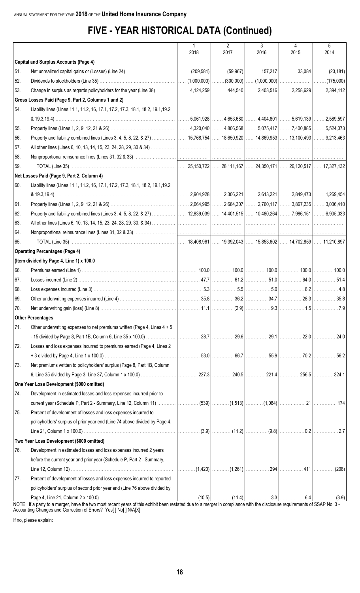# **FIVE - YEAR HISTORICAL DATA (Continued)**

|            |                                                                                                                                                                     | $\mathbf{1}$ | $\overline{2}$ | 3    | 4    | 5      |
|------------|---------------------------------------------------------------------------------------------------------------------------------------------------------------------|--------------|----------------|------|------|--------|
|            |                                                                                                                                                                     | 2018         | 2017           | 2016 | 2015 | 2014   |
|            | <b>Capital and Surplus Accounts (Page 4)</b>                                                                                                                        |              |                |      |      |        |
| 51.        |                                                                                                                                                                     |              |                |      |      |        |
| 52.        |                                                                                                                                                                     |              |                |      |      |        |
| 53.        | Change in surplus as regards policyholders for the year (Line 38)    4,124,259    444,540    2,403,516    2,258,629    2,394,112                                    |              |                |      |      |        |
|            | Gross Losses Paid (Page 9, Part 2, Columns 1 and 2)                                                                                                                 |              |                |      |      |        |
| 54.        | Liability lines (Lines 11.1, 11.2, 16, 17.1, 17.2, 17.3, 18.1, 18.2, 19.1, 19.2                                                                                     |              |                |      |      |        |
|            |                                                                                                                                                                     |              |                |      |      |        |
| 55.        |                                                                                                                                                                     |              |                |      |      |        |
| 56.        |                                                                                                                                                                     |              |                |      |      |        |
| 57.        |                                                                                                                                                                     |              |                |      |      | .      |
| 58.        |                                                                                                                                                                     |              |                |      |      |        |
| 59.        |                                                                                                                                                                     |              |                |      |      |        |
|            | Net Losses Paid (Page 9, Part 2, Column 4)                                                                                                                          |              |                |      |      |        |
| 60.        | Liability lines (Lines 11.1, 11.2, 16, 17.1, 17.2, 17.3, 18.1, 18.2, 19.1, 19.2                                                                                     |              |                |      |      |        |
|            |                                                                                                                                                                     |              |                |      |      |        |
| 61.        |                                                                                                                                                                     |              |                |      |      |        |
| 62.        |                                                                                                                                                                     |              |                |      |      |        |
| 63.<br>64. |                                                                                                                                                                     |              |                |      |      | .<br>. |
| 65.        |                                                                                                                                                                     |              |                |      |      |        |
|            | <b>Operating Percentages (Page 4)</b>                                                                                                                               |              |                |      |      |        |
|            | (Item divided by Page 4, Line 1) x 100.0                                                                                                                            |              |                |      |      |        |
| 66.        |                                                                                                                                                                     |              |                |      |      |        |
| 67.        |                                                                                                                                                                     |              |                |      |      |        |
| 68.        |                                                                                                                                                                     |              |                |      |      |        |
| 69.        |                                                                                                                                                                     |              |                |      |      |        |
| 70.        |                                                                                                                                                                     |              |                |      |      |        |
|            | <b>Other Percentages</b>                                                                                                                                            |              |                |      |      |        |
| 71.        | Other underwriting expenses to net premiums written (Page 4, Lines 4 + 5                                                                                            |              |                |      |      |        |
|            |                                                                                                                                                                     |              |                |      |      | 24.0   |
| 72.        | Losses and loss expenses incurred to premiums earned (Page 4, Lines 2                                                                                               |              |                |      |      |        |
|            |                                                                                                                                                                     |              |                |      |      | 56.2   |
| 73.        | Net premiums written to policyholders' surplus (Page 8, Part 1B, Column                                                                                             |              |                |      |      |        |
|            |                                                                                                                                                                     |              |                |      |      | 324.1  |
|            | One Year Loss Development (\$000 omitted)                                                                                                                           |              |                |      |      |        |
| 74.        | Development in estimated losses and loss expenses incurred prior to                                                                                                 |              |                |      |      |        |
|            |                                                                                                                                                                     |              |                |      |      |        |
| 75.        | Percent of development of losses and loss expenses incurred to                                                                                                      |              |                |      |      |        |
|            | policyholders' surplus of prior year end (Line 74 above divided by Page 4,                                                                                          |              |                |      |      |        |
|            |                                                                                                                                                                     |              |                |      |      |        |
|            | Two Year Loss Development (\$000 omitted)                                                                                                                           |              |                |      |      |        |
| 76.        | Development in estimated losses and loss expenses incurred 2 years                                                                                                  |              |                |      |      |        |
|            | before the current year and prior year (Schedule P, Part 2 - Summary,                                                                                               |              |                |      |      |        |
|            |                                                                                                                                                                     |              |                |      |      |        |
| 77.        | Percent of development of losses and loss expenses incurred to reported                                                                                             |              |                |      |      |        |
|            | policyholders' surplus of second prior year end (Line 76 above divided by                                                                                           |              |                |      |      |        |
|            |                                                                                                                                                                     |              |                |      |      |        |
| NOTE:      | If a party to a merger, have the two most recent years of this exhibit been restated due to a merger in compliance with the disclosure requirements of SSAP No. 3 - |              |                |      |      |        |

Accounting Changes and Correction of Errors? Yes[ ] No[ ] N/A[X]

If no, please explain: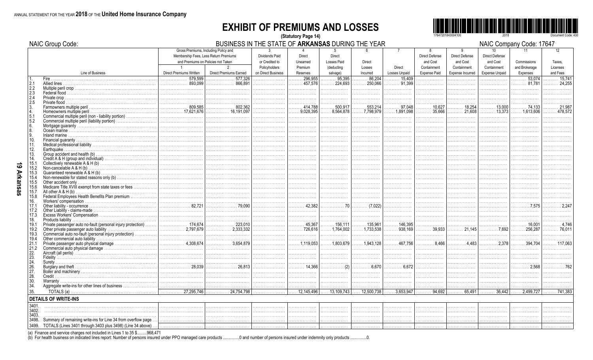## **EXHIBIT OF PREMIUMS AND LOSSES** (Statutory Page 14)



NAIC Company Code: 17647

|                | <b>NAIC Group Code:</b>                                                                                                           |                                                                                                                                                                                                                                                                                                                                                                                                                                                                                                                | BUSINESS IN THE STATE OF ARKANSAS DURING THE YEAR |                                                  |                                |                                      |                               |                                |                                        |                                        |                                                | NAIC Company Code: 17647  |                      |
|----------------|-----------------------------------------------------------------------------------------------------------------------------------|----------------------------------------------------------------------------------------------------------------------------------------------------------------------------------------------------------------------------------------------------------------------------------------------------------------------------------------------------------------------------------------------------------------------------------------------------------------------------------------------------------------|---------------------------------------------------|--------------------------------------------------|--------------------------------|--------------------------------------|-------------------------------|--------------------------------|----------------------------------------|----------------------------------------|------------------------------------------------|---------------------------|----------------------|
|                |                                                                                                                                   | Gross Premiums, Including Policy and<br>Membership Fees, Less Return Premiums<br>and Premiums on Policies not Taken                                                                                                                                                                                                                                                                                                                                                                                            |                                                   | $\mathbf{3}$<br>Dividends Paid<br>or Credited to | Direct<br>Unearned             | $5^{\circ}$<br>Direct<br>Losses Paid | 6<br>Direct                   | $\overline{7}$                 | 8<br><b>Direct Defense</b><br>and Cost | 9<br><b>Direct Defense</b><br>and Cost | 10 <sup>10</sup><br>Direct Defense<br>and Cost | 11<br>Commissions         | 12<br>Taxes,         |
|                | Line of Business                                                                                                                  | $\overline{1}$<br>Direct Premiums Written                                                                                                                                                                                                                                                                                                                                                                                                                                                                      | $\mathfrak{p}$<br><b>Direct Premiums Earned</b>   | Policyholders<br>on Direct Business              | Premium<br>Reserves            | (deducting<br>salvage)               | Losses<br>Incurred            | Direct<br>Losses Unpaid        | Containment<br><b>Expense Paid</b>     | Containment<br>Expense Incurred        | Containment<br><b>Expense Unpaid</b>           | and Brokerage<br>Expenses | Licenses<br>and Fees |
| 1.             | Fire.                                                                                                                             | 579.599<br>.                                                                                                                                                                                                                                                                                                                                                                                                                                                                                                   | 577.326<br>.                                      | .                                                | 296.955<br>.                   | 95,395<br>.                          | .86.204                       | $\ldots$ 15,409                | .                                      | .                                      | .                                              | 53.074<br>.               | $\ldots$ 15.741      |
| 2.1<br>2.2     | Allied lines<br>Multiple peril crop                                                                                               | 893,099                                                                                                                                                                                                                                                                                                                                                                                                                                                                                                        | 866.891<br>.                                      | .                                                | $\ldots$ 457.576               | 224,693<br>.                         | $\ldots$ . 250.066            | 91,399                         | .                                      | .                                      | .                                              | . 81.781                  | . 24.255             |
|                |                                                                                                                                   |                                                                                                                                                                                                                                                                                                                                                                                                                                                                                                                |                                                   |                                                  |                                |                                      |                               |                                |                                        |                                        |                                                |                           |                      |
| $^{2.3}_{2.4}$ |                                                                                                                                   |                                                                                                                                                                                                                                                                                                                                                                                                                                                                                                                |                                                   |                                                  |                                |                                      |                               |                                |                                        |                                        |                                                |                           |                      |
| 2.5            |                                                                                                                                   |                                                                                                                                                                                                                                                                                                                                                                                                                                                                                                                |                                                   |                                                  |                                |                                      |                               |                                |                                        |                                        |                                                |                           |                      |
|                | Farmowners multiple peril<br>Homeowners multiple peril                                                                            | $\ldots \ldots \ldots \ldots$ 809.585                                                                                                                                                                                                                                                                                                                                                                                                                                                                          |                                                   |                                                  | .414.788<br>$\ldots$ 9.028.395 | 500,917<br>8.564.878                 | 553,214<br>$\ldots$ 7.798.979 | 97.048<br>$\ldots$ . 1,891,098 | 10,627<br>35,666                       | 18,254<br>21.608                       | 13,000<br>$\ldots$ 13,373                      |                           |                      |
| 5.1            | Commercial multiple peril (non - liability portion)                                                                               | . 17,621,676                                                                                                                                                                                                                                                                                                                                                                                                                                                                                                   | 16,191,097                                        | .<br>.                                           | .                              | .                                    | .                             | .                              | .                                      | .                                      |                                                | $\ldots$ 1.613.606        | 478.572              |
| 5.2            | Commercial multiple peril (liability portion)                                                                                     |                                                                                                                                                                                                                                                                                                                                                                                                                                                                                                                |                                                   | .                                                |                                | .                                    | .                             | .                              | .                                      | .                                      | .                                              |                           |                      |
| 6.             |                                                                                                                                   |                                                                                                                                                                                                                                                                                                                                                                                                                                                                                                                |                                                   | .                                                |                                | .                                    |                               |                                | .                                      | .                                      |                                                |                           |                      |
| 8.             |                                                                                                                                   |                                                                                                                                                                                                                                                                                                                                                                                                                                                                                                                |                                                   |                                                  |                                |                                      | .                             |                                | .                                      | .                                      |                                                |                           |                      |
| 9.<br>10.      |                                                                                                                                   |                                                                                                                                                                                                                                                                                                                                                                                                                                                                                                                |                                                   | .                                                |                                |                                      |                               |                                | .<br>.                                 |                                        |                                                |                           |                      |
| 11.            |                                                                                                                                   |                                                                                                                                                                                                                                                                                                                                                                                                                                                                                                                |                                                   | .                                                | .                              | .                                    | .                             | .                              | .                                      | .                                      | .                                              | .                         |                      |
| 12.            | Earthquake                                                                                                                        |                                                                                                                                                                                                                                                                                                                                                                                                                                                                                                                |                                                   |                                                  |                                |                                      |                               |                                | .                                      |                                        |                                                |                           |                      |
| 13.            |                                                                                                                                   |                                                                                                                                                                                                                                                                                                                                                                                                                                                                                                                |                                                   | .                                                | .                              | .                                    | .                             | .                              | .                                      |                                        |                                                |                           |                      |
| 14.<br>15.1    |                                                                                                                                   |                                                                                                                                                                                                                                                                                                                                                                                                                                                                                                                |                                                   | .                                                |                                |                                      |                               |                                | .                                      |                                        |                                                |                           |                      |
| 15.2           | Non-cancelable A & H (b)                                                                                                          |                                                                                                                                                                                                                                                                                                                                                                                                                                                                                                                |                                                   | .<br>.                                           | .<br>.                         | .<br>.                               | .<br>.                        | .                              | .<br>.                                 | .<br>.                                 | .                                              |                           |                      |
| 15.3           |                                                                                                                                   |                                                                                                                                                                                                                                                                                                                                                                                                                                                                                                                |                                                   |                                                  |                                |                                      |                               |                                |                                        |                                        |                                                |                           |                      |
| 15.4           |                                                                                                                                   |                                                                                                                                                                                                                                                                                                                                                                                                                                                                                                                |                                                   | .                                                | .                              | .                                    | .                             | .                              | .                                      |                                        |                                                |                           |                      |
| 15.5           | Other accident only                                                                                                               |                                                                                                                                                                                                                                                                                                                                                                                                                                                                                                                |                                                   | .                                                | .                              | .                                    | .                             | .                              | .                                      | .                                      |                                                |                           |                      |
| 15.6           | Medicare Title XVIII exempt from state taxes or fees<br>All other $A & H(b)$                                                      |                                                                                                                                                                                                                                                                                                                                                                                                                                                                                                                |                                                   | .                                                | .                              | .                                    | .                             | .                              | .                                      | .                                      | .                                              | .                         |                      |
| 15.7<br>15.8   | Federal Employees Health Benefits Plan premium                                                                                    |                                                                                                                                                                                                                                                                                                                                                                                                                                                                                                                |                                                   | .                                                | .                              | .                                    | .                             | .                              | .<br>.                                 | .                                      | .                                              | .                         |                      |
| 16.            |                                                                                                                                   |                                                                                                                                                                                                                                                                                                                                                                                                                                                                                                                |                                                   |                                                  |                                |                                      |                               |                                | .                                      |                                        |                                                |                           |                      |
| 17.1           |                                                                                                                                   |                                                                                                                                                                                                                                                                                                                                                                                                                                                                                                                | . 79,090                                          | .                                                | 42.382<br>.                    | . 70                                 | $\ldots \ldots$ (7,022)       | .                              | .                                      | .                                      | .                                              | . 7.575                   |                      |
| 17.2           |                                                                                                                                   |                                                                                                                                                                                                                                                                                                                                                                                                                                                                                                                |                                                   |                                                  |                                |                                      | .                             |                                | .                                      |                                        |                                                |                           |                      |
| 17.3<br>18.    |                                                                                                                                   |                                                                                                                                                                                                                                                                                                                                                                                                                                                                                                                |                                                   |                                                  |                                | .                                    | .                             |                                | .<br>.                                 | .                                      |                                                |                           |                      |
| 19.1           | Private passenger auto no-fault (personal injury protection)                                                                      | $\cdots$ 174,674                                                                                                                                                                                                                                                                                                                                                                                                                                                                                               | $\ldots \ldots \ldots \ldots \ldots$ 223,010      | .                                                | 45.367                         | $\ldots \ldots 156,111$              | . 135,961                     | 146,395                        |                                        | .                                      | .                                              | . 16,001                  | . 4,746              |
| 19.2           |                                                                                                                                   |                                                                                                                                                                                                                                                                                                                                                                                                                                                                                                                | . 2,333.332                                       | .                                                | . 726,616                      | $\ldots$ 1,764,002                   | $\ldots$ 1,733,538            | $\ldots$ 938,169               | $\frac{1}{39,933}$                     | 21,145                                 | . 7.692                                        | . 256,287                 | . 76,011             |
| 19.3           | Commercial auto no-fault (personal injury protection).                                                                            |                                                                                                                                                                                                                                                                                                                                                                                                                                                                                                                |                                                   |                                                  |                                |                                      |                               |                                | .                                      |                                        |                                                |                           |                      |
| 19.4<br>21.1   |                                                                                                                                   |                                                                                                                                                                                                                                                                                                                                                                                                                                                                                                                |                                                   | .                                                |                                | .<br>$\ldots$ . 1.803.679            | .<br>$\ldots$ 1,943,128       | .<br>$\ldots \ldots$ 467,756   | .<br>$\ldots \ldots \ldots 8,466$      | .<br>4.483                             | .<br>. 2,378                                   | $\ldots$ . 394.704        |                      |
| 21.2           |                                                                                                                                   |                                                                                                                                                                                                                                                                                                                                                                                                                                                                                                                |                                                   | .                                                | .                              | .                                    | .                             | .                              | .                                      | .                                      | .                                              | .                         |                      |
| 22.            |                                                                                                                                   |                                                                                                                                                                                                                                                                                                                                                                                                                                                                                                                |                                                   |                                                  |                                |                                      | .                             |                                | .                                      |                                        |                                                |                           |                      |
| 23.            |                                                                                                                                   |                                                                                                                                                                                                                                                                                                                                                                                                                                                                                                                |                                                   | .                                                | .                              | .                                    | .                             | .                              | .                                      | .                                      | .                                              |                           |                      |
| 24.            |                                                                                                                                   | $\begin{array}{ccc}\n&\cdots & \cdots & \cdots & \cdots & \cdots & \cdots \\ &\cdots & \cdots & \cdots & \cdots & \cdots & \cdots & \cdots & \cdots \\ &\vdots & \vdots & \vdots & \ddots & \vdots & \vdots \\ &\vdots & \vdots & \ddots & \vdots & \vdots \\ &\vdots & \vdots & \ddots & \vdots & \vdots \\ &\vdots & \vdots & \ddots & \vdots & \vdots \\ &\vdots & \vdots & \ddots & \vdots & \vdots \\ &\vdots & \vdots & \ddots & \vdots & \vdots \\ &\vdots & \vdots & \vdots & \ddots & \vdots \\ &\vd$ | . 26.813                                          |                                                  |                                |                                      | .                             | .<br>. 6,672                   | .                                      | .                                      |                                                |                           |                      |
| 26.<br>27.     | Burglary and theft.                                                                                                               |                                                                                                                                                                                                                                                                                                                                                                                                                                                                                                                |                                                   | .                                                | . 14,366<br>.                  | . (2)<br>.                           | . 6,670<br>.                  | .                              | .<br>.                                 | .                                      | .                                              | .                         |                      |
| 28.            | Credit.                                                                                                                           |                                                                                                                                                                                                                                                                                                                                                                                                                                                                                                                |                                                   |                                                  |                                |                                      |                               |                                |                                        |                                        |                                                |                           |                      |
| 30.            |                                                                                                                                   |                                                                                                                                                                                                                                                                                                                                                                                                                                                                                                                |                                                   | .                                                | .                              | .                                    | .                             | .                              | .                                      | .                                      |                                                |                           |                      |
| 34.            |                                                                                                                                   |                                                                                                                                                                                                                                                                                                                                                                                                                                                                                                                |                                                   |                                                  |                                |                                      |                               |                                |                                        |                                        |                                                |                           |                      |
| 35.            |                                                                                                                                   | .27,295,746<br>.                                                                                                                                                                                                                                                                                                                                                                                                                                                                                               | .24,754,798<br>.                                  |                                                  | 12,145,496                     | 13,109,743                           | . 12,500,738                  | .3,653,947                     | 94,692<br>.                            | 65,491<br>.                            | 36,442                                         | .2,499,727                | $\ldots$ . 741.383   |
|                | <b>DETAILS OF WRITE-INS</b>                                                                                                       |                                                                                                                                                                                                                                                                                                                                                                                                                                                                                                                |                                                   |                                                  |                                |                                      |                               |                                |                                        |                                        |                                                |                           |                      |
| 3401.          |                                                                                                                                   |                                                                                                                                                                                                                                                                                                                                                                                                                                                                                                                |                                                   |                                                  |                                | .                                    |                               |                                |                                        |                                        |                                                |                           |                      |
| 3402.          |                                                                                                                                   |                                                                                                                                                                                                                                                                                                                                                                                                                                                                                                                |                                                   |                                                  |                                |                                      |                               |                                |                                        |                                        |                                                |                           |                      |
| 3403.<br>3498. |                                                                                                                                   |                                                                                                                                                                                                                                                                                                                                                                                                                                                                                                                |                                                   |                                                  |                                |                                      |                               |                                |                                        |                                        |                                                |                           |                      |
|                | Summary of remaining write-ins for Line 34 from overflow page<br>3499. TOTALS (Lines 3401 through 3403 plus 3498) (Line 34 above) |                                                                                                                                                                                                                                                                                                                                                                                                                                                                                                                |                                                   | .                                                | .                              | .                                    |                               | .                              | .                                      |                                        |                                                |                           |                      |
|                |                                                                                                                                   |                                                                                                                                                                                                                                                                                                                                                                                                                                                                                                                |                                                   |                                                  |                                |                                      |                               |                                |                                        |                                        |                                                |                           |                      |

(a) Finance and service charges not included in Lines 1 to 35 \$.........968,471<br>(b) For health business on indicated lines report: Number of persons insured under PPO managed care products ..... ....0 and number of persons insured under indemnity only products ...............0.

19 Arkansas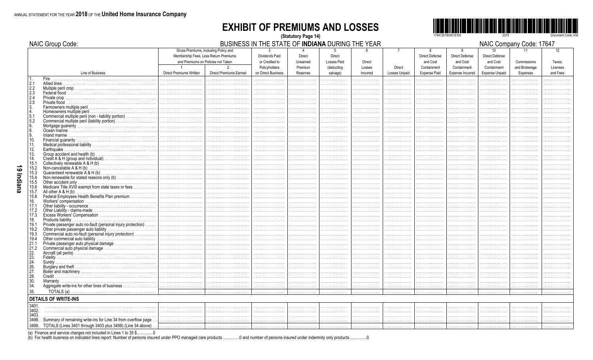## **EXHIBIT OF PREMIUMS AND LOSSES** (Statutory Page 14)



 $\cdots$ 

|                                                | NAIC Group Code:                                                 |                                |                                                                                                                     | BUSINESS IN THE STATE OF INDIANA DURING THE YEAR         |                               |                                            |                         |                          |                                                       |                                                       |                                                                     | NAIC Company Code: 17647     |                          |
|------------------------------------------------|------------------------------------------------------------------|--------------------------------|---------------------------------------------------------------------------------------------------------------------|----------------------------------------------------------|-------------------------------|--------------------------------------------|-------------------------|--------------------------|-------------------------------------------------------|-------------------------------------------------------|---------------------------------------------------------------------|------------------------------|--------------------------|
|                                                |                                                                  |                                | Gross Premiums, Including Policy and<br>Membership Fees, Less Return Premiums<br>and Premiums on Policies not Taken | <b>Dividends Paid</b><br>or Credited to<br>Policyholders | Direct<br>Unearned<br>Premium | <b>Direct</b><br>Losses Paid<br>(deducting | <b>Direct</b><br>Losses | $\overline{7}$<br>Direct | 8<br><b>Direct Defense</b><br>and Cost<br>Containment | 9<br><b>Direct Defense</b><br>and Cost<br>Containment | 10 <sup>°</sup><br><b>Direct Defense</b><br>and Cost<br>Containment | Commissions<br>and Brokerage | 12<br>Taxes,<br>Licenses |
|                                                | Line of Business                                                 | <b>Direct Premiums Written</b> | <b>Direct Premiums Earned</b>                                                                                       | on Direct Business                                       | Reserves                      | salvage)                                   | Incurred                | Losses Unpaid            | <b>Expense Paid</b>                                   | <b>Expense Incurred</b>                               | <b>Expense Unpaid</b>                                               | Expenses                     | and Fees                 |
| 2.1                                            |                                                                  |                                |                                                                                                                     |                                                          | .                             |                                            |                         |                          |                                                       |                                                       |                                                                     |                              |                          |
| 2.2                                            |                                                                  |                                |                                                                                                                     |                                                          |                               |                                            |                         |                          |                                                       |                                                       |                                                                     |                              |                          |
|                                                |                                                                  |                                |                                                                                                                     |                                                          |                               |                                            |                         |                          |                                                       |                                                       |                                                                     |                              |                          |
| $\frac{2.3}{2.4}$<br>2.5                       |                                                                  |                                |                                                                                                                     |                                                          |                               |                                            |                         |                          |                                                       |                                                       |                                                                     |                              |                          |
| 3.                                             |                                                                  |                                |                                                                                                                     |                                                          |                               |                                            |                         |                          |                                                       |                                                       |                                                                     |                              |                          |
| 14.                                            |                                                                  |                                |                                                                                                                     |                                                          |                               |                                            |                         |                          |                                                       |                                                       |                                                                     |                              |                          |
| 5.1                                            | Commercial multiple peril (non - liability portion)              |                                |                                                                                                                     |                                                          |                               |                                            |                         | .                        |                                                       |                                                       |                                                                     |                              |                          |
| 5.2                                            | Commercial multiple peril (liability portion)                    | .                              |                                                                                                                     |                                                          |                               |                                            |                         |                          |                                                       |                                                       |                                                                     |                              |                          |
| 16.<br>8.                                      |                                                                  |                                |                                                                                                                     |                                                          |                               |                                            |                         |                          |                                                       |                                                       |                                                                     |                              |                          |
| l 9.                                           |                                                                  |                                |                                                                                                                     |                                                          |                               |                                            |                         |                          |                                                       |                                                       |                                                                     |                              |                          |
| 10.                                            |                                                                  |                                |                                                                                                                     |                                                          |                               |                                            |                         | .                        |                                                       |                                                       |                                                                     |                              |                          |
| 11.                                            |                                                                  | .                              |                                                                                                                     |                                                          |                               |                                            | .                       | .                        |                                                       |                                                       |                                                                     |                              |                          |
| 12.                                            |                                                                  |                                |                                                                                                                     |                                                          |                               |                                            |                         |                          |                                                       |                                                       |                                                                     |                              |                          |
| 13.                                            |                                                                  |                                |                                                                                                                     |                                                          |                               |                                            |                         |                          |                                                       |                                                       |                                                                     |                              |                          |
| 14.                                            |                                                                  | .                              |                                                                                                                     |                                                          |                               |                                            |                         |                          |                                                       |                                                       |                                                                     |                              |                          |
| 15.1                                           |                                                                  |                                |                                                                                                                     |                                                          |                               |                                            |                         |                          |                                                       |                                                       |                                                                     |                              |                          |
| 15.2<br>15.3                                   |                                                                  |                                |                                                                                                                     |                                                          |                               |                                            |                         | .                        |                                                       |                                                       |                                                                     |                              |                          |
| 15.4                                           |                                                                  |                                |                                                                                                                     |                                                          |                               |                                            |                         |                          |                                                       |                                                       |                                                                     |                              |                          |
| 15.5                                           |                                                                  |                                |                                                                                                                     |                                                          |                               |                                            |                         | .                        |                                                       |                                                       |                                                                     |                              |                          |
| 15.6                                           | Medicare Title XVIII exempt from state taxes or fees             | .                              |                                                                                                                     |                                                          |                               |                                            |                         |                          |                                                       |                                                       |                                                                     |                              |                          |
| 15.7                                           | All other $A \& H(b)$ .                                          |                                |                                                                                                                     |                                                          |                               |                                            |                         |                          |                                                       |                                                       |                                                                     |                              |                          |
| 15.8                                           | Federal Employees Health Benefits Plan premium                   |                                |                                                                                                                     |                                                          |                               |                                            |                         |                          |                                                       |                                                       |                                                                     |                              |                          |
| 16.                                            |                                                                  |                                |                                                                                                                     |                                                          |                               |                                            |                         |                          |                                                       |                                                       |                                                                     |                              |                          |
| 17.1                                           |                                                                  |                                |                                                                                                                     |                                                          | .                             |                                            |                         | .                        |                                                       |                                                       |                                                                     |                              |                          |
| 17.2<br>17.3                                   |                                                                  |                                |                                                                                                                     |                                                          |                               |                                            |                         |                          |                                                       |                                                       |                                                                     |                              |                          |
| 18.                                            |                                                                  |                                |                                                                                                                     |                                                          |                               |                                            |                         |                          |                                                       |                                                       |                                                                     |                              |                          |
| 19.1                                           | Private passenger auto no-fault (personal injury protection)     |                                |                                                                                                                     |                                                          |                               |                                            |                         |                          |                                                       |                                                       |                                                                     |                              |                          |
| 19.2                                           |                                                                  |                                |                                                                                                                     |                                                          |                               |                                            |                         |                          |                                                       |                                                       |                                                                     |                              |                          |
| 19.3                                           | Commercial auto no-fault (personal injury protection)            |                                |                                                                                                                     |                                                          |                               |                                            |                         | .                        |                                                       |                                                       |                                                                     |                              |                          |
| 19.4                                           |                                                                  |                                |                                                                                                                     |                                                          |                               |                                            |                         |                          |                                                       |                                                       |                                                                     |                              |                          |
| 21.1                                           |                                                                  | .                              |                                                                                                                     |                                                          |                               |                                            |                         |                          |                                                       |                                                       |                                                                     |                              |                          |
| 21.2                                           |                                                                  |                                |                                                                                                                     |                                                          |                               |                                            |                         |                          |                                                       |                                                       |                                                                     |                              |                          |
| $\begin{bmatrix} 22 \\ 23 \\ 24 \end{bmatrix}$ |                                                                  |                                |                                                                                                                     |                                                          |                               |                                            |                         |                          |                                                       |                                                       |                                                                     |                              |                          |
|                                                | Surety.                                                          |                                |                                                                                                                     |                                                          |                               |                                            |                         |                          |                                                       |                                                       |                                                                     |                              |                          |
| 26.                                            |                                                                  |                                |                                                                                                                     |                                                          |                               |                                            |                         |                          |                                                       |                                                       |                                                                     |                              |                          |
| 27.                                            |                                                                  |                                |                                                                                                                     |                                                          |                               |                                            |                         |                          |                                                       |                                                       |                                                                     |                              |                          |
| 28.                                            |                                                                  |                                |                                                                                                                     |                                                          |                               |                                            |                         |                          |                                                       |                                                       |                                                                     |                              |                          |
| 30.                                            |                                                                  |                                |                                                                                                                     |                                                          |                               |                                            |                         |                          |                                                       |                                                       |                                                                     |                              |                          |
| 34.                                            | Aggregate write-ins for other lines of business                  |                                |                                                                                                                     |                                                          |                               |                                            |                         |                          |                                                       |                                                       |                                                                     |                              |                          |
| 35.                                            |                                                                  |                                |                                                                                                                     |                                                          |                               |                                            |                         |                          |                                                       |                                                       |                                                                     |                              |                          |
|                                                | <b>DETAILS OF WRITE-INS</b>                                      |                                |                                                                                                                     |                                                          |                               |                                            |                         |                          |                                                       |                                                       |                                                                     |                              |                          |
| 3401                                           |                                                                  |                                |                                                                                                                     | .                                                        | .                             | .                                          | .                       | .                        | .                                                     | .                                                     | .                                                                   | .                            |                          |
| 3402.                                          |                                                                  |                                |                                                                                                                     |                                                          | .                             |                                            |                         | .                        |                                                       |                                                       |                                                                     |                              |                          |
| 3403.                                          |                                                                  |                                |                                                                                                                     | .                                                        | .                             | .                                          |                         | .                        |                                                       |                                                       | .                                                                   |                              |                          |
| 3498.                                          | Summary of remaining write-ins for Line 34 from overflow page    |                                |                                                                                                                     | .                                                        | .                             | .                                          | .                       | .                        | .                                                     |                                                       | .                                                                   |                              |                          |
|                                                | 3499. TOTALS (Lines 3401 through 3403 plus 3498) (Line 34 above) |                                |                                                                                                                     | .                                                        | .                             | .                                          | .                       | .                        | .                                                     | .                                                     | .                                                                   |                              |                          |

(a) Finance and service charges not included in Lines 1 to 35 \$................0<br>(b) For health business on indicated lines report: Number of persons insured under PPO managed care products ................................  $\ldots 0$ .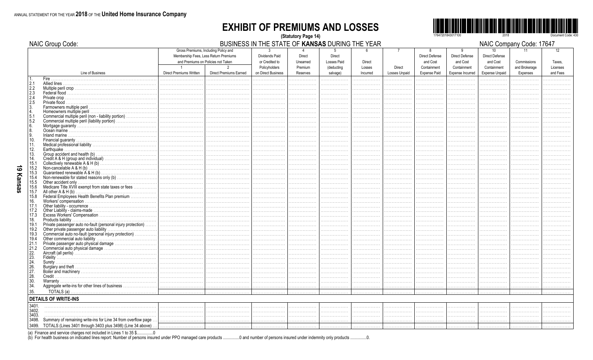NAIC Group Code:

## **EXHIBIT OF PREMIUMS AND LOSSES** (Statutory Page 14)



BUSINESS IN THE STATE OF KANSAS DURING THE YEAR

NAIC Company Code: 17647

|                                                  | iwww.com                                                         |                                    |                                                                               |                     |                                 | -------     |          |                      |                     |                            | ייישעויויט טיי יי     | <b>,,,,,,,,,,</b> |          |
|--------------------------------------------------|------------------------------------------------------------------|------------------------------------|-------------------------------------------------------------------------------|---------------------|---------------------------------|-------------|----------|----------------------|---------------------|----------------------------|-----------------------|-------------------|----------|
|                                                  |                                                                  |                                    | Gross Premiums, Including Policy and<br>Membership Fees, Less Return Premiums | 3<br>Dividends Paid | $\overline{4}$<br><b>Direct</b> | 5<br>Direct | հ        |                      | 8<br>Direct Defense | 9<br><b>Direct Defense</b> | 10<br>Direct Defense  | 11                | 12       |
|                                                  |                                                                  | and Premiums on Policies not Taken |                                                                               | or Credited to      | Unearned                        | Losses Paid | Direct   |                      | and Cost            | and Cost                   | and Cost              | Commissions       | Taxes.   |
|                                                  |                                                                  | $\overline{1}$                     | $\mathcal{P}$                                                                 | Policyholders       | Premium                         | (deducting  | Losses   | Direct               | Containment         | Containment                | Containment           | and Brokerage     | Licenses |
|                                                  | Line of Business                                                 | Direct Premiums Written            | <b>Direct Premiums Earned</b>                                                 | on Direct Business  | Reserves                        | salvage)    | Incurred | <b>Losses Unpaid</b> | <b>Expense Paid</b> | Expense Incurred           | <b>Expense Unpaid</b> | Expenses          | and Fees |
|                                                  |                                                                  |                                    |                                                                               |                     | .                               | .           |          |                      |                     |                            |                       |                   |          |
| 2.1                                              |                                                                  |                                    |                                                                               | .                   |                                 |             |          | .                    | .                   |                            |                       |                   |          |
|                                                  |                                                                  |                                    |                                                                               | .                   |                                 |             |          | .                    | .                   | .                          |                       |                   |          |
| $\begin{array}{r} 2.2 \\ 2.3 \\ 2.4 \end{array}$ | Federal flood                                                    |                                    |                                                                               |                     |                                 |             |          |                      | .                   |                            |                       |                   |          |
| 2.5                                              |                                                                  |                                    |                                                                               |                     |                                 |             |          |                      | .                   |                            |                       |                   |          |
|                                                  |                                                                  |                                    |                                                                               |                     |                                 | .           |          | .                    | .                   |                            |                       | .                 |          |
| $\begin{bmatrix} 3 \\ 4 \end{bmatrix}$           |                                                                  |                                    |                                                                               |                     |                                 | .           | .        | .<br>.               | .<br>.              |                            |                       | .                 |          |
| 5.1                                              | Commercial multiple peril (non - liability portion)<br>.         |                                    |                                                                               |                     |                                 |             |          |                      |                     |                            |                       |                   |          |
| 5.2                                              | Commercial multiple peril (liability portion)                    |                                    |                                                                               |                     |                                 |             |          | .                    | .                   |                            |                       | .                 |          |
| 6.                                               |                                                                  |                                    |                                                                               |                     |                                 | .           |          | .                    | .                   |                            |                       | .                 |          |
| 8                                                |                                                                  |                                    |                                                                               |                     |                                 |             |          |                      | .                   |                            |                       |                   |          |
| l 9.                                             |                                                                  |                                    |                                                                               |                     |                                 |             |          |                      | .                   |                            |                       |                   |          |
| 10.                                              |                                                                  |                                    |                                                                               |                     | .                               | .           |          | .                    | .                   |                            |                       | .                 |          |
| 11.                                              |                                                                  |                                    |                                                                               |                     |                                 | .           |          | .                    | .                   |                            |                       |                   |          |
| 12.                                              | Earthquake.                                                      |                                    |                                                                               |                     |                                 |             |          |                      |                     |                            |                       |                   |          |
| 13.                                              |                                                                  |                                    |                                                                               |                     |                                 |             |          |                      | .                   |                            |                       |                   |          |
| 14.                                              |                                                                  |                                    |                                                                               |                     |                                 |             |          | .                    | .                   |                            |                       |                   |          |
| 15.1                                             | Non-cancelable $A \& H(b)$ .                                     |                                    |                                                                               |                     |                                 |             |          |                      |                     |                            |                       |                   |          |
| 15.2<br>15.3                                     |                                                                  | .                                  |                                                                               |                     |                                 |             |          |                      |                     |                            |                       |                   |          |
| 15.4                                             | Non-renewable for stated reasons only (b)                        |                                    |                                                                               |                     |                                 |             |          |                      |                     |                            |                       |                   |          |
| 15.5                                             |                                                                  |                                    |                                                                               |                     |                                 |             |          |                      |                     |                            |                       |                   |          |
| 15.6                                             | Medicare Title XVIII exempt from state taxes or fees             |                                    |                                                                               |                     |                                 |             |          |                      |                     |                            |                       |                   |          |
| 15.7                                             |                                                                  |                                    |                                                                               |                     |                                 |             |          |                      |                     |                            |                       |                   |          |
| 15.8                                             | Federal Employees Health Benefits Plan premium                   |                                    |                                                                               |                     |                                 |             |          |                      |                     |                            |                       |                   |          |
| 16.                                              |                                                                  |                                    |                                                                               |                     |                                 |             |          |                      |                     |                            |                       |                   |          |
| 17.1                                             |                                                                  |                                    |                                                                               |                     |                                 |             |          |                      |                     |                            |                       |                   |          |
| 17.2                                             |                                                                  |                                    |                                                                               |                     |                                 |             |          |                      |                     |                            |                       |                   |          |
| 17.3                                             |                                                                  |                                    |                                                                               |                     |                                 |             |          |                      |                     |                            |                       |                   |          |
| 18.                                              |                                                                  |                                    |                                                                               |                     |                                 |             |          | .                    | .                   |                            |                       |                   |          |
| 19.1                                             |                                                                  |                                    |                                                                               |                     |                                 |             |          |                      |                     |                            |                       |                   |          |
| 19.2                                             |                                                                  |                                    |                                                                               |                     |                                 |             |          |                      |                     |                            |                       |                   |          |
| 19.3<br>19.4                                     | Commercial auto no-fault (personal injury protection)            |                                    |                                                                               |                     |                                 |             |          |                      | .                   |                            |                       |                   |          |
| 21.1                                             |                                                                  |                                    |                                                                               |                     |                                 |             |          | .                    | .                   |                            |                       |                   |          |
| 21.2                                             |                                                                  |                                    |                                                                               |                     |                                 |             |          |                      |                     |                            |                       |                   |          |
|                                                  |                                                                  |                                    |                                                                               |                     |                                 |             |          |                      | .                   |                            |                       |                   |          |
| $\left  \frac{22}{23} \right $                   |                                                                  |                                    |                                                                               |                     |                                 |             |          | .                    | .<br>.              |                            |                       |                   |          |
|                                                  |                                                                  |                                    |                                                                               |                     |                                 |             |          |                      |                     |                            |                       |                   |          |
| $^{24}_{26}$                                     |                                                                  |                                    |                                                                               |                     |                                 |             |          |                      | .                   |                            |                       |                   |          |
| 27.                                              |                                                                  |                                    |                                                                               |                     |                                 |             |          |                      | .                   |                            |                       |                   |          |
| 28.                                              |                                                                  |                                    |                                                                               |                     |                                 |             |          |                      |                     |                            |                       |                   |          |
| $\frac{30}{34}$                                  |                                                                  |                                    |                                                                               |                     |                                 |             |          |                      | .                   |                            |                       |                   |          |
|                                                  | Aggregate write-ins for other lines of business                  |                                    |                                                                               |                     |                                 |             |          |                      | .                   |                            |                       |                   |          |
| 35.                                              |                                                                  |                                    |                                                                               |                     |                                 |             |          |                      | .                   |                            |                       |                   |          |
|                                                  | <b>DETAILS OF WRITE-INS</b>                                      |                                    |                                                                               |                     |                                 |             |          |                      |                     |                            |                       |                   |          |
| 3401.                                            |                                                                  |                                    |                                                                               |                     |                                 |             |          | .                    | .                   |                            |                       |                   |          |
| 3402.                                            |                                                                  |                                    |                                                                               |                     |                                 |             |          |                      | .                   |                            |                       |                   |          |
| 3403.                                            |                                                                  |                                    |                                                                               |                     |                                 |             |          |                      |                     |                            |                       |                   |          |
| 3498.                                            | Summary of remaining write-ins for Line 34 from overflow page.   |                                    |                                                                               | .                   |                                 |             |          |                      |                     |                            |                       |                   |          |
|                                                  | 3499. TOTALS (Lines 3401 through 3403 plus 3498) (Line 34 above) |                                    |                                                                               | .                   | .                               | .           | .        | .                    | .                   | .                          | .                     | .                 |          |

(a) Finance and service charges not included in Lines 1 to 35 \$................0<br>(b) For health business on indicated lines report: Number of persons insured under PPO managed care products ................................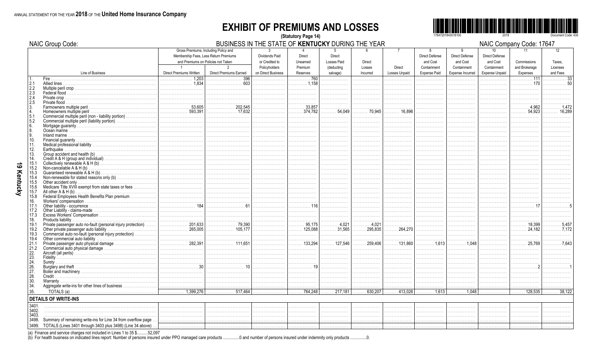## **EXHIBIT OF PREMIUMS AND LOSSES** (Statutory Page 14)



|                          | NAIC Group Code:                                                                                                                  |                                                                                                                     | BUSINESS IN THE STATE OF KENTUCKY DURING THE YEAR |                                                  |                                              |                                   |                             |                              |                                    |                                        |                                         | NAIC Company Code: 17647  |                            |
|--------------------------|-----------------------------------------------------------------------------------------------------------------------------------|---------------------------------------------------------------------------------------------------------------------|---------------------------------------------------|--------------------------------------------------|----------------------------------------------|-----------------------------------|-----------------------------|------------------------------|------------------------------------|----------------------------------------|-----------------------------------------|---------------------------|----------------------------|
|                          |                                                                                                                                   | Gross Premiums, Including Policy and<br>Membership Fees, Less Return Premiums<br>and Premiums on Policies not Taken | $\overline{2}$                                    | $\mathbf{R}$<br>Dividends Paid<br>or Credited to | Direct<br>Unearned<br>Premium                | Direct<br><b>Losses Paid</b>      | Direct                      | $\overline{7}$               | 8<br>Direct Defense<br>and Cost    | 9<br><b>Direct Defense</b><br>and Cost | 10<br><b>Direct Defense</b><br>and Cost | 11<br>Commissions         | 12 <sup>12</sup><br>Taxes. |
|                          | Line of Business                                                                                                                  | $\overline{1}$<br>Direct Premiums Written                                                                           | <b>Direct Premiums Earned</b>                     | Policyholders<br>on Direct Business              | Reserves                                     | (deducting<br>salvage)            | Losses<br>Incurred          | Direct<br>Losses Unpaid      | Containment<br><b>Expense Paid</b> | Containment<br>Expense Incurred        | Containment<br>Expense Unpaid           | and Brokerage<br>Expenses | Licenses<br>and Fees       |
| 2.1<br>2.2               |                                                                                                                                   | 1,203<br>.                                                                                                          | 396                                               | .                                                | . 760<br>. 1.158                             | .                                 | .                           | .                            | .                                  |                                        |                                         | . 111                     |                            |
| 2.3<br>2.4               |                                                                                                                                   |                                                                                                                     |                                                   |                                                  |                                              | .                                 |                             | .                            | .                                  |                                        |                                         |                           |                            |
| 2.5                      |                                                                                                                                   |                                                                                                                     |                                                   |                                                  | .                                            | .                                 |                             |                              |                                    |                                        |                                         |                           |                            |
|                          | Commercial multiple peril (non - liability portion)                                                                               | . 53,605<br>593,391                                                                                                 | 202,545                                           | .                                                | $\ldots \ldots 33.857$<br>$\ldots$ . 374.782 | 54.049<br>.                       | 70,945                      | . 16,896                     |                                    |                                        |                                         | 4.962<br>54.923           | 16.289                     |
| 5.1<br>5.2<br>6.         | Commercial multiple peril (liability portion)                                                                                     |                                                                                                                     |                                                   | .<br>.                                           | .                                            | .                                 | .<br>.                      | .<br>.                       | .                                  |                                        | .                                       |                           |                            |
| 8.                       |                                                                                                                                   |                                                                                                                     |                                                   | .                                                | .                                            | .                                 |                             |                              | .                                  |                                        | .                                       |                           |                            |
| 10.<br>l 11.             |                                                                                                                                   |                                                                                                                     |                                                   | .<br>.                                           | .                                            | .<br>.                            | .                           | .                            |                                    |                                        | .<br>.                                  | .                         |                            |
| 12.<br>13.               | Earthquake                                                                                                                        |                                                                                                                     |                                                   | .                                                |                                              | .                                 |                             | .                            |                                    |                                        | .                                       |                           |                            |
| 14.<br>15.1              |                                                                                                                                   |                                                                                                                     |                                                   | .                                                | .                                            | .                                 | .                           | .                            | .                                  | .                                      | .                                       |                           |                            |
| 15.2<br>15.3             |                                                                                                                                   |                                                                                                                     |                                                   |                                                  |                                              | .<br>.                            |                             |                              |                                    |                                        | .                                       |                           |                            |
| 15.4<br>15.5<br>15.6     | Medicare Title XVIII exempt from state taxes or fees                                                                              |                                                                                                                     |                                                   | .<br>.                                           | .                                            | .<br>.                            |                             | .<br>.                       | .                                  |                                        | .<br>.<br>.                             |                           |                            |
| 15.7<br>15.8             | All other $A & H(b)$<br>Federal Employees Health Benefits Plan premium                                                            |                                                                                                                     |                                                   | .                                                | .                                            | .                                 | .                           | .                            | .                                  |                                        | .                                       |                           |                            |
| 16.<br>17.1              |                                                                                                                                   |                                                                                                                     |                                                   | .                                                | . 116                                        | .<br>.                            | .                           | .                            | .                                  | .                                      | .                                       | .                         |                            |
| 17.2<br>17.3             |                                                                                                                                   |                                                                                                                     |                                                   |                                                  |                                              | .                                 |                             |                              |                                    |                                        |                                         |                           |                            |
| 18.<br>19.1              | Private passenger auto no-fault (personal injury protection)                                                                      | $\frac{201,633}{ }$                                                                                                 | . 79,390                                          | .<br>.                                           | .<br>. 95,175                                | .<br>$\ldots \ldots \ldots 4,021$ | .<br>. 4,021                | .<br>.                       | .                                  |                                        | .                                       | 18,399                    |                            |
| 19.2<br>19.3<br>19.4     | Commercial auto no-fault (personal injury protection)                                                                             |                                                                                                                     | . 105,177                                         | .                                                | 125,088<br>.<br>.                            | 31,565<br>.                       | . 295,835                   | $\ldots \ldots 264,270$<br>. | .                                  | .                                      | .                                       | $\cdots$ 24,182<br>.      | . 7.172                    |
| 21.1<br>21.2             |                                                                                                                                   | . 282.391                                                                                                           | . 111.651                                         | .                                                | $\ldots$ 133.294<br>.                        | $\ldots \ldots$ 127.546<br>.      | 259.406<br>.                | 131.860<br>.                 | . 1.613<br>.                       | . 1.048<br>.                           | .<br>.                                  | . 25.769                  |                            |
| 22.<br>$\overline{23}$ . |                                                                                                                                   |                                                                                                                     |                                                   | .                                                | .                                            | .                                 | .                           | .                            | .                                  |                                        |                                         |                           |                            |
| 24.<br>26.               |                                                                                                                                   |                                                                                                                     |                                                   | .                                                | .                                            | .                                 | .                           | .                            |                                    |                                        |                                         |                           |                            |
| 27.<br>28.               |                                                                                                                                   |                                                                                                                     |                                                   |                                                  | .                                            | .                                 | .                           | .                            | .                                  | .                                      | .                                       | .                         |                            |
| 30.<br>34.               |                                                                                                                                   |                                                                                                                     |                                                   | .                                                | .<br>.                                       | .<br>.                            | .<br>.                      | .<br>.                       | .<br>.                             |                                        | .                                       |                           |                            |
| 35.                      | <b>DETAILS OF WRITE-INS</b>                                                                                                       | $\overline{\cdots}$ 1,399,276                                                                                       | $\overline{\cdots}$ 517,464                       | .                                                | $\ldots \ldots$ 764,248                      | $\ldots \ldots 217,181$           | $\overline{\cdots}$ 630,207 | $\ldots \ldots$ 413,026      | $\overline{\cdots \cdots 1,613}$   | . 1,048                                | .                                       | . 128,535                 | $\ldots \ldots$ 38,12      |
| 3401                     |                                                                                                                                   |                                                                                                                     |                                                   |                                                  |                                              |                                   |                             |                              |                                    |                                        |                                         |                           |                            |
| 3402.<br>3403            |                                                                                                                                   |                                                                                                                     |                                                   |                                                  |                                              | .                                 |                             |                              |                                    | .                                      | .                                       |                           |                            |
| 3498.                    | Summary of remaining write-ins for Line 34 from overflow page<br>3499. TOTALS (Lines 3401 through 3403 plus 3498) (Line 34 above) |                                                                                                                     |                                                   | .                                                | .                                            | .                                 | .                           | .                            | .                                  |                                        |                                         |                           |                            |
|                          |                                                                                                                                   |                                                                                                                     |                                                   |                                                  |                                              |                                   |                             |                              |                                    |                                        |                                         |                           |                            |

(a) Finance and service charges not included in Lines 1 to 35 \$..........52,097<br>(b) For health business on indicated lines report: Number of persons insured under PPO managed care products .................................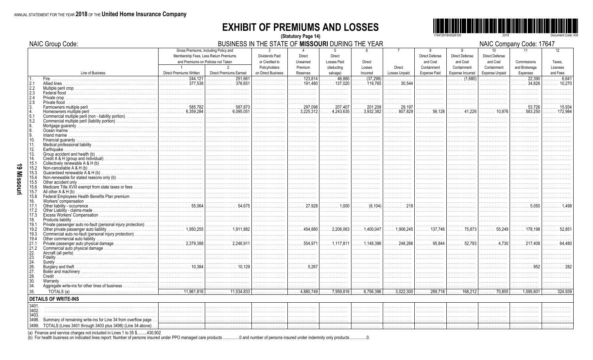## **EXHIBIT OF PREMIUMS AND LOSSES** (Statutory Page 14)



NAIC Company Code: 17647

|               | <b>NAIC Group Code:</b>                                                                                                     |                                       |                                | BUSINESS IN THE STATE OF MISSOURI DURING THE YEAR |                             |                          |                                |                              |                       |                                                |                        | NAIC Company Code: 17647 |                         |
|---------------|-----------------------------------------------------------------------------------------------------------------------------|---------------------------------------|--------------------------------|---------------------------------------------------|-----------------------------|--------------------------|--------------------------------|------------------------------|-----------------------|------------------------------------------------|------------------------|--------------------------|-------------------------|
|               |                                                                                                                             | Gross Premiums, Including Policy and  |                                | $\mathbf{3}$                                      |                             | $5^{\circ}$              | 6                              | $\overline{7}$               | 8                     | q                                              | 10 <sup>10</sup>       | 11                       | 12                      |
|               |                                                                                                                             | Membership Fees, Less Return Premiums |                                | Dividends Paid                                    | <b>Direct</b>               | <b>Direct</b>            |                                |                              | <b>Direct Defense</b> | <b>Direct Defense</b>                          | Direct Defense         |                          |                         |
|               |                                                                                                                             | and Premiums on Policies not Taken    |                                | or Credited to                                    | Unearned                    | Losses Paid              | Direct                         |                              | and Cost              | and Cost                                       | and Cost               | Commissions              | Taxes.                  |
|               |                                                                                                                             | $\overline{1}$                        | 2                              | Policyholders                                     | Premium                     | <i>(deducting</i>        | Losses                         | <b>Direct</b>                | Containment           | Containment                                    | Containment            | and Brokerage            | Licenses                |
|               | Line of Business                                                                                                            | Direct Premiums Written               | <b>Direct Premiums Earned</b>  | on Direct Business                                | Reserves                    | salvage)                 | Incurred                       | Losses Unpaid                | <b>Expense Paid</b>   | Expense Incurred                               | <b>Expense Unpaid</b>  | Expenses                 | and Fees                |
|               | Fire.                                                                                                                       | 244,121<br>.                          | 251.661<br>.                   | .                                                 | $\overline{\cdots}$ 123,814 | 46.880<br>.              | (37,298)                       | .                            | .                     | $\overline{\cdots}$ (1,680)                    | .                      | 22,390<br>.              | .6.64 <sup>2</sup><br>. |
| 2.1           | Allied lines                                                                                                                | 377.538<br>.                          | 376.651<br>.                   | .                                                 |                             | $\ldots$ 137.020         | $\ldots$ . 119,765             | $\ldots \ldots 30,544$       | .                     | .                                              |                        | 34,626                   | $\ldots$ 10.270         |
| 2.2           | Multiple peril crop                                                                                                         |                                       |                                |                                                   |                             |                          | .                              | .                            | .                     | .                                              |                        | .                        |                         |
| 2.3<br>2.4    |                                                                                                                             |                                       |                                |                                                   |                             |                          |                                |                              |                       |                                                |                        |                          |                         |
| 2.5           |                                                                                                                             |                                       |                                |                                                   |                             |                          |                                |                              | .                     | .                                              |                        | .                        |                         |
|               | Farmowners multiple peril.                                                                                                  | 585.782                               |                                |                                                   | 297,098                     | 207,407                  | 201.208                        | .29,197                      |                       |                                                |                        | 53,726                   |                         |
|               | Homeowners multiple peril                                                                                                   | 6,359,284                             | 6.095.051<br>.                 | .                                                 | $\ldots$ . 3,225,312        | .4,243,635<br>$\ldots$ . | $\ldots$ 3,932,382             | 807,829                      | 56,128                | . 41,226                                       | . 10,876               | $\ldots \ldots 583.250$  | . 172,984               |
| 5.1           | Commercial multiple peril (non - liability portion)                                                                         |                                       |                                |                                                   |                             | .                        | .                              |                              | .                     |                                                |                        |                          |                         |
| 5.2           | Commercial multiple peril (liability portion)                                                                               |                                       |                                | .                                                 | .                           | .                        | .                              | .                            | .                     | .                                              |                        | .                        |                         |
| 6.            |                                                                                                                             |                                       |                                |                                                   |                             |                          | .                              |                              |                       |                                                |                        |                          |                         |
| 8             |                                                                                                                             |                                       |                                | .                                                 | .                           | .                        | .                              | .                            | .                     | .                                              | .                      | .                        |                         |
| 9             |                                                                                                                             |                                       |                                |                                                   |                             |                          |                                |                              |                       |                                                |                        |                          |                         |
| 10.           |                                                                                                                             |                                       |                                | .                                                 | .                           | .                        | .                              | .                            | .                     | .                                              | .                      | .                        |                         |
| 11.<br>12.    | Earthouake                                                                                                                  |                                       |                                | .                                                 | .                           | .                        | .                              | .                            | .                     | .                                              | .                      | .                        |                         |
| 13.           |                                                                                                                             |                                       |                                | .                                                 |                             |                          | .                              |                              | .<br>.                |                                                |                        |                          |                         |
| 14.           |                                                                                                                             |                                       |                                |                                                   | .                           |                          |                                |                              | .                     |                                                |                        |                          |                         |
| 15.1          |                                                                                                                             |                                       |                                | .                                                 | .                           |                          | .                              |                              | .                     | .                                              |                        |                          |                         |
| 15.2          | Non-cancelable $A & H(b)$                                                                                                   |                                       |                                |                                                   |                             |                          |                                |                              |                       |                                                |                        |                          |                         |
| 15.3          |                                                                                                                             |                                       |                                | .                                                 | .                           | .                        | .                              | .                            | .                     | .                                              | .                      | .                        |                         |
| 15.4          |                                                                                                                             |                                       |                                |                                                   |                             |                          |                                |                              |                       |                                                |                        |                          |                         |
| 15.5          |                                                                                                                             |                                       |                                |                                                   | .                           | .                        | .                              | .                            | .                     | .                                              | .                      | .                        |                         |
| 15.6          | Medicare Title XVIII exempt from state taxes or fees                                                                        |                                       |                                | .                                                 | .                           | .                        | .                              |                              | .                     | .                                              |                        | .                        |                         |
| 15.7<br>15.8  | All other $A & H(b)$<br>Federal Employees Health Benefits Plan premium                                                      |                                       |                                | .                                                 |                             |                          | .                              |                              | .                     | .                                              |                        |                          |                         |
| 16.           |                                                                                                                             |                                       |                                |                                                   |                             |                          |                                | .                            | .<br>.                | .                                              | .                      |                          |                         |
| 17.1          |                                                                                                                             |                                       | . 54.675                       | .                                                 | . 27.928                    | . 1.000                  | $\ldots \ldots \ldots$ (8,104) | . 218                        | .                     | .                                              | .                      | . 5,050                  |                         |
| 17.2          |                                                                                                                             |                                       |                                |                                                   |                             |                          | .                              | .                            | .                     |                                                |                        |                          |                         |
| 17.3          |                                                                                                                             |                                       |                                | .                                                 | .                           | .                        | .                              | .                            | .                     |                                                | .                      |                          |                         |
| 18.           |                                                                                                                             |                                       |                                |                                                   |                             |                          |                                | .                            | .                     |                                                |                        |                          |                         |
| 19.1          | Private passenger auto no-fault (personal injury protection)                                                                |                                       |                                | .                                                 | .                           |                          | .                              | .                            | .                     |                                                | .                      | .                        |                         |
| 19.2          | Other private passenger auto liability.                                                                                     |                                       |                                |                                                   |                             | 2,206,063                | 1.400.047                      | 1.906.245                    | $\ldots$ . 137,746    | . 75.873                                       | 55 249                 |                          |                         |
| 19.3<br>19.4  | Commercial auto no-fault (personal injury protection)                                                                       |                                       |                                | .                                                 | .                           | .                        | .                              | .                            | .                     | .                                              | .                      | .                        |                         |
| 21.1          |                                                                                                                             | 2,379,388                             | . 2,246,911                    | .                                                 | 554,971                     | $\ldots$ . 1,117,811     | $\ldots$ . 1,148,396           | .<br>$\ldots \ldots 248,266$ | .<br>95,844           | 52,793                                         | 4.730                  | 217,408                  |                         |
| 21.2          |                                                                                                                             |                                       |                                |                                                   |                             | .                        | .                              | .                            | .                     | .                                              | .                      | .                        |                         |
| 22.           |                                                                                                                             |                                       |                                | .                                                 | .                           | .                        | .                              | .                            | .                     | .                                              | .                      | .                        |                         |
| 23.           |                                                                                                                             |                                       |                                |                                                   | .                           | .                        | .                              |                              | .                     |                                                |                        |                          |                         |
| 24.           |                                                                                                                             |                                       |                                | .                                                 | .                           | .                        | .                              | .                            | .                     | .                                              | .                      | .                        |                         |
| 26.           |                                                                                                                             |                                       | . 10,129                       | .                                                 | . 5,267                     | .                        | .                              | .                            | .                     | .                                              | .                      | . 952                    |                         |
| 27.           |                                                                                                                             |                                       |                                |                                                   |                             |                          |                                |                              | .                     |                                                |                        |                          |                         |
| 28.           |                                                                                                                             |                                       |                                | .                                                 |                             | .                        | .                              | .                            |                       |                                                |                        |                          |                         |
| 30.<br>34.    |                                                                                                                             |                                       |                                |                                                   |                             |                          |                                |                              |                       |                                                |                        |                          |                         |
| 35.           |                                                                                                                             | $\overline{\ldots}$ 11,961,816        | $\overline{\cdots}$ 11,534,833 | .                                                 | .<br>.4,880,749             | .<br>. 7,959,816         | .<br>.6,756,396                | .3,022,300                   | .<br>.289,718         | .<br>$\overline{\ldots \ldots \ldots 168,212}$ | $\ldots \ldots$ 70,855 | $\ldots$ 1,095,601       | 324.939                 |
|               |                                                                                                                             |                                       |                                | .                                                 |                             |                          |                                |                              | .                     |                                                |                        |                          |                         |
|               | <b>DETAILS OF WRITE-INS</b>                                                                                                 |                                       |                                |                                                   |                             |                          |                                |                              |                       |                                                |                        |                          |                         |
| 3401          |                                                                                                                             |                                       |                                |                                                   |                             |                          |                                |                              |                       |                                                |                        |                          |                         |
| 3402.         |                                                                                                                             |                                       |                                |                                                   |                             | .                        |                                | .                            |                       |                                                |                        |                          |                         |
|               |                                                                                                                             |                                       |                                |                                                   |                             |                          |                                |                              |                       |                                                |                        |                          |                         |
| 3498.<br>3499 | Summary of remaining write-ins for Line 34 from overflow page<br>TOTALS (Lines 3401 through 3403 plus 3498) (Line 34 above) |                                       |                                | .                                                 | .                           | .                        | .                              | .                            | .                     | .                                              | .                      |                          |                         |
|               |                                                                                                                             |                                       |                                |                                                   |                             |                          |                                |                              |                       |                                                |                        |                          |                         |

(a) Finance and service charges not included in Lines 1 to 35 \$........430,902<br>(b) For health business on indicated lines report: Number of persons insured under PPO managed care products ..... ...0 and number of persons insured under indemnity only products ...............0.

19 Missouri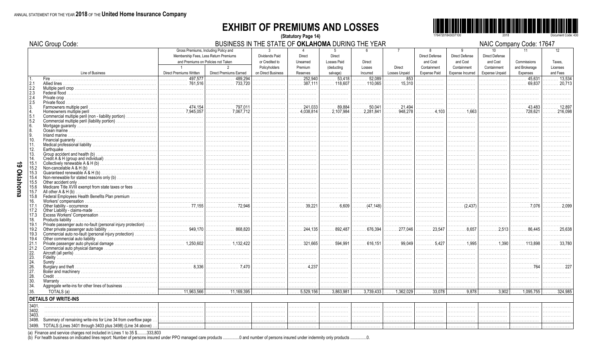#### **EXHIBIT OF PREMIUMS AND LOSSES** (Statutory Page 14)



 $MMOQ$ 

Document Code: 430

|               | <b>NAIC Group Code:</b>                                          |                                           | BUSINESS IN THE STATE OF OKLAHOMA DURING THE YEAR                                                                   |                                                   |                         |                               |                               |                         |                                        |                                         |                                                      | NAIC Company Code: 17647     |                           |
|---------------|------------------------------------------------------------------|-------------------------------------------|---------------------------------------------------------------------------------------------------------------------|---------------------------------------------------|-------------------------|-------------------------------|-------------------------------|-------------------------|----------------------------------------|-----------------------------------------|------------------------------------------------------|------------------------------|---------------------------|
|               |                                                                  |                                           | Gross Premiums, Including Policy and<br>Membership Fees, Less Return Premiums<br>and Premiums on Policies not Taken | $\mathcal{R}$<br>Dividends Paid<br>or Credited to | Direct<br>Unearned      | Direct<br><b>Losses Paid</b>  | Direct                        | $\overline{7}$          | 8<br><b>Direct Defense</b><br>and Cost | 9<br><b>Direct Defense</b><br>and Cost  | 10 <sup>1</sup><br><b>Direct Defense</b><br>and Cost | 11<br>Commissions            | 12 <sup>°</sup><br>Taxes. |
|               | Line of Business                                                 | $\overline{1}$<br>Direct Premiums Written | 2<br><b>Direct Premiums Earned</b>                                                                                  | Policyholders<br>on Direct Business               | Premium<br>Reserves     | (deducting<br>salvage)        | Losses<br>Incurred            | Direct<br>Losses Unpaid | Containment<br><b>Expense Paid</b>     | Containment<br>Expense Incurred         | Containment<br><b>Expense Unpaid</b>                 | and Brokerage<br>Expenses    | Licenses<br>and Fees      |
| 1.            |                                                                  | 497,577<br>.                              | 489.294                                                                                                             |                                                   | 252,940                 | 53,418<br>$\ldots$ 118.607    | 52.089                        | 853                     |                                        |                                         | .                                                    | 45,631<br>statistica         | 13,53                     |
| 2.1<br>2.2    | Multiple peril crop                                              | . 761.516                                 | $\ldots \ldots \ldots \ldots$ 733.720                                                                               | .                                                 | . 387.111               |                               | $\ldots$ 110.065              | 15.310<br>.             | .                                      |                                         |                                                      | $\ldots \ldots 69.837$       | . 20.713                  |
| 2.3           |                                                                  |                                           |                                                                                                                     |                                                   |                         |                               |                               |                         |                                        |                                         |                                                      |                              |                           |
| 2.4           |                                                                  |                                           |                                                                                                                     |                                                   |                         |                               |                               |                         |                                        |                                         | .                                                    |                              |                           |
| 2.5           |                                                                  | . 474.154                                 |                                                                                                                     |                                                   | $\ldots$ 241.033        | 89.884                        | 50.041                        | .<br>$\ldots$ 21.494    |                                        |                                         |                                                      | 43.483                       |                           |
|               | Farmowners multiple peril<br>Homeowners multiple peril           | . 7,945,057                               | 797.011<br>. 7,067.712                                                                                              | .                                                 | $\ldots$ 4,038,814      | $\ldots$ . 2,107,984          | $\ldots$ . 2,281,841          | $\ldots \ldots 948,278$ | $\ldots \ldots \ldots 4,103$           | . 1,663                                 | .                                                    | 728,621                      | . 216,098                 |
| 5.1           | Commercial multiple peril (non - liability portion)              |                                           |                                                                                                                     |                                                   | .                       | .                             | .                             | .                       |                                        |                                         |                                                      |                              |                           |
| 5.2           | Commercial multiple peril (liability portion)                    |                                           |                                                                                                                     | .                                                 | .                       | .                             | .                             | .                       | .                                      | .                                       | .                                                    | .                            |                           |
| 6.            |                                                                  |                                           |                                                                                                                     |                                                   |                         | .                             | .                             |                         |                                        |                                         |                                                      |                              |                           |
| 8.            |                                                                  |                                           |                                                                                                                     |                                                   | .                       | .                             |                               | .                       | .                                      |                                         |                                                      |                              |                           |
| 10.           |                                                                  |                                           |                                                                                                                     |                                                   | .                       | .                             | .                             | .                       | .                                      |                                         | .                                                    |                              |                           |
| 11.           |                                                                  |                                           |                                                                                                                     | .                                                 | .                       | .                             | .                             | .                       | .                                      | .                                       | .                                                    |                              |                           |
| 12.           | Earthquake.                                                      |                                           |                                                                                                                     |                                                   |                         | .                             |                               |                         | .                                      |                                         |                                                      |                              |                           |
| 13.<br>14.    |                                                                  |                                           |                                                                                                                     | .                                                 | .                       | .                             | .                             | .                       | .                                      | .                                       | .                                                    | .                            |                           |
| 15.1          |                                                                  |                                           |                                                                                                                     |                                                   | .                       | .                             | .                             | .                       | .                                      | .                                       | .                                                    | .                            |                           |
| 15.2          | Non-cancelable $A & H(b)$                                        |                                           |                                                                                                                     |                                                   |                         | .                             | .                             | .                       | .                                      |                                         |                                                      |                              |                           |
| 15.3          |                                                                  |                                           |                                                                                                                     |                                                   |                         | .                             | .                             |                         | .                                      |                                         |                                                      |                              |                           |
| 15.4          |                                                                  |                                           |                                                                                                                     | .                                                 |                         |                               |                               |                         |                                        |                                         |                                                      |                              |                           |
| 15.5<br>15.6  | Other accident only                                              |                                           |                                                                                                                     |                                                   | .                       | .                             | .                             | .                       | .                                      | .                                       | .                                                    | .                            |                           |
| 15.7          | All other $A & H(b)$                                             |                                           |                                                                                                                     |                                                   |                         |                               |                               |                         |                                        |                                         |                                                      |                              |                           |
| 15.8          | Federal Employees Health Benefits Plan premium                   |                                           |                                                                                                                     |                                                   | .                       | .                             | .                             | .                       | .                                      |                                         | .                                                    | .                            |                           |
| 16.           |                                                                  |                                           |                                                                                                                     |                                                   | .                       | .                             | .                             | .                       | .                                      | .                                       |                                                      |                              |                           |
| 17.1          |                                                                  |                                           | . 72,946                                                                                                            | .                                                 | 39,221                  | . 6.609                       | $\ldots \ldots$ (47,148)      | .                       | .                                      |                                         | .                                                    | $\ldots \ldots \ldots 7.076$ | . 2.099                   |
| 17.2<br>17.3  |                                                                  |                                           |                                                                                                                     | .                                                 | .                       | .<br>.                        | .                             | .                       | .<br>.                                 | .                                       | .                                                    | .                            |                           |
| 18.           |                                                                  |                                           |                                                                                                                     | .                                                 | .                       | .                             | .                             | .                       | .                                      | .                                       | .                                                    |                              |                           |
| 19.1          | Private passenger auto no-fault (personal injury protection)     |                                           |                                                                                                                     |                                                   |                         | .                             | .                             | .                       |                                        |                                         |                                                      |                              |                           |
| 19.2          |                                                                  |                                           | 868,820                                                                                                             | .                                                 | $\ldots \ldots 244.135$ | $\ldots \ldots$ 892,487       | . 676,394<br>.                | $\ldots \ldots 277,046$ | . 23,547                               | . 8,657                                 | . 2.513                                              | . 86,445                     | . 25,638                  |
| 19.3<br>19.4  | Commercial auto no-fault (personal injury protection)            |                                           |                                                                                                                     |                                                   |                         | .                             |                               | .                       | .                                      |                                         |                                                      |                              |                           |
| 21.1          |                                                                  | $\ldots \ldots \ldots \ldots 1.250.602$   | . 1,132,422                                                                                                         | .                                                 | .<br>. 321.665          | .<br>594.991<br>.             | .<br>616.151                  | .                       | .<br>. 5.427                           | .<br>. 1,995                            | .<br>. 1.390                                         | .                            | 33.780                    |
| 21.2          |                                                                  |                                           |                                                                                                                     |                                                   | .                       | .                             | .                             | .                       | .                                      | .                                       | .                                                    | .                            |                           |
| 22.           |                                                                  |                                           |                                                                                                                     | .                                                 | .                       | .                             | .                             | .                       | .                                      | .                                       | .                                                    | .                            |                           |
| 23.           |                                                                  |                                           |                                                                                                                     |                                                   |                         |                               |                               |                         |                                        |                                         |                                                      |                              |                           |
| 24.<br>26.    |                                                                  | 8,336                                     | . 7.470                                                                                                             | .                                                 | .                       | .<br>.                        | .                             | .<br>.                  | .                                      | .                                       | .                                                    | .                            |                           |
| 27.           |                                                                  |                                           |                                                                                                                     |                                                   | .                       | .                             | .                             | .                       | .                                      | .                                       | .                                                    | .                            |                           |
| 28.           |                                                                  |                                           |                                                                                                                     |                                                   |                         |                               |                               |                         |                                        |                                         |                                                      |                              |                           |
| 30.           |                                                                  |                                           |                                                                                                                     |                                                   | .                       | .                             | .                             | .                       | .                                      | .                                       |                                                      |                              |                           |
| 34.           |                                                                  |                                           |                                                                                                                     |                                                   |                         |                               |                               |                         |                                        | .                                       |                                                      |                              |                           |
| 35.           |                                                                  | $\overline{\cdots}$ 11,963,566            | $\overline{\ldots}$ 11,169,395                                                                                      | .                                                 | $\overline{5,529,156}$  | $\overline{\ldots 3,863,981}$ | $\overline{\ldots 3,739,433}$ | $\overline{1,362,029}$  | $\overline{\cdots}$ 33,078             | $\overline{\ldots \ldots \ldots 9,878}$ | 3,902                                                | $\ldots$ 1,095,755           | 324,98                    |
|               | <b>DETAILS OF WRITE-INS</b>                                      |                                           |                                                                                                                     |                                                   |                         |                               |                               |                         |                                        |                                         |                                                      |                              |                           |
| 3401          |                                                                  |                                           |                                                                                                                     |                                                   |                         |                               |                               |                         |                                        |                                         |                                                      |                              |                           |
| 3402          |                                                                  |                                           |                                                                                                                     |                                                   |                         | .                             | .                             |                         |                                        |                                         | .                                                    |                              |                           |
| 3403<br>3498. | Summary of remaining write-ins for Line 34 from overflow page    |                                           |                                                                                                                     |                                                   |                         |                               |                               |                         |                                        |                                         |                                                      |                              |                           |
|               | 3499. TOTALS (Lines 3401 through 3403 plus 3498) (Line 34 above) |                                           |                                                                                                                     | .                                                 | .                       | .                             | .                             | .<br>.                  | .                                      |                                         | .                                                    |                              |                           |
|               |                                                                  |                                           |                                                                                                                     |                                                   |                         |                               |                               |                         |                                        |                                         |                                                      |                              |                           |

(a) Finance and service charges not included in Lines 1 to 35 \$.........333,803<br>(b) For health business on indicated lines report: Number of persons insured under PPO managed care products .................................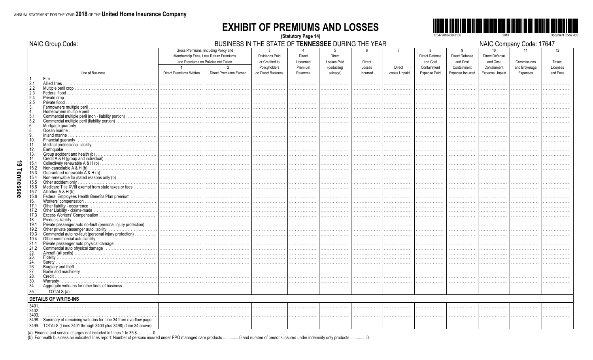NAIC Group Code:

#### **EXHIBIT OF PREMIUMS AND LOSSES** (Statutory Page 14)



BUSINESS IN THE STATE OF TENNESSEE DURING THE YEAR

NAIC Company Code: 17647

|                                                         |                                                                  |                                | Gross Premiums, Including Policy and  | $\mathbf{3}$       | $\overline{4}$ | 5                  | 6             |                      | $\mathbf{g}$        | 9                       | 10                    | 11            | 12       |
|---------------------------------------------------------|------------------------------------------------------------------|--------------------------------|---------------------------------------|--------------------|----------------|--------------------|---------------|----------------------|---------------------|-------------------------|-----------------------|---------------|----------|
|                                                         |                                                                  |                                | Membership Fees, Less Return Premiums | Dividends Paid     | <b>Direct</b>  |                    |               |                      |                     | Direct Defense          | Direct Defense        |               |          |
|                                                         |                                                                  |                                |                                       |                    |                | Direct             |               |                      | Direct Defense      |                         |                       |               |          |
|                                                         |                                                                  |                                | and Premiums on Policies not Taken    | or Credited to     | Unearned       | <b>Losses Paid</b> | <b>Direct</b> |                      | and Cost            | and Cost                | and Cost              | Commissions   | Taxes.   |
|                                                         |                                                                  |                                | $\overline{2}$                        | Policyholders      | Premium        | (deducting         | Losses        | Direct               | Containment         | Containment             | Containment           | and Brokerage | Licenses |
|                                                         | Line of Business                                                 | <b>Direct Premiums Written</b> | <b>Direct Premiums Earned</b>         | on Direct Business | Reserves       | salvage)           | Incurred      | <b>Losses Unpaid</b> | <b>Expense Paid</b> | <b>Expense Incurred</b> | <b>Expense Unpaid</b> | Expenses      | and Fees |
| $\overline{1}$ .                                        |                                                                  |                                |                                       |                    |                |                    |               |                      |                     |                         |                       |               |          |
|                                                         | Fire.                                                            |                                |                                       |                    |                | .                  | .             | .                    | .                   |                         |                       |               |          |
|                                                         |                                                                  |                                |                                       |                    | .              | .                  | .             | .                    | .                   | .                       | .                     | .             |          |
| $\begin{array}{r} 2.1 \\ 2.2 \\ 2.3 \\ 2.4 \end{array}$ |                                                                  |                                |                                       |                    |                |                    |               |                      | .                   |                         |                       |               |          |
|                                                         |                                                                  |                                |                                       |                    |                |                    |               |                      | .                   |                         |                       |               |          |
|                                                         |                                                                  |                                |                                       |                    |                |                    |               |                      | .                   |                         |                       |               |          |
| $\sqrt{2.5}$                                            |                                                                  |                                |                                       |                    |                |                    |               |                      |                     |                         |                       |               |          |
|                                                         |                                                                  |                                |                                       |                    |                |                    |               |                      | .                   |                         |                       |               |          |
| $\frac{3}{4}$                                           |                                                                  |                                |                                       |                    |                |                    |               |                      | .                   |                         |                       |               |          |
| 5.1                                                     | Commercial multiple peril (non - liability portion)              |                                |                                       |                    |                |                    |               |                      | .                   |                         |                       |               |          |
| 5.2                                                     | Commercial multiple peril (liability portion)                    |                                |                                       |                    |                |                    |               |                      |                     |                         |                       |               |          |
|                                                         |                                                                  |                                |                                       |                    |                |                    |               |                      | .                   |                         |                       |               |          |
| $\begin{bmatrix} 6 \\ 8 \end{bmatrix}$                  |                                                                  |                                |                                       |                    |                |                    |               |                      | .                   |                         |                       |               |          |
| l 9.                                                    | Inland marine                                                    |                                |                                       |                    |                |                    |               |                      |                     |                         |                       |               |          |
| 10.                                                     |                                                                  |                                |                                       |                    |                |                    |               |                      |                     |                         |                       |               |          |
| 11.                                                     |                                                                  |                                |                                       |                    |                |                    |               |                      |                     |                         |                       |               |          |
|                                                         |                                                                  |                                |                                       |                    |                |                    |               |                      | .                   |                         |                       |               |          |
| 12.                                                     | Earthquake.                                                      |                                |                                       |                    |                |                    |               |                      |                     |                         |                       |               |          |
| 13.                                                     |                                                                  |                                |                                       |                    |                |                    |               |                      |                     |                         |                       |               |          |
| 14.                                                     |                                                                  |                                |                                       |                    |                |                    |               |                      |                     |                         |                       |               |          |
| 15.1                                                    |                                                                  |                                |                                       |                    |                |                    |               |                      |                     |                         |                       |               |          |
| 15.2                                                    | Non-cancelable $A & H(b)$                                        |                                |                                       |                    |                |                    |               |                      |                     |                         |                       |               |          |
| 15.3                                                    |                                                                  |                                |                                       |                    |                |                    |               |                      |                     |                         |                       |               |          |
| 15.4                                                    |                                                                  |                                |                                       |                    |                |                    |               |                      |                     |                         |                       |               |          |
| 15.5                                                    | Other accident only                                              |                                |                                       |                    |                |                    |               |                      |                     |                         |                       |               |          |
| 15.6                                                    | Medicare Title XVIII exempt from state taxes or fees             |                                |                                       |                    |                |                    |               |                      |                     |                         |                       |               |          |
| 15.7                                                    | All other A & H (b)                                              |                                |                                       |                    |                |                    |               |                      |                     |                         |                       |               |          |
| 15.8                                                    | Federal Employees Health Benefits Plan premium                   |                                |                                       |                    |                |                    |               |                      |                     |                         |                       |               |          |
| 16.                                                     |                                                                  |                                |                                       |                    |                |                    |               |                      |                     |                         |                       |               |          |
| 17.1                                                    |                                                                  |                                |                                       |                    |                | .                  |               |                      | .                   |                         |                       |               |          |
| 17.2                                                    |                                                                  |                                |                                       |                    |                |                    |               |                      |                     |                         |                       |               |          |
| $ 17.3\rangle$                                          |                                                                  |                                |                                       |                    |                |                    |               |                      |                     |                         |                       |               |          |
| 18.                                                     |                                                                  |                                |                                       |                    |                |                    |               |                      |                     |                         |                       |               |          |
| 19.1                                                    | Private passenger auto no-fault (personal injury protection)     |                                |                                       |                    |                | .                  |               |                      | .                   |                         |                       |               |          |
| 19.2                                                    |                                                                  |                                |                                       |                    |                |                    |               |                      | .                   |                         |                       |               |          |
|                                                         | Commercial auto no-fault (personal injury protection)            |                                |                                       |                    |                |                    |               |                      |                     |                         |                       |               |          |
| 19.3                                                    |                                                                  |                                |                                       |                    |                |                    |               |                      |                     |                         |                       |               |          |
| 19.4                                                    |                                                                  |                                |                                       |                    |                | .                  |               |                      | .                   |                         |                       |               |          |
| 21.1                                                    | Private passenger auto physical damage                           |                                |                                       |                    |                |                    |               |                      |                     |                         |                       |               |          |
| 21.2                                                    |                                                                  |                                |                                       |                    |                |                    |               |                      |                     |                         |                       |               |          |
| $\begin{bmatrix} 22 \\ 23 \\ 24 \end{bmatrix}$          |                                                                  |                                |                                       |                    |                |                    |               |                      |                     |                         |                       |               |          |
|                                                         |                                                                  |                                |                                       |                    |                |                    |               |                      | .                   |                         |                       |               |          |
|                                                         |                                                                  | .                              |                                       |                    |                |                    |               |                      |                     |                         |                       |               |          |
| $\left  \frac{26}{27} \right $                          |                                                                  |                                |                                       |                    |                |                    |               |                      |                     |                         |                       |               |          |
|                                                         |                                                                  |                                |                                       |                    |                |                    |               |                      |                     |                         |                       |               |          |
| 28.                                                     | Credit.                                                          |                                |                                       |                    |                |                    |               |                      |                     |                         |                       |               |          |
| 30.                                                     |                                                                  |                                |                                       |                    |                |                    |               |                      |                     |                         |                       |               |          |
| 34.                                                     | Aggregate write-ins for other lines of business                  |                                |                                       |                    |                |                    |               |                      |                     |                         |                       |               |          |
| 35.                                                     |                                                                  |                                |                                       |                    |                |                    |               |                      |                     |                         |                       |               |          |
|                                                         |                                                                  |                                |                                       |                    |                |                    |               |                      |                     |                         |                       |               |          |
|                                                         | <b>DETAILS OF WRITE-INS</b>                                      |                                |                                       |                    |                |                    |               |                      |                     |                         |                       |               |          |
| 3401                                                    |                                                                  |                                |                                       |                    |                |                    |               |                      |                     |                         |                       |               |          |
|                                                         |                                                                  |                                |                                       |                    |                | .                  | .             |                      | .                   | .                       |                       |               |          |
| 3402.                                                   |                                                                  |                                |                                       |                    |                | .                  |               |                      | .                   |                         |                       |               |          |
| 3403.                                                   |                                                                  |                                |                                       |                    |                |                    |               |                      | .                   | .                       |                       |               |          |
| 3498.                                                   | Summary of remaining write-ins for Line 34 from overflow page    |                                |                                       |                    |                |                    |               |                      |                     |                         |                       |               |          |
|                                                         | 3499. TOTALS (Lines 3401 through 3403 plus 3498) (Line 34 above) |                                |                                       |                    |                |                    |               |                      | .                   |                         |                       |               |          |

(a) Finance and service charges not included in Lines 1 to 35 \$................0<br>(b) For health business on indicated lines report: Number of persons insured under PPO managed care products ................................  $\ldots$ 0.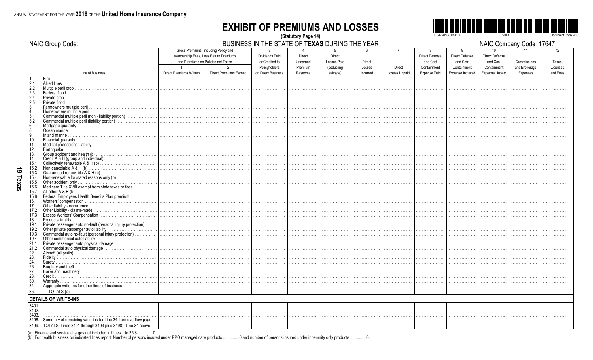NAIC Group Code:

#### **EXHIBIT OF PREMIUMS AND LOSSES** (Statutory Page 14)



BUSINESS IN THE STATE OF TEXAS DURING THE YEAR

NAIC Company Code: 17647

|                                                          |                                                                  |                                                                                                                     |                               |                                                  |                         | --------                          |               |                |                                 |                                        | יווי שעוויו שע                                 | <u> 9999. 9.</u>  |              |
|----------------------------------------------------------|------------------------------------------------------------------|---------------------------------------------------------------------------------------------------------------------|-------------------------------|--------------------------------------------------|-------------------------|-----------------------------------|---------------|----------------|---------------------------------|----------------------------------------|------------------------------------------------|-------------------|--------------|
|                                                          |                                                                  | Gross Premiums, Including Policy and<br>Membership Fees, Less Return Premiums<br>and Premiums on Policies not Taken |                               | $\mathbf{3}$<br>Dividends Paid<br>or Credited to | 4<br>Direct<br>Unearned | 5<br>Direct<br><b>Losses Paid</b> | - 6<br>Direct | $\overline{7}$ | 8<br>Direct Defense<br>and Cost | 9<br><b>Direct Defense</b><br>and Cost | 10 <sup>10</sup><br>Direct Defense<br>and Cost | 11<br>Commissions | 12<br>Taxes. |
|                                                          |                                                                  | $\overline{1}$                                                                                                      | $\overline{2}$                | Policyholders                                    | Premium                 | (deducting                        | Losses        | Direct         | Containment                     | Containment                            | Containment                                    | and Brokerage     | Licenses     |
|                                                          | Line of Business                                                 | <b>Direct Premiums Written</b>                                                                                      | <b>Direct Premiums Earned</b> | on Direct Business                               | Reserves                | salvage)                          | Incurred      | Losses Unpaid  | <b>Expense Paid</b>             | Expense Incurred                       | <b>Expense Unpaid</b>                          | Expenses          | and Fees     |
|                                                          | Fire.                                                            |                                                                                                                     |                               |                                                  |                         |                                   |               |                |                                 |                                        |                                                |                   |              |
|                                                          |                                                                  |                                                                                                                     |                               |                                                  |                         |                                   |               |                | .                               |                                        |                                                |                   |              |
|                                                          |                                                                  |                                                                                                                     |                               |                                                  |                         |                                   |               |                |                                 |                                        |                                                |                   |              |
| $\begin{bmatrix} 2.1 \\ 2.2 \\ 2.3 \\ 2.4 \end{bmatrix}$ |                                                                  |                                                                                                                     |                               |                                                  |                         |                                   |               |                |                                 |                                        |                                                |                   |              |
|                                                          |                                                                  |                                                                                                                     |                               |                                                  |                         |                                   |               |                |                                 |                                        |                                                |                   |              |
|                                                          | Private flood.                                                   |                                                                                                                     |                               |                                                  |                         |                                   |               |                |                                 |                                        |                                                |                   |              |
|                                                          |                                                                  | .                                                                                                                   |                               |                                                  |                         |                                   |               |                |                                 |                                        |                                                |                   |              |
| $\begin{bmatrix} 2.5 \\ 3. \\ 4. \end{bmatrix}$          |                                                                  |                                                                                                                     |                               |                                                  |                         |                                   |               |                |                                 |                                        |                                                |                   |              |
| 5.1                                                      | Commercial multiple peril (non - liability portion)              | .                                                                                                                   |                               |                                                  |                         |                                   |               |                |                                 |                                        |                                                |                   |              |
| 5.2                                                      | Commercial multiple peril (liability portion)                    |                                                                                                                     |                               |                                                  |                         |                                   |               |                |                                 |                                        |                                                |                   |              |
| 6.                                                       |                                                                  |                                                                                                                     |                               |                                                  |                         |                                   |               |                |                                 |                                        |                                                |                   |              |
| 18.                                                      |                                                                  |                                                                                                                     |                               |                                                  |                         |                                   |               |                |                                 |                                        |                                                |                   |              |
|                                                          |                                                                  |                                                                                                                     |                               |                                                  |                         |                                   |               |                |                                 |                                        |                                                |                   |              |
| 9.                                                       |                                                                  |                                                                                                                     |                               |                                                  |                         |                                   |               |                |                                 |                                        |                                                |                   |              |
| 10.                                                      |                                                                  |                                                                                                                     |                               |                                                  |                         |                                   |               |                |                                 |                                        |                                                |                   |              |
| 11.                                                      |                                                                  | .                                                                                                                   |                               |                                                  |                         |                                   |               |                |                                 |                                        |                                                |                   |              |
| 12.                                                      |                                                                  |                                                                                                                     |                               |                                                  |                         |                                   |               |                |                                 |                                        |                                                |                   |              |
| 13.                                                      |                                                                  |                                                                                                                     |                               |                                                  |                         |                                   |               |                |                                 |                                        |                                                |                   |              |
| 14.                                                      |                                                                  |                                                                                                                     |                               |                                                  |                         |                                   |               |                |                                 |                                        |                                                |                   |              |
| 15.1                                                     |                                                                  |                                                                                                                     |                               |                                                  |                         |                                   |               |                | .                               |                                        |                                                |                   |              |
| 15.2                                                     | Non-cancelable A & H (b)<br>Guaranteed renewable A & H (b)       |                                                                                                                     |                               |                                                  |                         |                                   |               |                | .                               |                                        |                                                |                   |              |
| 15.3                                                     |                                                                  | .                                                                                                                   |                               |                                                  |                         |                                   |               |                |                                 |                                        |                                                |                   |              |
| 15.4                                                     |                                                                  |                                                                                                                     |                               |                                                  |                         |                                   |               |                |                                 |                                        |                                                |                   |              |
| 15.5                                                     |                                                                  |                                                                                                                     |                               |                                                  |                         |                                   |               |                | .                               |                                        |                                                |                   |              |
| 15.6                                                     | Medicare Title XVIII exempt from state taxes or fees             |                                                                                                                     |                               |                                                  |                         |                                   |               |                | .                               |                                        |                                                |                   |              |
| 15.7                                                     |                                                                  |                                                                                                                     |                               |                                                  |                         |                                   |               |                |                                 |                                        |                                                |                   |              |
| 15.8                                                     | Federal Employees Health Benefits Plan premium                   |                                                                                                                     |                               |                                                  |                         |                                   |               |                |                                 |                                        |                                                |                   |              |
| 16.                                                      |                                                                  |                                                                                                                     |                               |                                                  |                         |                                   |               |                |                                 |                                        |                                                |                   |              |
| 17.1                                                     |                                                                  |                                                                                                                     |                               |                                                  |                         |                                   |               |                |                                 |                                        |                                                |                   |              |
| 17.2                                                     |                                                                  |                                                                                                                     |                               |                                                  |                         |                                   |               |                |                                 |                                        |                                                |                   |              |
| 17.3                                                     |                                                                  |                                                                                                                     |                               |                                                  |                         |                                   |               |                |                                 |                                        |                                                |                   |              |
|                                                          |                                                                  |                                                                                                                     |                               |                                                  |                         |                                   |               |                |                                 |                                        |                                                |                   |              |
| 18.                                                      |                                                                  |                                                                                                                     |                               |                                                  |                         |                                   |               |                |                                 |                                        |                                                |                   |              |
| 19.1                                                     | Private passenger auto no-fault (personal injury protection)     |                                                                                                                     |                               |                                                  |                         |                                   |               |                |                                 |                                        |                                                |                   |              |
| 19.2                                                     |                                                                  |                                                                                                                     |                               |                                                  |                         |                                   |               |                |                                 |                                        |                                                |                   |              |
| 19.3                                                     | Commercial auto no-fault (personal injury protection)            |                                                                                                                     |                               |                                                  |                         |                                   |               |                |                                 |                                        |                                                |                   |              |
| 19.4                                                     |                                                                  |                                                                                                                     |                               |                                                  |                         |                                   |               |                |                                 |                                        |                                                |                   |              |
| 21.1                                                     |                                                                  |                                                                                                                     |                               |                                                  |                         |                                   |               |                |                                 |                                        |                                                |                   |              |
| 21.2                                                     |                                                                  |                                                                                                                     |                               |                                                  |                         |                                   |               |                |                                 |                                        |                                                |                   |              |
| $^{22}_{23}$                                             |                                                                  |                                                                                                                     |                               |                                                  |                         |                                   |               |                |                                 |                                        |                                                |                   |              |
|                                                          |                                                                  |                                                                                                                     |                               |                                                  |                         |                                   |               |                |                                 |                                        |                                                |                   |              |
| 24.                                                      |                                                                  |                                                                                                                     |                               |                                                  |                         |                                   |               |                |                                 |                                        |                                                |                   |              |
| $\left  \frac{26}{27} \right $                           |                                                                  |                                                                                                                     |                               |                                                  |                         |                                   |               |                |                                 |                                        |                                                |                   |              |
|                                                          |                                                                  |                                                                                                                     |                               |                                                  |                         |                                   |               |                | .                               |                                        |                                                |                   |              |
| 28.                                                      |                                                                  |                                                                                                                     |                               |                                                  |                         |                                   |               |                |                                 |                                        |                                                |                   |              |
| 30.                                                      |                                                                  |                                                                                                                     |                               |                                                  |                         |                                   |               |                | .                               |                                        |                                                |                   |              |
| 34.                                                      |                                                                  |                                                                                                                     |                               |                                                  |                         |                                   |               |                | .                               |                                        |                                                |                   |              |
|                                                          |                                                                  |                                                                                                                     |                               |                                                  |                         |                                   |               |                |                                 |                                        |                                                |                   |              |
| 35.                                                      |                                                                  |                                                                                                                     |                               |                                                  |                         |                                   |               |                |                                 |                                        |                                                |                   |              |
|                                                          | <b>DETAILS OF WRITE-INS</b>                                      |                                                                                                                     |                               |                                                  |                         |                                   |               |                |                                 |                                        |                                                |                   |              |
| 3401.                                                    |                                                                  |                                                                                                                     |                               |                                                  |                         | .                                 |               | .              | .                               |                                        |                                                |                   |              |
| 3402.                                                    |                                                                  |                                                                                                                     |                               |                                                  |                         |                                   |               |                |                                 |                                        |                                                |                   |              |
| 3403.                                                    |                                                                  |                                                                                                                     |                               |                                                  |                         | .                                 |               |                | .                               |                                        |                                                |                   |              |
| 3498.                                                    | Summary of remaining write-ins for Line 34 from overflow page    |                                                                                                                     |                               | .                                                | .                       |                                   |               |                | .                               | .                                      |                                                |                   |              |
|                                                          |                                                                  |                                                                                                                     |                               |                                                  |                         |                                   |               |                |                                 |                                        |                                                |                   |              |
|                                                          | 3499. TOTALS (Lines 3401 through 3403 plus 3498) (Line 34 above) |                                                                                                                     |                               | .                                                | .                       | .                                 | .             | .              | .                               | .                                      |                                                |                   |              |

(a) Finance and service charges not included in Lines 1 to 35 \$................0<br>(b) For health business on indicated lines report: Number of persons insured under PPO managed care products ................................  $\ldots 0$ .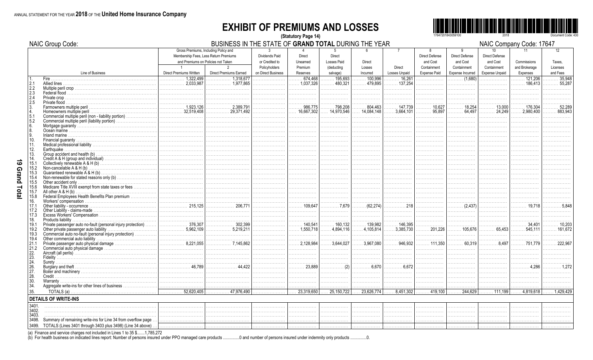#### **EXHIBIT OF PREMIUMS AND LOSSES** (Statutory Page 14)



|              | <b>NAIC Group Code:</b>                                       |                                       | BUSINESS IN THE STATE OF GRAND TOTAL DURING THE YEAR |                    |                                               |                    |                      |                         |                         |                                       |                       | NAIC Company Code: 17647 |              |
|--------------|---------------------------------------------------------------|---------------------------------------|------------------------------------------------------|--------------------|-----------------------------------------------|--------------------|----------------------|-------------------------|-------------------------|---------------------------------------|-----------------------|--------------------------|--------------|
|              |                                                               |                                       | Gross Premiums, Including Policy and                 | $\mathbf{3}$       |                                               | $5^{\circ}$        |                      | $\overline{7}$          | 8                       | 9                                     | 10 <sup>1</sup>       | 11                       | 12           |
|              |                                                               | Membership Fees, Less Return Premiums |                                                      | Dividends Paid     | <b>Direct</b>                                 | Direct             |                      |                         | <b>Direct Defense</b>   | <b>Direct Defense</b>                 | <b>Direct Defense</b> |                          |              |
|              |                                                               | and Premiums on Policies not Taken    |                                                      | or Credited to     | Unearned                                      | Losses Paid        | Direct               |                         | and Cost                | and Cost                              | and Cost              | Commissions              | Taxes.       |
|              |                                                               | $\overline{1}$                        | $\overline{2}$                                       | Policyholders      | Premium                                       | <i>(deducting</i>  | Losses               | Direct                  | Containment             | Containment                           | Containment           | and Brokerage            | Licenses     |
|              | Line of Business                                              | Direct Premiums Written               | <b>Direct Premiums Earned</b>                        | on Direct Business | Reserves                                      | salvage)           | Incurred             | Losses Unpaid           | <b>Expense Paid</b>     | Expense Incurred                      | <b>Expense Unpaid</b> | Expenses                 | and Fees     |
|              | Fire.                                                         | 1.322.499<br>.                        | 1.318.677<br>.                                       | .                  | 674.468<br>.                                  | 195.693            | $\ldots$ 100.996     | 16.261                  | .                       | $\ldots \ldots \ldots \ldots (1,680)$ | .                     | 121.206<br>.             | 35.948       |
| 2.1          | Allied lines                                                  | 2.033.987<br>.                        | . 1,977.865                                          | .                  | $\ldots$ . 1.037.326                          | 480.321<br>.       | $\ldots$ 479.895     | $\ldots \ldots$ 137.254 | .                       | .                                     |                       | $\ldots$ 186.413         | 55,287<br>.  |
| 2.2<br>2.3   | Multiple peril crop                                           |                                       |                                                      |                    | .                                             |                    |                      | .                       |                         |                                       |                       |                          |              |
| 2.4          |                                                               |                                       |                                                      |                    |                                               |                    |                      |                         |                         |                                       |                       |                          |              |
| 2.5          |                                                               |                                       |                                                      |                    |                                               |                    |                      |                         |                         |                                       |                       |                          |              |
|              | Farmowners multiple peril                                     | $\frac{1}{1.923,126}$                 |                                                      |                    | 986.775                                       | 798,208            | 804,463              | 147.739                 | 10,627                  | . 18.254                              | 13.000                | . 176.304                |              |
|              | Homeowners multiple peril                                     |                                       | . 29.371.492<br>.                                    | .                  | $\ldots$ 16,667,302                           | 14.970.546         | $\ldots$ 14,084,148  | $\ldots$ . 3,664,101    | 95,897                  | 64,497                                | 24.249<br>.           | 2.980.400                | 883.943<br>. |
| 5.1          |                                                               |                                       |                                                      |                    | .                                             | .                  | .                    | .                       | .                       |                                       |                       |                          |              |
| 5.2          |                                                               |                                       |                                                      |                    | .                                             | .                  | .                    | .                       | .                       | .                                     |                       |                          |              |
| 6.<br>8.     |                                                               |                                       |                                                      |                    | .<br>.                                        | .                  | .                    | .                       | .<br>.                  | .<br>.                                |                       |                          |              |
|              |                                                               |                                       |                                                      |                    | .                                             |                    |                      | .                       | .                       |                                       |                       |                          |              |
| 10.          |                                                               |                                       |                                                      |                    | . 1                                           | .                  | .                    | .                       | .                       | .                                     | .                     | .                        | .            |
| 11.          |                                                               |                                       |                                                      |                    | .                                             | .                  | .                    | .                       | .                       | .                                     |                       |                          |              |
| 12.          | Earthouake.                                                   |                                       |                                                      |                    | .                                             | .                  | .                    | .                       | .                       | .                                     | .                     |                          |              |
| 13.          |                                                               |                                       |                                                      |                    | .                                             | .                  | .                    | .                       | .                       |                                       |                       |                          |              |
| 14.<br>15.1  |                                                               |                                       |                                                      |                    |                                               |                    | .                    |                         | .                       |                                       |                       |                          |              |
| 15.2         | Non-cancelable $A & H(b)$                                     |                                       |                                                      |                    | .                                             | .                  |                      | .                       | .<br>.                  | .                                     | .                     | .                        |              |
| 15.3         |                                                               |                                       |                                                      |                    | .                                             | .                  | .                    | .                       | .                       | .                                     |                       |                          |              |
| 15.4         |                                                               |                                       |                                                      |                    |                                               |                    |                      |                         | .                       |                                       |                       |                          |              |
| 15.5         |                                                               |                                       |                                                      |                    | .                                             | .                  | .                    | .                       | .                       | .                                     | .                     | .                        | .            |
| 15.6         | Medicare Title XVIII exempt from state taxes or fees.         |                                       |                                                      |                    |                                               |                    |                      |                         | .                       |                                       |                       |                          |              |
| 15.7<br>15.8 | All other $A & H(b)$                                          |                                       |                                                      | .                  | .                                             |                    |                      |                         | .                       | .                                     |                       |                          |              |
| 16.          | Federal Employees Health Benefits Plan premium                |                                       |                                                      |                    | .<br>.                                        | .                  | .<br>.               | .                       | .<br>.                  | .                                     | .                     |                          |              |
| 17.1         |                                                               |                                       | 206,771                                              | .                  | 109.647                                       | . 7.679            | $\ldots$ (62.274)    | . 218                   | .                       | $\ldots \ldots$ (2.437)               |                       |                          |              |
| 17.2         |                                                               |                                       |                                                      |                    |                                               |                    |                      |                         |                         |                                       |                       |                          |              |
| 17.3         |                                                               |                                       |                                                      | .                  | .                                             |                    |                      |                         | .                       | .                                     |                       |                          |              |
| 18.          | Products liability                                            |                                       |                                                      |                    |                                               |                    |                      |                         |                         |                                       |                       |                          |              |
| 19.1<br>19.2 |                                                               |                                       | . 302,399                                            |                    | $\ldots \ldots$ 140,541<br>$\ldots$ 1.550.718 | 4.894.116          | 139,982<br>4.105.814 | 146,395<br>3,385,730    | .<br>$\ldots$ . 201,226 | .<br>. 105.676                        | .<br>65.453<br>.      | .34,401<br>.<br>545,111  | . 10.203     |
| 19.3         |                                                               |                                       |                                                      |                    | .                                             | .                  |                      | .                       | .                       | .                                     |                       |                          |              |
| 19.4         |                                                               |                                       |                                                      |                    |                                               |                    |                      |                         |                         |                                       |                       |                          |              |
| 121.1        |                                                               |                                       |                                                      |                    | $\ldots$ . 2,128,984                          | $\ldots$ 3.644.027 | 3.967.080            | 946.932                 | $\ldots \ldots 111,350$ | 60,319                                | 8.497                 | $\ldots$ 751.779         | . 222.967    |
| 21.2         |                                                               |                                       |                                                      | .                  | .                                             | .                  | .                    | .                       | .                       | .                                     | .                     |                          |              |
| 22.          |                                                               |                                       |                                                      |                    | .                                             | .                  | .                    | .                       | .                       | .                                     |                       |                          |              |
| 23.<br>24.   |                                                               |                                       |                                                      | .                  | .                                             | .                  | .                    | .                       | .                       | .                                     |                       |                          |              |
| 26.          |                                                               |                                       | . 44,422                                             | .                  | .<br>. 23,889                                 | .<br>. (2)         | .<br>. 6.670         | .<br>. 6.672            | .<br>.                  | .<br>.                                | .<br>.                | .<br>. 4.286             |              |
| 27.          |                                                               |                                       |                                                      |                    |                                               |                    |                      |                         |                         |                                       |                       |                          |              |
| 28.          |                                                               |                                       |                                                      |                    | .                                             | .                  | .                    | .                       | .                       | .                                     |                       |                          |              |
| 30.          |                                                               |                                       |                                                      |                    | .                                             |                    |                      |                         |                         |                                       |                       |                          |              |
| 34.          |                                                               |                                       |                                                      |                    | .                                             |                    | .                    |                         |                         |                                       |                       |                          |              |
| 35.          |                                                               | .52,620,405<br>.                      | 47,976,490<br>.                                      | .                  | 23,319,650                                    | 25, 150, 722       | 23,626,774           | .8,451,302              | .419,100<br>.           | .244,629<br>.                         | . 111,199             | 4,819,618                | . 1.429.429  |
|              | <b>DETAILS OF WRITE-INS</b>                                   |                                       |                                                      |                    |                                               |                    |                      |                         |                         |                                       |                       |                          |              |
| 3401.        |                                                               |                                       |                                                      |                    |                                               |                    |                      |                         |                         |                                       |                       |                          |              |
| 3402         |                                                               |                                       |                                                      |                    | .                                             |                    |                      | .                       | .                       |                                       |                       |                          |              |
|              |                                                               |                                       |                                                      |                    |                                               |                    |                      |                         |                         |                                       |                       |                          |              |
| 3498.        | Summary of remaining write-ins for Line 34 from overflow page |                                       |                                                      | .                  | .                                             | .                  | .                    | .                       | .                       | .                                     | .                     |                          |              |
| 3499         | TOTALS (Lines 3401 through 3403 plus 3498) (Line 34 above)    |                                       |                                                      |                    |                                               |                    |                      |                         |                         |                                       |                       |                          |              |

(a) Finance and service charges not included in Lines 1 to 35 \$.......1,785,272<br>(b) For health business on indicated lines report: Number of persons insured under PPO managed care products ..... ...0 and number of persons insured under indemnity only products ...............0.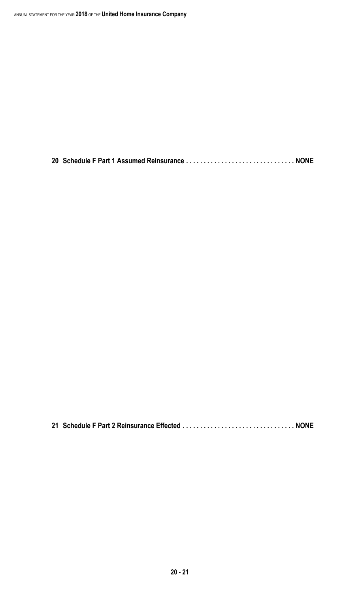**20 Schedule F Part 1 Assumed Reinsurance . . . . . . . . . . . . . . . . . . . . . . . . . . . . . . . NONE**

**21 Schedule F Part 2 Reinsurance Effected . . . . . . . . . . . . . . . . . . . . . . . . . . . . . . . . NONE**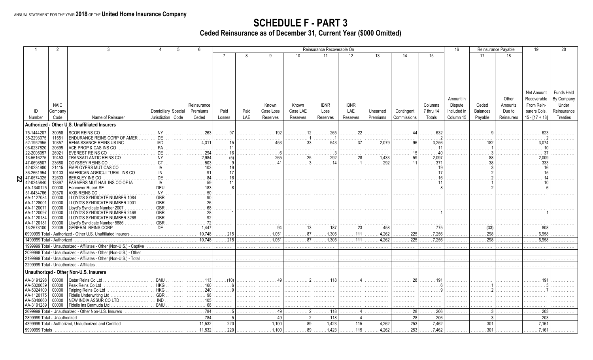**SCHEDULE F - PART 3**<br>Ceded Reinsurance as of December 31, Current Year (\$000 Omitted)

|                                      | $\mathcal{P}$  |                                                                        |                          | .5 | 6                         |                         |      |                           |          | Reinsurance Recoverable On |                                |            |                  |                                | 16          |                 | Reinsurance Payable | 19                      | 20          |
|--------------------------------------|----------------|------------------------------------------------------------------------|--------------------------|----|---------------------------|-------------------------|------|---------------------------|----------|----------------------------|--------------------------------|------------|------------------|--------------------------------|-------------|-----------------|---------------------|-------------------------|-------------|
|                                      |                |                                                                        |                          |    |                           |                         | 8    | g                         | 10       | 11                         | 12                             | 13         | 14               | 15                             |             | 17              | 18                  |                         |             |
|                                      |                |                                                                        |                          |    |                           |                         |      |                           |          |                            |                                |            |                  |                                |             |                 |                     |                         |             |
|                                      |                |                                                                        |                          |    |                           |                         |      |                           |          |                            |                                |            |                  |                                |             |                 |                     |                         |             |
|                                      |                |                                                                        |                          |    |                           |                         |      |                           |          |                            |                                |            |                  |                                |             |                 |                     |                         |             |
|                                      |                |                                                                        |                          |    |                           |                         |      |                           |          |                            |                                |            |                  |                                |             |                 |                     |                         |             |
|                                      |                |                                                                        |                          |    |                           |                         |      |                           |          |                            |                                |            |                  |                                |             |                 |                     |                         |             |
|                                      |                |                                                                        |                          |    |                           |                         |      |                           |          |                            |                                |            |                  |                                |             |                 |                     |                         |             |
|                                      |                |                                                                        |                          |    |                           |                         |      |                           |          |                            |                                |            |                  |                                |             |                 |                     | Net Amount              | Funds Held  |
|                                      |                |                                                                        |                          |    |                           |                         |      |                           |          |                            |                                |            |                  |                                | Amount in   |                 | Other               | Recoverable             | By Company  |
|                                      | <b>NAIC</b>    |                                                                        |                          |    | Reinsurance               |                         |      | Known                     | Known    | <b>IBNR</b>                | <b>IBNR</b>                    |            |                  | Columns                        | Dispute     | Ceded           | Amounts             | From Rein-              | Under       |
| ID                                   | Company        |                                                                        | Domiciliary Special      |    | Premiums                  | Paid                    | Paid | Case Loss                 | Case LAE | Loss                       | LAE                            | Unearned   | Contingent       | 7 thru 14                      | Included in | <b>Balances</b> | Due to              | surers Cols.            | Reinsurance |
| Number                               | Code           | Name of Reinsurer                                                      | Jurisdiction Code        |    | Ceded                     | Losses                  | LAE  | Reserves                  | Reserves | Reserves                   | Reserves                       | Premiums   | Commissions      | Totals                         | Column 15   | Payable         | Reinsurers          | $15 - [17 + 18]$        | Treaties    |
|                                      |                | - Other U.S. Unaffiliated Insurers                                     |                          |    |                           |                         |      |                           |          |                            |                                |            |                  |                                |             |                 |                     |                         |             |
| <b>Authorized</b>                    |                |                                                                        |                          |    |                           |                         |      |                           |          |                            |                                |            |                  |                                |             |                 |                     |                         |             |
| 75-1444207                           | 30058          | <b>SCOR REINS CO</b>                                                   | <b>NY</b>                |    | 263                       |                         |      | 192<br>.                  |          | 265                        |                                |            |                  | 632                            |             |                 |                     |                         |             |
| 35-2293075                           | 11551          | <b>ENDURANCE REINS CORP OF AMER</b>                                    | <b>DE</b>                | .  | .                         | .                       | .    | .                         |          |                            | .                              | .          |                  |                                | .           |                 |                     |                         |             |
| 52-1952955                           | 10357          | RENAISSANCE REINS US INC                                               | <b>MD</b>                | .  |                           | . 15                    |      | .                         |          |                            |                                | . 2.079    |                  |                                |             |                 |                     |                         |             |
| 06-0237820                           | 20699          | ACE PROP & CAS INS CO                                                  | PA                       |    |                           | .                       |      |                           |          |                            |                                | .          |                  |                                |             |                 |                     |                         |             |
| 22-2005057<br>13-5616275             | 26921<br>19453 | <b>EVEREST REINS CO</b><br>TRANSATLANTIC REINS CO                      | DE.<br><b>NY</b>         | .  | .294<br>.<br>2,984        | .                       | .    | .<br>265                  | .        | . 3                        | .                              | .<br>1,433 | .                |                                | .           | .               | .                   | .                       |             |
| 47-0698507                           | 23680          | ODYSSEY REINS CO                                                       | <b>CT</b>                |    | .503                      | (5)                     |      | .<br>. 41                 | . 3      | . 14                       | . 1                            | 292        | .                | .371                           |             |                 | .                   | 333                     |             |
| 42-0234980                           | 21415          | EMPLOYERS MUT CAS CO                                                   |                          | .  | 103<br>.                  |                         |      | .                         | .        | .                          | .                              | .<br>.     | .                |                                |             | .               |                     |                         |             |
| 36-2661954                           | 10103          | AMERICAN AGRICULTURAL INS CO                                           |                          | .  |                           |                         |      | .                         |          | .                          | .                              |            |                  |                                |             |                 |                     |                         |             |
| $\sum \frac{47-0574325}{42.0245840}$ | 32603          | <b>BERKLEY INS CO</b>                                                  | DE                       | .  |                           |                         |      | .                         | .        | .                          | .                              | .          | .                | .                              |             | .               | .                   |                         |             |
| 42-0245840                           | 13897          | FARMERS MUT HAIL INS CO OF IA                                          | IA                       |    |                           |                         |      | .                         |          |                            | .                              | .          |                  |                                |             |                 |                     |                         |             |
| AA-1340125                           | 00000          | Hannover Rueck SE                                                      | DEU                      | .  |                           | .                       | .    | .                         | .        | .                          | .                              | .          | .                | . 8                            | .           | .               |                     |                         |             |
| 51-0434766                           | 20370          | AXIS REINS CO                                                          | NY.                      |    | 50                        | .                       | .    | .                         |          | .                          | .                              | .          | .                | .                              | .           | .               |                     |                         |             |
| AA-1127084                           | 00000          | LLOYD'S SYNDICATE NUMBER 1084                                          | <b>GBR</b>               |    |                           |                         | .    |                           |          |                            | .                              | .          |                  |                                |             |                 |                     |                         |             |
| AA-1128001                           | 00000          | LLOYD'S SYNDICATE NUMBER 2001                                          | <b>GBR</b>               | .  |                           | .                       | .    | .                         | .        | .                          | .                              | .          | .                | .                              | .           |                 |                     |                         |             |
| AA-1120071                           | 00000          | Lloyd's Syndicate Number 2007                                          | <b>GBR</b>               |    |                           |                         | .    |                           |          |                            | .                              |            |                  |                                |             |                 |                     |                         |             |
| AA-1120097<br>AA-1120184             | 00000<br>00000 | LLOYD'S SYNDICATE NUMBER 2468<br>LLOYD'S SYNDICATE NUMBER 3268         | <b>GBR</b><br><b>GBR</b> |    |                           | .                       | .    | .                         |          |                            | .                              | .          | .                | . 1                            |             |                 |                     |                         |             |
| AA-1120181                           | 00000          | Lloyd's Syndicate Number 5886                                          | GBR.                     |    |                           |                         | .    | .                         |          |                            |                                |            |                  |                                | .           |                 |                     |                         |             |
| 13-2673100                           | 22039          | GENERAL REINS CORP<br>.                                                | DE.                      |    | .1,447                    | .                       | .    | 94<br>.                   | . 13     | . 187                      | $\ldots \ldots 23$             | . 458      |                  | . 775                          | .           |                 |                     | . 808                   |             |
|                                      |                | 0999999 Total - Authorized - Other U.S. Unaffiliated Insurers          |                          |    | 10,748<br>.               | $\ldots$ . 215          | .    | $\overline{\ldots 1,051}$ | 87<br>.  | .1,305                     | $\ldots \ldots \overline{111}$ | 4,262      | 225<br>.         | .7,256                         | .           | 298<br>.        |                     | 6,958                   |             |
| 1499999 Total - Authorized           |                |                                                                        |                          |    | 10.748                    | $\overline{\ldots}$ 215 |      | $\overline{\ldots}$ 1,051 | 87       | 1,305                      | $\ldots$ . 111                 | 4.262      | $\overline{225}$ | 7,256                          |             | 298             |                     | 6,958                   |             |
|                                      |                | 1999999 Total - Unauthorized - Affiliates - Other (Non-U.S.) - Captive |                          |    |                           |                         |      |                           |          |                            |                                |            |                  |                                |             |                 |                     |                         |             |
|                                      |                |                                                                        |                          |    | .                         | .                       | .    | .                         |          |                            |                                |            |                  |                                |             |                 |                     |                         |             |
|                                      |                | 2099999 Total - Unauthorized - Affiliates - Other (Non-U.S.) - Other   |                          |    | .                         | .                       | .    | .                         |          |                            |                                |            |                  |                                |             |                 |                     |                         |             |
|                                      |                | 2199999 Total - Unauthorized - Affiliates - Other (Non-U.S.) - Total   |                          |    | .                         | .                       | .    | .                         | .        |                            | .                              | .          | .                |                                | .           |                 |                     |                         |             |
|                                      |                | 2299999 Total - Unauthorized - Affiliates                              |                          |    |                           |                         |      |                           |          |                            |                                |            |                  |                                |             |                 |                     |                         |             |
|                                      |                | Unauthorized - Other Non-U.S. Insurers                                 |                          |    |                           |                         |      |                           |          |                            |                                |            |                  |                                |             |                 |                     |                         |             |
| AA-3191298                           | 00000          | Qatar Reins Co Ltd                                                     | <b>BMU</b>               |    |                           | (10)                    |      | 49                        |          | 118                        |                                |            |                  |                                |             |                 |                     |                         |             |
| AA-5320039                           | 00000          | Peak Reins Co Ltd.                                                     | HKG                      | .  | 160<br>.                  | . 6                     | .    | .                         | .        | .                          | .                              | .          | .                | .                              | .           | .               |                     |                         |             |
| AA-5324100                           | 00000          | Taiping Reins Co Ltd                                                   | HKG                      |    | 240                       |                         |      |                           |          |                            |                                |            |                  |                                |             |                 |                     |                         |             |
| AA-1120175                           | 00000          | Fidelis Underwriting Ltd                                               | GBR.                     | .  | 98                        |                         | .    | .                         |          |                            | .                              |            |                  |                                |             |                 |                     |                         |             |
| AA-5340660                           | 00000          | NEW INDIA ASSUR CO LTD                                                 | IND                      | .  | 105<br>.                  | .                       | .    | .                         |          |                            | .                              | .          | .                |                                | .           |                 |                     |                         |             |
| AA-3191289                           | 00000          | Fidelis Ins Bermuda Ltd                                                | <b>BMU</b>               |    | 68                        |                         |      |                           |          |                            |                                |            |                  |                                |             |                 |                     |                         |             |
|                                      |                | 2699999 Total - Unauthorized - Other Non-U.S. Insurers                 |                          |    | $\overline{\cdots}$ . 784 |                         | .    | 49<br>.                   |          |                            |                                |            | 28               | $\overline{\ldots \ldots 206}$ |             |                 |                     | $\overline{\cdots}$ 203 |             |
| 2899999 Total - Unauthorized         |                |                                                                        |                          |    | $\overline{\cdots}$ . 784 |                         |      | 49                        |          | .118                       |                                |            | 28               | 206                            |             |                 |                     | 203                     |             |
|                                      |                | 4399999 Total - Authorized, Unauthorized and Certified                 |                          |    | 11,532<br>.               | $\overline{\ldots 220}$ |      | $\overline{\ldots 1,100}$ | 89       | 1,423                      | . 115                          | 4,262      | 253              | 7,462                          |             | 301             |                     | .7,161                  |             |
| 9999999 Totals                       |                |                                                                        |                          |    | 11,532                    | .220                    |      | 1,100                     | 89       | 1,423                      | $\ldots$ . 115                 | 4,262      | 253              | .7,462                         |             | 301             |                     | .7,161                  |             |
|                                      |                |                                                                        |                          |    |                           |                         |      |                           |          |                            |                                |            |                  |                                |             |                 |                     |                         |             |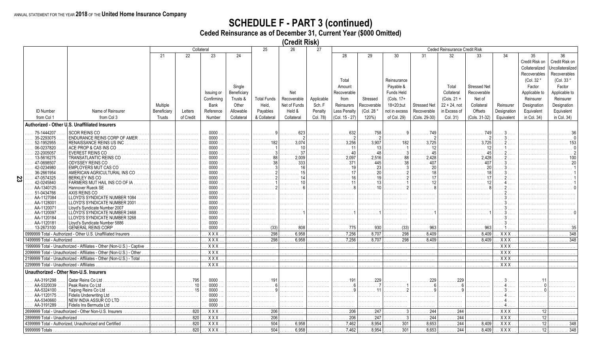# **SCHEDULE F - PART 3 (continued)**<br>Ceded Reinsurance as of December 31, Current Year (\$000 Omitted)

(Credit Risk)

|    |                                           |                                                                        |             |           | Collateral       |             | 25                 | 26           | 27         |                     |             |                      |                     | Ceded Reinsurance Credit Risk |                       |                  |                |                  |
|----|-------------------------------------------|------------------------------------------------------------------------|-------------|-----------|------------------|-------------|--------------------|--------------|------------|---------------------|-------------|----------------------|---------------------|-------------------------------|-----------------------|------------------|----------------|------------------|
|    |                                           |                                                                        | 21          | 22        | 23               | 24          |                    |              |            | 28                  | 29          | 30                   | 31                  | 32 <sup>2</sup>               | 33                    | 34               | 35             | 36               |
|    |                                           |                                                                        |             |           |                  |             |                    |              |            |                     |             |                      |                     |                               |                       |                  | Credit Risk on | Credit Risk on   |
|    |                                           |                                                                        |             |           |                  |             |                    |              |            |                     |             |                      |                     |                               |                       |                  |                | Incollateralized |
|    |                                           |                                                                        |             |           |                  |             |                    |              |            |                     |             |                      |                     |                               |                       |                  | Collateralized |                  |
|    |                                           |                                                                        |             |           |                  |             |                    |              |            |                     |             |                      |                     |                               |                       |                  | Recoverables   | Recoverables     |
|    |                                           |                                                                        |             |           |                  |             |                    |              |            | Total               |             | Reinsurance          |                     |                               |                       |                  | (Col. 32 *     | (Col. 33 *       |
|    |                                           |                                                                        |             |           |                  | Single      |                    |              |            | Amount              |             | Payable &            |                     | Total                         | <b>Stressed Net</b>   |                  | Factor         | Factor           |
|    |                                           |                                                                        |             |           | Issuing or       | Beneficiary |                    | Net          |            | Recoverable         |             | Funds Held           |                     | Collateral                    | Recoverable           |                  | Applicable to  | Applicable to    |
|    |                                           |                                                                        |             |           |                  |             |                    |              |            |                     |             |                      |                     |                               |                       |                  |                |                  |
|    |                                           |                                                                        |             |           | Confirmina       | Trusts &    | <b>Total Funds</b> | Recoverable  | Applicable | from                | Stressed    | (Cols. 17+           |                     | $(Cols. 21 +$                 | Net of                |                  | Reinsurer      | Reinsurer        |
|    |                                           |                                                                        | Multiple    |           | Bank             | Other       | Held.              | Net of Funds | Sch. F     | Reinsurers          | Recoverable | 18+20;but            | <b>Stressed Net</b> | $22 + 24$ , not               | Collateral            | Reinsurer        | Designation    | Designation      |
|    | <b>ID Number</b>                          | Name of Reinsurer                                                      | Beneficiary | Letters   | Reference        | Allowable   | Payables           | Held &       | Penalty    | <b>Less Penalty</b> | (Col. 28 *  | not in excess        | Recoverable         | in Excess of                  | Offsets               | Designation      | Equivalent     | Equivalent       |
|    | from Col 1                                | from Col 3                                                             | Trusts      | of Credit | Number           | Collateral  | & Collateral       | Collateral   | Col. 78)   | (Col. 15 - 27)      | 120%        | of Col. 29)          | (Cols. 29-30)       | Col. 31)                      | (Cols. 31-32)         | Equivalent       | in Col. 34)    | in Col. 34)      |
|    |                                           | Authorized - Other U.S. Unaffiliated Insurers                          |             |           |                  |             |                    |              |            |                     |             |                      |                     |                               |                       |                  |                |                  |
|    |                                           |                                                                        |             |           |                  |             |                    |              |            |                     |             |                      |                     |                               |                       |                  |                |                  |
|    | 75-1444207                                | <b>SCOR REINS CO</b>                                                   |             |           | 0000             |             |                    |              |            | 632                 |             |                      | 749                 |                               |                       |                  |                |                  |
|    | 35-2293075                                | ENDURANCE REINS CORP OF AMER                                           |             |           | 0000             |             |                    |              |            |                     |             |                      |                     |                               |                       |                  |                |                  |
|    | 52-1952955                                | RENAISSANCE REINS US INC<br>.                                          |             | .         | 0000             |             |                    |              |            | .3,256              | 3.907       |                      | 3.725               | .                             | $\ldots \ldots 3.725$ |                  |                |                  |
|    | 06-0237820                                | ACE PROP & CAS INS CO                                                  |             |           | 0000             |             |                    |              |            | 11                  |             |                      |                     |                               | 12                    |                  |                |                  |
|    | 22-2005057                                | <b>EVEREST REINS CO</b>                                                |             |           | 0000             |             |                    |              |            | 40                  |             |                      |                     |                               | 45                    |                  |                |                  |
|    | 13-5616275                                | TRANSATLANTIC REINS CO<br>.                                            | .           | .         | 0000             | .           |                    | 2.009        |            | 2.097               |             |                      | 2.428               |                               | 2.428                 |                  |                |                  |
|    | 47-0698507                                | ODYSSEY REINS CO                                                       |             |           | 0000             |             |                    | 333          |            | 371<br>19           | 445         |                      | 407                 |                               | 407                   |                  |                |                  |
|    | 42-0234980                                | EMPLOYERS MUT CAS CO                                                   |             | .         | 0000             |             |                    |              |            |                     |             |                      |                     |                               | 20                    |                  |                |                  |
|    | 36-2661954                                | AMERICAN AGRICULTURAL INS CO                                           |             | .         | 0000<br>0000     |             |                    |              |            |                     |             |                      |                     |                               |                       |                  |                |                  |
| 23 | 47-0574325<br>42-0245840                  | BERKLEY INS CO<br>FARMERS MUT HAIL INS CO OF IA                        |             | .         | 0000             |             |                    |              |            |                     |             |                      |                     |                               |                       |                  |                |                  |
|    | AA-1340125                                | Hannover Rueck SE                                                      |             | .         | 0000             |             |                    |              |            |                     |             |                      |                     |                               |                       |                  |                |                  |
|    | 51-0434766                                | AXIS REINS CO                                                          |             | .         | 0000             |             |                    |              |            |                     |             |                      |                     | .                             |                       |                  |                |                  |
|    | AA-1127084                                | LLOYD'S SYNDICATE NUMBER 1084                                          |             |           | 0000             |             |                    |              |            |                     |             |                      |                     |                               |                       |                  |                |                  |
|    | AA-1128001                                | LLOYD'S SYNDICATE NUMBER 2001                                          |             | .         | 0000             |             |                    |              | .          | .                   |             |                      | .                   | .                             |                       |                  |                |                  |
|    | AA-1120071                                | Lloyd's Syndicate Number 2007                                          |             | .         | 0000             |             |                    |              |            |                     |             |                      |                     | .                             |                       |                  |                |                  |
|    | AA-1120097                                | LLÓYD'S SYNDICATE NUMBER 2468                                          |             |           | 0000             |             |                    |              |            |                     |             |                      |                     |                               |                       |                  |                |                  |
|    | AA-1120184                                | LLOYD'S SYNDICATE NUMBER 3268                                          |             | .         | 0000             |             |                    |              |            |                     |             |                      |                     | .                             |                       |                  |                |                  |
|    | AA-1120181                                | Lloyd's Syndicate Number 5886                                          |             |           | 0000             |             |                    |              |            |                     |             |                      |                     |                               |                       |                  |                |                  |
|    | 13-2673100                                | GENERAL REINS CORP                                                     |             |           | 0000             |             | (33)               | 808          |            | . 775               | 930         | $\ldots \ldots$ (33) | . 963               |                               | 963                   |                  |                |                  |
|    |                                           | 0999999 Total - Authorized - Other U.S. Unaffiliated Insurers          |             |           | $\overline{XXX}$ |             | 298                | .6,958       |            | .7,256              | 8.707       | 298                  | 8.409               | .                             | 8.409                 | XXX              |                | 348              |
|    | 1499999 Total - Authorized                |                                                                        |             | .         | $\overline{XXX}$ |             | 298                | 6,958        |            | .7,256              | 8.707       | 298                  | 8.409               |                               | 8,409                 | $\overline{XXX}$ |                | 348              |
|    |                                           | 1999999 Total - Unauthorized - Affiliates - Other (Non-U.S.) - Captive |             |           | XXX              |             |                    |              |            |                     |             |                      |                     |                               |                       | $\overline{XXX}$ |                |                  |
|    |                                           | 2099999 Total - Unauthorized - Affiliates - Other (Non-U.S.) - Other   |             |           | $\overline{XXX}$ |             |                    |              |            |                     |             |                      |                     |                               |                       | $\overline{XX}$  |                |                  |
|    |                                           | 2199999 Total - Unauthorized - Affiliates - Other (Non-U.S.) - Total   |             |           | $\overline{XXX}$ |             |                    |              |            |                     |             |                      |                     |                               |                       | XXX              |                |                  |
|    |                                           |                                                                        | .           | .         | $\overline{XXX}$ | .           |                    | .            | .          | .                   | .           | .                    | .                   | .                             | .                     | $\overline{XXX}$ |                |                  |
|    | 2299999 Total - Unauthorized - Affiliates |                                                                        |             |           |                  |             |                    |              |            |                     |             |                      |                     |                               |                       |                  |                |                  |
|    |                                           | Unauthorized - Other Non-U.S. Insurers                                 |             |           |                  |             |                    |              |            |                     |             |                      |                     |                               |                       |                  |                |                  |
|    | AA-3191298                                | Oatar Reins Co Ltd                                                     |             | 795       | 0000             |             | 191                |              |            | 191                 |             |                      | 229                 | 229                           |                       |                  |                |                  |
|    | AA-5320039                                | Peak Reins Co Ltd                                                      | .           | 10<br>.   | 0000             | .           |                    |              | .          | .                   |             |                      |                     | .                             |                       |                  |                |                  |
|    | AA-5324100                                | Taiping Reins Co Ltd                                                   |             | 15<br>.   | 0000             |             |                    |              |            |                     |             |                      |                     |                               |                       |                  |                |                  |
|    | AA-1120175                                | <b>Fidelis Underwriting Ltd</b>                                        | .           | .         | 0000             |             |                    |              |            |                     |             |                      |                     |                               |                       |                  |                |                  |
|    | AA-5340660                                | NEW INDIA ASSUR CO LTD                                                 |             | .         | 0000             |             |                    |              |            | .                   |             |                      |                     |                               |                       |                  |                |                  |
|    | AA-3191289                                | Fidelis Ins Bermuda Ltd                                                |             | .         | 0000             |             | .                  |              |            |                     |             |                      |                     |                               |                       |                  |                |                  |
|    |                                           | 2699999 Total - Unauthorized - Other Non-U.S. Insurers                 |             | 820<br>.  | $\overline{XX}$  |             | 206                |              |            | .206                | 247         |                      | 244                 | 244                           |                       | <b>XXX</b>       |                |                  |
|    | 2899999 Total - Unauthorized              |                                                                        |             | 820       | $\overline{XX}$  |             | 206                |              |            | .206                | 247         |                      | 244                 | 244                           |                       | $\overline{XXX}$ |                |                  |
|    |                                           | 4399999 Total - Authorized, Unauthorized and Certified                 |             | .<br>820  | $\overline{XXX}$ |             | 504                | .6,958       |            | .7,462              | 8,954       | 301                  | 8,653               | 244                           | .<br>8,409            | $\overline{XXX}$ | 12             | 348              |
|    |                                           |                                                                        | .           |           |                  |             |                    |              |            |                     |             |                      |                     |                               |                       |                  |                |                  |
|    | 9999999 Totals                            |                                                                        |             | 820       | <b>XXX</b>       |             | 504                | .6,958       |            | .7,462              | 8,954       | 301                  | 8,653               | 244                           | 8.409                 | XXX              | .12            | 348              |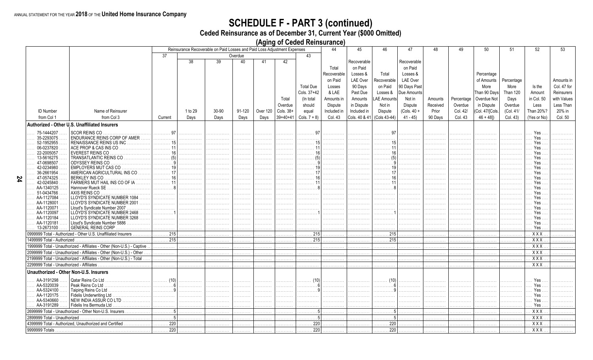74

# **SCHEDULE F - PART 3 (continued)**<br>Ceded Reinsurance as of December 31, Current Year (\$000 Omitted)

(Aging of Ceded Reinsurance)

|                                           |                                                                        |                                       |                                                                          |       |               | ביינדי   |            |                           |             |               |                         |                 |          |            |                 |                 |                                              |             |
|-------------------------------------------|------------------------------------------------------------------------|---------------------------------------|--------------------------------------------------------------------------|-------|---------------|----------|------------|---------------------------|-------------|---------------|-------------------------|-----------------|----------|------------|-----------------|-----------------|----------------------------------------------|-------------|
|                                           |                                                                        |                                       | Reinsurance Recoverable on Paid Losses and Paid Loss Adjustment Expenses |       |               |          |            |                           | 44          | 45            | 46                      | 47              | 48       | 49         | $50^{\circ}$    | 51              | 52                                           | 53          |
|                                           |                                                                        | 37                                    |                                                                          |       | Overdue       |          |            | 43                        |             |               |                         |                 |          |            |                 |                 |                                              |             |
|                                           |                                                                        |                                       | 38                                                                       | 39    | 40            | 41       | 42         |                           |             | Recoverable   |                         | Recoverable     |          |            |                 |                 |                                              |             |
|                                           |                                                                        |                                       |                                                                          |       |               |          |            |                           |             |               |                         |                 |          |            |                 |                 |                                              |             |
|                                           |                                                                        |                                       |                                                                          |       |               |          |            |                           | Total       | on Paid       |                         | on Paid         |          |            |                 |                 |                                              |             |
|                                           |                                                                        |                                       |                                                                          |       |               |          |            |                           | Recoverable | Losses &      | Total                   | Losses &        |          |            | Percentage      |                 |                                              |             |
|                                           |                                                                        |                                       |                                                                          |       |               |          |            |                           | on Paid     | LAE Over      | Recoverable             | <b>LAE Over</b> |          |            | of Amounts      | Percentage      |                                              | Amounts in  |
|                                           |                                                                        |                                       |                                                                          |       |               |          |            |                           |             |               |                         |                 |          |            |                 |                 |                                              |             |
|                                           |                                                                        |                                       |                                                                          |       |               |          |            | <b>Total Due</b>          | Losses      | 90 Days       | on Paid                 | 90 Days Past    |          |            | More            | More            | Is the                                       | Col. 47 for |
|                                           |                                                                        |                                       |                                                                          |       |               |          |            | Cols. 37+42               | & LAE       | Past Due      | Losses &                | Due Amounts     |          |            | Than 90 Days    | <b>Than 120</b> | Amount                                       | Reinsurers  |
|                                           |                                                                        |                                       |                                                                          |       |               |          | Total      | (In total                 | Amounts in  | Amounts       | LAE Amounts             | Not in          | Amounts  | Percentage | Overdue Not     | Days            | in Col. 50                                   | with Values |
|                                           |                                                                        |                                       |                                                                          |       |               |          | Overdue    | should                    |             |               | Not in                  | <b>Dispute</b>  | Received |            |                 | Overdue         | Less                                         | Less Than   |
|                                           |                                                                        |                                       |                                                                          |       |               |          |            |                           | Dispute     | in Dispute    |                         |                 |          | Overdue    | in Dispute      |                 |                                              |             |
| <b>ID Number</b>                          | Name of Reinsurer                                                      |                                       | 1 to 29                                                                  | 30-90 | 91-120        | Over 120 | Cols. 38+  | equal                     | Included in | Included in   | <b>Dispute</b>          | $(Cols. 40 +$   | Prior    | Col. 42/   | (Col. 47/[Cols. | (Col. 41/       | Than 20%?                                    | 20% in      |
| from Col 1                                | from Col 3                                                             | Current                               | Days                                                                     | Days  | Days          | Days     | $39+40+41$ | Cols. $7 + 8$ )           | Col. 43     | Cols. 40 & 41 | (Cols 43-44)            | $41 - 45$       | 90 Days  | Col. 43    | $46 + 481$      | Col. 43)        | (Yes or No)                                  | Col. 50     |
|                                           | Authorized - Other U.S. Unaffiliated Insurers                          |                                       |                                                                          |       |               |          |            |                           |             |               |                         |                 |          |            |                 |                 |                                              |             |
|                                           |                                                                        |                                       |                                                                          |       |               |          |            |                           |             |               |                         |                 |          |            |                 |                 |                                              |             |
| 75-1444207                                | <b>SCOR REINS CO</b>                                                   | .<br>97                               |                                                                          |       |               | .        |            | 97                        |             |               |                         |                 |          |            |                 |                 | Yes                                          |             |
| 35-2293075                                | ENDURANCE REINS CORP OF AMER                                           |                                       |                                                                          |       |               | .        |            |                           |             |               |                         |                 |          |            |                 |                 | Yes                                          |             |
| 52-1952955                                | RENAISSANCE REINS US INC                                               |                                       |                                                                          |       |               |          |            |                           |             |               |                         |                 |          |            |                 |                 | Yes.                                         |             |
| 06-0237820                                | ACE PROP & CAS INS CO.<br>.                                            | .                                     | .                                                                        |       | .             |          |            |                           |             |               |                         |                 | .        |            |                 |                 | Yes                                          |             |
| 22-2005057                                | EVEREST REINS CO                                                       |                                       |                                                                          |       |               | .        |            |                           |             |               |                         |                 |          |            |                 |                 | Yes                                          |             |
| 13-5616275                                | TRANSATLANTIC REINS CO                                                 | . (5) 1                               | .                                                                        |       |               | .        |            |                           |             |               |                         |                 |          |            |                 |                 | Yes                                          |             |
| 47-0698507                                | ODYSSEY REINS CO                                                       |                                       |                                                                          |       |               | .        |            |                           |             |               |                         |                 |          |            |                 |                 | Yes                                          |             |
|                                           |                                                                        |                                       |                                                                          |       | .             | .        |            |                           |             |               |                         |                 | .        |            |                 |                 |                                              |             |
| 42-0234980                                | <b>EMPLOYERS MUT CAS CO</b><br>AMERICAN AGRICULTURAL INS CO            |                                       |                                                                          |       |               | .        |            |                           |             |               |                         |                 |          |            |                 |                 | Yes                                          |             |
| 36-2661954                                |                                                                        |                                       |                                                                          |       | a da da da da | .        |            |                           |             |               |                         |                 |          |            |                 |                 | Yes                                          |             |
| 47-0574325                                | BERKLEY INS CO                                                         |                                       |                                                                          |       |               |          |            |                           |             |               |                         |                 |          |            |                 |                 | <b>Yes</b>                                   |             |
| 42-0245840                                | FARMERS MUT HAIL INS CO OF IA.<br>.                                    | . 11                                  | .                                                                        |       |               | .        |            |                           |             |               | .                       |                 |          |            |                 |                 | Yes                                          |             |
| AA-1340125                                | Hannover Rueck SE                                                      | . 8                                   | .                                                                        |       | .             | .        |            |                           |             |               |                         |                 |          |            |                 |                 | Yes                                          |             |
| 51-0434766                                | AXIS REINS CO                                                          |                                       |                                                                          |       |               |          |            |                           |             |               |                         |                 |          |            |                 |                 | Yes                                          |             |
| AA-1127084                                | <b>LLOYD'S SYNDICATE NUMBER 1084</b>                                   | .                                     |                                                                          |       |               | .        |            |                           |             |               | .                       |                 |          |            |                 |                 | Yes                                          |             |
| AA-1128001                                | LLOYD'S SYNDICATE NUMBER 2001                                          | .                                     |                                                                          |       |               | .        |            |                           |             |               |                         |                 |          |            |                 |                 | Yes                                          |             |
| AA-1120071                                | Lloyd's Syndicate Number 2007<br>.                                     | .                                     | .                                                                        | .     |               | .        |            |                           |             |               |                         |                 |          |            |                 |                 | Yes                                          |             |
| AA-1120097                                | LLOYD'S SYNDICATE NUMBER 2468                                          | .                                     |                                                                          |       | .             | .        |            |                           |             |               | .                       |                 |          |            |                 |                 | Yes                                          |             |
| AA-1120184                                | LLOYD'S SYNDICATE NUMBER 3268<br>1.1.1.1                               | .                                     |                                                                          |       |               | .        |            |                           |             |               |                         |                 |          |            |                 |                 | Yes                                          |             |
| AA-1120181                                | Lloyd's Syndicate Number 5886<br>.                                     | .                                     |                                                                          |       | .             | .        |            |                           |             |               |                         |                 |          |            |                 |                 | Yes                                          |             |
| 13-2673100                                | GENERAL REINS CORP                                                     |                                       |                                                                          |       |               | .        |            |                           |             |               |                         |                 |          |            |                 |                 | Yes                                          |             |
|                                           | 0999999 Total - Authorized - Other U.S. Unaffiliated Insurers          | $\overline{\ldots \ldots \ldots 215}$ |                                                                          |       |               | .        |            | $\overline{\ldots}$ . 215 |             |               | $\overline{\cdots}$ 215 |                 |          |            |                 |                 | $\overline{XXX}$                             |             |
| 1499999 Total - Authorized.               |                                                                        | 215<br>.                              |                                                                          |       |               | .        |            | 215                       |             |               | 215<br>.                |                 |          |            |                 |                 | $\overline{XXX}$                             |             |
|                                           | 1999999 Total - Unauthorized - Affiliates - Other (Non-U.S.) - Captive | .                                     | .                                                                        |       | .             | .        | .          | .                         | .           | .             | .                       |                 | .        |            | .               |                 | XXX                                          |             |
|                                           | 2099999 Total - Unauthorized - Affiliates - Other (Non-U.S.) - Other   | .                                     | .                                                                        | .     | .             | .        | .          | .                         | .           | .             | .                       | .               | .        | .          | .               | .               | $\overline{XXX}$                             |             |
|                                           | 2199999 Total - Unauthorized - Affiliates - Other (Non-U.S.) - Total   |                                       |                                                                          |       |               |          |            |                           |             |               |                         |                 |          |            |                 |                 | $\overline{XX}$                              |             |
|                                           |                                                                        | .                                     |                                                                          |       |               | .        |            |                           |             |               | .                       |                 |          |            |                 |                 | $\overline{XXX}$                             |             |
| 2299999 Total - Unauthorized - Affiliates |                                                                        |                                       |                                                                          |       |               |          |            |                           |             |               |                         |                 |          |            |                 |                 |                                              |             |
| Unauthorized - Other Non-U.S. Insurers    |                                                                        |                                       |                                                                          |       |               |          |            |                           |             |               |                         |                 |          |            |                 |                 |                                              |             |
| AA-3191298                                | Qatar Reins Co Ltd                                                     | $\cdots$ (10)                         |                                                                          |       |               |          |            |                           |             |               |                         |                 |          |            |                 |                 | Yes                                          |             |
| AA-5320039                                | Peak Reins Co Ltd.                                                     |                                       |                                                                          |       |               | .        |            |                           |             |               |                         |                 |          |            |                 |                 | Yes                                          |             |
|                                           |                                                                        | . 6 1                                 | .                                                                        |       |               | .        |            |                           |             |               |                         |                 |          |            |                 |                 |                                              |             |
| AA-5324100<br>AA-1120175                  | Taiping Reins Co Ltd<br>Fidelis Underwriting Ltd                       | . 9 1                                 | .                                                                        |       | .             | .        | .          |                           |             |               | .                       |                 | .        |            |                 |                 | Yes<br>Yes                                   |             |
|                                           | .                                                                      | .                                     |                                                                          |       |               | .        |            |                           |             |               |                         |                 |          |            |                 |                 |                                              |             |
| AA-5340660                                | NEW INDIA ASSUR CO LTD                                                 | .                                     | .                                                                        | .     | .             | .        |            |                           |             |               |                         |                 |          |            |                 |                 | Yes                                          |             |
| AA-3191289                                | Fidelis Ins Bermuda Ltd                                                |                                       |                                                                          |       |               | .        |            |                           |             |               |                         |                 |          |            |                 |                 | Yes                                          |             |
|                                           | 2699999 Total - Unauthorized - Other Non-U.S. Insurers.                |                                       |                                                                          |       |               | .        |            |                           |             |               |                         |                 |          |            |                 |                 | $\overline{X}$ $\overline{X}$ $\overline{X}$ |             |
| 2899999 Total - Unauthorized              |                                                                        | . 5                                   | .                                                                        |       |               | .        | .          | . 5                       | .           |               | $.5 \mid$<br>.          |                 | .        |            |                 |                 | $\overline{XX}$                              |             |
|                                           | 4399999 Total - Authorized, Unauthorized and Certified<br>.            | .220<br>.                             | .                                                                        |       |               | .        | aaaaaaa    | .220                      | .           |               | 220<br>.                |                 | .        |            | .               |                 | XXX                                          |             |
| 9999999 Totals                            |                                                                        | 220<br>.                              |                                                                          |       |               |          |            | 220                       |             |               | 220                     |                 |          |            |                 |                 | XXX                                          |             |
|                                           |                                                                        |                                       |                                                                          |       |               |          |            |                           |             |               |                         |                 |          |            |                 |                 |                                              |             |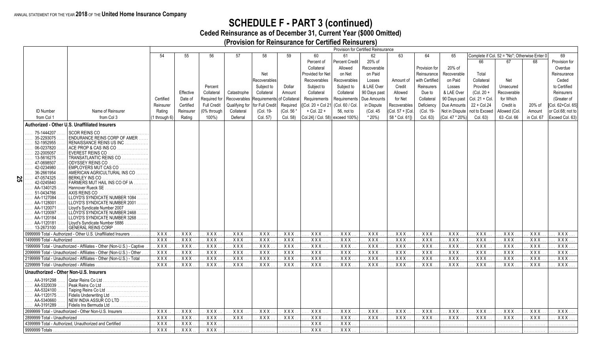### **SCHEDULE F - PART 3 (continued)**

**Ceded Reinsurance as of December 31, Current Year (\$000 Omitted)**

**(Provision for Reinsurance for Certified Reinsurers)**

|    |                                           |                                                                        |                                    |                         |                    |                |                 |                   |                                     |                                      | Provision for Certified Reinsurance |                  |                   |                                |                  |                                               |                  |                         |
|----|-------------------------------------------|------------------------------------------------------------------------|------------------------------------|-------------------------|--------------------|----------------|-----------------|-------------------|-------------------------------------|--------------------------------------|-------------------------------------|------------------|-------------------|--------------------------------|------------------|-----------------------------------------------|------------------|-------------------------|
|    |                                           |                                                                        | -54                                | 55                      | 56                 | 57             | 58              | 59                | 60                                  | 61                                   | 62                                  | 63               | 64                | 65                             |                  | Complete if Col. 52 = "No"; Otherwise Enter 0 |                  | 69                      |
|    |                                           |                                                                        |                                    |                         |                    |                |                 |                   | Percent of                          | Percent Credit                       | 20% of                              |                  |                   |                                | 66               | 67                                            | 68               | Provision for           |
|    |                                           |                                                                        |                                    |                         |                    |                |                 |                   | Collateral                          | Allowed                              | Recoverable                         |                  | Provision for     | 20% of                         |                  |                                               |                  | Overdue                 |
|    |                                           |                                                                        |                                    |                         |                    |                | Net             |                   | Provided for Net                    | on Net                               | on Paid                             |                  | Reinsurance       | Recoverable                    | Total            |                                               |                  | Reinsurance             |
|    |                                           |                                                                        |                                    |                         |                    |                | Recoverables    |                   | Recoverables                        | Recoverables                         | Losses                              | Amount of        | with Certified    | on Paid                        | Collateral       | Net                                           |                  | Ceded                   |
|    |                                           |                                                                        |                                    |                         | Percent            |                | Subject to      | Dollar            | Subject to                          | Subject to                           | & LAE Over                          | Credit           | <b>Reinsurers</b> | Losses                         | Provided         | Unsecured                                     |                  | to Certified            |
|    |                                           |                                                                        |                                    | Effective               | Collateral         | Catastrophe    | Collateral      | Amount            | Collateral                          | Collateral                           | 90 Days past                        | Allowed          | Due to            | & LAE Over                     | $(Col. 20 +$     | Recoverable                                   |                  | Reinsurers              |
|    |                                           |                                                                        | Certified                          | Date of                 | Required for       | Recoverables   | Requirements    | of Collatera      | Requirements                        | Requirements                         | Due Amounts                         | for Net          | Collateral        | 90 Days past                   | Col. $21 +$ Col. | for Which                                     |                  | (Greater of             |
|    |                                           |                                                                        | Reinsurer                          | Certified               | <b>Full Credit</b> | Qualifying for | for Full Credit | Required          | Col. 20 + Col 21                    | (Col. 60 / Col.                      | in Dispute                          | Recoverables     | Deficiency        | Due Amounts                    | 22 + Col.24      | Credit is                                     | 20% of           | [Col. 62+Col. 65]       |
|    | <b>ID Number</b>                          | Name of Reinsurer                                                      | Rating                             | Reinsurer               | 0% through         | Collateral     | (Col. 19-       | (Col. 56'         | $+$ Col. 22 $+$                     | 56, not to                           | (Col. 45                            | (Col. 57 + [Col. | (Col. 19-         | Not in Dispute                 | not to Exceed    | Allowed (Col.                                 | Amount           | or Col.68; not to       |
|    | from Col 1                                | from Col 3                                                             | (1 through 6)                      | Rating                  | 100%)              | Deferral       | Col. 57)        | Col. 58)          | Col.24] / Col. 58) exceed 100%)     |                                      | $*20\%)$                            | 58 * Col. 61])   | Col. 63)          | (Col. 47 * 20%)                | Col. 63)         | 63 - Col. 66                                  | in Col. 67       | Exceed Col. 63)         |
|    |                                           | Authorized - Other U.S. Unaffiliated Insurers                          |                                    |                         |                    |                |                 |                   |                                     |                                      |                                     |                  |                   |                                |                  |                                               |                  |                         |
|    | 75-1444207                                | SCOR REINS CO                                                          |                                    |                         |                    |                |                 |                   |                                     |                                      |                                     |                  |                   |                                |                  |                                               |                  |                         |
|    | 35-2293075                                | ENDURANCE REINS CORP OF AMER                                           |                                    |                         |                    |                |                 |                   |                                     |                                      |                                     |                  |                   |                                |                  |                                               |                  |                         |
|    | 52-1952955                                | RENAISSANCE REINS US INC.<br>.                                         |                                    |                         |                    |                |                 |                   |                                     |                                      |                                     |                  |                   |                                |                  |                                               |                  |                         |
|    | 06-0237820                                | ACE PROP & CAS INS CO                                                  |                                    |                         |                    |                |                 |                   |                                     |                                      |                                     |                  |                   |                                |                  |                                               |                  |                         |
|    | 22-2005057<br>13-5616275                  | EVEREST REINS CO<br>TRANSATLANTIC REINS CO                             |                                    |                         |                    |                |                 |                   |                                     |                                      |                                     |                  |                   |                                |                  |                                               |                  |                         |
|    | $\cdots$<br>47-0698507                    | ODYSSEY REINS CO                                                       |                                    |                         |                    |                |                 |                   |                                     |                                      |                                     |                  |                   |                                |                  |                                               |                  |                         |
|    | 42-0234980                                | EMPLOYERS MUT CAS CO                                                   |                                    |                         |                    |                |                 |                   |                                     |                                      |                                     |                  |                   |                                |                  |                                               |                  |                         |
|    | 36-2661954                                | AMERICAN AGRICULTURAL INS CO                                           |                                    |                         |                    |                |                 |                   |                                     |                                      |                                     |                  |                   |                                |                  |                                               |                  |                         |
| S2 | 47-0574325<br>42-0245840                  | <b>BERKLEY INS CO</b>                                                  |                                    |                         |                    |                |                 |                   |                                     |                                      |                                     |                  |                   |                                |                  |                                               |                  |                         |
|    | AA-1340125                                | FARMERS MUT HAIL INS CO OF IA<br>Hannover Rueck SE                     |                                    |                         |                    |                |                 |                   |                                     |                                      |                                     |                  |                   |                                |                  |                                               |                  |                         |
|    | 51-0434766                                | AXIS REINS CO.                                                         |                                    |                         |                    |                |                 |                   |                                     |                                      |                                     |                  |                   |                                |                  |                                               |                  |                         |
|    | AA-1127084                                | LLOYD'S SYNDICATE NUMBER 1084                                          |                                    |                         |                    |                |                 |                   |                                     |                                      |                                     |                  |                   |                                |                  |                                               |                  |                         |
|    | AA-1128001                                | LLOYD'S SYNDICATE NUMBER 2001                                          |                                    |                         |                    |                |                 |                   |                                     |                                      |                                     |                  |                   |                                |                  |                                               |                  |                         |
|    | AA-1120071<br>AA-1120097                  | Llovd's Syndicate Number 2007<br>LLOYD'S SYNDICATE NUMBER 2468         |                                    |                         |                    |                |                 |                   |                                     |                                      |                                     |                  |                   |                                |                  |                                               |                  |                         |
|    | AA-1120184                                | LLOYD'S SYNDICATE NUMBER 3268                                          |                                    |                         |                    |                |                 |                   |                                     |                                      |                                     |                  |                   |                                |                  |                                               |                  |                         |
|    | AA-1120181                                | Lloyd's Syndicate Number 5886                                          |                                    |                         |                    |                |                 |                   |                                     |                                      |                                     |                  |                   |                                |                  |                                               |                  |                         |
|    | 13-2673100                                | GENERAL REINS CORP                                                     |                                    |                         |                    |                |                 |                   |                                     |                                      |                                     |                  |                   |                                |                  |                                               |                  |                         |
|    |                                           | 0999999 Total - Authorized - Other U.S. Unaffiliated Insurers          | XXX                                | XXX                     | XXX                | XXX            | XXX             | XXX               | XXX                                 | XXX                                  | XXX                                 | XXX              | XXX               | XXX                            | XXX              | XXX                                           | XXX              | XXX                     |
|    | 1499999 Total - Authorized                | 1999999 Total - Unauthorized - Affiliates - Other (Non-U.S.) - Captive | $\overline{XXX}$                   | $\overline{XXX}$<br>XXX | XXX<br>XXX         | XXX<br>XXX     | XXX             | <b>XXX</b><br>XXX | XXX<br>XXX                          | $\overline{XXX}$<br>XXX              | XXX<br>XXX                          | XXX<br>XXX       | XXX<br>XXX        | $\overline{XXX}$<br><b>XXX</b> | XXX<br>XXX.      | XXX.<br>XXX.                                  | XXX<br>XXX       | $\overline{XX}X$<br>XXX |
|    |                                           | 2099999 Total - Unauthorized - Affiliates - Other (Non-U.S.) - Other   | <b>XXX</b><br>XXX                  | XXX                     | XXX                | XXX            | XXX<br>XXX      | $\overline{XXX}$  | XXX                                 | $\overline{XXX}$                     | $\overline{XXX}$                    | $\overline{XXX}$ | $\overline{XXX}$  | $\overline{XXX}$               | $\overline{XXX}$ | XXX                                           | $\overline{XXX}$ | XXX                     |
|    |                                           | 2199999 Total - Unauthorized - Affiliates - Other (Non-U.S.) - Total   | <b>XXX</b>                         | <b>XXX</b>              | <b>XXX</b>         | XXX            | <b>XXX</b>      | <b>XXX</b>        | <b>XXX</b>                          | <b>XXX</b>                           | <b>XXX</b>                          | <b>XXX</b>       | <b>XXX</b>        | XXX                            | XXX              | XXX                                           | <b>XXX</b>       | XXX.                    |
|    | 2299999 Total - Unauthorized - Affiliates |                                                                        | XXX                                | XXX                     | XXX                | XXX            | XXX             | XXX               | XXX                                 | <b>XXX</b>                           | XXX                                 | <b>XXX</b>       | XXX               | $\overline{XXX}$               | $\overline{XXX}$ | XXX.                                          | XXX              | XXX                     |
|    | Unauthorized - Other Non-U.S. Insurers    |                                                                        |                                    |                         |                    |                |                 |                   |                                     |                                      |                                     |                  |                   |                                |                  |                                               |                  |                         |
|    |                                           |                                                                        |                                    |                         |                    |                |                 |                   |                                     |                                      |                                     |                  |                   |                                |                  |                                               |                  |                         |
|    | AA-3191298<br>AA-5320039                  | Qatar Reins Co Ltd<br>Peak Reins Co Ltd                                |                                    |                         |                    |                |                 |                   |                                     |                                      |                                     |                  |                   |                                |                  |                                               |                  |                         |
|    | AA-5324100                                | Taiping Reins Co Ltd.                                                  |                                    |                         |                    |                |                 |                   |                                     |                                      |                                     |                  |                   |                                |                  |                                               |                  |                         |
|    | AA-1120175                                | Fidelis Underwriting Ltd                                               |                                    |                         |                    |                |                 |                   |                                     |                                      |                                     |                  |                   |                                |                  |                                               |                  |                         |
|    | AA-5340660                                | NEW INDIA ASSUR CO LTD                                                 |                                    |                         |                    |                |                 |                   |                                     |                                      |                                     |                  |                   |                                |                  |                                               |                  |                         |
|    | AA-3191289                                | Fidelis Ins Bermuda Ltd                                                |                                    |                         |                    |                |                 |                   |                                     |                                      |                                     |                  |                   |                                |                  |                                               |                  |                         |
|    |                                           | 2699999 Total - Unauthorized - Other Non-U.S. Insurers                 | XXX                                | XXX.                    | XXX                | XXX.           | XXX             | XXX               | XXX                                 | XXX                                  | XXX.                                | XXX              | XXX               | XXX                            | XXX.             | XXX.                                          | XXX              | <b>XXX</b>              |
|    | 2899999 Total - Unauthorized              |                                                                        | <b>XXX</b>                         | XXX                     | XXX<br>XXX         | XXX.           | XXX             | <b>XXX</b>        | XXX                                 | XXX                                  | XXX.                                | XXX.             | XXX               | XXX.                           | . XXX            | XXX.                                          | XXX              | XXX.                    |
|    |                                           | 4399999 Total - Authorized, Unauthorized and Certified                 | $\overline{XX}$<br>$\overline{XX}$ | XXX<br>$\overline{XXX}$ | $\overline{XXX}$   |                | .               | .                 | $\overline{XXX}$<br>$\overline{XX}$ | $\overline{XXX}$<br>$\overline{XXX}$ |                                     | .                | .                 |                                |                  |                                               |                  |                         |
|    |                                           |                                                                        |                                    |                         |                    | .              | .               | .                 |                                     |                                      | .                                   | .                | .                 | .                              | .                | .                                             | .                |                         |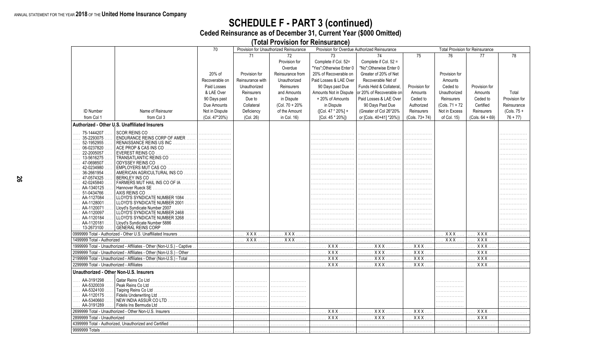# **SCHEDULE F - PART 3 (continued)**<br>Ceded Reinsurance as of December 31, Current Year (\$000 Omitted)

(Total Provision for Reinsurance)

|                                            |                                                                        | 70             |                  | Provision for Unauthorized Reinsurance |                            | Provision for Overdue Authorized Reinsurance |                  | <b>Total Provision for Reinsurance</b> |                   |               |
|--------------------------------------------|------------------------------------------------------------------------|----------------|------------------|----------------------------------------|----------------------------|----------------------------------------------|------------------|----------------------------------------|-------------------|---------------|
|                                            |                                                                        |                | 71               | 72                                     | 73                         | 74                                           | 75               | 76                                     | 77                | 78            |
|                                            |                                                                        |                |                  | Provision for                          | Complete if Col. 52=       | Complete if Col. 52 =                        |                  |                                        |                   |               |
|                                            |                                                                        |                |                  | Overdue                                | "Yes";Otherwise Enter 0    | "No": Otherwise Enter 0                      |                  |                                        |                   |               |
|                                            |                                                                        | 20% of         | Provision for    | Reinsurance from                       | 20% of Recoverable on      | Greater of 20% of Net                        |                  | Provision for                          |                   |               |
|                                            |                                                                        | Recoverable on | Reinsurance with | Unauthorized                           | Paid Losses & LAE Over     | Recoverable Net of                           |                  | Amounts                                |                   |               |
|                                            |                                                                        | Paid Losses    | Unauthorized     | Reinsurers                             | 90 Days past Due           | Funds Held & Collateral.                     | Provision for    | Ceded to                               | Provision for     |               |
|                                            |                                                                        | & LAE Over     | Reinsurers       | and Amounts                            | Amounts Not in Dispute     | or 20% of Recoverable on                     | Amounts          | Unauthorized                           | Amounts           | Total         |
|                                            |                                                                        |                |                  |                                        |                            |                                              |                  |                                        |                   |               |
|                                            |                                                                        | 90 Days past   | Due to           | in Dispute                             | +20% of Amounts            | Paid Losses & LAE Over                       | Ceded to         | Reinsurers                             | Ceded to          | Provision for |
|                                            |                                                                        | Due Amounts    | Collateral       | (Col. 70 + 20%                         | in Dispute                 | 90 Days Past Due                             | Authorized       | (Cols. 71 + 72                         | Certified         | Reinsurance   |
| <b>ID Number</b>                           | Name of Reinsurer                                                      | Not in Dispute | Deficiency       | of the Amount                          | ([Col. 47 * 20%] +         | (Greater of Col 26*20%                       | Reinsurers       | Not in Excess                          | Reinsurers        | $(Cols. 75 +$ |
| from Col 1                                 | from Col 3                                                             | (Col. 47*20%)  | (Col. 26)        | in Col. 16)                            | [Col. 45 * 20%])           | or [Cols. 40+41] *20%))                      | (Cols. 73+74)    | of Col. 15)                            | $(Cols. 64 + 69)$ | $76 + 77$     |
|                                            | Authorized - Other U.S. Unaffiliated Insurers                          |                |                  |                                        |                            |                                              |                  |                                        |                   |               |
| 75-1444207                                 | <b>SCOR REINS CO</b>                                                   |                |                  |                                        |                            |                                              |                  |                                        |                   |               |
| 35-2293075                                 | ENDURANCE REINS CORP OF AMER                                           |                |                  |                                        |                            |                                              |                  |                                        |                   |               |
| 52-1952955<br>06-0237820                   | RENAISSANCE REINS US INC<br>ACE PROP & CAS INS CO                      |                |                  |                                        |                            |                                              |                  |                                        |                   | .             |
| 22-2005057                                 | <b>EVEREST REINS CO</b>                                                |                |                  |                                        |                            |                                              |                  |                                        |                   |               |
| 13-5616275                                 | TRANSATLANTIC REINS CO                                                 |                |                  |                                        |                            |                                              |                  |                                        |                   |               |
| 47-0698507                                 | ODYSSEY REINS CO                                                       |                |                  |                                        |                            |                                              |                  |                                        |                   |               |
| 42-0234980                                 | EMPLOYERS MUT CAS CO<br>.                                              |                |                  |                                        |                            |                                              |                  |                                        |                   |               |
| 36-2661954                                 | AMERICAN AGRICULTURAL INS CO                                           |                |                  |                                        |                            |                                              |                  |                                        |                   |               |
| 47-0574325<br>42-0245840                   | BERKLEY INS CO<br>FARMERS MUT HAIL INS CO OF IA                        |                |                  |                                        |                            |                                              |                  |                                        |                   |               |
| AA-1340125                                 | Hannover Rueck SE                                                      |                |                  |                                        |                            |                                              |                  |                                        |                   |               |
| 51-0434766                                 | AXIS REINS CO                                                          |                |                  |                                        |                            |                                              |                  |                                        |                   |               |
| AA-1127084                                 | LLOYD'S SYNDICATE NUMBER 1084                                          |                |                  |                                        |                            |                                              |                  |                                        |                   |               |
| AA-1128001                                 | LLOYD'S SYNDICATE NUMBER 2001                                          |                |                  |                                        |                            |                                              |                  |                                        |                   |               |
| AA-1120071                                 | Lloyd's Syndicate Number 2007<br>.                                     |                |                  |                                        |                            |                                              |                  |                                        |                   |               |
| AA-1120097<br>AA-1120184                   | LLOYD'S SYNDICATE NUMBER 2468<br>LLOYD'S SYNDICATE NUMBER 3268         |                |                  |                                        |                            |                                              |                  |                                        |                   |               |
| AA-1120181                                 | Lloyd's Syndicate Number 5886<br>.                                     |                |                  |                                        |                            |                                              |                  |                                        |                   |               |
| $\ldots$ 13-2673100                        | GENERAL REINS CORP<br>.                                                |                |                  |                                        |                            |                                              |                  |                                        |                   |               |
|                                            | 0999999 Total - Authorized - Other U.S. Unaffiliated Insurers          |                | $XXX$            | . X X X                                |                            |                                              |                  | $XXX$                                  | $XXX$             |               |
| 1499999 Total - Authorized.                |                                                                        |                | $XXX$            | XXX<br>.                               |                            |                                              | .                | $XXX$                                  | $XXX$             |               |
|                                            | 1999999 Total - Unauthorized - Affiliates - Other (Non-U.S.) - Captive | .              |                  |                                        | XXX<br>.                   | XXX                                          | XXX              |                                        | XXX               |               |
|                                            | 2099999 Total - Unauthorized - Affiliates - Other (Non-U.S.) - Other   |                |                  |                                        | XXX                        | . <b>x x x</b>                               | $\overline{XXX}$ |                                        | $XXX$             | .             |
|                                            | 2199999 Total - Unauthorized - Affiliates - Other (Non-U.S.) - Total   |                |                  |                                        | $\overline{XXX}$<br>.<br>. | $\overline{XXX}$<br>.                        | $\overline{XXX}$ |                                        | $\overline{XXX}$  |               |
| 2299999 Total - Unauthorized - Affiliates. |                                                                        |                | .                |                                        | <b>XXX</b>                 | <b>XXX</b>                                   | $\overline{XXX}$ |                                        | XXX               |               |
| Unauthorized - Other Non-U.S. Insurers     |                                                                        |                |                  |                                        |                            |                                              |                  |                                        |                   |               |
| AA-3191298                                 | Qatar Reins Co Ltd                                                     |                |                  |                                        |                            |                                              |                  |                                        |                   |               |
| AA-5320039                                 |                                                                        |                |                  |                                        |                            |                                              |                  |                                        |                   |               |
| AA-5324100<br>AA-1120175                   |                                                                        |                |                  |                                        |                            |                                              |                  |                                        |                   |               |
| AA-5340660                                 | NEW INDIA ASSUR COLTD                                                  |                |                  |                                        |                            |                                              |                  |                                        |                   |               |
| $\ldots$ AA-3191289                        | Fidelis Ins Bermuda Ltd                                                |                |                  |                                        |                            |                                              |                  |                                        |                   | .             |
|                                            | 2699999 Total - Unauthorized - Other Non-U.S. Insurers                 |                |                  |                                        | XXX                        | <b>XXX</b><br>.                              | XXX.             | .                                      | $XXX$             | .             |
| 2899999 Total - Unauthorized               |                                                                        |                |                  |                                        | . X X X                    | <b>XXX</b><br>.                              | XXX.             |                                        | $XXX$             |               |
|                                            | 4399999 Total - Authorized, Unauthorized and Certified                 |                |                  |                                        |                            |                                              | .                | .                                      | .                 |               |
|                                            |                                                                        |                |                  |                                        |                            |                                              |                  |                                        |                   |               |
|                                            |                                                                        |                |                  |                                        |                            |                                              |                  |                                        |                   |               |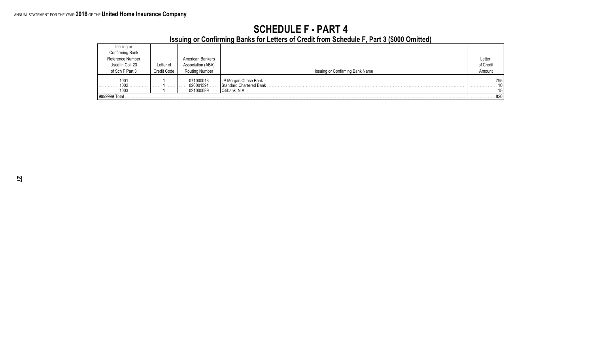### **SCHEDULE F - PART 4**

**Issuing or Confirming Banks for Letters of Credit from Schedule F, Part 3 (\$000 Omitted)**

|                               |                    |                                     | . .                                                               |           |
|-------------------------------|--------------------|-------------------------------------|-------------------------------------------------------------------|-----------|
| Issuing or<br>Confirming Bank |                    |                                     |                                                                   |           |
| Reference Number              |                    | American Bankers                    |                                                                   | Letter    |
| Used in Col. 23               | Letter of          | Association (ABA)                   |                                                                   | of Credit |
| of Sch F Part 3               | <b>Credit Code</b> | <b>Routing Number</b>               | Issuing or Confirming Bank Name                                   | Amount    |
| 100<br>1002<br>1003           | .<br>.<br>.        | 071000013<br>026001591<br>021000089 | JP Morgan Chase Bank<br>Standard Chartered Bank<br>Citibank, N.A. | 705       |
| 9999999 Tota                  |                    |                                     |                                                                   | . 820     |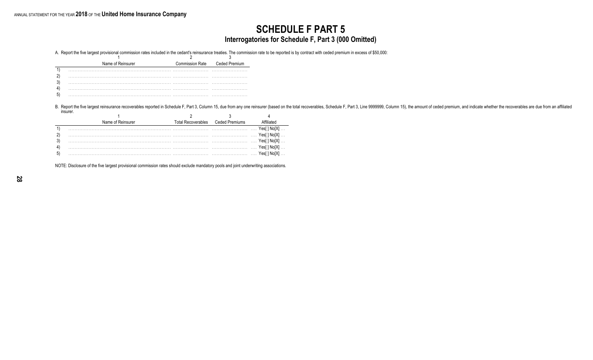### **SCHEDULE F PART 5 Interrogatories for Schedule F, Part 3 (000 Omitted)**

A. Report the five largest provisional commission rates included in the cedant's reinsurance treaties. The commission rate to be reported is by contract with ceded premium in excess of \$50,000:

| Name of Reinsurer | <b>Commission Rate</b> | Ceded Premium |
|-------------------|------------------------|---------------|
|                   |                        |               |
|                   |                        |               |
|                   |                        |               |
|                   |                        |               |
|                   |                        |               |

B. Report the five largest reinsurance recoverables reported in Schedule F, Part 3, Column 15, due from any one reinsurer (based on the total recoverables, Schedule F, Part 3, Line 9999999, Column 15), the amount of ceded insurer.

| Name of Reinsurer | Total Recoverables | Ceded Premiums |            |
|-------------------|--------------------|----------------|------------|
|                   |                    |                |            |
|                   |                    |                | Yes[1No[X] |
|                   |                    |                |            |
|                   |                    |                |            |
|                   |                    |                |            |

NOTE: Disclosure of the five largest provisional commission rates should exclude mandatory pools and joint underwriting associations.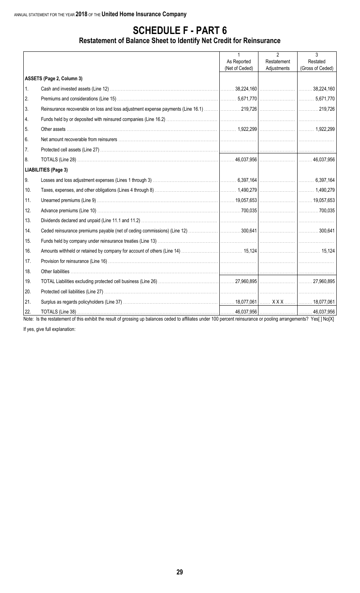### **SCHEDULE F - PART 6**

### **Restatement of Balance Sheet to Identify Net Credit for Reinsurance**

|     |                                                                                                                                                                    | $\mathbf{1}$   | $\mathfrak{p}$ | 3                |
|-----|--------------------------------------------------------------------------------------------------------------------------------------------------------------------|----------------|----------------|------------------|
|     |                                                                                                                                                                    | As Reported    | Restatement    | Restated         |
|     |                                                                                                                                                                    | (Net of Ceded) | Adjustments    | (Gross of Ceded) |
|     | ASSETS (Page 2, Column 3)                                                                                                                                          |                |                |                  |
| 1.  |                                                                                                                                                                    |                |                |                  |
| 2.  |                                                                                                                                                                    |                |                |                  |
| 3.  |                                                                                                                                                                    |                |                |                  |
| 4.  |                                                                                                                                                                    |                |                |                  |
| 5.  |                                                                                                                                                                    |                |                |                  |
| 6.  |                                                                                                                                                                    |                |                |                  |
| 7.  |                                                                                                                                                                    |                |                |                  |
| 8.  |                                                                                                                                                                    |                |                |                  |
|     | <b>LIABILITIES (Page 3)</b>                                                                                                                                        |                |                |                  |
| 9.  |                                                                                                                                                                    |                |                |                  |
| 10. |                                                                                                                                                                    |                |                |                  |
| 11. |                                                                                                                                                                    |                |                |                  |
| 12. |                                                                                                                                                                    |                |                |                  |
| 13. |                                                                                                                                                                    |                |                |                  |
| 14. |                                                                                                                                                                    |                |                |                  |
| 15. |                                                                                                                                                                    |                |                |                  |
| 16. |                                                                                                                                                                    |                |                |                  |
| 17. |                                                                                                                                                                    |                |                |                  |
| 18. |                                                                                                                                                                    |                |                |                  |
| 19. |                                                                                                                                                                    |                |                |                  |
| 20. |                                                                                                                                                                    |                |                |                  |
| 21. |                                                                                                                                                                    |                |                |                  |
| 22. |                                                                                                                                                                    |                |                |                  |
|     | Note: Is the restatement of this exhibit the result of grossing up balances ceded to affiliates under 100 percent reinsurance or pooling arrangements? Yes[] No[X] |                |                |                  |

If yes, give full explanation: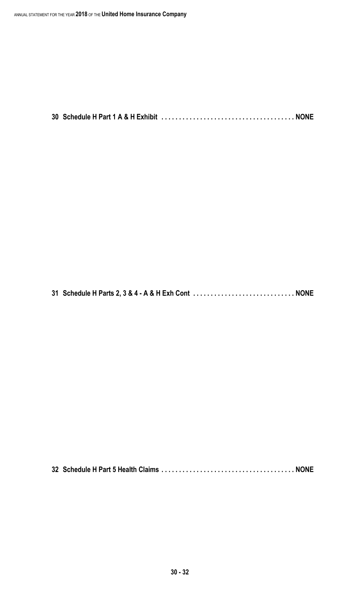**30 Schedule H Part 1 A & H Exhibit . . . . . . . . . . . . . . . . . . . . . . . . . . . . . . . . . . . . . . NONE**

**31 Schedule H Parts 2, 3 & 4 - A & H Exh Cont . . . . . . . . . . . . . . . . . . . . . . . . . . . . . NONE**

**32 Schedule H Part 5 Health Claims . . . . . . . . . . . . . . . . . . . . . . . . . . . . . . . . . . . . . . NONE**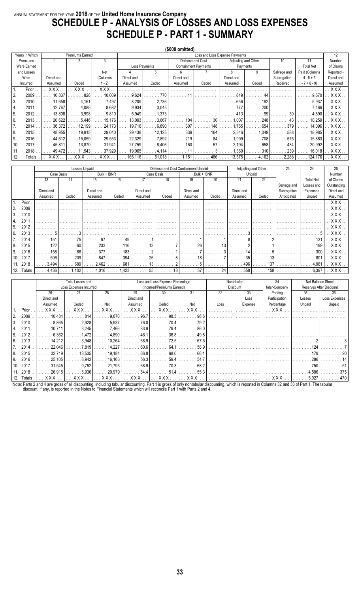### ANNUAL STATEMENT FOR THE YEAR **2018** OF THE **United Home Insurance Company SCHEDULE P - ANALYSIS OF LOSSES AND LOSS EXPENSES SCHEDULE P - PART 1 - SUMMARY**

|      |                |            |                        |             |                    |                    | (\$000 omitted) |                             |                                |          |             |                    |                     |
|------|----------------|------------|------------------------|-------------|--------------------|--------------------|-----------------|-----------------------------|--------------------------------|----------|-------------|--------------------|---------------------|
|      | Years in Which |            | <b>Premiums Earned</b> |             |                    |                    |                 |                             | Loss and Loss Expense Payments |          |             |                    | 12                  |
|      | Premiums       |            | 2                      | 3           |                    |                    |                 | Defense and Cost            | Adjusting and Other            |          | 10          | 11                 | Number              |
|      | Were Earned    |            |                        |             |                    | Loss Payments      |                 | <b>Containment Payments</b> |                                | Payments |             | <b>Total Net</b>   | of Claims           |
|      | and Losses     |            |                        | Net         | 4                  | 5                  | 6               |                             | 8                              | 9        | Salvage and | Paid (Columns      | Reported -          |
|      | Were           | Direct and |                        | (Columns    | Direct and         |                    | Direct and      |                             | Direct and                     |          | Subrogation | $4 - 5 + 6$        | Direct and          |
|      | Incurred       | Assumed    | Ceded                  | $1 - 2$     | Assumed            | Ceded              | Assumed         | Ceded                       | Assumed                        | Ceded    | Received    | $-7 + 8 - 9$       | Assumed             |
|      | Prior          | X X X      | <b>XXX</b>             | <b>XXX</b>  |                    |                    |                 |                             |                                |          |             |                    | XXX.                |
| l 2. | 2009           | 10.837     | 828                    | 10,009      | 9,624              | $\ldots 770$ l     |                 |                             | 849                            | 44       |             | 9.670              | XXX.                |
| 3.   | 2010           | 11,658     | 4.161                  | .7.497      | .8,209<br>.        | .2,736<br>المتمنين |                 |                             | 656                            | 192      |             | 5.937              | XXX.                |
| 14.  | 2011           | 12.767     | 4,085                  | 8,682       | .9.934<br>.        | 3,045<br>.         |                 |                             | 777                            | 200      |             | 7.466              | $.$ X X X $.$       |
| 5.   | 2012           | 13.808     | 3,998                  | .9,810      | . 5,949<br>.       | 1.373<br>.         |                 |                             | 413                            | 99       | 30          | 4.890              | $.$ $\sf XXX$ .     |
| 6.   | 2013           | 20.622     | 5.446                  | 15,176<br>. | 13,093<br>.        | 3,667<br>.         | 104             | 30                          | 1.007                          | 248      | 43          | 10,259             | X X X .             |
| 7.   | 2014           | 36,372     | 12,199                 | 24,173      | . 19,716           | .6,890<br>.        | 307             | 148                         | 1.765                          | 654      | 379         | 14,096             | . XXX.              |
| 8.   | 2015           | 48.955     | 19,915                 | 29,040      | 29,438             | 12,125<br>.        | 339             | 164                         | 2,546                          | 1.049    | 588         | 18,985             | XXX.                |
| 9.   | 2016           | 44.612     | 15,059                 | 29,553      | 22,329             | 7.892<br>.         | 219             | 84                          | 1.999                          | 708      | 575         | 15,863             | XXX.                |
| 10.  | 2017           | 45.811     | 13,870                 | 31,941      | 27,759<br>$\cdots$ | 8.406<br>.         | 160             | 57                          | 2.194                          | 658      | 434         | 20,992             | $. X$ $X$ $X$ $. .$ |
| 11.  | 2018           | 49.472     | 11,543                 | 37,929      | $\ldots$ 19,065    | 4,114<br>.         |                 |                             | .369                           | 310      | 239         | 16,018             | $\ldots$ XXX.       |
| 12.  | Totals         | XXX        | <b>XXX</b>             | XXX         | 165,116            | 51,018             | . 1.151         | 486                         | 13,575                         | 4,162    | 2,288       | $\ldots$ . 124,176 | XXX.                |

|               |                |                       | Losses Unpaid  |                                      |            |            | Defense and Cost Containment Unpaid |             |            | Adjusting and Other | 23          | 24                                   | 25                             |
|---------------|----------------|-----------------------|----------------|--------------------------------------|------------|------------|-------------------------------------|-------------|------------|---------------------|-------------|--------------------------------------|--------------------------------|
|               |                | Case Basis            |                | Bulk + IBNR                          |            | Case Basis |                                     | Bulk + IBNR |            | Unpaid              |             |                                      | Number                         |
|               |                |                       |                |                                      |            |            |                                     |             |            |                     |             |                                      |                                |
|               | 13             | 14                    | 15             | 16                                   | 17         | 18         | 19                                  | 20          | 21         | 22                  |             | <b>Total Net</b>                     | of Claims                      |
|               |                |                       |                |                                      |            |            |                                     |             |            |                     | Salvage and | Losses and                           | Outstanding                    |
|               | Direct and     |                       | Direct and     |                                      | Direct and |            | Direct and                          |             | Direct and |                     | Subrogation | Expenses                             | Direct and                     |
|               | Assumed        | Ceded                 | Assumed        | Ceded                                | Assumed    | Ceded      | Assumed                             | Ceded       | Assumed    | Ceded               | Anticipated | Unpaid                               | Assumed                        |
| Prior         |                |                       |                |                                      |            |            |                                     |             |            |                     |             |                                      | $.$ X X X $.$                  |
| 2009<br>l 2.  |                |                       |                |                                      |            |            |                                     |             |            |                     |             |                                      | $.$ $\sf XXX$ .                |
| 2010<br>3.    |                |                       |                |                                      |            |            |                                     |             |            |                     |             |                                      | XXX.                           |
| 2011<br>4.    |                |                       |                |                                      |            |            |                                     |             |            |                     |             |                                      | XXX.                           |
| 2012<br>l 5.  |                |                       |                |                                      |            |            |                                     |             |            |                     |             |                                      | XXX.                           |
| 2013<br>6.    |                |                       |                |                                      |            |            |                                     |             |            |                     |             |                                      | XXX.                           |
| 2014          | 151            |                       | 97             | 49                                   |            |            |                                     |             |            |                     |             | 131                                  | $\mathbb{R}$ X X X             |
| 2015<br>8.    | 122            | 60                    | 233            | 116                                  | 13         |            | 26                                  | 13          |            |                     |             | 199                                  | $\mathbf{X} \times \mathbf{X}$ |
| 2016<br>l 9.  | 158            | 66                    | 377            | 183                                  |            |            |                                     |             |            |                     |             | 300                                  | X X X .                        |
| 2017<br>10.   | 506            | 209                   | 847            | 394                                  | 26         |            |                                     |             | 35         |                     |             | 801                                  | $.$ X X X $.$                  |
| 2018          | 3,494          | 689                   | 2,462          | 681<br>.                             | 13         |            | .                                   |             | 496<br>.   | 137<br>.            |             | $\left  \ldots \ldots \right $ 4,961 | $\ldots$ XXX.                  |
| Totals<br>12. | $\ldots$ 4.436 | $\ldots \ldots 1,102$ | $\ldots$ 4,016 | $\left  \ldots \ldots 1,423 \right $ | 55<br>.    |            |                                     |             |            | . 158               |             | $\ldots$ . 6,397                     | $\ldots$ XXX $\ldots$          |

|     |            |            | Total Losses and       |            |            | Loss and Loss Expense Percentage |            |      | Nontabular | 34            |        | Net Balance Sheet       |
|-----|------------|------------|------------------------|------------|------------|----------------------------------|------------|------|------------|---------------|--------|-------------------------|
|     |            |            | Loss Expenses Incurred |            |            | (Incurred/Premiums Earned)       |            |      | Discount   | Inter-Company |        | Reserves After Discount |
|     |            | 26         | 27                     | 28         | 29         | 30                               | 31         | 32   | 33         | Pooling       | 35     | 36                      |
|     |            | Direct and |                        |            | Direct and |                                  |            |      | Loss       | Participation | Losses | Loss Expenses           |
|     |            | Assumed    | Ceded                  | Net        | Assumed    | Ceded                            | Net        | Loss | Expense    | Percentage    | Unpaid | Unpaid                  |
|     | Prior      | <b>XXX</b> | <b>XXX</b>             | <b>XXX</b> | <b>XXX</b> | <b>XXX</b>                       | <b>XXX</b> |      |            | <b>XXX</b>    |        |                         |
| 2.  | 2009       | 10.484     | . 814                  | .9,670     | 96.7       | 98.3                             | 96.6       |      |            |               |        |                         |
| 3.  | 2010       | .8.865     | 2,928                  | 5,937      | 76.0       | 70.4                             | 79.2       |      |            |               |        |                         |
|     | 2011       | 10.711     | 3,245                  | 7,466      | 83.9       | 79.4                             | 86.0       |      |            |               |        |                         |
| -5. | 2012       | 6.362      | 1.472                  | .4.890     | 46.1       | 36.8                             | 49.8       |      |            |               |        |                         |
| 6.  | 2013       | 14.212     | 3,948                  | 10,264     | 68.9       | 72.5                             | 67.6       |      |            |               |        |                         |
|     | 2014       | 22.046     | 7.819                  | 14,227     | 60.6       | 64.1                             | 58.9       |      |            |               | 124    |                         |
| 8.  | 2015       | 32.719     | 13,535                 | 19,184     | 66.8       | 68.0                             | 66.1       |      |            |               | 179    |                         |
| 9.  | 2016       | 25,105     | .8,942                 | 16,163     | 56.3       | 59.4                             | 54.7       |      |            |               | 286    |                         |
|     | 10.2017    | 31.545     | .9.752                 | 21.793     | 68.9       | 70.3                             | 68.2       |      |            |               | 750    |                         |
|     | 11. 2018   | 26,915     | 5,936                  | 20,979     | 54.4       | 51.4                             | 55.3       |      |            |               | 4,586  | 375                     |
|     | 12. Totals | XXX        | XXX                    | $XXX$      | <b>XXX</b> | XXX                              | XXX        | .    |            | $XXX$         | .5.927 | 470                     |

Note: Parts 2 and 4 are gross of all discounting, including tabular discounting. Part 1 is gross of only nontabular discounting, which is reported in Columns 32 and 33 of Part 1. The tabular<br>discount, if any, is reported i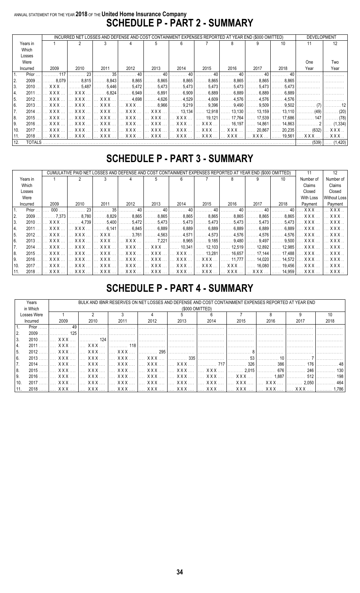### ANNUAL STATEMENT FOR THE YEAR **2018** OF THE **United Home Insurance Company SCHEDULE P - PART 2 - SUMMARY**

|                                                                                                                                                                                                                            |          |               |      |      |      |      | INCURRED NET LOSSES AND DEFENSE AND COST CONTAINMENT EXPENSES REPORTED AT YEAR END (\$000 OMITTED) |      |      |      |      | <b>DEVELOPMENT</b>                                                                                                               |      |
|----------------------------------------------------------------------------------------------------------------------------------------------------------------------------------------------------------------------------|----------|---------------|------|------|------|------|----------------------------------------------------------------------------------------------------|------|------|------|------|----------------------------------------------------------------------------------------------------------------------------------|------|
|                                                                                                                                                                                                                            | Years in |               |      |      |      |      |                                                                                                    |      |      |      | 10   | 11                                                                                                                               | 12   |
|                                                                                                                                                                                                                            | Which    |               |      |      |      |      |                                                                                                    |      |      |      |      |                                                                                                                                  |      |
|                                                                                                                                                                                                                            | Losses   |               |      |      |      |      |                                                                                                    |      |      |      |      |                                                                                                                                  |      |
|                                                                                                                                                                                                                            | Were     |               |      |      |      |      |                                                                                                    |      |      |      |      | One                                                                                                                              | Two  |
|                                                                                                                                                                                                                            | Incurred | 2009          | 2010 | 2011 | 2012 | 2013 | 2014                                                                                               | 2015 | 2016 | 2017 | 2018 | Year                                                                                                                             | Year |
| 35<br>40<br>40<br>23<br>40<br>40<br>40<br>Prior<br>117                                                                                                                                                                     |          |               |      |      |      |      |                                                                                                    |      |      |      |      |                                                                                                                                  |      |
| $\ldots \ldots 8,865$   $\ldots \ldots 8,865$  <br>2.<br>2009<br>$\ldots \ldots 8.815$<br>$\ldots \ldots 8.843$<br>8,865    8,865  <br>. 8.079 l<br>$\ldots \ldots 8.865$<br>$\ldots \ldots 8.865$   $\ldots \ldots 8.865$ |          |               |      |      |      |      |                                                                                                    |      |      |      |      |                                                                                                                                  |      |
| 3.<br>$\ldots \ldots 5,487$   $\ldots \ldots 5,446$   $\ldots \ldots 5,472$   $\ldots \ldots 5,473$   $\ldots \ldots 5,473$   $\ldots \ldots 5,473$  <br>$2010$ $XXX$<br>5,473   5,473   5,473                             |          |               |      |      |      |      |                                                                                                    |      |      |      |      |                                                                                                                                  |      |
| _2011 …  …  X X X …   …  X X X …   ……… 6,824  ……… 6,949  ……… 6,891  ……… 6,909  ……… 6,889  ……… 6,889  ……… 6,889  ……… 6,889  ……………   …………<br>4.                                                                              |          |               |      |      |      |      |                                                                                                    |      |      |      |      |                                                                                                                                  |      |
| 5.                                                                                                                                                                                                                         |          |               |      |      |      |      |                                                                                                    |      |      |      |      | 2012 …  … XXX …  … XXX …  … XXX …  ………4,698  ………4,626  ………4,529  ………4,609  ………4,576  ………4,576  ………4,576  ……………                   |      |
| l 6.                                                                                                                                                                                                                       |          |               |      |      |      |      |                                                                                                    |      |      |      |      | 2013 … … XXX … … XXX … … XXX … [… XXX … [… XXX … [………8,966 [………9,219 ]………9,396 [………9,490 ]………9,509 [………9,502 ]…………… (7) […………12] |      |
| 7.                                                                                                                                                                                                                         |          |               |      |      |      |      |                                                                                                    |      |      |      |      | 2014     XXX     XXX     XXX     XXX     XXX     13,134    12,918    13,130    13,159    13,110    (49)    (20)                  |      |
| 8.                                                                                                                                                                                                                         |          |               |      |      |      |      |                                                                                                    |      |      |      |      | 2015   XXX    XXX    XXX    XXX    XXX    XXX    19,121   17,764   17,539   17,686   147   (78)                                  |      |
| 9.                                                                                                                                                                                                                         |          |               |      |      |      |      |                                                                                                    |      |      |      |      |                                                                                                                                  |      |
| 2017   XXX    XXX    XXX    XXX    XXX    XXX    XXX    XXX    20,867   20,235   (632)   XXX   <br>10.                                                                                                                     |          |               |      |      |      |      |                                                                                                    |      |      |      |      |                                                                                                                                  |      |
| 11.                                                                                                                                                                                                                        |          |               |      |      |      |      |                                                                                                    |      |      |      |      | 2018 …]… XXX … ]… XXX … ]… XXX … ]… XXX … ]… XXX … ]… XXX … ]… XXX … ]… XXX … ]… XXX … ]…… XXX … ]…XXX … ]… XXX … […XXX …        |      |
| 12.                                                                                                                                                                                                                        |          | <b>TOTALS</b> |      |      |      |      |                                                                                                    |      |      |      |      |                                                                                                                                  |      |

### **SCHEDULE P - PART 3 - SUMMARY**

|      |          |                       |                         | LOSSES AND DEFENSE AND COST CONTAINMENT EXPENSES REPORTED AT YEAR END (\$000 OMITTED) |                       |                       |                                             |                       |                                       |                  |                                 | 11                                                                                                     | 12                      |
|------|----------|-----------------------|-------------------------|---------------------------------------------------------------------------------------|-----------------------|-----------------------|---------------------------------------------|-----------------------|---------------------------------------|------------------|---------------------------------|--------------------------------------------------------------------------------------------------------|-------------------------|
|      | Years in |                       |                         |                                                                                       |                       |                       | 6                                           |                       |                                       |                  | 10                              | Number of                                                                                              | Number of               |
|      | Which    |                       |                         |                                                                                       |                       |                       |                                             |                       |                                       |                  |                                 | Claims                                                                                                 | Claims                  |
|      | Losses   |                       |                         |                                                                                       |                       |                       |                                             |                       |                                       |                  |                                 | Closed                                                                                                 | Closed                  |
|      | Were     |                       |                         |                                                                                       |                       |                       |                                             |                       |                                       |                  |                                 | With Loss                                                                                              | <b>Without Loss</b>     |
|      | Incurred | 2009                  | 2010                    | 2011                                                                                  | 2012                  | 2013                  | 2014                                        | 2015                  | 2016                                  | 2017             | 2018                            | Payment                                                                                                | Payment                 |
|      | Prior    | 000 <sub>o</sub>      | 23                      | 35                                                                                    | 40                    | 40                    | 40                                          | 40                    |                                       | 40               | 40                              | <b>XXX</b>                                                                                             | XXX.                    |
| 2.   | 2009     | .7.373                | $\ldots$ . 8.780        | .8,829                                                                                | .8,865                | .8,865<br>.           | .8,865<br>1.1.1.1                           | 8,865                 | 8,865                                 | .8.865           | .8,865                          | <b>XXX</b>                                                                                             | X X X                   |
| 3.   | 2010     | . X X X               | . 4.739                 | $\ldots 5,400$                                                                        | . 5,472               | $\ldots$ . 5.473      | .5,473<br>.                                 | .5,473                | . 5.473                               |                  | . 5.473   5.473                 | XXX                                                                                                    | X X X                   |
| 4.   | 2011     | $\ldots$ XXX $\ldots$ | XXX                     | . 6,141                                                                               | .6,845<br>.           | .6,889<br>.           | .6,889<br>1.1.1.                            | . 6,889               | . 6.889                               | $.6.889$ $ $     | . 6.889 l                       | . X X X                                                                                                | X X X                   |
| 5.   | 2012     | XXX                   | . X X X                 | XXX                                                                                   | $\ldots \ldots 3.761$ | . 4,563               | . 4,571                                     | $\ldots \ldots 4.573$ | 4.576                                 |                  | . 4.576   4.576                 | <b>XXX</b>                                                                                             | . X X X                 |
| l 6. | 2013     | XXX  I                | XXX     XXX             |                                                                                       | XXX                   | $\ldots \ldots 7,221$ | . 8,965                                     | . 9.185               | $\ldots \ldots$ 9.480                 |                  |                                 | . 9,497   9,500   X X X                                                                                | XXX                     |
| 7.   | 2014     | XXX                   | . X X X                 | XXX                                                                                   | XXX                   | <b>XXX</b>            | $\ldots$ 10,341                             | $\ldots$ . 12.103     | $\ldots$ 12.519                       | $12.892$ $\dots$ | 12.985                          | X X X                                                                                                  | . X X X                 |
| 8.   | 2015     | XXX                   | $\ldots$ X X X $\ldots$ | $XXX$                                                                                 | . X X X               | . <b>XXX</b>          | $XXX$                                       | 13,281                | 16,657<br>.                           |                  | $\ldots$ 17,144 $\ldots$ 17,488 | <b>XXX</b>                                                                                             | X X X                   |
| 9.   | 2016     | $\ldots$ XXX $\ldots$ | <b>XXX</b>              | XXX                                                                                   | XXX                   |                       | XXX     XXX                                 | <b>XXX</b>            | $\left  \ldots \ldots 11,777 \right $ |                  |                                 | $\left[\ldots\ldots\right]$ 14,020 $\left[\ldots\right]$ 14,572 $\left[\ldots\right]$ X X X $\ldots\,$ | $\ldots$ X X X $\ldots$ |
| 10.  | 2017     | $\ldots$ XXX $\ldots$ | $\ldots$ XXX $\ldots$   | $\ldots$ XXX $\ldots$                                                                 | XXX <i>.</i>          |                       | $\ldots$ XXX $\ldots$ $\ldots$ XXX $\ldots$ |                       | $$ XXX $$ $$ XXX $$ $ $               |                  | $16.080$ $19.456$               | <b>XXX</b>                                                                                             | <b>XXX</b>              |
| 11.  | 2018     | XXX                   | XXX                     | <b>XXX</b>                                                                            | XXX                   | <b>XXX</b>            | $\left   \;$ X X X $ \;$                    |                       |                                       |                  | XXX     14,959    XXX           |                                                                                                        | . X X X                 |

### **SCHEDULE P - PART 4 - SUMMARY**

|      | Years       |                       |                       |                                              |                            |                 |            |                       |       | BULK AND IBNR RESERVES ON NET LOSSES AND DEFENSE AND COST CONTAINMENT EXPENSES REPORTED AT YEAR END |      |
|------|-------------|-----------------------|-----------------------|----------------------------------------------|----------------------------|-----------------|------------|-----------------------|-------|-----------------------------------------------------------------------------------------------------|------|
|      | in Which    |                       |                       |                                              |                            | (\$000 OMITTED) |            |                       |       |                                                                                                     |      |
|      | Losses Were |                       |                       |                                              |                            |                 |            |                       |       |                                                                                                     |      |
|      | Incurred    | 2009                  | 2010                  | 2011                                         | 2012                       | 2013            | 2014       | 2015                  | 2016  | 2017                                                                                                | 2018 |
|      | Prior       | 49                    |                       |                                              |                            |                 |            |                       |       |                                                                                                     |      |
| 2.   | 2009        | 125                   |                       |                                              |                            |                 |            |                       |       |                                                                                                     |      |
| 3.   | 2010        | <b>XXX</b>            | 124                   |                                              |                            |                 |            |                       |       |                                                                                                     |      |
| 4.   | $2011$      | XXX                   | $X$ $X$ $X$ $X$       | 118                                          |                            |                 |            |                       |       |                                                                                                     |      |
| 5.   | 2012        | XXX                   | XXX                   | $\ldots$ XXX $\ldots$                        | $\ldots \ldots \ldots 295$ |                 |            |                       |       |                                                                                                     |      |
| l 6. | $2013$      | XXX                   | XXX                   | $X$ X X $X$ $\ldots$ $\ldots$ X X X $\ldots$ |                            | . 335           |            | 53                    | 10    |                                                                                                     |      |
|      | 2014        | $\ldots$ XXX $\ldots$ | $\ldots$ XXX $\ldots$ |                                              | XXX     XXX     XXX        |                 |            | . 326                 | 386   | 176 l                                                                                               |      |
| 8.   | 2015        | XXX                   | $\ldots$ XXX $\ldots$ | XXX     XXX                                  |                            |                 | XXX    XXX | $\ldots \ldots 2.015$ | 676   | 246 l                                                                                               | 130  |
| l 9. | 2016        | $\ldots$ XXX $\ldots$ | $\ldots$ XXX $\ldots$ |                                              | XXX    XXX                 |                 |            |                       | 1.887 | 512                                                                                                 | 198  |
| 10.  | $2017$      | $\mathbf{XXX}$        | $\ldots$ XXX $\ldots$ |                                              | XXX     XXX                |                 | XXX    XXX | XXX                   | I XXX | $\ldots \ldots 2.050$                                                                               |      |
| 11.  | $2018$      | XXX  1                |                       |                                              |                            |                 |            |                       |       |                                                                                                     | .786 |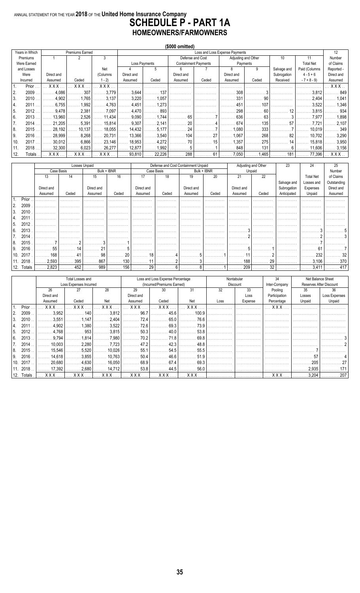### ANNUAL STATEMENT FOR THE YEAR 2018 OF THE United Home Insurance Company<br>SCHEDULE P - PART 1A HOMEOWNERS/FARMOWNERS

|      |                |            |                 |             |                |               | (\$000 omitted)  |                             |                                |                     |             |                  |            |
|------|----------------|------------|-----------------|-------------|----------------|---------------|------------------|-----------------------------|--------------------------------|---------------------|-------------|------------------|------------|
|      | Years in Which |            | Premiums Earned |             |                |               |                  |                             | Loss and Loss Expense Payments |                     |             |                  | 12         |
|      | Premiums       |            |                 | 3           |                |               | Defense and Cost |                             |                                | Adjusting and Other | 10          | 11               | Number     |
|      | Were Earned    |            |                 |             |                | Loss Payments |                  | <b>Containment Payments</b> |                                | Payments            |             | <b>Total Net</b> | of Claims  |
|      | and Losses     |            |                 | Net         |                | 5             | 6                |                             | 8                              | 9                   | Salvage and | Paid (Columns    | Reported - |
|      | Were           | Direct and |                 | (Columns    | Direct and     |               | Direct and       |                             | Direct and                     |                     | Subrogation | $4 - 5 + 6$      | Direct and |
|      | Incurred       | Assumed    | Ceded           | $1 - 2$     | Assumed        | Ceded         | Assumed          | Ceded                       | Assumed                        | Ceded               | Received    | $-7 + 8 - 9$     | Assumed    |
|      | Prior          | <b>XXX</b> | <b>XXX</b>      | <b>XXX</b>  |                |               |                  |                             |                                |                     |             |                  | <b>XXX</b> |
| l 2. | 2009           | 4.086      | 307             | 3.779       | 3,644          | 137           |                  |                             | 308                            |                     |             | 3.812            | 849        |
| 3.   | 2010           | 4.902      | .765            | 3,137       | 3,220          | 1.057         |                  |                             | 331                            | 90                  |             | 2.404            | 1.041      |
| 4.   | 2011           | 6.755      | 1.992           | 4,763       | 4,451          | 1,273         |                  |                             | 451                            | 107                 |             | 3,522            | 1,346      |
| 5.   | 2012           | 9.478      | 2.381           | 7,097       | 4,470          | 893           |                  |                             | 298                            | 60                  |             | 3.815            | 934        |
| 6.   | 2013           | 13.960     | 2.526           | 11,434      | .9,090         | 1.744<br>.    | 65               |                             | 636                            | 63                  |             | 7.977            | 1,898      |
| I 7. | 2014           | 21.205     | 5.391           | 15,814      | $\ldots$ 9.307 | .2,141        | 20               |                             | 674                            | 135                 | 57          | . 7.721          | 2.107      |
| 8.   | 2015           | 28,192     | 10.137          | 18,055<br>. | 14,432         | 5,177<br>.    | 24               |                             | .080                           | 333                 |             | 10.019           | 349        |
| 9.   | 2016           | 28.999     | 8.268           | 20,731      | 13,366         | 3,540<br>.    | 104              | 27                          | .067                           | 268                 |             | 10.702           | 3,290      |
| 10.  | 2017           | 30.012     | 6.866           | 23,146      | 18,953         | . 4,272       |                  | 15                          | .357                           | 275                 |             | 15.818           | 3,950      |
| 11.  | 2018           | 32.300     | 6.023           | 26,277      | 12,877         | 1.992         |                  |                             | 848                            | 131                 |             | 11.606           | 3,156      |
| 12.  | Totals         | XXX        | <b>XXX</b>      | <b>XXX</b>  | 93,810         | 22,226        | 288              | 61                          | 7,050                          | 1,465               | 181         | 77,396           | XXX        |

|            |       |            |            | Losses Unpaid |             |            |            | Defense and Cost Containment Unpaid |             | Adjusting and Other |         | 23          | 24               | 25          |
|------------|-------|------------|------------|---------------|-------------|------------|------------|-------------------------------------|-------------|---------------------|---------|-------------|------------------|-------------|
|            |       |            | Case Basis |               | Bulk + IBNR |            | Case Basis |                                     | Bulk + IBNR |                     | Unpaid  |             |                  | Number      |
|            |       | 13         | 14         | 15            | 16          | 17         | 18         | 19                                  | 20          | 21                  | 22      |             | <b>Total Net</b> | of Claims   |
|            |       |            |            |               |             |            |            |                                     |             |                     |         | Salvage and | Losses and       | Outstanding |
|            |       | Direct and |            | Direct and    |             | Direct and |            | Direct and                          |             | Direct and          |         | Subrogation | Expenses         | Direct and  |
|            |       | Assumed    | Ceded      | Assumed       | Ceded       | Assumed    | Ceded      | Assumed                             | Ceded       | Assumed             | Ceded   | Anticipated | Unpaid           | Assumed     |
|            | Prior |            |            |               |             |            |            |                                     |             |                     |         |             |                  |             |
| 2.         | 2009  |            |            |               |             |            |            |                                     |             |                     |         |             |                  |             |
| 3.         | 2010  |            |            |               |             |            |            |                                     |             |                     |         |             |                  |             |
| 4.         | 2011  |            |            |               |             |            |            |                                     |             |                     |         |             |                  |             |
| . 5.       | 2012  |            |            |               |             |            |            |                                     |             |                     |         |             |                  |             |
| 6.         | 2013  |            |            |               |             |            |            |                                     |             |                     |         |             |                  |             |
| 7.         | 2014  |            |            |               |             |            |            |                                     |             |                     |         |             |                  |             |
|            |       |            |            |               |             |            |            | .                                   |             |                     |         |             |                  |             |
| 8.         | 2015  |            |            |               |             |            |            |                                     |             |                     |         |             |                  |             |
| 9.         | 2016  | 55         | 14         | 21            |             |            |            |                                     |             |                     |         |             | 61               |             |
| 10.        | 2017  | 168        |            | 98            | 20          | 18         |            |                                     |             |                     |         |             | 232              |             |
| 11.        | 2018  | 2,593      | 395        | 867<br>.      | 130<br>.    |            |            |                                     |             | 188<br>.            | 29<br>. |             | 3,106            | . 370       |
| 12. Totals |       | 2.823      | 452        | 989           | 156<br>.    | 29         |            |                                     |             | 209                 | . 32    |             | .3.411           | 417         |

|     |            |            | Total Losses and       |             |            | Loss and Loss Expense Percentage |            |      | Nontabular | 34            |        | Net Balance Sheet       |
|-----|------------|------------|------------------------|-------------|------------|----------------------------------|------------|------|------------|---------------|--------|-------------------------|
|     |            |            | Loss Expenses Incurred |             |            | (Incurred/Premiums Earned)       |            |      | Discount   | Inter-Company |        | Reserves After Discount |
|     |            | 26         |                        | 28          | 29         | 30                               | 31         | 32   | 33         | Pooling       | 35     | 36                      |
|     |            | Direct and |                        |             | Direct and |                                  |            |      | Loss       | Participation | Losses | Loss Expenses           |
|     |            | Assumed    | Ceded                  | Net         | Assumed    | Ceded                            | Net        | Loss | Expense    | Percentage    | Unpaid | Unpaid                  |
|     | Prior      | <b>XXX</b> | <b>XXX</b>             | XXX         | <b>XXX</b> | <b>XXX</b>                       | <b>XXX</b> |      |            | <b>XXX</b>    |        |                         |
|     | 2009       | 3.952      | $\ldots$ 140           | .3,812      | 96.7       | 45.6                             | 100.9      |      |            |               |        |                         |
| 3.  | 2010       | .3,551     | .1.147                 | 2,404       | . 72.4     | . 65.0                           | 76.6       |      |            |               |        |                         |
| 4.  | 2011       | 4,902      | 1,380                  | 3,522<br>.  | 72.6       | 69.3                             | 73.9       |      |            |               |        |                         |
| 5.  | 2012       | .4.768     | . 953                  | .3,815      | . 50.3 l   | $\ldots \ldots$ 40.0             | 53.8       |      |            |               |        |                         |
| 6.  | 2013       | .9.794     | 1.814                  | .7,980      | 70.2       | 71.8                             | 69.8       |      |            |               |        |                         |
| 7.  | 2014       | 10,003     | 2.280                  | .7723       | . 47.2     | . 42.3                           | . 48.8     |      |            |               |        |                         |
| 8.  | 2015       | 15.546     | 5.520                  | 10.026<br>. | 55.1       | 54.5                             | 55.5       |      |            |               |        |                         |
| 9.  | 2016       | 14,618     | .3.855                 | 10,763      | 50.4       | . 46.6                           | 51.9       |      |            |               |        |                         |
| 10. | 2017       | 20,680     | . 4.630 l              | 16,050      | 68.9       | 67.4                             | 69.3       |      |            |               | 205    |                         |
|     | 11.2018    | 17.3921    | 2.680                  | 14.712      | 53.8       | . 44.5                           | 56.0<br>.  |      |            |               | 2.935  |                         |
|     | 12. Totals | XXX        | $XXX$                  | $XXX$       | <b>XXX</b> | XXX                              | XXX        | 1.   | l          | XXX           | 3,204  | 207                     |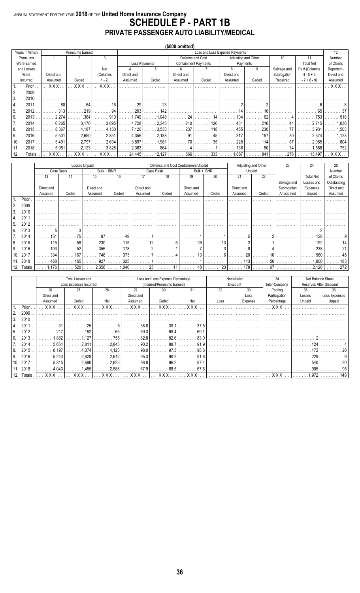### ANNUAL STATEMENT FOR THE YEAR 2018 OF THE United Home Insurance Company<br>SCHEDULE P - PART 1B PRIVATE PASSENGER AUTO LIABILITY/MEDICAL

|      |                |            |                 |            |                       |                            | (\$000 omitted) |                             |                                |          |             |                  |            |
|------|----------------|------------|-----------------|------------|-----------------------|----------------------------|-----------------|-----------------------------|--------------------------------|----------|-------------|------------------|------------|
|      | Years in Which |            | Premiums Earned |            |                       |                            |                 |                             | Loss and Loss Expense Payments |          |             |                  | 12         |
|      | Premiums       |            |                 | 3          |                       |                            |                 | Defense and Cost            | Adjusting and Other            |          | 10          | 11               | Number     |
|      | Were Earned    |            |                 |            |                       | Loss Payments              |                 | <b>Containment Payments</b> |                                | Payments |             | <b>Total Net</b> | of Claims  |
|      | and Losses     |            |                 | Net        |                       | 5                          | 6               |                             | 8                              | 9        | Salvage and | Paid (Columns    | Reported - |
|      | Were           | Direct and |                 | (Columns   | Direct and            |                            | Direct and      |                             | Direct and                     |          | Subrogation | $4 - 5 + 6$      | Direct and |
|      | Incurred       | Assumed    | Ceded           | $1 - 2$    | Assumed               | Ceded                      | Assumed         | Ceded                       | Assumed                        | Ceded    | Received    | $-7 + 8 - 9$     | Assumed    |
| l 1. | Prior          | <b>XXX</b> | <b>XXX</b>      | <b>XXX</b> |                       |                            |                 |                             |                                |          |             |                  | XXX.       |
| I 2. | 2009           |            |                 |            |                       |                            |                 |                             |                                |          |             |                  |            |
| 3.   | 2010           |            |                 |            |                       |                            |                 |                             |                                |          |             |                  |            |
| 4.   | 2011           | 80         | . 64            | . 16       | . 29                  | . 23                       |                 |                             |                                |          |             |                  |            |
| 15.  | 2012           | 313        | . 219           | . 94       | . 203<br>.            | . 142                      |                 |                             | 14                             |          |             | 65               |            |
| 6.   | 2013           | 2.274      | 1.364           | . 910      | . 1.749               | 1,048                      | . 24            | . 14                        | 104<br>.                       | . 62     |             | . 753            | 518        |
| I 7. | 2014           | 6,265      | 3.170           | 3,095<br>. | . 4,728               | .2,348<br>.                | . 240<br>.      | 120<br>.                    | . 431                          | 216      | 44          | . 2.715  <br>.   | 1.036      |
| 8.   | 2015           | .8,367     | . 4.187         | .4,180     | . 7,120               | 3,533<br>.                 | 237<br>.        | 118                         | 455<br>.                       | 230      | 77          | 3,931<br>.       | 1.503      |
| I 9. | 2016           | 5,501      | 2.650           | 2,851      | $\ldots \ldots 4,356$ | . 2.188                    | 91              | 45                          | 317<br>.                       | 157      | 30          | 2,374<br>.       | 1.123      |
| 10.  | 2017.          | 5,491      | 2.797           | 2,694      | . 3,897               | 1,981<br>.                 | 70              | 35                          | 228                            | 114      | 87          | 2.065            | 804        |
| 11.  | 2018           | 5,951      | 2.123           | 3,828      | $\ldots \ldots 2,363$ | $\ldots \ldots \ldots 864$ |                 |                             | 136                            | 50       | . 34        | 1,588            | . 752      |
| 12.  | Totals         | <b>XXX</b> | x x x           | <b>XXX</b> | 24,445                | 12,127                     | 666             | 333                         | 1,687                          | 841      | 276         | 13,497           | XXX        |

|     |            |            |            | Losses Unpaid |             |            |            | Defense and Cost Containment Unpaid |             | Adjusting and Other |        | 23          | 24               | 25          |
|-----|------------|------------|------------|---------------|-------------|------------|------------|-------------------------------------|-------------|---------------------|--------|-------------|------------------|-------------|
|     |            |            | Case Basis |               | Bulk + IBNR |            | Case Basis |                                     | Bulk + IBNR |                     | Unpaid |             |                  | Number      |
|     |            | 13         | 14         | 15            | 16          | 17         | 18         | 19                                  | 20          | 21                  | 22     |             | <b>Total Net</b> | of Claims   |
|     |            |            |            |               |             |            |            |                                     |             |                     |        | Salvage and | Losses and       | Outstanding |
|     |            | Direct and |            | Direct and    |             | Direct and |            | Direct and                          |             | Direct and          |        | Subrogation | Expenses         | Direct and  |
|     |            | Assumed    | Ceded      | Assumed       | Ceded       | Assumed    | Ceded      | Assumed                             | Ceded       | Assumed             | Ceded  | Anticipated | Unpaid           | Assumed     |
|     | Prior      |            |            |               |             |            |            |                                     |             |                     |        |             |                  |             |
| 2.  | 2009       |            |            |               |             |            |            |                                     |             |                     |        |             |                  |             |
| 3.  | 2010       |            |            |               |             |            |            |                                     |             |                     |        |             |                  |             |
| 4.  | 2011       |            |            |               |             |            |            |                                     |             |                     |        |             |                  |             |
| b.  | 2012       |            |            |               |             |            |            |                                     |             |                     |        |             |                  |             |
| 6.  | 2013       |            |            |               |             |            |            |                                     |             |                     |        |             |                  |             |
|     | 2014       | 15'        | 75         | 97            | 49          |            |            |                                     |             |                     |        |             | 128              |             |
| 8   | 2015       | 115        | 58         | 230           | 115         | 12         |            | 26                                  |             |                     |        |             | 192              |             |
| 9.  | 2016       | 103        | 52         | 356           | 178         |            |            |                                     |             |                     |        |             | 238              |             |
| 10. | 2017       | 334        | 167        | 746           | 373         |            |            |                                     |             | 20                  |        |             | 560              |             |
| 11. | 2018       | 468        | 165        | 927           | 325         |            |            |                                     |             | 143                 | 50     |             | 1,000            | 183         |
|     |            |            |            |               | .           |            |            |                                     |             |                     |        |             |                  |             |
|     | 12. Totals | . 1.176    | 520        | 2,356         | . 1,040     |            |            |                                     | 23<br>$48$  | 178                 | 67     |             | .2,120           | 272         |

|               |         |            | Total Losses and       |            |            | Loss and Loss Expense Percentage |              |      | Nontabular | 34            |        | Net Balance Sheet       |
|---------------|---------|------------|------------------------|------------|------------|----------------------------------|--------------|------|------------|---------------|--------|-------------------------|
|               |         |            | Loss Expenses Incurred |            |            | (Incurred/Premiums Earned)       |              |      | Discount   | Inter-Company |        | Reserves After Discount |
|               |         | 26         | 27                     | 28         | 29         | 30                               | 31           | 32   | 33         | Pooling       | 35     | 36                      |
|               |         | Direct and |                        |            | Direct and |                                  |              |      | Loss       | Participation | Losses | Loss Expenses           |
|               |         | Assumed    | Ceded                  | Net        | Assumed    | Ceded                            | Net          | Loss | Expense    | Percentage    | Unpaid | Unpaid                  |
|               | Prior   | <b>XXX</b> | <b>XXX</b>             | <b>XXX</b> | <b>XXX</b> | <b>XXX</b>                       | <b>XXX</b>   |      |            | <b>XXX</b>    |        |                         |
| <sup>2.</sup> | 2009    |            |                        |            |            |                                  |              |      |            |               |        |                         |
| 3.            | 2010    |            |                        |            |            |                                  |              |      |            |               |        |                         |
|               | 2011    |            | 25                     |            | 38.8       | 39.1                             | 37.5         |      |            |               |        |                         |
| -5.           | 2012    | 217        | 152                    | 65         | 69.3       | $\ldots \ldots 69.4$             | 69.1         |      |            |               |        |                         |
| 6.            | 2013    | 1,882      | 1.127                  | 755        | 82.8       | 82.6                             | 83.0         |      |            |               |        |                         |
|               | 2014    | .5.654     | 2,811                  | 2,843      | 90.2       | . 88.7                           | 91.9         |      |            |               | 124    |                         |
| 8.            | 2015    | 8.197      | 4.074                  | .4,123     | 98.0       | 97.3                             | 98.6         |      |            |               | 172    |                         |
|               | 2016    |            |                        |            |            | 99.2                             | 91.6         |      |            |               | 229    |                         |
| 9.            |         | .5,240     | 2,628                  | .2,612     | 95.3       |                                  |              |      |            |               |        |                         |
| 10.           | 2017    | 5,315      | 2,690                  | 2,625      | 96.8       | 96.2                             | 97.4         |      |            |               | 540    |                         |
|               | 11.2018 | .4.043     | 1,455                  | .2,588     | 67.9       | 68.5                             | 67.6         |      |            |               | 905    |                         |
| 12.           | Totals  |            |                        | <b>XXX</b> | <b>XXX</b> | XXX                              | $\ldots$ XXX |      |            | <b>XXX</b>    | 1.972  |                         |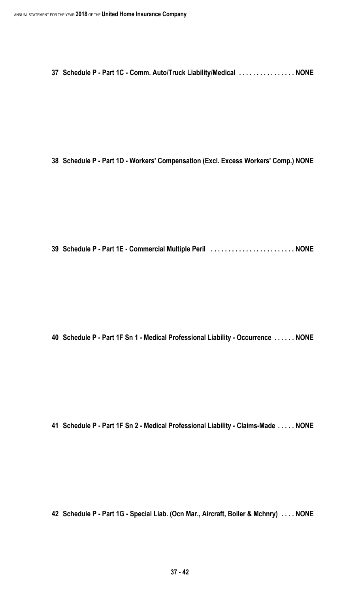**Schedule P - Part 1C - Comm. Auto/Truck Liability/Medical . . . . . . . . . . . . . . . . NONE**

**Schedule P - Part 1D - Workers' Compensation (Excl. Excess Workers' Comp.) NONE**

**Schedule P - Part 1E - Commercial Multiple Peril . . . . . . . . . . . . . . . . . . . . . . . . NONE**

**Schedule P - Part 1F Sn 1 - Medical Professional Liability - Occurrence . . . . . . NONE**

**Schedule P - Part 1F Sn 2 - Medical Professional Liability - Claims-Made . . . . . NONE**

**Schedule P - Part 1G - Special Liab. (Ocn Mar., Aircraft, Boiler & Mchnry) . . . . NONE**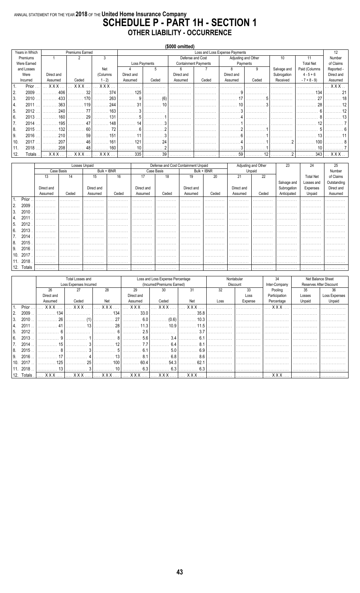### ANNUAL STATEMENT FOR THE YEAR 2018 OF THE United Home Insurance Company<br>SCHEDULE P - PART 1H - SECTION 1 **OTHER LIABILITY - OCCURRENCE**

|                                                                            |                |            |                        |          |               |            | (\$000 omitted) |                             |                                |          |             |                  |            |
|----------------------------------------------------------------------------|----------------|------------|------------------------|----------|---------------|------------|-----------------|-----------------------------|--------------------------------|----------|-------------|------------------|------------|
|                                                                            | Years in Which |            | <b>Premiums Earned</b> |          |               |            |                 |                             | Loss and Loss Expense Payments |          |             |                  | 12         |
|                                                                            | Premiums       |            |                        | 3        |               |            |                 | Defense and Cost            | Adjusting and Other            |          | 10          | 11               | Number     |
| Were Earned<br>and Losses<br>Were<br>Incurred<br>Prior<br>H.<br>2.<br>2009 |                |            |                        |          | Loss Payments |            |                 | <b>Containment Payments</b> |                                | Payments |             | <b>Total Net</b> | of Claims  |
|                                                                            |                |            |                        | Net      |               | 5          | 6               |                             | 8                              | 9        | Salvage and | Paid (Columns    | Reported - |
|                                                                            |                | Direct and |                        | (Columns | Direct and    |            | Direct and      |                             | Direct and                     |          | Subrogation | $4 - 5 + 6$      | Direct and |
|                                                                            |                | Assumed    | Ceded                  | $1 - 2$  | Assumed       | Ceded      | Assumed         | Ceded                       | Assumed                        | Ceded    | Received    | $-7 + 8 - 9$     | Assumed    |
|                                                                            |                | <b>XXX</b> | <b>XXX</b>             | XXX      |               |            |                 |                             |                                |          |             |                  | <b>XXX</b> |
|                                                                            |                | 406        | 32                     | 374      | 125           |            |                 |                             |                                |          |             | 134              |            |
| 3.                                                                         | 2010           | 433        | 170                    | 263      |               | $\sqrt{6}$ |                 |                             |                                |          |             |                  |            |
| 4.                                                                         | 2011           | 363        | 119                    | 244      | 31            |            |                 |                             |                                |          |             | 28               |            |
| 5.                                                                         | 2012           | 240        | 77                     | 163      |               |            |                 |                             |                                |          |             |                  |            |
| 6.                                                                         | 2013           | 160        | 29                     | 131      |               |            |                 |                             |                                |          |             |                  |            |
| 17.                                                                        | 2014           | 195        |                        | 148      | 14            |            |                 |                             |                                |          |             |                  |            |
| 8.                                                                         | 2015           | 132        | 60                     | 72       |               |            |                 |                             |                                |          |             |                  |            |
| I 9.                                                                       | 2016           | 210        | 59                     | 151      |               |            |                 |                             |                                |          |             |                  |            |
| 10.                                                                        | 2017           | 207        | 46                     | 161      | 121           |            |                 |                             |                                |          |             | 100              |            |
| 11.                                                                        | 2018           | 208        | 48                     | 160      | 10            |            |                 |                             |                                |          |             | 10               |            |
| 12.                                                                        | Totals         | <b>XXX</b> | <b>XXX</b>             | XXX      | 335           | 39         |                 |                             | 59                             | 10       |             | 343              |            |

|                 |          |            |            | Losses Unpaid |             |            |            | Defense and Cost Containment Unpaid |             | Adjusting and Other |        | 23          | 24               | 25          |
|-----------------|----------|------------|------------|---------------|-------------|------------|------------|-------------------------------------|-------------|---------------------|--------|-------------|------------------|-------------|
|                 |          |            | Case Basis |               | Bulk + IBNR |            | Case Basis |                                     | Bulk + IBNR |                     | Unpaid |             |                  | Number      |
|                 |          | 13         | 14         | 15            | 16          | 17         | 18         | 19                                  | 20          | 21                  | 22     |             | <b>Total Net</b> | of Claims   |
|                 |          |            |            |               |             |            |            |                                     |             |                     |        | Salvage and | Losses and       | Outstanding |
|                 |          | Direct and |            | Direct and    |             | Direct and |            | Direct and                          |             | Direct and          |        | Subrogation | Expenses         | Direct and  |
|                 |          | Assumed    | Ceded      | Assumed       | Ceded       | Assumed    | Ceded      | Assumed                             | Ceded       | Assumed             | Ceded  | Anticipated | Unpaid           | Assumed     |
|                 | Prior    | .          | .          | .             | .           | .          | .          | .                                   | .           | .                   | .      | .           | .                | .           |
| 2.              | 2009     |            |            |               | .           | .          | .          | .                                   | .           | .                   | .      | .           | .                | .           |
| 3.              | 2010     |            |            |               |             |            |            | .                                   |             |                     |        |             |                  |             |
| 4.              | 2011     |            | .          | .             | .           | .          | .          | .                                   | .           | .                   | .      | .           | .                | .           |
| 5.              | 2012     |            |            |               | .           | .          | .          | .                                   | .           | .                   | .      | .           | .                | .           |
| 6.              | 2013     |            |            |               | .           | .          | .          | .                                   | .           | .                   |        | .           | .                |             |
| 7.              | 2014     | .          | .          | .             | .           | .          | .          | .                                   | .           | .                   | .      | .           | .                | .           |
| 8.              | 2015     |            |            |               | .           |            |            | .                                   | .           | .                   |        |             |                  |             |
| 9.              | 2016     |            |            |               | .<br>.      | .          |            | .                                   | .           |                     |        |             |                  | .           |
| 10.             | 2017     |            |            |               |             |            |            |                                     |             | .                   |        |             |                  |             |
|                 | 11. 2018 |            | .          |               | .           | .          | .          | .                                   | .           | .                   | .      | .           | .                | .           |
| 12 <sup>1</sup> | Totals   | .          | .          | .             | .           | .          | .          | .                                   | .           | .                   | .      | .           | .                | .           |

|           |        |                 | Total Losses and       |            |            | Loss and Loss Expense Percentage |            |      | Nontabular | 34            |        | Net Balance Sheet       |
|-----------|--------|-----------------|------------------------|------------|------------|----------------------------------|------------|------|------------|---------------|--------|-------------------------|
|           |        |                 | Loss Expenses Incurred |            |            | (Incurred/Premiums Earned)       |            |      | Discount   | Inter-Company |        | Reserves After Discount |
|           |        | 26              |                        | 28         | 29         | 30                               | 31         | 32   | 33         | Pooling       | 35     | 36                      |
|           |        | Direct and      |                        |            | Direct and |                                  |            |      | Loss       | Participation | Losses | Loss Expenses           |
|           |        | Assumed         | Ceded                  | Net        | Assumed    | Ceded                            | Net        | Loss | Expense    | Percentage    | Unpaid | Unpaid                  |
|           | Prior  | <b>XXX</b>      | <b>XXX</b>             | <b>XXX</b> | <b>XXX</b> | <b>XXX</b>                       | <b>XXX</b> |      |            | <b>XXX</b>    |        |                         |
| <u>2.</u> | 2009   | 13 <sub>A</sub> |                        | 134        | 33.0       |                                  | 35.8       |      |            |               |        |                         |
| 3.        | 2010   | 26              | (1)                    | 27         | 6.0        | (0.6)                            | 10.3       |      |            |               |        |                         |
| 4.        | 2011   |                 |                        | 28         |            | 10.9                             |            |      |            |               |        |                         |
| 15.       | 2012   |                 |                        |            | 25         |                                  | 37         |      |            |               |        |                         |
| l 6.      | 2013   |                 |                        |            | 5.6        | 3.4                              |            |      |            |               |        |                         |
|           | 2014   |                 |                        | 10         |            | 6.4                              |            |      |            |               |        |                         |
| l 8.      | 2015   |                 |                        |            |            | 5.0                              | 6.9        |      |            |               |        |                         |
| l 9.      | 2016   |                 |                        | 13         | <b>81</b>  | 68                               | 86         |      |            |               |        |                         |
| 10.       | 2017   | 125             | 25                     | 100        | 60.4       | 54.3                             | 62.        |      |            |               |        |                         |
|           | 2018   |                 |                        | 10         | 6.3        | 6.3                              | 6.3        |      |            |               |        |                         |
| 12.       | Totals |                 |                        | <b>XXX</b> | <b>XXX</b> | <b>XXX</b>                       | <b>XXX</b> |      |            | <b>XXX</b>    |        |                         |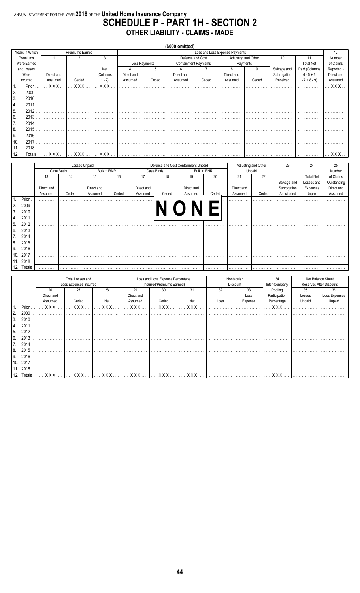### ANNUAL STATEMENT FOR THE YEAR 2018 OF THE United Home Insurance Company<br>SCHEDULE P - PART 1H - SECTION 2 **OTHER LIABILITY - CLAIMS - MADE**

|     |                |            |                 |            |            |               | (\$000 omitted)  |                             |                                |       |             |                  |            |
|-----|----------------|------------|-----------------|------------|------------|---------------|------------------|-----------------------------|--------------------------------|-------|-------------|------------------|------------|
|     | Years in Which |            | Premiums Earned |            |            |               |                  |                             | Loss and Loss Expense Payments |       |             |                  | 12         |
|     | Premiums       |            |                 | 3          |            |               | Defense and Cost |                             | Adjusting and Other            |       | 10          | 11               | Number     |
|     | Were Earned    |            |                 |            |            | Loss Payments |                  | <b>Containment Payments</b> | Payments                       |       |             | <b>Total Net</b> | of Claims  |
|     | and Losses     |            |                 | Net        |            | 5             | 6                |                             | 8                              | 9     | Salvage and | Paid (Columns    | Reported - |
|     | Were           | Direct and |                 | (Columns   | Direct and |               | Direct and       |                             | Direct and                     |       | Subrogation | $4 - 5 + 6$      | Direct and |
|     | Incurred       | Assumed    | Ceded           | $1 - 2$    | Assumed    | Ceded         | Assumed          | Ceded                       | Assumed                        | Ceded | Received    | $-7 + 8 - 9$     | Assumed    |
| 1.  | Prior          | XXX.       | XXX             | <b>XXX</b> |            |               |                  |                             |                                |       |             |                  | XXX.       |
| 2.  | 2009           |            |                 |            |            |               |                  |                             |                                |       |             |                  |            |
| 3.  | 2010           |            |                 |            |            |               |                  |                             |                                |       |             |                  |            |
| 14. | 2011           |            |                 |            |            |               |                  |                             |                                |       |             |                  |            |
| 15. | 2012           |            |                 |            |            |               |                  |                             |                                |       |             |                  |            |
| 6.  | 2013           |            |                 |            |            |               |                  |                             |                                |       |             |                  |            |
| 7.  | 2014           |            |                 |            |            |               |                  |                             |                                |       |             |                  |            |
| 8.  | 2015           |            |                 |            |            |               |                  |                             |                                |       |             |                  |            |
| 9.  | 2016           |            |                 |            |            |               | .                |                             |                                |       |             |                  | .          |
| 10. | 2017           |            |                 |            |            |               |                  |                             |                                |       |             |                  |            |
| 11. | 2018           |            |                 |            |            | .             | .                | .                           | .                              | .     | .           | .                | .          |
| 12. | Totals         | <b>XXX</b> | <b>XXX</b>      | XXX        |            |               |                  |                             |                                |       |             |                  | $XXX$      |

|     |          |            |            | Losses Unpaid |             |            | Defense and Cost Containment Unpaid |            |             |            | Adjusting and Other | 23          | 24               | 25          |
|-----|----------|------------|------------|---------------|-------------|------------|-------------------------------------|------------|-------------|------------|---------------------|-------------|------------------|-------------|
|     |          |            | Case Basis |               | Bulk + IBNR |            | Case Basis                          |            | Bulk + IBNR |            | Unpaid              |             |                  | Number      |
|     |          | 13         | 14         | 15            | 16          | 17         | 18                                  | 19         | 20          | 21         | 22                  |             | <b>Total Net</b> | of Claims   |
|     |          |            |            |               |             |            |                                     |            |             |            |                     | Salvage and | Losses and       | Outstanding |
|     |          | Direct and |            | Direct and    |             | Direct and |                                     | Direct and |             | Direct and |                     | Subrogation | Expenses         | Direct and  |
|     |          | Assumed    | Ceded      | Assumed       | Ceded       | Assumed    | Ceded                               | Assumed    | Ceded       | Assumed    | Ceded               | Anticipated | Unpaid           | Assumed     |
|     | Prior    |            |            |               |             |            |                                     |            |             |            |                     |             |                  |             |
| 2.  | 2009     |            |            |               |             |            |                                     |            |             |            |                     |             |                  |             |
| 3.  | 2010     |            |            |               |             |            |                                     |            |             |            |                     |             |                  |             |
| 4.  | 2011     |            |            |               |             |            |                                     |            |             |            |                     |             |                  |             |
| 5.  | 2012     |            |            |               |             |            |                                     |            |             |            |                     |             |                  |             |
| 6.  | 2013     |            | .          |               | .           | .          |                                     | .          |             | .          | .                   | .           | .                | .           |
|     | 2014     |            |            |               |             |            |                                     |            |             |            |                     |             |                  |             |
| 7.  |          |            |            |               |             |            |                                     |            |             |            |                     |             |                  |             |
| 8.  | 2015     |            |            |               |             |            |                                     |            |             |            |                     |             |                  |             |
| 9.  | 2016     |            |            |               |             |            |                                     |            |             |            |                     |             |                  |             |
| 10. | 2017     |            |            |               |             |            |                                     |            |             |            |                     |             |                  |             |
|     | 11. 2018 |            | .          |               | .           | .          | .                                   | .          | .           | .          | .                   | .           | .                | .           |
| 12. | Totals   |            | .          | .             | .           | .          | .                                   | .          | .           | .          | .                   |             |                  | .           |

|                  |          |            | Total Losses and       |       |              | Loss and Loss Expense Percentage |            |      | Nontabular | 34            |        | Net Balance Sheet       |
|------------------|----------|------------|------------------------|-------|--------------|----------------------------------|------------|------|------------|---------------|--------|-------------------------|
|                  |          |            | Loss Expenses Incurred |       |              | (Incurred/Premiums Earned)       |            |      | Discount   | Inter-Company |        | Reserves After Discount |
|                  |          | 26         | 27                     | 28    | 29           | 30                               | 31         | 32   | 33         | Pooling       | 35     | 36                      |
|                  |          | Direct and |                        |       | Direct and   |                                  |            |      | Loss       | Participation | Losses | Loss Expenses           |
|                  |          | Assumed    | Ceded                  | Net   | Assumed      | Ceded                            | Net        | Loss | Expense    | Percentage    | Unpaid | Unpaid                  |
|                  | Prior    | XXX        | XXX.                   | XXX   | <b>XXX</b> . | XXX                              | <b>XXX</b> |      |            | XXX           |        |                         |
| <sup>2.</sup>    | 2009     |            |                        |       |              |                                  |            |      |            |               |        |                         |
| $\overline{3}$ . | 2010     |            |                        |       | .            | .                                |            |      |            |               |        | .                       |
| 4.               | 2011     |            |                        |       |              |                                  |            |      |            |               |        |                         |
| -5.              | 2012     |            |                        |       |              |                                  |            |      |            |               |        |                         |
| l 6.             | 2013     |            |                        |       |              |                                  |            |      |            |               |        |                         |
| ΙΙ.              | 2014     |            |                        |       |              |                                  |            |      |            |               |        |                         |
| 18.              | 2015     |            |                        |       |              |                                  |            |      |            |               |        |                         |
| l 9.             | 2016     |            |                        |       |              |                                  |            |      |            |               |        |                         |
|                  | 10. 2017 |            |                        |       |              |                                  |            |      |            |               |        |                         |
|                  | 11. 2018 |            |                        |       | .            |                                  |            | .    | .          |               |        | .                       |
| 12.              | Totals   | XXX        | XXX                    | $XXX$ | XXX          | <b>XXX</b>                       | <b>XXX</b> |      |            | $\ldots$ XXX  |        |                         |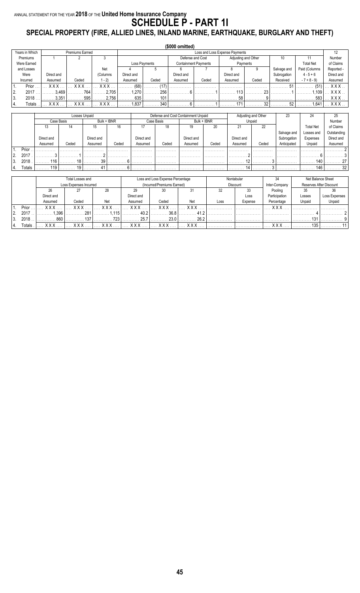### ANNUAL STATEMENT FOR THE YEAR **2018** OF THE **United Home Insurance Company SCHEDULE P - PART 1I SPECIAL PROPERTY (FIRE, ALLIED LINES, INLAND MARINE, EARTHQUAKE, BURGLARY AND THEFT)**

|                      |            |                        |          |            |               | (\$000 omitted) |                             |                                |          |             |                  |            |
|----------------------|------------|------------------------|----------|------------|---------------|-----------------|-----------------------------|--------------------------------|----------|-------------|------------------|------------|
| Years in Which       |            | <b>Premiums Earned</b> |          |            |               |                 |                             | Loss and Loss Expense Payments |          |             |                  | 12         |
| Premiums             |            |                        |          |            |               |                 | Defense and Cost            | Adjusting and Other            |          | 10          |                  | Number     |
| Were Earned          |            |                        |          |            | Loss Payments |                 | <b>Containment Payments</b> |                                | Payments |             | <b>Total Net</b> | of Claims  |
| and Losses           |            |                        | Net      |            |               |                 |                             |                                | 9        | Salvage and | Paid (Columns    | Reported - |
| Were                 | Direct and |                        | (Columns | Direct and |               | Direct and      |                             | Direct and                     |          | Subrogation | $4 - 5 + 6$      | Direct and |
| Incurred             | Assumed    | Ceded                  | 1 - 2)   | Assumed    | Ceded         | Assumed         | Ceded                       | Assumed                        | Ceded    | Received    | $-7 + 8 - 9$     | Assumed    |
| Prior                | <b>XXX</b> | <b>XXX</b>             | x x x    | (68)       | (17)          |                 |                             |                                |          | 51          | (51)             | <b>XXX</b> |
| 2.<br>2017           | 3.469      | 764                    | 2.705    | 1,270      | 256           |                 |                             | 110                            | 23       |             | .109             | XXX        |
| ΙЗ.<br>2018          | 3.351      | 595                    | 2.756    | 635        | 101           |                 |                             | 58                             |          |             | 583              | <b>XXX</b> |
| <b>Totals</b><br>14. | <b>XXX</b> | x x x                  | xxx      | .837       | 340           |                 |                             | 171                            | 32       | 52          | .641             | <b>XXX</b> |

|    |        |            |            | Losses Unpaid |             |            |            | Defense and Cost Containment Unpaid |             |            | Adjusting and Other | 23          |                  | 25          |
|----|--------|------------|------------|---------------|-------------|------------|------------|-------------------------------------|-------------|------------|---------------------|-------------|------------------|-------------|
|    |        |            | Case Basis |               | Bulk + IBNR |            | Case Basis |                                     | Bulk + IBNR |            | Unpaid              |             |                  | Number      |
|    |        | IJ         | 14         | 15            | 16          |            | 18         | 19                                  | 20          | 21         | 22                  |             | <b>Total Net</b> | of Claims   |
|    |        |            |            |               |             |            |            |                                     |             |            |                     | Salvage and | Losses and       | Outstanding |
|    |        | Direct and |            | Direct and    |             | Direct and |            | Direct and                          |             | Direct and |                     | Subrogation | Expenses         | Direct and  |
|    |        | Assumed    | Ceded      | Assumed       | Ceded       | Assumed    | Ceded      | Assumed                             | Ceded       | Assumed    | Ceded               | Anticipated | Unpaid           | Assumed     |
|    | Prior  |            |            |               |             |            |            |                                     |             |            |                     |             |                  |             |
| 2. | 2017   |            |            |               |             |            |            |                                     |             |            |                     |             |                  |             |
|    | 2018   | 116        |            | 39            |             |            |            |                                     |             |            |                     |             | 140              |             |
|    | Totals | 119        |            |               |             |            |            |                                     |             |            |                     |             | 146              | 32          |

|    |                    |                  | Total Losses and       |       |              | Loss and Loss Expense Percentage |              |      | Nontabular      | 21            |        | Net Balance Sheet       |
|----|--------------------|------------------|------------------------|-------|--------------|----------------------------------|--------------|------|-----------------|---------------|--------|-------------------------|
|    |                    |                  | Loss Expenses Incurred |       |              | (Incurred/Premiums Earned)       |              |      | <b>Discount</b> | Inter-Company |        | Reserves After Discount |
|    |                    | 28<br>Direct and |                        |       | 29           |                                  | 31           | 32   |                 | Pooling       | 35     |                         |
|    |                    |                  |                        |       | Direct and   |                                  |              |      | Loss            | Participation | Losses | Loss Expenses           |
|    |                    | Assumed          | Ceded<br>Net           |       | Assumed      | Ceded                            | Net          | Loss | Expense         | Percentage    | Unpaid | Unpaid                  |
|    | Prior              | v v v            | <b>V V V</b>           | v v v | <b>v v v</b> | <b>XXX</b>                       | <b>V V V</b> |      |                 | <b>v</b> v v  |        |                         |
|    | 2017               | .396             | 281                    |       | <u>າ</u> ∪ ∨ | 36.8                             |              |      |                 |               |        |                         |
| 3. | 2018               | 860              | 127                    | フつつ   | 25.7         | 23 O                             | 26.2         |      |                 |               | 131    |                         |
|    | otals <sup>-</sup> | v v v            | v v v                  | v v v | v v v        | <b>v v v</b>                     | v v v        |      |                 | $V$ $V$       | 135    |                         |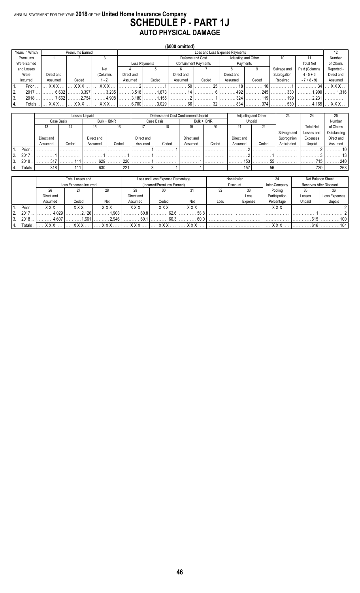#### ANNUAL STATEMENT FOR THE YEAR **2018** OF THE **United Home Insurance Company SCHEDULE P - PART 1J AUTO PHYSICAL DAMAGE**

|                |                |            |                 |            |            |               | $($ \$000 omitted) |                             |                                |          |             |                  |            |
|----------------|----------------|------------|-----------------|------------|------------|---------------|--------------------|-----------------------------|--------------------------------|----------|-------------|------------------|------------|
|                | Years in Which |            | Premiums Earned |            |            |               |                    |                             | Loss and Loss Expense Payments |          |             |                  | 12         |
|                | Premiums       |            |                 |            |            |               |                    | Defense and Cost            | Adjusting and Other            |          | 10          |                  | Number     |
|                | Were Earned    |            |                 |            |            | Loss Payments |                    | <b>Containment Payments</b> |                                | Payments |             | <b>Total Net</b> | of Claims  |
|                | and Losses     |            |                 | Net        |            |               |                    |                             |                                |          | Salvage and | Paid (Columns    | Reported - |
|                | Were           | Direct and |                 | (Columns   | Direct and |               | Direct and         |                             | Direct and                     |          | Subrogation | $4 - 5 + 6$      | Direct and |
|                | Incurred       | Assumed    | Ceded           | $(-2)$     | Assumed    | Ceded         | Assumed            | Ceded                       | Assumed                        | Ceded    | Received    | $-7 + 8 - 9$     | Assumed    |
|                | Prior          | <b>XXX</b> | <b>XXX</b>      | <b>XXX</b> |            |               | F٢                 | クド                          | 10                             | 10       |             | 34               | <b>XXX</b> |
| $\overline{2}$ | 2017           | 6.632      | 3.397           | 3.235      | 3.518      | 1.873         |                    |                             | 492                            | 245      | 330         | 1.900            | 1.316      |
| l 3.           | 2018           | 7.662      | 2.754           | 4.908      | 3.180      | .155          |                    |                             | 324                            | 119      | 199         | 2.231            |            |
| 14.            | <b>Totals</b>  | xxx        | xxx             | XXX        | 6.700      | 3.029         | 66                 | 20                          | 834                            | 374      | 530         | .165             | . X X X .  |

|    |        |            |            | Losses Unpaid |             |            |            | Defense and Cost Containment Unpaid |             |            | Adjusting and Other | 23          | 24               |             |
|----|--------|------------|------------|---------------|-------------|------------|------------|-------------------------------------|-------------|------------|---------------------|-------------|------------------|-------------|
|    |        |            | Case Basis |               | Bulk + IBNR |            | Case Basis |                                     | Bulk + IBNR |            | Unpaid              |             |                  | Number      |
|    |        | 13         | 14         | 15            | 16          |            | 18         | 19                                  | 20          | 21         | 22                  |             | <b>Total Net</b> | of Claims   |
|    |        |            |            |               |             |            |            |                                     |             |            |                     | Salvage and | Losses and       | Outstanding |
|    |        | Direct and |            | Direct and    |             | Direct and |            | Direct and                          |             | Direct and |                     | Subrogation | Expenses         | Direct and  |
|    |        | Assumed    | Ceded      | Assumed       | Ceded       | Assumed    | Ceded      | Assumed                             | Ceded       | Assumed    | Ceded               | Anticipated | Unpaid           | Assumed     |
|    | Prior  |            |            |               |             |            |            |                                     |             |            |                     |             |                  |             |
|    | 2017   |            |            |               |             |            |            |                                     |             |            |                     |             |                  |             |
| 3. | 2018   | 317        |            | 629           | 220         |            |            |                                     |             | 153        | 55                  |             | 715              | 240         |
|    | Totals | 318        | ,,,        | 630           | 221         |            |            |                                     |             | 157        | 56                  |             | 720              | 263         |

|    |                    |                        | Total Losses and       |         |            | Loss and Loss Expense Percentage |              |      | Nontabular |               |        | Net Balance Sheet       |
|----|--------------------|------------------------|------------------------|---------|------------|----------------------------------|--------------|------|------------|---------------|--------|-------------------------|
|    |                    |                        | Loss Expenses Incurred |         |            | (Incurred/Premiums Earned)       |              |      | Discount   | Inter-Company |        | Reserves After Discount |
|    |                    | 28<br>26<br>Direct and |                        | 29      | 30         | 31                               | 32           | 33   | Pooling    | 35            |        |                         |
|    |                    |                        |                        |         | Direct and |                                  |              |      | Loss       | Participation | Losses | Loss Expenses           |
|    |                    | Assumed                | Ceded                  | Net     | Assumed    | Ceded                            | Net          | Loss | Expense    | Percentage    | Unpaid | Unpaid                  |
|    | Prior              | v v v                  | v v v                  | v v v   | v v v      | <b>V V V</b>                     | <b>V V V</b> |      |            | <b>V V V</b>  |        |                         |
|    | 2017               | .029                   | .126                   | .903    | 608        | 62.6                             | 58.8         |      |            |               |        |                         |
| 3. | 2018               | 1.607                  | 661                    | 2 Q.A.G | 601        | 60 3                             | 60.0         |      |            |               | 615    | 100                     |
|    | otals <sup>-</sup> | v v v                  | v v v                  | v v v   | v v v      | <b>v v v</b>                     | v v v        |      |            | $V$ $V$ $V$   | 616    | 104                     |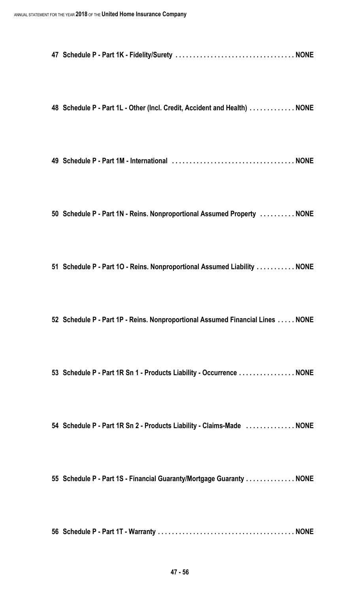|--|--|--|--|

**Schedule P - Part 1L - Other (Incl. Credit, Accident and Health) . . . . . . . . . . . . . NONE**

**Schedule P - Part 1M - International . . . . . . . . . . . . . . . . . . . . . . . . . . . . . . . . . . . NONE**

**Schedule P - Part 1N - Reins. Nonproportional Assumed Property . . . . . . . . . . NONE**

**Schedule P - Part 1O - Reins. Nonproportional Assumed Liability . . . . . . . . . . . NONE**

**Schedule P - Part 1P - Reins. Nonproportional Assumed Financial Lines . . . . . NONE**

**Schedule P - Part 1R Sn 1 - Products Liability - Occurrence . . . . . . . . . . . . . . . . NONE**

**Schedule P - Part 1R Sn 2 - Products Liability - Claims-Made . . . . . . . . . . . . . . NONE**

**Schedule P - Part 1S - Financial Guaranty/Mortgage Guaranty . . . . . . . . . . . . . . NONE**

**Schedule P - Part 1T - Warranty . . . . . . . . . . . . . . . . . . . . . . . . . . . . . . . . . . . . . . . NONE**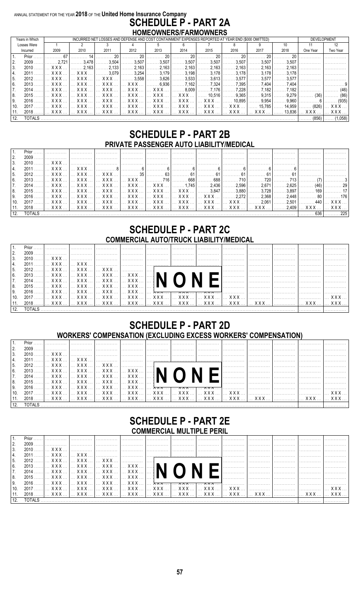#### ANNUAL STATEMENT FOR THE YEAR 2018 OF THE United Home Insurance Company **SCHEDULE P - PART 2A** HOMEOWNERS/FARMOWNERS

|     | Years in Which |            |              |                       | INCURRED NET LOSSES AND DEFENSE AND COST CONTAINMENT EXPENSES REPORTED AT YEAR END (\$000 OMITTED) |              |                       |             |                      |                       |                 | DEVELOPMENT                                           |                 |
|-----|----------------|------------|--------------|-----------------------|----------------------------------------------------------------------------------------------------|--------------|-----------------------|-------------|----------------------|-----------------------|-----------------|-------------------------------------------------------|-----------------|
|     | Losses Were    |            |              |                       |                                                                                                    |              |                       |             |                      |                       | 10 <sup>1</sup> |                                                       | 12 <sup>°</sup> |
|     | Incurred       | 2009       | 2010         | 2011                  | 2012                                                                                               | 2013         | 2014                  | 2015        | 2016                 | 2017                  | 2018            | One Year                                              | Two Year        |
|     | Prior          |            |              | 20                    |                                                                                                    | 20           | 20                    | 20          |                      |                       |                 |                                                       |                 |
|     | 2009           | 2 7 2 1    | 3.478        | 3.504                 | 3.507                                                                                              | 3.507        | 3.507                 | .3.507      | 3.507                | . 3.507               | 3.507           |                                                       |                 |
| 3.  | 2010           | <b>XXX</b> | .2.163       | . 2.133               | 2.163                                                                                              | 2.163        | 2.163                 | . 2.163     | 2.163                | 2.163                 | 2.163           |                                                       |                 |
|     | 2011           | XXX        | XXX          | . 3.079               | 3.254                                                                                              | 3.179        | 3.198                 | .3.178      | 3.178                | 3.178                 | 3.178           |                                                       |                 |
| 5.  | 2012           | . X X X 1  | . X X X      | XXX                   | $\ldots \ldots 3.558$                                                                              | . 3.626      | . 3,533               | . 3.613   . | .3.577               | . 3.577 I             | . 3.577         |                                                       |                 |
| 6.  | 2013           | XXX        | $XXX$        | XXX                   | <b>XXX</b>                                                                                         | . 6.936 l    | . 7.162 L             | .7.324      | . 7.395              | 7.404                 | 7.404           |                                                       |                 |
|     | 2014           |            | . XXX 1      | . X X X 1             | XXX                                                                                                | $1$ XXX $$   | $\ldots \ldots 8.009$ | . 7,176     | . 7.228              | 7.182                 | 7.182           |                                                       | (46)            |
| 8.  | 2015           | XXX        | XXX          | $\ldots$ XXX $\ldots$ | $\ldots$ XXX $\ldots$                                                                              | <b>XXX</b>   | <b>XXX</b>            |             | . 10.516   9.365   . | $\ldots \ldots 9.315$ | .9.279          | (36)                                                  | (86)            |
| 9.  | 2016           | . X X X    | . <b>XXX</b> | XXX                   | XXX                                                                                                | $1$ XXX $$ 1 | XXX                   | . X X X     | 10.895               | . 9.954               | .9960           |                                                       | (935)           |
| 10. | 2017           | XXX        | <b>XXX</b>   | X X X                 | $\mathbf{X} \times \mathbf{X}$                                                                     | XXX          | XXX                   | <b>XXX</b>  | XXX                  | . 15,785   .          | 14,959          | $\ldots$ (826)                                        |                 |
| 11. | $2018$         | XXX  1     | . X X X 1    |                       | XXX    XXX    XXX    XXX    XXX    XXX    XXX                                                      |              |                       |             |                      |                       |                 | $13.836$ $\overline{X}$ $\overline{X}$ $\overline{X}$ | XXX             |
|     | <b>TOTALS</b>  |            |              |                       |                                                                                                    |              |                       |             |                      |                       |                 |                                                       | $(856)$ (1.058) |

### **SCHEDULE P - PART 2B** PRIVATE PASSENGER AUTO LIABILITY/MEDICAL

| $\vert$ 1.  |              |  |  |  |                                                                                                                              |  |      |     |
|-------------|--------------|--|--|--|------------------------------------------------------------------------------------------------------------------------------|--|------|-----|
| <u>  2.</u> |              |  |  |  |                                                                                                                              |  |      |     |
| 13.         |              |  |  |  |                                                                                                                              |  |      |     |
| 14.         |              |  |  |  |                                                                                                                              |  |      |     |
| I 5.        |              |  |  |  | _2012 ……]… XXX…  … XXX…  … XXX…  ………… 35 ………… 63 ………… 61 ………… 61 ………… 61 ………… 61 ………… 61 ……………  ……………                        |  |      |     |
| 6.          |              |  |  |  |                                                                                                                              |  |      |     |
| <b>7.</b>   |              |  |  |  |                                                                                                                              |  |      |     |
| 18.         |              |  |  |  |                                                                                                                              |  |      |     |
| I 9.        |              |  |  |  |                                                                                                                              |  |      |     |
| 10.         |              |  |  |  | _2017 ……]… XXX … [… XXX … [… XXX … [… XXX … [… XXX … [… XXX … [… XXX … [… XXX … [… XXX … [……2,061 [………2,501 ]………440 [… XXX … |  |      |     |
| 11.         |              |  |  |  | _2018 ……]… XXX … [… XXX … [… XXX … [… XXX … [… XXX … [… XXX … [… XXX … [… XXX … [… XXX … [……2,409]… XXX … [… XXX …           |  |      |     |
|             | $112$ TOTAIS |  |  |  |                                                                                                                              |  | ດາດ∣ | 225 |

### **SCHEDULE P - PART 2C COMMERCIAL AUTO/TRUCK LIABILITY/MEDICAL**

|     |      |  |  |  | . | . |   |                                                                                      |
|-----|------|--|--|--|---|---|---|--------------------------------------------------------------------------------------|
| 2.  | 2009 |  |  |  |   |   |   |                                                                                      |
| 3.  |      |  |  |  |   |   |   |                                                                                      |
| 4.  |      |  |  |  |   |   |   |                                                                                      |
| 5.  |      |  |  |  |   |   | . |                                                                                      |
| 16. |      |  |  |  |   |   |   |                                                                                      |
| 7.  |      |  |  |  |   | . |   |                                                                                      |
| 8.  |      |  |  |  |   |   |   |                                                                                      |
| 9.  |      |  |  |  |   |   |   |                                                                                      |
| 10. |      |  |  |  |   |   |   | 2017 ] XXX  [ XXX  [ XXX  [ XXX  [ XXX  [ XXX  [ XXX  [ XXX  [ XXX  [ XXX  ]  XXX    |
|     |      |  |  |  |   |   |   | 11. 2018   XXX    XXX    XXX    XXX    XXX    XXX    XXX    XXX    XXX    XXX    XXX |
|     |      |  |  |  |   |   |   |                                                                                      |

### **SCHEDULE P - PART 2D WORKERS' COMPENSATION (EXCLUDING EXCESS WORKERS' COMPENSATION)**

|                  | Prior |  |                                                                                                                                                                                                                                |  |  |   |  |   |  |
|------------------|-------|--|--------------------------------------------------------------------------------------------------------------------------------------------------------------------------------------------------------------------------------|--|--|---|--|---|--|
| 2.               | 2009  |  |                                                                                                                                                                                                                                |  |  |   |  |   |  |
| 3.               |       |  |                                                                                                                                                                                                                                |  |  |   |  |   |  |
| 4.               |       |  |                                                                                                                                                                                                                                |  |  |   |  |   |  |
| 5.               |       |  |                                                                                                                                                                                                                                |  |  |   |  |   |  |
| 6.               |       |  |                                                                                                                                                                                                                                |  |  | . |  | . |  |
| $\overline{7}$ . |       |  |                                                                                                                                                                                                                                |  |  |   |  |   |  |
| 8.               |       |  | 2015    XXX     XXX     XXX     XXX     1 ■ ■                                                                                                                                                                                  |  |  |   |  |   |  |
| 9.               |       |  |                                                                                                                                                                                                                                |  |  |   |  |   |  |
| 10.              |       |  | .2017 ] XXX  [ XXX  [ XXX  [ XXX  [ XXX  [ XXX  [ XXX  [ XXX  [ XXX  [ XXX  ]  XXX                                                                                                                                             |  |  |   |  |   |  |
|                  |       |  | 2018 ]  XXX  [ XXX  [ XXX  [ XXX  [ XXX  [ XXX  [ XXX  [ XXX  [ XXX  [ XXX  ]  XXX  [ XXX  ]                                                                                                                                   |  |  |   |  |   |  |
|                  |       |  | TOTALS TOTAL SECTION AND TOTAL SECTION AND TOTAL SECTION AND TOTAL SECTION AND TOTAL SECTION AND TOTAL SECTION AND TOTAL SECTION AND TO A SECTION AND TO A SECTION AND TO A SECTION AND TO A SECTION AND SECTION AND SECTION A |  |  |   |  |   |  |

### **SCHEDULE P - PART 2E COMMERCIAL MULTIPLE PERIL**

|     | Prior         |  |  |                                                                                                |  |  |  |
|-----|---------------|--|--|------------------------------------------------------------------------------------------------|--|--|--|
| 2.  |               |  |  |                                                                                                |  |  |  |
| 3.  |               |  |  | _2010 ……]… XXX… ]…………… ]…………… ]…………… ]…………… ]…………… [……………… ]……………… ]……………… ]…………… [……………       |  |  |  |
|     |               |  |  |                                                                                                |  |  |  |
| 5.  |               |  |  |                                                                                                |  |  |  |
| 6.  |               |  |  |                                                                                                |  |  |  |
|     |               |  |  |                                                                                                |  |  |  |
| 8.  |               |  |  |                                                                                                |  |  |  |
|     |               |  |  |                                                                                                |  |  |  |
| 9.  |               |  |  |                                                                                                |  |  |  |
| 10. |               |  |  | 2017 ] XXX  [ XXX  [ XXX  [ XXX  [ XXX  [ XXX  [ XXX  [ XXX  [ XXX  [ XXX  [ XXX               |  |  |  |
|     |               |  |  | 2018 ]  XXX  [ XXX  [ XXX  [ XXX  ]  XXX  [ XXX  [ XXX  [ XXX  ]  XXX  [ XXX  ]  XXX  [ XXX  ] |  |  |  |
|     | <b>TOTALS</b> |  |  |                                                                                                |  |  |  |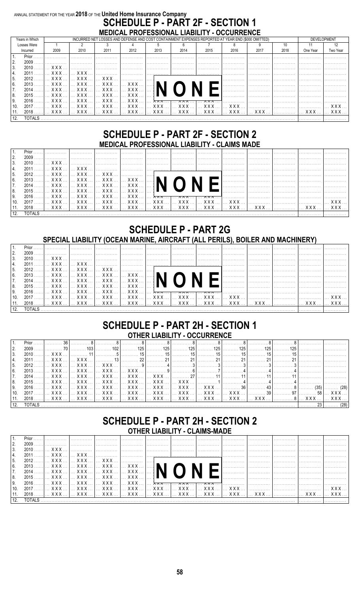### ANNUAL STATEMENT FOR THE YEAR 2018 OF THE United Home Insurance Company **SCHEDULE P - PART 2F - SECTION 1** MEDICAL PROFESSIONAL LIABILITY - OCCURRENCE

|                 | Years in Which |                       |                                    |      | INCURRED NET LOSSES AND DEFENSE AND COST CONTAINMENT EXPENSES REPORTED AT YEAR END (\$000 OMITTED) |      |                                                                          |      |      |      |      | DEVELOPMENT |                       |
|-----------------|----------------|-----------------------|------------------------------------|------|----------------------------------------------------------------------------------------------------|------|--------------------------------------------------------------------------|------|------|------|------|-------------|-----------------------|
|                 | Losses Were    |                       |                                    |      |                                                                                                    |      |                                                                          |      |      |      | 10   |             |                       |
|                 | Incurred       | 2009                  | 2010                               | 2011 | 2012                                                                                               | 2013 | 2014                                                                     | 2015 | 2016 | 2017 | 2018 | One Year    | Two Year              |
|                 | Prior          |                       |                                    |      |                                                                                                    |      |                                                                          |      |      |      |      |             |                       |
| 2.              | 2009           |                       |                                    |      |                                                                                                    |      |                                                                          |      |      |      |      |             |                       |
| 3.              | $2010$         | $\ldots$ XXX $\ldots$ |                                    |      |                                                                                                    |      |                                                                          |      |      |      |      |             |                       |
|                 | 2011           |                       | $\ldots$ XXX $\ldots$ XXX $\ldots$ |      |                                                                                                    |      |                                                                          |      |      |      |      |             |                       |
| 5.              |                |                       | 2012   XXX   XXX   XXX  1          |      |                                                                                                    | .    |                                                                          |      |      |      |      |             |                       |
| 6.              | $2013$         |                       |                                    |      |                                                                                                    |      |                                                                          |      |      |      |      |             |                       |
|                 |                |                       |                                    |      | 2014   XXX   XXX   XXX   XXX    1                                                                  |      |                                                                          |      |      |      |      |             |                       |
| 8.              | $2015$         |                       | XXX     XXX     XXX                |      | XXX                                                                                                |      |                                                                          |      |      |      |      |             |                       |
| 9.              | $2016$         |                       | XXX     XXX     XXX                |      | XXX                                                                                                |      | $\lambda \wedge \wedge $ $\wedge \wedge \wedge $ $\wedge \wedge \wedge $ |      |      |      |      |             |                       |
| 10 <sub>1</sub> | $2017$         |                       |                                    |      |                                                                                                    |      |                                                                          |      |      |      |      |             | . <b>XXX</b>          |
| 11.             | $2018$         |                       |                                    |      | XXX    XXX    XXX    XXX    XXX    XXX    XXX    XXX     XXX     XXX                               |      |                                                                          |      |      |      |      |             | $\ldots$ XXX $\ldots$ |
| 12              | <b>TOTAL S</b> |                       |                                    |      |                                                                                                    |      |                                                                          |      |      |      |      |             |                       |

### **SCHEDULE P - PART 2F - SECTION 2** MEDICAL PROFESSIONAL LIABILITY - CLAIMS MADE

|      | Prior       |  |                                                   |  | ا مستندمات المستندمات المستندمات المستندمات المستندمات المستندمات المستندمات المست                       |   |   |  |                                      |
|------|-------------|--|---------------------------------------------------|--|----------------------------------------------------------------------------------------------------------|---|---|--|--------------------------------------|
|      |             |  |                                                   |  |                                                                                                          | . |   |  |                                      |
|      | $2009$      |  |                                                   |  |                                                                                                          | . |   |  |                                      |
| 3.   |             |  |                                                   |  | .                                                                                                        | . |   |  |                                      |
|      |             |  |                                                   |  |                                                                                                          |   |   |  | .                                    |
| l 5. |             |  |                                                   |  |                                                                                                          | . | . |  | .                                    |
| I 6. |             |  |                                                   |  |                                                                                                          |   |   |  |                                      |
|      |             |  |                                                   |  |                                                                                                          |   |   |  |                                      |
| 18.  |             |  | 2015      XXX      XXX      XXX      XXX      ∃ ■ |  |                                                                                                          |   |   |  |                                      |
| I 9. |             |  |                                                   |  |                                                                                                          |   |   |  |                                      |
| 10.  |             |  |                                                   |  | _2017 ……]… XXX … ]… XXX … ]… XXX … ]… XXX … ]… XXX … ]… XXX … ]… XXX … [… XXX … ]… XXX … […………… ]…………… ] |   |   |  |                                      |
|      |             |  |                                                   |  | <u>2018    XXX    XXX    XXX    XXX    XXX    XXX    XXX    XXX    XXX    XXX    XXX   </u>              |   |   |  | $\mathsf{L} \times$ XXX $\mathsf{L}$ |
|      | $12$ TOTALS |  |                                                   |  |                                                                                                          |   |   |  |                                      |

### **SCHEDULE P - PART 2G** SPECIAL LIABILITY (OCEAN MARINE, AIRCRAFT (ALL PERILS), BOILER AND MACHINERY)

|     | Prior       |  |   |  |                                                                                              |   |   |   |   |  |
|-----|-------------|--|---|--|----------------------------------------------------------------------------------------------|---|---|---|---|--|
|     | 2009        |  | . |  |                                                                                              |   | . | . | . |  |
|     |             |  |   |  |                                                                                              |   |   |   |   |  |
|     |             |  |   |  |                                                                                              |   |   |   |   |  |
| 5.  |             |  |   |  |                                                                                              | . | . |   |   |  |
| 6.  |             |  |   |  |                                                                                              |   |   |   |   |  |
|     |             |  |   |  |                                                                                              | . |   |   |   |  |
| 8.  |             |  |   |  |                                                                                              | . |   |   |   |  |
| 9.  |             |  |   |  | 2016  XXX  I XXX  I XXX  I XXX  I <del>XXX  I XXX  I XXX  I</del>                            |   |   |   |   |  |
| 10. |             |  |   |  |                                                                                              |   |   |   |   |  |
|     |             |  |   |  | 2018 ]  XXX  [ XXX  [ XXX  [ XXX  [ XXX  [ XXX  [ XXX  [ XXX  [ XXX  [ XXX  ]  XXX  [ XXX  ] |   |   |   |   |  |
|     | $12$ TOTALS |  |   |  |                                                                                              |   |   |   |   |  |

### **SCHEDULE P - PART 2H - SECTION 1 OTHER LIABILITY - OCCURRENCE**

| 2.   |            |  |  |  |                                                                                                                   |  |  |  |
|------|------------|--|--|--|-------------------------------------------------------------------------------------------------------------------|--|--|--|
| 3.   |            |  |  |  |                                                                                                                   |  |  |  |
|      | <u>14.</u> |  |  |  |                                                                                                                   |  |  |  |
| l 5. |            |  |  |  |                                                                                                                   |  |  |  |
| 6.   |            |  |  |  |                                                                                                                   |  |  |  |
| 7.   |            |  |  |  |                                                                                                                   |  |  |  |
| 8.   |            |  |  |  |                                                                                                                   |  |  |  |
| I 9. |            |  |  |  |                                                                                                                   |  |  |  |
|      | 10.        |  |  |  | _2017 ……]… XXX … ]… XXX … ]… XXX … ]… XXX … ]… XXX … ]… XXX … ]… XXX … ]… XXX … ]… XXX … [………… 97]………… 58]… XXX … |  |  |  |
|      | 11.        |  |  |  | .2018 ……]… XXX … ]… XXX … ]… XXX … ]… XXX … ]… XXX … ]… XXX … ]… XXX … ]… XXX … ]… XXX … ]…………8]… XXX … ]… XXX    |  |  |  |
|      | TOTALS     |  |  |  |                                                                                                                   |  |  |  |

### **SCHEDULE P - PART 2H - SECTION 2 OTHER LIABILITY - CLAIMS-MADE**

|           | Prior |  |                                                                                                                     |  |  |   |  |  |
|-----------|-------|--|---------------------------------------------------------------------------------------------------------------------|--|--|---|--|--|
|           |       |  |                                                                                                                     |  |  |   |  |  |
| l 3.      |       |  |                                                                                                                     |  |  |   |  |  |
| 4.        |       |  |                                                                                                                     |  |  |   |  |  |
| 5.        |       |  |                                                                                                                     |  |  | . |  |  |
| 16.       |       |  |                                                                                                                     |  |  |   |  |  |
| <b>7.</b> |       |  |                                                                                                                     |  |  |   |  |  |
| 8.        |       |  | 2015   XXX    XXX    XXX    XXX    ∃ ■ ■ ■                                                                          |  |  |   |  |  |
| l 9.      |       |  |                                                                                                                     |  |  |   |  |  |
| 10.       |       |  | _2017 ……]… XXX … ]… XXX … ]… XXX … ]… XXX … ]… XXX … ]… XXX … ]… XXX … [… XXX … ]…………… ___________________ [… XXX … |  |  |   |  |  |
|           |       |  |                                                                                                                     |  |  |   |  |  |
|           |       |  |                                                                                                                     |  |  |   |  |  |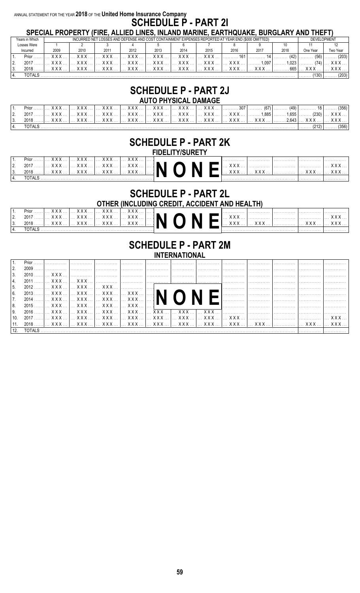#### ANNUAL STATEMENT FOR THE YEAR 2018 OF THE United Home Insurance Company **SCHEDULE P - PART 21** SPECIAL PROPERTY (FIRE, ALLIED LINES, INLAND MARINE, FARTHOUAKE, BURGLARY AND THEFT)

|                  |                |                 |             | טו בטוחב ו וזטו בוז ו זן ווזב, חבבובט בווזבט, ווזבחוזט וווחוזווזב, בחוז ו ושטחוזב, טטוזטבחוז ו חוזט זו ובו זן |      |                                                                                                                                                                                                                                                                                                                                                                                      |                |                       |                 |           |       |               |                    |
|------------------|----------------|-----------------|-------------|---------------------------------------------------------------------------------------------------------------|------|--------------------------------------------------------------------------------------------------------------------------------------------------------------------------------------------------------------------------------------------------------------------------------------------------------------------------------------------------------------------------------------|----------------|-----------------------|-----------------|-----------|-------|---------------|--------------------|
|                  | Years in Which |                 |             | INCURRED NET LOSSES AND DEFENSE AND COST CONTAINMENT EXPENSES REPORTED AT YEAR END (\$000 OMITTED)            |      |                                                                                                                                                                                                                                                                                                                                                                                      |                |                       |                 |           |       |               | <b>DEVELOPMENT</b> |
|                  | Losses Were    |                 |             |                                                                                                               |      |                                                                                                                                                                                                                                                                                                                                                                                      |                |                       |                 |           |       |               |                    |
|                  | Incurred       | 2009            | 2010        | 2011                                                                                                          | 2012 | 2013                                                                                                                                                                                                                                                                                                                                                                                 | 2014           | 2015                  | 2016            | 2017      | 2018  | One Year      | Two Year           |
|                  | $Prior$        | <b>XXX</b>      | <b>XXX</b>  | <b>XXX</b>                                                                                                    | XXX  | $\overline{X}$ $\overline{X}$ $\overline{X}$ $\overline{X}$ $\overline{X}$ $\overline{X}$ $\overline{X}$ $\overline{X}$ $\overline{X}$ $\overline{X}$ $\overline{X}$ $\overline{X}$ $\overline{X}$ $\overline{X}$ $\overline{X}$ $\overline{X}$ $\overline{X}$ $\overline{X}$ $\overline{X}$ $\overline{X}$ $\overline{X}$ $\overline{X}$ $\overline{X}$ $\overline{X}$ $\overline{$ | $1.1.700$ XXX. | <b>XXX</b>            | 161             |           | (42)  | (56)          | (203)              |
| $\overline{2}$ . | 2017           | $X$ $X$ $X$     | X X X       | $X$ $X$ $X$ $Y$                                                                                               |      | XXX     XXX     XXX     XXX                                                                                                                                                                                                                                                                                                                                                          |                |                       | $X$ $X$ $X$ $Y$ | 1 0 9 7 1 | 10231 |               |                    |
| 3.               | 2018           | $X$ $X$ $X$ $Y$ | $X$ $X$ $X$ |                                                                                                               |      |                                                                                                                                                                                                                                                                                                                                                                                      |                | $\ldots$ XXX $\ldots$ | $X$ $X$ $X$ $Y$ | XXX  I    |       | .665    XXX . |                    |
|                  | TOTALS         |                 |             |                                                                                                               |      |                                                                                                                                                                                                                                                                                                                                                                                      |                |                       |                 |           |       |               | (203)              |

### **SCHEDULE P - PART 2J**

|                                                                                                                                 |  | AUTO PHYSICAL DAMAGE |  |  |  |       |
|---------------------------------------------------------------------------------------------------------------------------------|--|----------------------|--|--|--|-------|
| . Prior ……  … XXX …  … XXX …  … XXX …  … XXX …  … XXX …  … XXX …  … XXX …  ………307  ……… (67)  ……… (49)  ………… 18  ……… (356)       |  |                      |  |  |  |       |
|                                                                                                                                 |  |                      |  |  |  |       |
| 3.   2018 …… … XXX …  … XXX …  … XXX …  … XXX …  … XXX …  … XXX …  … XXX …  … XXX …  … XXX …  ………2.643  … XXX …  … XXX …  … XXX |  |                      |  |  |  |       |
| TOTALS                                                                                                                          |  |                      |  |  |  | (356) |

## **SCHEDULE P - PART 2K**

|          |                |                       |                  |       |                | <b>FIDELII Y/SURE I Y</b> |  |            |       |   |                   |                            |
|----------|----------------|-----------------------|------------------|-------|----------------|---------------------------|--|------------|-------|---|-------------------|----------------------------|
|          | Prior          | <b>v</b> v v          | V V              | v v v | v v v          |                           |  | .          | .     | . | .                 | .                          |
| <u>.</u> | 2017<br>.      | <b>v</b> v v<br>^ ^ ^ | $V$ $V$<br>^ ^ ^ | v v v | v v v<br>A A A |                           |  | v v v<br>. |       |   | .                 | v v v<br>.                 |
| ູ        | $2018$         | v v v<br>^ ^ ^        | $V$ $V$<br>^^^ ^ | v v v | v v v          |                           |  | v v v      | v v v |   | $V$ V V<br>/\/\/\ | <b>v v v</b><br><b>AAA</b> |
|          | <b>TOTAL S</b> |                       |                  |       |                |                           |  |            |       |   |                   |                            |

### **SCHEDULE P - PART 2L**

**OTHER (INCLUDING CREDIT, ACCIDENT AND HEALTH)** 

|    | $Prior$               | // // //  I                       | .<br>.<br>.<br>.                     |
|----|-----------------------|-----------------------------------|--------------------------------------|
|    | 2017<br>V V V         | V V<br>$V$ $V$<br>^^^ ^<br>AAA  I | (1)<br>V V<br><b>AAA</b><br>.<br>.   |
| J. | 2010<br>V V V<br>2010 | V V<br>$V$ $V$<br>11 11 11        | (1)<br>(1)<br><b>AAA</b><br>$\cdots$ |
|    | <b>TOTALS</b>         | .                                 | .<br>.<br>.<br>.                     |

### **SCHEDULE P - PART 2M**

|  | ш | IA1<br>I | יי<br>∼ | ш<br>. . |  |
|--|---|----------|---------|----------|--|
|  |   |          |         |          |  |

| $\vert$ 2. | $2009$ |                                                 |  |                                                                                      | . |  |  |
|------------|--------|-------------------------------------------------|--|--------------------------------------------------------------------------------------|---|--|--|
| 3.         |        |                                                 |  |                                                                                      |   |  |  |
| 4.         |        |                                                 |  | _2011 ……]… XXX … ]… XXX … ]…………… ]…………… ]…………… ]…………… ]…………… ]…………                   |   |  |  |
| $\vert$ 5. |        |                                                 |  |                                                                                      |   |  |  |
| 6.         |        |                                                 |  |                                                                                      |   |  |  |
| $\vert$ 7. |        |                                                 |  |                                                                                      |   |  |  |
| 8.         |        | _2015     XXX     XXX     XXX     XXX       ■ ■ |  |                                                                                      |   |  |  |
| 9.         |        |                                                 |  |                                                                                      |   |  |  |
|            |        |                                                 |  |                                                                                      |   |  |  |
|            |        |                                                 |  | 11. 2018   XXX    XXX    XXX    XXX    XXX    XXX    XXX    XXX    XXX    XXX    XXX |   |  |  |
|            |        |                                                 |  |                                                                                      |   |  |  |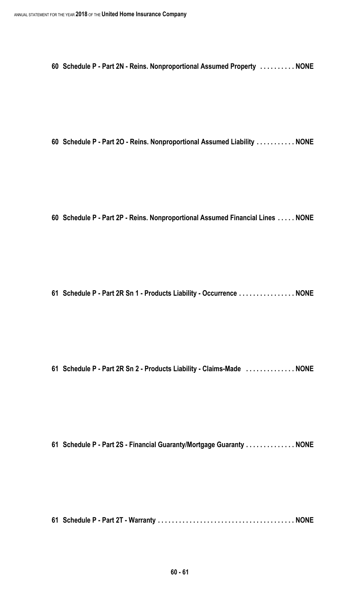**Schedule P - Part 2N - Reins. Nonproportional Assumed Property . . . . . . . . . . NONE**

**Schedule P - Part 2O - Reins. Nonproportional Assumed Liability . . . . . . . . . . . NONE**

**Schedule P - Part 2P - Reins. Nonproportional Assumed Financial Lines . . . . . NONE**

**Schedule P - Part 2R Sn 1 - Products Liability - Occurrence . . . . . . . . . . . . . . . . NONE**

**Schedule P - Part 2R Sn 2 - Products Liability - Claims-Made . . . . . . . . . . . . . . NONE**

**Schedule P - Part 2S - Financial Guaranty/Mortgage Guaranty . . . . . . . . . . . . . . NONE**

**Schedule P - Part 2T - Warranty . . . . . . . . . . . . . . . . . . . . . . . . . . . . . . . . . . . . . . . NONE**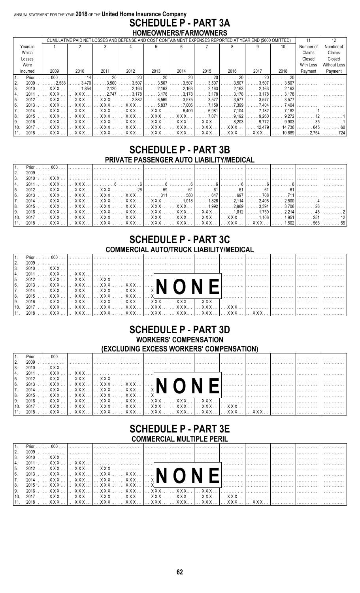#### ANNUAL STATEMENT FOR THE YEAR 2018 OF THE United Home Insurance Company **SCHEDULE P - PART 3A** HOMEOWNERS/FARMOWNERS

|      |          |            |            |            | CUMULATIVE PAID NET LOSSES AND DEFENSE AND COST CONTAINMENT EXPENSES REPORTED AT YEAR END (\$000 OMITTED) |            |             |           |        |          |               |           | $12 \overline{ }$   |
|------|----------|------------|------------|------------|-----------------------------------------------------------------------------------------------------------|------------|-------------|-----------|--------|----------|---------------|-----------|---------------------|
|      | Years in |            |            |            |                                                                                                           |            | ĥ           |           |        |          | 10            | Number of | Number of           |
|      | Which    |            |            |            |                                                                                                           |            |             |           |        |          |               | Claims    | Claims              |
|      | Losses   |            |            |            |                                                                                                           |            |             |           |        |          |               | Closed    | Closed              |
|      | Were     |            |            |            |                                                                                                           |            |             |           |        |          |               | With Loss | <b>Without Loss</b> |
|      | Incurred | 2009       | 2010       | 2011       | 2012                                                                                                      | 2013       | 2014        | 2015      | 2016   | 2017     | 2018          | Payment   | Payment             |
|      | Prior    | 000        |            | 20         | 20                                                                                                        | 20         | 20          | 20        | 20     | 20       | 20            |           |                     |
| I2.  | 2009     | 2.588      | . 3.470    | . 3.500 l  | .3,507                                                                                                    | 3.507      | 3,507       | 3.507     | 3.507  | 3.507    | 3.507         |           |                     |
| 3.   | 2010     | <b>XXX</b> | 1.854      | . 2.120    | 2.163                                                                                                     | 2.163      | 2.163       | 2.163     | 2.163  | 2.163    | 2.163         |           |                     |
| 14.  | 2011     | <b>XXX</b> | <b>XXX</b> | 2.747      | 3.178                                                                                                     | 3.178      | 3.178       | . 3.178   | 3.178  | 3.178    | 3.178         |           |                     |
| 15.  | 2012     | XXX        | XXX        | XXX        | 2.882                                                                                                     | 3.569      | .3.575<br>. | .3.577    | .3.577 | .3.577   | 3.577         |           |                     |
| 16.  | $2013$   | <b>XXX</b> | <b>XXX</b> | XXX        | XXX                                                                                                       | .5.837     | 7.006       | . 7.159 l | 7.399  | 7.404    | 7.404         |           |                     |
| 17.  | 2014     | <b>XXX</b> | <b>XXX</b> | XXX.       | $XXX$                                                                                                     | <b>XXX</b> | 6.400       | . 6.981   | 7.104  | 7.182    | 7.182         |           |                     |
| 18.  | 2015     | <b>XXX</b> | <b>XXX</b> | <b>XXX</b> | <b>XXX</b>                                                                                                | <b>XXX</b> | <b>XXX</b>  | 7.071     | 9.192  | 9.260    | 9.272         |           |                     |
| l 9. | 2016     | <b>XXX</b> | <b>XXX</b> | X X X      | X X X                                                                                                     | <b>XXX</b> | <b>XXX</b>  | x x x     | 8.203  | . 9.772  | 9.903         | 35        |                     |
| 10.  | 2017     | <b>XXX</b> | <b>XXX</b> | XXX.       | $XXX$                                                                                                     | XXX        | XXX.        | $XXX$     | XXX    | 12.479 L | 14,736        | . 645     | . 60                |
| 11.  | 2018     | I XXX      | I XXX      |            |                                                                                                           |            |             |           |        |          | XXX    10,889 | 2.754     | 724                 |

### **SCHEDULE P - PART 3B** PRIVATE PASSENGER AUTO LIABILITY/MEDICAL

|                   | $1_{\cdot}$       |  |                                                                                                                                              |  |  |  |  |  |
|-------------------|-------------------|--|----------------------------------------------------------------------------------------------------------------------------------------------|--|--|--|--|--|
|                   | I 2.              |  |                                                                                                                                              |  |  |  |  |  |
| $\overline{13}$ . |                   |  |                                                                                                                                              |  |  |  |  |  |
| 4.                |                   |  |                                                                                                                                              |  |  |  |  |  |
|                   | 15.               |  |                                                                                                                                              |  |  |  |  |  |
| 16.               |                   |  | 2013 …  … XXX …  … XXX …  … XXX …  … XXX …  ………… 311  ………… 580  ………… 647  ………… 708  ………… 711  ………………  ……………                                  |  |  |  |  |  |
|                   | $\overline{17}$ . |  | _2014 … L… XXX … L… XXX … L… XXX … L… XXX … L… XXX … L……… 1.018 L……… 1.826 L……… 2.114 L……… 2.408 L……… 2.500 L…………… 4 L……………                  |  |  |  |  |  |
|                   | 8.                |  | _2015 …  …  X X X …  …  X X X …  …  X X X …  …  X X X …  …  X X X …  …  X X X …  ……… 1.992  ……… 2.969  ……… 3.391  ……… 3.706  …………… 26  …………… |  |  |  |  |  |
|                   | I9.               |  | _2016 …  …  XXX …  …  XXX …  …  XXX …  …  XXX …  …  XXX …  …  XXX …  …  XXX …  ………1.012  ………1.750  ………2.214  ……………48  ……………2                 |  |  |  |  |  |
|                   | 10.               |  |                                                                                                                                              |  |  |  |  |  |
|                   |                   |  | 111. 2018 … L… XXX … L… XXX … L… XXX … L… XXX … L… XXX … L… XXX … L… XXX … L… XXX … L… XXX … L………1502 L………… 558 L………… 55                     |  |  |  |  |  |

### **SCHEDULE P - PART 3C COMMERCIAL AUTO/TRUCK LIABILITY/MEDICAL**

|      |      | Prior $1$ 000 |                                                                                                    |  |                                                      |   |  |  |
|------|------|---------------|----------------------------------------------------------------------------------------------------|--|------------------------------------------------------|---|--|--|
|      | 2009 |               |                                                                                                    |  |                                                      |   |  |  |
| l 3. |      |               |                                                                                                    |  |                                                      |   |  |  |
|      |      |               |                                                                                                    |  |                                                      | . |  |  |
| 15.  |      |               |                                                                                                    |  |                                                      |   |  |  |
| 16.  |      |               |                                                                                                    |  |                                                      |   |  |  |
|      |      |               |                                                                                                    |  |                                                      |   |  |  |
| 18.  |      |               | 2015 $\left[\dots$ XXX $\left[\dots$ XXX $\left[\dots$ XXX $\left[\dots$ XXX $\right]\dots$ $\chi$ |  |                                                      |   |  |  |
| l 9. |      |               |                                                                                                    |  |                                                      |   |  |  |
| 10.  |      |               |                                                                                                    |  |                                                      |   |  |  |
|      |      |               |                                                                                                    |  | 2018   VVV   VVV   VVV   VVV   VVV   VVV   VVV   VVV |   |  |  |

### **SCHEDULE P - PART 3D WORKERS' COMPENSATION** (EXCLUDING EXCESS WORKERS' COMPENSATION)

|                  | Prior $\dots$ $\dots$ |  |                                                                                                                                                                     |  |  |  |  |  |
|------------------|-----------------------|--|---------------------------------------------------------------------------------------------------------------------------------------------------------------------|--|--|--|--|--|
|                  |                       |  |                                                                                                                                                                     |  |  |  |  |  |
| $\overline{3}$ . |                       |  |                                                                                                                                                                     |  |  |  |  |  |
|                  |                       |  |                                                                                                                                                                     |  |  |  |  |  |
| 15.              |                       |  | 2012 $\left \dots$ XXX $\left \dots$ XXX $\left \dots$ XXX $\right \dots$ XXX $\left \dots$ XXX $\left \dots\right \right $                                         |  |  |  |  |  |
| l 6.             |                       |  |                                                                                                                                                                     |  |  |  |  |  |
|                  |                       |  | 2014 $\left   \times x \times  \right   \times x \times  \left   \times x \times  \right   \times x \times  \left   \times \right  \left. \right\  \left. \right\ $ |  |  |  |  |  |
| 18.              |                       |  |                                                                                                                                                                     |  |  |  |  |  |
|                  |                       |  |                                                                                                                                                                     |  |  |  |  |  |
| 10.              |                       |  |                                                                                                                                                                     |  |  |  |  |  |
|                  |                       |  |                                                                                                                                                                     |  |  |  |  |  |

### **SCHEDULE P - PART 3E COMMERCIAL MULTIPLE PERIL**

|      | _________________________________ |                                    |  |                                                                                                            |  |  |  |   |   |  |   |   |  |  |
|------|-----------------------------------|------------------------------------|--|------------------------------------------------------------------------------------------------------------|--|--|--|---|---|--|---|---|--|--|
|      | $Prior \dots$                     | $\left  \ldots 000 \ldots \right $ |  |                                                                                                            |  |  |  | . | . |  |   |   |  |  |
|      | 2009                              |                                    |  |                                                                                                            |  |  |  |   |   |  |   |   |  |  |
|      | 2010                              |                                    |  | المستنسبين المستنسب المستنسب المستنسب المستنسب المستنسب المستنسب المستنسب المستنسب المستنسب المتكلا لالتار |  |  |  |   |   |  |   |   |  |  |
|      |                                   |                                    |  |                                                                                                            |  |  |  |   |   |  |   |   |  |  |
| 15.  |                                   |                                    |  |                                                                                                            |  |  |  |   |   |  |   |   |  |  |
| 16.  |                                   |                                    |  |                                                                                                            |  |  |  |   |   |  |   |   |  |  |
|      |                                   |                                    |  | 2014     XXX     XXX     XXX     XXX     X  ■ ■                                                            |  |  |  |   |   |  |   |   |  |  |
| 18.  |                                   |                                    |  |                                                                                                            |  |  |  |   |   |  | . | . |  |  |
| l 9. |                                   |                                    |  |                                                                                                            |  |  |  |   |   |  |   |   |  |  |
| 10.  | 2017                              |                                    |  |                                                                                                            |  |  |  |   |   |  |   |   |  |  |
|      |                                   |                                    |  |                                                                                                            |  |  |  |   |   |  |   |   |  |  |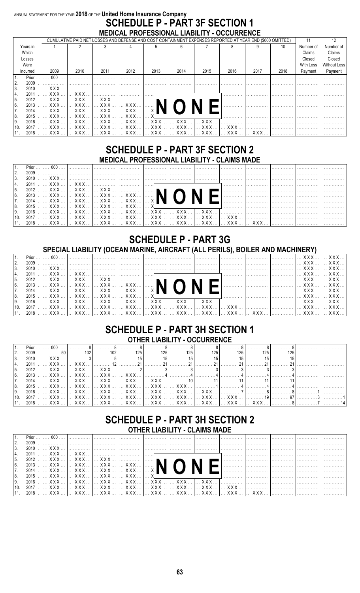### ANNUAL STATEMENT FOR THE YEAR 2018 OF THE United Home Insurance Company **SCHEDULE P - PART 3F SECTION 1** MEDICAL PROFESSIONAL LIABILITY - OCCURRENCE

|                |                                                                                                               |                          |                       |            |            | CUMULATIVE PAID NET LOSSES AND DEFENSE AND COST CONTAINMENT EXPENSES REPORTED AT YEAR END (\$000 OMITTED) |            |      |      |      |           |                     |
|----------------|---------------------------------------------------------------------------------------------------------------|--------------------------|-----------------------|------------|------------|-----------------------------------------------------------------------------------------------------------|------------|------|------|------|-----------|---------------------|
| Years in       |                                                                                                               |                          |                       |            |            | ĥ                                                                                                         |            |      |      | 10   | Number of | Number of           |
| Which          |                                                                                                               |                          |                       |            |            |                                                                                                           |            |      |      |      | Claims    | Claims              |
| Losses         |                                                                                                               |                          |                       |            |            |                                                                                                           |            |      |      |      | Closed    | Closed              |
| Were           |                                                                                                               |                          |                       |            |            |                                                                                                           |            |      |      |      | With Loss | <b>Without Loss</b> |
| Incurred       | 2009                                                                                                          | 2010                     | 2011                  | 2012       | 2013       | 2014                                                                                                      | 2015       | 2016 | 2017 | 2018 | Payment   | Payment             |
| Prior.         | 000                                                                                                           |                          |                       |            |            |                                                                                                           |            |      |      |      |           |                     |
| 2.<br>2009     |                                                                                                               |                          |                       |            |            |                                                                                                           |            |      |      |      |           |                     |
| 3.<br>2010     | $\mathbf{X} \times \mathbf{X}$                                                                                |                          |                       |            |            |                                                                                                           |            |      |      |      |           |                     |
| 2011<br>4.     | XXX                                                                                                           | $\ldots$ XXX $\ldots$    |                       |            |            |                                                                                                           |            |      |      |      |           |                     |
| 5.<br>2012     | . <b>XXX</b>                                                                                                  | XXX                      | <b>XXX</b>            |            |            |                                                                                                           |            |      |      |      |           |                     |
| 6.<br>2013     |                                                                                                               | XXX    XXX    XXX    XXX |                       |            | .          |                                                                                                           |            |      |      |      |           |                     |
| 7.<br>2014     | XXX  I                                                                                                        |                          |                       |            |            |                                                                                                           |            |      |      |      |           |                     |
| 8.<br>2015     | . <b>XXX</b>                                                                                                  | $\ldots$ XXX $\ldots$    | $\ldots$ XXX $\ldots$ | <b>XXX</b> |            |                                                                                                           |            |      |      |      |           |                     |
| 9.<br>$2016$ . | XXX.                                                                                                          | <b>XXX</b>               | <b>XXX</b>            | <b>XXX</b> | <b>XXX</b> | <b>XXX</b>                                                                                                | <b>XXX</b> |      |      |      |           |                     |
| 10<br>2017     | XXX                                                                                                           | XXX                      | <b>XXX</b>            | XXX        | XXX.       | $XXX$                                                                                                     | <b>XXX</b> | XXX  |      |      |           |                     |
| 11.            | 2018 …]… XXX … ]… XXX … ]… XXX … ]… XXX … ]… XXX … ]… XXX … ]… XXX … ]… XXX … ]… XXX … ]… XXX … […………… ]…………… |                          |                       |            |            |                                                                                                           |            |      |      |      |           |                     |

### **SCHEDULE P - PART 3F SECTION 2** MEDICAL PROFESSIONAL LIABILITY - CLAIMS MADE

|                 | Prior $\dots$ |  |  |                                                                                                                                                                                                                                                     |                                                                                                  |  |  |  |
|-----------------|---------------|--|--|-----------------------------------------------------------------------------------------------------------------------------------------------------------------------------------------------------------------------------------------------------|--------------------------------------------------------------------------------------------------|--|--|--|
|                 | 2009          |  |  |                                                                                                                                                                                                                                                     | laanaana hammaan Jaamaana Jaamaana Jaamaana Jaamaana Jaamaana Jaamaana Jaamaana Jaamaana Jaamaan |  |  |  |
| l 3.            |               |  |  |                                                                                                                                                                                                                                                     |                                                                                                  |  |  |  |
| 14.             |               |  |  |                                                                                                                                                                                                                                                     |                                                                                                  |  |  |  |
| 15.             |               |  |  |                                                                                                                                                                                                                                                     |                                                                                                  |  |  |  |
| 6.              |               |  |  |                                                                                                                                                                                                                                                     |                                                                                                  |  |  |  |
|                 |               |  |  |                                                                                                                                                                                                                                                     |                                                                                                  |  |  |  |
| 8.              |               |  |  | 2015    XXX    XXX    XXX    XXX    X $\frac{1}{2}$ = $\frac{1}{2}$ = $\frac{1}{2}$ = $\frac{1}{2}$ = $\frac{1}{2}$ = $\frac{1}{2}$ = $\frac{1}{2}$ = $\frac{1}{2}$ = $\frac{1}{2}$ = $\frac{1}{2}$ = $\frac{1}{2}$ = $\frac{1}{2}$ = $\frac{1}{2}$ |                                                                                                  |  |  |  |
| ١9.             |               |  |  |                                                                                                                                                                                                                                                     |                                                                                                  |  |  |  |
| 10 <sub>1</sub> |               |  |  |                                                                                                                                                                                                                                                     |                                                                                                  |  |  |  |
|                 |               |  |  |                                                                                                                                                                                                                                                     |                                                                                                  |  |  |  |

### **SCHEDULE P - PART 3G** SPECIAL LIABILITY (OCEAN MARINE, AIRCRAFT (ALL PERILS), BOILER AND MACHINERY)

| Prior $\dots$ $\dots$ | 000 |                                                                                      |  |                                                                                                                                                                                                                                                                                                                                                                                    |  | . |                |  |
|-----------------------|-----|--------------------------------------------------------------------------------------|--|------------------------------------------------------------------------------------------------------------------------------------------------------------------------------------------------------------------------------------------------------------------------------------------------------------------------------------------------------------------------------------|--|---|----------------|--|
| 2009                  |     |                                                                                      |  |                                                                                                                                                                                                                                                                                                                                                                                    |  |   | I. I XXX I XXX |  |
| l 3.                  |     |                                                                                      |  |                                                                                                                                                                                                                                                                                                                                                                                    |  |   |                |  |
|                       |     |                                                                                      |  |                                                                                                                                                                                                                                                                                                                                                                                    |  |   |                |  |
| -5.                   |     |                                                                                      |  |                                                                                                                                                                                                                                                                                                                                                                                    |  |   |                |  |
| 16.                   |     | $2013$ $\ldots$ x x x $\ldots$ x x x $\ldots$ x x x $\ldots$ $\ldots$ $\blacksquare$ |  |                                                                                                                                                                                                                                                                                                                                                                                    |  |   |                |  |
|                       |     | 2014 … L… XXX … L… XXX … L… XXX … L… XXX … L… XI ■ ■                                 |  |                                                                                                                                                                                                                                                                                                                                                                                    |  |   |                |  |
| 18.                   |     |                                                                                      |  | 2015   XXX    XXX    XXX    XXX    X $\blacksquare$ $\blacksquare$ $\blacksquare$ $\blacksquare$ $\blacksquare$ $\blacksquare$ $\blacksquare$ $\blacksquare$ $\blacksquare$ $\blacksquare$ $\blacksquare$ $\blacksquare$ $\blacksquare$ $\blacksquare$ $\blacksquare$ $\blacksquare$ $\blacksquare$ $\blacksquare$ $\blacksquare$ $\blacksquare$ $\blacksquare$ $\blacksquare$ $\$ |  |   |                |  |
| l 9.                  |     |                                                                                      |  | 2016     XXX     XXX     XXX     XXX     XXX     XXX     XXX     XXX     XXX     XXX     XXX     XXX                                                                                                                                                                                                                                                                               |  |   |                |  |
| 10.                   |     |                                                                                      |  | .2017    XXX    XXX    XXX    XXX    XXX    XXX    XXX    XXX    XXX    XXX   .                                                                                                                                                                                                                                                                                                    |  |   |                |  |
|                       |     |                                                                                      |  | 2018   XXX   XXX   XXX   XXX   XXX   XXX   XXX   XXX   XXX         XXX                                                                                                                                                                                                                                                                                                             |  |   |                |  |

### **SCHEDULE P - PART 3H SECTION 1 OTHER LIABILITY - OCCURRENCE**

| 13.  |  |  |  |  |  |                                                                                                          |  |
|------|--|--|--|--|--|----------------------------------------------------------------------------------------------------------|--|
| 14.  |  |  |  |  |  | _2011 I… XXX  I… XXX  I………… 121………… 211………… 211………… 211………… 211………… 211………… 211…………… 211…………… I……………     |  |
| 15.  |  |  |  |  |  |                                                                                                          |  |
| 16.  |  |  |  |  |  |                                                                                                          |  |
| I 7. |  |  |  |  |  | _2014 … ]… XXX … [… XXX … [… XXX … [… XXX … [… XXX … [………… 10]………… 11 [………… 11]………… 11 […………… 11]……………   |  |
| 18.  |  |  |  |  |  | _2015 … … XXX … … XXX … [… XXX … [… XXX … [… XXX … [… XXX … [……………1] ……………4] ……………4] ……………4 ……………………     |  |
| I 9. |  |  |  |  |  | _2016 …  … XXX …  … XXX …  … XXX …  … XXX …  … XXX …  … XXX …  … XXX …  …………7  …………8  …………8  …………1  ………… |  |
|      |  |  |  |  |  | 110. 2017 I… XXX  I… XXX  I… XXX  I… XXX  I… XXX  I… XXX  I… XXX  I… XXX  I………… 97I……………3I……………          |  |
|      |  |  |  |  |  |                                                                                                          |  |

### **SCHEDULE P - PART 3H SECTION 2 OTHER LIABILITY - CLAIMS MADE**

|      | $Prior \dots$ | 000 |                                                |  |                                                                                                                                                                         |   | . |  |  |
|------|---------------|-----|------------------------------------------------|--|-------------------------------------------------------------------------------------------------------------------------------------------------------------------------|---|---|--|--|
|      | 2009          |     |                                                |  |                                                                                                                                                                         |   |   |  |  |
| 3.   |               |     |                                                |  |                                                                                                                                                                         |   |   |  |  |
|      |               |     |                                                |  |                                                                                                                                                                         | . |   |  |  |
| 15.  |               |     |                                                |  |                                                                                                                                                                         |   |   |  |  |
| l 6. |               |     |                                                |  | 2012 $\left \dots$ XXX $\left \dots$ XXX $\left \dots$ XXX $\left \dots$ XXX $\right \dots$ XXX $\left \dots$ XXX $\left \dots\right \right $ NI $\bigcap$ NI $\bigcap$ |   |   |  |  |
|      |               |     | 2014     XXX     XXX     XXX     XXX     X ■ \ |  |                                                                                                                                                                         |   |   |  |  |
| 18.  |               |     |                                                |  | 2015 $\left   \times x \times  \right   \times x \times  \left   \times x \times  \right   \times x \times  \left   \times \right  = \left  \bullet \right $            |   |   |  |  |
| l 9. |               |     |                                                |  |                                                                                                                                                                         |   |   |  |  |
| 10.  |               |     |                                                |  |                                                                                                                                                                         |   |   |  |  |
|      |               |     |                                                |  | 2018 …]… XXX … ]… XXX … ]… XXX … ]… XXX … ]… XXX … ]… XXX … ]… XXX … ]… XXX … ]… XXX … ]…XXX … […………… ]……………                                                            |   |   |  |  |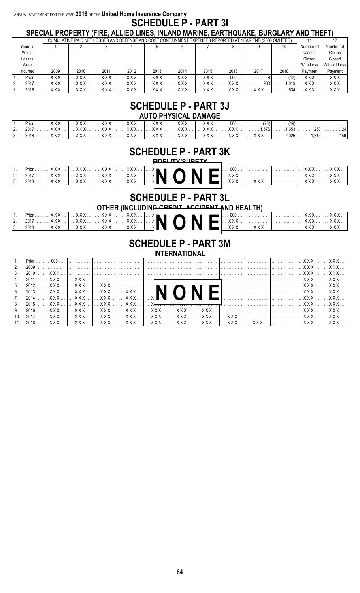#### ANNUAL STATEMENT FOR THE YEAR 2018 OF THE United Home Insurance Company **SCHEDULE P - PART 31** SPECIAL PROPERTY (FIRE, ALLIED LINES, INLAND MARINE, EARTHQUAKE, BURGLARY AND THEFT)

|          |            |            |              | CUMULATIVE PAID NET LOSSES AND DEFENSE AND COST CONTAINMENT EXPENSES REPORTED AT YEAR END (\$000 OMITTED) |      |              |            |      |      |       |                  |                     |
|----------|------------|------------|--------------|-----------------------------------------------------------------------------------------------------------|------|--------------|------------|------|------|-------|------------------|---------------------|
| Years in |            |            |              |                                                                                                           |      |              |            |      |      | 10    | Number of        | Number of           |
| Which    |            |            |              |                                                                                                           |      |              |            |      |      |       | Claims           | Claims              |
| Losses   |            |            |              |                                                                                                           |      |              |            |      |      |       | Closed           | Closed              |
| Were     |            |            |              |                                                                                                           |      |              |            |      |      |       | <b>With Loss</b> | <b>Without Loss</b> |
| Incurred | 2009       | 2010       | 2011         | 2012                                                                                                      | 2013 | 2014         | 2015       | 2016 | 2017 | 2018  | Payment          | Payment             |
| Prior    | <b>XXX</b> | <b>XXX</b> | <b>Y Y Y</b> | <b>XXX</b>                                                                                                | xxx  | <b>XXX</b>   | <b>XXX</b> | 000  |      | (42)  | <b>XXX</b>       | <b>XXX</b>          |
| 2017.    | XXX        | x x x      | <b>XXX</b>   | x x x                                                                                                     | XXX. | <b>XXX</b>   | <b>XXX</b> | xxx  | 900  | 1.019 | <b>XXX</b>       | XXX.                |
| 2018     | XXX        |            | xxx          | XXX                                                                                                       |      | $\ldots$ XXX | <b>XXX</b> |      |      | 534   |                  | XXX                 |

## **SCHEDULE P - PART 3J**

|                                                                                                                              |  |  | AUTU PHI SIGAL DAMAGE |  |  |  |
|------------------------------------------------------------------------------------------------------------------------------|--|--|-----------------------|--|--|--|
| <u>Prior ……]… XXX… [… XXX… [… XXX… [… XXX… [… XXX… [… XXX… [… XXX… [… XXX… [… 000 … [………… (75] [………… (49) [……………… [……………</u> |  |  |                       |  |  |  |
|                                                                                                                              |  |  |                       |  |  |  |
| . 2018   XXX   XXX   XXX   XXX   XXX   XXX   XXX   2026 1215  159 .                                                          |  |  |                       |  |  |  |

### **SCHEDULE P - PART 3K**

EINELITY/SIIDETY

|      | $Prior$ |                       | XXX  1                                            |  |  |  |  | 000   | .     |       |       |
|------|---------|-----------------------|---------------------------------------------------|--|--|--|--|-------|-------|-------|-------|
|      | 2017    | $\ldots$ XXX $\ldots$ | $\ldots$ XXX $\ldots$ XXX $\ldots$ XXX $\ldots$ N |  |  |  |  |       |       | ' ∧∧∧ | $XXX$ |
| . 3. | 2018    | . XXX 1               |                                                   |  |  |  |  | $XXX$ | Y Y Y |       |       |

### **SCHEDULE P - PART 3L**

OTHER (INCLUDING CREDIT ACCIDENT AND HEALTH)

|    | Prior |                                             |  |  |  | $\overline{\phantom{a}}$ and $\overline{\phantom{a}}$ |  | 000            |            |                                    | <b>XXX</b>       |
|----|-------|---------------------------------------------|--|--|--|-------------------------------------------------------|--|----------------|------------|------------------------------------|------------------|
|    | 2017  |                                             |  |  |  |                                                       |  | <u>L. XXX </u> |            | $\mathsf{XXX} \dots$               | . . XXX <b>1</b> |
| 3. | 2018  | `     ХХХ     ХХХ     ХХХ     ХХХ     ≯ ■ ┗ |  |  |  |                                                       |  | . XXX  I       | I XXX I I. | $\left  \dots$ XXX $\dots \right $ | XXX  I           |
|    |       |                                             |  |  |  |                                                       |  |                |            |                                    |                  |

**SCHEDULE P - PART 3M INTERNATIONAL** 

| $\vert$ 1.        | $Prior \dots$ |  |  |  |                                                                                                                                                                                                                                                                                                                                                                                      |       |            |  |
|-------------------|---------------|--|--|--|--------------------------------------------------------------------------------------------------------------------------------------------------------------------------------------------------------------------------------------------------------------------------------------------------------------------------------------------------------------------------------------|-------|------------|--|
| 2.                | 2009          |  |  |  |                                                                                                                                                                                                                                                                                                                                                                                      |       |            |  |
| $\vert$ 3.        |               |  |  |  |                                                                                                                                                                                                                                                                                                                                                                                      |       |            |  |
| 4.                |               |  |  |  |                                                                                                                                                                                                                                                                                                                                                                                      |       |            |  |
| 15.               |               |  |  |  | $\begin{array}{c c c c c c c c} \hline 2012 &  & XXX &  & XXX &  &  & XXX &  &  & XXX &  &  & XXX &  &  & XXX &  &  & XXX &  &  & XXX &  &  & XXX &  &  & XXX &  &  & XXX &  &  & XXX &  &  & XXX &  &  & XXX &  &  & XXX &  &  & XXX &  &  & XXX &  &  & XXX &  &  & XXX &  &  & XXX &  &  & XXX &  &  & XXX &  &  & XXX &  &  & XXX &  &  & XXX &  &  & XXX &  &  & XXX &  &  & X$ |       |            |  |
| 6.                |               |  |  |  |                                                                                                                                                                                                                                                                                                                                                                                      |       |            |  |
| $\overline{17}$ . |               |  |  |  |                                                                                                                                                                                                                                                                                                                                                                                      |       |            |  |
| 18.               |               |  |  |  |                                                                                                                                                                                                                                                                                                                                                                                      |       |            |  |
| 9.                |               |  |  |  |                                                                                                                                                                                                                                                                                                                                                                                      |       |            |  |
| 10.               |               |  |  |  | _2017   XXX    XXX    XXX    XXX    XXX    XXX    XXX    XXX    XXX    XXX    XXX                                                                                                                                                                                                                                                                                                    |       |            |  |
| $111$ $2018$      |               |  |  |  | YYY I YYY I YYY I YYY I YYY I YYY I YYY I YYY I                                                                                                                                                                                                                                                                                                                                      | $YYY$ | <b>YYY</b> |  |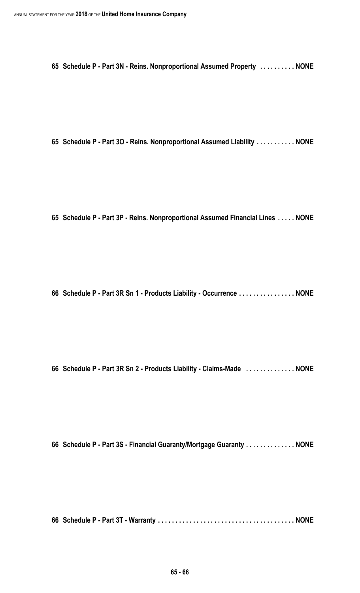**Schedule P - Part 3N - Reins. Nonproportional Assumed Property . . . . . . . . . . NONE**

**Schedule P - Part 3O - Reins. Nonproportional Assumed Liability . . . . . . . . . . . NONE**

**Schedule P - Part 3P - Reins. Nonproportional Assumed Financial Lines . . . . . NONE**

**Schedule P - Part 3R Sn 1 - Products Liability - Occurrence . . . . . . . . . . . . . . . . NONE**

**Schedule P - Part 3R Sn 2 - Products Liability - Claims-Made . . . . . . . . . . . . . . NONE**

**Schedule P - Part 3S - Financial Guaranty/Mortgage Guaranty . . . . . . . . . . . . . . NONE**

**Schedule P - Part 3T - Warranty . . . . . . . . . . . . . . . . . . . . . . . . . . . . . . . . . . . . . . . NONE**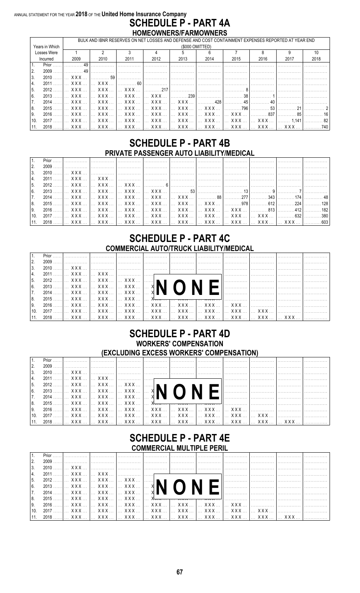#### ANNUAL STATEMENT FOR THE YEAR 2018 OF THE United Home Insurance Company **SCHEDULE P - PART 4A** HOMEOWNERS/FARMOWNERS

|      |                |                       |                 |                                                                       |              |                              |                                                                                                                                                                                                                                                                                                                                                                              |                                               |                                             | BULK AND IBNR RESERVES ON NET LOSSES AND DEFENSE AND COST CONTAINMENT EXPENSES REPORTED AT YEAR END |      |
|------|----------------|-----------------------|-----------------|-----------------------------------------------------------------------|--------------|------------------------------|------------------------------------------------------------------------------------------------------------------------------------------------------------------------------------------------------------------------------------------------------------------------------------------------------------------------------------------------------------------------------|-----------------------------------------------|---------------------------------------------|-----------------------------------------------------------------------------------------------------|------|
|      | Years in Which |                       |                 |                                                                       |              |                              | (\$000 OMITTED)                                                                                                                                                                                                                                                                                                                                                              |                                               |                                             |                                                                                                     |      |
|      | Losses Were    |                       |                 |                                                                       |              | 5.                           |                                                                                                                                                                                                                                                                                                                                                                              |                                               |                                             |                                                                                                     | 10   |
|      | Incurred       | 2009                  | 2010            | 2011                                                                  | 2012         | 2013                         | 2014                                                                                                                                                                                                                                                                                                                                                                         | 2015                                          | 2016                                        | 2017                                                                                                | 2018 |
|      | Prior          |                       |                 |                                                                       |              |                              |                                                                                                                                                                                                                                                                                                                                                                              |                                               |                                             |                                                                                                     |      |
| l 2. | 2009           |                       |                 |                                                                       |              |                              |                                                                                                                                                                                                                                                                                                                                                                              |                                               |                                             |                                                                                                     |      |
| 3.   | 2010           | <b>XXX</b>            | . 59            |                                                                       |              |                              |                                                                                                                                                                                                                                                                                                                                                                              |                                               |                                             |                                                                                                     |      |
| 4.   | 2011           | XXX I                 | $X$ $X$ $X$     | 60                                                                    |              |                              |                                                                                                                                                                                                                                                                                                                                                                              |                                               |                                             |                                                                                                     |      |
| -5.  | 2012           | $X$ $X$ $X$           | XXX             | $\left  \begin{array}{c} \times \times \times \\ \end{array} \right $ | . 217        |                              |                                                                                                                                                                                                                                                                                                                                                                              |                                               |                                             |                                                                                                     |      |
| l 6. | $2013$         |                       |                 | XXX     XXX     XXX                                                   | XXX          | $\ldots \ldots \ldots 239$ l |                                                                                                                                                                                                                                                                                                                                                                              |                                               |                                             |                                                                                                     |      |
| 7.   | 2014           | $X$ $X$ $X$           | $X$ $X$ $X$     | $\left  \right $ xxx $\left  \right $                                 |              | XXX    XXX                   | $\sim$ 428                                                                                                                                                                                                                                                                                                                                                                   | 45                                            | 40                                          |                                                                                                     |      |
| 8.   | $2015$         |                       |                 | XXX    XXX    XXX                                                     |              |                              |                                                                                                                                                                                                                                                                                                                                                                              | . 796                                         | . 53                                        | 21                                                                                                  |      |
| l 9. | 2016           | $X$ $X$ $X$           | XXX             | $\left  \right $ xxx $\left  \right $                                 | ! XXX    XXX |                              | $\left  \right $ $\left $ $\right $ $\left $ $\right $ $\left $ $\right $ $\left $ $\left $ $\right $ $\left $ $\right $ $\left $ $\left $ $\right $ $\left $ $\left $ $\right $ $\left $ $\right $ $\left $ $\left $ $\right $ $\left $ $\left $ $\right $ $\left $ $\right $ $\left $ $\left  \right $ $\left  \right $ $\left  \right $ $\left  \right $ $\left  \right $ | $X$ $X$ $X$                                   | 1, 337                                      | . 85                                                                                                |      |
| 10.  | $2017$         | $\ldots$ XXX $\ldots$ | $X$ $X$ $X$ $Y$ | $\left  \right $ xxx $\left  \right $                                 |              | XXX    XXX    XXX            |                                                                                                                                                                                                                                                                                                                                                                              |                                               | $\ldots$ XXX $\ldots$ $\ldots$ XXX $\ldots$ | 1.141                                                                                               |      |
| 11.  | $2018$         | I XXX  I              |                 |                                                                       |              |                              |                                                                                                                                                                                                                                                                                                                                                                              | XXX   XXX   XXX   XXX   XXX   XXX   XXX   XXX |                                             |                                                                                                     | 740  |

### **SCHEDULE P - PART 4B** PRIVATE PASSENGER AUTO I IARII ITY/MEDICAL

| $\vert 2 \rangle$ |                                                                                                                 |  |  |  |  |  |
|-------------------|-----------------------------------------------------------------------------------------------------------------|--|--|--|--|--|
| 3.                |                                                                                                                 |  |  |  |  |  |
| $\vert 4 \vert$   | _2011 ……]… XXX … [… XXX … […………… […………… […………… […………… […………… […………… […………… [……………                               |  |  |  |  |  |
| $\vert 5 \vert$   | _2012 ……[… XXX … [… XXX … [… XXX … [………… 6]…………… […………… […………… […………… […………… [……………                             |  |  |  |  |  |
| 6.                |                                                                                                                 |  |  |  |  |  |
| 7.                |                                                                                                                 |  |  |  |  |  |
| 8.                | .2015  …  XXX …   …  XXX …   …  XXX …   …  XXX …   …  XXX …   …  XXX …   …………978  …………612  …………224  …………128     |  |  |  |  |  |
|                   |                                                                                                                 |  |  |  |  |  |
|                   | 10.    2017 …… …  XXX …  …  XXX …  …  XXX …  …  XXX …  …  XXX …  …  XXX …  …  XXX …  …  XXX …  …………632  …………380 |  |  |  |  |  |
|                   |                                                                                                                 |  |  |  |  |  |

### **SCHEDULE P - PART 4C COMMERCIAL AUTO/TRUCK LIABILITY/MEDICAL**

| <u>  2.</u> |  |  |             |  |
|-------------|--|--|-------------|--|
| 3.          |  |  |             |  |
| I 4.        |  |  | 1. 1. 1. 1. |  |
| 5.          |  |  |             |  |
| 6.          |  |  |             |  |
| 7.          |  |  |             |  |
| 8.          |  |  |             |  |
|             |  |  |             |  |
|             |  |  |             |  |
|             |  |  |             |  |

### **SCHEDULE P - PART 4D WORKERS' COMPENSATION** (EXCLUDING EXCESS WORKERS' COMPENSATION)

| $\vert$ 1.      |  |                                                                                            |  |
|-----------------|--|--------------------------------------------------------------------------------------------|--|
| 2.              |  |                                                                                            |  |
| 3.              |  | _2010 ……   … XXX …   ……………   ……………   ……………   ……………   ……………   ……………   ……………   ……………   …………… |  |
| 14.             |  |                                                                                            |  |
| $\vert 5 \vert$ |  |                                                                                            |  |
| 6.              |  |                                                                                            |  |
| 7.              |  |                                                                                            |  |
| 8.              |  |                                                                                            |  |
| 9.              |  | _2016 ……I…_XXX …_I…_XXX …_I…_XXX …_I…_XXX …_I…_XXX …_I…_XXX …_I…_XXX …_I………………__I………………    |  |
|                 |  |                                                                                            |  |
|                 |  |                                                                                            |  |

### **SCHEDULE P - PART 4E COMMERCIAL MULTIPLE PERIL**

|      |      |                                                                                                         | . | .   |   |  |
|------|------|---------------------------------------------------------------------------------------------------------|---|-----|---|--|
|      | 2009 |                                                                                                         |   | .   |   |  |
| l 3. |      |                                                                                                         |   |     |   |  |
|      |      |                                                                                                         | . | . 1 | . |  |
| l 5. |      |                                                                                                         |   |     |   |  |
| 6.   |      |                                                                                                         |   |     |   |  |
| 17.  |      |                                                                                                         |   |     |   |  |
| 8.   |      |                                                                                                         |   |     |   |  |
| I 9. |      |                                                                                                         |   |     |   |  |
| 10.  |      | _2017 ……]… XXX … ]… XXX … ]… XXX … ]… XXX … ]… XXX … ]… XXX … ]… XXX … [… XXX … [… XXX … [……………… ]…………… |   |     |   |  |
|      |      |                                                                                                         |   |     |   |  |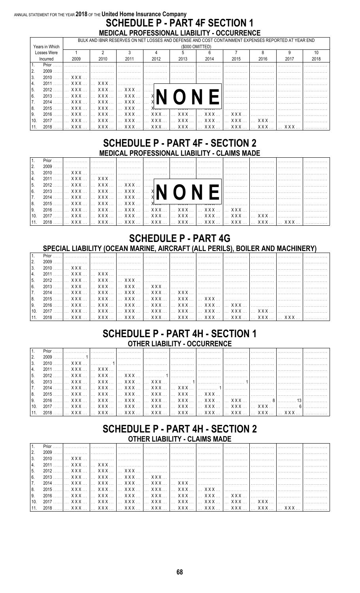#### ANNUAL STATEMENT FOR THE YEAR 2018 OF THE United Home Insurance Company **SCHEDULE P - PART 4F SECTION 1** MEDICAL PROFESSIONAL LIABILITY - OCCURRENCE

|                 |                |                                 | BULK AND IBNR RESERVES ON NET LOSSES AND DEFENSE AND COST CONTAINMENT EXPENSES REPORTED AT YEAR END |                                      |      |                                          |                 |                 |      |      |      |  |  |
|-----------------|----------------|---------------------------------|-----------------------------------------------------------------------------------------------------|--------------------------------------|------|------------------------------------------|-----------------|-----------------|------|------|------|--|--|
|                 | Years in Which |                                 |                                                                                                     |                                      |      |                                          | (\$000 OMITTED) |                 |      |      |      |  |  |
|                 | Losses Were    |                                 |                                                                                                     |                                      |      | 5                                        |                 |                 |      |      | 10   |  |  |
|                 | Incurred       | 2009                            | 2010                                                                                                | 2011                                 | 2012 | 2013                                     | 2014            | 2015            | 2016 | 2017 | 2018 |  |  |
| 1.              | Prior          |                                 |                                                                                                     |                                      |      |                                          |                 |                 |      |      |      |  |  |
| 2.              | 2009           |                                 |                                                                                                     |                                      |      |                                          |                 |                 |      |      |      |  |  |
| 3.              | 2010           | $\ldots$ XXX $\ldots$           |                                                                                                     |                                      |      |                                          |                 |                 |      |      |      |  |  |
| 4.              | 2011           | $\ldots$ XXX $\ldots$           |                                                                                                     |                                      |      |                                          |                 |                 |      |      |      |  |  |
| 5.              | $2012$ .       |                                 |                                                                                                     |                                      |      |                                          |                 |                 |      |      |      |  |  |
| l 6.            |                |                                 |                                                                                                     |                                      |      |                                          |                 |                 |      |      |      |  |  |
| <sup>1</sup> 7. | 2014           |                                 |                                                                                                     |                                      |      |                                          |                 |                 |      |      |      |  |  |
| 8.              | $2015$ .       | $X$ $X$ $X$ $Y$                 | I XXX                                                                                               | $\mathsf{L} \times$ XXX $\mathsf{L}$ |      | $\overline{N} \overline{N} \overline{N}$ |                 |                 |      |      |      |  |  |
| l 9.            | 2016           | XXX    XXX    XXX    XXX    XXX |                                                                                                     |                                      |      |                                          | XXX             | $1$ XXX $$      |      |      |      |  |  |
| 10.             | $2017$         |                                 |                                                                                                     |                                      |      | XXX I XXX I XXX I XXX I XXX I            |                 | XXX   XXX   XXX |      |      |      |  |  |
| 11.             | $2018$         | $\ldots$ XXX $\ldots$           |                                                                                                     |                                      |      |                                          |                 |                 |      |      |      |  |  |

### **SCHEDULE P - PART 4F - SECTION 2 MEDICAL PROFESSIONAL LIABILITY - CLAIMS MADE**

| $11 -$         |  |                                                                                                         |  |
|----------------|--|---------------------------------------------------------------------------------------------------------|--|
| $\vert$ 2.     |  |                                                                                                         |  |
| 3 <sub>l</sub> |  |                                                                                                         |  |
| 14.            |  |                                                                                                         |  |
| 5.             |  |                                                                                                         |  |
| 6.             |  |                                                                                                         |  |
| 7.             |  |                                                                                                         |  |
| 8.             |  | _2015 ……[… XXX … [… XXX … [… XXX … [… X <del>xx … [… xxx … [… xxx … ]</del> ……………… […………… […………… […………… |  |
| 9.             |  | __2016 ……]…_XXX…_  …_XXX…_  …_XXX…_  …_XXX…_  …_XXX…_  …_XXX…_  …_XXX…_  ………………_  …………………               |  |
|                |  |                                                                                                         |  |
|                |  |                                                                                                         |  |

### **SCHEDULE P - PART 4G** SPECIAL LIABILITY (OCEAN MARINE, AIRCRAFT (ALL PERILS), BOILER AND MACHINERY)

| 2.             |  |                                                                                                         |  |
|----------------|--|---------------------------------------------------------------------------------------------------------|--|
| 3 <sub>l</sub> |  | _2010 ……]… XXX… […………… […………… […………… […………… […………… […………… ]…………… [……………… [………………                        |  |
| I 4.           |  | _2011 …… … XXX …  … XXX …  ………………  ………………  ……………  ……………  ……………  ……………  ……………  ……………                     |  |
| $\vert 5.$     |  |                                                                                                         |  |
| 6.             |  | _2013 ……[… XXX … [… XXX … [… XXX … [… XXX … [……………… [……………… [……………… [……………… [……………                      |  |
| 7.             |  |                                                                                                         |  |
| 8.             |  |                                                                                                         |  |
| │9.            |  | _2016 …… … XXX …  … XXX …  … XXX …  … XXX …  … XXX …  … XXX …  … XXX …  … XXX …  ……………  ……………  ……………    |  |
| 10.            |  | _2017 ……]… XXX … ]… XXX … ]… XXX … ]… XXX … ]… XXX … ]… XXX … ]… XXX … ]… XXX … ]… XXX … ]……………… ]…………… |  |
|                |  |                                                                                                         |  |

### **SCHEDULE P - PART 4H - SECTION 1 OTHER LIABILITY - OCCURRENCE**

|                 | <u> 11. Prior ……   ……………   ……………   ……………   ……………   ……………   ……………   ……………   ……………   ……………   ……………</u>        |  |  |  |  |  |
|-----------------|-------------------------------------------------------------------------------------------------------------|--|--|--|--|--|
|                 |                                                                                                             |  |  |  |  |  |
|                 |                                                                                                             |  |  |  |  |  |
|                 |                                                                                                             |  |  |  |  |  |
| $\vert 5 \vert$ |                                                                                                             |  |  |  |  |  |
|                 |                                                                                                             |  |  |  |  |  |
|                 | <u> 17. 2014 ……  … XXX …  … XXX …  … XXX …  … XXX …  … XXX …  ………… 1 ……………  ……………  ……………  ……………</u>         |  |  |  |  |  |
| 8.              |                                                                                                             |  |  |  |  |  |
|                 |                                                                                                             |  |  |  |  |  |
|                 |                                                                                                             |  |  |  |  |  |
|                 | 11. 2018 …… … XXX …  … XXX …  … XXX …  … XXX …  … XXX …  … XXX …  … XXX …  … XXX …  … XXX …  … XXX …  …………… |  |  |  |  |  |

### **SCHEDULE P - PART 4H - SECTION 2 OTHER LIABILITY - CLAIMS MADE**

| 6. |  |                                                                                                             |  |
|----|--|-------------------------------------------------------------------------------------------------------------|--|
|    |  |                                                                                                             |  |
| 8. |  | __2015 ……]…_XXX …_  …_XXX …_  …_XXX …_  …_XXX …_  …_XXX …_  …_XXX …_  ………………_  ………………_  ………………              |  |
| 9. |  |                                                                                                             |  |
|    |  | [10. 2017 ……]… XXX … [… XXX … [… XXX … [… XXX … [… XXX … [… XXX … [… XXX … [… XXX … [… XXX … […………… ]……………  |  |
|    |  | 11. 2018 …… … XXX …  … XXX …  … XXX …  … XXX …  … XXX …  … XXX …  … XXX …  … XXX …  … XXX …  … XXX …  …………… |  |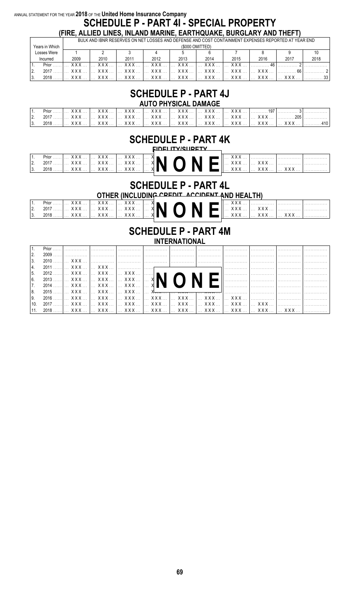### ANNUAL STATEMENT FOR THE YEAR 2018 OF THE United Home Insurance Company **SCHEDULE P - PART 41 - SPECIAL PROPERTY**

(FIRE, ALLIED LINES, INLAND MARINE, EARTHQUAKE, BURGLARY AND THEFT)  $\frac{1}{2}$ 

|                | <u>DULIN AND IDINN NEUENVEU UN NET EUUULUND DEI ENUE AND UUUT UUN IAINMENT EAL ENUEU NEI UNTED AT TEAN END </u> |                       |                   |                       |        |      |                       |      |      |      |  |  |  |
|----------------|-----------------------------------------------------------------------------------------------------------------|-----------------------|-------------------|-----------------------|--------|------|-----------------------|------|------|------|--|--|--|
| Years in Which |                                                                                                                 | (\$000 OMITTED)       |                   |                       |        |      |                       |      |      |      |  |  |  |
| Losses Were    |                                                                                                                 |                       |                   |                       |        |      |                       |      |      |      |  |  |  |
| Incurred       | 2009                                                                                                            | 2010                  | 2011              | 2012                  | 2013   | 2014 | 2015                  | 2016 | 2017 | 2018 |  |  |  |
| $Prior$        | XXX.                                                                                                            | . <b>XXX</b>          |                   |                       | XXX  1 |      | XXXIXXX               | 46   |      |      |  |  |  |
| 2017           | XXX                                                                                                             | $\ldots$ XXX $\ldots$ | $\Box$ XXX $\Box$ | $\ldots$ XXX $\ldots$ | XXX    | XXX  | $\ldots$ XXX $\ldots$ |      |      |      |  |  |  |
| $2018$         | XXX                                                                                                             | $XXX$                 | X X X             | XXX                   | XXX    | XXX  | $X$ $X$ $X$ $Y$       | XXX  |      |      |  |  |  |

### **SCHEDULE P - PART 4J**

| AUTO PHYSICAL DAMAGE |  |  |  |  |                                                                                                           |  |  |  |  |  |  |
|----------------------|--|--|--|--|-----------------------------------------------------------------------------------------------------------|--|--|--|--|--|--|
|                      |  |  |  |  |                                                                                                           |  |  |  |  |  |  |
|                      |  |  |  |  | _2017 ……[… XXX … [… XXX … [… XXX … [… XXX … [… XXX … [… XXX … [… XXX … [… XXX … [… XXX … […………205] ……………  |  |  |  |  |  |  |
|                      |  |  |  |  | _2018 …… … XXX …  … XXX …  … XXX …  … XXX …  … XXX …  … XXX …  … XXX …  … XXX …  … XXX …  … XXX …  ………410 |  |  |  |  |  |  |

### **SCHEDULE P - PART 4K**

|          | Prior  |            | $XXX$ | XXX!                               |              |  | v v v      |     |   |        |
|----------|--------|------------|-------|------------------------------------|--------------|--|------------|-----|---|--------|
| <u>.</u> | 2017   |            | XXX   | $\left[\ldots$ XXX $\ldots\right]$ | <b>EXNON</b> |  |            | AAA | . | .<br>. |
| . ب      | $2018$ | <b>AAA</b> |       | XXX   XXX                          |              |  | <b>AAA</b> |     |   |        |

### **SCHEDULE P - PART 4L** OTHER (INCLUDING CREDIT ACCIDENT AND HEALTH)

| Prior $\dots$ , $\dots$<br>$2017$ | V V V<br><b>AAA</b><br>$\sqrt{11}$ | <b>AAA</b> | V V V<br>AAA     7<br>8 A A A |  |  | VVI | .     | . | .<br>.<br>. |
|-----------------------------------|------------------------------------|------------|-------------------------------|--|--|-----|-------|---|-------------|
|                                   | $2018$ $\vert  \vert$ XXX          |            | X X X<br>1.                   |  |  |     | A A A |   | .           |

#### **SCHEDULE P - PART 4M INTERNATIONAL**

| $\vert 2. \vert$ |                                                                                                         |  |  |  |  |  |  |  |  |  |  |  |
|------------------|---------------------------------------------------------------------------------------------------------|--|--|--|--|--|--|--|--|--|--|--|
| $\vert 3.$       | _2010 …… … XXX …  ……………  ……………  ……………  ……………  ……………  ……………  ……………  ……………  ……………                         |  |  |  |  |  |  |  |  |  |  |  |
|                  |                                                                                                         |  |  |  |  |  |  |  |  |  |  |  |
| 15.              |                                                                                                         |  |  |  |  |  |  |  |  |  |  |  |
| l 6.             |                                                                                                         |  |  |  |  |  |  |  |  |  |  |  |
|                  |                                                                                                         |  |  |  |  |  |  |  |  |  |  |  |
| l 8.             |                                                                                                         |  |  |  |  |  |  |  |  |  |  |  |
| l 9.             |                                                                                                         |  |  |  |  |  |  |  |  |  |  |  |
| 10.              | _2017 ……]… XXX … ]… XXX … ]… XXX … ]… XXX … ]… XXX … ]… XXX … ]… XXX … ]… XXX … [… XXX … [……………… ]…………… |  |  |  |  |  |  |  |  |  |  |  |
|                  |                                                                                                         |  |  |  |  |  |  |  |  |  |  |  |

69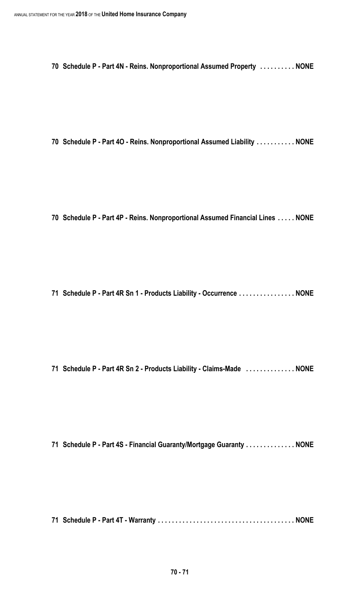**Schedule P - Part 4N - Reins. Nonproportional Assumed Property . . . . . . . . . . NONE**

**Schedule P - Part 4O - Reins. Nonproportional Assumed Liability . . . . . . . . . . . NONE**

**Schedule P - Part 4P - Reins. Nonproportional Assumed Financial Lines . . . . . NONE**

**Schedule P - Part 4R Sn 1 - Products Liability - Occurrence . . . . . . . . . . . . . . . . NONE**

**Schedule P - Part 4R Sn 2 - Products Liability - Claims-Made . . . . . . . . . . . . . . NONE**

**Schedule P - Part 4S - Financial Guaranty/Mortgage Guaranty . . . . . . . . . . . . . . NONE**

**Schedule P - Part 4T - Warranty . . . . . . . . . . . . . . . . . . . . . . . . . . . . . . . . . . . . . . . NONE**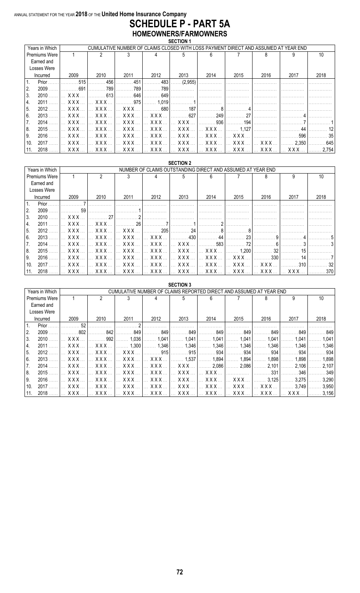#### ANNUAL STATEMENT FOR THE YEAR **2018** OF THE **United Home Insurance Company SCHEDULE P - PART 5A HOMEOWNERS/FARMOWNERS SECTION 1**

|      | Years in Which       |                       |                       |                       |                                |                  |                                    |                                |        | CUMULATIVE NUMBER OF CLAIMS CLOSED WITH LOSS PAYMENT DIRECT AND ASSUMED AT YEAR END |       |
|------|----------------------|-----------------------|-----------------------|-----------------------|--------------------------------|------------------|------------------------------------|--------------------------------|--------|-------------------------------------------------------------------------------------|-------|
|      | <b>Premiums Were</b> |                       |                       |                       |                                |                  |                                    |                                |        |                                                                                     | 10    |
|      | Earned and           |                       |                       |                       |                                |                  |                                    |                                |        |                                                                                     |       |
|      | Losses Were          |                       |                       |                       |                                |                  |                                    |                                |        |                                                                                     |       |
|      | Incurred             | 2009                  | 2010                  | 2011                  | 2012                           | 2013             | 2014                               | 2015                           | 2016   | 2017                                                                                | 2018  |
| ∟ 1. | Prior                | .515                  | 456                   | 451                   | . 483                          | $\ldots$ (2,955) |                                    |                                |        |                                                                                     |       |
| 2.   | 2009                 | 691                   | 789                   | 789                   | 789                            |                  |                                    |                                |        |                                                                                     |       |
| 3.   | 2010                 | <b>XXX</b>            | 613                   | 646                   | 649                            |                  |                                    |                                |        |                                                                                     |       |
| 14.  | 2011                 | XXX                   | X X X                 | .975                  | 1.019                          |                  |                                    |                                |        |                                                                                     |       |
| 5.   | 2012                 | XXX.                  | $\ldots$ XXX $\ldots$ | <b>XXX</b>            | 680                            | 187              |                                    |                                |        |                                                                                     |       |
| l 6. | 2013                 | XXX.                  | <b>XXX</b>            | <b>XXX</b>            | <b>XXX</b>                     | . 627            | 249                                | - 27                           |        |                                                                                     |       |
| 17.  | 2014                 | $\ldots$ XXX $\ldots$ | $X$ $X$ $X$           | $\ldots$ XXX $\ldots$ | $\ldots$ XXX $\ldots$          | XXX              | . 936                              | 194<br>.                       |        |                                                                                     |       |
| 8.   | 2015                 | XXX                   | $\ldots$ XXX $\ldots$ | $\ldots$ XXX $\ldots$ | $\mathbf{X} \times \mathbf{X}$ | <b>XXX</b>       | $\left[\ldots$ XXX $\ldots\right]$ | 1.127                          |        |                                                                                     |       |
| ۱9.  | 2016                 | <b>XXX</b>            | <b>XXX</b>            | <b>XXX</b>            | $\ldots$ XXX.                  | XXX              | <b>XXX</b>                         | $X$ $X$ $X$                    |        | 596                                                                                 | 35    |
| 10.  | 2017                 | XXX                   | $X$ $X$ $X$           | XXX                   | $\ldots$ XXX $\ldots$          | XXX              | $\mathsf{L}$ xxx $\mathsf{X}$      | $\mathbf{X} \times \mathbf{X}$ | XXX    | $\ldots$ 2.350                                                                      | 645   |
| 11.  | 2018                 | XXX.                  | XXX                   | . XXX 1               | XXX I                          | XXX              | . X X X                            | I XXX                          | 1. XXX | XXX<br>$\mathcal{L}$                                                                | 2.754 |

|      | <b>SECTION 2</b><br>NUMBER OF CLAIMS OUTSTANDING DIRECT AND ASSUMED AT YEAR END |                         |                                |                                                   |                       |                                |                       |                |       |               |      |
|------|---------------------------------------------------------------------------------|-------------------------|--------------------------------|---------------------------------------------------|-----------------------|--------------------------------|-----------------------|----------------|-------|---------------|------|
|      | Years in Which                                                                  |                         |                                |                                                   |                       |                                |                       |                |       |               |      |
|      | <b>Premiums Were</b>                                                            |                         | 2                              |                                                   |                       | 5.                             |                       |                | 8     | 9             | 10   |
|      | Earned and                                                                      |                         |                                |                                                   |                       |                                |                       |                |       |               |      |
|      | Losses Were                                                                     |                         |                                |                                                   |                       |                                |                       |                |       |               |      |
|      | Incurred                                                                        | 2009                    | 2010                           | 2011                                              | 2012                  | 2013                           | 2014                  | 2015           | 2016  | 2017          | 2018 |
| l 1. | Prior                                                                           |                         |                                |                                                   |                       |                                |                       |                |       |               |      |
| 12.  | 2009                                                                            | 59                      |                                |                                                   |                       |                                |                       |                |       |               |      |
| l 3. | 2010                                                                            | <b>XXX</b>              | 27                             |                                                   |                       |                                |                       |                |       |               |      |
| 14.  | 2011                                                                            | XXX                     | $X$ $X$ $X$                    | 26                                                |                       |                                |                       |                |       |               |      |
| l 5. | 2012                                                                            | $\ldots$ XXX $\ldots$   | X X X                          | $X$ $X$ $X$                                       | . 205                 | 24                             |                       |                |       |               |      |
| l 6. | 2013                                                                            | XXX                     | $\mathbf{X} \times \mathbf{X}$ | XXX                                               | $\ldots$ XXX $\ldots$ | . 430                          |                       | 23             |       |               |      |
| 7.   | 2014                                                                            | XXX.                    | <b>XXX</b>                     | XXX                                               | $\mathsf{XXX}$        | $\ldots$ XXX $\ldots$          | .583                  | 72             |       |               |      |
| 8.   | 2015                                                                            | XXX                     | X X X                          | XXX                                               | $\ldots$ XXX $\ldots$ | XXX                            | $\ldots$ XXX $\ldots$ | 1.200          | 32    |               |      |
| l 9. | 2016                                                                            | $\ldots$ XXX $\ldots$   | $\mathbf{X} \times \mathbf{X}$ | $\sim$ XXX $\sim$                                 | XXX                   | XXX                            | $\sim$ XXX $\sim$ 1   | I XXX          | 330   |               |      |
| 10.  | 2017                                                                            | $\ldots$ X X X $\ldots$ | <b>XXX</b>                     | $\ldots$ XXX $\ldots$                             | $\ldots$ XXX $\ldots$ | $\mathbf{X} \times \mathbf{X}$ | $\ldots$ XXX $\ldots$ | $\mathsf{XXX}$ | X X X | 310           |      |
| 11.  | 2018                                                                            | XXX                     | XXX                            | $\left[\dots$ XXX $\dots\right]\dots$ XXX $\dots$ |                       | XXX                            |                       |                |       | 1. <b>XXX</b> | 370  |

|      |                      |            |            |                                                                     |                                | <b>SECTION 3</b> |       |            |            |       |       |
|------|----------------------|------------|------------|---------------------------------------------------------------------|--------------------------------|------------------|-------|------------|------------|-------|-------|
|      | Years in Which       |            |            | CUMULATIVE NUMBER OF CLAIMS REPORTED DIRECT AND ASSUMED AT YEAR END |                                |                  |       |            |            |       |       |
|      | <b>Premiums Were</b> |            | 2          |                                                                     |                                | 5                |       |            | 8          | 9     | 10    |
|      | Earned and           |            |            |                                                                     |                                |                  |       |            |            |       |       |
|      | Losses Were          |            |            |                                                                     |                                |                  |       |            |            |       |       |
|      | Incurred             | 2009       | 2010       | 2011                                                                | 2012                           | 2013             | 2014  | 2015       | 2016       | 2017  | 2018  |
|      | Prior                | 52         |            |                                                                     |                                |                  |       |            |            |       |       |
| 2.   | 2009                 | .802       | 842        | 849                                                                 | 849                            | 849              | 849   | 849        | 849        | 849   | 849   |
| 3.   | 2010                 | <b>XXX</b> | 992        | 1.036                                                               | 1.041                          | 1,041            | 1.041 | 1.041      | 1.041      | 041., | 1.041 |
| 4.   | 2011                 | X X X      | XXX.       | 1.300                                                               | 1.346                          | 1,346            | 1,346 | 1.346      | 1.346      | 1.346 | 1.346 |
| 5.   | 2012                 | XXX.       | XXX.       | XXX                                                                 | 915                            | .915             | 934   | 934        | 934        | 934   | 934   |
| l 6. | 2013                 | XXX        | XXX        | XXX                                                                 | X X X                          | 1.537            | 1.894 | 1.894      | 1.898      | 1.898 | 1.898 |
| 7.   | 2014                 | XXX.       | <b>XXX</b> | XXX                                                                 | $\mathbf{X} \times \mathbf{X}$ | XXX              | 2.086 | 2,086<br>. | 2.101      | 2.106 | 2,107 |
| 8.   | 2015                 | <b>XXX</b> | <b>XXX</b> | XXX                                                                 | XXX.                           | XXX.             | X X X |            | 331        | 346   | 349   |
| l 9. | 2016                 | <b>XXX</b> | X X X      | <b>XXX</b>                                                          | XXX.                           | XXX.             | X X X | X X X      | 3.125      | 3.275 | 3.290 |
| 10   | 2017                 | XXX.       | <b>XXX</b> | XXX                                                                 | X X X                          | XXX              | XXX   | XXX        | <b>XXX</b> | 3.749 | 3,950 |
| 11.  | 2018                 | <b>XXX</b> | XXX.       | XXX                                                                 | <b>XXX</b>                     | XXX              | XXX.  | XXX        | <b>XXX</b> | xxx   | 3,156 |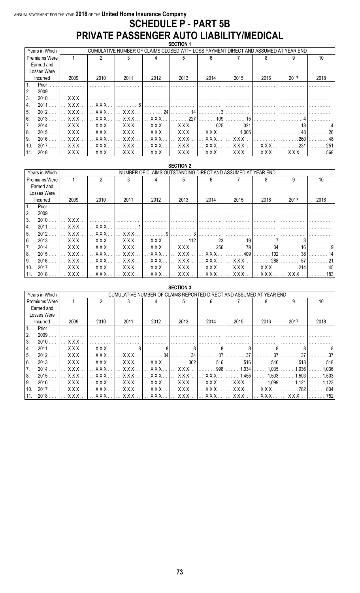#### ANNUAL STATEMENT FOR THE YEAR 2018 OF THE United Home Insurance Company **SCHEDULE P - PART 5B** PRIVATE PASSENGER AUTO LIABILITY/MEDICAL

|     | <b>JEVIIUN I</b><br>CUMULATIVE NUMBER OF CLAIMS CLOSED WITH LOSS PAYMENT DIRECT AND ASSUMED AT YEAR END |      |                       |                                    |                                |                       |                       |                                    |                            |      |      |
|-----|---------------------------------------------------------------------------------------------------------|------|-----------------------|------------------------------------|--------------------------------|-----------------------|-----------------------|------------------------------------|----------------------------|------|------|
|     | Years in Which                                                                                          |      |                       |                                    |                                |                       |                       |                                    |                            |      |      |
|     | Premiums Were                                                                                           |      | 2                     |                                    |                                | 5                     |                       |                                    |                            |      | 10   |
|     | Earned and                                                                                              |      |                       |                                    |                                |                       |                       |                                    |                            |      |      |
|     | Losses Were                                                                                             |      |                       |                                    |                                |                       |                       |                                    |                            |      |      |
|     | Incurred                                                                                                | 2009 | 2010                  | 2011                               | 2012                           | 2013                  | 2014                  | 2015                               | 2016                       | 2017 | 2018 |
|     | Prior                                                                                                   |      |                       |                                    |                                |                       |                       |                                    |                            |      |      |
| 2.  | 2009                                                                                                    |      |                       |                                    |                                |                       |                       |                                    |                            |      |      |
| 3.  | 2010                                                                                                    | XXX. |                       |                                    |                                |                       |                       |                                    |                            |      |      |
| 14. | 2011                                                                                                    | XXX. | X X X                 | - 6                                |                                |                       |                       |                                    |                            |      |      |
| 5.  | 2012                                                                                                    | XXX. | XXX                   | <b>XXX</b>                         | -24                            | 14                    |                       |                                    |                            |      |      |
| 6.  | 2013                                                                                                    | XXX  | $\ldots$ XXX $\ldots$ | XXX                                | <b>XXX</b>                     | . 227                 | 109                   |                                    |                            |      |      |
| 7.  | 2014                                                                                                    | XXX  | $\ldots$ XXX $\ldots$ | $\mathsf{X} \mathsf{X} \mathsf{X}$ | $\mathsf{XXX}$                 | $\ldots$ XXX $\ldots$ | .625                  | 321                                |                            |      |      |
| 8.  | 2015                                                                                                    | XXX  | $\ldots$ XXX $\ldots$ | <b>1 XXX</b> 1                     |                                | XXX    XXX    XXX     |                       | 1.005                              |                            |      |      |
| 9.  | 2016                                                                                                    | XXX. | <b>XXX</b>            | <b>XXX</b>                         | $\ldots$ XXX $\ldots$          | XXX                   | XXX.                  | <b>XXX</b>                         |                            | 260  |      |
| 10. | 2017                                                                                                    | XXX  | XXX                   | <b>1. XXX</b>                      | $\mathbf{X} \times \mathbf{X}$ | XXX                   | $\ldots$ XXX $\ldots$ | $\mathsf{X} \mathsf{X} \mathsf{X}$ | $\ldots$ XXX $\ldots$      | 231  |      |
| 11. | 2018                                                                                                    | XXX  | X X X                 | l XXX I                            | <b>XXX</b>                     | XXX                   | XXX                   | <b>XXX</b>                         | <b>XXX</b><br>$\mathbf{r}$ | XXX. | 568  |

|              |                      |                       |                                                                                                         |                       |                                | <b>SECTION 2</b>      |                       |                                                             |            |       |      |
|--------------|----------------------|-----------------------|---------------------------------------------------------------------------------------------------------|-----------------------|--------------------------------|-----------------------|-----------------------|-------------------------------------------------------------|------------|-------|------|
|              | Years in Which       |                       |                                                                                                         |                       |                                |                       |                       | NUMBER OF CLAIMS OUTSTANDING DIRECT AND ASSUMED AT YEAR END |            |       |      |
|              | <b>Premiums Were</b> |                       |                                                                                                         |                       |                                |                       |                       |                                                             |            | Q     | 10   |
|              | Earned and           |                       |                                                                                                         |                       |                                |                       |                       |                                                             |            |       |      |
|              | Losses Were          |                       |                                                                                                         |                       |                                |                       |                       |                                                             |            |       |      |
|              | Incurred             | 2009                  | 2010                                                                                                    | 2011                  | 2012                           | 2013                  | 2014                  | 2015                                                        | 2016       | 2017  | 2018 |
| $\mathbf{1}$ | Prior                |                       |                                                                                                         |                       |                                |                       |                       |                                                             |            |       |      |
| 2.           | 2009                 |                       |                                                                                                         |                       |                                |                       |                       |                                                             |            |       |      |
| l 3.         | 2010                 | X X X                 |                                                                                                         |                       |                                |                       |                       |                                                             |            |       |      |
| 4.           | 2011                 | XXX.                  | <b>XXX</b>                                                                                              |                       |                                |                       |                       |                                                             |            |       |      |
| 15.          | 2012                 | XXX.                  | $\mathbf{X} \times \mathbf{X}$                                                                          | XXX                   |                                |                       |                       |                                                             |            |       |      |
| l 6.         | 2013                 | XXX.                  | <b>XXX</b>                                                                                              | <b>XXX</b>            | $\mathbf{X} \times \mathbf{X}$ | 112                   | 23                    | 19                                                          |            |       |      |
| '7.          | 2014                 | XXX                   | $\boldsymbol{\mathsf{X}}$ $\boldsymbol{\mathsf{X}}$ $\boldsymbol{\mathsf{X}}$ $\boldsymbol{\mathsf{X}}$ | $\ldots$ XXX $\ldots$ | $\ldots$ XXX $\ldots$          | $\mathsf{XXX}$        | 256                   | 79                                                          | 34         | 16    |      |
| 8.           | 2015                 | XXX                   | X X X                                                                                                   | XXX                   | XXX                            | XXX                   | $\ldots$ XXX $\ldots$ | 409                                                         | 102        | 38    |      |
| l 9.         | 2016                 | $\ldots$ XXX $\ldots$ | <b>XXX</b>                                                                                              | $X$ $X$ $X$           | $\ldots$ XXX $\ldots$          | $\ldots$ XXX $\ldots$ | $\ldots$ XXX $\ldots$ | $\mathbf{X} \times \mathbf{X}$                              | 288        | 57    |      |
| 10.          | 2017                 | XXX.                  | XXX                                                                                                     | XXX                   | XXX                            | XXX                   | XXX                   | $\ldots$ XXX $\ldots$                                       | XXX.       | 214   |      |
|              | 2018                 | X X X                 | XXX.                                                                                                    | <b>XXX</b>            | XXX                            | XXX                   | XXX                   | $\ldots$ XXX $\ldots$                                       | <b>XXX</b> | X X X | 183  |

|                       |                       |                                |                                                                     |                       | <b>SECTION 3</b> |                       |            |                      |       |       |
|-----------------------|-----------------------|--------------------------------|---------------------------------------------------------------------|-----------------------|------------------|-----------------------|------------|----------------------|-------|-------|
| Years in Which        |                       |                                | CUMULATIVE NUMBER OF CLAIMS REPORTED DIRECT AND ASSUMED AT YEAR END |                       |                  |                       |            |                      |       |       |
| <b>Premiums Were</b>  |                       | 2                              |                                                                     |                       | 5                |                       |            | 8                    | 9     | 10    |
| Earned and            |                       |                                |                                                                     |                       |                  |                       |            |                      |       |       |
| Losses Were           |                       |                                |                                                                     |                       |                  |                       |            |                      |       |       |
| Incurred              | 2009                  | 2010                           | 2011                                                                | 2012                  | 2013             | 2014                  | 2015       | 2016                 | 2017  | 2018  |
| $\mathbf{1}$<br>Prior |                       |                                |                                                                     |                       |                  |                       |            |                      |       |       |
| 2.<br>2009            |                       |                                |                                                                     |                       |                  |                       |            |                      |       |       |
| 3.<br>2010            | XXX.                  |                                |                                                                     |                       |                  |                       |            |                      |       |       |
| 4.<br>2011            | XXX                   | X X X                          |                                                                     |                       |                  |                       |            |                      |       |       |
| 15.<br>2012           | XXX                   | $\mathbf{X} \times \mathbf{X}$ | <b>XXX</b>                                                          | 34                    | 34               | 37                    |            |                      |       |       |
| l 6.<br>2013          | $\ldots$ XXX $\ldots$ | <b>XXX</b>                     | $X$ $X$ $X$                                                         | XXX                   | 362              | 516                   | 516        | 516                  | 518   |       |
| 7.<br>2014            | $\ldots$ XXX $\ldots$ | $\ldots$ X X X $\ldots$        | $\ldots$ XXX $\ldots$                                               | XXX    XXX            |                  | . 998                 | 1.034<br>. | 1.035                | 1.036 | 1.036 |
| 8.<br>2015            | XXX.                  | <b>XXX</b>                     | XXX                                                                 | $\ldots$ XXX $\ldots$ | XXX              | XXX                   | 1.455      | 1.503                | 1.503 | 1.503 |
| 9.<br>2016            | X X X                 | <b>XXX</b>                     | <b>XXX</b>                                                          | XXX.                  | XXX              | XXX.                  | XXX.       | 1.099                | 1.121 | 1.123 |
| 10.<br>2017           | X X X                 | <b>XXX</b>                     | XXX                                                                 | XXX.                  | XXX              | X X X                 | XXX.       | <b>XXX</b>           | 782   | 804   |
| 2018<br>11.           | XXX                   | <b>XXX</b>                     | $\mathbf{r}$                                                        | XXX     XXX           | XXX              | $XXX$<br>$\mathbf{r}$ | XXX        | <b>XXX</b><br>$\sim$ | X X X | 752   |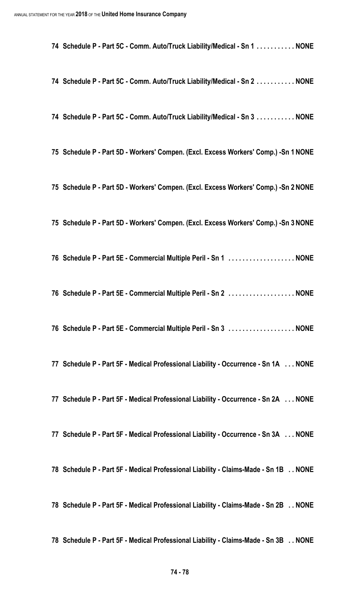**Schedule P - Part 5C - Comm. Auto/Truck Liability/Medical - Sn 1 . . . . . . . . . . . NONE**

- **Schedule P Part 5C Comm. Auto/Truck Liability/Medical Sn 2 . . . . . . . . . . . NONE**
- **Schedule P Part 5C Comm. Auto/Truck Liability/Medical Sn 3 . . . . . . . . . . . NONE**
- **Schedule P Part 5D Workers' Compen. (Excl. Excess Workers' Comp.) -Sn 1 NONE**
- **Schedule P Part 5D Workers' Compen. (Excl. Excess Workers' Comp.) -Sn 2 NONE**
- **Schedule P Part 5D Workers' Compen. (Excl. Excess Workers' Comp.) -Sn 3 NONE**
- **Schedule P Part 5E Commercial Multiple Peril Sn 1 . . . . . . . . . . . . . . . . . . . NONE**
- **Schedule P Part 5E Commercial Multiple Peril Sn 2 . . . . . . . . . . . . . . . . . . . NONE**
- **Schedule P Part 5E Commercial Multiple Peril Sn 3 . . . . . . . . . . . . . . . . . . . NONE**
- **Schedule P Part 5F Medical Professional Liability Occurrence Sn 1A . . . NONE**
- **Schedule P Part 5F Medical Professional Liability Occurrence Sn 2A . . . NONE**
- **Schedule P Part 5F Medical Professional Liability Occurrence Sn 3A . . . NONE**
- **Schedule P Part 5F Medical Professional Liability Claims-Made Sn 1B . . NONE**
- **Schedule P Part 5F Medical Professional Liability Claims-Made Sn 2B . . NONE**
- **Schedule P Part 5F Medical Professional Liability Claims-Made Sn 3B . . NONE**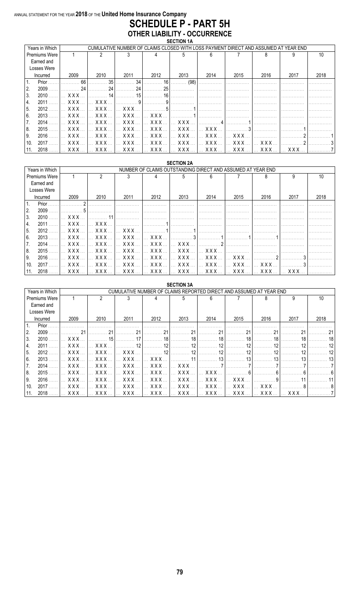### ANNUAL STATEMENT FOR THE YEAR 2018 OF THE United Home Insurance Company **SCHEDULE P - PART 5H OTHER LIABILITY - OCCURRENCE**

|      | Years in Which |            |                                             |                     |                                |                                |            |               |      | CUMULATIVE NUMBER OF CLAIMS CLOSED WITH LOSS PAYMENT DIRECT AND ASSUMED AT YEAR END |      |
|------|----------------|------------|---------------------------------------------|---------------------|--------------------------------|--------------------------------|------------|---------------|------|-------------------------------------------------------------------------------------|------|
|      | Premiums Were  |            |                                             |                     |                                |                                |            |               |      |                                                                                     | 10   |
|      | Earned and     |            |                                             |                     |                                |                                |            |               |      |                                                                                     |      |
|      | Losses Were    |            |                                             |                     |                                |                                |            |               |      |                                                                                     |      |
|      | Incurred       | 2009       | 2010                                        | 2011                | 2012                           | 2013                           | 2014       | 2015          | 2016 | 2017                                                                                | 2018 |
| 1.   | Prior          | 66         | 35                                          | 34                  | 16                             | (98)                           |            |               |      |                                                                                     |      |
| I2.  | 2009           | 24         | 24                                          | 24                  | 25                             |                                |            |               |      |                                                                                     |      |
| 3.   | 2010           | <b>XXX</b> | 14                                          | 15                  | 16                             |                                |            |               |      |                                                                                     |      |
| 14.  | 2011           | XXX.       | <b>XXX</b>                                  |                     |                                |                                |            |               |      |                                                                                     |      |
| 15.  | 2012           | XXX.       | <b>XXX</b>                                  | <b>XXX</b>          | 5                              |                                |            |               |      |                                                                                     |      |
| 6.   | 2013           | <b>XXX</b> | X X X                                       | <b>XXX</b>          | <b>XXX</b>                     |                                |            |               |      |                                                                                     |      |
| 7.   | 2014           | XXX        | $\ldots$ XXX $\ldots$                       | XXX<br>$\mathbf{L}$ | $\mathbf{X} \times \mathbf{X}$ | XXX.                           |            |               |      |                                                                                     |      |
| 18.  | 2015           | XXX.       | <b>XXX</b>                                  | <b>XXX</b>          | $\mathbf{X} \times \mathbf{X}$ | $\mathbf{X} \times \mathbf{X}$ | <b>XXX</b> |               |      |                                                                                     |      |
| l 9. | 2016           | XXX.       | $\boldsymbol{\mathsf{X} \times \mathsf{X}}$ | <b>XXX</b>          | $\mathbf{X} \times \mathbf{X}$ | XXX                            | XXX        | $X$ $X$ $X$   |      |                                                                                     |      |
| 10.  | 2017           | XXX.       | XXX                                         | XXX                 | $\ldots$ XXX.                  | XXX                            | XXX        | $\ldots$ XXX. | XXX. |                                                                                     |      |
| 11.  | 2018           | X X X      | XXX                                         | XXX                 | XXX                            | <b>XXX</b>                     | XXX        | <b>XXX</b>    | XXX  | xxx                                                                                 |      |

|                | <b>SECTION 2A</b><br>NUMBER OF CLAIMS OUTSTANDING DIRECT AND ASSUMED AT YEAR END |                       |                       |                                                                                                                                                                                                                                                                                                                                                                  |                                                            |                       |            |                |            |                      |      |  |
|----------------|----------------------------------------------------------------------------------|-----------------------|-----------------------|------------------------------------------------------------------------------------------------------------------------------------------------------------------------------------------------------------------------------------------------------------------------------------------------------------------------------------------------------------------|------------------------------------------------------------|-----------------------|------------|----------------|------------|----------------------|------|--|
|                | Years in Which                                                                   |                       |                       |                                                                                                                                                                                                                                                                                                                                                                  |                                                            |                       |            |                |            |                      |      |  |
|                | <b>Premiums Were</b>                                                             |                       | 2                     |                                                                                                                                                                                                                                                                                                                                                                  |                                                            |                       |            |                | 8          |                      | 10   |  |
|                | Earned and                                                                       |                       |                       |                                                                                                                                                                                                                                                                                                                                                                  |                                                            |                       |            |                |            |                      |      |  |
|                | Losses Were                                                                      |                       |                       |                                                                                                                                                                                                                                                                                                                                                                  |                                                            |                       |            |                |            |                      |      |  |
|                | Incurred                                                                         | 2009                  | 2010                  | 2011                                                                                                                                                                                                                                                                                                                                                             | 2012                                                       | 2013                  | 2014       | 2015           | 2016       | 2017                 | 2018 |  |
| l 1.           | Prior                                                                            |                       |                       |                                                                                                                                                                                                                                                                                                                                                                  |                                                            |                       |            |                |            |                      |      |  |
| 2.             | 2009                                                                             |                       |                       |                                                                                                                                                                                                                                                                                                                                                                  |                                                            |                       |            |                |            |                      |      |  |
| 3.             | 2010                                                                             | X X X                 | $-11$                 |                                                                                                                                                                                                                                                                                                                                                                  |                                                            |                       |            |                |            |                      |      |  |
| 4.             | 2011                                                                             | XXX                   | $X$ $X$ $X$           |                                                                                                                                                                                                                                                                                                                                                                  |                                                            |                       |            |                |            |                      |      |  |
| 15.            | 2012                                                                             | X X X                 | $X$ $X$ $X$           | $ $ x x x                                                                                                                                                                                                                                                                                                                                                        |                                                            |                       |            |                |            |                      |      |  |
| l 6.           | 2013                                                                             | $\ldots$ XXX $\ldots$ | $\mathsf{XXX}$        | $\left  \right $ $\left $ $\right $ $\left $ $\right $ $\left $ $\right $ $\left $ $\right $ $\left $ $\right $ $\left $ $\left $ $\right $ $\left $ $\right $ $\left $ $\right $ $\left $ $\right $ $\left $ $\right $ $\left $ $\right $ $\left $ $\right $ $\left $ $\right $ $\left $ $\right $ $\left $ $\right $ $\left $ $\right $ $\left $ $\right $ $\$ | $X$ X X X                                                  |                       |            |                |            |                      |      |  |
| $^{\prime}$ 7. | 2014                                                                             | <b>XXX</b>            | <b>XXX</b>            | XXX                                                                                                                                                                                                                                                                                                                                                              | $\ldots$ XXX $\ldots$                                      | $\ldots$ XXX $\ldots$ |            |                |            |                      |      |  |
| 8.             | 2015                                                                             | XXX                   | $\ldots$ XXX $\ldots$ | $\left  \right $ $\left $ $\right $ $\left $ $\right $ $\left $ $\right $ $\left $ $\right $ $\left $ $\right $ $\left $ $\left $ $\right $ $\left $ $\right $ $\left $ $\right $ $\left $ $\right $ $\left $ $\right $ $\left $ $\left $ $\right $ $\left $ $\right $ $\left $ $\right $ $\left $ $\right $ $\left $ $\left $ $\right $ $\left $ $\right $ $\$  | $\ldots$ XXX $\ldots$                                      | XXX                   | <b>XXX</b> |                |            |                      |      |  |
| l 9.           | 2016                                                                             | $\ldots$ XXX $\ldots$ |                       |                                                                                                                                                                                                                                                                                                                                                                  | XXX    XXX    XXX    XXX                                   |                       | I XXX X    | XXX            |            |                      |      |  |
| 10.            | 2017                                                                             | X X X                 | $X$ $X$ $X$           |                                                                                                                                                                                                                                                                                                                                                                  | $\left  \right $ xxx $\left  \right $ xxx $\left  \right $ | XXX                   | I XXX X    | $\mathsf{XXX}$ | <b>XXX</b> |                      |      |  |
| 11.            | 2018                                                                             | XXX                   |                       |                                                                                                                                                                                                                                                                                                                                                                  |                                                            |                       |            |                |            | XXX<br>$\mathcal{L}$ |      |  |

|                | <b>SECTION 3A</b><br>CUMULATIVE NUMBER OF CLAIMS REPORTED DIRECT AND ASSUMED AT YEAR END |            |                             |            |                                |                       |       |               |            |       |      |  |
|----------------|------------------------------------------------------------------------------------------|------------|-----------------------------|------------|--------------------------------|-----------------------|-------|---------------|------------|-------|------|--|
|                | Years in Which                                                                           |            |                             |            |                                |                       |       |               |            |       |      |  |
|                | Premiums Were                                                                            |            | $\mathfrak{p}$              |            |                                | 5                     | 6     |               | 8          | 9     | 10   |  |
|                | Earned and                                                                               |            |                             |            |                                |                       |       |               |            |       |      |  |
|                | Losses Were                                                                              |            |                             |            |                                |                       |       |               |            |       |      |  |
|                | Incurred                                                                                 | 2009       | 2010                        | 2011       | 2012                           | 2013                  | 2014  | 2015          | 2016       | 2017  | 2018 |  |
| $\mathbf{1}$ . | Prior                                                                                    |            |                             |            |                                |                       |       |               |            |       |      |  |
| ۱2.            | 2009                                                                                     | 21         | 21                          |            |                                | 21                    | 21    |               | 21         | 21    |      |  |
| 3.             | 2010                                                                                     | <b>XXX</b> | 15                          |            | 18                             | 18                    | 18    | 18            |            | 18    |      |  |
| 4.             | 2011                                                                                     | X X X      | <b>XXX</b>                  | 12         | 12                             | 12                    | 12    | 12            |            | 12    |      |  |
| 15.            | 2012                                                                                     | XXX        | <b>XXX</b>                  | <b>XXX</b> | 12                             | 19                    | 12    |               |            | 12    |      |  |
| l 6.           | 2013                                                                                     | XXX.       | <b>XXX</b>                  | $XXX$      | X X X                          |                       | 13    |               |            | 13    |      |  |
| 7.             | 2014                                                                                     | XXX        | $\ldots$ XXX $\ldots$       | XXX        | $\ldots$ XXX $\ldots$          | XXX.                  |       |               |            |       |      |  |
| 8.             | 2015                                                                                     | X X X      | <b>XXX</b>                  | XXX.       | XXX.                           | XXX.                  | X X X |               |            |       |      |  |
| l 9.           | 2016                                                                                     | XXX        | XXX.                        | XXX        | XXX                            | XXX                   | XXX.  | <b>XXX</b>    |            |       |      |  |
| 10.            | 2017                                                                                     | <b>XXX</b> | $\boldsymbol{\mathsf{XXX}}$ | XXX        | $\mathbf{X} \times \mathbf{X}$ | $\ldots$ XXX $\ldots$ | XXX.  | $\ldots$ XXX. | <b>XXX</b> |       |      |  |
| 11.            | 2018                                                                                     | XXX.       | XXX.                        | XXX.       | XXX.                           | XXX.                  | XXX.  | XXX.          | <b>XXX</b> | X X X |      |  |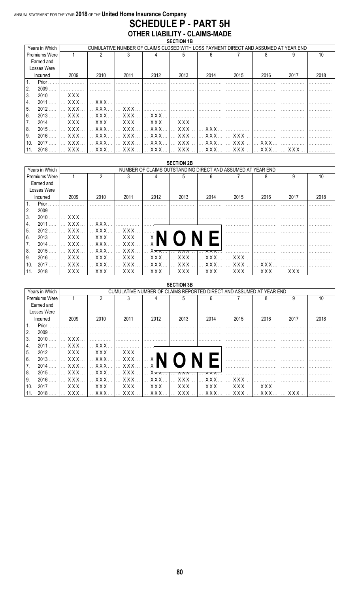#### ANNUAL STATEMENT FOR THE YEAR 2018 OF THE United Home Insurance Company **SCHEDULE P - PART 5H OTHER LIABILITY - CLAIMS-MADE**

| Years in Which       |                       |                         |                                      |                                                   |                               | CUMULATIVE NUMBER OF CLAIMS CLOSED WITH LOSS PAYMENT DIRECT AND ASSUMED AT YEAR END |                |            |                |      |
|----------------------|-----------------------|-------------------------|--------------------------------------|---------------------------------------------------|-------------------------------|-------------------------------------------------------------------------------------|----------------|------------|----------------|------|
| <b>Premiums Were</b> |                       |                         |                                      |                                                   |                               |                                                                                     |                |            |                |      |
| Earned and           |                       |                         |                                      |                                                   |                               |                                                                                     |                |            |                |      |
| Losses Were          |                       |                         |                                      |                                                   |                               |                                                                                     |                |            |                |      |
| Incurred             | 2009                  | 2010                    | 2011                                 | 2012                                              | 2013                          | 2014                                                                                | 2015           | 2016       | 2017           | 2018 |
| Prior                |                       |                         |                                      |                                                   |                               |                                                                                     |                |            |                |      |
| 2.<br>2009           |                       |                         |                                      |                                                   |                               |                                                                                     |                |            |                |      |
| 3.<br>2010           | X X X                 |                         |                                      |                                                   |                               |                                                                                     |                |            |                |      |
| 14.<br>2011          | $\ldots$ XXX $\ldots$ | $X$ $X$ $X$             |                                      |                                                   |                               |                                                                                     |                |            |                |      |
| 15.<br>2012          | $\ldots$ XXX $\ldots$ | $\ldots$ XXX $\ldots$   | $\mathsf{L} \times$ XXX $\mathsf{L}$ |                                                   |                               |                                                                                     |                |            |                |      |
| l 6.<br>2013         | XXX                   | $\ldots$ X X X $\ldots$ | $\sim$ XXX $\sim$                    | $\mathsf{XXX}$                                    |                               |                                                                                     |                |            |                |      |
| 17.<br>2014          | $\ldots$ XXX $\ldots$ | $\ldots$ XXX $\ldots$   |                                      | <u>  XXX    XXX   </u>                            | $\mathbb{R}$ XXX $\mathbb{R}$ |                                                                                     |                |            |                |      |
| 8.<br>2015           | XXX                   | $\ldots$ XXX $\ldots$   |                                      | $\left  \ldots$ XXX $\ldots \right $ XXX $\ldots$ | $\ldots$ XXX $\ldots$         | $\mathsf{L}$ x x x $\mathsf{L}$                                                     |                |            |                |      |
| 9.<br>2016           | <b>XXX</b>            | <b>XXX</b>              | $\mathbf{X} \times \mathbf{X}$       | $\ldots$ XXX $\ldots$                             | $\ldots$ XXX $\ldots$         | XXX                                                                                 | $\mathsf{XXX}$ |            |                |      |
| 2017<br>10.          | $\ldots$ XXX $\ldots$ |                         |                                      | XXX    XXX    XXX                                 |                               |                                                                                     | XXX   XXX      |            |                |      |
| $2018$ .<br>11.      | $\ldots$ XXX $\ldots$ | XXX                     |                                      | <u>  XXX    XXX   </u>                            |                               |                                                                                     |                | <b>XXX</b> | $\mathsf{XXX}$ |      |

|      | <b>SECTION 2B</b><br>NUMBER OF CLAIMS OUTSTANDING DIRECT AND ASSUMED AT YEAR END |                       |                       |                                                                                          |                |                       |           |                      |                       |      |      |  |  |
|------|----------------------------------------------------------------------------------|-----------------------|-----------------------|------------------------------------------------------------------------------------------|----------------|-----------------------|-----------|----------------------|-----------------------|------|------|--|--|
|      | Years in Which                                                                   |                       |                       |                                                                                          |                |                       |           |                      |                       |      |      |  |  |
|      | <b>Premiums Were</b>                                                             |                       | っ                     |                                                                                          |                |                       |           |                      |                       |      | 10   |  |  |
|      | Earned and                                                                       |                       |                       |                                                                                          |                |                       |           |                      |                       |      |      |  |  |
|      | Losses Were                                                                      |                       |                       |                                                                                          |                |                       |           |                      |                       |      |      |  |  |
|      | Incurred                                                                         | 2009                  | 2010                  | 2011                                                                                     | 2012           | 2013                  | 2014      | 2015                 | 2016                  | 2017 | 2018 |  |  |
|      | Prior                                                                            |                       |                       |                                                                                          |                |                       |           |                      |                       |      |      |  |  |
| 2.   | 2009                                                                             |                       |                       |                                                                                          |                |                       |           |                      |                       |      |      |  |  |
| ΙЗ.  | 2010                                                                             | XXX                   |                       |                                                                                          |                |                       |           |                      |                       |      |      |  |  |
| 4.   | 2011                                                                             | $\ldots$ XXX $\ldots$ | I XXX                 |                                                                                          |                |                       |           |                      |                       |      |      |  |  |
| 5.   | 2012                                                                             |                       | XXX I XXX I           | XXX                                                                                      | . <b>. . 1</b> |                       |           |                      |                       |      |      |  |  |
| 6.   | 2013                                                                             | XXX                   |                       | $\left[\dots$ x x x $\dots\right]\dots$ x x x $\dots\left[\dots\right]$ x $\blacksquare$ |                |                       |           |                      |                       |      |      |  |  |
|      | 2014                                                                             | XXX                   | X X X                 | XXX                                                                                      |                |                       |           |                      |                       |      |      |  |  |
| 8.   | 2015                                                                             | XXX                   | $\ldots$ XXX $\ldots$ | XXX                                                                                      | $X \times X$   | 8 X X                 | x x x     |                      |                       |      |      |  |  |
| l 9. | 2016                                                                             |                       | XXX     XXX           | $\mathbf{X} \times \mathbf{X}$                                                           | XXX            | XXX                   | XXX   XXX |                      |                       |      |      |  |  |
| 10.  | 2017                                                                             | $\ldots$ XXX $\ldots$ | $\mathsf{XXX}$        | $\mathbf{X} \times \mathbf{X}$                                                           | <b>XXX</b>     | $\ldots$ XXX $\ldots$ |           |                      | $\ldots$ XXX $\ldots$ |      |      |  |  |
|      | 2018                                                                             | XXX                   | l XXX l               | . XXX 1                                                                                  | XXX            | XXX                   |           | <u>  XXX   XXX  </u> | XXX                   | XXX  |      |  |  |

|                      | <b>SECTION 3B</b><br>CUMULATIVE NUMBER OF CLAIMS REPORTED DIRECT AND ASSUMED AT YEAR END |                       |                                    |              |                |          |                                |                |      |      |  |  |  |
|----------------------|------------------------------------------------------------------------------------------|-----------------------|------------------------------------|--------------|----------------|----------|--------------------------------|----------------|------|------|--|--|--|
| Years in Which       |                                                                                          |                       |                                    |              |                |          |                                |                |      |      |  |  |  |
| <b>Premiums Were</b> |                                                                                          | 2                     |                                    |              | 5              | 6        |                                |                |      | 10   |  |  |  |
| Earned and           |                                                                                          |                       |                                    |              |                |          |                                |                |      |      |  |  |  |
| Losses Were          |                                                                                          |                       |                                    |              |                |          |                                |                |      |      |  |  |  |
| Incurred             | 2009                                                                                     | 2010                  | 2011                               | 2012         | 2013           | 2014     | 2015                           | 2016           | 2017 | 2018 |  |  |  |
| Prior                |                                                                                          |                       |                                    |              |                |          |                                |                |      |      |  |  |  |
| 2.<br>2009           |                                                                                          |                       |                                    |              |                |          |                                |                |      |      |  |  |  |
| 3.<br>2010           | XXX.                                                                                     |                       |                                    |              |                |          |                                |                |      |      |  |  |  |
| 2011<br>4.           | XXX                                                                                      | XXX.                  |                                    |              |                |          |                                |                |      |      |  |  |  |
| 2012<br>5.           | $XXX$                                                                                    | $\ldots$ XXX $\ldots$ | $\left  \dots \right.$ XXX $\dots$ |              |                |          |                                |                |      |      |  |  |  |
| 6.<br>2013.          | XXX  I                                                                                   |                       |                                    | XI           |                |          |                                |                |      |      |  |  |  |
| 7.<br>2014           | $\ldots$ XXX $\ldots$                                                                    | XXX                   | XXX                                |              |                |          |                                |                |      |      |  |  |  |
| 8.<br>2015           | XXX                                                                                      | X X X                 | XXX                                | $X \times X$ |                |          |                                |                |      |      |  |  |  |
| 2016<br>9.           | XXX                                                                                      | X X X                 | XXX                                | XXX.         | <b>XXX</b>     | XXX.     | $\mathbf{X} \times \mathbf{X}$ |                |      |      |  |  |  |
| 2017<br>10.          | XXX                                                                                      | $\mathsf{XXX}$        | 1. X X X                           | XXX          | $\mathsf{XXX}$ | XXX      | X X X                          | $\mathsf{XXX}$ |      |      |  |  |  |
| 2018                 | XXX                                                                                      |                       | XXX I XXX I                        | XXX          | XXX            | 1 XXX  1 | . <b>XXX</b>                   | XXX            | XXX. |      |  |  |  |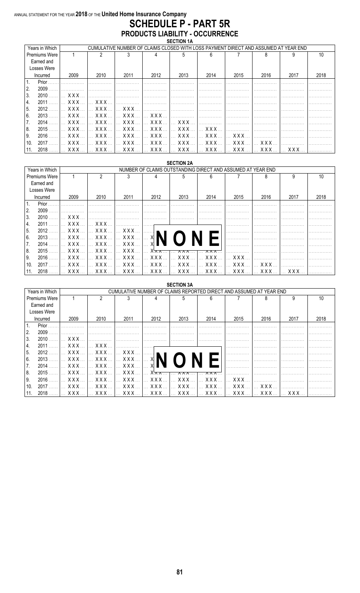### ANNUAL STATEMENT FOR THE YEAR 2018 OF THE United Home Insurance Company **SCHEDULE P - PART 5R** PRODUCTS LIABILITY - OCCURRENCE

| Years in Which |                                | CUMULATIVE NUMBER OF CLAIMS CLOSED WITH LOSS PAYMENT DIRECT AND ASSUMED AT YEAR END |                                      |                                                                                                                                                                                                                                                                                                                                                                                                                                             |                |      |                                |      |       |      |  |  |  |
|----------------|--------------------------------|-------------------------------------------------------------------------------------|--------------------------------------|---------------------------------------------------------------------------------------------------------------------------------------------------------------------------------------------------------------------------------------------------------------------------------------------------------------------------------------------------------------------------------------------------------------------------------------------|----------------|------|--------------------------------|------|-------|------|--|--|--|
| Premiums Were  |                                | 2                                                                                   |                                      |                                                                                                                                                                                                                                                                                                                                                                                                                                             |                | հ    |                                |      |       | 10   |  |  |  |
| Earned and     |                                |                                                                                     |                                      |                                                                                                                                                                                                                                                                                                                                                                                                                                             |                |      |                                |      |       |      |  |  |  |
| Losses Were    |                                |                                                                                     |                                      |                                                                                                                                                                                                                                                                                                                                                                                                                                             |                |      |                                |      |       |      |  |  |  |
| Incurred       | 2009                           | 2010                                                                                | 2011                                 | 2012                                                                                                                                                                                                                                                                                                                                                                                                                                        | 2013           | 2014 | 2015                           | 2016 | 2017  | 2018 |  |  |  |
| Prior<br>l 1.  |                                |                                                                                     |                                      |                                                                                                                                                                                                                                                                                                                                                                                                                                             |                |      |                                |      |       |      |  |  |  |
| 2.<br>2009     |                                |                                                                                     |                                      |                                                                                                                                                                                                                                                                                                                                                                                                                                             |                |      |                                |      |       |      |  |  |  |
| 3.<br>2010     | $\ldots$ XXX $\ldots$          |                                                                                     |                                      |                                                                                                                                                                                                                                                                                                                                                                                                                                             |                |      |                                |      |       |      |  |  |  |
| 14.<br>2011    | $\ldots$ XXX $\ldots$          | $\ldots$ XXX $\ldots$                                                               |                                      |                                                                                                                                                                                                                                                                                                                                                                                                                                             |                |      |                                |      |       |      |  |  |  |
| 15.<br>2012    | $\ldots$ XXX $\ldots$          |                                                                                     |                                      |                                                                                                                                                                                                                                                                                                                                                                                                                                             |                |      |                                |      |       |      |  |  |  |
| 6.<br>2013     | $\ldots$ XXX $\ldots$          | $\ldots$ XXX $\ldots$                                                               |                                      | $\left[\ldots$ XXX $\ldots\right]$ $\ldots$ XXX $\ldots\right]$ $\left[\ldots\right]$ $\left[\ldots\right]$ $\left[\ldots\right]$ $\left[\ldots\right]$ $\left[\ldots\right]$ $\left[\ldots\right]$ $\left[\ldots\right]$ $\left[\ldots\right]$ $\left[\ldots\right]$ $\left[\ldots\right]$ $\left[\ldots\right]$ $\left[\ldots\right]$ $\left[\ldots\right]$ $\left[\ldots\right]$ $\left[\ldots\right]$ $\left[\ldots\right]$ $\left[\ld$ |                |      |                                |      |       |      |  |  |  |
| 2014           | $\ldots$ XXX $\ldots$          | $\ldots$ XXX $\ldots$                                                               |                                      | $\left[\right]$ XXX $\left[\right]$ XXX $\left[\right]$ XXX $\left[\right]$                                                                                                                                                                                                                                                                                                                                                                 |                |      |                                |      |       |      |  |  |  |
| 8.<br>$2015$ . | $\mathbf{X} \times \mathbf{X}$ |                                                                                     |                                      |                                                                                                                                                                                                                                                                                                                                                                                                                                             |                |      |                                |      |       |      |  |  |  |
| 9.<br>2016     | $X$ $X$ $X$                    | <b>XXX</b>                                                                          | $\left  \ldots \right.$ XXX $\ldots$ | XXX                                                                                                                                                                                                                                                                                                                                                                                                                                         | $\mathsf{XXX}$ | XXX  | $\mathsf{X} \times \mathsf{X}$ | .    |       |      |  |  |  |
| 2017<br>10.    | $\ldots$ XXX $\ldots$          |                                                                                     |                                      | XXX   XXX   XXX   XXX   XXX   XXX   XXX                                                                                                                                                                                                                                                                                                                                                                                                     |                |      |                                |      |       |      |  |  |  |
| $2018$<br>11.  |                                |                                                                                     |                                      |                                                                                                                                                                                                                                                                                                                                                                                                                                             |                |      |                                | XXX  | I XXX |      |  |  |  |

|                |                      |                       |                                                             |                                                                             |                       | <b>SECTION 2A</b>                         |                                                            |                                                                       |                       |            |      |  |  |  |
|----------------|----------------------|-----------------------|-------------------------------------------------------------|-----------------------------------------------------------------------------|-----------------------|-------------------------------------------|------------------------------------------------------------|-----------------------------------------------------------------------|-----------------------|------------|------|--|--|--|
|                | Years in Which       |                       | NUMBER OF CLAIMS OUTSTANDING DIRECT AND ASSUMED AT YEAR END |                                                                             |                       |                                           |                                                            |                                                                       |                       |            |      |  |  |  |
|                | <b>Premiums Were</b> |                       | っ                                                           |                                                                             |                       |                                           |                                                            |                                                                       | 8                     |            | 10   |  |  |  |
|                | Earned and           |                       |                                                             |                                                                             |                       |                                           |                                                            |                                                                       |                       |            |      |  |  |  |
|                | Losses Were          |                       |                                                             |                                                                             |                       |                                           |                                                            |                                                                       |                       |            |      |  |  |  |
|                | Incurred             | 2009                  | 2010                                                        | 2011                                                                        | 2012                  | 2013                                      | 2014                                                       | 2015                                                                  | 2016                  | 2017       | 2018 |  |  |  |
| $\mathbf{1}$ . | Prior                |                       |                                                             |                                                                             |                       |                                           |                                                            |                                                                       |                       |            |      |  |  |  |
| 2.             | 2009                 |                       |                                                             |                                                                             |                       |                                           |                                                            |                                                                       |                       |            |      |  |  |  |
| ΙЗ.            | 2010                 | XXX                   |                                                             |                                                                             |                       |                                           |                                                            |                                                                       |                       |            |      |  |  |  |
| 4.             | 2011                 | XXX                   | $\ldots$ XXX $\ldots$                                       |                                                                             |                       |                                           |                                                            |                                                                       |                       |            |      |  |  |  |
| 5.             | 2012                 | $\ldots$ XXX $\ldots$ | $\mathsf{L} \times \mathsf{X} \times \mathsf{X}$            | XXX                                                                         |                       |                                           |                                                            |                                                                       |                       |            |      |  |  |  |
| 6.             | 2013                 | XXX                   |                                                             | $\left   \times x \times  \right   \times x \times  \left   \times \right $ |                       |                                           |                                                            |                                                                       |                       |            |      |  |  |  |
| '7.            | 2014                 | XXX                   | $\mathbf{X} \times \mathbf{X}$                              | $\mathbf{X} \times \mathbf{X}$                                              |                       |                                           |                                                            |                                                                       |                       |            |      |  |  |  |
| 8.             | 2015                 | XXX                   | $\ldots$ XXX $\ldots$                                       | $\ldots$ XXX $\ldots$                                                       | $X \times X$          | $\ldots$ $\lambda \lambda \lambda \ldots$ | $\overline{\lambda} \overline{\lambda} \overline{\lambda}$ |                                                                       |                       |            |      |  |  |  |
| l 9.           | 2016                 | XXX                   | $\lfloor \cdot \cdot \cdot \cdot \cdot \cdot \rfloor$       | XXX                                                                         | XXX                   | XXX                                       | XXX   XXX                                                  |                                                                       |                       |            |      |  |  |  |
| 10.            | 2017                 | $\ldots$ XXX $\ldots$ | $\mathbf{X} \times \mathbf{X}$                              | $\ldots$ XXX $\ldots$                                                       | $\ldots$ XXX $\ldots$ | XXX                                       |                                                            | $\left  \dots$ XXX $\dots$ $\right  \dots$ XXX $\left  \dots \right $ | $\ldots$ XXX $\ldots$ |            |      |  |  |  |
| 11.            | 2018                 | XXX                   |                                                             |                                                                             |                       |                                           |                                                            | XXX   XXX   XXX   XXX   XXX   XXX   XXX                               |                       | <b>XXX</b> |      |  |  |  |

|                |      |                                                                     |                       |                 | <b>SECTION 3A</b>               |                       |                                |                       |      |      |  |  |  |
|----------------|------|---------------------------------------------------------------------|-----------------------|-----------------|---------------------------------|-----------------------|--------------------------------|-----------------------|------|------|--|--|--|
| Years in Which |      | CUMULATIVE NUMBER OF CLAIMS REPORTED DIRECT AND ASSUMED AT YEAR END |                       |                 |                                 |                       |                                |                       |      |      |  |  |  |
| Premiums Were  |      |                                                                     |                       |                 | 5                               | 6                     |                                | 8                     |      | 10   |  |  |  |
| Earned and     |      |                                                                     |                       |                 |                                 |                       |                                |                       |      |      |  |  |  |
| Losses Were    |      |                                                                     |                       |                 |                                 |                       |                                |                       |      |      |  |  |  |
| Incurred       | 2009 | 2010                                                                | 2011                  | 2012            | 2013                            | 2014                  | 2015                           | 2016                  | 2017 | 2018 |  |  |  |
| Prior          |      |                                                                     |                       |                 |                                 |                       |                                |                       |      |      |  |  |  |
| 2009<br>2.     |      |                                                                     |                       |                 |                                 |                       |                                |                       |      |      |  |  |  |
| 3.<br>2010     | XXX. |                                                                     |                       |                 |                                 |                       |                                |                       |      |      |  |  |  |
| 2011<br>4.     | XXX  | X X X                                                               |                       |                 |                                 |                       |                                |                       |      |      |  |  |  |
| 2012<br>5.     | XXX  | XXX                                                                 | <b>XXX</b>            |                 |                                 |                       |                                |                       |      |      |  |  |  |
| l 6.<br>2013   |      | XXX     XXX                                                         | XXX                   | XI              |                                 |                       |                                |                       |      |      |  |  |  |
| 2014<br>7.     | XXX  | $\mathbf{X} \times \mathbf{X}$                                      | $\ldots$ XXX $\ldots$ |                 |                                 |                       |                                |                       |      |      |  |  |  |
| 8.<br>2015     | XXX. | X X X                                                               | XXX                   | $X \times X$    |                                 |                       |                                |                       |      |      |  |  |  |
| 2016<br>9.     | XXX. | $\mathbf{X} \times \mathbf{X}$                                      | XXX                   | XXX.            | $\mathbb{R}$ X X X $\mathbb{R}$ | XXX.                  | $\ldots$ XXX.                  |                       |      |      |  |  |  |
| 2017<br>10.    | XXX  | $\ldots$ XXX $\ldots$                                               | $\ldots$ XXX $\ldots$ | $X$ $X$ $X$ $Y$ | X X X                           | $\ldots$ XXX $\ldots$ | $\mathbf{X} \times \mathbf{X}$ | $\ldots$ XXX $\ldots$ |      |      |  |  |  |
| 2018           | XXX  | <b>XXX</b>                                                          |                       |                 | XXX                             |                       |                                | XXX                   | XXX. |      |  |  |  |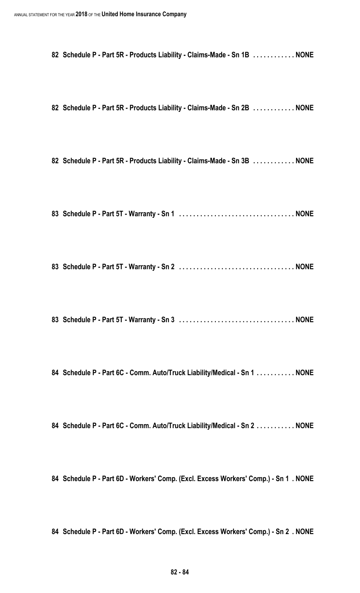**Schedule P - Part 5R - Products Liability - Claims-Made - Sn 1B . . . . . . . . . . . . NONE**

**Schedule P - Part 5R - Products Liability - Claims-Made - Sn 2B . . . . . . . . . . . . NONE**

**Schedule P - Part 5R - Products Liability - Claims-Made - Sn 3B . . . . . . . . . . . . NONE**

**Schedule P - Part 5T - Warranty - Sn 1 . . . . . . . . . . . . . . . . . . . . . . . . . . . . . . . . . NONE**

**Schedule P - Part 5T - Warranty - Sn 2 . . . . . . . . . . . . . . . . . . . . . . . . . . . . . . . . . NONE**

**Schedule P - Part 5T - Warranty - Sn 3 . . . . . . . . . . . . . . . . . . . . . . . . . . . . . . . . . NONE**

**Schedule P - Part 6C - Comm. Auto/Truck Liability/Medical - Sn 1 . . . . . . . . . . . NONE**

**Schedule P - Part 6C - Comm. Auto/Truck Liability/Medical - Sn 2 . . . . . . . . . . . NONE**

**Schedule P - Part 6D - Workers' Comp. (Excl. Excess Workers' Comp.) - Sn 1 . NONE**

**Schedule P - Part 6D - Workers' Comp. (Excl. Excess Workers' Comp.) - Sn 2 . NONE**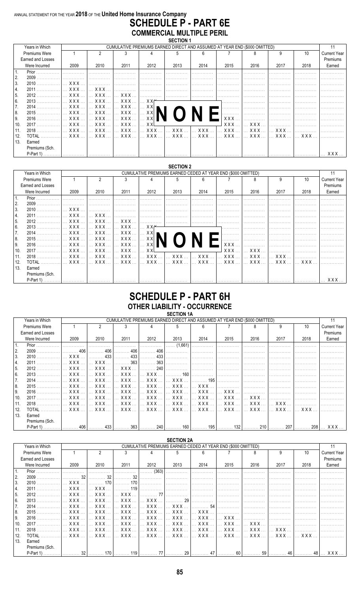#### ANNUAL STATEMENT FOR THE YEAR 2018 OF THE United Home Insurance Company **SCHEDULE P - PART 6E COMMERCIAL MULTIPLE PERIL** SECTION 1

|                | Years in Which    |                       | CUMULATIVE PREMIUMS EARNED DIRECT AND ASSUMED AT YEAR END (\$000 OMITTED) |                                    |        |                                                               |      |            |      |      |      |                     |  |  |
|----------------|-------------------|-----------------------|---------------------------------------------------------------------------|------------------------------------|--------|---------------------------------------------------------------|------|------------|------|------|------|---------------------|--|--|
|                | Premiums Were     |                       |                                                                           |                                    |        |                                                               |      |            |      | g    | 10   | <b>Current Year</b> |  |  |
|                | Earned and Losses |                       |                                                                           |                                    |        |                                                               |      |            |      |      |      | Premiums            |  |  |
|                | Were Incurred     | 2009                  | 2010                                                                      | 2011                               | 2012   | 2013                                                          | 2014 | 2015       | 2016 | 2017 | 2018 | Earned              |  |  |
|                |                   |                       |                                                                           |                                    |        |                                                               |      |            |      |      |      |                     |  |  |
| <sup>2.</sup>  | $2009$            | .                     | .                                                                         | .                                  |        |                                                               |      |            |      |      |      |                     |  |  |
| 3.             | 2010              | $\ldots$ XXX $\ldots$ | . 1                                                                       |                                    |        | .                                                             |      |            |      |      |      |                     |  |  |
| 4.             | $2011$            | <b>XXX</b>            | $\ldots$ XXX $\ldots$                                                     |                                    |        |                                                               |      | .          |      |      |      |                     |  |  |
| 5.             |                   | $\ldots$ XXX $\ldots$ | $\mathbf{X} \times \mathbf{X}$                                            |                                    |        |                                                               |      |            |      |      |      |                     |  |  |
| 6.             | $2013$            | $\ldots$ XXX $\ldots$ |                                                                           | │ XXX  │ XXX  │ XX <del>।*</del>   |        |                                                               |      | .          |      |      |      |                     |  |  |
| 7 <sub>1</sub> | $2014$            | XXX                   | $\ldots$ XXX $\ldots$                                                     | $\ldots$ XXX $\ldots$ $\ldots$ XXI |        |                                                               |      |            |      |      |      |                     |  |  |
| 8.             |                   |                       |                                                                           |                                    |        |                                                               |      |            |      |      |      |                     |  |  |
| 9.             |                   |                       |                                                                           |                                    |        |                                                               |      | $XXX$      |      |      |      |                     |  |  |
| 10.            | 2017              | . X X X               |                                                                           | I XXX  I XXX  I                    | … XXL  |                                                               |      | <b>XXX</b> | XXX  | .    |      |                     |  |  |
| 11.            |                   | $\ldots$ XXX $\ldots$ | $\ldots$ XXX $\ldots$                                                     | XXX                                | XXX  I | XXX  1                                                        | XXX  | XXX        | XXX  | XXX  |      |                     |  |  |
| 12.            |                   | $\ldots$ XXX $\ldots$ |                                                                           |                                    |        | 1 XXX  1 XXX  1 XXX  1 XXX  1 XXX  1 XXX  1 XXX  1 XXX  1 XXX |      |            |      |      |      |                     |  |  |
| 13.            | Earned            |                       |                                                                           |                                    |        |                                                               |      |            |      |      |      |                     |  |  |
|                | Premiums (Sch.    |                       |                                                                           |                                    |        |                                                               |      |            |      |      |      |                     |  |  |
|                |                   |                       |                                                                           |                                    |        |                                                               |      |            |      |      |      | XXX.                |  |  |

#### **SECTION 2**

| Years in Which    |                       |                                                                                                  |      | CUMULATIVE PREMIUMS EARNED CEDED AT YEAR END (\$000 OMITTED) |      |                                             |                       |      |      |      |                     |
|-------------------|-----------------------|--------------------------------------------------------------------------------------------------|------|--------------------------------------------------------------|------|---------------------------------------------|-----------------------|------|------|------|---------------------|
| Premiums Were     |                       | 2                                                                                                |      |                                                              |      |                                             |                       |      |      | 10   | <b>Current Year</b> |
| Earned and Losses |                       |                                                                                                  |      |                                                              |      |                                             |                       |      |      |      | Premiums            |
| Were Incurred     | 2009                  | 2010                                                                                             | 2011 | 2012                                                         | 2013 | 2014                                        | 2015                  | 2016 | 2017 | 2018 | Earned              |
| Prior.            |                       |                                                                                                  |      |                                                              |      |                                             |                       |      |      |      |                     |
| 2.                |                       | 1. 1.                                                                                            |      |                                                              | .    | .                                           | .                     |      |      |      |                     |
| 3.                |                       |                                                                                                  |      |                                                              |      | .                                           | .                     | .    |      |      |                     |
| 4.                |                       | XXX                                                                                              |      |                                                              |      |                                             |                       |      |      |      |                     |
| 5.                |                       |                                                                                                  |      |                                                              |      |                                             |                       |      |      |      |                     |
| 6.                |                       |                                                                                                  |      |                                                              |      |                                             |                       |      |      |      |                     |
|                   |                       |                                                                                                  |      |                                                              |      |                                             |                       |      |      |      |                     |
| 8.                |                       |                                                                                                  |      |                                                              |      |                                             |                       |      |      | 1. 1 |                     |
| 9.                |                       |                                                                                                  |      |                                                              |      |                                             | $XXX$                 |      |      |      |                     |
| 10.<br>2017. 1    | XXX <i>.</i>          | <u>I XXX I XXX I XXL</u>                                                                         |      |                                                              |      |                                             | X X X                 | XXX  |      | 1.   |                     |
|                   | $\ldots$ XXX $\ldots$ | $\left[\dots$ XXX $\dots\right]\dots$ XXX $\dots\left[\dots$ XXX $\dots\right]\dots$ XXX $\dots$ |      |                                                              |      | $\left  \dots \right.$ XXX $\ldots \right $ | $\ldots$ XXX $\ldots$ |      |      |      |                     |
| 12.               |                       |                                                                                                  |      |                                                              |      |                                             |                       |      |      |      |                     |
| 13.<br>Earned     |                       |                                                                                                  |      |                                                              |      |                                             |                       |      |      |      |                     |
| Premiums (Sch.    |                       |                                                                                                  |      |                                                              |      |                                             |                       |      |      |      |                     |
|                   |                       |                                                                                                  |      |                                                              |      |                                             |                       |      |      |      |                     |

## **SCHEDULE P - PART 6H OTHER LIABILITY - OCCURRENCE**

|                  | Years in Which    |       | CUMULATIVE PREMIUMS EARNED DIRECT AND ASSUMED AT YEAR END (\$000 OMITTED) |                                        |       |      |      |      |      |      |       |                     |  |
|------------------|-------------------|-------|---------------------------------------------------------------------------|----------------------------------------|-------|------|------|------|------|------|-------|---------------------|--|
|                  | Premiums Were     |       | 2                                                                         |                                        |       |      |      |      |      | g    | 10    | <b>Current Year</b> |  |
|                  | Earned and Losses |       |                                                                           |                                        |       |      |      |      |      |      |       | Premiums            |  |
|                  | Were Incurred     | 2009  | 2010                                                                      | 2011                                   | 2012  | 2013 | 2014 | 2015 | 2016 | 2017 | 2018  | Earned              |  |
| $\overline{1}$ . |                   |       |                                                                           |                                        |       |      |      |      |      |      |       |                     |  |
| 2.               |                   | 406 l | . 406                                                                     | . 406                                  | . 406 | .    | .    |      |      |      |       |                     |  |
| 3.               | $2010$            | XXX   | $\ldots$ 433                                                              | . 433                                  | . 433 | .    | 1.   |      |      |      |       |                     |  |
|                  | 2011              |       | XXX     XXX                                                               | $\left  \dots \dots \dots 363 \right $ | . 363 | .    |      |      |      |      |       |                     |  |
| 5.               |                   |       | $\ldots$ XXX $\ldots$ $\ldots$ XXX $\ldots$ XXX $\ldots$                  |                                        | . 240 |      |      |      |      |      |       |                     |  |
| 6.               |                   |       |                                                                           | 1 XXX  1 XXX  1 XXX  1                 |       |      |      |      |      |      |       |                     |  |
| 7.               |                   |       |                                                                           |                                        |       |      |      |      |      |      |       |                     |  |
| 8.               |                   |       |                                                                           |                                        |       |      |      |      |      |      |       |                     |  |
| 9.               |                   |       |                                                                           |                                        |       |      |      |      |      |      |       |                     |  |
| 10.              |                   |       |                                                                           |                                        |       |      |      |      |      |      |       |                     |  |
| 11.              |                   |       |                                                                           |                                        |       |      |      |      |      |      |       |                     |  |
| 12.              |                   |       |                                                                           |                                        |       |      |      |      |      |      |       |                     |  |
| 13.              | Earned            |       |                                                                           |                                        |       |      |      |      |      |      |       |                     |  |
|                  | Premiums (Sch.    |       |                                                                           |                                        |       |      |      |      |      |      |       |                     |  |
|                  |                   |       | 406                                                                       |                                        |       |      |      |      |      |      | 208 l | XXX                 |  |

| <b>SECTION 2A</b> |                      |                                |                                                              |                                             |                                                                                 |                       |                                                                                                                                                                                                                                                                                                                                                                  |                                |             |                |                 |            |  |  |
|-------------------|----------------------|--------------------------------|--------------------------------------------------------------|---------------------------------------------|---------------------------------------------------------------------------------|-----------------------|------------------------------------------------------------------------------------------------------------------------------------------------------------------------------------------------------------------------------------------------------------------------------------------------------------------------------------------------------------------|--------------------------------|-------------|----------------|-----------------|------------|--|--|
|                   | Years in Which       |                                | CUMULATIVE PREMIUMS EARNED CEDED AT YEAR END (\$000 OMITTED) |                                             |                                                                                 |                       |                                                                                                                                                                                                                                                                                                                                                                  |                                |             |                |                 |            |  |  |
|                   | <b>Premiums Were</b> |                                | ĥ<br>10<br><b>Current Year</b><br>3<br>8                     |                                             |                                                                                 |                       |                                                                                                                                                                                                                                                                                                                                                                  |                                |             |                |                 |            |  |  |
|                   | Earned and Losses    |                                |                                                              |                                             |                                                                                 |                       |                                                                                                                                                                                                                                                                                                                                                                  |                                |             |                |                 | Premiums   |  |  |
|                   | Were Incurred        | 2009                           | 2010                                                         | 2011                                        | 2012                                                                            | 2013                  | 2014                                                                                                                                                                                                                                                                                                                                                             | 2015                           | 2016        | 2017           | 2018            | Earned     |  |  |
| $\overline{1}$ .  | Prior                |                                |                                                              |                                             | (363)<br>.                                                                      |                       |                                                                                                                                                                                                                                                                                                                                                                  |                                |             |                |                 |            |  |  |
| 2.                | 2009                 | 32                             | 32                                                           | 32                                          |                                                                                 |                       |                                                                                                                                                                                                                                                                                                                                                                  |                                |             |                |                 |            |  |  |
| l 3.              | $2010$               | XXX                            | 170                                                          | 170                                         |                                                                                 |                       |                                                                                                                                                                                                                                                                                                                                                                  |                                |             |                |                 |            |  |  |
| 14.               | 2011                 | XXX                            | XXX                                                          | 119                                         | the contract of the contract of the contract of the contract of the contract of |                       |                                                                                                                                                                                                                                                                                                                                                                  |                                |             |                |                 |            |  |  |
| 15.               | $2012$               | XXX                            | XXX                                                          | $\ldots$ XXX $\ldots$                       | . 77                                                                            |                       | .                                                                                                                                                                                                                                                                                                                                                                | .                              |             |                |                 |            |  |  |
| 6.                | $2013$               | XXX                            | $\ldots$ XXX $\ldots$                                        | XXX                                         | XXX                                                                             | . 29                  | .                                                                                                                                                                                                                                                                                                                                                                |                                |             | .              |                 |            |  |  |
| 17.               |                      | XXX                            |                                                              |                                             |                                                                                 |                       |                                                                                                                                                                                                                                                                                                                                                                  |                                |             |                |                 |            |  |  |
| 8.                | 2015                 | XXX                            | $\ldots$ XXX $\ldots$                                        | $\ldots$ XXX $\ldots$                       | XXX  I                                                                          | XXX     XXX           |                                                                                                                                                                                                                                                                                                                                                                  |                                |             | 1              |                 |            |  |  |
| l 9.              | 2016                 | $\mathbf{X} \times \mathbf{X}$ | $\mathbf{X} \times \mathbf{X}$                               | $\ldots$ XXX $\ldots$                       |                                                                                 | XXX                   | $\left  \right $ $\left $ $\right $ $\left $ $\right $ $\left $ $\right $ $\left $ $\right $ $\left $ $\right $ $\left $ $\right $ $\left $ $\left $ $\right $ $\left $ $\right $ $\left $ $\right $ $\left $ $\right $ $\left $ $\right $ $\left $ $\right $ $\left $ $\right $ $\left $ $\right $ $\left $ $\right $ $\left $ $\right $ $\left $ $\right $ $\$ | $\ldots$ XXX $\ldots$          | .           |                |                 |            |  |  |
| 10.               | $2017$               |                                |                                                              | XXX     XXX     XXX     XXX     XXX     XXX |                                                                                 |                       |                                                                                                                                                                                                                                                                                                                                                                  | XXX  I                         | XXX         | .              | .               |            |  |  |
| 11.               | 2018                 | XXX                            |                                                              | XXX    XXX    XXX    XXX    XXX             |                                                                                 |                       |                                                                                                                                                                                                                                                                                                                                                                  | $\mathbf{X} \times \mathbf{X}$ | XXX         | $\mathsf{XXX}$ |                 |            |  |  |
| 12.               | TOTAL                | XXX                            | $\mathbb{R}$ XXX $\mathbb{R}$                                |                                             |                                                                                 | XXX   XXX   XXX   XXX |                                                                                                                                                                                                                                                                                                                                                                  |                                | XXX  I  XXX | XXX  I         | $X$ $X$ $X$ $X$ |            |  |  |
| 13.               | Earned               |                                |                                                              |                                             |                                                                                 |                       |                                                                                                                                                                                                                                                                                                                                                                  |                                |             |                |                 |            |  |  |
|                   | Premiums (Sch.       |                                |                                                              |                                             |                                                                                 |                       |                                                                                                                                                                                                                                                                                                                                                                  |                                |             |                |                 |            |  |  |
|                   | $P-Part 1$           | 32                             | 170                                                          | 119                                         | 77                                                                              | 29                    | 47                                                                                                                                                                                                                                                                                                                                                               | <b>GN</b>                      | 59          | 46             | 48              | <b>XXX</b> |  |  |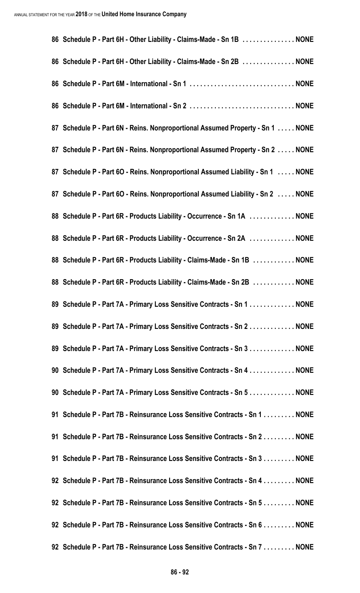| 86 Schedule P - Part 6H - Other Liability - Claims-Made - Sn 1B  NONE           |  |
|---------------------------------------------------------------------------------|--|
| 86 Schedule P - Part 6H - Other Liability - Claims-Made - Sn 2B  NONE           |  |
|                                                                                 |  |
|                                                                                 |  |
| 87 Schedule P - Part 6N - Reins. Nonproportional Assumed Property - Sn 1  NONE  |  |
| 87 Schedule P - Part 6N - Reins. Nonproportional Assumed Property - Sn 2  NONE  |  |
| 87 Schedule P - Part 60 - Reins. Nonproportional Assumed Liability - Sn 1  NONE |  |
| 87 Schedule P - Part 60 - Reins. Nonproportional Assumed Liability - Sn 2  NONE |  |
| 88 Schedule P - Part 6R - Products Liability - Occurrence - Sn 1A  NONE         |  |
| 88 Schedule P - Part 6R - Products Liability - Occurrence - Sn 2A  NONE         |  |
| 88 Schedule P - Part 6R - Products Liability - Claims-Made - Sn 1B  NONE        |  |
| 88 Schedule P - Part 6R - Products Liability - Claims-Made - Sn 2B  NONE        |  |
| 89 Schedule P - Part 7A - Primary Loss Sensitive Contracts - Sn 1 NONE          |  |
| 89 Schedule P - Part 7A - Primary Loss Sensitive Contracts - Sn 2 NONE          |  |
| 89 Schedule P - Part 7A - Primary Loss Sensitive Contracts - Sn 3 NONE          |  |
| 90 Schedule P - Part 7A - Primary Loss Sensitive Contracts - Sn 4 NONE          |  |
| 90 Schedule P - Part 7A - Primary Loss Sensitive Contracts - Sn 5 NONE          |  |
| 91 Schedule P - Part 7B - Reinsurance Loss Sensitive Contracts - Sn 1 NONE      |  |
| 91 Schedule P - Part 7B - Reinsurance Loss Sensitive Contracts - Sn 2 NONE      |  |
| 91 Schedule P - Part 7B - Reinsurance Loss Sensitive Contracts - Sn 3 NONE      |  |
| 92 Schedule P - Part 7B - Reinsurance Loss Sensitive Contracts - Sn 4 NONE      |  |
| 92 Schedule P - Part 7B - Reinsurance Loss Sensitive Contracts - Sn 5 NONE      |  |
| 92 Schedule P - Part 7B - Reinsurance Loss Sensitive Contracts - Sn 6 NONE      |  |
| 92 Schedule P - Part 7B - Reinsurance Loss Sensitive Contracts - Sn 7 NONE      |  |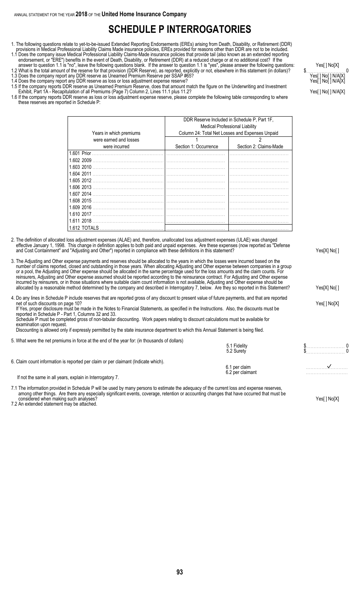## **SCHEDULE P INTERROGATORIES**

- 1. The following questions relate to yet-to-be-issued Extended Reporting Endorsements (EREs) arising from Death, Disability, or Retirement (DDR) provisions in Medical Professional Liability Claims Made insurance policies, EREs provided for reasons other than DDR are not to be included.
- 1.1 Does the company issue Medical Professional Liability Claims-Made insurance policies that provide tail (also known as an extended reporting endorsement, or "ERE") benefits in the event of Death, Disability, or Retirement (DDR) at a reduced charge or at no additional cost? If the

answer to question 1.1 is "no", leave the following questions blank. If the answer to question 1.1 is "yes", please answer the following questions: Yes[ ] No[X] 1.2 What is the total amount of the reserve for that provision (DDR Reserve), as reported, explicitly or not, elsewhere in this statement (in dollars)? \$. . . . . . . . . . . . . . . . . . . . . . . . . 0 1.3 Does the company report any DDR reserve as Unearned Premium Reserve per SSAP #65? Yeses and the company report any DDR reserve as Unearned Premium Reserve per SSAP #65?

- 1.4 Does the company report any DDR reserve as loss or loss adjustment expense reserve? Yeses and the company report any DDR reserve as loss or loss adjustment expense reserve?
- 1.5 If the company reports DDR reserve as Unearned Premium Reserve, does that amount match the figure on the Underwriting and Investment Exhibit, Part 1A - Recapitulation of all Premiums (Page 7) Column 2, Lines 11.1 plus 11.2? Yeser and the column 2 of the column 2 of the column 2 of the column 2 of the column 2 of the column 2 of the column 2 of the colum
- 1.6 If the company reports DDR reserve as loss or loss adjustment expense reserve, please complete the following table corresponding to where these reserves are reported in Schedule P:

|                         | DDR Reserve Included in Schedule P, Part 1F,<br><b>Medical Professional Liability</b> |                                                 |  |  |  |  |  |  |
|-------------------------|---------------------------------------------------------------------------------------|-------------------------------------------------|--|--|--|--|--|--|
| Years in which premiums |                                                                                       | Column 24: Total Net Losses and Expenses Unpaid |  |  |  |  |  |  |
| were earned and losses  |                                                                                       |                                                 |  |  |  |  |  |  |
| were incurred           | Section 1: Occurrence                                                                 | Section 2: Claims-Made                          |  |  |  |  |  |  |
| 1.601 Prior             |                                                                                       |                                                 |  |  |  |  |  |  |
| 1.602 2009              |                                                                                       |                                                 |  |  |  |  |  |  |
| 1.603 2010              |                                                                                       |                                                 |  |  |  |  |  |  |
| 1.604 2011              |                                                                                       |                                                 |  |  |  |  |  |  |
| 1.605 2012              |                                                                                       |                                                 |  |  |  |  |  |  |
| 1.606 2013              |                                                                                       |                                                 |  |  |  |  |  |  |
| 1.607 2014              |                                                                                       |                                                 |  |  |  |  |  |  |
| 1.608 2015              |                                                                                       |                                                 |  |  |  |  |  |  |
| 1.609 2016              |                                                                                       |                                                 |  |  |  |  |  |  |
| 1.610 2017              |                                                                                       |                                                 |  |  |  |  |  |  |
| 1.611 2018              |                                                                                       |                                                 |  |  |  |  |  |  |
| 1.612 TOTALS            |                                                                                       |                                                 |  |  |  |  |  |  |

- 2. The definition of allocated loss adjustment expenses (ALAE) and, therefore, unallocated loss adjustment expenses (ULAE) was changed effective January 1, 1998. This change in definition applies to both paid and unpaid expenses. Are these expenses (now reported as "Defense and Cost Containment" and "Adjusting and Other") reported in compliance with these definitions in this statement?
- 3. The Adjusting and Other expense payments and reserves should be allocated to the years in which the losses were incurred based on the number of claims reported, closed and outstanding in those years. When allocating Adjusting and Other expense between companies in a group or a pool, the Adjusting and Other expense should be allocated in the same percentage used for the loss amounts and the claim counts. For reinsurers, Adjusting and Other expense assumed should be reported according to the reinsurance contract. For Adjusting and Other expense incurred by reinsurers, or in those situations where suitable claim count information is not available, Adjusting and Other expense should be allocated by a reasonable method determined by the company and described in Interrogatory 7, below. Are they so reported in this Statement? Yes[X] No[ ]

4. Do any lines in Schedule P include reserves that are reported gross of any discount to present value of future payments, and that are reported net of such discounts on page 10? Yes[ ] No[X] If Yes, proper disclosure must be made in the Notes to Financial Statements, as specified in the Instructions. Also, the discounts must be reported in Schedule P - Part 1, Columns 32 and 33. Schedule P must be completed gross of non-tabular discounting. Work papers relating to discount calculations must be available for examination upon request. Discounting is allowed only if expressly permitted by the state insurance department to which this Annual Statement is being filed.

5. What were the net premiums in force at the end of the year for: (in thousands of dollars)

|                                                                                    | 5.1 Fidelity<br>5.2 Surety        |  |
|------------------------------------------------------------------------------------|-----------------------------------|--|
| 6. Claim count information is reported per claim or per claimant (Indicate which). |                                   |  |
|                                                                                    | 6.1 per claim<br>6.2 per claimant |  |
|                                                                                    |                                   |  |

If not the same in all years, explain in Interrogatory 7.

7.1 The information provided in Schedule P will be used by many persons to estimate the adequacy of the current loss and expense reserves, among other things. Are there any especially significant events, coverage, retention or accounting changes that have occurred that must be considered when making such analyses? The Constant of the Constant of the Constant of the Constant of the Ves[] No[X]

7.2 An extended statement may be attached.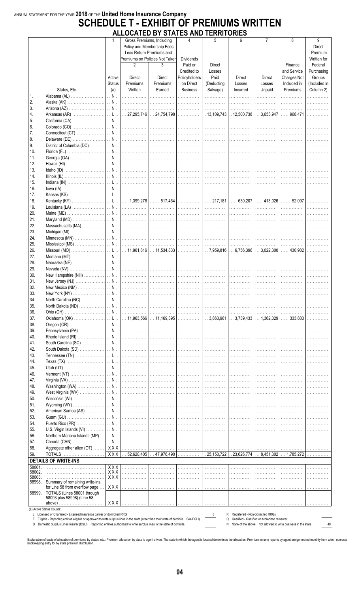## ANNUAL STATEMENT FOR THE YEAR 2018 OF THE United Home Insurance Company **SCHEDULE T - EXHIBIT OF PREMIUMS WRITTEN**

|                |                                                                                                                                                                                                                                                           |               | ALLOCATED DT STATES AND TENNITONIES |                                                                                                                       |                       |            |                                     |                                               |                                                                |                                       |  |
|----------------|-----------------------------------------------------------------------------------------------------------------------------------------------------------------------------------------------------------------------------------------------------------|---------------|-------------------------------------|-----------------------------------------------------------------------------------------------------------------------|-----------------------|------------|-------------------------------------|-----------------------------------------------|----------------------------------------------------------------|---------------------------------------|--|
|                |                                                                                                                                                                                                                                                           | 1             |                                     | Gross Premiums, Including<br>Policy and Membership Fees<br>Less Return Premiums and<br>Premiums on Policies Not Taken | 4<br><b>Dividends</b> | 5          | 6                                   | 7                                             | 8                                                              | 9<br>Direct<br>Premium<br>Written for |  |
|                |                                                                                                                                                                                                                                                           |               | $\mathfrak{p}$                      | 3                                                                                                                     | Paid or               | Direct     |                                     |                                               | Finance                                                        | Federal                               |  |
|                |                                                                                                                                                                                                                                                           |               |                                     |                                                                                                                       | Credited to           | Losses     |                                     |                                               | and Service                                                    | Purchasing                            |  |
|                |                                                                                                                                                                                                                                                           | Active        | <b>Direct</b>                       | Direct                                                                                                                | Policyholders         | Paid       | <b>Direct</b>                       | Direct                                        | Charges Not                                                    | Groups                                |  |
|                |                                                                                                                                                                                                                                                           | <b>Status</b> | Premiums                            | Premiums                                                                                                              | on Direct             | (Deducting | Losses                              | Losses                                        | Included in                                                    | (Included in                          |  |
|                | States, Etc.                                                                                                                                                                                                                                              | (a)           | Written                             | Earned                                                                                                                | <b>Business</b>       | Salvage)   | Incurred                            | Unpaid                                        | Premiums                                                       | Column 2)                             |  |
| $\mathbf{1}$ . |                                                                                                                                                                                                                                                           |               | .                                   | .                                                                                                                     | .                     | .          | .                                   | .                                             | .                                                              | .                                     |  |
| 2.             |                                                                                                                                                                                                                                                           |               |                                     |                                                                                                                       |                       |            |                                     | .                                             | .                                                              | .                                     |  |
| 3.             |                                                                                                                                                                                                                                                           |               |                                     |                                                                                                                       | .                     |            |                                     | .                                             | .                                                              |                                       |  |
| 4.             |                                                                                                                                                                                                                                                           |               |                                     |                                                                                                                       |                       |            |                                     |                                               | $\ldots$ 968,471                                               | .                                     |  |
| 5.             |                                                                                                                                                                                                                                                           |               |                                     |                                                                                                                       |                       |            |                                     | .                                             | .                                                              |                                       |  |
| 6.<br>7.       |                                                                                                                                                                                                                                                           |               |                                     |                                                                                                                       |                       |            |                                     |                                               | .                                                              |                                       |  |
| 8.             |                                                                                                                                                                                                                                                           |               |                                     |                                                                                                                       | .                     |            |                                     | .<br>.                                        |                                                                |                                       |  |
| 9.             |                                                                                                                                                                                                                                                           |               |                                     |                                                                                                                       |                       |            |                                     | .                                             | .                                                              |                                       |  |
| 10.            |                                                                                                                                                                                                                                                           |               |                                     |                                                                                                                       |                       |            |                                     |                                               | .                                                              |                                       |  |
| 11.            |                                                                                                                                                                                                                                                           |               |                                     |                                                                                                                       |                       |            |                                     | .                                             |                                                                |                                       |  |
| 12.            |                                                                                                                                                                                                                                                           |               |                                     | .                                                                                                                     | .                     | .          | .                                   | .                                             |                                                                |                                       |  |
| 13.            |                                                                                                                                                                                                                                                           |               |                                     |                                                                                                                       | . 1                   |            |                                     | .                                             | .                                                              |                                       |  |
| 14.            |                                                                                                                                                                                                                                                           |               |                                     |                                                                                                                       |                       |            |                                     | .                                             | .                                                              |                                       |  |
| 15.            |                                                                                                                                                                                                                                                           |               |                                     |                                                                                                                       |                       |            |                                     | .                                             | .                                                              |                                       |  |
| 16.            |                                                                                                                                                                                                                                                           |               |                                     |                                                                                                                       | .                     |            |                                     | .                                             | .                                                              |                                       |  |
| 17.            |                                                                                                                                                                                                                                                           |               |                                     |                                                                                                                       |                       |            |                                     | .                                             | .                                                              | .                                     |  |
| 18.            |                                                                                                                                                                                                                                                           |               |                                     |                                                                                                                       |                       |            |                                     |                                               | $\ldots 52,097$                                                | .                                     |  |
| 19.            |                                                                                                                                                                                                                                                           |               |                                     |                                                                                                                       |                       |            |                                     | .                                             | .                                                              |                                       |  |
| 20.            |                                                                                                                                                                                                                                                           |               |                                     |                                                                                                                       | .                     |            |                                     | .                                             |                                                                |                                       |  |
| 21.            |                                                                                                                                                                                                                                                           |               |                                     |                                                                                                                       | . 1                   |            |                                     | .                                             | .                                                              |                                       |  |
| 22.            |                                                                                                                                                                                                                                                           |               |                                     |                                                                                                                       |                       |            |                                     |                                               | .                                                              |                                       |  |
| 23.            |                                                                                                                                                                                                                                                           |               |                                     |                                                                                                                       |                       |            |                                     | .                                             | .                                                              |                                       |  |
| 24.            |                                                                                                                                                                                                                                                           |               |                                     |                                                                                                                       |                       |            |                                     | .                                             | .                                                              |                                       |  |
| 25.            |                                                                                                                                                                                                                                                           |               |                                     |                                                                                                                       |                       |            |                                     | .                                             | .                                                              | .                                     |  |
| 26.            | Missouri (MO) ………………………  … L…  … 11,961,816  … 11,534,833  ………………  … 7,959,816  … 6,756,396  … 3,022,300                                                                                                                                                  |               |                                     |                                                                                                                       |                       |            |                                     |                                               | $\ldots$ 430,902                                               | .                                     |  |
| 27.            |                                                                                                                                                                                                                                                           |               |                                     |                                                                                                                       |                       |            |                                     | .                                             | .                                                              |                                       |  |
| 28.            |                                                                                                                                                                                                                                                           |               |                                     | .                                                                                                                     | .                     |            |                                     | .                                             |                                                                |                                       |  |
| 29.            |                                                                                                                                                                                                                                                           |               |                                     |                                                                                                                       | . 1                   |            |                                     | .                                             | .                                                              |                                       |  |
| 30.            |                                                                                                                                                                                                                                                           |               |                                     |                                                                                                                       |                       |            |                                     |                                               | .                                                              |                                       |  |
| 31.            |                                                                                                                                                                                                                                                           |               |                                     |                                                                                                                       | . 1                   |            |                                     | .                                             | .                                                              |                                       |  |
| 32.            |                                                                                                                                                                                                                                                           |               |                                     | . 1                                                                                                                   | .                     |            |                                     | .                                             | .                                                              | .                                     |  |
| 33.            |                                                                                                                                                                                                                                                           |               |                                     |                                                                                                                       |                       |            |                                     | .                                             |                                                                |                                       |  |
| 34.            |                                                                                                                                                                                                                                                           |               |                                     |                                                                                                                       |                       |            |                                     | .                                             | .                                                              |                                       |  |
| 35.            |                                                                                                                                                                                                                                                           |               |                                     |                                                                                                                       | .                     |            |                                     | .                                             | .                                                              |                                       |  |
| 36.            |                                                                                                                                                                                                                                                           |               |                                     |                                                                                                                       |                       |            |                                     | .                                             | .                                                              |                                       |  |
| 37.            |                                                                                                                                                                                                                                                           |               |                                     |                                                                                                                       |                       |            |                                     |                                               | $\ldots$ 333,803 $\ldots$                                      |                                       |  |
| 38.            |                                                                                                                                                                                                                                                           |               |                                     |                                                                                                                       |                       |            |                                     | .                                             | .                                                              | .                                     |  |
| 39.            |                                                                                                                                                                                                                                                           |               |                                     |                                                                                                                       | .                     | .          | .                                   | .                                             | .                                                              |                                       |  |
| 40.            |                                                                                                                                                                                                                                                           |               |                                     | .                                                                                                                     | .                     | .          | .                                   | .                                             |                                                                |                                       |  |
| 41.            |                                                                                                                                                                                                                                                           |               |                                     |                                                                                                                       | . 1                   |            |                                     | .                                             | .                                                              |                                       |  |
| 42.            |                                                                                                                                                                                                                                                           |               |                                     |                                                                                                                       |                       |            |                                     | .                                             | .                                                              |                                       |  |
| 43.            |                                                                                                                                                                                                                                                           |               |                                     |                                                                                                                       |                       |            |                                     | .                                             |                                                                |                                       |  |
| 44.            |                                                                                                                                                                                                                                                           |               |                                     |                                                                                                                       | .                     |            |                                     | .                                             |                                                                |                                       |  |
| 45.            |                                                                                                                                                                                                                                                           |               |                                     |                                                                                                                       | . 1                   |            |                                     | .                                             | .                                                              |                                       |  |
| 46.            |                                                                                                                                                                                                                                                           |               |                                     |                                                                                                                       |                       |            |                                     | .                                             | .                                                              |                                       |  |
| 47.            |                                                                                                                                                                                                                                                           |               |                                     |                                                                                                                       | .                     | .          | .                                   | .                                             | .                                                              |                                       |  |
| 48.            |                                                                                                                                                                                                                                                           |               |                                     | .                                                                                                                     | .                     | .          | .                                   | .                                             |                                                                |                                       |  |
| 49.            |                                                                                                                                                                                                                                                           |               |                                     |                                                                                                                       | . 1                   |            |                                     | .                                             | .                                                              |                                       |  |
| 50.<br>51.     |                                                                                                                                                                                                                                                           |               |                                     |                                                                                                                       |                       | .          |                                     | .                                             | .                                                              |                                       |  |
| 52.            |                                                                                                                                                                                                                                                           |               |                                     |                                                                                                                       | .<br>.                | .          | .<br>1.                             | .<br>.                                        |                                                                |                                       |  |
| 53.            |                                                                                                                                                                                                                                                           |               |                                     |                                                                                                                       |                       |            |                                     |                                               |                                                                |                                       |  |
| 54.            |                                                                                                                                                                                                                                                           |               |                                     |                                                                                                                       |                       |            |                                     | .<br>.                                        | .<br>.                                                         |                                       |  |
| 55.            |                                                                                                                                                                                                                                                           |               |                                     |                                                                                                                       | .                     | .          | 1.                                  | .                                             | .                                                              |                                       |  |
| 56.            |                                                                                                                                                                                                                                                           |               |                                     |                                                                                                                       | .                     | .          | 1.                                  | .                                             | .                                                              |                                       |  |
| 57.            |                                                                                                                                                                                                                                                           |               |                                     |                                                                                                                       |                       |            |                                     | .                                             | .                                                              | .                                     |  |
| 58.            | Aggregate other alien (OT) …….   XXX  …………….  ………………  ………………  ………………  ……………                                                                                                                                                                               |               |                                     |                                                                                                                       |                       |            |                                     | .                                             | .                                                              |                                       |  |
| 59.            |                                                                                                                                                                                                                                                           |               | $\cdots$                            | $52,620,405$ $47,976,490$                                                                                             |                       |            | $.25,150,722$ 23,626,774  8,451,302 |                                               | $\ldots$ 1,785,272 $\ldots$                                    |                                       |  |
|                | <b>DETAILS OF WRITE-INS</b>                                                                                                                                                                                                                               |               |                                     |                                                                                                                       |                       |            |                                     |                                               |                                                                |                                       |  |
| 58001.         |                                                                                                                                                                                                                                                           | XXX           | .                                   | .                                                                                                                     | .                     | .          | .                                   | .                                             | .                                                              |                                       |  |
| 58002.         |                                                                                                                                                                                                                                                           | XXX           | .                                   | .                                                                                                                     | .                     | .          | .                                   | .                                             | .                                                              |                                       |  |
| 58003.         |                                                                                                                                                                                                                                                           | XXX           | .                                   | .                                                                                                                     | .                     | .          | 1.                                  | .                                             | .                                                              |                                       |  |
| 58998.         | Summary of remaining write-ins                                                                                                                                                                                                                            | XXX           |                                     |                                                                                                                       |                       |            |                                     |                                               |                                                                |                                       |  |
| 58999.         | for Line 58 from overflow page<br>TOTALS (Lines 58001 through                                                                                                                                                                                             |               |                                     |                                                                                                                       |                       |            |                                     | 1.                                            |                                                                |                                       |  |
|                | 58003 plus 58998) (Line 58                                                                                                                                                                                                                                |               |                                     |                                                                                                                       |                       |            |                                     |                                               |                                                                |                                       |  |
|                | above)                                                                                                                                                                                                                                                    | XXX           | .                                   | .                                                                                                                     |                       |            |                                     |                                               |                                                                |                                       |  |
|                | (a) Active Status Counts:                                                                                                                                                                                                                                 |               |                                     |                                                                                                                       |                       |            |                                     |                                               |                                                                |                                       |  |
|                | L Licensed or Chartered - Licensed insurance carrier or domiciled RRG<br>R Registered - Non-domiciled RRGs<br>8<br>E Eligible - Reporting entities eligible or approved to write surplus lines in the state (other than their state of domicile See DSLI) |               |                                     |                                                                                                                       |                       |            |                                     |                                               |                                                                |                                       |  |
|                | D Domestic Surplus Lines Insurer (DSLI) Reporting entities authorized to write surplus lines in the state of domicile.                                                                                                                                    |               |                                     |                                                                                                                       |                       |            | Q                                   | Qualified - Qualified or accredited reinsurer | N None of the above Not allowed to write business in the state | 49                                    |  |
|                |                                                                                                                                                                                                                                                           |               |                                     |                                                                                                                       |                       |            |                                     |                                               |                                                                |                                       |  |

 $\frac{1}{49}$ 

Explanation of basis of allocation of premiums by states, etc.: Premium allocation by state is agent driven. The state in which the agent is located determines the allocation. Premium volume reports by agent are generated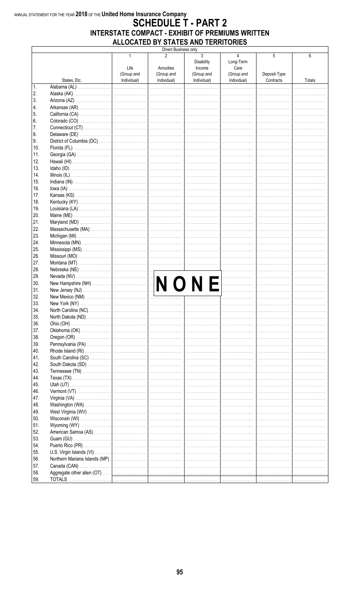#### ANNUAL STATEMENT FOR THE YEAR 2018 OF THE United Home Insurance Company **SCHEDULE T - PART 2** INTERSTATE COMPACT - EXHIBIT OF PREMIUMS WRITTEN ALLOCATED BY STATES AND TERRITORIES

 $\sqrt{ }$ 

Direct Business only

| <b>Disability</b><br>Long-Term<br>Life<br>Annuities<br>Income<br>Care<br>(Group and<br>(Group and<br>Deposit-Type<br>(Group and<br>(Group and<br>Individual)<br>Individual)<br>Contracts<br>States, Etc.<br>Individual)<br>Individual)<br>Totals<br>1.<br>Alabama (AL)<br>2.<br>Alaska (AK)<br>3.<br>4.<br>5.<br>6.<br>7.<br>8.<br>9.<br>10.<br>11.<br>12.<br>13.<br>14.<br>15.<br>16.<br>17.<br>18.<br>19.<br>20.<br>21.<br>22.<br>23.<br>24.<br>25.<br>26.<br>27.<br>28.<br>29.<br>Nebraska (NE)<br>New Hampshire (NH)<br>New Hampshire (NH)<br>30.<br>31.<br>32.<br>33.<br>34.<br>35.<br>36.<br>37.<br>38.<br>39.<br>40.<br>41.<br>42.<br>43.<br>44.<br>45.<br>46.<br>47.<br>48.<br>49.<br>50.<br>51.<br>52.<br>53.<br>54.<br>55.<br>56.<br>1.<br>57.<br>58.<br>59. |  | 1 | $\mathfrak{p}$ | 3 | 4 | 5 | 6 |
|------------------------------------------------------------------------------------------------------------------------------------------------------------------------------------------------------------------------------------------------------------------------------------------------------------------------------------------------------------------------------------------------------------------------------------------------------------------------------------------------------------------------------------------------------------------------------------------------------------------------------------------------------------------------------------------------------------------------------------------------------------------------|--|---|----------------|---|---|---|---|
|                                                                                                                                                                                                                                                                                                                                                                                                                                                                                                                                                                                                                                                                                                                                                                        |  |   |                |   |   |   |   |
|                                                                                                                                                                                                                                                                                                                                                                                                                                                                                                                                                                                                                                                                                                                                                                        |  |   |                |   |   |   |   |
|                                                                                                                                                                                                                                                                                                                                                                                                                                                                                                                                                                                                                                                                                                                                                                        |  |   |                |   |   |   |   |
|                                                                                                                                                                                                                                                                                                                                                                                                                                                                                                                                                                                                                                                                                                                                                                        |  |   |                |   |   |   |   |
|                                                                                                                                                                                                                                                                                                                                                                                                                                                                                                                                                                                                                                                                                                                                                                        |  |   |                |   |   |   |   |
|                                                                                                                                                                                                                                                                                                                                                                                                                                                                                                                                                                                                                                                                                                                                                                        |  |   |                |   |   |   |   |
|                                                                                                                                                                                                                                                                                                                                                                                                                                                                                                                                                                                                                                                                                                                                                                        |  |   |                |   |   |   |   |
|                                                                                                                                                                                                                                                                                                                                                                                                                                                                                                                                                                                                                                                                                                                                                                        |  |   |                |   |   |   |   |
|                                                                                                                                                                                                                                                                                                                                                                                                                                                                                                                                                                                                                                                                                                                                                                        |  |   |                |   |   |   |   |
|                                                                                                                                                                                                                                                                                                                                                                                                                                                                                                                                                                                                                                                                                                                                                                        |  |   |                |   |   |   |   |
|                                                                                                                                                                                                                                                                                                                                                                                                                                                                                                                                                                                                                                                                                                                                                                        |  |   |                |   |   |   |   |
|                                                                                                                                                                                                                                                                                                                                                                                                                                                                                                                                                                                                                                                                                                                                                                        |  |   |                |   |   |   |   |
|                                                                                                                                                                                                                                                                                                                                                                                                                                                                                                                                                                                                                                                                                                                                                                        |  |   |                |   |   |   |   |
|                                                                                                                                                                                                                                                                                                                                                                                                                                                                                                                                                                                                                                                                                                                                                                        |  |   |                |   |   |   |   |
|                                                                                                                                                                                                                                                                                                                                                                                                                                                                                                                                                                                                                                                                                                                                                                        |  |   |                |   |   |   |   |
|                                                                                                                                                                                                                                                                                                                                                                                                                                                                                                                                                                                                                                                                                                                                                                        |  |   |                |   |   |   |   |
|                                                                                                                                                                                                                                                                                                                                                                                                                                                                                                                                                                                                                                                                                                                                                                        |  |   |                |   |   |   |   |
|                                                                                                                                                                                                                                                                                                                                                                                                                                                                                                                                                                                                                                                                                                                                                                        |  |   |                |   |   |   |   |
|                                                                                                                                                                                                                                                                                                                                                                                                                                                                                                                                                                                                                                                                                                                                                                        |  |   |                |   |   |   |   |
|                                                                                                                                                                                                                                                                                                                                                                                                                                                                                                                                                                                                                                                                                                                                                                        |  |   |                |   |   |   |   |
|                                                                                                                                                                                                                                                                                                                                                                                                                                                                                                                                                                                                                                                                                                                                                                        |  |   |                |   |   |   |   |
|                                                                                                                                                                                                                                                                                                                                                                                                                                                                                                                                                                                                                                                                                                                                                                        |  |   |                |   |   |   |   |
|                                                                                                                                                                                                                                                                                                                                                                                                                                                                                                                                                                                                                                                                                                                                                                        |  |   |                |   |   |   |   |
|                                                                                                                                                                                                                                                                                                                                                                                                                                                                                                                                                                                                                                                                                                                                                                        |  |   |                |   |   |   |   |
|                                                                                                                                                                                                                                                                                                                                                                                                                                                                                                                                                                                                                                                                                                                                                                        |  |   |                |   |   |   |   |
|                                                                                                                                                                                                                                                                                                                                                                                                                                                                                                                                                                                                                                                                                                                                                                        |  |   |                |   |   |   |   |
|                                                                                                                                                                                                                                                                                                                                                                                                                                                                                                                                                                                                                                                                                                                                                                        |  |   |                |   |   |   |   |
|                                                                                                                                                                                                                                                                                                                                                                                                                                                                                                                                                                                                                                                                                                                                                                        |  |   |                |   |   |   |   |
|                                                                                                                                                                                                                                                                                                                                                                                                                                                                                                                                                                                                                                                                                                                                                                        |  |   |                |   |   |   |   |
|                                                                                                                                                                                                                                                                                                                                                                                                                                                                                                                                                                                                                                                                                                                                                                        |  |   |                |   |   |   |   |
|                                                                                                                                                                                                                                                                                                                                                                                                                                                                                                                                                                                                                                                                                                                                                                        |  |   |                |   |   |   |   |
|                                                                                                                                                                                                                                                                                                                                                                                                                                                                                                                                                                                                                                                                                                                                                                        |  |   |                |   |   |   |   |
|                                                                                                                                                                                                                                                                                                                                                                                                                                                                                                                                                                                                                                                                                                                                                                        |  |   |                |   |   |   |   |
|                                                                                                                                                                                                                                                                                                                                                                                                                                                                                                                                                                                                                                                                                                                                                                        |  |   |                |   |   |   |   |
|                                                                                                                                                                                                                                                                                                                                                                                                                                                                                                                                                                                                                                                                                                                                                                        |  |   |                |   |   |   |   |
|                                                                                                                                                                                                                                                                                                                                                                                                                                                                                                                                                                                                                                                                                                                                                                        |  |   |                |   |   |   |   |
|                                                                                                                                                                                                                                                                                                                                                                                                                                                                                                                                                                                                                                                                                                                                                                        |  |   |                |   |   |   |   |
|                                                                                                                                                                                                                                                                                                                                                                                                                                                                                                                                                                                                                                                                                                                                                                        |  |   |                |   |   |   |   |
|                                                                                                                                                                                                                                                                                                                                                                                                                                                                                                                                                                                                                                                                                                                                                                        |  |   |                |   |   |   |   |
|                                                                                                                                                                                                                                                                                                                                                                                                                                                                                                                                                                                                                                                                                                                                                                        |  |   |                |   |   |   |   |
|                                                                                                                                                                                                                                                                                                                                                                                                                                                                                                                                                                                                                                                                                                                                                                        |  |   |                |   |   |   |   |
|                                                                                                                                                                                                                                                                                                                                                                                                                                                                                                                                                                                                                                                                                                                                                                        |  |   |                |   |   |   |   |
|                                                                                                                                                                                                                                                                                                                                                                                                                                                                                                                                                                                                                                                                                                                                                                        |  |   |                |   |   |   |   |
|                                                                                                                                                                                                                                                                                                                                                                                                                                                                                                                                                                                                                                                                                                                                                                        |  |   |                |   |   |   |   |
|                                                                                                                                                                                                                                                                                                                                                                                                                                                                                                                                                                                                                                                                                                                                                                        |  |   |                |   |   |   |   |
|                                                                                                                                                                                                                                                                                                                                                                                                                                                                                                                                                                                                                                                                                                                                                                        |  |   |                |   |   |   |   |
|                                                                                                                                                                                                                                                                                                                                                                                                                                                                                                                                                                                                                                                                                                                                                                        |  |   |                |   |   |   |   |
|                                                                                                                                                                                                                                                                                                                                                                                                                                                                                                                                                                                                                                                                                                                                                                        |  |   |                |   |   |   |   |
|                                                                                                                                                                                                                                                                                                                                                                                                                                                                                                                                                                                                                                                                                                                                                                        |  |   |                |   |   |   |   |
|                                                                                                                                                                                                                                                                                                                                                                                                                                                                                                                                                                                                                                                                                                                                                                        |  |   |                |   |   |   |   |
|                                                                                                                                                                                                                                                                                                                                                                                                                                                                                                                                                                                                                                                                                                                                                                        |  |   |                |   |   |   |   |
|                                                                                                                                                                                                                                                                                                                                                                                                                                                                                                                                                                                                                                                                                                                                                                        |  |   |                |   |   |   |   |
|                                                                                                                                                                                                                                                                                                                                                                                                                                                                                                                                                                                                                                                                                                                                                                        |  |   |                |   |   |   |   |
|                                                                                                                                                                                                                                                                                                                                                                                                                                                                                                                                                                                                                                                                                                                                                                        |  |   |                |   |   |   |   |
|                                                                                                                                                                                                                                                                                                                                                                                                                                                                                                                                                                                                                                                                                                                                                                        |  |   |                |   |   |   |   |
|                                                                                                                                                                                                                                                                                                                                                                                                                                                                                                                                                                                                                                                                                                                                                                        |  |   |                |   |   |   |   |
|                                                                                                                                                                                                                                                                                                                                                                                                                                                                                                                                                                                                                                                                                                                                                                        |  |   |                |   |   |   |   |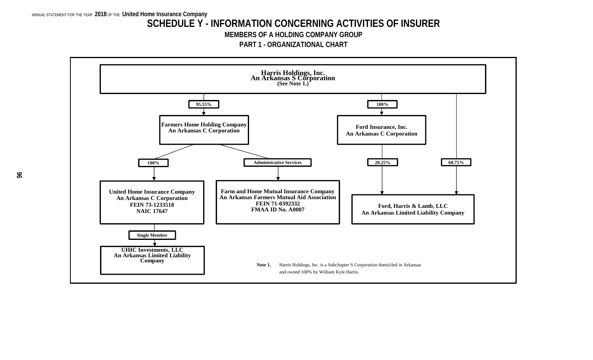#### **SCHEDULE Y - INFORMATION CONCERNING ACTIVITIES OF INSURER**

**MEMBERS OF A HOLDING COMPANY GROUP**

**PART 1 - ORGANIZATIONAL CHART**

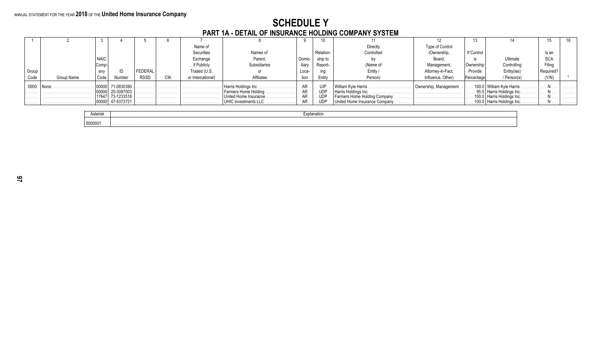# **SCHEDULE Y<br>PART 1A - DETAIL OF INSURANCE HOLDING COMPANY SYSTEM**

|       |            |             |            |             |            | Name of           |                               |                      |            | Directly                      | Type of Control       |            |                               |            |   |
|-------|------------|-------------|------------|-------------|------------|-------------------|-------------------------------|----------------------|------------|-------------------------------|-----------------------|------------|-------------------------------|------------|---|
|       |            |             |            |             |            | Securities        | Names of                      |                      | Relation-  | Controlled                    | (Ownership,           | If Control |                               | ls an      |   |
|       |            | <b>NAIC</b> |            |             |            | Exchange          | Parent,                       | Domic-               | ship to    |                               | Board.                |            | Ultimate                      | <b>SCA</b> |   |
|       |            | Comp-       |            |             |            | if Publicly       | Subsidiaries                  | iliarv               | Report-    | (Name of                      | Management            | Ownership  | Controlling                   | Filing     |   |
| Group |            | any         |            | FEDERAL     |            | Traded (U.S.      |                               | Loca-                | ing        | Entity                        | Attorney-in-Fact,     | Provide    | Entity(ies)                   |            |   |
| Code  | Group Name | Code        | lumbe      | <b>RSSD</b> | <b>CIK</b> | or International) | Affiliates                    | tion                 | Entity     | Person)                       | Influence, Other)     | Percentage | / Person(s)                   | (Y/N)      |   |
| 0000  |            | 00000       | 71-0830390 | .           | .          |                   |                               | . AR .               | uip        | William Kyle Harris           | Ownership, Management |            | . 100.0 William Kyle Harris.  |            |   |
| .     |            |             | 20-3097003 | .           | .          |                   | .   Farmers Home Holding    . | $\ldots$ AR $\ldots$ | <b>UDP</b> |                               |                       |            | , 95.5   Harris Holdings Inc. |            | . |
| .     |            |             | 73-1233518 | .           | .          |                   | United Home Insuracne .       | . AR .               | <b>UDP</b> |                               |                       |            | 100.0   Harris Holdings Inc   |            |   |
| .     |            |             | 47-5373721 | .           | .          |                   | UHIC Investments LLC          | . AR .               | UDP        | United Home Insurance Company |                       |            | 100.0   Harris Holdings Inc.  |            | . |

| Asterisk | ·xplanation |
|----------|-------------|
| 0000001  | .           |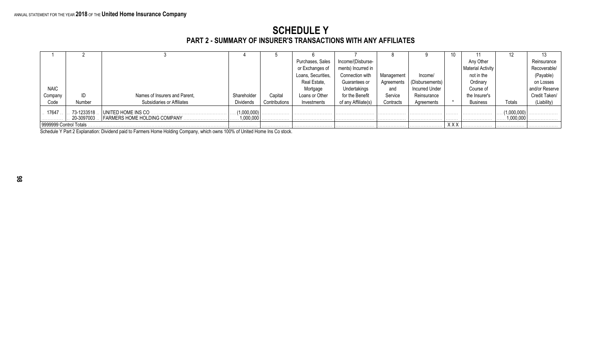#### **SCHEDULE Y PART 2 - SUMMARY OF INSURER'S TRANSACTIONS WITH ANY AFFILIATES**

|                        |             |                               |                  |               |                    |                     |            |                 | 10         |                   |             |                |
|------------------------|-------------|-------------------------------|------------------|---------------|--------------------|---------------------|------------|-----------------|------------|-------------------|-------------|----------------|
|                        |             |                               |                  |               | Purchases, Sales   | Income/(Disburse-   |            |                 |            | Any Other         |             | Reinsurance    |
|                        |             |                               |                  |               | or Exchanges of    | ments) Incurred in  |            |                 |            | Material Activity |             | Recoverable/   |
|                        |             |                               |                  |               | Loans, Securities, | Connection with     | Management | Income/         |            | not in the        |             | (Payable)      |
|                        |             |                               |                  |               | Real Estate,       | Guarantees or       | Agreements | (Disbursements) |            | Ordinary          |             | on Losses      |
| <b>NAIC</b>            |             |                               |                  |               | Mortgage           | Undertakings        | and        | Incurred Under  |            | Course of         |             | and/or Reserve |
| Company                | ID          | Names of Insurers and Parent, | Shareholder      | Capital       | Loans or Other     | for the Benefit     | Service    | Reinsurance     |            | the Insurer's     |             | Credit Taken/  |
| Code                   | Number      | Subsidiaries or Affiliates    | <b>Dividends</b> | Contributions | Investments        | of any Affiliate(s) | Contracts  | Agreements      |            | <b>Business</b>   | Totals      | (Liability)    |
| 17647                  | 73-1233518. | UNITED HOME INS CO.           | (1,000,000)      |               |                    |                     | .          |                 | .          |                   | (1,000,000) |                |
|                        | 20-3097003. |                               | 1,000,000        |               |                    |                     | .          |                 | .          |                   | 1,000,000   | .              |
| 9999999 Control Totals |             |                               |                  | .             |                    |                     | .          |                 | <b>XXX</b> |                   | .           |                |

Schedule Y Part 2 Explanation: Dividend paid to Farmers Home Holding Company, which owns 100% of United Home Ins Co stock.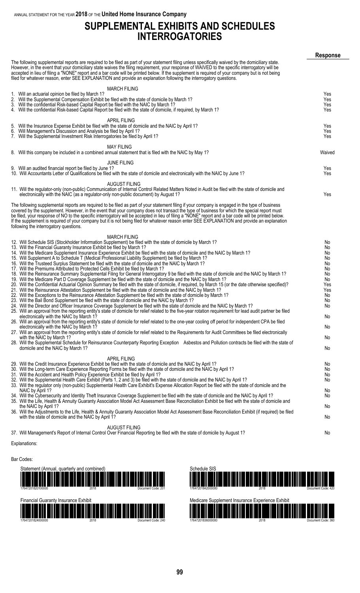#### **SUPPLEMENTAL EXHIBITS AND SCHEDULES INTERROGATORIES**

|                                                                                                                                                                                                                                                                                                                                                                                                                                                                                                                                                                              | <b>Response</b> |
|------------------------------------------------------------------------------------------------------------------------------------------------------------------------------------------------------------------------------------------------------------------------------------------------------------------------------------------------------------------------------------------------------------------------------------------------------------------------------------------------------------------------------------------------------------------------------|-----------------|
| The following supplemental reports are required to be filed as part of your statement filing unless specifically waived by the domiciliary state.<br>However, in the event that your domiciliary state waives the filing requirement, your response of WAIVED to the specific interrogatory will be<br>accepted in lieu of filing a "NONE" report and a bar code will be printed below. If the supplement is required of your company but is not being<br>filed for whatever reason, enter SEE EXPLANATION and provide an explanation following the interrogatory questions. |                 |
| <b>MARCH FILING</b>                                                                                                                                                                                                                                                                                                                                                                                                                                                                                                                                                          |                 |
| 1. Will an actuarial opinion be filed by March 1?                                                                                                                                                                                                                                                                                                                                                                                                                                                                                                                            | Yes             |
| 2. Will the Supplemental Compensation Exhibit be filed with the state of domicile by March 1?                                                                                                                                                                                                                                                                                                                                                                                                                                                                                | Yes             |
| 3. Will the confidential Risk-based Capital Report be filed with the NAIC by March 1?                                                                                                                                                                                                                                                                                                                                                                                                                                                                                        | Yes             |
| 4. Will the confidential Risk-based Capital Report be filed with the state of domicile, if required, by March 1?                                                                                                                                                                                                                                                                                                                                                                                                                                                             | Yes             |
| <b>APRIL FILING</b>                                                                                                                                                                                                                                                                                                                                                                                                                                                                                                                                                          |                 |
| 5. Will the Insurance Expense Exhibit be filed with the state of domicile and the NAIC by April 1?                                                                                                                                                                                                                                                                                                                                                                                                                                                                           | Yes             |
| 6. Will Management's Discussion and Analysis be filed by April 1?                                                                                                                                                                                                                                                                                                                                                                                                                                                                                                            | Yes             |
| 7. Will the Supplemental Investment Risk Interrogatories be filed by April 1?                                                                                                                                                                                                                                                                                                                                                                                                                                                                                                | Yes             |
|                                                                                                                                                                                                                                                                                                                                                                                                                                                                                                                                                                              |                 |
| <b>MAY FILING</b>                                                                                                                                                                                                                                                                                                                                                                                                                                                                                                                                                            |                 |
| 8. Will this company be included in a combined annual statement that is filed with the NAIC by May 1?                                                                                                                                                                                                                                                                                                                                                                                                                                                                        | Waived          |
| <b>JUNE FILING</b>                                                                                                                                                                                                                                                                                                                                                                                                                                                                                                                                                           |                 |
| 9. Will an audited financial report be filed by June 1?                                                                                                                                                                                                                                                                                                                                                                                                                                                                                                                      | Yes             |
| 10. Will Accountants Letter of Qualifications be filed with the state of domicile and electronically with the NAIC by June 1?                                                                                                                                                                                                                                                                                                                                                                                                                                                | Yes             |
|                                                                                                                                                                                                                                                                                                                                                                                                                                                                                                                                                                              |                 |
| AUGUST FILING                                                                                                                                                                                                                                                                                                                                                                                                                                                                                                                                                                |                 |
| 11. Will the regulator-only (non-public) Communication of Internal Control Related Matters Noted in Audit be filed with the state of domicile and                                                                                                                                                                                                                                                                                                                                                                                                                            |                 |
| electronically with the NAIC (as a regulator-only non-public document) by August 1?                                                                                                                                                                                                                                                                                                                                                                                                                                                                                          | Yes             |
| The following supplemental reports are required to be filed as part of your statement filing if your company is engaged in the type of business                                                                                                                                                                                                                                                                                                                                                                                                                              |                 |
| covered by the supplement. However, in the event that your company does not transact the type of business for which the special report must                                                                                                                                                                                                                                                                                                                                                                                                                                  |                 |
| be filed, your response of NO to the specific interrogatory will be accepted in lieu of filing a "NONE" report and a bar code will be printed below.                                                                                                                                                                                                                                                                                                                                                                                                                         |                 |
| If the supplement is required of your company but it is not being filed for whatever reason enter SEE EXPLANATION and provide an explanation                                                                                                                                                                                                                                                                                                                                                                                                                                 |                 |
| following the interrogatory questions.                                                                                                                                                                                                                                                                                                                                                                                                                                                                                                                                       |                 |
|                                                                                                                                                                                                                                                                                                                                                                                                                                                                                                                                                                              |                 |
| <b>MARCH FILING</b>                                                                                                                                                                                                                                                                                                                                                                                                                                                                                                                                                          |                 |
| 12. Will Schedule SIS (Stockholder Information Supplement) be filed with the state of domicile by March 1?                                                                                                                                                                                                                                                                                                                                                                                                                                                                   | No              |
| 13. Will the Financial Guaranty Insurance Exhibit be filed by March 1?                                                                                                                                                                                                                                                                                                                                                                                                                                                                                                       | No              |
| 14. Will the Medicare Supplement Insurance Experience Exhibit be filed with the state of domicile and the NAIC by March 1?<br>15. Will Supplement A to Schedule T (Medical Professional Liability Supplement) be filed by March 1?                                                                                                                                                                                                                                                                                                                                           | No<br>No.       |
| 16. Will the Trusteed Surplus Statement be filed with the state of domicile and the NAIC by March 1?                                                                                                                                                                                                                                                                                                                                                                                                                                                                         | No              |
| 17. Will the Premiums Attributed to Protected Cells Exhibit be filed by March 1?                                                                                                                                                                                                                                                                                                                                                                                                                                                                                             | No              |
| 18. Will the Reinsurance Summary Supplemental Filing for General Interrogatory 9 be filed with the state of domicile and the NAIC by March 1?                                                                                                                                                                                                                                                                                                                                                                                                                                | No              |
| 19. Will the Medicare Part D Coverage Supplement be filed with the state of domicile and the NAIC by March 1?                                                                                                                                                                                                                                                                                                                                                                                                                                                                | No              |
| 20. Will the Confidential Actuarial Opinion Summary be filed with the state of domicile, if required, by March 15 (or the date otherwise specified)?                                                                                                                                                                                                                                                                                                                                                                                                                         | Yes             |
| 21. Will the Reinsurance Attestation Supplement be filed with the state of domicile and the NAIC by March 1?                                                                                                                                                                                                                                                                                                                                                                                                                                                                 | Yes             |
| 22. Will the Exceptions to the Reinsurance Attestation Supplement be filed with the state of domicile by March 1?                                                                                                                                                                                                                                                                                                                                                                                                                                                            | No              |
| 23. Will the Bail Bond Supplement be filed with the state of domicile and the NAIC by March 1?<br>24. Will the Director and Officer Insurance Coverage Supplement be filed with the state of domicile and the NAIC by March 1?                                                                                                                                                                                                                                                                                                                                               | No<br>No        |
| 25. Will an approval from the reporting entity's state of domicile for relief related to the five-year rotation requirement for lead audit partner be filed                                                                                                                                                                                                                                                                                                                                                                                                                  |                 |
| electronically with the NAIC by March 1?                                                                                                                                                                                                                                                                                                                                                                                                                                                                                                                                     | No              |
| 26. Will an approval from the reporting entity's state of domicile for relief related to the one-year cooling off period for independent CPA be filed                                                                                                                                                                                                                                                                                                                                                                                                                        |                 |
| electronically with the NAIC by March 1?                                                                                                                                                                                                                                                                                                                                                                                                                                                                                                                                     | No              |
| 27. Will an approval from the reporting entity's state of domicile for relief related to the Requirements for Audit Committees be filed electronically                                                                                                                                                                                                                                                                                                                                                                                                                       |                 |
| with the NAIC by March 1?                                                                                                                                                                                                                                                                                                                                                                                                                                                                                                                                                    | No              |
| 28. Will the Supplemental Schedule for Reinsurance Counterparty Reporting Exception Asbestos and Pollution contracts be filed with the state of                                                                                                                                                                                                                                                                                                                                                                                                                              |                 |
| domicile and the NAIC by March 1?                                                                                                                                                                                                                                                                                                                                                                                                                                                                                                                                            | No              |
| <b>APRIL FILING</b>                                                                                                                                                                                                                                                                                                                                                                                                                                                                                                                                                          |                 |
| 29. Will the Credit Insurance Experience Exhibit be filed with the state of domicile and the NAIC by April 1?                                                                                                                                                                                                                                                                                                                                                                                                                                                                | No              |
| 30. Will the Long-term Care Experience Reporting Forms be filed with the state of domicile and the NAIC by April 1?                                                                                                                                                                                                                                                                                                                                                                                                                                                          | No.             |
| 31. Will the Accident and Health Policy Experience Exhibit be filed by April 1?                                                                                                                                                                                                                                                                                                                                                                                                                                                                                              | No              |
| 32. Will the Supplemental Health Care Exhibit (Parts 1, 2 and 3) be filed with the state of domicile and the NAIC by April 1?                                                                                                                                                                                                                                                                                                                                                                                                                                                | No.             |
| 33. Will the regulator only (non-public) Supplemental Health Care Exhibit's Expense Allocation Report be filed with the state of domicile and the                                                                                                                                                                                                                                                                                                                                                                                                                            |                 |
| NAIC by April 1?<br>34. Will the Cybersecurity and Identity Theft Insurance Coverage Supplement be filed with the state of domicile and the NAIC by April 1?                                                                                                                                                                                                                                                                                                                                                                                                                 | No.<br>No.      |
| 35. Will the Life, Health & Annuity Guaranty Association Model Act Assessment Base Reconciliation Exhibit be filed with the state of domicile and                                                                                                                                                                                                                                                                                                                                                                                                                            |                 |
| the NAIC by April 1?                                                                                                                                                                                                                                                                                                                                                                                                                                                                                                                                                         | No              |
| 36. Will the Adjustments to the Life, Health & Annuity Guaranty Association Model Act Assessment Base Reconciliation Exhibit (if required) be filed                                                                                                                                                                                                                                                                                                                                                                                                                          |                 |
| with the state of domicile and the NAIC by April 1?                                                                                                                                                                                                                                                                                                                                                                                                                                                                                                                          | No              |
|                                                                                                                                                                                                                                                                                                                                                                                                                                                                                                                                                                              |                 |
| AUGUST FILING                                                                                                                                                                                                                                                                                                                                                                                                                                                                                                                                                                |                 |
| 37. Will Management's Report of Internal Control Over Financial Reporting be filed with the state of domicile by August 1?                                                                                                                                                                                                                                                                                                                                                                                                                                                   | No              |
|                                                                                                                                                                                                                                                                                                                                                                                                                                                                                                                                                                              |                 |

#### Explanations:

Bar Codes:

| Statement (Annual, quarterly and combined)<br><u> 1999 - Johann Maria Maria Maria Maria Maria Maria Maria Maria Maria Maria Maria Maria Maria Maria Maria Mari</u><br>17647201820100000 | 2018 | Document Code: 201 |
|-----------------------------------------------------------------------------------------------------------------------------------------------------------------------------------------|------|--------------------|
| <b>Financial Guaranty Insurance Exhibit</b><br><u> 1989 - Andrea Stadt Britain, fransk politik (f. 1989)</u><br>17647201824000000                                                       | 2018 | Document Code: 240 |



| Medicare Supplement Insurance Experience Exhibit                                                                      |                    |
|-----------------------------------------------------------------------------------------------------------------------|--------------------|
| <u> 1999 - Johann Amerikaanse Staatsman van de Berger van de Berger van de Berger van de Berger van de Berger van</u> |                    |
| 17647201836000000                                                                                                     | Document Code: 360 |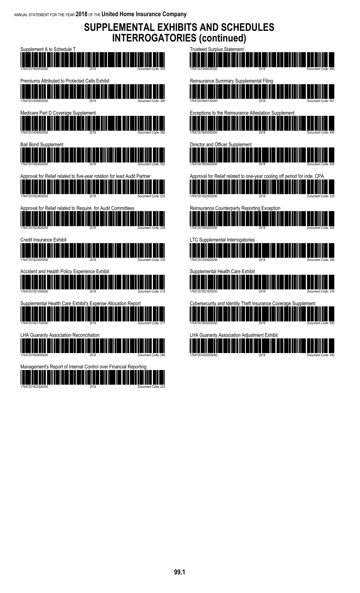### **SUPPLEMENTAL EXHIBITS AND SCHEDULES INTERROGATORIES (continued)**

| Supplement A to Schedule T<br>17647201845500000<br>Document Code: 455                                                                                                                                                                                                   |
|-------------------------------------------------------------------------------------------------------------------------------------------------------------------------------------------------------------------------------------------------------------------------|
| Premiums Attributed to Protected Cells Exhibit<br>17647201838500000                                                                                                                                                                                                     |
| Medicare Part D Coverage Supplement<br>17647201836500000<br>Document Code:                                                                                                                                                                                              |
| Bail Bond Supplement<br>17647201850000000                                                                                                                                                                                                                               |
| Approval for Relief related to five-year rotation for lead Audit Partner<br>17647201822400000<br>Document Code:                                                                                                                                                         |
| Approval for Relief related to Require. for Audit Committees<br>17647201822600000                                                                                                                                                                                       |
| Credit Insurance Exhibit<br>17647201823000000<br>Document Code: 230                                                                                                                                                                                                     |
| Accident and Health Policy Experience Exhibit<br>17647201821000000<br>Document Code: 210                                                                                                                                                                                |
| Supplemental Health Care Exhibit's Expense Allocation Report<br><u>andi ili ili ili ili ili ili ili il</u><br>رررو ریاب<br>шш<br><u>HIII HIIII HIII HIIII</u><br>11 I III<br>IIIII<br><u> III AN DHÈIDH NA BHÈIDH NA BHEILEAN NA BEALLAIN NA B</u><br>17647201821700000 |
| <b>LHA Guaranty Association Reconciliation</b><br><u> Mariji da matshirilgan ma'lumot</u>                                                                                                                                                                               |
| Management's Report of Internal Control over Financial Reporting<br>17647201822300000                                                                                                                                                                                   |

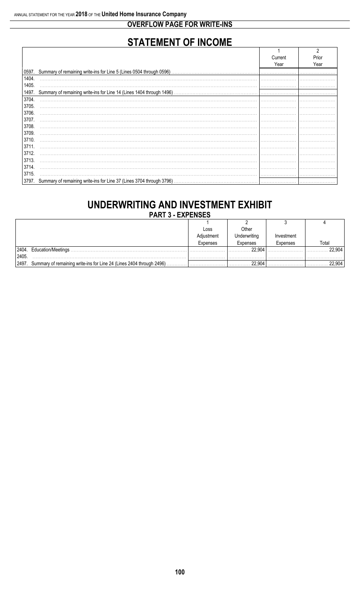#### **OVERFLOW PAGE FOR WRITE-INS**

## **STATEMENT OF INCOME**

|       |                                                                            | Current | Prior |
|-------|----------------------------------------------------------------------------|---------|-------|
|       |                                                                            | Year    | Year  |
|       | 0597. Summary of remaining write-ins for Line 5 (Lines 0504 through 0596)  |         |       |
| 1404. |                                                                            |         |       |
| 1405. |                                                                            |         |       |
| 1497. | Summary of remaining write-ins for Line 14 (Lines 1404 through 1496)       |         |       |
| 3704. |                                                                            |         |       |
| 3705. |                                                                            |         |       |
| 3706. |                                                                            |         |       |
| 3707. |                                                                            |         |       |
| 3708. |                                                                            |         |       |
| 3709. |                                                                            |         |       |
| 3710. |                                                                            |         |       |
| 3711  |                                                                            |         |       |
| 3712. |                                                                            |         |       |
| 3713. |                                                                            |         |       |
| 3714. |                                                                            |         |       |
| 3715. |                                                                            |         |       |
|       | 3797. Summary of remaining write-ins for Line 37 (Lines 3704 through 3796) |         |       |

## UNDERWRITING AND INVESTMENT EXHIBIT

**PART 3 - EXPENSES** 

|        |                                                                      | Loss       | Other        |            |       |
|--------|----------------------------------------------------------------------|------------|--------------|------------|-------|
|        |                                                                      | Adjustment | Underwriting | Investment |       |
|        |                                                                      | Expenses   | Expenses     | Expenses   | Total |
| 2404.  | Education/Meetings                                                   |            | 22,904       |            |       |
| 2405   |                                                                      |            |              |            |       |
| 12497. | Summary of remaining write-ins for Line 24 (Lines 2404 through 2496) |            | 22.904       |            |       |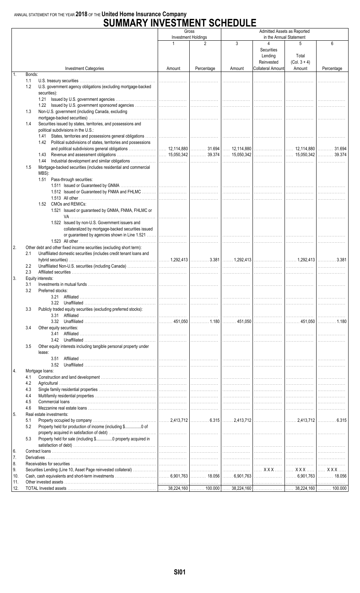#### ANNUAL STATEMENT FOR THE YEAR 2018 OF THE United Home Insurance Company

### **SUMMARY INVESTMENT SCHEDULE**

|           |                                                                                                                       | Gross                      |                 | Admitted Assets as Reported |                                                               |                                        |                 |
|-----------|-----------------------------------------------------------------------------------------------------------------------|----------------------------|-----------------|-----------------------------|---------------------------------------------------------------|----------------------------------------|-----------------|
|           |                                                                                                                       | <b>Investment Holdings</b> |                 |                             | in the Annual Statement                                       |                                        |                 |
|           | <b>Investment Categories</b>                                                                                          | 1<br>Amount                | 2<br>Percentage | 3<br>Amount                 | 4<br>Securities<br>Lending<br>Reinvested<br>Collateral Amount | 5<br>Total<br>$(Col. 3 + 4)$<br>Amount | 6<br>Percentage |
| 1.        | Bonds:                                                                                                                |                            |                 |                             |                                                               |                                        |                 |
|           | 1.1                                                                                                                   | .                          |                 |                             |                                                               |                                        |                 |
|           | 1.2<br>U.S. government agency obligations (excluding mortgage-backed                                                  |                            |                 |                             |                                                               |                                        |                 |
|           | securities):                                                                                                          |                            |                 |                             |                                                               |                                        |                 |
|           |                                                                                                                       |                            |                 |                             |                                                               |                                        |                 |
|           | Non-U.S. government (including Canada, excluding<br>1.3                                                               |                            |                 | .                           | .                                                             |                                        |                 |
|           |                                                                                                                       |                            |                 | .                           | .                                                             |                                        |                 |
|           | Securities issued by states, territories, and possessions and<br>1.4                                                  |                            |                 |                             |                                                               |                                        |                 |
|           | political subdivisions in the U.S.:                                                                                   |                            |                 |                             |                                                               |                                        |                 |
|           | 1.41 States, territories and possessions general obligations                                                          |                            |                 | .                           | .                                                             | .                                      |                 |
|           | 1.42 Political subdivisions of states, territories and possessions                                                    |                            |                 |                             |                                                               |                                        |                 |
|           |                                                                                                                       |                            |                 |                             |                                                               |                                        |                 |
|           | 1.43                                                                                                                  |                            |                 |                             |                                                               |                                        |                 |
|           | 1.44<br>Mortgage-backed securities (includes residential and commercial<br>1.5                                        |                            |                 | .                           | .                                                             |                                        | .               |
|           | MBS):                                                                                                                 |                            |                 |                             |                                                               |                                        |                 |
|           | 1.51 Pass-through securities:                                                                                         |                            |                 |                             |                                                               |                                        |                 |
|           |                                                                                                                       |                            |                 | .                           | .                                                             |                                        |                 |
|           |                                                                                                                       |                            |                 | .                           |                                                               |                                        |                 |
|           |                                                                                                                       |                            |                 | .                           | .                                                             |                                        |                 |
|           | 1.52 CMOs and REMICs:                                                                                                 |                            |                 |                             |                                                               |                                        |                 |
|           | 1.521 Issued or guaranteed by GNMA, FNMA, FHLMC or                                                                    |                            |                 |                             |                                                               |                                        |                 |
|           | 1.522 Issued by non-U.S. Government issuers and                                                                       | .                          |                 |                             |                                                               |                                        |                 |
|           | collateralized by mortgage-backed securities issued                                                                   |                            |                 |                             |                                                               |                                        |                 |
|           | or guaranteed by agencies shown in Line 1.521                                                                         |                            |                 | .                           |                                                               |                                        |                 |
|           |                                                                                                                       | .                          | .               |                             |                                                               |                                        |                 |
| 2.        | Other debt and other fixed income securities (excluding short term):                                                  |                            |                 |                             |                                                               |                                        |                 |
|           | Unaffiliated domestic securities (includes credit tenant loans and<br>2.1                                             |                            |                 |                             |                                                               |                                        |                 |
|           |                                                                                                                       |                            |                 |                             |                                                               |                                        |                 |
|           | $2.2\phantom{0}$<br>2.3                                                                                               |                            |                 | .<br>.                      | .<br>. 1                                                      | .<br>.                                 |                 |
| 3.        | Equity interests:                                                                                                     |                            |                 |                             |                                                               |                                        |                 |
|           | 3.1                                                                                                                   |                            |                 |                             |                                                               |                                        | 1.              |
|           | 3.2<br>Preferred stocks:                                                                                              |                            |                 |                             |                                                               |                                        |                 |
|           |                                                                                                                       |                            |                 | .                           |                                                               |                                        |                 |
|           |                                                                                                                       |                            |                 |                             |                                                               |                                        |                 |
|           | Publicly traded equity securities (excluding preferred stocks):<br>3.3                                                |                            |                 |                             |                                                               |                                        |                 |
|           | 3.31                                                                                                                  |                            |                 |                             |                                                               |                                        |                 |
|           | Other equity securities:<br>3.4                                                                                       |                            |                 |                             |                                                               |                                        |                 |
|           |                                                                                                                       |                            |                 |                             |                                                               |                                        |                 |
|           |                                                                                                                       |                            |                 | .                           | .                                                             | .                                      |                 |
|           | Other equity interests including tangible personal property under<br>3.5                                              |                            |                 |                             |                                                               |                                        |                 |
|           | lease:                                                                                                                |                            |                 |                             |                                                               |                                        |                 |
|           | 3.51                                                                                                                  |                            |                 |                             |                                                               |                                        |                 |
|           | 3.52                                                                                                                  |                            |                 | .                           | .                                                             | .                                      |                 |
| 4.        | Mortgage loans:<br>4.1                                                                                                |                            |                 |                             |                                                               |                                        |                 |
|           | 4.2                                                                                                                   |                            |                 | .                           |                                                               |                                        |                 |
|           | 4.3                                                                                                                   |                            |                 | .                           |                                                               |                                        | .               |
|           | 4.4                                                                                                                   |                            |                 |                             |                                                               |                                        | 1.              |
|           | 4.5                                                                                                                   |                            |                 |                             |                                                               |                                        |                 |
|           | 4.6                                                                                                                   |                            |                 |                             |                                                               |                                        | 1.              |
| 5.        | Real estate investments:                                                                                              |                            |                 |                             |                                                               |                                        |                 |
|           | 5.1<br>Property held for production of income (including \$0 of<br>5.2                                                |                            |                 |                             |                                                               |                                        |                 |
|           |                                                                                                                       |                            |                 |                             |                                                               |                                        |                 |
|           | Property held for sale (including \$0 property acquired in<br>5.3                                                     |                            |                 |                             |                                                               |                                        |                 |
|           |                                                                                                                       |                            |                 |                             |                                                               |                                        |                 |
| 6.        |                                                                                                                       |                            |                 |                             |                                                               |                                        |                 |
| 7.        |                                                                                                                       |                            |                 | .                           |                                                               |                                        | .               |
| 8.        |                                                                                                                       |                            |                 |                             |                                                               |                                        |                 |
| 9.<br>10. | Securities Lending (Line 10, Asset Page reinvested collateral) ……………  ………………  ………………  …… XXX ……  …… XXX ……  …… XXX …… |                            |                 |                             |                                                               |                                        |                 |
| 11.       |                                                                                                                       |                            |                 |                             |                                                               |                                        |                 |
| 12.       |                                                                                                                       |                            |                 |                             |                                                               |                                        |                 |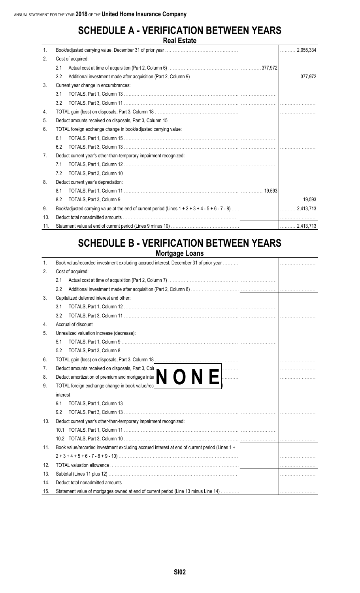#### **SCHEDULE A - VERIFICATION BETWEEN YEARS Real Estate**

|     |                   | העור באמנט                                                                                         |        |                |  |
|-----|-------------------|----------------------------------------------------------------------------------------------------|--------|----------------|--|
| 1.  |                   |                                                                                                    |        | 2,055,334<br>. |  |
| 2.  | Cost of acquired: |                                                                                                    |        |                |  |
|     | 2.1               |                                                                                                    |        |                |  |
|     | 2.2               |                                                                                                    |        | 377,972        |  |
| 3.  |                   | Current year change in encumbrances:                                                               |        |                |  |
|     | 3.1               |                                                                                                    |        |                |  |
|     | 3.2               |                                                                                                    |        |                |  |
| 14. |                   |                                                                                                    |        |                |  |
| 5.  |                   |                                                                                                    |        |                |  |
| 66. |                   | TOTAL foreign exchange change in book/adjusted carrying value:                                     |        |                |  |
|     | 6.1               |                                                                                                    |        |                |  |
|     | 6.2               |                                                                                                    |        |                |  |
| 7.  |                   | Deduct current year's other-than-temporary impairment recognized:                                  |        |                |  |
|     | 7.1               |                                                                                                    |        |                |  |
|     | 7.2               |                                                                                                    |        |                |  |
| 8   |                   | Deduct current year's depreciation:                                                                |        |                |  |
|     | 8.1               |                                                                                                    | 19,593 |                |  |
|     | 8.2               |                                                                                                    |        |                |  |
| 9.  |                   | Book/adjusted carrying value at the end of current period (Lines $1 + 2 + 3 + 4 - 5 + 6 - 7 - 8$ ) |        |                |  |
| 10. |                   |                                                                                                    |        |                |  |
| 11. |                   |                                                                                                    |        |                |  |

## **SCHEDULE B - VERIFICATION BETWEEN YEARS**

**Mortgage Loans**

| 1.  | Book value/recorded investment excluding accrued interest, December 31 of prior year                         |  |
|-----|--------------------------------------------------------------------------------------------------------------|--|
| 2.  | Cost of acquired:                                                                                            |  |
|     | 2.1                                                                                                          |  |
|     | 2.2                                                                                                          |  |
| 3.  | Capitalized deferred interest and other:                                                                     |  |
|     | 3.1                                                                                                          |  |
|     | 3.2                                                                                                          |  |
| 4.  |                                                                                                              |  |
| 5.  | Unrealized valuation increase (decrease):                                                                    |  |
|     | 5.1                                                                                                          |  |
|     | 5.2                                                                                                          |  |
| 6.  |                                                                                                              |  |
| 7.  | Deduct amounts received on disposals, Part 3, Col                                                            |  |
| 8.  | Deduct amortization of premium and mortgage internet and the TOTAL foreign exchange change in book value/red |  |
| 9.  |                                                                                                              |  |
|     | interest                                                                                                     |  |
|     | 9.1                                                                                                          |  |
|     | 9.2                                                                                                          |  |
| 10. | Deduct current year's other-than-temporary impairment recognized:                                            |  |
|     |                                                                                                              |  |
|     |                                                                                                              |  |
| 11. | Book value/recorded investment excluding accrued interest at end of current period (Lines 1 +                |  |
|     |                                                                                                              |  |
| 12. |                                                                                                              |  |
| 13. |                                                                                                              |  |
| 14. |                                                                                                              |  |
| 15. | Statement value of mortgages owned at end of current period (Line 13 minus Line 14)                          |  |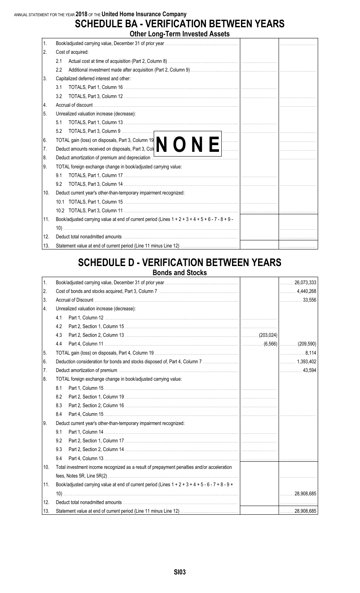ANNUAL STATEMENT FOR THE YEAR **2018** OF THE **United Home Insurance Company**

## **SCHEDULE BA - VERIFICATION BETWEEN YEARS**

|     | <b>Other Long-Term Invested Assets</b>                                                                 |  |
|-----|--------------------------------------------------------------------------------------------------------|--|
| 1.  |                                                                                                        |  |
| 2.  | Cost of acquired:                                                                                      |  |
|     | 2.1                                                                                                    |  |
|     | 2.2                                                                                                    |  |
| 3.  | Capitalized deferred interest and other:                                                               |  |
|     | 3.1                                                                                                    |  |
|     | 3.2                                                                                                    |  |
| 4.  |                                                                                                        |  |
| 5.  | Unrealized valuation increase (decrease):                                                              |  |
|     | 5.1                                                                                                    |  |
|     | 5.2                                                                                                    |  |
| 6.  |                                                                                                        |  |
| 7.  | TOTAL gain (loss) on disposals, Part 3, Column 19<br>Deduct amounts received on disposals, Part 3, Col |  |
| 8.  |                                                                                                        |  |
| 9.  | TOTAL foreign exchange change in book/adjusted carrying value:                                         |  |
|     | 9.1                                                                                                    |  |
|     | 9.2                                                                                                    |  |
| 10. | Deduct current year's other-than-temporary impairment recognized:                                      |  |
|     |                                                                                                        |  |
|     |                                                                                                        |  |
| 11. | Book/adjusted carrying value at end of current period (Lines $1 + 2 + 3 + 4 + 5 + 6 - 7 - 8 + 9 - 1$   |  |
|     |                                                                                                        |  |
| 12. |                                                                                                        |  |
| 13. |                                                                                                        |  |

#### **SCHEDULE D - VERIFICATION BETWEEN YEARS Bonds and Stocks**

| $\mathbf{1}$ . |                                                                                                      | $\ldots$ 26,073,333                 |
|----------------|------------------------------------------------------------------------------------------------------|-------------------------------------|
| 2.             |                                                                                                      |                                     |
| 3.             |                                                                                                      | 33,556                              |
| 4.             | Unrealized valuation increase (decrease):                                                            |                                     |
|                | 4.1                                                                                                  |                                     |
|                | 4.2                                                                                                  |                                     |
|                | 4.3                                                                                                  |                                     |
|                | 4.4                                                                                                  |                                     |
| 5.             |                                                                                                      | $\ldots \ldots \ldots \ldots 8,114$ |
| 6.             | Deduction consideration for bonds and stocks disposed of, Part 4, Column 7                           |                                     |
| 7.             |                                                                                                      | 43,594                              |
| 8.             | TOTAL foreign exchange change in book/adjusted carrying value:                                       |                                     |
|                | 8.1                                                                                                  |                                     |
|                | 8.2                                                                                                  |                                     |
|                | 8.3                                                                                                  |                                     |
|                | 8.4                                                                                                  |                                     |
| 9.             | Deduct current year's other-than-temporary impairment recognized:                                    |                                     |
|                | 9.1                                                                                                  |                                     |
|                | 9.2                                                                                                  |                                     |
|                | 9.3                                                                                                  |                                     |
|                | 9.4                                                                                                  | .                                   |
| 10.            | Total investment income recognized as a result of prepayment penalties and/or acceleration           |                                     |
|                |                                                                                                      |                                     |
| 11.            | Book/adjusted carrying value at end of current period (Lines $1 + 2 + 3 + 4 + 5 - 6 - 7 + 8 - 9 + 1$ |                                     |
|                |                                                                                                      | $\ldots \ldots 28,908,685$          |
| 12.            |                                                                                                      |                                     |
| 13.            |                                                                                                      | $ $ 28,908,685                      |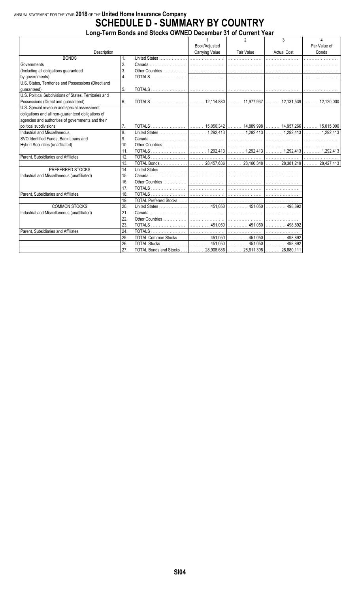#### **Long-Term Bonds and Stocks OWNED December 31 of Current Year**

|                                                        |     |                                                                   | $\mathbf{1}$   | $\mathfrak{p}$ | 3                  | $\overline{4}$ |
|--------------------------------------------------------|-----|-------------------------------------------------------------------|----------------|----------------|--------------------|----------------|
|                                                        |     |                                                                   | Book/Adjusted  |                |                    | Par Value of   |
| Description                                            |     |                                                                   | Carrying Value | Fair Value     | <b>Actual Cost</b> | <b>Bonds</b>   |
| <b>BONDS</b>                                           | 1.  |                                                                   |                |                |                    |                |
| Governments                                            | 2.  |                                                                   |                |                |                    |                |
| (Including all obligations guaranteed                  | 3.  |                                                                   |                |                |                    |                |
| by governments)                                        | 4.  |                                                                   |                |                |                    |                |
| U.S. States, Territories and Possessions (Direct and   |     |                                                                   |                |                |                    |                |
| quaranteed)                                            | 5.  |                                                                   |                |                |                    |                |
| U.S. Political Subdivisions of States, Territories and |     |                                                                   |                |                |                    |                |
| Possessions (Direct and guaranteed)                    | 6.  |                                                                   |                |                |                    |                |
| U.S. Special revenue and special assessment            |     |                                                                   |                |                |                    |                |
| obligations and all non-quaranteed obligations of      |     |                                                                   |                |                |                    |                |
| agencies and authorities of governments and their      |     |                                                                   |                |                |                    |                |
| political subdivisions                                 | 7.  |                                                                   |                |                |                    |                |
| Industrial and Miscellaneous.                          | 8.  |                                                                   |                |                |                    |                |
| SVO Identified Funds, Bank Loans and                   | 9.  |                                                                   |                |                |                    |                |
| Hybrid Securities (unaffiliated)                       | 10. |                                                                   |                |                |                    |                |
|                                                        | 11. |                                                                   |                |                |                    |                |
| Parent, Subsidiaries and Affiliates                    | 12. |                                                                   |                |                |                    |                |
|                                                        | 13. |                                                                   |                |                |                    |                |
| PREFERRED STOCKS                                       | 14. |                                                                   |                |                |                    |                |
| Industrial and Miscellaneous (unaffiliated)            | 15. |                                                                   |                |                |                    |                |
|                                                        | 16. |                                                                   |                |                |                    |                |
|                                                        | 17. |                                                                   |                |                |                    |                |
| Parent, Subsidiaries and Affiliates                    | 18. |                                                                   |                |                |                    |                |
|                                                        | 19. |                                                                   |                |                |                    |                |
| <b>COMMON STOCKS</b>                                   | 20. |                                                                   |                |                |                    |                |
| Industrial and Miscellaneous (unaffiliated)            | 21. |                                                                   |                |                |                    |                |
|                                                        | 22. |                                                                   |                |                |                    |                |
|                                                        | 23. |                                                                   |                |                |                    |                |
| Parent. Subsidiaries and Affiliates                    | 24. |                                                                   |                |                |                    |                |
|                                                        | 25. | TOTAL Common Stocks     451,050    451,050    498,892             |                |                |                    |                |
|                                                        | 26. |                                                                   |                |                |                    |                |
|                                                        | 27. | TOTAL Bonds and Stocks     28,908,686    28,611,398    28,880,111 |                |                |                    |                |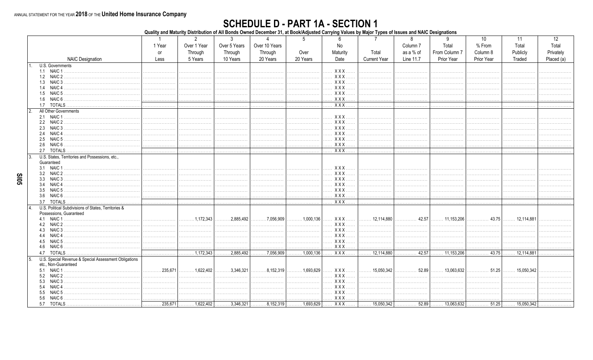# SCHEDULE D - PART 1A - SECTION 1<br>Quality and Maturity Distribution of All Bonds Owned December 31, at Book/Adjusted Carrying Values by Major Types of Issues and NAIC Designations

|                                                       |                             | $\mathcal{P}$                               | 3                         |                                    |                                             |                          |                                    | 8                   | 9                              | 10         | 11                    | 12         |
|-------------------------------------------------------|-----------------------------|---------------------------------------------|---------------------------|------------------------------------|---------------------------------------------|--------------------------|------------------------------------|---------------------|--------------------------------|------------|-----------------------|------------|
|                                                       | 1 Year                      | Over 1 Year                                 | Over 5 Years              | Over 10 Years                      |                                             | No                       |                                    | Column <sub>7</sub> | Total                          | % From     | Total                 | Total      |
|                                                       | <b>or</b>                   | Through                                     | Through                   | Through                            | Over                                        | Maturity                 | Total                              | as a % of           | From Column 7                  | Column 8   | Publicly              | Privately  |
| <b>NAIC Designation</b>                               | Less                        | 5 Years                                     | 10 Years                  | 20 Years                           | 20 Years                                    | Date                     | <b>Current Year</b>                | Line 11.7           | Prior Year                     | Prior Year | Traded                | Placed (a) |
| U.S. Governments                                      |                             |                                             |                           |                                    |                                             |                          |                                    |                     |                                |            |                       |            |
| 1.1 NAIC 1                                            | .                           | .                                           |                           | .                                  | .                                           | <b>XXX</b>               | .                                  | .                   | .                              | .          | .                     |            |
|                                                       |                             |                                             |                           | .                                  |                                             | XXX                      |                                    |                     | .                              | .          | .                     |            |
| 1.3 NAIC 3                                            | .                           | .                                           |                           | .                                  | .                                           | <b>XXX</b><br>$\cdots$   | .                                  | .                   |                                | .          | .                     |            |
| NAIC 4<br>1.4                                         | .                           | .                                           |                           | .                                  | .                                           | XXX<br>.                 |                                    | .                   | .                              | .          |                       |            |
| 1.6 NAIC 6                                            |                             | .                                           | .                         | .                                  | .                                           | . X X X .<br>XXX         | .                                  | .                   |                                | .          | .                     |            |
| 1.7 TOTALS                                            | .                           | .                                           | .                         | .                                  | .                                           | $XXX$                    | .                                  | .                   | .                              | .          | .                     |            |
| All Other Governments                                 |                             |                                             |                           | .                                  |                                             |                          | .                                  | .                   |                                |            | .                     | .          |
|                                                       |                             |                                             |                           |                                    |                                             | XXX                      |                                    |                     |                                |            | .                     |            |
| 2.2 NAIC 2                                            |                             |                                             |                           | .                                  |                                             | <b>XXX</b><br>.          |                                    |                     |                                |            | .                     |            |
| NAIC 3<br>2.3                                         |                             |                                             |                           | .                                  |                                             | XXX                      |                                    |                     |                                |            | .                     |            |
| NAIC <sub>4</sub><br>2.4                              |                             |                                             |                           |                                    |                                             | XXX                      |                                    |                     |                                |            |                       |            |
| NAIC 5<br>2.5                                         |                             |                                             |                           |                                    |                                             | XXX                      | .                                  |                     |                                |            | .                     |            |
| NAIC 6<br>2.6                                         |                             |                                             |                           | .                                  | .                                           | XXX.                     |                                    |                     |                                |            | .                     |            |
| <b>TOTALS</b><br>2.7                                  | .                           | .                                           | .                         | .                                  | .                                           | XXX                      | .                                  | .                   | .                              | .          | .                     |            |
| U.S. States, Territories and Possessions, etc.<br>3   |                             |                                             |                           |                                    |                                             |                          |                                    |                     |                                |            |                       |            |
| Guaranteed                                            |                             |                                             |                           |                                    |                                             |                          |                                    |                     |                                |            |                       |            |
| 3.1 NAIC 1                                            |                             |                                             |                           |                                    |                                             | XXX                      |                                    |                     |                                |            |                       |            |
| 3.2 NAIC 2                                            |                             | .                                           |                           | .                                  | .                                           | XXX.<br>$\cdots$         | .                                  |                     | .                              | .          | .                     |            |
| NAIC 3<br>3.3<br>NAIC <sub>4</sub><br>3.4             |                             |                                             |                           |                                    |                                             | <b>XXX</b><br><b>XXX</b> |                                    |                     |                                |            | .                     |            |
| NAIC <sub>5</sub><br>3.5                              |                             |                                             |                           | .<br>.                             |                                             | $XXX$<br>.               | .<br>.                             | .                   |                                | .          | .<br>.                |            |
| 3.6 NAIC 6                                            |                             | .                                           | .                         | .                                  |                                             | XXX                      | .                                  |                     | .                              | .          | .                     |            |
| 3.7 TOTALS                                            | .                           |                                             |                           | .                                  | .                                           | $\overline{XXX}$         |                                    | .                   | .                              |            |                       |            |
| U.S. Political Subdivisions of States, Territories &  |                             |                                             |                           |                                    |                                             |                          |                                    |                     |                                |            |                       |            |
| Possessions, Guaranteed                               |                             |                                             |                           |                                    |                                             |                          |                                    |                     |                                |            |                       |            |
|                                                       |                             | $\ldots$ , , 1.172.343                      | $\ldots \ldots 2.885.492$ | $\ldots \ldots \ldots$ 7,056,909   | $\ldots \ldots 1,000,136$                   | XXX                      | $\vert$ 12,114,880 $\vert$ .       | 42.57               | . 11,153,206                   |            |                       |            |
|                                                       |                             | .                                           | .                         | .                                  | .                                           | XXX.<br>$\cdots$<br>.    |                                    |                     | .                              |            | .                     |            |
| 4.3 NAIC 3                                            |                             |                                             | .                         | .                                  | .                                           | XXX                      | .                                  |                     | .                              | .          |                       |            |
| 4.4 NAIC 4                                            |                             |                                             |                           | .                                  |                                             | XXX                      | .                                  |                     |                                | .          | .                     |            |
| 4.5 NAIC 5                                            |                             | .                                           | .                         | .                                  |                                             | XXX                      | .                                  | .                   | .                              | .          | .                     |            |
| 4.6 NAIC 6                                            |                             |                                             |                           |                                    |                                             | XXX                      | .                                  |                     |                                | .          | .                     |            |
|                                                       | .                           | $\overline{\ldots \ldots \ldots 1,172,343}$ | 2,885,492                 | .7,056,909                         | $\overline{\ldots \ldots \ldots 1,000,136}$ | XXX                      | $\overline{\ldots}$ 12,114,880     | .42.57<br>.         | $\overline{\ldots}$ 11,153,206 | 43.75      | $\ldots$ 12,114,881   |            |
| U.S. Special Revenue & Special Assessment Obligations |                             |                                             |                           |                                    |                                             |                          |                                    |                     |                                |            |                       |            |
| etc., Non-Guaranteed                                  | 235.671<br>.                | $\ldots$ , 1.622.402                        | $\ldots \ldots 3,346,321$ | $\ldots \ldots 8.152.319$          | . 1,693,629                                 | XXX                      | $\left  \ldots \right $ 15,050,342 | . 52.89             | $\ldots$ 13.063.632            | . 51.25    | $\ldots$ . 15,050.342 |            |
| 5.2 NAIC 2                                            |                             | .                                           |                           | .                                  | .                                           | XXX                      | .                                  | .                   | .                              | .          |                       |            |
| NAIC <sub>3</sub><br>5.3                              |                             |                                             |                           | .                                  |                                             | XXX                      | .                                  |                     |                                | .          |                       |            |
| NAIC <sub>4</sub><br>5.4                              |                             |                                             |                           |                                    |                                             | XXX.<br>.                | .                                  |                     |                                | .          | .                     |            |
| NAIC 5<br>5.5                                         |                             | .                                           |                           | .                                  | .                                           | XXX                      | .                                  |                     | .                              | .          | .                     |            |
| NAIC 6 .<br>5.6                                       |                             |                                             |                           |                                    |                                             | XXX                      | .                                  |                     |                                |            |                       |            |
| 5.7 TOTALS                                            | $\overline{\ldots}$ 235,671 |                                             |                           | $\overline{8,152,319}$ 1,693,629 . |                                             | XXX                      |                                    |                     |                                |            |                       |            |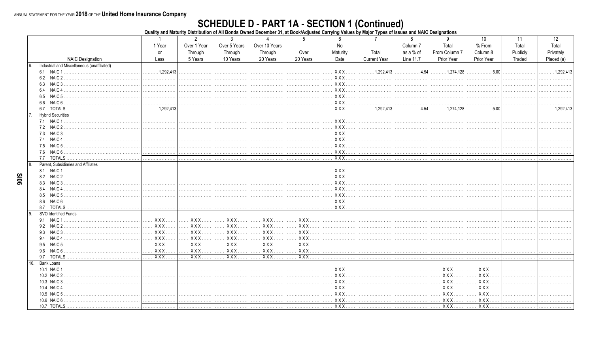90IS

# **SCHEDULE D - PART 1A - SECTION 1 (Continued)**<br>Quality and Maturity Distribution of All Bonds Owned December 31, at Book/Adjusted Carrying Values by Major Types of Issues and NAIC Designations

|     |                                             |                                             | $\overline{2}$   | 3                      | $\Lambda$     | 5                      | 6                 | 7                   | 8                                             | 9                                           | 10                | 11       | 12                 |
|-----|---------------------------------------------|---------------------------------------------|------------------|------------------------|---------------|------------------------|-------------------|---------------------|-----------------------------------------------|---------------------------------------------|-------------------|----------|--------------------|
|     |                                             | 1 Year                                      | Over 1 Year      | Over 5 Years           | Over 10 Years |                        | No                |                     | Column <sub>7</sub>                           | Total                                       | % From            | Total    | Total              |
|     |                                             | or                                          | Through          | Through                | Through       | Over                   | Maturity          | Total               | as a % of                                     | From Column 7                               | Column 8          | Publicly | Privately          |
|     | <b>NAIC Designation</b>                     | Less                                        | 5 Years          | 10 Years               | 20 Years      | 20 Years               | Date              | <b>Current Year</b> | Line 11.7                                     | Prior Year                                  | Prior Year        | Traded   | Placed (a)         |
|     | Industrial and Miscellaneous (unaffiliated) |                                             |                  |                        |               |                        |                   |                     |                                               |                                             |                   |          |                    |
|     | 6.1 NAIC 1                                  | $\ldots$ , 1.292.413                        | .                | .                      |               | .                      | <b>XXX</b>        | 1,292,413           | $\ldots \ldots \ldots \ldots 4.54$            | $\ldots \ldots 1,274,128$                   | .5.00<br>.        | .        | $\ldots$ 1.292.413 |
|     |                                             |                                             | .                | .                      | .             | .                      | $XXX$<br>$\cdots$ |                     |                                               | .                                           | .                 |          |                    |
|     | 6.3 NAIC 3                                  |                                             |                  |                        | .             |                        | <b>XXX</b>        | .                   |                                               |                                             | .                 | .        |                    |
|     | NAIC <sub>4</sub><br>6.4                    | .                                           |                  | .                      | .             | .                      | $XXX$             | .                   | .                                             | .                                           | .                 |          |                    |
|     | NAIC 5<br>6.5                               | .                                           | .                | .                      | .             | .                      | <b>XXX</b>        | .                   | .                                             | .                                           | .                 |          |                    |
|     | NAIC <sub>6</sub>                           |                                             | .                | .                      | .             |                        | XXX               | .                   |                                               |                                             |                   | .        |                    |
|     | 6.7 TOTALS.                                 | $\overline{\ldots \ldots \ldots 1,292,413}$ | .                | .                      | .             | .                      | $XXX$             | .1,292,413<br>.     | $\overline{\cdots \cdots \cdots \cdots 4.54}$ | $\overline{\ldots \ldots \ldots 1,274,128}$ | $\overline{5.00}$ |          | .1.292.413         |
|     | <b>Hybrid Securities</b>                    |                                             |                  |                        |               |                        |                   |                     |                                               |                                             |                   |          |                    |
|     | 7.1 NAIC 1                                  | .                                           | .                |                        | .             | .                      | <b>XXX</b>        | .                   | .                                             | .                                           |                   |          |                    |
|     |                                             |                                             |                  |                        | .             |                        | <b>XXX</b>        |                     |                                               |                                             |                   | .        |                    |
|     | NAIC <sub>3</sub><br>7.3                    | .                                           | .                |                        | .             | .                      | XXX.              | .                   | .                                             |                                             | .                 |          |                    |
|     | 7.4 NAIC 4                                  |                                             |                  |                        | .             |                        | $XXX$             | .                   | .                                             |                                             | .                 | .        |                    |
|     | 7.5 NAIC 5.                                 |                                             | .                |                        | .             | .                      | $XXX$<br>$\cdots$ | .                   | .                                             | .                                           | .                 | .        |                    |
|     | NAIC 6<br>7.6                               | .                                           | .                | .                      | .             | .                      | XXX               | .                   | .                                             | .                                           | .                 | .        |                    |
|     | 7.7 TOTALS                                  | .                                           | .                | .                      | .             | .                      | $XXX$             | .                   | .                                             | .                                           | .                 |          |                    |
|     | Parent, Subsidiaries and Affiliates         |                                             |                  |                        |               |                        |                   |                     |                                               |                                             |                   |          |                    |
|     | NAIC <sub>1</sub><br>8.1                    |                                             |                  |                        | .             |                        | X X X             | .                   |                                               | .                                           |                   | .        |                    |
|     | 8.2 NAIC 2                                  |                                             | .                |                        |               | .                      | $XXX$             | .                   | .                                             | .                                           | .                 |          |                    |
|     | 8.3 NAIC 3.                                 |                                             | .                |                        | .             | .                      | XXX<br>$\cdots$   | .                   | .                                             | .                                           | .                 | .        |                    |
|     | NAIC <sub>4</sub><br>8.4                    | .                                           | .                | .                      | .             | .                      | $XXX$             |                     | .                                             | .                                           | .                 |          |                    |
|     | 8.5                                         |                                             |                  |                        | .             |                        | <b>XXX</b>        |                     |                                               |                                             |                   | .        | .                  |
|     | NAIC 6                                      | .                                           | .                |                        | .             |                        | $XXX$             | .                   | .                                             |                                             | .                 | .        | .                  |
|     | 8.7 TOTALS                                  | .                                           | .                | .                      | .             | .                      | $XXX$             | .                   | .                                             | .                                           | .                 | .        |                    |
| 9   | SVO Identified Funds                        |                                             |                  |                        |               |                        |                   |                     |                                               |                                             |                   |          |                    |
|     | 9.1 NAIC 1                                  | <b>XXX</b><br>.                             | XXX              | <b>XXX</b>             | XXX           | XXX                    |                   |                     |                                               |                                             |                   |          | .                  |
|     | 9.2 NAIC 2                                  | <b>XXX</b>                                  | <b>XXX</b>       | XXX                    | <b>XXX</b>    | <b>XXX</b>             | .                 |                     | .                                             | .                                           | .                 |          |                    |
|     | NAIC 3<br>9.3                               | XXX                                         | XXX              | XXX                    | XXX           | XXX                    |                   |                     |                                               | .                                           | .                 | .        |                    |
|     | 9.4 NAIC 4                                  | <b>XXX</b><br>.                             | XXX              | XXX                    | XXX           | <b>XXX</b>             |                   |                     |                                               |                                             |                   | .        |                    |
|     | NAIC <sub>5</sub><br>9.5                    | <b>XXX</b>                                  | <b>XXX</b>       | <b>XXX</b>             | <b>XXX</b>    | <b>XXX</b><br>$\cdots$ | .                 | .                   | .                                             | .                                           | .                 |          |                    |
|     | NAIC 6.<br>9.6                              | XXX                                         | XXX              | XXX                    | XXX           | XXX                    | .                 | .                   | .                                             | .                                           | .                 | .        |                    |
|     | 9.7 TOTALS                                  | $XXX$                                       | $\overline{XXX}$ | $\overline{XXX \dots}$ | $XXX$         | $XXX$                  | .                 |                     | .                                             | .                                           | .                 |          |                    |
| 10. | <b>Bank Loans</b>                           |                                             |                  |                        |               |                        |                   |                     |                                               |                                             |                   |          |                    |
|     | 10.1 NAIC 1                                 |                                             | .                |                        | .             | .                      | XXX               | .                   |                                               | XXX                                         | <b>XXX</b>        | .        |                    |
|     | 10.2 NAIC 2                                 |                                             |                  |                        | .             |                        | X X X             | .                   |                                               | <b>XXX</b>                                  | <b>XXX</b>        |          |                    |
|     | 10.3 NAIC 3                                 |                                             | .                |                        | .             | .                      | $XXX$             | .                   | .                                             | <b>XXX</b>                                  | $XXX$             |          |                    |
|     | 10.4 NAIC 4                                 |                                             | .                |                        | .             | .                      | XXX<br>.          | .                   |                                               | <b>XXX</b>                                  | $XXX$             | .        |                    |
|     | 10.5 NAIC 5                                 |                                             |                  |                        |               | .                      | XXX               |                     | .                                             | XXX                                         | XXX.              |          |                    |
|     | 10.6 NAIC 6.                                |                                             | .                | .                      | .             | .                      | $XXX$             | .                   | .                                             | $XXX$ .                                     | $XXX$             |          |                    |
|     | 10.7 TOTALS                                 | .                                           | .                | .                      | .             | .                      | $XXX$             | .                   | .                                             | XXX                                         | $XXX$             |          |                    |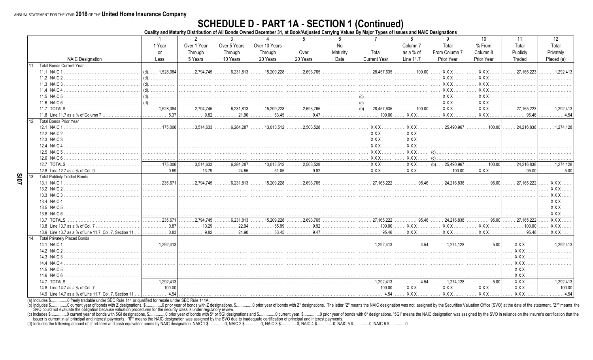# **SCHEDULE D - PART 1A - SECTION 1 (Continued)**<br>Quality and Maturity Distribution of All Bonds Owned December 31, at Book/Adjusted Carrying Values By Major Types of Issues and NAIC Designations

|     |                                                        | -1                                          | $\overline{2}$                       | 3                         |                                | 5                             | 6        | 7                              | 8                        | 9                                           | 10 <sup>°</sup>            | 11                             | 12                               |
|-----|--------------------------------------------------------|---------------------------------------------|--------------------------------------|---------------------------|--------------------------------|-------------------------------|----------|--------------------------------|--------------------------|---------------------------------------------|----------------------------|--------------------------------|----------------------------------|
|     |                                                        | 1 Year                                      | Over 1 Year                          | Over 5 Years              | Over 10 Years                  |                               | No       |                                | Column <sub>7</sub>      | Total                                       | % From                     | Total                          | Total                            |
|     |                                                        | <b>or</b>                                   | Through                              | Through                   | Through                        | Over                          | Maturity | Total                          | as a % of                | From Column 7                               | Column 8                   | Publicly                       | Privately                        |
|     | <b>NAIC Designation</b>                                | Less                                        | 5 Years                              | 10 Years                  | 20 Years                       | 20 Years                      | Date     | <b>Current Year</b>            | Line 11.7                | Prior Year                                  | Prior Year                 | Traded                         | Placed (a)                       |
| 11  | <b>Total Bonds Current Year</b>                        |                                             |                                      |                           |                                |                               |          |                                |                          |                                             |                            |                                |                                  |
|     | 11.1 NAIC 1                                            | $(d)$ <sub>1.528.084</sub>                  | .2,794,745                           | .6,231,813                | $\ldots$ 15,209,228            | .2.693.765                    | .        | 28.457.635                     | 100.00<br>.              | XXX                                         | $XXX$                      | 27.165.223                     | $\ldots$ 1.292.413               |
|     | 11.2 NAIC 2                                            | $(d)$                                       | .                                    | .                         | .                              | .                             | .        |                                |                          | <b>XXX</b>                                  | $XXX$                      | .                              |                                  |
|     | 11.3 NAIC 3                                            |                                             | .                                    | .                         | .                              |                               |          | .                              |                          | <b>XXX</b>                                  | $XXX$                      |                                |                                  |
|     | 11.4 NAIC 4                                            | $\mid$ (d) $\ldots$                         |                                      |                           |                                |                               |          |                                |                          | XXX                                         | <b>XXX</b>                 | .                              |                                  |
|     | 11.5 NAIC 5                                            |                                             |                                      |                           |                                |                               |          | $\vert$ (c).                   |                          | <b>XXX</b>                                  | $XXX$                      |                                |                                  |
|     | 11.6 NAIC 6                                            | $(d)$                                       |                                      |                           |                                |                               | .        | $\vert$ (c).                   |                          | <b>XXX</b>                                  | $XXX$                      | .                              |                                  |
|     | 11.7 TOTALS                                            | $\overline{1,111}$ 1,528,084                | .2,794,745                           | .6,231,813                | $\overline{\ldots}$ 15,209,228 | .2,693,765                    | .        | $(b)$ 28,457,635               | 100.00                   | $\overline{XXX}$                            | $\overline{XXX}$ .         | 27, 165, 223                   | 1 292 413                        |
|     |                                                        | . 5.37                                      | . 9.82                               | 21.90                     | . 53.45                        | 0.47                          | .        |                                | XXX                      | <b>XXX</b>                                  | <b>XXX</b>                 | .95.46<br>.                    |                                  |
| 12. | <b>Total Bonds Prior Year</b>                          |                                             |                                      |                           |                                |                               |          |                                |                          |                                             |                            |                                |                                  |
|     | 12.1 NAIC 1                                            | $\ldots \ldots \ldots 175,006$              | $\ldots \ldots \ldots 3,514,633$     | $\ldots \ldots 6,284,287$ | $\ldots$ 13,013,512            | .2,503,528<br>.               | .        | XXX                            | <b>XXX</b>               | $\ldots$ 25,490,967                         |                            | $\ldots$ 24,216,838            | $\ldots \ldots 1,274,128$        |
|     | 12.2 NAIC 2                                            |                                             |                                      | .                         | .                              | .                             | .        | <b>XXX</b>                     | <b>XXX</b>               |                                             | .                          |                                |                                  |
|     | 12.3 NAIC 3.                                           |                                             |                                      |                           |                                |                               |          | XXX.                           | <b>XXX</b>               |                                             |                            | .                              |                                  |
|     | 12.4 NAIC 4                                            |                                             |                                      |                           |                                |                               |          | <b>XXX</b><br>.                | <b>XXX</b>               |                                             |                            |                                |                                  |
|     | 12.5 NAIC 5.                                           |                                             |                                      |                           |                                |                               |          | XXX                            | <b>XXX</b>               |                                             |                            |                                |                                  |
|     | 12.6 NAIC 6                                            |                                             |                                      |                           | .                              |                               | .        | XXX.                           | $XXX$                    | (c)                                         |                            | .                              |                                  |
|     | 12.7 TOTALS                                            |                                             | $\overline{\ldots \ldots 3,514,633}$ | $\overline{6,284,287}$    | $\overline{\ldots}$ 13.013.512 | $\overline{\ldots}$ 2,503,528 |          | $\overline{XXX}$               | <b>XXX</b><br>$\ldots$ . | $(b)$ 25,490,967                            | $\overline{\cdots}$ 100.00 | $\overline{\ldots}$ 24,216,838 | $\ldots \ldots 1,274.128$        |
|     |                                                        | . 0.69                                      | . 13.79                              |                           | $\ldots \ldots \ldots 51.05$   | . 9.82                        | .        | $XXX$                          | <b>XXX</b>               | 100.00                                      | <b>XXX</b>                 | .95.00<br>.                    | 500                              |
| 13. | <b>Total Publicly Traded Bonds</b>                     |                                             |                                      |                           |                                |                               |          |                                |                          |                                             |                            |                                |                                  |
|     | 13.1 NAIC 1                                            | 235 671<br>.                                | $\ldots \ldots 2,794,745$            | .6.231.813                | 15.209.228                     | .2.693.765                    | .        | $\ldots$ 27.165.222            | 95.46                    | $\ldots$ 24.216.838                         | . 95.00                    | 27, 165, 222                   | $XXX$                            |
|     | 13.2 NAIC 2                                            |                                             |                                      | .                         | .                              |                               |          | .                              |                          | .                                           |                            |                                | <b>XXX</b>                       |
|     | 13.3 NAIC 3                                            |                                             |                                      |                           |                                |                               | .        |                                |                          |                                             |                            | .                              | $XXX$                            |
|     | 13.4 NAIC 4                                            |                                             |                                      |                           |                                |                               |          |                                |                          |                                             |                            |                                | XXX.                             |
|     | 13.5 NAIC 5                                            |                                             |                                      |                           |                                |                               |          |                                |                          |                                             |                            |                                | XXX.                             |
|     | 13.6 NAIC 6                                            |                                             |                                      |                           | .                              | .                             |          | .                              |                          | .                                           | .                          |                                | XXX.                             |
|     | 13.7 TOTALS                                            | .235.671<br>.                               | .2,794,745                           | .6,231,813<br>.           | $\overline{15,209,228}$        | .2,693,765<br>.               | .        | $\overline{\ldots}$ 27,165,222 | 95.46<br>.               | 24,216,838                                  | $\overline{\cdots}$ 95.00  | 27,165,222<br>.                | $\overline{XXX}$ .               |
|     |                                                        | $ $ 0.87                                    | 10.29                                | 22.94                     | 55.99                          | . 9.92                        |          | 100.00<br>.                    | XXX.                     | <b>XXX</b>                                  | <b>XXX</b>                 | 100.00                         | XXX.                             |
|     | 13.9 Line 13.7 as a % of Line 11.7, Col. 7, Section 11 | . 0.83                                      | 0.82                                 | 21.90                     | 53.45                          | .9.47                         | .        | 95.46<br>.                     | $XXX$                    | <b>XXX</b>                                  | <b>XXX</b>                 | 95.46                          | XXX.                             |
| 14  | <b>Total Privately Placed Bonds</b>                    |                                             |                                      |                           |                                |                               |          |                                |                          |                                             |                            |                                |                                  |
|     | 14.1 NAIC 1                                            | $\ldots \ldots \ldots 1.292.413$            |                                      |                           |                                |                               |          | . 1,292,413                    | . 4.54                   | . 1,274,128                                 | . 5.00                     | $XXX$                          | $\ldots \ldots \ldots 1,292,413$ |
|     | 14.2 NAIC 2.                                           |                                             |                                      |                           | .                              |                               | .        |                                |                          |                                             | .                          | $XXX$                          |                                  |
|     | 14.3 NAIC 3.                                           |                                             |                                      |                           |                                |                               |          |                                |                          |                                             |                            | $XXX$                          |                                  |
|     | 14.4 NAIC 4                                            |                                             |                                      |                           |                                |                               |          |                                |                          |                                             | .                          | <b>XXX</b>                     |                                  |
|     | 14.5 NAIC 5                                            |                                             |                                      |                           |                                |                               | .        |                                |                          |                                             | .                          | <b>XXX</b>                     |                                  |
|     | 14.6 NAIC 6                                            |                                             |                                      |                           | .                              |                               | .        |                                |                          | .                                           | .                          | <b>XXX</b>                     |                                  |
|     | 14.7 TOTALS                                            | $\overline{\ldots \ldots \ldots 1.292.413}$ |                                      |                           |                                |                               |          | $\overline{\ldots}$ 1,292,413  | $\overline{\cdots}$ 4.54 | $\overline{\ldots \ldots \ldots 1,274,128}$ | .5.00                      | $XXX$                          | .1.292.413                       |
|     |                                                        | 100.00                                      | .                                    |                           |                                |                               |          | 100.00                         | <b>XXX</b>               | <b>XXX</b>                                  | XXX.                       | $XXX$                          | 100.00                           |
|     | 14.9 Line 14.7 as a % of Line 11.7, Col. 7, Section 11 | . 4.54                                      | .                                    |                           |                                |                               |          | . 4.54                         | XXX                      | <b>XXX</b>                                  | <b>XXX</b>                 | $XXX$                          | $\ldots$ 4.54                    |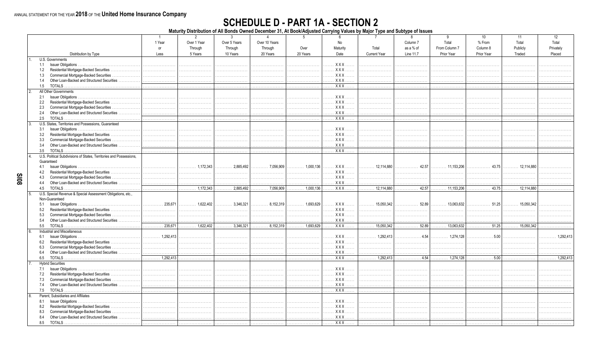**SI08** 

## **SCHEDULE D - PART 1A - SECTION 2**

Maturity Distribution of All Bonds Owned December 31, At Book/Adjusted Carrying Values by Major Type and Subtype of Issues

|                                                                     | $\overline{1}$     | $\overline{2}$                   | $\mathbf{3}$                  | $\Delta$                         | 5                                    | 6                                                 | $\overline{7}$      | 8                        | 9                                 | 10         | 11                                | 12        |
|---------------------------------------------------------------------|--------------------|----------------------------------|-------------------------------|----------------------------------|--------------------------------------|---------------------------------------------------|---------------------|--------------------------|-----------------------------------|------------|-----------------------------------|-----------|
|                                                                     | 1 Year             | Over 1 Year                      | Over 5 Years                  | Over 10 Years                    |                                      | No                                                |                     | Column <sub>7</sub>      | Total                             | % From     | Total                             | Total     |
|                                                                     | or                 | Through                          | Through                       | Through                          | Over                                 | Maturity                                          | Total               | as a % of                | From Column 7                     | Column 8   | Publicly                          | Privatelv |
| Distribution by Type                                                | Less               | 5 Years                          | 10 Years                      | 20 Years                         | 20 Years                             | Date                                              | <b>Current Year</b> | Line 11.7                | Prior Year                        | Prior Year | Traded                            | Placed    |
| U.S. Governments                                                    |                    |                                  |                               |                                  |                                      |                                                   |                     |                          |                                   |            |                                   |           |
|                                                                     |                    | .                                |                               | .                                | .                                    | . X X X                                           | .                   | .                        | .                                 | .          |                                   |           |
| 1.2 Residential Mortgage-Backed Securities                          |                    |                                  |                               |                                  | .                                    | $XXX$<br>.                                        | .                   | .                        | .                                 | .          |                                   |           |
| <b>Commercial Mortgage-Backed Securities</b><br>1.3<br>.            |                    | .                                |                               |                                  | .                                    | <b>XXX</b>                                        |                     |                          |                                   |            |                                   |           |
| Other Loan-Backed and Structured Securities<br>1.4                  |                    | .                                | .                             | .                                | .                                    | XXX                                               | .                   | .                        | .                                 | .          |                                   |           |
| <b>TOTALS</b><br>1.5                                                |                    |                                  |                               | .                                | .                                    | $XXX$                                             | .                   | .                        | .                                 | .          | .                                 | .         |
| All Other Governments<br>$\mathcal{P}$                              |                    |                                  |                               |                                  |                                      |                                                   |                     |                          |                                   |            |                                   |           |
| 2.1                                                                 |                    |                                  |                               | .                                | .                                    | $XXX$                                             | .                   | .                        | .                                 | .          |                                   |           |
| Residential Mortgage-Backed Securities<br>2.2                       |                    |                                  |                               |                                  | .                                    | . XXX                                             | .                   |                          |                                   |            |                                   |           |
| Commercial Mortgage-Backed Securities<br>2.3                        |                    |                                  |                               |                                  | .                                    | . XXX                                             | .                   | .                        | .                                 | .          |                                   |           |
| Other Loan-Backed and Structured Securities<br>2.4                  |                    |                                  |                               | .                                | .                                    | $XXX$                                             | .                   | .                        | .                                 | .          |                                   |           |
| 2.5                                                                 |                    |                                  |                               | .                                | .                                    | $XXX$                                             | .                   |                          |                                   | .          |                                   |           |
| U.S. States. Territories and Possessions. Guaranteed                |                    |                                  |                               |                                  |                                      |                                                   |                     |                          |                                   |            |                                   |           |
| 3.1                                                                 |                    |                                  |                               |                                  |                                      | $XXX$                                             |                     | .                        |                                   | .          |                                   |           |
| Residential Mortgage-Backed Securities                              |                    |                                  |                               |                                  | .                                    | $\cdots$<br>XXX                                   | .                   |                          |                                   |            |                                   |           |
| 3.2                                                                 |                    |                                  |                               |                                  | .                                    | XXX                                               | .                   |                          |                                   |            |                                   |           |
| Commercial Mortgage-Backed Securities.<br>3.3<br>.                  |                    |                                  |                               |                                  | .                                    |                                                   |                     |                          |                                   |            |                                   |           |
| Other Loan-Backed and Structured Securities<br>3.4                  |                    | .                                |                               |                                  | .                                    | <b>XXX</b>                                        | .                   | .                        | .                                 | .          |                                   |           |
| <b>TOTALS</b><br>3.5                                                |                    | .                                |                               | .                                | .                                    | <b>XXX</b>                                        | .                   | .                        |                                   | .          | .                                 |           |
| U.S. Political Subdivisions of States, Territories and Possessions, |                    |                                  |                               |                                  |                                      |                                                   |                     |                          |                                   |            |                                   |           |
| Guaranteed                                                          |                    |                                  |                               |                                  |                                      |                                                   |                     |                          |                                   |            |                                   |           |
| 4.1                                                                 |                    | $\ldots \ldots \ldots 1,172,343$ |                               | $\ldots \ldots \ldots$ 7,056,909 |                                      | XXX                                               |                     | 42.57                    | $\ldots \ldots \ldots 11,153,206$ | . 43.75    |                                   |           |
| Residential Mortgage-Backed Securities<br>4.2                       |                    |                                  |                               | .                                | .                                    | $XXX$                                             |                     | .                        | .                                 | .          |                                   |           |
| Commercial Mortgage-Backed Securities<br>4.3                        |                    |                                  |                               | .                                | .                                    | <b>XXX</b><br>.                                   | .                   | .                        |                                   | .          | .                                 |           |
| Other Loan-Backed and Structured Securities<br>4.4                  |                    |                                  |                               |                                  | .                                    | XXX                                               | .                   | .                        | .                                 | .          |                                   |           |
| 4.5                                                                 | .                  | $\overline{\cdots}$ 1,172,343    | 2,885,492<br>.                | 7,056,909<br>.                   | $\overline{\cdots \cdots 1,000,136}$ | . <b>XXX</b>                                      | 12,114,880<br>.     | 42.57<br>.               | $\ldots$ . 11,153,206             | 43.75      | $\ldots \ldots \ldots$ 12,114,880 |           |
| U.S. Special Revenue & Special Assessment Obligations, etc.,        |                    |                                  |                               |                                  |                                      |                                                   |                     |                          |                                   |            |                                   |           |
| Non-Guaranteed                                                      |                    |                                  |                               |                                  |                                      |                                                   |                     |                          |                                   |            |                                   |           |
| 5.1                                                                 | 235,671<br>.       | . 1,622,402 3,346,321            |                               | 8.152.319<br>.                   |                                      | XXX                                               | 15,050,342<br>.     | 52.89<br>.               |                                   | . 51.25    | $\ldots$ 15.050.342               |           |
| Residential Mortgage-Backed Securities<br>5.2                       | .                  | .                                |                               | .<br>.                           | .                                    | XXX                                               | .                   | .                        | .                                 |            |                                   |           |
| Commercial Mortgage-Backed Securities.<br>5.3<br>.                  |                    |                                  |                               |                                  | .                                    | <b>XXX</b>                                        | .                   |                          | .                                 | .          |                                   |           |
| 5.4<br>Other Loan-Backed and Structured Securities                  |                    | .                                |                               | .                                | .                                    | $XXX$                                             | .                   | .                        | .                                 |            |                                   |           |
| 5.5<br><b>TOTALS</b>                                                | 235,671<br>.       |                                  | $\overline{\cdots}$ 3,346,321 | $\ldots$ 8,152,319               |                                      | <b>XXX</b>                                        | 15,050,342<br>.     | 52.89<br>.               | $\ldots$ . 13,063,632             | . 51.25    |                                   | .         |
| Industrial and Miscellaneous                                        |                    |                                  |                               |                                  |                                      |                                                   |                     |                          |                                   |            |                                   |           |
| 6.1                                                                 | $\ldots$ 1.292.413 |                                  |                               | .                                | .                                    | <b>XXX</b>                                        |                     | . 4.54                   | $\ldots \ldots \ldots 1.274.128$  | . 5.00     |                                   | 1.292.413 |
| Residential Mortgage-Backed Securities<br>6.2                       |                    |                                  |                               | .                                | .                                    | <b>XXX</b>                                        | .                   |                          | .                                 | .          |                                   |           |
| 6.3<br>Commercial Mortgage-Backed Securities                        |                    |                                  |                               | .                                | .                                    | $XXX$<br>.                                        |                     | .                        |                                   |            | .                                 |           |
| 6.4<br>Other Loan-Backed and Structured Securities                  | .                  |                                  |                               | .<br>a a a a a a a               | .                                    | $XXX$                                             | .                   | .                        | .                                 |            |                                   |           |
| 6.5                                                                 | $\ldots$ 1,292,413 | .                                |                               | .                                | .                                    | . XXX                                             | $\ldots$ 1,292,413  | $\overline{\cdots}$ 4.54 |                                   | . 5.00     | .                                 | 1.292.413 |
| <b>Hybrid Securities</b>                                            |                    |                                  |                               |                                  |                                      |                                                   |                     |                          |                                   |            |                                   |           |
|                                                                     |                    |                                  |                               |                                  | .                                    | XXX                                               | .                   | .                        | .                                 | .          |                                   |           |
| Residential Mortgage-Backed Securities<br>7.2                       |                    |                                  |                               |                                  | .                                    | $XXX$<br>$\cdots$                                 | .                   |                          |                                   |            |                                   |           |
| Commercial Mortgage-Backed Securities<br>7.3                        |                    |                                  |                               | .                                |                                      | $XXX$                                             | .                   | .                        | .                                 |            |                                   |           |
| Other Loan-Backed and Structured Securities<br>7.4                  |                    |                                  |                               |                                  | .                                    | <b>XXX</b>                                        | .                   | .                        | .                                 |            |                                   |           |
| <b>TOTALS</b><br>7.5                                                |                    |                                  |                               |                                  |                                      | $XXX$                                             |                     |                          |                                   |            |                                   |           |
| 8                                                                   | .                  | .                                | .                             |                                  | .                                    |                                                   | .                   | .                        | .                                 | .          |                                   |           |
| Parent, Subsidiaries and Affiliates                                 |                    |                                  |                               |                                  |                                      |                                                   |                     |                          |                                   |            |                                   |           |
| 8.1                                                                 |                    |                                  |                               |                                  | .                                    | XXX                                               | .                   | .                        |                                   |            |                                   |           |
| Residential Mortgage-Backed Securities<br>8.2                       |                    |                                  |                               | .                                | .                                    | $XXX$                                             | .                   |                          | .                                 |            |                                   |           |
| Commercial Mortgage-Backed Securities<br>8.3                        |                    |                                  |                               |                                  |                                      | . X X X                                           | .                   |                          |                                   |            | .                                 | .         |
| Other Loan-Backed and Structured Securities<br>8.4                  |                    |                                  |                               |                                  | .                                    | $XXX$                                             |                     |                          |                                   |            |                                   |           |
| TOTALS.<br>8.5                                                      |                    |                                  |                               |                                  | .                                    | $\overline{. \times \times \times \ldots \times}$ |                     |                          |                                   |            |                                   |           |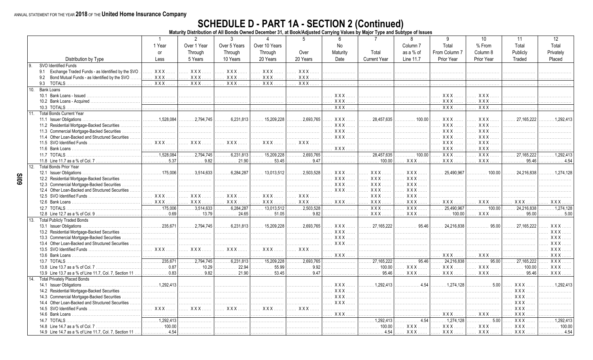# SCHEDULE D - PART 1A - SECTION 2 (Continued)<br>Maturity Distribution of All Bonds Owned December 31, at Book/Adjusted Carrying Values by Major Type and Subtype of Issues

|                 |                                                        |                        | 2                                           | 3                         |                                | 5                 | 6                 | 7                    | 8                   | 9                | 10                 | 11         | 12                   |
|-----------------|--------------------------------------------------------|------------------------|---------------------------------------------|---------------------------|--------------------------------|-------------------|-------------------|----------------------|---------------------|------------------|--------------------|------------|----------------------|
|                 |                                                        | 1 Year                 | Over 1 Year                                 | Over 5 Years              | Over 10 Years                  |                   | No                |                      | Column <sub>7</sub> | Total            | % From             | Total      | Total                |
|                 |                                                        | <b>or</b>              | Through                                     | Through                   | Through                        | Over              | Maturity          | Total                | as a % of           | From Column 7    | Column 8           | Publicly   | Privately            |
|                 | Distribution by Type                                   | Less                   | 5 Years                                     | 10 Years                  | 20 Years                       | 20 Years          | Date              | <b>Current Year</b>  | Line 11.7           | Prior Year       | Prior Year         | Traded     | Placed               |
| l 9.            | SVO Identified Funds                                   |                        |                                             |                           |                                |                   |                   |                      |                     |                  |                    |            |                      |
|                 |                                                        | XXX.                   | <b>XXX</b>                                  | XXX.                      | <b>XXX</b>                     | <b>XXX</b>        |                   |                      |                     |                  |                    |            |                      |
|                 | 9.1 Exchange Traded Funds - as Identified by the SVO   |                        |                                             |                           |                                |                   |                   | .                    | .                   | .                |                    |            |                      |
|                 | 9.2<br>Bond Mutual Funds - as Identified by the SVO    | <b>XXX</b>             | <b>XXX</b>                                  | XXX.                      | <b>XXX</b>                     | <b>XXX</b>        |                   | .                    |                     |                  |                    |            |                      |
|                 | 9.3<br><b>TOTALS</b>                                   | XXX.                   | $XXX$ .                                     | XXX.                      | XXX.                           | <b>XXX</b>        |                   | .                    | .                   | .                |                    |            |                      |
| 10 <sup>1</sup> | Bank Loans                                             |                        |                                             |                           |                                |                   |                   |                      |                     |                  |                    |            |                      |
|                 | 10.1 Bank Loans - Issued                               | .                      |                                             |                           |                                | .                 | $XXX$             | .                    | .                   | $XXX$            | XXX                |            |                      |
|                 | 10.2 Bank Loans - Acquired                             | .                      | .                                           |                           |                                |                   | <b>XXX</b>        |                      |                     | XXX.             | <b>XXX</b>         |            |                      |
|                 | 10.3 TOTALS                                            | .                      | .                                           | .                         | .                              | .                 | XXX.              | .                    | .                   | $\overline{XXX}$ | XXX.               |            |                      |
| 11.             | <b>Total Bonds Current Year</b>                        |                        |                                             |                           |                                |                   |                   |                      |                     |                  |                    |            |                      |
|                 | 11.1 Issuer Obligations                                | . 1,528,084            | 2,794,745                                   | $\ldots \ldots 6,231,813$ | $\ldots$ 15.209.228            | 2,693,765         | X X X             | 28.457.635<br>.      | 100.00              | XXX.             | $XXX$              | 27.165.222 | $\ldots$ 1.292.413   |
|                 | 11.2 Residential Mortgage-Backed Securities.           |                        |                                             | .                         | .                              | .                 | XXX.              | .                    | .                   | <b>XXX</b>       | XXX.               |            |                      |
|                 | 11.3 Commercial Mortgage-Backed Securities             | .                      |                                             |                           | .                              | .                 | XXX.              |                      | .                   | <b>XXX</b>       | <b>XXX</b>         |            |                      |
|                 | 11.4 Other Loan-Backed and Structured Securities.      | .                      |                                             |                           | .                              | .                 | <b>XXX</b>        |                      | .                   | <b>XXX</b>       | $XXX$              |            |                      |
|                 | 11.5 SVO Identified Funds                              | <b>XXX</b><br>$\ldots$ | $XXX$<br>.                                  | $XXX$                     | <b>XXX</b>                     | <b>XXX</b><br>.   |                   | .                    | .                   | XXX              | <b>XXX</b>         |            |                      |
|                 | 11.6 Bank Loans                                        |                        |                                             |                           |                                |                   | $XXX$             |                      |                     | XXX              | XXX.               |            |                      |
|                 | 11.7 TOTALS                                            | .1,528,084             | .2,794,745                                  | .6,231,813                | 15,209,228                     | .2,693,765        |                   | 28,457,635           | 100.00              | $\overline{XXX}$ | $\overline{XXX}$ . | 27,165,222 | 1.292.413            |
|                 |                                                        | . 5.37                 | . 9.82                                      | 21.90                     | .53.45                         | . 9.47            | .                 | .100.00              |                     | XXX              | $XXX$              | .95.46     | $\ldots \ldots 4.54$ |
|                 |                                                        |                        |                                             |                           |                                |                   | .                 |                      | $XXX$               |                  |                    |            |                      |
| 12.             | <b>Total Bonds Prior Year</b>                          |                        |                                             |                           |                                |                   |                   |                      |                     |                  |                    |            |                      |
|                 | 12.1 Issuer Obligations                                | .175.006<br>.          | .3,514,633                                  | .6.284.287                | 13,013,512                     | .2,503,528        | XXX.              | <b>XXX</b>           | XXX.                | 25,490,967       | 100.00             | 24.216.838 | 1.274.128            |
|                 | 12.2 Residential Mortgage-Backed Securities            | .                      |                                             |                           | .<br>.                         | .                 | XXX.              | <b>XXX</b>           | <b>XXX</b>          |                  | .                  |            |                      |
|                 | 12.3 Commercial Mortgage-Backed Securities             | .                      |                                             | .                         | .                              | .                 | XXX.              | <b>XXX</b>           | XXX.                |                  |                    |            |                      |
|                 | 12.4 Other Loan-Backed and Structured Securities       |                        |                                             |                           |                                |                   | XXX.              | <b>XXX</b>           | <b>XXX</b>          |                  |                    |            |                      |
|                 |                                                        | <b>XXX</b><br>.        | $XXX$<br>.                                  | XXX                       | <b>XXX</b><br>$\cdots$         | $XXX$<br>$\cdots$ | .                 | <b>XXX</b>           | $XXX$               |                  | .                  |            |                      |
|                 | 12.6 Bank Loans                                        | XXX.                   | $XXX$                                       | <b>XXX</b>                | <b>XXX</b> .                   | XXX               | XXX               | XXX                  | $XXX$               | XXX.             | XXX                | $XXX$      | <b>XXX</b>           |
|                 | 12.7 TOTALS                                            | .175,006<br>.          | .3,514,633                                  | .6,284,287                | 13,013,512                     | .2,503,528        |                   | $\overline{XXX}$     | $XXX$               | 25.490.967       | .100.00            | 24,216,838 | .1.274.128           |
|                 | 12.8 Line 12.7 as a % of Col. 9.                       | . 0.69                 | . 13.79                                     | 24.65                     | $\ldots \ldots 51.05$          | . 9.82            |                   | <b>XXX</b>           | $XXX$               | 100.00           | XXX.               | 95.00      | $\ldots 5.00$        |
| 13.             | <b>Total Publicly Traded Bonds</b>                     |                        |                                             |                           |                                |                   |                   |                      |                     |                  |                    |            |                      |
|                 | 13.1 Issuer Obligations.                               | 235.671<br>.           | 2.794.745                                   | 6.231.813                 | 15.209.228                     | 2.693.765<br>.    | XXX.              | 27.165.222<br>.      | 95.46<br>.          | 24.216.838       | 9500<br>.          | 27.165.222 | XXX.                 |
|                 | 13.2 Residential Mortgage-Backed Securities<br>.       | .                      |                                             | .                         | .                              | .                 | XXX.              | .                    |                     | .                |                    |            | <b>XXX</b>           |
|                 | 13.3 Commercial Mortgage-Backed Securities             | .                      |                                             | .                         | .                              | .                 | XXX.              | .                    | .                   | .                | .                  |            | <b>XXX</b>           |
|                 | 13.4 Other Loan-Backed and Structured Securities.      | .                      |                                             | .                         | .                              | .                 | $XXX$<br>$\cdots$ | .                    | .                   | .                | .                  |            | XXX.                 |
|                 | 13.5 SVO Identified Funds                              | XXX                    | XXX                                         | XXX                       | XXX                            | XXX               | .                 | .                    |                     | .                | .                  |            | XXX.                 |
|                 | 13.6 Bank Loans                                        | .                      | 1.1.1.1                                     |                           |                                | .                 | XXX.              | .                    | .                   | XXX.             | $XXX$              |            | <b>XXX</b>           |
|                 | 13.7 TOTALS                                            | .235.671<br>.          | $\overline{\ldots \ldots \ldots 2,794,745}$ | .6,231,813<br>.           | $\overline{\ldots}$ 15,209,228 | .2,693,765        | .                 | .27,165,222<br>.     | 95.46<br>.          | 24,216,838       | 95.00<br>.         | 27,165,222 | $\overline{XXX}$ .   |
|                 |                                                        | 0.87                   | 10.29                                       | 22.94                     | 55.99                          | .<br>9.92         |                   | 100.00               |                     | <b>XXX</b>       | $XXX$              | 100.00     | XXX.                 |
|                 |                                                        | .<br>$\ldots$ 0.83     | .<br>9.82                                   | 21.90                     | .<br>53.45                     | .<br>9.47         | .                 | .<br>95.46           | XXX<br><b>XXX</b>   |                  | $XXX$              | .<br>95.46 | XXX.                 |
|                 | 13.9 Line 13.7 as a % of Line 11.7, Col. 7, Section 11 |                        |                                             |                           |                                |                   | .                 | statistica           |                     | XXX.             |                    |            |                      |
| 14              | <b>Total Privately Placed Bonds</b>                    |                        |                                             |                           |                                |                   |                   |                      |                     |                  |                    |            |                      |
|                 | 14.1 Issuer Obligations                                | $\ldots$ 1.292.413     |                                             |                           |                                | .                 | XXX               | $\ldots$ , 1.292.413 | . 4.54              | 1.274.128        | 500<br>.           | XXX        | 1 292 413            |
|                 | 14.2 Residential Mortgage-Backed Securities            |                        |                                             |                           |                                | .                 | <b>XXX</b><br>.   | .                    |                     |                  | .                  | <b>XXX</b> |                      |
|                 | 14.3 Commercial Mortgage-Backed Securities             | .                      |                                             |                           | .                              | .                 | $XXX$             | .                    |                     | .                | .                  | <b>XXX</b> |                      |
|                 | 14.4 Other Loan-Backed and Structured Securities       | .                      | .<br>1.1.1.1.                               | .                         | .                              | .                 | XXX.              | .                    | .                   |                  |                    | <b>XXX</b> |                      |
|                 | 14.5 SVO Identified Funds                              | $XXX$<br>$\ddotsc$     | $XXX$<br>$\ldots$ .                         | XXX                       | <b>XXX</b>                     | XXX               | .                 | .                    |                     | .                |                    | <b>XXX</b> |                      |
|                 | 14.6 Bank Loans                                        |                        |                                             |                           |                                |                   | $XXX$             | .                    |                     | XXX.             | XXX.               | <b>XXX</b> |                      |
|                 | 14.7 TOTALS                                            | .1,292,413             |                                             |                           | .                              | .                 | .                 | 1,292,413            | .4.54               | .1,274,128       | 5.00               | <b>XXX</b> | 1.292.413            |
|                 | 14.8 Line 14.7 as a % of Col. 7                        | 100.00                 |                                             |                           |                                | .                 | .                 | 100.00               | <b>XXX</b>          | <b>XXX</b>       | <b>XXX</b>         | <b>XXX</b> | 100.00               |
|                 | 14.9 Line 14.7 as a % of Line 11.7, Col. 7, Section 11 | $\ldots$ 4.54          |                                             |                           | .                              | .                 |                   | .4.54                | XXX.                | XXX.             | XXX.               | XXX.       | .4.54                |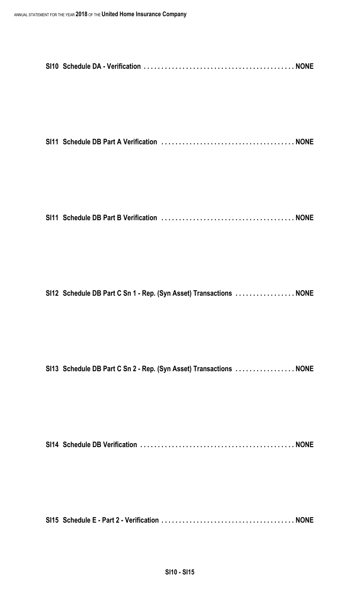**SI11 Schedule DB Part A Verification . . . . . . . . . . . . . . . . . . . . . . . . . . . . . . . . . . . . . . NONE**

**SI11 Schedule DB Part B Verification . . . . . . . . . . . . . . . . . . . . . . . . . . . . . . . . . . . . . . NONE**

**SI12 Schedule DB Part C Sn 1 - Rep. (Syn Asset) Transactions . . . . . . . . . . . . . . . . . NONE**

**SI13 Schedule DB Part C Sn 2 - Rep. (Syn Asset) Transactions . . . . . . . . . . . . . . . . . NONE**

**SI14 Schedule DB Verification . . . . . . . . . . . . . . . . . . . . . . . . . . . . . . . . . . . . . . . . . . . . NONE**

**SI15 Schedule E - Part 2 - Verification . . . . . . . . . . . . . . . . . . . . . . . . . . . . . . . . . . . . . . NONE**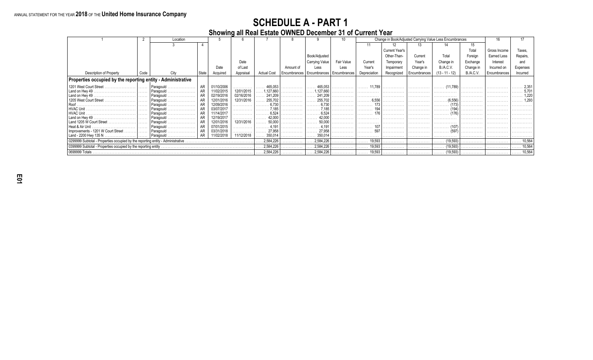**Showing all Real Estate OWNED December 31 of Current Year**

|                                                                                 |      | Location               |       |                          |            |                    |           |                                            |            |              |                       |              | Change in Book/Adjusted Carrying Value Less Encumbrances |           |              |          |
|---------------------------------------------------------------------------------|------|------------------------|-------|--------------------------|------------|--------------------|-----------|--------------------------------------------|------------|--------------|-----------------------|--------------|----------------------------------------------------------|-----------|--------------|----------|
|                                                                                 |      |                        |       |                          |            |                    |           |                                            |            | 11           |                       |              |                                                          |           |              |          |
|                                                                                 |      |                        |       |                          |            |                    |           |                                            |            |              | <b>Current Year's</b> |              |                                                          | Total     | Gross Income | Taxes    |
|                                                                                 |      |                        |       |                          |            |                    |           | Book/Adjusted                              |            |              | Other-Than-           | Current      | Total                                                    | Foreign   | Earned Less  | Repairs. |
|                                                                                 |      |                        |       |                          | Date       |                    |           | Carrying Value                             | Fair Value | Current      | Temporary             | Year's       | Change in                                                | Exchange  | Interest     | and      |
|                                                                                 |      |                        |       | Date                     | of Last    |                    | Amount of | Less                                       | Less       | Year's       | Impairment            | Change in    | <b>B./A.C.V.</b>                                         | Change in | Incurred on  | Expenses |
| <b>Description of Property</b>                                                  | Code |                        | State | Acquired                 | Appraisal  | <b>Actual Cost</b> |           | Encumbrances   Encumbrances   Encumbrances |            | Depreciation | Recognized            | Encumbrances | $(13 - 11 - 12)$                                         | B.A.C.V.  | Encumbrances | Incurred |
| Properties occupied by the reporting entity - Administrative                    |      |                        |       |                          |            |                    |           |                                            |            |              |                       |              |                                                          |           |              |          |
| 1201 West Court Street                                                          |      | Paragould              |       | 01/10/2006               |            | 465.053            |           | 465.053                                    |            | 11.78        |                       |              |                                                          |           |              |          |
| Land on Hwy 49                                                                  |      |                        |       | 11/02/2015               | 12/01/2015 | 127,660            |           | .127,660                                   |            |              |                       | .            |                                                          |           |              |          |
| Land on Hwy 49                                                                  |      | Paragould              |       | 02/19/2016               | 02/16/2016 | 241.209            |           | 241.209                                    |            |              |                       | .            |                                                          |           |              |          |
| 1205 West Court Street                                                          |      |                        |       | 12/01/2016               | 12/31/2016 | 255,702            |           | 255.702                                    |            | 6.55         |                       |              |                                                          |           |              | -293     |
|                                                                                 |      | Paragould<br>.         |       | 12/09/2016               |            |                    |           | 6.730                                      |            |              |                       |              |                                                          |           |              |          |
|                                                                                 |      |                        |       | 03/07/201                |            |                    |           |                                            |            |              |                       |              |                                                          |           |              |          |
| Land on Hwy 49                                                                  |      | Paragould<br>Paragould |       | 11/14/2017<br>12/19/2017 |            | 6.524<br>42.000    |           | 42.000                                     |            |              |                       | .            |                                                          |           |              |          |
| Land 1205 W Court Street                                                        |      |                        |       | 12/01/2016               | 12/31/2016 | 50.000             |           | 50,000                                     |            |              |                       |              |                                                          |           |              |          |
| Heat & Air Unit                                                                 |      | .<br>Paragould         |       | 07/01/2015               |            |                    |           |                                            |            |              |                       | .            |                                                          |           |              |          |
| Improvements - 1201 W Court Street                                              |      | Paragould              |       | 03/31/2018               |            | 27,958             |           | 27,958                                     |            |              |                       | .            | .                                                        |           |              |          |
| Land - 2200 Hwy 135 N                                                           |      | Paragould              |       | 11/02/2018               | 11/12/2018 | 350,014            |           | 350,014                                    |            |              |                       | .            |                                                          |           |              |          |
| 0299999 Subtotal - Properties occupied by the reporting entity - Administrative |      |                        |       |                          |            | 2,584,226          |           | 2,584,226                                  |            | 19,593<br>.  |                       | .            | (19, 593)                                                |           | .            | 10.564   |
| 0399999 Subtotal - Properties occupied by the reporting entity                  |      |                        |       |                          |            | 2,584,226          |           | .2,584,226                                 |            | 19,593<br>.  |                       | .            | (19, 593)<br>.                                           |           | .            | 10,564   |
| 0699999 Totals                                                                  |      |                        |       |                          |            | 2,584,226          |           | 2,584,226                                  |            | 19,593       | .                     |              | (19, 593)                                                | .         |              | 10.564   |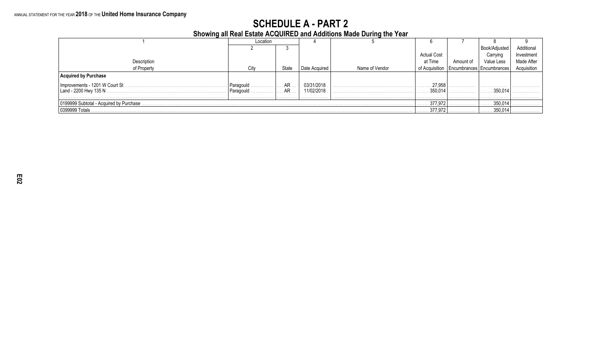**Showing all Real Estate ACQUIRED and Additions Made During the Year**

|                                          | Location  |       |               |                |                    |           |                             |             |
|------------------------------------------|-----------|-------|---------------|----------------|--------------------|-----------|-----------------------------|-------------|
|                                          |           |       |               |                |                    |           | Book/Adjusted               | Additional  |
|                                          |           |       |               |                | <b>Actual Cost</b> |           | Carrving                    | Investment  |
| Description                              |           |       |               |                | at Time            | Amount of | Value Less                  | Made After  |
| of Property                              | City      | State | Date Acquired | Name of Vendor | of Acquisition     |           | Encumbrances   Encumbrances | Acquisition |
| red by Purchase                          |           |       |               |                |                    |           |                             |             |
|                                          | Paragould | AR    | 03/31/2018    |                | 27,95              |           | .                           |             |
|                                          | Paragould | AR    | 11/02/2018    |                | 350.014            |           | 350.014                     |             |
|                                          |           |       |               |                |                    | .         | .                           | .           |
| 0199999 Subtotal - Acquired by Purchase. |           |       |               |                | 377,97             |           | 350,014                     |             |
| (1399999 Totals)                         |           |       |               |                | 377,97             |           | 350,014                     |             |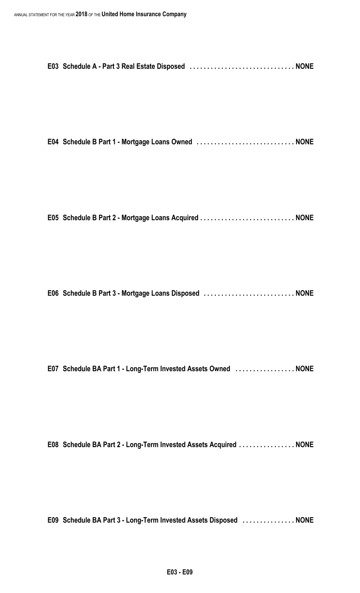|--|--|

**E04 Schedule B Part 1 - Mortgage Loans Owned . . . . . . . . . . . . . . . . . . . . . . . . . . . . NONE**

|  |  | E05 Schedule B Part 2 - Mortgage Loans Acquired  NONE |  |
|--|--|-------------------------------------------------------|--|
|  |  |                                                       |  |

**E06 Schedule B Part 3 - Mortgage Loans Disposed . . . . . . . . . . . . . . . . . . . . . . . . . . NONE**

**E07 Schedule BA Part 1 - Long-Term Invested Assets Owned . . . . . . . . . . . . . . . . . NONE**

**E08 Schedule BA Part 2 - Long-Term Invested Assets Acquired . . . . . . . . . . . . . . . . NONE**

**E09 Schedule BA Part 3 - Long-Term Invested Assets Disposed . . . . . . . . . . . . . . . NONE**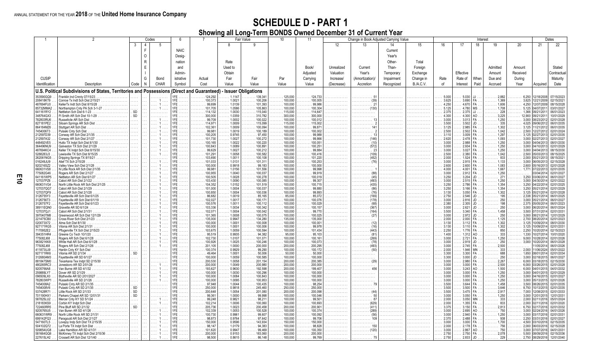|                        |                                                                                     |                        | Codes    |                        |                  |                                                                 |                  | Fair Value                                         | 10                                  | 11                                                 | Change in Book Adjusted Carrying Value<br>Interest |                              |            |                  |                |                     |             |                                     | Dates                 |                                                                                                 |                                                            |
|------------------------|-------------------------------------------------------------------------------------|------------------------|----------|------------------------|------------------|-----------------------------------------------------------------|------------------|----------------------------------------------------|-------------------------------------|----------------------------------------------------|----------------------------------------------------|------------------------------|------------|------------------|----------------|---------------------|-------------|-------------------------------------|-----------------------|-------------------------------------------------------------------------------------------------|------------------------------------------------------------|
|                        |                                                                                     | 3                      |          | 5                      |                  |                                                                 | 8                |                                                    |                                     |                                                    | 12                                                 | 13                           | 14         | 15               | 16             | 17                  | 18          | 19                                  | 20                    | 21                                                                                              | 22                                                         |
|                        |                                                                                     |                        | F        |                        | <b>NAIC</b>      |                                                                 |                  |                                                    |                                     |                                                    |                                                    |                              | Current    |                  |                |                     |             |                                     |                       |                                                                                                 |                                                            |
|                        |                                                                                     |                        | $\Omega$ |                        | Desig-           |                                                                 |                  |                                                    |                                     |                                                    |                                                    |                              | Year's     |                  |                |                     |             |                                     |                       |                                                                                                 |                                                            |
|                        |                                                                                     |                        |          |                        |                  |                                                                 |                  |                                                    |                                     |                                                    |                                                    |                              |            |                  |                |                     |             |                                     |                       |                                                                                                 |                                                            |
|                        |                                                                                     |                        |          |                        | nation           |                                                                 | Rate             |                                                    |                                     |                                                    |                                                    |                              | Other-     | Total            |                |                     |             |                                     |                       |                                                                                                 |                                                            |
|                        |                                                                                     |                        | E        |                        | and              |                                                                 | Used to          |                                                    |                                     | Book/                                              | Unrealized                                         | Current                      | Than-      | Foreign          |                |                     |             | Admitted                            | Amount                |                                                                                                 | Stated                                                     |
|                        |                                                                                     |                        |          |                        | Admin-           |                                                                 | Obtain           |                                                    |                                     | Adjusted                                           | Valuation                                          | Year's                       | Temporary  | Exchange         |                | Effective           |             | Amount                              | Received              |                                                                                                 | Contractua                                                 |
| <b>CUSIP</b>           |                                                                                     |                        | G        | Bond                   | istrative        | Actual                                                          | Fair             | Fair                                               | Par                                 | Carrying                                           | Increase/                                          | (Amortization)               | Impairment | Change in        | Rate           | Rate of             | When        | Due and                             | Durina                |                                                                                                 | Maturity                                                   |
| Identification         | Description                                                                         | Code                   | N        | <b>CHAR</b>            | Symbol           | Cost                                                            | Value            | Value                                              | Value                               | Value                                              | (Decrease)                                         | Accretion                    | Recognized | <b>B./A.C.V.</b> | of             | Interest            | Paid        | Accrued                             | Year                  | Acquired                                                                                        | Date                                                       |
|                        |                                                                                     |                        |          |                        |                  |                                                                 |                  |                                                    |                                     |                                                    |                                                    |                              |            |                  |                |                     |             |                                     |                       |                                                                                                 |                                                            |
|                        | U.S. Political Subdivisions of States, Territories and Possessions                  |                        |          |                        |                  | (Direct and Guaranteed)                                         |                  | <b>Issuer Obligations</b>                          |                                     |                                                    |                                                    |                              |            |                  |                |                     |             |                                     |                       |                                                                                                 |                                                            |
| 353590GQ9              | Franklin Ind Cmnty 07/15/23<br>.                                                    |                        |          |                        | <b>FE</b>        | 124.292                                                         | 1.1147           | 139.341                                            | $\ldots \ldots 125,000$             | $\ldots \ldots 124,733$                            |                                                    |                              |            |                  | 5.000          | 5.030               |             | 2.882                               |                       |                                                                                                 | 6,250 12/18/2008 07/15/2023<br>3,625 12/21/2009 02/15/2021 |
| 208418KT9<br>487694FU0 | Conroe Tx Indt Sch Dist 2/15/21<br>.<br>KellerTx Indt Sch Dist 8/15/28              |                        |          | . 1                    | $FE$<br>$IFE$    | $\ldots \ldots \ldots 100.373$<br>$\ldots \ldots \ldots 99,699$ | 1.0021<br>1.0139 | $\ldots \ldots 100,206$<br>$\ldots \ldots 101,393$ | $\ldots \ldots 100,000$<br>.100,000 | $\ldots \ldots 100,005$<br>. 99,986                | .                                                  | .                            | .          | .                | 3.625<br>4.250 | 3.690<br>4.670      |             | 1,369<br>1.606                      | .                     | 4,250 12/07/2009                                                                                | 08/15/2028                                                 |
| 85732MMA2              | Northampton Cnty PA Sch 3-1-27                                                      |                        |          | . 1<br>. 1             | 1FE              | . 101,705                                                       | 1.0586           | 105,863                                            | .<br>.100,000                       | 100,304                                            |                                                    | .                            |            |                  | 5.125          | 4.780               | МS          | 1,708                               |                       | 5,125 04/07/201                                                                                 | 03/01/2027                                                 |
| 641161RY2              | Nettleton Sch Dist 6-1-23                                                           | <b>SD</b>              |          | .                      | IFE.             | . 114,132                                                       | 1.0030           | $\ldots \ldots 115,040$                            | . 115,000                           | $\ldots \ldots 114.647$                            |                                                    |                              |            |                  | 2.375          | 2.375               | IJ.,        | 228                                 |                       | 1,366 09/21/201                                                                                 | 06/01/2023                                                 |
| 348764GX3              | Ft Smith AR Sch Dist 10-1-29<br>Russellvile AR Sch Dist                             | <b>SD</b>              |          |                        | IFE.             | .300.000                                                        | 1.0359           | .310,782                                           | .300,000                            | 300,000                                            |                                                    |                              |            |                  | 4.300          | 4.300               | AO          | 3,225                               |                       | 12,900 09/21/201                                                                                | 10/01/2029                                                 |
| 782803RU6<br>827181PE2 |                                                                                     | $\cdots$               |          | 1<br>$\cdots$          |                  | . 99,709<br>. 114,971                                           | 1.0002<br>1.0009 | $\ldots \ldots 100.022$                            | $\ldots \ldots 100,000$<br>115,000  | $\ldots \ldots 100,012$<br>$\ldots \ldots 115,002$ | .                                                  |                              |            |                  | 3.000<br>3.500 | 3.013<br>3.502      | FA.         | $\ldots \ldots$ 1,250<br>335        |                       | 3,000 08/23/2012<br>4,025 09/06/2012                                                            | 02/01/202                                                  |
| 864184MZ6              | Siloam Springs AR Sch Dist<br>Stuttgart AR Sch Dist                                 | $\cdots$<br>.          |          | . 1<br>. 1             | IFE              | 102.361<br>.                                                    | 1.0009           | . 115,099<br>$\ldots \ldots 100.094$               | 100.000<br>.                        | .99.87<br>.                                        | .<br>.                                             | .<br>.                       | .          | .<br>.           | 3.125          | 2.985               | JD.<br>FA.  | .<br>1.302<br>.                     |                       | 3,125 11/21/2012                                                                                | 06/01/2035<br>06/01/2035                                   |
| 7454006T3              | Pulaski Cnty Sch Dist                                                               | .                      |          | . 1                    | $1FE$            | .99.981<br>.                                                    | 1.0019           | $\ldots \ldots 100,189$                            | 100,000<br>.                        | 100.002<br>.                                       | .                                                  |                              |            | .                | 2.500          | 2.502               | FA.         | 1,042<br>.                          |                       |                                                                                                 | 02/01/2024                                                 |
| 212597D39              | Conway AR Sch Dist 2/1/35<br>Conway AR Sch Dist 2/1/27<br>Conway AR Sch Dist 2/1/27 | .                      |          | . 1                    | $1FE$            | 100,205<br>.                                                    | 0.9745           | $\ldots \ldots 97,450$                             | . 100,000<br>.                      | $\ldots \ldots 99,988$                             | .                                                  | .                            |            | .                | 3.110          | 3.009               | FA.         | 1,297<br>.                          |                       | 2,500 12/27/2012<br>3,125 02/27/2013                                                            | 02/01/2035                                                 |
| 212597A32              |                                                                                     | .                      |          | . 1                    | $IFE$            | 101.730<br>.                                                    | 1.0027           | 100.272<br>.                                       | 100.000                             | .99.866<br>.                                       | .                                                  | .                            |            |                  | 2.620          | 2.478               | FA.         | 1.093                               |                       | 3,000 02/27/2013                                                                                | 02/01/2027                                                 |
| 448492VE5<br>364496NU9 | Hutto TX Indpt Sch Dist 8/1/30<br>Galveston TX Sch Dist 2/1/29                      |                        |          | . 1<br>. 1             | FE<br>IFE.       | 100,165<br>100.843                                              | 1.0022<br>1.0089 | 100,220<br>100.891                                 | 100,000<br>100,000                  | 100.051<br>100,251                                 |                                                    |                              |            |                  | 3.000<br>3.000 | 2.988<br>2.934      |             | 1,250<br>1,250                      |                       | 3,000 04/04/2013                                                                                | 08/01/2030<br>02/01/2029                                   |
| 487694KC4              | Keller TX Indpt Sch Dist 8/15/30                                                    |                        |          | . 1                    | <b>FE</b>        | .99,629                                                         | 1.0027           | 100,212                                            | . 100,000                           | $\ldots \ldots 99,884$                             |                                                    |                              |            |                  | 3.000          | 3.027               |             | 1,250                               |                       | 3,000 04/10/2013<br>3,000 04/04/2013                                                            | 08/15/2030                                                 |
| 5288283J3              | Lewisville TX Sch Dist 8/15/25.                                                     |                        |          |                        | $FE$             | 101.291                                                         | 1.0058           | 100.582                                            | 100,000                             | 100,416                                            |                                                    |                              |            |                  | 2.500          | 2.380               | FA.         | 1,042                               |                       | 2,500 05/03/201                                                                                 | 08/15/2025                                                 |
| 262061NG5              | Dripping Springs TX $8/15/21$                                                       |                        |          |                        |                  | 103,690<br>.                                                    | 1.0011           | 100.108<br>.                                       | 100,000                             | 101,220<br>.                                       | .                                                  | .                            |            |                  | 2.000          | 1.524               |             | 833<br>.                            |                       | 2,000 05/21/201                                                                                 | 08/15/202                                                  |
| 016249JU9<br>920216SZ2 | Alief TX Sch 2/15/28<br>Valley View Sch Dist 2/1/28<br>.                            | .<br>.                 |          | . 1<br>. 1             | FE.<br>FE        | 101.033<br>.<br>100.000                                         | 1.0131<br>0.9918 | 101.311<br>99.183                                  | 100.000<br>100.000                  | 100.253<br>100.000                                 | .                                                  |                              |            | .                | 3.000<br>2.600 | 2.915<br>2.600      |             | 1.133<br>1.083                      |                       | 3,000 06/05/201<br>2,600 05/16/2013                                                             | 02/15/2028<br>02/01/2028                                   |
| 660631VS8              | N Little Rock AR Sch Dist 2/1/35<br>.                                               | .                      |          | $1 \ldots$<br>$\cdots$ | <b>IFE</b>       | $\ldots \ldots \ldots 99.981$                                   | 1.0156           | $\ldots \ldots 101,556$                            | 100,000                             | .99,998<br>.                                       | .                                                  | .                            |            | .                | 4.000          | 4.001               |             | 1,667<br>.                          | 1,771<br>.            | 07/22/201                                                                                       | 02/01/2035                                                 |
| 775082G46              | Rogers AR Sch Dist 2/1/27                                                           |                        |          | $\cdots$               | $1FE$            | 100,955<br>.                                                    | 1.0040           | 100,037<br>.                                       | 100,000                             | $\ldots \ldots 99,919$                             | .                                                  |                              |            |                  | 3.000          | 2.912               |             | 1,250                               | .                     | 03/04/2014                                                                                      | 02/01/202                                                  |
| 641161WP5              | Nettleton AR Sch Dist 6/1/27<br>.                                                   |                        |          | . 1                    | $IFE$            | 100.505                                                         | 1.0028           | 100,278                                            | 100,000                             | 100,019                                            | .                                                  |                              |            |                  | 3.250          | 3.204               | $JD \ldots$ | 271                                 |                       | 3,250 03/06/2014                                                                                | 06/01/202                                                  |
| 127037PZ6<br>660631VG4 | North Little Rock AR Sch Dist 2/1/25                                                |                        |          | $\cdots$<br>. 1        | IFE.<br>1FE      | 103.430<br>. 104,352<br>.                                       | 1.0090<br>1.0152 | 100.085<br>$\ldots \ldots 101,519$                 | 100,000<br>$\ldots \ldots 100,000$  | .99.307<br>$\ldots \ldots 100,715$                 | .                                                  | .                            |            |                  | 3.000<br>3.250 | 2.515<br>2.786      | FA.<br>FA.  | 1.250<br>1,354<br>.                 | .                     | 3,000 04/30/2014<br>3,250 04/22/2014<br>3,250 05/21/2014                                        | 02/01/2022<br>02/01/2025                                   |
| 127037QG7              | Cabot AR Sch Dist 2/1/29                                                            |                        |          | $\ddotsc$              | $IFE$            | 101.000<br>.                                                    | 1.0004           | 100,037<br>.                                       | $\ldots \ldots 100,000$             | .99,880<br>.                                       | .                                                  |                              |            |                  | 3.250          | 3.166               | FA.         | 1,354<br>.                          | .                     |                                                                                                 | 02/01/202                                                  |
| 127037QF9              | Cabot AR Sch Dist 2/1/28                                                            |                        |          | $\cdots$               |                  | 100,850<br>.                                                    | 1.0004           | 100,036<br>.                                       | $\ldots \ldots 100,000$             | .99,893<br>.                                       | .                                                  | .                            | .          | .                | 3.130          | 3.050               | FA.         | 1,302<br>.                          |                       | 3,125 05/21/2014                                                                                | 02/01/2028                                                 |
| 3126755Y3              | Fayetteville AR Sch Dist 6/1/25<br>.                                                | $\sim$                 |          | $\cdots$               | IFE.             | 86,682                                                          | 1.0019           | .85.165<br>.                                       | 85,000                              | .85,072<br>.                                       | .                                                  | .                            |            | .                | 2.750          | 2.546               | JD.         | 195<br>.                            |                       | 2,338 05/21/2014                                                                                | 06/01/2025                                                 |
| 3126756T3<br>3126757F2 | Fayetteville AR Sch Dist 6/1/19<br>.<br>Fayetteville AR Sch Dist 6/1/23             | .                      |          | 1<br>. 1               | $1FE$<br>$1FE$   | 102.027<br>100,576<br>.                                         | 1.0017<br>1.0011 | 100.171<br>.<br>100,112<br>.                       | 100.000<br>100,000<br>.             | 100.076<br>.<br>100,029<br>.                       | .<br>.                                             | .<br>.                       |            | .<br>.           | 3.000<br>2.380 | 2.816<br>$2.305$ JD | JD          | 250<br>.<br>198<br>.                | .<br>.                |                                                                                                 | 06/01/2027<br>06/01/2023                                   |
| 38911EQN0              | Gravette AR SD 6/1/24                                                               |                        |          | $\cdots$               | FE               | 103,336<br>.                                                    | 1.0034           | 100,342                                            | 100,000<br>.                        | 100,157<br>.                                       | .                                                  | (367)<br>.                   |            |                  | 3.000          | 2.621               | JD          | 250<br>.                            |                       | 3,000 05/21/2014<br>2,375 05/05/2014<br>3,000 06/20/2014                                        | 06/01/2024                                                 |
| 127037QJ1              | Cabot AR Sch Dist 2/1/31                                                            |                        |          | $\cdots$               | $FE$             | 102,071                                                         | 1.0004           | 100.042                                            | 100,000                             | $\ldots \ldots 99,770$                             |                                                    |                              |            |                  | 3.500          | 3.340               |             | 1.458                               |                       | 3,500 07/31/2014                                                                                | 02/01/2031                                                 |
| 397040TM8              | Greenwood AR Sch Dist 12/1/29                                                       |                        |          |                        | IFE.             | 101,365                                                         | 1.0008           | 100.075                                            | 100,000                             | 100.025                                            |                                                    |                              |            |                  | 3.000          | 2.972               | JD          | 250                                 |                       | 3,000 08/21/2014                                                                                | 12/01/2029                                                 |
| 221475CB0<br>020073X72 | Cross River Sch Dist 2/1/23<br>Alma Sch Dist 8/1/30                                 |                        |          |                        | IFE<br>IFE.      | 135,000<br>.<br>100,000                                         | 0.9947<br>1.0001 | 134.280<br>100.008                                 | 135,000<br>100,000                  | $\ldots \ldots 135.000$<br>100,001                 |                                                    |                              |            |                  | 2.000<br>3.130 | 2.000<br>3.112      | FA.         | $\ldots \ldots 1,125$<br>1,302<br>. |                       | 2,700 08/20/2014<br>3,125 10/09/2014                                                            | 02/01/2023<br>08/01/203                                    |
| 927171RG5              | Vilonia AR Sch Dist 2/1/31                                                          |                        |          |                        |                  | 100,000<br>.                                                    | 1.0001           | 100,006<br>.                                       | 100,000                             | .99,978                                            | .                                                  |                              |            |                  | 3.130          | 3.110               | FA.         | 1,302<br>.                          | .                     | 3,125 10/09/2014                                                                                | 02/01/203                                                  |
| 7170952E2              | Pflugerville TX Sch Dist 2/15/23<br>.                                               | $\cdots$               |          | $\cdots$               |                  | 103,675<br>.                                                    | 1.0059           | 100.594                                            | 100,000                             | 101.434                                            |                                                    |                              |            |                  | 2.250          | 1.776               |             | 850<br>.                            | 2,250                 | 10/20/2014                                                                                      | 02/15/2023                                                 |
| 394351HR4              | Greene Co Tech 10/1/20.                                                             | $\cdots$               |          | . 1                    | IFE.             | 95,519<br>.                                                     | 0.9935           | 94.382                                             | 95.000                              | .95.103                                            | .                                                  | .                            |            | .                | 1.400          | 1.312               | AO          | 333                                 | .                     | $\begin{array}{c c} 1,330 & 10/27/2014 \\ 9,000 & 10/28/2014 \\ 3,000 & 10/20/2014 \end{array}$ | 10/01/2020                                                 |
| 775082J68<br>963821KK8 | Rogers AR Sch Dist 6/1/28<br>White Hall AR Sch Dist 6/1/28<br>.                     | .                      |          | . 1<br>. 1             | <b>FE</b><br>IFE | 102.730<br>.<br>100,926<br>.                                    | 1.0107<br>1.0025 | 101.071<br>.<br>100,246<br>.                       | 100.000<br>100,000                  | 100.161<br>100,073                                 | .<br>.                                             | .<br>78<br>.                 | .<br>.     | .<br>.           | 3.000<br>3.000 | 2.721<br>2.919      | JD.         | 1,250<br>.<br>250<br>.              | .<br>.                | 10/20/2014                                                                                      | 02/01/2026<br>06/01/2028                                   |
| 775082J68              | Rogers AR Sch Dist 2/1/26                                                           | .                      |          | . 1                    | $IFE$            | . 201,105<br>.                                                  | 1.0000           | 200,000                                            | 200,000                             | 200,295                                            | .                                                  | .                            |            |                  | 3.000          | 2.745               | FA.         | 2,500                               |                       | 11/05/2014                                                                                      | 06/01/2026                                                 |
| 411873UJ9              | Hardin Cnty KY Sch Dist                                                             | $\overline{\text{SD}}$ |          | .                      | IFE.             | 100.374                                                         | 0.9929           | 99.290                                             | 100,000                             | 100,172                                            |                                                    |                              |            |                  | 2.000          | 1.946               | MN.         | 333                                 |                       | 2,000 11/06/2024                                                                                | 05/01/2022                                                 |
| 927171RK6              | Vilonia AR SD 2/1/34.                                                               |                        |          | .                      | $1FE$            | .49.464<br>.<br>100,000                                         | 1.0001<br>1.0059 | 50,006<br>100.585                                  | .50.000                             | .50,000<br>.<br>100,000                            | .                                                  |                              |            |                  | 3.300<br>3.300 | 3.300               | FA.<br>JD.  | 688<br>.<br>250                     | .                     | 1,650 08/01/2014                                                                                | 02/01/2034                                                 |
| 312680AM3<br>881847SM0 | Fayetteville AR SD 6/1/27<br>Texarkana Tex Indpt SD 2/15/30                         |                        |          | .<br>.                 | $1FE$            | 200,530                                                         | 1.0058           | $\ldots \ldots 201,154$                            | . 100,000<br>.200,000               | $\ldots \ldots 200,385$                            | .                                                  | . (29                        |            | .                | 3.000          | 3.000<br>2.980      | FA.         | .<br>2,267<br>.                     | 1.1.1.1.1             | 6,000 03/18/2015                                                                                | 06/01/202<br>02/15/2030                                    |
| 480265RC3              |                                                                                     | $\sim$                 |          | . 1                    | $FE$             | .200.000                                                        | 1.0049           | .200.980<br>.                                      | .200.000                            | .200,000                                           | .                                                  | .                            | .          | .                | 3.000          | 3.000               | FA.         | 2,500<br>.                          |                       | 6,000 03/26/2015                                                                                | 02/01/2028                                                 |
| 9205766A8              |                                                                                     | a sala                 |          | . 1                    | $IEE$            | 193.627                                                         | 0.9630           | 192.598<br>.                                       | 200,000                             | 199.407                                            | .                                                  | .                            | .          | .                | 3.000          | 3.243               | AO          | 1.500<br>.                          |                       | 6,000 04/01/2015                                                                                | 04/01/2032                                                 |
| 259889LY7<br>096509LX0 | Dover AR SD 2/1/29                                                                  | .                      |          | . 1                    | $IFE$<br>IFE     | 100,000<br>.<br>100,000                                         | 1.0030<br>1.0084 | 100.296<br>.<br>100.843                            | 100,000<br>.<br>100,000             | 100,000<br>.<br>100,000                            | .                                                  | .                            | .          | .                | 3.000<br>3.000 | 3.000<br>3.000      | FA.         | 1,250<br>.<br>1.250                 | .                     | 3,000 04/01/2015<br>3,000 04/16/2015                                                            | 02/01/2029<br>02/01/2027                                   |
| 782803WP1              | Blytheville AR SD 2/01/2027<br>Russellville AR SD 2/1/26                            | .                      |          | . 1<br>. 1             | IFE.             | .<br>100,000                                                    | 1.0095           | 100.953                                            | 100,000                             | 100,000                                            | .                                                  | .                            |            | .                | 3.000          | 3.000               |             | 1,250                               |                       | 3,000 05/13/2015                                                                                | 02/01/2026                                                 |
| 7454008A2              | Pulaski Cnty AR SD 2/1/35                                                           |                        |          |                        | IFE.             | 97.948                                                          | 1.0044           | 100.435                                            | 100.000                             | .98,254                                            |                                                    |                              |            |                  | 3.500          | 3.644               |             | 1.458                               |                       | 3,500 08/26/2015                                                                                | 02/01/2035                                                 |
| 7454008V6              | Pulaski Cnty AR SD 2/1/35                                                           | SD                     |          | .                      | IFE.             | 250,000                                                         | 0.9818           | 245,460                                            | .250,000                            | $\ldots \ldots 250,000$                            |                                                    |                              |            |                  | 3.500          | 3.500               |             | 3,646                               |                       | 8,750 10/13/2015<br>7,000 12/08/2015                                                            | 02/01/2035                                                 |
| 537428R71              | Little Rock AR SD 2/1/33                                                            | <b>SD</b>              |          | .                      | IFE.             | 200,648                                                         | 1.0054           | 201.080                                            | 200,000                             | $\ldots$ 200.098                                   |                                                    |                              |            |                  | 3.500          | 3.475               |             | 2.917                               |                       |                                                                                                 | 02/01/2033                                                 |
| 701190HX1<br>587825LU2 | Parkers Chapel AR SD 12/01/31<br>Mercer Cnty KY SD 5/1/24                           | SD<br>.                |          | .<br>. 1               |                  | 99,361<br>99,248                                                | 1.0000<br>0.9821 | 99,998<br>98.211                                   | 100,000<br>100,000                  | 100,046<br>.99,501                                 | .                                                  |                              |            |                  | 3.000<br>2.000 | 3.050<br>3.050      | MN          | 1,250<br>333                        |                       | 3,000 12/01/201<br>2,000 02/11/2010                                                             | 12/01/203<br>05/01/2024                                    |
| 218183KS9              | Corbin KY Indpt Sch Dist.                                                           |                        |          | . 1                    | $FE$             | 102,214<br>.                                                    | 1.0006           | 100.060                                            | 100.000                             | 100.693                                            | .                                                  | .                            |            | .                | 2.000          | 1.355               |             | 833<br>.                            |                       | 2,000 02/11/2016                                                                                | 02/01/2020                                                 |
| 722460RR5              | Pine Bluff AR SD 2/1/32                                                             | $\frac{1}{SD}$         |          | .                      | $1FE$            | 205,736<br>.                                                    | 1.0023           | 200.458<br>.                                       | 200,000                             | 200.901                                            | .                                                  | (411)<br>.                   | .          | .                | 3.375          | 3.150               |             | 2,813<br>.                          | .                     | 6,750 02/17/2016<br>3,000 02/24/2016                                                            | 02/01/2032                                                 |
| 9205765U5              | Van Buren AR SD 4/1/26.                                                             | .                      |          | . 1                    | <b>FE</b>        | 102.339                                                         | 1.0053           | 100.528                                            | 100.000                             | 100.374                                            | .                                                  | .                            |            |                  | 3.000          | 2.695               | AO          | $\ldots \ldots 750$                 |                       |                                                                                                 | 04/01/2026                                                 |
| 660631WR9<br>699142FQ3 | North Little Rock AR SD 2/1/31<br>Paragould AR Sch Dist 2/1/27                      |                        |          | . 1<br>$\cdots$        | FE<br>FE.        | 100,730<br>98.873                                               | 0.9961<br>0.9764 | 99,607<br>97.642                                   | 100,000<br>100,000                  | 100,092<br>.99,706                                 | .                                                  | (56)                         |            |                  | 3.000<br>2.370 | 2.940<br>2.488      |             | 1,250<br>938                        |                       | 3,000 03/17/2016<br>2,250 03/31/2016                                                            | 02/01/203<br>02/01/202                                     |
| 547160TL5              | Lovejoy Indp Sch Dist TX 2/15/35<br>.                                               |                        |          | . 1                    | $1FE$            | 150,000                                                         | 0.9596           | 143.934                                            | 150,000                             | 150,000                                            | .                                                  |                              |            |                  | 3.000          | 3.000               | FA.         | 1,700                               |                       | 03/10/2016                                                                                      | 02/15/2035                                                 |
| 504102Q72              | La Porte TX Indot Sch Dist                                                          |                        |          | $\cdots$               | <b>FE</b>        | 98.147                                                          | 1.0179           | 94.383                                             | 100,000                             | .98,828                                            |                                                    |                              |            |                  | 2.000          | 2.178               | FA.         | 756                                 | $\frac{4,500}{2,000}$ | 06/03/201                                                                                       | 02/15/2028                                                 |
| 509854UG8              | Lake Hamiltion AR SD 4/1/31                                                         |                        |          | $\cdots$               | $FE$             | 101.620                                                         | 0.9947           | 99.469                                             | 100,000                             | 100.350                                            | .                                                  | $\ldots \ldots \ldots$ (120) |            |                  | 3.000          | 2.867               | AO          | 750                                 |                       | 3,000 07/07/2016                                                                                | 04/01/2031                                                 |
| 581664GQ6<br>227615LH2 | McKinney TX Indpt Sch Dist 2/15/36<br>.<br>Crossett AR Sch Dist 12/1/40             | $\ldots$ .<br>.        |          | . 1                    | $IFE$<br>1FE     | .200,000<br>98,500                                              | 0.9153<br>0.8615 | 183,060<br>86,148                                  | 200,000<br>100,000                  | 200,000<br>.99,769                                 | .                                                  | .                            |            | .                | 2.750<br>2.750 | 2.750<br>$2.833$ JD | FA.         | $\ldots \ldots 2,078$<br>229        |                       | 5,500 08/09/2016<br>2,750 08/29/2016                                                            | 02/15/2036<br>12/01/2040                                   |
|                        |                                                                                     |                        |          |                        |                  |                                                                 |                  |                                                    |                                     |                                                    |                                                    |                              |            |                  |                |                     |             |                                     |                       |                                                                                                 |                                                            |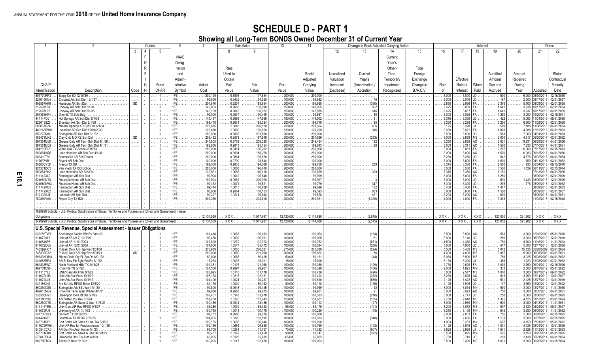|                        | Codes                                                                                                                  |              |                                         | . 6            |                                                          |                  | <b>Fair Value</b>                                  | 10                                                | 11                                                        | Change in Book Adjusted Carrying Value |                          |            |           |                | Interest                     |                        |                                                |                                       |                                                          | Dates                       |  |
|------------------------|------------------------------------------------------------------------------------------------------------------------|--------------|-----------------------------------------|----------------|----------------------------------------------------------|------------------|----------------------------------------------------|---------------------------------------------------|-----------------------------------------------------------|----------------------------------------|--------------------------|------------|-----------|----------------|------------------------------|------------------------|------------------------------------------------|---------------------------------------|----------------------------------------------------------|-----------------------------|--|
|                        | 3                                                                                                                      | $\mathbf{A}$ | 5                                       |                |                                                          | 8                |                                                    |                                                   |                                                           | 12                                     | 13                       | 14         | 15        | 16             | 17                           | 18                     | 19                                             | 20                                    | 21                                                       | 22                          |  |
|                        |                                                                                                                        | E            |                                         | <b>NAIC</b>    |                                                          |                  |                                                    |                                                   |                                                           |                                        |                          | Current    |           |                |                              |                        |                                                |                                       |                                                          |                             |  |
|                        |                                                                                                                        | $\circ$      |                                         | Desig-         |                                                          |                  |                                                    |                                                   |                                                           |                                        |                          | Year's     |           |                |                              |                        |                                                |                                       |                                                          |                             |  |
|                        |                                                                                                                        | $\mathsf{R}$ |                                         | nation         |                                                          | Rate             |                                                    |                                                   |                                                           |                                        |                          | Other-     | Total     |                |                              |                        |                                                |                                       |                                                          |                             |  |
|                        |                                                                                                                        | E            |                                         | and            |                                                          | Used to          |                                                    |                                                   | Book/                                                     | Unrealized                             | Current                  | Than-      | Foreign   |                |                              |                        | Admitted                                       | Amount                                |                                                          | Stated                      |  |
|                        |                                                                                                                        |              |                                         |                |                                                          |                  |                                                    |                                                   |                                                           |                                        |                          |            |           |                |                              |                        |                                                |                                       |                                                          |                             |  |
|                        |                                                                                                                        |              |                                         | Admin-         |                                                          | Obtain           |                                                    |                                                   | Adiusted                                                  | Valuation                              | Year's                   | Temporary  | Exchange  |                | Effective                    |                        | Amount                                         | Received                              |                                                          | Contractua                  |  |
| <b>CUSIP</b>           |                                                                                                                        | G            | Bond                                    | istrative      | Actual                                                   | Fair             | Fair                                               | Par                                               | Carrying                                                  | Increase/                              | (Amortization)/          | Impairment | Change in | Rate           | Rate of                      | When                   | Due and                                        | Durina                                |                                                          | Maturity                    |  |
| Identification         | Description<br>Code                                                                                                    | $\mathsf{N}$ | CHAR                                    | Symbol         | Cost                                                     | Value            | Value                                              | Value                                             | Value                                                     | (Decrease)                             | Accretion                | Recognized | B./A.C.V. | of             | Interest                     | Paid                   | Accrued                                        | Year                                  | Acquired                                                 | Date                        |  |
| 803770RP3              | Sarpy Co SD 12/15/39<br>$\ldots$ .<br>Crossett Ark Sch Dist 12/1/27                                                    |              |                                         | IFE.           | 200.195<br>$\ldots \ldots \ldots 99,506$                 | 0.8893<br>0.9432 | $\ldots$ . 177,854<br>$\ldots \ldots 94,320$       | 200,000                                           | .200.000<br>.<br>$\ldots \ldots 99,862$                   | .                                      | .                        | .          | .         | 3.000<br>2.000 | 3.000<br>2.049               | JD.<br>JD              | 500<br>.                                       | $6,000$<br>2,000<br>.                 | 08/30/2016                                               | 12/15/2039<br>12/01/2027    |  |
| 227615KU4<br>406567HK6 | $\cdots$<br>SD<br>Hamburg AR Sch Dist                                                                                  |              | .                                       | $1FE$<br>$1FE$ | 204,870                                                  | 0.9207           | $\ldots$ 183.634                                   | $\ldots \ldots 100,000$<br>200,000                | $\ldots$ . 199.698                                        | .<br>.                                 | .                        |            | .         | 2.850          | 2.686                        | FA                     | . 167<br>$\ldots$ . 2,375                      | .<br>5,700                            | 08/17/2016<br>08/03/2016                                 | 02/01/2035                  |  |
| 212597L89              | Conway AR Sch Dist 2/1/34                                                                                              |              |                                         | 1FE.<br>.      | 140.903                                                  | 0.9068           | 138,098                                            | .150,000                                          | . 148.055                                                 |                                        |                          |            |           | 2.625          | 3.069                        | FA                     | 1,641                                          | 3,938                                 | 10/17/2016                                               | 02/01/2034                  |  |
| 212597L97              | Conway AR Sch Dist 2/1/35                                                                                              |              |                                         | IFE.           | 140.109                                                  | 0.9045           | .136.022                                           | 150,000                                           | $\ldots$ 147.975                                          |                                        |                          |            |           | 2.625          | 3.087                        | FA.                    | $\ldots \ldots 1,641$                          | 3,937                                 | 10/17/2016                                               | 02/01/2035                  |  |
| 254363HF4<br>44114PDJ1 | Dimmitt TX Sch Bldg<br>Hot Springs AR Sch Dist 6/1/38<br>$\ldots$                                                      |              |                                         |                | 99,000<br>149.437                                        | 0.9837<br>0.9666 | .90.446<br>$\ldots \ldots 147.558$                 | 100,000<br>150,000                                | .99.687<br>149.902                                        |                                        |                          |            |           | 3.000<br>3.375 | 3.065<br>3.399               | JD.                    | $\ldots \ldots 1,250$<br>422<br>.              | 3,000<br>5,063                        | 10/20/2016<br>1/01/2016                                  | 02/15/2041<br>06/01/2038    |  |
| 823619SZ5              | Sheridan Ark Sch Dist 2/1/38<br>$\ldots$                                                                               |              |                                         | $1FE$          | 198,478                                                  | 0.9831           | $\ldots \ldots 193,324$                            | .200,000                                          | . 199,719                                                 | .                                      | .                        |            |           | 3.250          | 3.298                        | FA.                    | $\ldots \ldots 3,250$                          | 6,500                                 | 1/02/2016                                                | 02/01/2038                  |  |
| 603067GZ6              | Mineral Springs AR Sch Dist 6/1/34<br>.<br>$\ldots$ .                                                                  |              |                                         | $1FE$          | 223,675<br>.                                             | 1.0048           | 226,120                                            | 230,000                                           | .228,504                                                  | .                                      | .                        |            |           | 3.125          |                              | $3.328$ JJ.            | 599<br>.                                       | 7,188                                 | 1/30/201                                                 | 06/01/2034                  |  |
| 480265RW9<br>850272N84 | Jonesbor AR Sch Dist 02/01/2033<br>$\ldots$ .                                                                          |              |                                         |                | 125,670<br>.<br>200,000                                  | 1.0080<br>0.9892 | 130,620<br>201.598                                 | 130,000<br>200,000                                | 129,299<br>.200.000                                       | .                                      |                          |            |           | 3.650<br>3.500 | 3.922<br>$3.500$ JD.         | <b>FA</b>              | . 1,828<br>583                                 | 4,388<br>7,000                        | 12/15/201<br>04/01/201                                   | 02/01/2033<br>06/01/2034    |  |
| 183473MX2              | $\overline{\text{SD}}$                                                                                                 |              | .                                       | $1FE$<br>$1FE$ | .<br>203.462<br>.                                        | 0.9573           | . 197.846<br>.                                     | 200,000                                           | .201.596                                                  | .<br>.                                 | .<br>.                   | .          | .         | 3.000          | $2.858$ MS                   |                        | .<br>$\ldots \ldots 2,000$                     | .<br>4,517<br>.                       | 05/30/201                                                | 03/01/2032                  |  |
| 394351MJ6              | Greene Cnty AR Tech Sch Dist 4/1/36<br>$\cdots$                                                                        |              | $\cdots$                                | $1FE$          | 247,805<br>.                                             | 0.9758           | 239,320<br>.                                       | 250,000                                           | .249.464<br>1.1.1.1                                       | .                                      | 132<br>.                 | .          | .         | 3.250          | 2.858                        | AO.                    | $\ldots \ldots$ 2,031                          | 9,931<br>.                            | 06/23/2017                                               | 04/01/2036                  |  |
| 394351MD9              | Greene Cnty AR Tech Sch Dist 4/1/31<br>$\cdots$                                                                        |              |                                         | 1FE.           | 198,850                                                  | 0.9813           | 195,154                                            | 200,000                                           | 199,643                                                   |                                        |                          |            |           | 3.000          | $3.311$ AO                   |                        | $\ldots \ldots 1,500$                          |                                       | 7,333 07/10/2017                                         | 04/01/2031                  |  |
| 964219FL8<br>509854VQ5 | White Oak TX School 2/15/33<br>.<br>Lake Hamilton AR Sch Dist 4/1/36                                                   |              |                                         | 1FE.<br>$1FE$  | 200,000<br>200,000                                       | 0.9414<br>0.9994 | 196.262<br>188,270                                 | 200,000<br>200,000                                | .200,000<br>.200,000                                      |                                        | .                        |            |           | 3.000          | $0.051$ FA.<br>3.000         | AO.                    | 2,267<br>$\ldots \ldots 1,500$                 | 6,083<br>.                            | 6,000 07/17/2017<br>09/13/2017                           | 02/15/201<br>04/01/203      |  |
| 083419T92              | a basa<br>Bentonville AR Sch District<br>$\cdots$                                                                      |              | $\cdots$                                |                | 1.1.1.1.1<br>200,000                                     | 0.9864           | $\ldots \ldots 199.876$                            | .200,000                                          | .200,000                                                  | .<br>.                                 | .                        |            |           | 3.000<br>3.250 | $3.250$ JD.                  |                        | . 542                                          | 4,875<br>.                            | 03/02/2018                                               | 06/01/2034                  |  |
| 117637VB1              | Brvant AR Sch Dist $\ldots, \ldots, \ldots, \ldots, \ldots, \ldots$<br>$\ldots$ .                                      |              |                                         | $1FE$          | 100,000                                                  | 0.9700           | $\ldots \ldots 98.644$                             | 100,000                                           | $\ldots \ldots 100,000$                                   | .                                      | .                        | .          | .         | 3.000          | 3.000                        | FA.                    | $\ldots \ldots 1,500$                          | $\ldots \ldots \ldots$ 750 04/11/2018 |                                                          | 02/01/2032                  |  |
| 35880CYQ1              | Fresco TX SD<br>.                                                                                                      |              |                                         |                | 199,500                                                  | 0.9835           | 194,008                                            | 200,000                                           | $\ldots \ldots 199,759$                                   | .                                      | . 259                    | .          | .         | 3.375          | $3.380$ FA.                  |                        | 2,550<br>.                                     | $\ldots \ldots$ 933 05/04/2018        |                                                          | 08/15/2040                  |  |
| 921271DC3<br>509854YH2 | Van Vleck TX ISD School<br>.<br>Lake Hamiltion AR Sch Dist<br>ilian a                                                  |              | $\cdots$<br>$\sim 10^{-1}$              | $1FE$<br>$1FE$ | 200,000<br>.<br>139.551<br>.                             | 1.0008<br>1.0085 | . 196,706<br>.<br>$\ldots \ldots 140,118$          | 200,000<br>$\ldots \ldots 140.000$                | .200,000<br>.<br>$\ldots \ldots 139,879$                  | .                                      | .<br>. 329               | .<br>.     | .<br>.    | 3.500<br>3.375 | $3.500$ FA.<br>3.380 AO      |                        | $\ldots \ldots 3,500$<br>$\ldots \ldots 1,181$ | $\ldots \ldots 1,129$ 06/11/2018<br>. | 07/13/2018                                               | 02/15/2044<br>04/01/2035    |  |
| 311142XL2              | Farmington AR Sch Dist<br>.                                                                                            |              | $\sim$                                  | $1FE$          | 99.998<br>.                                              | 1.0049           | $\ldots \ldots 100,848$                            | 100,000<br>.                                      | $\ldots \ldots 99,999$                                    | .<br>.                                 | .                        | .          | .         | 3.000          | 3.000 FA                     |                        | $\ldots \ldots 1,250$                          | .                                     | 08/09/201                                                | 02/01/2029                  |  |
| 624080NT0              | ilian.                                                                                                                 |              |                                         | $1FE$          | 199.994                                                  | 0.9952           | $\ldots \ldots 200,970$                            | 200,000<br>.                                      | $\ldots \ldots 199,997$                                   | .                                      | .                        |            |           | 3.000          | $3.000$ JD                   |                        | 500<br>.                                       | $\ldots$ . 1,433 08/09/2018           |                                                          | 12/01/2029                  |  |
| 624080NW3              | Mountain Home AR Sch Dist<br>ilian.                                                                                    |              |                                         | $1FE$          | 99.432                                                   | 1.0071           | .99,521<br>.                                       | 100,000                                           | .99,779<br>.                                              | .                                      |                          |            |           | 3.300          | $3.300$ JD.                  |                        | 275<br>.                                       | 776                                   | 08/09/2018                                               | 12/01/2032                  |  |
| 311142XQ1<br>311142XU2 | Farmington AR Sch Dist<br>.<br>Farmington AR Sch Dist                                                                  |              |                                         | $1FE$          | 99.714<br>98,660                                         | 1.0015<br>0.9964 | . 100,708<br>$\ldots \ldots 100.153$               | 100,000<br>100,000                                | 99,896<br>99,593                                          |                                        |                          |            |           | 3.400<br>3.600 | 3.400<br>3.600               | <b>FA</b>              | 1,417<br>1.500                                 |                                       | 08/09/2018<br>08/09/2018                                 | 02/01/2033<br>02/01/2037    |  |
| 512102SJ4              | Lakeside AR Sch Dist<br>$\mathbb{R}^2$                                                                                 |              |                                         | $1FE$          | 99.227                                                   | 1.0241           | .99.644                                            | 100,000                                           | .99.678                                                   |                                        | 451                      |            |           | 3.200          | 3.200                        | AO.                    | 800<br>.                                       |                                       | 08/09/201                                                | 04/01/2031                  |  |
| 780869VA8              | Royse City TX ISD                                                                                                      |              |                                         |                | 202.250                                                  |                  | .204.818                                           | $\ldots \ldots 200.000$                           | .200.921                                                  |                                        |                          |            |           | 4.000          | 4.000                        | FA                     | 3.333                                          |                                       | 1/02/2018                                                | 02/15/2048                  |  |
| .<br>.                 |                                                                                                                        |              | .                                       | .              | .                                                        |                  | .                                                  | .                                                 | .                                                         | .                                      |                          |            |           | .              | .                            | $\cdots$               |                                                |                                       | .                                                        | .                           |  |
|                        | 1899999 Subtotal - U.S. Political Subdivisions of States. Territories and Possessions (Direct and Guaranteed) - Issuer |              |                                         |                |                                                          |                  |                                                    |                                                   |                                                           |                                        |                          |            |           |                |                              |                        |                                                |                                       |                                                          |                             |  |
| Obligations            |                                                                                                                        |              |                                         |                | 12,131,539                                               | XXX              | 11,977,937                                         | 12,120,000                                        | 12,114,880                                                |                                        | (2,575)                  |            |           | XXX            | XXX                          | <b>XXX</b>             | 120,030                                        | 321,902                               | XXX                                                      | XXX                         |  |
|                        | 2499999 Subtotal - U.S. Political Subdivisions of States, Territories and Possessions (Direct and Guaranteed)          |              |                                         |                | 12.131.539                                               | XXX.             | 11,977,937                                         | 12,120,000                                        | 12,114,880                                                | .                                      | (2,575)                  |            |           | XXX.           | XXX.                         | XXX                    | 120,030                                        | 321,902                               | <b>XXX</b>                                               | XXX                         |  |
|                        |                                                                                                                        |              |                                         |                |                                                          |                  |                                                    |                                                   |                                                           |                                        |                          |            |           |                |                              |                        |                                                |                                       |                                                          |                             |  |
|                        | U.S. Special Revenue, Special Assessment - Issuer Obligations                                                          |              |                                         |                |                                                          |                  |                                                    |                                                   |                                                           |                                        |                          |            |           |                |                              |                        |                                                |                                       |                                                          |                             |  |
| 033285TW7<br>914072AL7 | Anchorage Alaska Wtr Rv 5/01/20<br>.                                                                                   |              |                                         | $1FE$<br>$1FE$ | $\ldots \ldots 101,418$<br>$\ldots \ldots \ldots 99,488$ | 1.0063<br>1.0009 | $\ldots \ldots 100,633$<br>$\ldots \ldots 100,091$ | 100,000<br>$\ldots \ldots 100,000$                | $\ldots \ldots 100,053$<br>$\ldots \ldots \ldots 100,005$ |                                        |                          |            |           | 3.500<br>3.000 | 3.520<br>$3.110$ JD          | AO                     | 583<br>250                                     | 3,500<br>3,000                        | 12/10/2009<br>06/07/2010                                 | 05/01/2020<br>12/01/2019    |  |
| 9140846P8              | $\ldots$ .<br>Univ of AR 11/01/2023<br>$\ldots$ .                                                                      |              | $\cdots$                                | $1FE$          | 109.695<br>.                                             | 1.0272           | 102.723                                            | 100,000                                           | . 100,752<br>.                                            | .<br>.                                 | . 61<br>(871)<br>.       |            |           | 4.500          | 4.380                        | AO.                    | .<br>750<br>.                                  | 4,500                                 | 1/16/2010                                                | 11/01/2023                  |  |
| 914072CG6              | Univ of AR 12/01/2030<br>a sa sa                                                                                       |              | $1 \ldots$<br>.                         | $1FE$          | $\ldots \ldots 104,000$                                  | 1.0547           | $\ldots \ldots 105,472$                            | $\ldots \ldots 100,000$                           | $\ldots \ldots \ldots 100,534$                            | .                                      | .                        |            |           | 5.000          | 4.900                        | JD                     | 417<br>.                                       | 5,000<br>.                            | 12/17/2010                                               | 12/01/2030                  |  |
| 745392HC7<br>745392GX2 | Pulaski Cnty AR Hsp Rev 3/01/34<br>Pulaski Cnty AR Hsp Rev 3/01/21<br>$\overleftrightarrow{\text{SD}}$                 |              | . 1                                     | $1FE$<br>$1FE$ | 278,689<br>.<br>200,000                                  | 1.0055<br>1.0050 | .276,521<br>.                                      | . 275,000                                         | .275.039<br>.                                             | .                                      | (224)<br>.               | .          |           | 5.500<br>4.600 | 5.430<br>4.600               | <b>MS</b><br><b>MS</b> | 5.042<br>.<br>$\ldots \ldots 3,067$            | 15,125<br>.                           | 05/28/2009                                               | 03/01/203                   |  |
| 59333NQM8              | Miami-Dade Cty FL SpcOb 4/01/22<br>$\ldots$ .<br>.                                                                     |              | .<br>.                                  | $1FE$          | 50,000<br>.                                              | 1.0083           | $\ldots \ldots 201,008$<br>.50.415<br>.            | $\ldots \ldots 200,000$<br>$\ldots \ldots 50.000$ | $\ldots \ldots 199.822$<br>$\ldots \ldots 50,161$         | .<br>.                                 | . 76<br>. (44)           | .          | .<br>.    | 6.050          | 5.990                        | <b>MS</b>              | . 756                                          | 9,200                                 | 06/03/2009<br>3,025 09/03/2009                           | 03/01/202<br>04/01/2022     |  |
| 041083RP3              | .                                                                                                                      |              | $\cdots$                                | $1FE$          | 15,264<br>.                                              | 1.0007           | . 15,011                                           | $\ldots \ldots 15,000$                            | 15,000<br>.                                               | .                                      | .                        | .          | .         | 5.150          |                              | $5.390$ JJ             | $\cdots \cdots 386$                            | 1,223<br>.                            | 12/03/2009                                               | 07/01/2032                  |  |
| 661838FN7              | North Richland Hills TX 2/15/26<br>1.1.1                                                                               |              | 1<br>.                                  | $1FE$          | 101.381<br>.                                             | 1.0107           | $\ldots \ldots 101,068$                            | 100,000<br>.                                      | $\ldots \ldots 100,360$                                   | .                                      | .                        | .          | .         | 2.750          | $2.629$ FA.                  |                        | $\cdots$ 1,039                                 | $2,750$<br>$2,000$<br>$3,000$<br>.    | 09/01/2012                                               | 02/15/2026                  |  |
| 499731C96<br>914115YL8 | Knoxville TN 5/1/22<br>a sa sa<br>UNIV Cent AR HSG 9/1/22<br>.                                                         |              | .<br>1.11                               | $1FE$<br>$1FE$ | 101,550<br>a sa sa sal<br>103.995<br>.                   | 0.9997<br>1.0118 | . 99,967<br>$\ldots \ldots 101,178$                | 100,000<br>.<br>100,000<br>.                      | $\ldots \ldots 100,399$<br>$\ldots \ldots 100,736$        | .<br>.                                 | (166)<br>.<br>(426)<br>. | .<br>.     |           | 2.000<br>3.000 | 1.825<br>$2.547$ MS          | MN                     | $\ldots \ldots 1,000$                          |                                       | 09/18/2012<br>09/27/2012                                 | 05/01/2022<br>09/01/2022    |  |
| 914072LU5              | Univ Ark Aux Facs 10/1/27<br>a sa sa                                                                                   |              |                                         | $1FE$          | 105,163                                                  | 1.0215           | 102.151                                            | 100,000                                           | $\ldots \ldots 101,492$                                   |                                        |                          |            |           | 3.250          | $2.825$ AO                   |                        | 813<br>.                                       | 3,250                                 | 12/14/2012                                               | 10/01/2027                  |  |
| 914072LL5              | Univ Ark Aux Facs 10/1/19.<br>.<br>$\ldots$ .                                                                          |              |                                         | $1FE$          | 104.406                                                  | 1.0024           | .100,237                                           | 100,000                                           | $\ldots \ldots 100,510$                                   |                                        |                          |            |           | 2.125          | 1.442                        | AO.                    | 531<br>.                                       | 2,125                                 | 12/27/2012                                               | 10/01/2019                  |  |
| 041186X44              | Ark St Univ RFDG Bebe 12/1/22                                                                                          |              |                                         | $1FE$<br>$1FE$ | 81.175<br>99,800                                         | 1.0020<br>0.9945 | .80.162<br>.<br>.99.445                            | $\ldots \ldots 80.000$                            | . 80.118<br>99.949                                        |                                        |                          |            |           | 2.125          | $1.995$ JD.                  |                        | . 177                                          | 3,569<br>3.000                        | 12/20/2012                                               | 12/01/2022                  |  |
| 850269CS8<br>499815NG9 | Springdale Ark S&U tax 11/1/30<br>$\mathbb{R}^2$<br>Fenn Wast Warter 4/1/31<br>Knoxville 1<br>.<br>$\ldots$ .          |              |                                         | $1FE$          | 99,680                                                   | 0.9988           | $\ldots \ldots 99.875$                             | 100,000<br>$\ldots \ldots 100,000$                | . 99,951<br>.                                             | .                                      | .                        |            |           | 3.000<br>3.000 | $3.014$ MN<br>$3.023$ $AO$ . |                        | 500<br>.<br>. 750                              |                                       | 12/27/2012<br>3,000 03/05/201                            | 11/01/2030<br>04/01/203     |  |
| 238388MY5              | Davenport lowa RFDG 6/1/25.<br>.<br>a sala                                                                             |              |                                         | $1FE$          | 102.401                                                  | 1.0148           | $\ldots \ldots 101.478$                            | 100,000                                           | 100.533<br>.                                              | .                                      | .                        |            |           | 3.000          | $2.771$ JD.                  |                        | 250<br>.                                       |                                       | 3,000 03/06/201                                          | 06/01/2025                  |  |
| 0411862H9              | Ark State Univ Rev 3/1/24<br>$\ldots$ .                                                                                |              | $1 \ldots$                              | $1FE$          | 151,468<br>.                                             | 1.0176           | 152,643<br>.                                       | 150,000                                           | 150,601                                                   | .                                      | (135)<br>.               |            |           | 2.750          | $2.648$ MS                   |                        | $\ldots \ldots 1,375$                          |                                       | 4,125 03/13/201                                          | 03/01/202                   |  |
| 850269CT6<br>914115YR5 | Springdale AR Sales & Use 11/1/31<br>.<br>$\ldots$ .<br>Univ Cent AR Rev RFDG 9/1/27<br>ilian.                         |              | $\cdots$<br>1<br>$1 \ldots$<br>$\cdots$ | $1FE$<br>$1FE$ | 100.455<br>$\ldots \ldots \ldots 86,280$                 | 0.9844<br>1.0039 | .98.435<br>.<br>.85.332                            | 100,000<br>$\ldots \ldots 85,000$                 | . 100,113<br>. 85,176                                     | .<br>.                                 | (27)<br>.<br>.           |            |           | 3.000<br>3.200 | 2.969 MN<br>3.072 MS         |                        | 500<br>.<br>907<br>.                           |                                       | 3,000 04/18/201                                          | 11/01/203<br>09/01/2021     |  |
| 914072PJ6              | University of AR 11/1/32.<br>a sa sa                                                                                   |              | $\cdots$                                | $1FE$          | 100,765<br>.                                             | 1.0018           | .<br>$\ldots \ldots 100,179$                       | 100,000                                           | 100,229                                                   | .                                      | . (43)                   | .<br>.     | .<br>.    | 3.250          | $3.199$ MN                   |                        | 542<br>.                                       | .                                     | 2,720 04/24/2013<br>3,250 05/09/2013<br>2,000 05/09/2013 | 11/01/2032                  |  |
| 24170PJU3              | De Soto TX 2/15/2022<br>$\ldots$ .                                                                                     |              | .                                       | $1FE$          | 99,752                                                   | 0.9988           | .99.876<br>.                                       | 100,000                                           | 100,000                                                   | .                                      | .                        |            |           | 2.000          | $2.031$ FA.                  |                        | 756<br>.                                       |                                       |                                                          | 02/15/2022                  |  |
| 8444244F5              | Southlake TX RFDG 2/15/25<br>$\ldots$ .                                                                                |              |                                         |                | 104.005                                                  | 1.0320           | 103.195                                            | 100,000                                           | 101,533                                                   | .                                      |                          |            |           | 3.000          | $2.606$ FA.                  |                        | $\ldots \ldots 1,133$                          | 3,000                                 | 06/07/2013                                               | 02/15/2025                  |  |
| 348761DF<br>914072RW5  | Fort Smith AR Sales & Use Tax 5/1/22.<br>.<br>Univ AR Rev for Previous issue 10/1/29.<br>.<br>.                        |              |                                         | $1FE$          | 105.155<br>102.166                                       | 1.0685<br>1.0664 | 106.846<br>.106.638                                | 100,000<br>100,000                                | 100,000<br>100.759                                        | .                                      | .                        |            |           | 4.000<br>4.125 | $3.331$ MN<br>$3.948$ $AO$ . |                        | 667<br>. 1.031                                 | 3.150<br>4.125<br>.                   | 07/01/2013<br>08/01/2013                                 | 05/01/2022<br>10/01/2029    |  |
| 04084CCA               | AR Dev Fin Auth Home 7/1/23<br>$\mathbb{R}^2$                                                                          |              |                                         |                | 69,709                                                   | 1.0251           | $\ldots \ldots 71.757$                             | $\ldots \ldots 70.000$                            | . 71.332                                                  |                                        | (507)<br>.               |            |           | 3.625          |                              | $2.968$ JJ             | $\ldots \ldots$ 1,541                          | 2,628                                 | 11/12/201                                                | 07/01/2023                  |  |
| 348761DK0              | Fort Smith Ark Sales & Use tax 5/1/2k<br>.                                                                             |              | . 1                                     | $1FE$          | 93,457                                                   | 1.0162           | .91.458<br>.                                       | .90,000                                           | 91,147                                                    | .                                      | (322)<br>.               | .          | .         | 3.500          | $3.095$ MN                   |                        | 525<br>.                                       | $\ldots \ldots$ 3,150 03/25/2014      |                                                          | 05/01/2025                  |  |
| 67884FPU4              | Oklahoma Dev Fin Auth 6/1/34<br>a basa                                                                                 |              | .<br>1                                  | $1FE$          | 65,005<br>.                                              | 1.0128           | .65,835                                            | 65,000                                            | 65,002                                                    | .                                      | .                        | .          | .         | 3.750          | $3.749$ JD.                  |                        | . 203                                          | .                                     |                                                          | 2,438 05/21/2014 06/01/2034 |  |
| 88278PTS3              | Texas St Univ 3/15/31<br>.                                                                                             |              |                                         | $1FE$          | 100,005                                                  | 1.0247           | 102,470                                            | 100,000                                           | 100,003                                                   |                                        |                          |            |           | 3.500          | $3.499$ MS                   |                        | 1,031                                          |                                       | 3,500 06/25/2014                                         | 03/15/2024                  |  |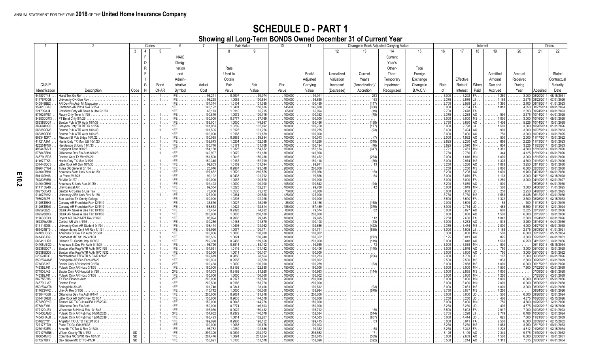|                        |                                                                            |                     |              | Codes                | 6           | <b>Fair Value</b>            |                  |                                                   | 10                                 | 11                                                 | Change in Book Adjusted Carrying Value<br>Interest |                                 |                 |                  |                    |                           | Dates               |                                             |                                     |                                      |                          |
|------------------------|----------------------------------------------------------------------------|---------------------|--------------|----------------------|-------------|------------------------------|------------------|---------------------------------------------------|------------------------------------|----------------------------------------------------|----------------------------------------------------|---------------------------------|-----------------|------------------|--------------------|---------------------------|---------------------|---------------------------------------------|-------------------------------------|--------------------------------------|--------------------------|
|                        |                                                                            | 3                   |              | 5                    |             |                              |                  | 9                                                 |                                    |                                                    | 12                                                 | 13                              | 14              | 15               | 16                 | 17                        | 18                  | 19                                          | 20                                  | 21                                   | 22                       |
|                        |                                                                            |                     | F            |                      | <b>NAIC</b> |                              |                  |                                                   |                                    |                                                    |                                                    |                                 | Current         |                  |                    |                           |                     |                                             |                                     |                                      |                          |
|                        |                                                                            |                     | $\Omega$     |                      | Desig-      |                              |                  |                                                   |                                    |                                                    |                                                    |                                 | Year's          |                  |                    |                           |                     |                                             |                                     |                                      |                          |
|                        |                                                                            |                     | $\mathsf{R}$ |                      | nation      |                              | Rate             |                                                   |                                    |                                                    |                                                    |                                 | Other-          | Total            |                    |                           |                     |                                             |                                     |                                      |                          |
|                        |                                                                            |                     | Ε            |                      | and         |                              | Used to          |                                                   |                                    | Book/                                              | Unrealized                                         | Current                         | Than-           | Foreign          |                    |                           |                     | Admitted                                    | Amount                              |                                      | Stated                   |
|                        |                                                                            |                     |              |                      |             |                              |                  |                                                   |                                    |                                                    |                                                    |                                 |                 |                  |                    |                           |                     |                                             | Received                            |                                      |                          |
|                        |                                                                            |                     |              |                      | Admin-      |                              | Obtain           |                                                   |                                    | Adjusted                                           | Valuation                                          | Year's                          | Temporary       | Exchange         |                    | Effective                 |                     | Amount                                      |                                     |                                      | Contractual              |
| <b>CUSIP</b>           |                                                                            |                     | G            | Bond                 | istrative   | Actual                       | Fair             | Fair                                              | Par                                | Carrying                                           | Increase/                                          | (Amortization)/                 | Impairment      | Change in        | Rate               | Rate of                   | When                | Due and                                     | During                              |                                      | Maturity                 |
| Identification         | Description                                                                | Code                | N            | <b>CHAR</b>          | Symbol      | Cost                         | Value            | Value                                             | Value                              | Value                                              | (Decrease)                                         | Accretion                       | Recognized      | <b>B./A.C.V.</b> | of                 | Interest                  | Paid                | Accrued                                     | Year                                | Acquired                             | Date                     |
| 447870T48<br>91476PDQ8 | Hurst Tex Go Ref<br>Jniversity OK Gen Rev                                  | .<br>.              |              | . 1                  | IFE.        | 96.211<br>.<br>98.298        | 0.9907<br>1.0085 | 99.074<br>.<br>$\ldots \ldots 100.854$            | 100.000<br>100,000<br>.            | 99,01<br>.<br>$\ldots \ldots 98,635$               | .<br>.                                             | 253<br>.<br>163<br>. <b>.</b> . | .<br>. <b>.</b> | .<br>.           | 3.000<br>2.375     | 3.292<br>2.576            |                     | 1,250<br>1.188                              | 3,000<br>.<br>$\ldots \ldots 2,375$ | 08/20/201<br>08/22/201               | 08/15/2031<br>07/01/2026 |
| 040848BE2              | AR Dev Fin Auth Mt Magazine                                                | $\cdots$            |              | .                    | <b>FF</b>   | 101,374                      | 1.0104           | .101.035<br>.                                     | 100,000<br>.                       | $\ldots \ldots 100,499$                            | .                                                  | (117)<br>.                      |                 |                  | 2.700              | 2.568                     |                     | 1,350                                       | 2,700<br>.                          | 08/18/2014                           | 01/01/2023               |
| 15201CBA5<br>224709AJ4 | Centerton AR Wtr & Swr 8/1/24                                              | .                   |              | .                    |             | 148.122<br>65,173            | 1.0401<br>1.0110 | 150,816<br>.<br>$\ldots \ldots 65,715$            | $\ldots \ldots 145,000$<br>.65,000 | $\ldots \ldots 146,838$                            | .                                                  | (300)<br>.<br>(19)              |                 |                  | 3.000<br>2.700     | 2.754<br>2.678            |                     | 1,813                                       | 4,350<br>2,093                      | 08/27/2014<br>09/24/2014             | 08/01/2024<br>09/01/2023 |
| 577625WS1              | Crawford Cnty AR Sales & Use 9/1/23                                        |                     |              |                      |             | 100.816                      | 1.0072           | 100,716                                           | 100,000                            | $\ldots \ldots 65,094$<br>$\ldots \ldots 100,352$  |                                                    |                                 |                 |                  | 2.375              | 2.288                     | AO                  | 594                                         |                                     | 2,375 10/14/2014                     | 04/01/2025               |
| 34683DDM3              | FT Bend Cnty 9/1/29                                                        |                     |              |                      |             | 100,000                      | 0.9777           | $\ldots \ldots 97.769$                            | 100,000                            | $\ldots \ldots 100.000$                            |                                                    |                                 |                 |                  | 3.000              | 3.000                     |                     | 1.000                                       | 3,000                               | 10/16/201                            | 09/01/2029               |
| 083389CQ7<br>389694HQ6 | Benton Pub WTR Auth 10/1/38<br>Grayson Cnty TX RFDG 1/1/26                 | 1.1.1<br>.          |              |                      |             | 153,001<br>101.953           | 1.0000<br>1.0289 | 149.997<br>102.892                                | 150,000<br>100,000                 | $\ldots \ldots 150,466$<br>$\ldots \ldots 100,760$ | .<br>.                                             | .<br>(177)<br>.                 |                 |                  | 3.750<br>3.000     | 3.630<br>2.798            |                     | 1,406<br>1.1.1.1.1<br>$\ldots \ldots 1,500$ | 5,625<br>3,000                      | 10/14/201<br>10/28/201               | 0/01/2038<br>01/01/2026  |
| 083389CM6              | Benton Pub WTR Auth 10/1/33<br>.                                           | $\cdots$            |              |                      |             | 101.505                      | 1.0128           | 101,276<br>.                                      | 100,000                            | $\ldots \ldots 100,275$                            | .                                                  | . (93                           |                 |                  | 3.600              | 3.494                     | AO.                 | 900<br>.                                    | 3,600                               | 0/07/201                             | 10/01/2033               |
| 083389CD6              | Benton Pub WTR Auth 10/1/25<br>.                                           | 1.1.1               |              | .                    |             | 100.000                      | 1.0188           | 101.879                                           | 100.000                            | $\ldots \ldots 100,000$                            | .                                                  |                                 |                 |                  | 3.000              | 3.000                     |                     | 750                                         | 3,000                               | 0/01/201                             | 10/01/2025               |
| 606341DP7<br>41421AJA1 | Missouri St Pub Bldgs 10/1/22<br>.<br>Harris Cnty TX Mun Util 10/1/23<br>. | $\ldots$ .<br>.     |              | $\ddotsc$<br>. 1     | IFE         | 100.055<br>102.843<br>.      | 0.9983<br>1.0204 | 99.834<br>102.039<br>.                            | 100.000<br>100,000                 | 100.013<br>$\ldots \ldots 101.260$                 | .<br>.                                             | .<br>.                          | .               | .<br>.           | 2.000<br>2.625     | 1.992<br>2.230            | AO.                 | 500<br>656<br>.                             | $2,000$<br>$2,625$<br>.             | 1/17/201<br>1/13/2014                | 10/01/2022<br>10/01/2023 |
| 425251FN0              | Henderson St Univ 11/1/33                                                  | $\cdots$            |              | $\cdots$             |             | 100.770                      | 1.0171           | 101.708                                           | 100,000                            | $\ldots \ldots 100,194$                            | .                                                  | (46)<br>.                       | .               | .                | 3.625              | 3.570                     | l MN                | 604<br>.                                    | 3.625<br>.                          | 1/25/2014                            | 10/01/2033               |
| 496443MV1<br>67884FSH0 | Kingsport Tenn 9/1/26<br>Oklahoma Dev Fin Auth 6/1/26                      | $\sim 100$          |              | . 1                  |             | 154,160<br>149.997           | 1.0325<br>1.0079 | 154,872<br>151,188                                | 150,000<br>150,000                 | $\ldots \ldots$ 152,134<br>149.998                 | .                                                  | (347)<br>.                      | .               |                  | 2.721<br>2.750     | $2.451$ MN<br>2.750       | JD.                 | 1,361<br>.<br>344                           | 4,500<br>4,125                      | 12/10/2014<br>12/10/2014             | 09/01/2026<br>06/01/2026 |
| 24879UFD8              | Denton Cnty TX Wtr 9/1/20                                                  | .<br>$\ldots$       |              | .                    |             | 151,500                      | 1.0016           | 150,236                                           | 150,000                            | $\ldots \ldots 150.452$                            | .                                                  | (264)<br>.                      |                 |                  | 2.000              | $1.816$ MN.               |                     | 1,000<br>.                                  | 3,000                               | 12/15/201                            | 09/01/2020               |
| 414972TK5              | Harris Cnty TX Mun 3/1/26                                                  | $\cdots$            |              |                      |             | 150.345                      | 1.0187           | 152,799                                           | 150,000                            | $\ldots \ldots 150,118$                            | .                                                  | (35)<br>.                       |                 |                  | $3.000$<br>$3.250$ | 2.974                     | MS <b>MS</b>        | 1,325<br>.                                  | 4,500                               | 01/15/201                            | 03/01/2026               |
| 537445QC5<br>899645YG4 | . ittle Rock AR Swr 10/1/30<br>.<br>Tulsa OK General 3/1/34.               | .<br>.              |              | $\cdots$             |             | 99,803<br>20,016             | 1.0159<br>0.9967 | 101.594<br>193,348                                | 100,000<br>200,000                 | . 99,911<br>$\ldots \ldots 200,000$                | .<br>.                                             | .<br>.                          | .               | .                | 3.250              | 3.266<br>3.250            | AO.<br>MS <b>MS</b> | 1,083<br>.<br>2,000<br>.                    | 3,250<br>.<br>6,000                 | 03/11/2015<br>02/03/2015             | 10/01/2030<br>0/01/2030  |
| 041040BH8              | Arkansas State Univ Aux 4/1/30                                             | .                   |              | . 1                  |             | 197.652                      | 1.0529           | 210,575                                           | 200,000                            | $\ldots \ldots 199,066$                            | .                                                  | .                               | .               | .                | 3.200              | $3.298$ $AO$              |                     | 1,600                                       | 9,760<br>.                          | 04/01/2015                           | 04/01/2030               |
| 504102H98              |                                                                            | $\cdots$            |              | . 1                  | $\cdots$    | 99,192<br>.                  | 0.9438           | .101.792<br>.                                     | 100,000<br>.                       | $\ldots \ldots 99,566$                             | .                                                  | .                               | .               | .                | 3.000              | 3.079                     | <b>FA</b>           | . 1,133                                     | $\ldots \ldots 3,000$               | 04/17/2015                           | 02/15/2028               |
| 782803VR8<br>041040BH8 | Arkansas St Univ Aux 4/1/30                                                | .<br><b>Salar</b>   |              | $\sim$<br>$\cdots$   | IFE         | 100,000<br>.<br>101.493      | 1.0057<br>1.0000 | 100.570<br>.<br>100,000<br>1.1.1.1.1              | 100,000<br>.<br>105,000<br>.       | $\ldots \ldots 100,000$<br>$\ldots \ldots 100.542$ | .<br>.                                             | .<br>. (94)                     | .<br>.          | .<br>.           | 3.000<br>3.200     | 3.000<br>3.089            | AO                  | 1,250<br>.<br>800<br>.                      | 3,000<br>.<br>.                     | 04/10/2015<br>05/06/2015             | 02/01/2027<br>04/01/2030 |
| 914115G46              | Univ Central AR                                                            | $\cdots$            |              | $\cdots$             |             | 99.554                       | 1.0223           | 102.231                                           | 100,000<br>1.1.1.1.                | . 99,780                                           | .                                                  | .                               | .               |                  | 3.000              | $3.049$ MN                |                     | 500<br>.                                    |                                     | 3,000 04/30/2015                     | 11/01/2025               |
| 082756CA3<br>914072VV2 | Benton AR Sales & Use Tax<br>University ARK Univ Rev 3/1/36                | .                   |              |                      |             | 70,000<br>125,000            | 1.0530<br>1.0364 | $\ldots \ldots 73,712$<br>129,550                 | . 70,000<br>125,000                | $\ldots \ldots 70,000$<br>$\ldots \ldots 125,000$  | .                                                  |                                 |                 |                  | 3.000<br>3.750     | 3.000<br>3.750            | JD<br><b>MS</b>     | 250<br>1,563                                |                                     | 2,250 04/28/2015<br>8,438 06/12/2019 | 06/01/2025<br>03/01/2036 |
| 798025LP5              | San Jacinto TX Cmnty College                                               | .                   |              |                      |             | 100,000                      | 1.0203           | 102.026                                           | 100,000                            | $\ldots \ldots 100,000$                            |                                                    |                                 |                 |                  | 3.500              | 3.500                     |                     | 1.322                                       | 3,500                               | 08/26/201                            | 02/15/2033               |
| 21258TBH3              | Conway AR Franchise Rev 12/1/19                                            | $\cdots$            |              |                      |             | 35,676<br>188,663            | 1.0027           | $\ldots \ldots 35,059$                            | .35,000                            | $\ldots \ldots 35,156$                             | .                                                  | .                               |                 |                  | 2.000              | 1.509                     |                     | . 58                                        | .700                                | 11/13/201                            | 2/01/2019                |
| 21258TBN0<br>692593BZ8 | Conway AR Franchise Rev 12/1/19<br>Ozark ÁR Sales & Use Tax 10/1/36<br>.   | $\cdots$<br>1.1.1   |              |                      |             | .78.484<br>.                 | 1.0422<br>0.9328 | $\ldots \ldots 192,814$<br>$\ldots \ldots 74,622$ | 185,000<br>$\ldots \ldots 80,000$  | $\ldots \ldots 187.469$<br>$\ldots \ldots 79.574$  | .<br>.                                             | (379)<br>.<br>. 82              | .               | .                | 3.000<br>3.000     | 2.754<br>3.097            | AO                  | 463<br>600<br>.                             | 5,550<br>.                          | 11/13/2015<br>2,625 02/12/2016       | 12/01/2024<br>10/01/2036 |
| 692593BX3              | Ozark AR Sales & Use Tax 10/1/30<br>.                                      | 1.1.1               |              | . 1                  |             | 200,000<br>.                 | 1.0005           | 200,100                                           | 200,000                            | .200,000                                           | .                                                  | .                               |                 |                  | 3.000              | 3.000                     | AO                  | 1,500                                       | 6,000                               | 02/12/2016                           | 10/01/2030               |
| 117633CX3<br>15239WAS9 | Brvant AR CAP IMPT Rev 2/1/26<br>Central AR Wtr 4/1/36                     | 1.1.1<br>$\cdots$   |              | . 1<br>. 1           |             | 98.994<br>100.256<br>.       | 0.9965<br>1.0168 | 99.645<br>101.679<br>.                            | 100,000<br>100.000                 | $\ldots \ldots 99,695$<br>$\ldots \ldots 100.108$  | .<br>.                                             | .<br>. (13)                     | .<br>.          | .<br>.           | 2.250<br>4.000     | 2.630<br>3.233            |                     | 1,042<br>. 813                              | 2,500<br>.                          | 02/24/2016<br>03/15/2016             | 02/01/2026<br>04/01/2036 |
| 914115D98              | University Cent AR Student $9/1/24$                                        | $\cdots$            |              | . 1                  |             | 108.474                      | 1.0498           | 104.982<br>.                                      | 100,000                            | $\ldots \ldots 102,686$                            | .                                                  | (422)<br>.                      | .               | .                | 2.375              | $3.474$ MS                |                     | .2,000                                      | $3,250$<br>4,000<br>.               | 04/27/2016                           | 09/01/2038               |
| 453424BT9              | Independence Cent AR Rev 1/1/21<br>Arkansas St Dev Fin Auth 5/15/34        | $\sim 100$          |              | .                    |             | 103.926<br>100,006           | 1.0077<br>1.0000 | 100.771<br>.<br>100,000                           | 100,000<br>100,000                 | $\ldots \ldots 101,711$                            | .                                                  | (835)<br>.                      | .               | .                | 3.000              | 1.505<br>$3.000$ MN       | JJ.                 | 1.188<br>.<br>500                           | .                                   | 2,375 05/03/2016                     | 01/01/2021               |
| 04108UBG0<br>841438JC9 | Southeast MO St Univ 4/1/31                                                | $\cdots$<br>.       |              |                      |             | 103,505                      | 1.0024           | 100,240                                           | 100,000                            | .100,002<br>$\ldots \ldots \ldots 100,352$         | .<br>.                                             | .                               |                 |                  | 3.300<br>3.125     | 3.011                     | l AO                | 825<br>.                                    | 6,000<br>3,300<br>.                 | 05/12/2016<br>05/23/2016             | 05/15/2034<br>04/01/2031 |
| 68641HLR3              | Orlando FL Capital Imp 10/1/36.<br>.                                       | $\cdots$            |              |                      |             | 202.330                      | 0.9483           | 189.658                                           | 200,000                            | $\ldots \ldots 201.060$                            | .                                                  | .                               |                 |                  | $3.000$<br>$3.000$ | 3.048                     | AO                  | 1,563<br>.                                  | $\ldots \ldots 6,250$ 04/12/2016    |                                      | 10/01/2036               |
| 04108UBG0<br>083389DC7 | Arkansas St Dev Fin Auth 5/15/34<br>Benton Was Reg WTR Auth 10/01/28       | .<br>$\cdots$       |              | $\cdots$             |             | .98,796<br>101,531           | 0.8814<br>1.0116 | .88,142<br>101,162                                | 100,000<br>100,000                 | . 99,569<br>$\ldots \ldots 100,406$                | .<br>.                                             | . 73<br>. (140)                 | .               | .                | 3.000              | 3.088<br>2.846            | MN.<br>l AO         | 500<br>.<br>750<br>.                        | .<br>3,000<br>.                     | 05/11/2016<br>05/10/2016             | 05/15/2034<br>10/01/2028 |
| 083389DD5              | Benton Was Reg WTR Auth 10/01/232<br>.                                     | .                   |              |                      |             | 100,000                      | 1.0011           | 100,107<br>.                                      | 100,000                            | $\ldots \ldots 100,000$                            | .                                                  | .                               | .               | .                | 3.000              | 3.000                     | AO.                 | . 750                                       | .3,000<br>.                         | 05/10/2016                           | 10/01/2032               |
| 626524P30              | Murfreesboro TŇ WTR & SWR 6/1/26                                           | 1.1.1               |              | $\cdots$             | .           | 102,679<br>.                 | 0.9856           | 98.564<br>.                                       | 100,000                            | $\ldots \ldots 101,233$                            | .                                                  | . (266                          | .               | .                | 2.000              | 1.709                     | JD.                 | 167<br>.                                    | $\ldots \ldots 2,000$               | 06/03/2016                           | 06/01/2026               |
| 85025WAM3<br>071808JK6 | Springdale AR Pub Facs 3/1/29.<br>.<br>Baxter Cnty AR Hospital 9/1/28<br>. | 1.1.1<br>1.1.1      |              | $\cdots$<br>$\cdots$ | 1.1.1       | 100.003<br>.<br>100.438<br>. | 0.9558<br>1.0000 | 95.579<br>.<br>100.000<br>.                       | 100,000<br>.<br>100,000<br>.       | $\ldots \ldots 100,002$<br>$\ldots \ldots 100,289$ | .<br>.                                             | .<br>.                          | .<br>.          | .<br>.           | 2.500<br>3.000     | 2.500<br>2.958            | l MS<br><b>MS</b>   | 833<br>.<br>1.000<br>.                      | 2,500<br>.<br>.                     | 06/20/2016<br>06/17/2016             | 03/01/2029<br>09/01/2028 |
| 745392JN1              | Pulaski Cnty AR Hosp 3/1/39                                                | 1.11                |              |                      |             | 150,000                      | 0.8192           | 122,880<br>.                                      | 150,000<br>.                       | $\ldots \ldots 150,000$                            | .                                                  | .                               | .               |                  | 3.000              | 3.000                     | I MN.               | 1.500<br>.                                  | $6,000$<br>$7,500$<br>.             | 07/22/2016                           | 03/01/2039               |
| 071808JK6              | Baxter Cnty AR Hospital 9/1/28<br>.                                        | 1.1.1               |              |                      |             | 101.503<br>100.006           | 0.9192<br>1.0000 | $\ldots \ldots 91,920$<br>100,000                 | 100,000<br>100,000                 | . 100.993<br>.100.002                              | .                                                  | . (114                          |                 |                  | 3.000              | $2.855$ MS<br>$3.000$ MN. |                     | 1,000                                       |                                     | 07/08/2016                           | 09/01/2028               |
| 745392JN1<br>8827567H6 | Pulaski Cnty AR Hosp 3/1/39<br>TX Pub Finance Auth                         | 1.1.1               |              |                      |             | 200,000                      | 0.9177           | 183,530                                           | 200,000                            | .200.000                                           |                                                    |                                 |                 |                  | 3.000<br>3.000     | 3.000                     | MN.                 | 1,250<br>1.000                              | $\ldots \ldots 6,000$               | 07/25/2016<br>08/30/201              | 03/01/2039<br>05/01/2036 |
| 24879ULA7              | Denton Fresh                                                               |                     |              |                      |             | 200.500                      | 0.9186           | 183,720                                           | .200,000                           | .200,000                                           |                                                    |                                 |                 |                  | 3.000              | 3.000                     | MN.                 | 2,000                                       | 6,000<br>1.1.1.1.1                  | 08/30/201                            | 09/01/2038               |
| 85025WAT8<br>914072VV2 | Springdale 3/1/35<br>Jniv Ar Rev 3/1/36.                                   | 1.1.1               |              |                      |             | 101.740<br>. 110,742         | 0.9341<br>1.0000 | 93.406<br>100,000<br>.                            | 100,000<br>100,000                 | $\ldots \ldots 100.812$<br>$\ldots \ldots 103,984$ | .                                                  | .<br>. (579                     | .               |                  | 3.000<br>3.750     | 2.881<br>3.037            | $MS$ .<br><b>MS</b> | .1,000<br>1,250                             | 3.000<br>.                          | 08/09/201<br>08/24/2016              | 03/01/2035<br>06/01/2026 |
| 67884FQ66              | Oklahoma Dev Fin Auth 6/1/41                                               | 1.1.1               |              |                      |             | 200,000                      | 0.9081           | 181,618                                           | 200,000                            | .200,000                                           | .                                                  | .                               | .               |                  | 3.000              | 3.000                     | .ID                 | 500                                         | 6,000                               | 09/26/2016                           | 12/01/2024               |
| 537445RE0              | Little Rock AR SWR Rev 12/1/37<br>.<br>Tarrant CO TX Cultural Ed 11/5/2033 | .                   |              | $\ddotsc$            |             | 150,000<br>150,000           | 0.9635           | 144.519<br>144.726                                | 150,000<br>150,000                 | . 150,000<br>$\ldots$ . 150.000                    | .                                                  | .                               | .               | .                | 3.250<br>3.000     | 3.250<br>3.000            |                     | 406<br>750                                  | 4,875<br>.                          | 0/20/2016                            | 05/15/2026<br>12/01/2026 |
| 87638QPK9<br>67884FY91 | .<br>Oklahoma Dev Fin Auth                                                 | 1.1.1<br>$\cdots$   |              | $\cdots$<br>$\cdots$ |             | 150,000                      | 0.9648<br>0.9774 | 146,603                                           | 150,000                            | $\ldots \ldots 150,000$                            | .<br>.                                             | .<br>.                          | .<br>.          | .<br>.           | 3.250              | 3.250                     |                     | 406<br>.                                    | 4,500<br>4,875<br>.<br>.            | 0/20/2016<br>10/20/2016              | 02/15/2026               |
| 97712DUE4              | Wisconsin St Hlth & Edu 2/15/46<br>.                                       | $\cdots$            |              | $\cdots$             |             | 196,030                      | 0.9022           | 180.432                                           | 200,000                            | $\ldots \ldots 198,712$                            | .                                                  | 156<br>.                        | .               | .                | 3.500              | 3.603                     |                     | 2.917                                       | 7,000<br>.                          | 10/03/2016                           | 07/01/2023               |
| 74540EAM3<br>74540HAL8 | Pulaski Cnty AR Pub Fac 07/01/2025.<br>Pulaski Cnty AR Pub Fac 12/01/2039  | $\ldots$ .<br>1.1.1 |              |                      |             | 154,662<br>163,423           | 0.9372<br>1.0814 | 140.579<br>162.207                                | 150,000<br>150,000                 | 152.534<br>. 154,535                               | .                                                  | (514)<br>.<br>(657)             |                 |                  | 3.705<br>5.000     | 3.298<br>$4.414$ JD       |                     | 2.779<br>625                                | 6,188<br>7,500                      | 10/06/2016<br>11/21/2016             | 12/01/2024<br>02/01/2039 |
| 034825YX1              | Angleton TX ULTD Tax 2/15/32                                               | .                   |              |                      |             | 199.028                      | 0.9908           | 198.152                                           | 200.000                            | 199.415                                            |                                                    |                                 |                 |                  | 3.000              | 3.041                     |                     | 2.500                                       | 6,000                               | 02/09/201                            | 02/15/2032               |
| 727177TD9              | Plano TX Go Gds 9/1/33                                                     | .                   |              | $\sim$               |             | 100,006                      | 1.0068           | 100.676                                           | 100,000                            | $\ldots \ldots 100.003$                            | .                                                  | .                               |                 |                  | 3.250              | 3.250                     | $MS$ .              | 1,083<br>1,228                              | 3,250<br>4,812<br>.                 | 02/17/201                            | 09/01/2033               |
| 023015XE5<br>97217PMN6 | TX Tax & Rev 2/15/34<br>Amarillo <sup>:</sup><br>Wilson County TN $4/1/32$ | $\frac{1}{SD}$      |              | .                    |             | 98,782<br>297,306            | 1.0289<br>0.9802 | 102,886<br>294,072                                | 100,000<br>300,000                 | 99,352<br>298,582                                  | .<br>.                                             | .                               | .               | .                | 3.250<br>3.125     | 3.342<br>$3.199$ AO.      |                     | 2,344                                       | 9,375<br>.                          | 01/26/201<br>01/30/201               | 02/15/2034<br>04/01/2032 |
| 198054MR6              | Columbia MO SWR Rev 10/1/31                                                | $\mathsf{SD}$       |              | .                    | $1FE$       | 207,476                      | 1.0091           | 201,824                                           | 200,000                            | 203,815                                            | .                                                  | (509)<br>.                      |                 | .                | 3.000              | $2.689$ $AO$ .            |                     | .1,500                                      | .                                   | 6,000 05/30/2017                     | 10/01/2031               |
| 671277BF7              | Oak Grove MO CTFS 4/1/34                                                   | SD                  |              |                      |             | 155,691                      | 1.0105           | 151,578                                           | 150,000                            | 153,090                                            |                                                    | (322)                           |                 |                  | 3.500              | $3.214$ AO                |                     | . 1,313                                     |                                     | 7,015 05/30/2017                     | 04/01/2034               |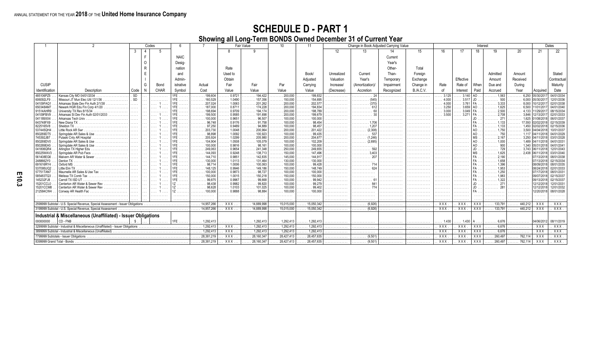|                                             |                                                                                  |           |    | Codes       |             |                         | Fair Value       |                                                         |                                                    | -11                                            |            | Change in Book Adjusted Carrying Value | Interest   |           |                |                |                  |                             | Dates                 |             |                          |
|---------------------------------------------|----------------------------------------------------------------------------------|-----------|----|-------------|-------------|-------------------------|------------------|---------------------------------------------------------|----------------------------------------------------|------------------------------------------------|------------|----------------------------------------|------------|-----------|----------------|----------------|------------------|-----------------------------|-----------------------|-------------|--------------------------|
|                                             |                                                                                  | -3        |    |             |             |                         |                  |                                                         |                                                    |                                                | 12         | 13                                     |            | 15        | 16             | 17             | 18               |                             | 20                    | 21          |                          |
|                                             |                                                                                  |           |    |             | <b>NAIC</b> |                         |                  |                                                         |                                                    |                                                |            |                                        | Current    |           |                |                |                  |                             |                       |             |                          |
|                                             |                                                                                  |           |    |             | Desia-      |                         |                  |                                                         |                                                    |                                                |            |                                        | Year's     |           |                |                |                  |                             |                       |             |                          |
|                                             |                                                                                  |           |    |             |             |                         |                  |                                                         |                                                    |                                                |            |                                        |            |           |                |                |                  |                             |                       |             |                          |
|                                             |                                                                                  |           |    |             | nation      |                         | Rate             |                                                         |                                                    |                                                |            |                                        | Other-     | Total     |                |                |                  |                             |                       |             |                          |
|                                             |                                                                                  |           |    |             | and         |                         | Used to          |                                                         |                                                    | Book/                                          | Unrealized | Current                                | Than-      | Foreian   |                |                |                  | Admitted                    | Amount                |             | Stated                   |
|                                             |                                                                                  |           |    |             | Admin-      |                         | Obtain           |                                                         |                                                    | Adiusted                                       | Valuation  | Year's                                 | Temporary  | Exchange  |                | Effective      |                  | Amount                      | Received              |             | Contractual              |
| <b>CUSIP</b>                                |                                                                                  |           | G  | Bond        | istrative   | Actual                  | Fair             | Fair                                                    | Par                                                | Carrving                                       | Increase/  | (Amortization)                         | Impairment | Change in | Rate           | Rate of        | When             | Due and                     | Durina                |             | Maturity                 |
| Identification                              | Description                                                                      | Code      | N. | <b>CHAR</b> | Symbol      | Cost                    | Value            | Value                                                   | Value                                              | Value                                          | (Decrease) | Accretion                              | Recognized | B./A.C.V  | of             | Interest       | Paid             | Accrued                     | Year                  | Acquired    | Date                     |
| 485106PZ5                                   | Kansas City MO 04/01/2034                                                        | <b>SD</b> |    | .           |             | $\ldots \ldots 199.604$ | $\ldots$ 0.9721  | $\ldots \ldots$ 194.422                                 | $\ldots$ 200.000                                   | $\ldots \ldots 199.832$                        | .          | . 24                                   | .          | .         | $\ldots$ 3.125 | $3.140$ AO     |                  | $\overline{\cdots}$ . 1,563 | $\ldots \ldots 6,250$ | 05/30/20    | 04/01/2034               |
| 606092LF9                                   | Missouri JT Mun Elec Util 12/1/36                                                | SD        |    | .           |             | 160,529                 | 1.0490           | $\ldots \ldots 157,356$                                 | $\ldots \ldots 150,000$                            | $\ldots \ldots 154,695$                        | .          | .                                      | .          | .         | 4.000          | $3.517$ JD     |                  | 500                         | 6,000                 | 05/30/20    | 12/01/2036               |
| 04109FAQ1                                   | Arkansas State Dev Fin Auth 2/1/38                                               |           |    | $\cdots$    |             | 207.024                 | 1.0063           | $\ldots \ldots 201.262$                                 | $\ldots \ldots 200,000$                            | $\ldots \ldots 202,57$                         |            | .                                      |            |           | 4.000          | 3.761 FA       |                  | 3.333                       | 8.000                 |             | 02/01/2038               |
| 650348AM7                                   | Newark HGR Edu Fin Corp 4/1/20                                                   |           |    | $\cdots$    |             | 187,000                 | 0.8711           | 174.228<br>.                                            | $\ldots \ldots 200,000$                            | $\ldots$ 194,834                               | .          | .                                      | .          | .         | 3.250          | $3.659$ AO     |                  | 1,625                       | 6,500                 | 1/01/201    | 04/01/2040               |
| 91514AHR9                                   | University TX Rev 8/15/34                                                        |           |    |             |             |                         | 0.9709           | 194.174                                                 | $\ldots \ldots 200.000$                            | $\ldots$ . 198.789                             |            |                                        |            |           | 3.000          | 3.049          |                  | 2.500                       | 4.133                 | 1/29/201    | 08/15/2034               |
| 04109FBV9                                   | Arkansas St Dev Fin Auth 02/01/2033                                              |           |    |             |             | 199.500                 | 0.9585           | 191.698                                                 | $\ldots \ldots 200.000$                            | 199,679                                        |            |                                        |            |           | 3.500          | 3.271          |                  |                             |                       |             | 02/01/2033               |
| 041189XX4<br>643748FX9                      | Arkansas Tech Univ.                                                              |           |    |             |             | 100.000<br>96.748       | 0.9651           | 96.507                                                  | $\ldots \ldots 100.000$                            | $\ldots \ldots 100.000$<br>. 98,454            |            |                                        |            |           |                |                |                  | 271                         | 1.625                 |             | 06/01/2037               |
| 8225165V8                                   | New Diana TX<br>Sheldon                                                          |           |    |             |             | .97.250                 | 0.9176<br>0.9489 | $\ldots \ldots \ldots 91,758$<br>$\ldots \ldots 94.889$ | $\ldots \ldots 100,000$<br>$\ldots \ldots 100.000$ | . 98.457                                       | .          | . 1.706<br>. 1.207                     | .          | .         | .              | .              |                  | 1.133                       |                       |             | 02/15/2039<br>02/15/2036 |
| 537445QH4                                   | ittle Rock AR Swr                                                                | $\cdots$  |    |             |             | 203.730                 | 1.0048           | $\ldots \ldots 200,964$                                 | $\ldots \ldots 200,000$                            | $\ldots \ldots 201.422$                        | .          | (2.308)<br>.                           | .          | .         | .              | .              |                  | 1.750                       |                       |             | 10/01/2037               |
| 850269DT5                                   | Springdale AR Sales & Use                                                        |           |    |             |             | 98,898                  | 1.0092           | 100.923<br>.                                            | $\ldots \ldots 100,000$                            | $\ldots \ldots 99,435$                         |            |                                        |            | .<br>.    | .<br>.         | .<br>.         |                  |                             |                       |             | 04/01/2029               |
| 745392JB7                                   | Pulaski Cnty AR Hospital                                                         |           |    |             |             | 205.924                 | 1.0299           | $\ldots \ldots 205.980$                                 | $\ldots \ldots 200.000$                            | $\ldots$ 204.67                                |            |                                        |            |           | .              |                |                  |                             | 3,250                 |             | 03/01/2028               |
| 850269DV0                                   | Springdale AR Sales & Use                                                        |           |    |             |             | 104.904<br>.            | 1.0508           | $\ldots \ldots 105,079$                                 | $\ldots \ldots 100,000$                            | $\ldots \ldots 102.209$                        | .          |                                        |            | .         | .              | .              |                  | 1,000                       |                       |             | 04/01/203                |
| 850269EA5                                   | Springdale AR Sales & Use                                                        |           |    |             |             | 100.000                 | 0.9816           | .98.161                                                 | $\ldots \ldots 100.000$                            | $\ldots \ldots \ldots 100.000$                 |            |                                        |            | .         | .              | .              |                  | 900                         |                       |             | 04/01/204                |
| 041806QR4                                   | Arlinaton TX Hiaher Edu                                                          |           |    |             |             | 249.063                 | 0.9654           | $\ldots \ldots 241,348$                                 | $\ldots \ldots 250.000$                            | $\ldots \ldots 249.655$                        |            |                                        |            | .         | .              | .              |                  |                             | 3.743 06/1            |             | 12/01/2043               |
| 85025WAV3                                   | Springdale AR Pub Facs                                                           | $\cdots$  |    | $\cdots$    |             | 144.093                 | 0.9248           | $\ldots \ldots 138.713$                                 | $\ldots \ldots 150,000$                            | $\ldots \ldots 147.496$                        | .          | 3.403<br>.                             | .          | .         | .              | .              |                  | 1.625                       | 2.438                 | 106/11/2018 | 03/01/2040               |
| 561408EG6                                   | Malvern AR Water & Sewer                                                         |           |    |             |             | 144,710                 | 0.9851           | 142,835<br>.                                            | $\ldots \ldots \ldots 145,000$                     | . 144,91                                       |            | . 207                                  |            | .         | .              | .              |                  | 2.190                       |                       |             | 08/01/2038               |
| 2488662Y0                                   | Denton TX                                                                        | $\cdots$  |    |             |             | 130,000                 | 1.0113           | 131.464<br>.                                            | $\ldots \ldots 130.000$                            | $\ldots$ 130,000                               |            | .                                      | .          | .         | .              | .              |                  | 1.658                       |                       |             | 02/15/2034               |
| 691616RY4                                   | Oxford MS                                                                        |           |    |             |             | 98.714                  | 1.0006           | 100.063                                                 | 100,000                                            | .99.428                                        |            |                                        |            |           |                |                |                  |                             |                       |             | 08/01/2035               |
| 537095UQ2                                   | .ittle Elm TX<br>Maumelle AR Sales & Use Tax                                     |           |    |             |             | 148.125<br>.<br>100.000 | 0.9946<br>0.9873 | 149.186<br>.<br>.98.727                                 | $\ldots \ldots 150.000$<br>$\ldots \ldots 100.000$ | 148.749<br>.<br>$\ldots \ldots \ldots 100.000$ |            |                                        | .          | .         | .              | .              |                  |                             |                       | 108/24/2018 | 02/01/2033               |
| 57751TAN7<br>585483TQ3                      | Melissa TX Comb Tax.                                                             |           |    |             |             | 150,000                 | 1.0015           | 150.218                                                 | $\ldots \ldots 150,000$                            | $\ldots \ldots \ldots 150.000$                 |            |                                        |            |           |                |                |                  | 1.250                       |                       |             | 08/01/203<br>02/15/2037  |
| 145232FJ8                                   | Carroll TX ISD UT                                                                |           |    | $\cdots$    |             | .<br>99.875             | 0.9967           | .<br>99.668<br>.                                        | $\ldots \ldots 100,000$                            | .99,942                                        | .<br>.     | .<br>.                                 | .          | .         | .              | .              |                  | 1.322                       |                       | 109/13/2018 | 02/15/2037               |
| 15201CCL0                                   | Centerton AR Water & Sewer Rev                                                   |           |    |             |             | 98.438                  | 0.9982           | .99.820<br>.                                            | $\ldots \ldots 100.000$                            | .<br>.99.279                                   |            |                                        | .          | .<br>.    | .<br>.         | .<br>.         |                  |                             |                       | 12/12/201   | 12/01/2031               |
| 15201CCM8                                   | Centerton AR Water & Sewer Rev                                                   |           |    | $\cdots$    |             | 98.628                  | 1.0103           | 101.025                                                 | 100,000                                            | $\ldots \ldots \ldots 99,402$                  |            |                                        |            |           | .              | .              |                  |                             |                       | 12/12/2018  | 12/01/2032               |
| 212584CW4                                   | Conway AR Health Fac                                                             |           |    | . 1         |             | 100.000                 | 0.9888           |                                                         | 100.000                                            | 100,000                                        |            |                                        |            |           | .              | .              |                  |                             |                       | 12/20/2018  | 08/01/2028               |
| .                                           |                                                                                  |           |    |             | .           |                         |                  |                                                         |                                                    |                                                |            |                                        |            |           | .              | .              |                  |                             |                       |             |                          |
| .                                           |                                                                                  |           |    |             | .           |                         | .                | .                                                       | .                                                  |                                                | .          |                                        |            |           | .              | .              | .                | .                           | .                     |             |                          |
|                                             | 2599999 Subtotal - U.S. Special Revenue, Special Assessment - Issuer Obligations |           |    |             |             | 14,957,266<br>1.1.1.1   | XXX              | 14,889,998                                              | 15,015,000                                         | 15,050,342                                     | .          | (6,926)<br>.                           |            |           | <b>XXX</b>     | XXX            | XXX              | 133,791                     | 440,212               | XXX         | XXX                      |
|                                             | 3199999 Subtotal - U.S. Special Revenue, Special Assessment                      |           |    |             |             | 14,957,266              | XXX              | 14,889,998                                              | 15.015.000                                         | 15.050.342                                     |            | (6.926)                                |            |           | XXX            | <b>XXX</b>     | $\overline{XXX}$ | 133.791                     | 440,212               | <b>XXX</b>  | XXX                      |
|                                             | Industrial & Miscellaneous (Unaffiliated) - Issuer Obligations                   |           |    |             |             |                         |                  |                                                         |                                                    |                                                |            |                                        |            |           |                |                |                  |                             |                       |             |                          |
| 000000000                                   | CD - FNB                                                                         | \$        |    | .           | $1FE$       | 1,292,413               | .                | . 1,292,413                                             | $\ldots \ldots 1,292,413$                          | 1,292,413                                      |            |                                        |            |           | $\ldots$ 1.430 | $\ldots 1.430$ |                  | .6676                       | .                     | 04/06/2012  | 08/11/2019               |
| 3299999 Subtotal                            | - Industrial & Miscellaneous (Unaffiliated) - Issuer Obligations                 |           |    |             |             | 1,292,413               | XXX              | 1,292,413                                               | 1,292,413                                          | 1,292,413                                      |            |                                        | .          | .         | <b>XXX</b>     | XXX            | XXX              | 6,676                       | .                     | <b>XXX</b>  | XXX                      |
|                                             | 3899999 Subtotal - Industrial & Miscellaneous (Unaffiliated)                     |           |    |             |             | $\ldots$ . 1,292,413    | XXX              | $\ldots$ . 1,292,413                                    | . 1,292,413                                        | 1,292,413                                      | .          | .                                      | .          | .         | XXX.           | XXX.           | XXX              | $\ldots \ldots 6,676$       | .                     | <b>XXX</b>  | <b>XXX</b>               |
| 7799999 Subtotals - Issuer Obligations<br>. |                                                                                  |           |    |             |             | 28,381,219              | XXX              | 28,160,347                                              | 28,427,413                                         | 28,457,635                                     | .          | (9, 501)<br>.                          | .          | .         | XXX            | XXX            | XXX              | .260,497                    | $\ldots$ . 762,114    | XXX         | XXX.                     |
| 8399999 Grand Total - Bonds                 |                                                                                  |           |    |             |             |                         |                  |                                                         |                                                    |                                                |            |                                        |            |           |                |                |                  |                             |                       |             |                          |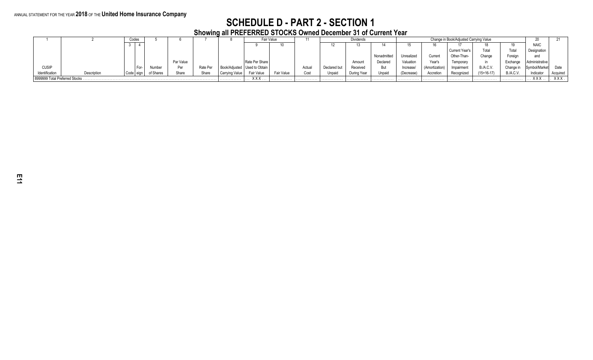#### ANNUAL STATEMENT FOR THE YEAR **2018** OF THE **United Home Insurance Company**

### **SCHEDULE D - PART 2 - SECTION 1**

**Showing all PREFERRED STOCKS Owned December 31 of Current Year**

|                |                                |  | Codes  |           |           |          |          |                                | Fair Value |       |              | <b>Dividends</b> |         |            | - ZU           |                   |                  |                  |               |            |
|----------------|--------------------------------|--|--------|-----------|-----------|----------|----------|--------------------------------|------------|-------|--------------|------------------|---------|------------|----------------|-------------------|------------------|------------------|---------------|------------|
|                |                                |  |        |           |           |          |          |                                |            |       |              |                  |         |            |                |                   |                  |                  | <b>NAIC</b>   |            |
|                |                                |  |        |           |           |          |          |                                |            |       |              |                  |         |            |                | Current Year's    | Total            | Total            | Designation   |            |
|                |                                |  |        |           |           |          |          |                                |            |       |              |                  | Nonad   | Unrealizeo | Curren         | <b>Other-Than</b> | Change           | Foreiar          | and           |            |
|                |                                |  |        |           | Par Value |          |          | Rate Per Share                 |            |       |              | Amount           | Declare | Valuation  | Year's         | Temporan          |                  |                  | Administrativ |            |
| <b>CUSIP</b>   |                                |  | $For-$ | Numbe     |           | Rate Per |          | Book/Adjusted   Used to Obtain |            | Actua | Declared but | Received         | υuι     | Increase   | (Amortization) | Impairment        | <b>B./A.C.V.</b> | Change in        | Symbol/Market | Date       |
| Identification | Description                    |  |        | of Shares | Share     | Share    | na Value |                                | Fair Valu  | Cost  | Unpaid       | During Year      | Unpai   | (Decrease) | Accretion      | Recognized        | $(15+16-17)$     | <b>B./A.C.V.</b> | Indicator     | Acquired   |
|                | viggggg Total Preferred Stocks |  |        |           |           |          | .        | <b>v</b> v v                   | .          | .     | .            | .                | .       | .          | .              | .                 | . <b>.</b> .     | .                | <b>YYY</b>    | <b>XXX</b> |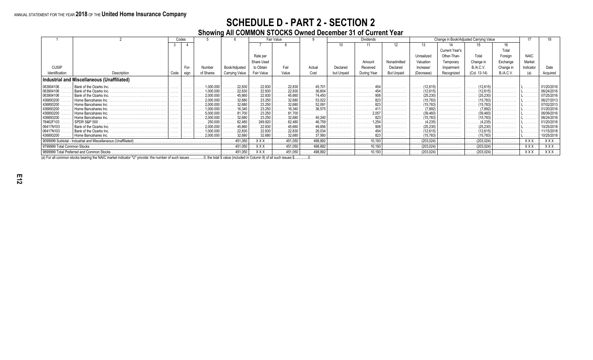# **SCHEDULE D - PART 2 - SECTION 2**

### **Showing All COMMON STOCKS Owned December 31 of Current Year**

|                             |                                                 |      | Codes |                      |                         |                   | Fair Value              |                        |            | <b>Dividends</b>               |                   |            |                | Change in Book/Adjusted Carrying Value |                  |             |                          |
|-----------------------------|-------------------------------------------------|------|-------|----------------------|-------------------------|-------------------|-------------------------|------------------------|------------|--------------------------------|-------------------|------------|----------------|----------------------------------------|------------------|-------------|--------------------------|
|                             |                                                 |      |       |                      |                         |                   |                         |                        |            | 11                             |                   |            |                |                                        |                  |             |                          |
|                             |                                                 |      |       |                      |                         |                   |                         |                        |            |                                |                   |            | Current Year's |                                        |                  |             |                          |
|                             |                                                 |      |       |                      |                         | Rate per          |                         |                        |            |                                |                   | Unrealizeo | Other-Than-    |                                        | Foreiar          | <b>NAIC</b> |                          |
|                             |                                                 |      |       |                      |                         | Share Used        |                         |                        |            | Amour                          | Nonadmitted       | Valuation  | Temporary      | Change in                              | Exchange         | Market      |                          |
| <b>CUSIP</b>                |                                                 |      |       | Numbe                | Book/Adjusted           | to Obtain         | Fair                    | Actua                  |            | Received                       | Declared          | Increase   | Impairment     | B./A.C.V                               | Change i         | Indicator   |                          |
| Identification              | Description                                     |      |       | of Shares            |                         | Fair Value        | Value                   | Cost                   | but Unpaid | During Year                    | <b>But Unpaid</b> | (Decrease) |                | (Col. 13-14)                           | <b>B./A.C.V.</b> | (a)         |                          |
|                             |                                                 | Code | eign  |                      | Carrying Value          |                   |                         |                        |            |                                |                   |            | Recognized     |                                        |                  |             |                          |
|                             | Industrial and Miscellaneous (Unaffiliated)     |      |       |                      |                         |                   |                         |                        |            |                                |                   |            |                |                                        |                  |             |                          |
| 063904106                   | Bank of the Ozarks Inc.                         |      |       | .000.000             | 22,830                  | 22.830            | 22,830                  | 45.70<br>.             |            |                                | .                 | (12.615)   |                |                                        |                  | -           | 01/20/2016               |
| 63904106                    | Bank of the Ozarks Inc.                         |      |       |                      | 22,830                  | 22.830            | 22,830                  | 36.604                 |            |                                |                   | (12.615)   |                |                                        |                  |             | 06/24/2016               |
| 063904106                   | Bank of the Ozarks Inc.                         |      |       | 2.000.000            | 45.660                  | 22.830            | 45.660                  | 74.45                  |            |                                | .                 |            |                |                                        |                  |             | 07/25/2016               |
| 436893200                   | Home Bancshares Inc.                            |      |       | 2.000.000            | 32,680                  | 23.250            | 32,680                  |                        |            |                                | .                 |            |                |                                        |                  |             | 06/27/2013               |
| 436893200                   | Home Bancshares Inc.                            |      |       | 2.000.000            | 32,680                  | 23.250            | 32.680                  | 52.091<br>.            |            | $\ldots \ldots \ldots 823$ i . | .                 | (15.783)   |                | (15.783)                               |                  |             | 07/02/2013               |
| 36893200                    | Home Bancshares Inc.                            |      |       |                      |                         | 23.250            |                         | $\ldots \ldots 36,575$ |            |                                |                   |            |                |                                        |                  |             | 01/20/2016               |
| 436893200                   | Home Bancshares Inc.                            | .    |       | 5.000.000            |                         | 23.250            | 81.700                  |                        | .          | 2.057                          | . <b>.</b> .      | (39.460)   |                |                                        |                  | .           | 06/09/2016               |
| 436893200<br>78462F103      | Home Bancshares Inc.<br><b>SPDR S&amp;P 500</b> |      |       | 2,000.000<br>250,000 | 32.680<br>62,480        | 23.250<br>249.920 | 32,680<br>62.480        |                        |            | 823<br>1.254                   | .                 |            |                |                                        |                  |             | 06/24/2016<br>01/20/2016 |
| 06417N103                   | Bank of the Ozarks Inc.                         |      |       | 2.000.000            | 45.660                  | 22.830            | .<br>45.660             | .                      |            |                                | .                 |            |                |                                        |                  | _           | 10/25/2018               |
| 06417N103                   | Bank of the Ozarks Inc.                         |      |       | .000.000             | 22,830                  | 22.830            | 22,830                  | 26.034                 |            |                                |                   |            |                |                                        |                  |             | 11/15/2018               |
| 436893200                   | Home Bancshares Inc.                            | .    | .     | 2,000.000<br>.       | .32,680<br>.            | 32.680            | 32,680<br>.             | .<br>37,560            | .          | . 823                          | .                 | (15, 783)  | .              | (15,783)                               | .                | .           | 10/25/2018               |
| 9099999 Subtotal            | - Industrial and Miscellaneous (Unaffiliated).  |      |       |                      | $\ldots \ldots 451,050$ | XXX .             | 451,050                 | 498.892<br>.           | .          | 10.193<br>.                    | .                 | (203, 024) | .              | (203, 024)                             | .                | <b>XXX</b>  | $XXX$                    |
| 9799999 Total Common Stocks |                                                 |      |       |                      | $\ldots \ldots 451,050$ | . XXX             | 451,050                 | 498,892<br>.           | .          | 10.193<br>.                    | .                 | (203, 024) |                | (203, 024)                             | .                | XXX         | $XXX$                    |
|                             | 9899999 Total Preferred and Common Stocks       |      |       |                      | $\ldots \ldots 451,050$ | <b>XXX</b>        | $\ldots \ldots 451,050$ | $\ldots$ 498,892       |            | 10,193                         | .                 | (203, 024) |                | (203, 024)                             | .                | XXX.        | XXXI                     |

(a) For all common stocks bearing the NAIC market indicator "U" provide: the number of such issues ...............0, the total \$ value (included in Column 8) of all such issues \$...............0.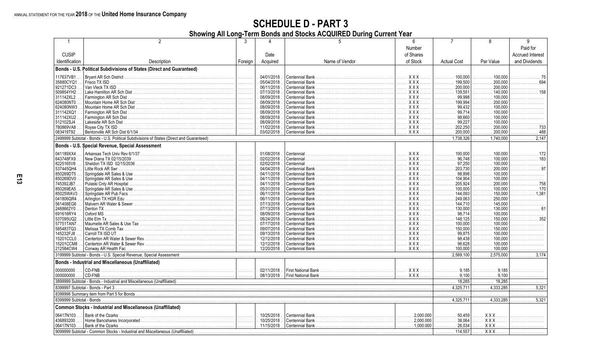# **SCHEDULE D - PART 3**

Showing All Long-Term Bonds and Stocks ACQUIRED During Current Year

|                |                                                                       |                       |             |                 |                                  |                                |                                | a                       |
|----------------|-----------------------------------------------------------------------|-----------------------|-------------|-----------------|----------------------------------|--------------------------------|--------------------------------|-------------------------|
|                |                                                                       |                       |             |                 | Number                           |                                |                                | Paid for                |
| <b>CUSIP</b>   |                                                                       |                       | Date        |                 | of Shares                        |                                |                                | <b>Accrued Interest</b> |
| Identification | Description                                                           | Foreign               | Acquired    | Name of Vendor  | of Stock                         | <b>Actual Cost</b>             | Par Value                      | and Dividends           |
|                | Bonds - U.S. Political Subdivisions of States (Direct and Guaranteed) |                       |             |                 |                                  |                                |                                |                         |
|                |                                                                       |                       |             |                 |                                  |                                |                                |                         |
| 117637VB1      | Brvant AR Sch District                                                |                       | 04/01/2018  | Centennial Bank | $XXX$                            | 100.000                        | 100.000                        | -75                     |
| 35880CYQ1      | Frisco TX ISD                                                         | 1.                    | 05/04/2018  |                 | <b>XXX</b><br>.                  | . 199.500                      | 200.000<br>.                   | .                       |
| 921271DC3      | Van Vleck TX ISD                                                      | .                     | 06/11/2018  |                 | XXX                              | 200.000<br>.                   | 200.000<br>.                   |                         |
| 509854YH2      |                                                                       | 1.                    | 07/13/2018  |                 | . X X X                          | 139,551<br>.                   | 140,000<br>.                   | . 158                   |
| 311142XL2      | Farmington AR Sch Dist                                                |                       | 08/09/2018  | Centennial Bank | XXX                              | 99.998<br>.                    | 100.000<br>.                   |                         |
| 624080NT0      |                                                                       |                       | 08/09/2018  |                 | . X X X                          | .199.994<br>.                  | 200.000<br>.                   |                         |
| 624080NW3      |                                                                       |                       | 08/09/2018  |                 | XXX                              | 99.432<br>.                    | 100.000<br>.                   |                         |
| 311142XQ1      | Farmington AR Sch Dist                                                |                       | 08/09/2018  |                 | . X X X                          | 99.714<br>.                    | 100.000<br>.                   |                         |
| 311142XU2      | Farmington AR Sch Dist                                                |                       | 08/09/2018  |                 | XXX                              | 98.660<br>.                    | 100.000<br>.                   |                         |
| 512102SJ4      |                                                                       |                       | 08/09/2018  |                 | XXX                              | 99.227<br>.                    | 100,000                        |                         |
| 780869VA8      | Royse City TX ISD                                                     |                       | 11/02/2018  |                 | XXX                              | 202,250<br>.                   | 200,000<br>.                   | . 733                   |
| 083419T92      |                                                                       |                       | 03/02/2018  |                 | XXX                              | .200,000<br>.                  | 200,000<br>.                   | . 488                   |
|                |                                                                       |                       |             |                 |                                  | 1.738.326                      | 1.740.000                      | 2.147                   |
|                | Bonds - U.S. Special Revenue, Special Assessment                      |                       |             |                 |                                  |                                |                                |                         |
|                |                                                                       |                       |             |                 |                                  |                                |                                |                         |
| 041189XX4      |                                                                       | $\ $                  | 01/08/2018  |                 | XXX                              | $\ldots$ , , , 100.000         | $\ldots \ldots \ldots 100.000$ | . 172                   |
| 643748FX9      |                                                                       | .                     | 02/02/2018  |                 | <u>. XXX</u>                     | 96.748<br>.                    | 100.000<br>.                   | . 183                   |
| 8225165V8      |                                                                       |                       | 02/02/2018  |                 | . X X X                          | 97,250<br>.                    | 100,000<br>.                   |                         |
| 537445QH4      |                                                                       |                       | 04/04/2018  |                 | XXX                              | . 203.730<br>.                 | 200.000<br>.                   | . 97                    |
| 850269DT5      |                                                                       |                       | 04/11/2018  |                 | XXX                              | 98,898                         | .100.000<br>.                  |                         |
| 850269DV0      |                                                                       |                       | 04/11/2018  |                 | XXX                              | 104,904                        | 100.000<br>.                   |                         |
| 745392JB7      | Pulaski Cnty AR Hospital.                                             |                       | 04/11/2018  |                 | <b>XXX</b><br>.                  | 205,924                        | 200,000<br>.                   |                         |
| 850269EA5      |                                                                       |                       | 05/31/2018  |                 | XXX                              | .100,000<br>.                  | 100,000                        | . 170                   |
| 85025WAV3      |                                                                       |                       | 06/11/2018  |                 | XXX                              | . 144,093<br>.                 | . 150,000                      | $\ldots$ 1,381          |
| 041806QR4      |                                                                       |                       | 06/11/2018  |                 | XXX                              | 249,063<br>.                   | 250,000<br>.                   |                         |
| 561408EG6      |                                                                       |                       | 07/13/2018  | Centennial Bank | . XXX                            | 144,710                        | 145.000<br>.                   |                         |
| 2488662Y0      |                                                                       |                       | 07/13/2018  |                 | XXX                              | $\ldots \ldots \ldots 130.000$ | $\ldots$ , , , 130.000         | . 61                    |
| 691616RY4      | Oxford MS                                                             |                       | 08/09/2018  |                 | . X X X                          | 98.714                         | 100,000                        |                         |
| 537095UQ2      |                                                                       |                       | 08/24/2018  |                 | XXX                              | . 148,125<br>.                 | 150.000<br>.                   | . 352                   |
| 57751TAN7      |                                                                       | $\  \ldots \ldots \ $ | 07/17/2018  | Centennial Bank | <b>XXX</b><br>.                  | $\ldots \ldots \ldots 100.000$ | 100.000<br>.                   |                         |
| 585483TQ3      |                                                                       |                       | 09/07/2018  |                 | XXX                              | 150,000<br>.                   | 150.000                        |                         |
| 145232FJ8      | Carroll TX ISD UT                                                     | 1.                    | 09/13/2018  |                 | <b>XXX</b><br>.                  | 99.875                         | 100.000<br>.                   |                         |
| 15201CCL0      |                                                                       |                       | 12/12/2018  |                 | <b>XXX</b><br>.                  | 98.438<br>.                    | 100.000<br>.                   |                         |
| 15201CCM8      |                                                                       |                       | 12/12/2018  |                 | XXX                              | 98,628<br>.                    | $\ldots \ldots \ldots 100.000$ | .                       |
| 212584CW4      | Conway AR Health Fac                                                  |                       | 12/20/2018  |                 | <b>XXX</b><br>.                  | . 100,000                      | 100,000                        |                         |
|                |                                                                       |                       |             |                 |                                  | 2 569 100                      | 2.575.000                      | 3 1 7 4                 |
|                |                                                                       |                       |             |                 |                                  |                                |                                |                         |
|                | Bonds - Industrial and Miscellaneous (Unaffiliated)                   |                       |             |                 |                                  |                                |                                |                         |
| 000000000      | CD-FNB                                                                |                       | 02/11/2018  |                 |                                  | 9.185<br>.                     | .9.185<br>.                    |                         |
| 000000000      | CD-FNB                                                                |                       | 08/13/2018. |                 |                                  | 9,100<br>.                     | .9,100<br>.                    |                         |
|                |                                                                       |                       |             |                 |                                  | 18,285<br>.                    | 18,285<br>.                    |                         |
|                |                                                                       |                       |             |                 |                                  | $\overline{4,325,711}$         | 4,333,285<br>.                 | .5.321<br>.             |
|                |                                                                       |                       |             |                 |                                  |                                |                                |                         |
|                |                                                                       |                       |             |                 |                                  | $\ldots \ldots 4.325.711$      | 4.333.285                      | 5.321                   |
|                |                                                                       |                       |             |                 |                                  |                                |                                |                         |
|                | <b>Common Stocks - Industrial and Miscellaneous (Unaffiliated)</b>    |                       |             |                 |                                  |                                |                                |                         |
| 06417N103      | Bank of the Ozarks.                                                   | 1.                    | 10/25/2018  |                 | 2.000.000<br>.                   | 50.459                         | . XXX                          |                         |
| 436893200      |                                                                       | .                     | 10/25/2018  |                 | $\ldots \ldots \ldots 2,000.000$ | 38,064<br>.                    | XXX                            |                         |
| 06417N103      |                                                                       |                       | 11/15/2018  |                 |                                  | . 26,034                       | <b>XXX</b>                     |                         |
|                |                                                                       |                       |             |                 |                                  | 114,557                        | XXX                            |                         |
|                |                                                                       |                       |             |                 |                                  |                                |                                |                         |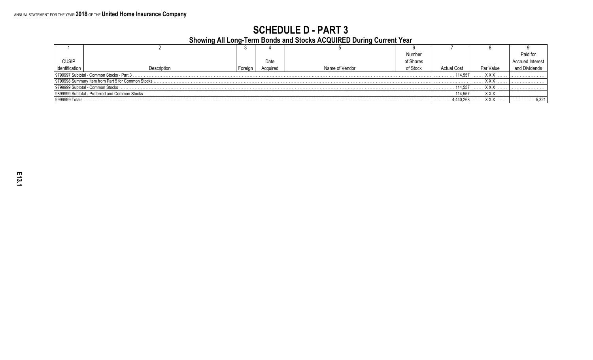### **SCHEDULE D - PART 3** Showing All Long-Term Bonds and Stocks ACQUIRED During Current Year

| <b>Proming An Evily Term Dense and Olders Accepted Danny Oanon, Team</b> |                                                      |            |          |                |           |                    |           |  |  |
|--------------------------------------------------------------------------|------------------------------------------------------|------------|----------|----------------|-----------|--------------------|-----------|--|--|
|                                                                          |                                                      |            |          |                |           |                    |           |  |  |
|                                                                          |                                                      |            |          |                | Number    |                    |           |  |  |
| <b>CUSIP</b>                                                             |                                                      |            | Date     |                | of Shares |                    |           |  |  |
| dentification                                                            | Description                                          | Foreigr    | Acquired | Name of Vendor | of Stock  | <b>Actual Cost</b> | Par Value |  |  |
| . X X X<br>9799997 Subtotal - Common Stocks - Part 3<br>114.557          |                                                      |            |          |                |           |                    |           |  |  |
|                                                                          | 19799998 Summary Item from Part 5 for Common Stocks. |            |          |                |           |                    | v v       |  |  |
| 19799999 Subtotal - Common Stocks.                                       | 114.557                                              | <b>XXX</b> |          |                |           |                    |           |  |  |
| l 9899999 Subtotal - Preferred and Common Stocks.                        | 114.557                                              | <b>XXX</b> |          |                |           |                    |           |  |  |
| 9999999 Totals                                                           | +,440,268                                            | XXX        | 5,321    |                |           |                    |           |  |  |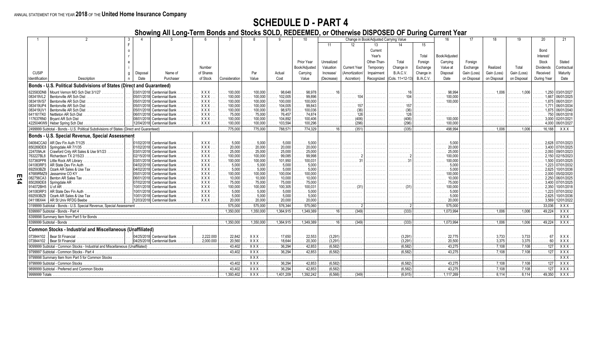# **SCHEDULE D - PART 4**

**Showing All Long-Term Bonds and Stocks SOLD, REDEEMED, or Otherwise DISPOSED OF During Current Year**

|                          |                                                                                          |              |                            |                                |                  |                     |                       | 10                    |                           |                           | Change in Book/Adjusted Carrying Value |                             |                  | 16                  |             |                           |                           | 20                      |                  |
|--------------------------|------------------------------------------------------------------------------------------|--------------|----------------------------|--------------------------------|------------------|---------------------|-----------------------|-----------------------|---------------------------|---------------------------|----------------------------------------|-----------------------------|------------------|---------------------|-------------|---------------------------|---------------------------|-------------------------|------------------|
|                          |                                                                                          |              |                            |                                |                  |                     |                       |                       | 11                        | 12                        | 13 <sup>13</sup>                       | 14                          | 15               |                     |             |                           |                           |                         |                  |
|                          |                                                                                          |              |                            |                                |                  |                     |                       |                       |                           |                           | Current                                |                             |                  |                     |             |                           |                           | Bond                    |                  |
|                          |                                                                                          |              |                            |                                |                  |                     |                       |                       |                           |                           | Year's                                 |                             | Total            | Book/Adjusted       |             |                           |                           | Interest/               |                  |
|                          |                                                                                          |              |                            |                                |                  |                     |                       | Prior Year            | Unrealized                |                           | Other-Than-                            | Total                       | Foreign          | Carrying            | Foreign     |                           |                           | Stock                   | Stated           |
|                          |                                                                                          |              |                            |                                |                  |                     |                       |                       |                           |                           |                                        |                             |                  |                     |             |                           |                           |                         |                  |
|                          |                                                                                          |              |                            | Number                         |                  |                     |                       | Book/Adjusted         | Valuation                 | <b>Current Year</b>       | Temporary                              | Change in                   | Exchange         | Value at            | Exchange    | Realized                  | Total                     | <b>Dividends</b>        | Contractual      |
| <b>CUSIP</b>             |                                                                                          | q   Disposal | Name of                    | of Shares                      |                  | Par                 | Actual                | Carrying              | Increase/                 | Amortization/             | Impairment                             | B./A.C.V.                   | Change in        | Disposal            | Gain (Loss) | Gain (Loss)               | Gain (Loss)               | Received                | Maturity         |
| Identification           | Description                                                                              | Date         | Purchaser                  | of Stock                       | Consideration    | Value               | Cost                  | Value                 | (Decrease)                | Accretion)                | Recognized                             | (Cols. 11+12-13)            | <b>B./A.C.V.</b> | Date                | on Disposal | on Disposal               | on Disposal               | During Year             | Date             |
|                          | Bonds - U.S. Political Subdivisions of States (Direct and Guaranteed)                    |              |                            |                                |                  |                     |                       |                       |                           |                           |                                        |                             |                  |                     |             |                           |                           |                         |                  |
| 623583DN8                | Mount Vernon MO Sch Dist 3/1/27                                                          |              | 03/01/2018 Centennial Bank | <b>XXX</b>                     | 100.000          | $\ldots$ 100.000    | 98,648                | 98.978                |                           |                           | .                                      |                             |                  | 98.994              | .           | $\ldots$ 1.006            |                           | 1.250                   | 03/01/2027       |
| 083419VL2                | Bentonville AR Sch Dist                                                                  |              | 05/01/2018 Centennial Bank | <b>XXX</b>                     | 100.000          | 100.000             | 102,005               | 99.896                | .                         | . 104                     | .                                      | . 104                       |                  | 100.000             | .           |                           |                           | 1.667                   | 06/01/2025       |
| 083419VS7                | Bentonville AR Sch Dist                                                                  |              | 05/01/2018 Centennial Bank | <b>XXX</b>                     | 100,000          | 100,000             | 100,000               | 100,000               | .                         |                           | .                                      | .                           | .                | 100,000<br>.        | .           | .                         | .                         | 1.875                   | 06/01/203        |
| 083419UP4                | Bentonville AR Sch Dist                                                                  |              | 05/01/2018 Centennial Bank | <b>XXX</b>                     | 100.000          | 100.000<br>$\cdots$ | 104.005               | 99.843                | .                         | 157<br>.                  | .                                      | . 157                       | .                | .                   | .           | .                         |                           | 1 7 7 1                 | 06/01/2034       |
| 083419UV1                | Bentonville AR Sch Dist                                                                  |              | 05/01/2018 Centennial Bank | <b>XXX</b>                     | 100,000          | $\ldots$ 100.000    | 98,970                | 100.036               | .                         | $\ldots \ldots$ (36)      | .                                      | $\ldots \ldots \ldots$ (36) | .                | .                   | .           | .                         |                           | . 1.875                 | 06/01/2040       |
| 641161TK0                | Nettleton AR Sch Dist                                                                    |              | 06/01/2018 Centennial Bank | <b>XXX</b>                     | 75,000           | 75,000              | 76,457                | 74,874                |                           | 126                       | .                                      | 126<br>.                    |                  |                     |             |                           |                           | 750                     | 06/01/2018       |
| 117637RN0                | Bryant AR Sch Dist                                                                       |              | 08/01/2018 Centennial Bank | <b>XXX</b>                     | 100,000          | 100,000             | 104,892               | 100.406               | .                         |                           | .                                      | .                           |                  | $\ldots$ 100.000    |             | .                         | .                         | 3.000                   | 02/01/2021       |
|                          | 422504KW9   Heber Spring Sch Dist                                                        |              | 12/04/2018 Centennial Bank | <b>XXX</b>                     | 100,000          | 100,000             | 103,594               | 100,296               | .                         | (296)                     | .                                      | $\lambda$ 296)              | .                | 100,000             | .           |                           |                           | 4,000                   | 06/01/2027       |
|                          | 2499999 Subtotal - Bonds - U.S. Political Subdivisions of States (Direct and Guaranteed) |              |                            |                                | .775.000         | 775.000             | 788.571               | 774.329               | $\ldots \ldots \ldots 16$ | $\overline{\cdots}$ (351) | .                                      | $\overline{\cdots}$ (335)   | .                | 498.994             | .           | $\overline{\cdots}$ 1.006 | $\overline{\cdots}$ 1.006 | 16.188                  | XXX              |
|                          | Bonds - U.S. Special Revenue, Special Assessment                                         |              |                            |                                |                  |                     |                       |                       |                           |                           |                                        |                             |                  |                     |             |                           |                           |                         |                  |
|                          | 04084CCA0   AR Dev Fin Auth 7/1/25                                                       |              | 01/02/2018 Centennial Bank | $\ldots$ XXX                   | $\ldots$ . 5,000 | . 5,000             | $\ldots \ldots 5,000$ | . 5,000               | .                         | .                         | .                                      | .                           | .                | 5,000               |             |                           |                           | 2,628                   | 07/01/2023       |
| 850269DE8                | Springdale AR 7/1/35                                                                     |              | 01/02/2018 Centennial Bank | <b>XXX</b>                     | 20,000           | 20,000<br>.         | 20,000                | 20,000<br>11111       |                           |                           | .                                      | .                           |                  | 20.000              |             |                           |                           | 3.400                   | 07/01/2025       |
| 224709AJ4                | Crawford Cnty AR Sales & Use 9/1/23.                                                     |              | 03/01/2018 Centennial Bank | XXX                            | 25,000           | .25,000             | 25,000                | 25,000                | .                         |                           |                                        |                             |                  | 25.000              |             |                           |                           | 2.093                   | 09/01/2023       |
| 763227BL8                | Richardson TX 2/15/23                                                                    |              | 02/15/2018 Centennial Bank | <b>XXX</b>                     | 100,000          | $\ldots$ 100,000    | 99,085                | 99.998<br>.           | .                         | . 2                       | .                                      |                             |                  | 100,000             |             | .                         | .                         | 2.150                   | 02/15/2023       |
| 537360PP8                | Little Rock AR Library                                                                   |              | 03/01/2018 Centennial Bank | <b>XXX</b>                     | 100,000<br>.     | $\ldots$ 100.000    | 101,950               | $\ldots$ 100.031      | .                         | $\ldots \ldots \ldots 31$ | .                                      | . 31 1                      | .                | 100.000<br>$\cdots$ |             | .                         | .                         |                         | 1.500 03/01/2025 |
| 041083RP3                | AR State Dev Fin Auth                                                                    |              | 04/02/2018 Centennial Bank | <b>XXX</b>                     | .5.000           | . 5.000             | $\ldots$ . 5.000      | $\ldots \ldots 5.000$ | .                         | .                         | .                                      | .                           | .                | .5.000              | .           |                           |                           | 1.223                   | 07/01/2032       |
| 692593BZ8                | Ozark AR Sales & Use Tax                                                                 |              | 04/02/2018 Centennial Bank | <b>XXX</b>                     | 5,000            | .5.000<br>.         | .5,000                | .5.000                |                           | .                         | .                                      | .                           | .                | .5.000              |             |                           |                           | 2.625                   | 10/01/2036       |
| 47689RMZ9                | Jassamine CO KY $\ldots, \ldots, \ldots, \ldots, \ldots, \ldots$                         |              | 05/01/2018 Centennial Bank | <b>XXX</b>                     | 100,000          | $\ldots$ 100.000    | 100.004               | 100,000               | .                         | .                         | .                                      | .                           | .                | 100.000             |             | .                         | .                         | 2.000                   | 05/02/2020       |
| 082756CA3                | Benton AR Sales Tax                                                                      |              | 06/01/2018 Centennial Bank | <b>XXX</b>                     | 10,000           | $\ldots$ . 10,000   | 10,000                | 10,000<br>1.1.1.1     | .                         | .                         | .                                      | .                           | .                | 10.000              | .           | .                         |                           | 2.250                   | 06/01/2025       |
| 850269DE8                | Springdale AR                                                                            |              | 07/02/2018 Centennial Bank | <b>XXX</b>                     | 75,000           | 75,000<br>.         | 75,000                | 75,000                |                           |                           | .                                      | .                           |                  | 75,000              |             |                           |                           | 3.400                   | 07/01/2025       |
| 914072BH5                | $U$ of $AR$                                                                              |              | 10/01/2018 Centennial Bank | <b>XXX</b>                     | 100,000          | $\ldots$ 100.000    | 100,305               | 100.031               | .                         | $\ldots \ldots$ (31)      | .                                      | $\ldots \ldots$ (31)        |                  |                     |             | .                         |                           | 2.350                   | 10/01/2018       |
| 041083RP3                | AR State Dev Fin Auth                                                                    |              | 10/01/2018 Centennial Bank | <b>XXX</b>                     | 5,000            | . 5.000             | .5.000                | .5.000                | .                         | .                         | .                                      | .                           | .                | .5.000              | .           | .                         |                           | 1.223                   | 07/01/2032       |
| 692593BZ8                | Ozark AR Sales & Use Tax                                                                 |              | 10/01/2018 Centennial Bank | <b>XXX</b>                     | 5.000            | .5.000              | .5.000                | 5.000                 |                           | .                         | .                                      | .                           |                  | 5.000               |             |                           |                           | 2.625                   | 10/01/2036       |
| 041186X44                | AR St Univ RFDG Beebe                                                                    |              | 12/03/2018 Centennial Bank | $\mathbf{X} \times \mathbf{X}$ | 20,000           | 20,000              | 20,000                | 20,000                |                           |                           |                                        |                             |                  | 20,000              |             |                           |                           | 3.569                   | 12/01/2022       |
|                          | 3199999 Subtotal - Bonds - U.S. Special Revenue, Special Assessment                      |              |                            |                                | .575.000         | 575.000             | 576.344               | 575.060               |                           |                           |                                        |                             |                  | 575,000             |             |                           |                           | 33.036                  | XXX              |
|                          | 8399997 Subtotal - Bonds - Part 4                                                        |              |                            |                                | 1.350.000        | .1.350.000          | .1.364.915            | .1.349.389            | . 16 l                    | (349)                     | .                                      | $\overline{\cdots}$ (333)   |                  | .1073.994           |             | $\ldots$ 1.006            | 1.006                     | 49.224                  | $XXX$ .          |
|                          |                                                                                          |              |                            |                                | .                |                     |                       |                       |                           |                           |                                        |                             |                  |                     |             |                           |                           |                         | <b>XXX</b>       |
| 8399999 Subtotal - Bonds |                                                                                          |              |                            |                                | 1.350.000        | .1.350.000          | .1364.915             | .1349.389             | . 16                      | (349)                     | .                                      | $\overline{\cdots}$ (333)   |                  | .1073.994           |             | 1.006                     | .1.006                    | 49.224                  | <b>XXX</b>       |
|                          | <b>Common Stocks - Industrial and Miscellaneous (Unaffiliated)</b>                       |              |                            |                                |                  |                     |                       |                       |                           |                           |                                        |                             |                  |                     |             |                           |                           |                         |                  |
|                          | 073844102 . Bear St Financial                                                            |              | 04/25/2018 Centennial Bank | $\ldots$ 2.222.000             | 22,842           | XXX.                | 17,650                | 22,553                | (3.291)                   | .                         | .                                      | (3,291)                     |                  | 22.775              |             | 3.733                     | 3.733                     |                         | XXX              |
|                          | 073844102 . Bear St Financial                                                            |              | 04/25/2018 Centennial Bank | 2,000,000                      | 20,560           | XXX                 | 18.644                | 20,300                | (3.291)                   |                           | .                                      | (3.291)                     |                  | 20.500              |             | 3.375                     | 3 3 7 5                   |                         | <b>XXX</b>       |
|                          | 9099999 Subtotal - Common Stocks - Industrial and Miscellaneous (Unaffiliated)           |              |                            |                                | 43.402           | $\overline{XXX}$    | 36,294                | 42.853                | (6.582)                   |                           |                                        | (6.582)                     |                  | 43.275              |             | $\overline{7.108}$        | .7.108                    | $\ldots$ 127            | XXX              |
|                          | 9799997 Subtotal - Common Stocks - Part 4                                                |              |                            |                                | 43.402           | <b>XXX</b>          | 36.294                | 42.853                | (6.582)                   |                           |                                        | (6.582)                     |                  | 43,275              |             |                           |                           | $\ldots$ 127            | <b>XXX</b>       |
|                          | 9799998 Summary Item from Part 5 for Common Stocks                                       |              |                            |                                |                  | $\overline{XX}$     | .                     | .                     | .                         | .                         | .                                      | .                           | .                | .                   |             |                           |                           |                         | <b>XXX</b>       |
|                          | 9799999 Subtotal - Common Stocks                                                         |              |                            |                                | 43.402           | $\overline{XXX}$    | 36,294                | 42.853                | (6.582)                   |                           |                                        | (6.582)                     |                  | 43.275              |             |                           | 7.108                     | $\ldots$ 127            | $\overline{XXX}$ |
|                          |                                                                                          |              |                            |                                | 43.402           | $\overline{XXX}$    | 36,294                | 42,853                | (6.582)                   |                           |                                        | (6.582)                     |                  | 43,275              |             | .7.108                    | 7.108                     | $\overline{\ldots}$ 127 | $XXX$ .          |
| 9999999 Totals           |                                                                                          |              |                            |                                | 1.393.402        | XXX                 | 1.401.209             | 1,392,242             | (6, 566)                  | (349)                     |                                        | (6, 915)                    |                  | .1,117,269          |             | 8.114                     | 8.114                     | 49.350                  | $\overline{XX}$  |
|                          |                                                                                          |              |                            |                                |                  |                     |                       |                       |                           |                           |                                        |                             |                  |                     |             |                           |                           |                         |                  |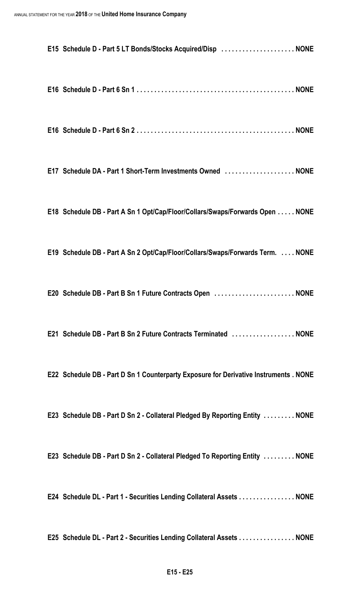| E15 Schedule D - Part 5 LT Bonds/Stocks Acquired/Disp NONE                            |  |  |
|---------------------------------------------------------------------------------------|--|--|
|                                                                                       |  |  |
|                                                                                       |  |  |
| E17 Schedule DA - Part 1 Short-Term Investments Owned  NONE                           |  |  |
| E18 Schedule DB - Part A Sn 1 Opt/Cap/Floor/Collars/Swaps/Forwards Open NONE          |  |  |
| E19 Schedule DB - Part A Sn 2 Opt/Cap/Floor/Collars/Swaps/Forwards Term.  NONE        |  |  |
| E20 Schedule DB - Part B Sn 1 Future Contracts Open NONE                              |  |  |
| E21 Schedule DB - Part B Sn 2 Future Contracts Terminated NONE                        |  |  |
| E22 Schedule DB - Part D Sn 1 Counterparty Exposure for Derivative Instruments . NONE |  |  |
| E23 Schedule DB - Part D Sn 2 - Collateral Pledged By Reporting Entity  NONE          |  |  |
| E23 Schedule DB - Part D Sn 2 - Collateral Pledged To Reporting Entity  NONE          |  |  |
| E24 Schedule DL - Part 1 - Securities Lending Collateral Assets NONE                  |  |  |
| E25 Schedule DL - Part 2 - Securities Lending Collateral Assets NONE                  |  |  |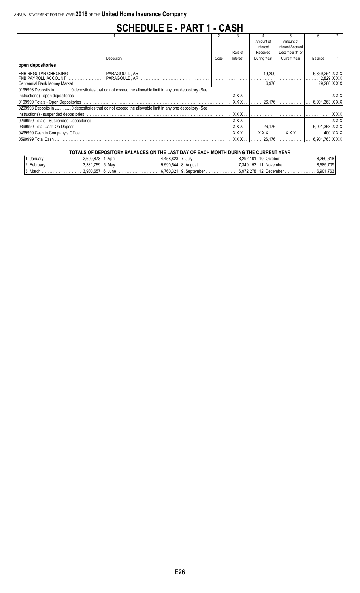# **SCHEDULE E - PART 1 - CASH**

|                              |      |                       | Amount of   | Amount of               |                            |            |
|------------------------------|------|-----------------------|-------------|-------------------------|----------------------------|------------|
|                              |      |                       | Interest    | <b>Interest Accrued</b> |                            |            |
|                              |      | Rate of               | Received    | December 31 of          |                            |            |
| Depository                   | Code | Interest              | During Year | <b>Current Year</b>     | Balance                    |            |
| open depositories            |      |                       |             |                         |                            |            |
|                              |      |                       |             |                         | 6,859,254  X X X           |            |
|                              |      |                       |             |                         | . 12,829  X X X            |            |
| Centennial Bank Money Market |      |                       | 6.976       |                         | . 29.280 X X X             |            |
|                              |      |                       |             |                         |                            |            |
|                              |      | xxx                   |             |                         |                            | XX)        |
|                              |      | . XXX                 | . 26.176    |                         | 6.901.363 X X X            |            |
|                              |      |                       |             |                         |                            |            |
|                              |      | XXX                   |             |                         |                            |            |
|                              |      | $\ldots$ XXX $\ldots$ |             |                         |                            | <b>XXX</b> |
|                              |      | xxx                   | .26.176     |                         | 6.901.363 IX X X           |            |
|                              |      | . XXX                 | <b>XXX</b>  | <b>XXX</b>              |                            | 400 IX X > |
| 0599999 Total Cash           |      | <b>XXX</b>            | 26.176      |                         | $6.901.763$ IX X $\rangle$ |            |

| TOTALS OF DEPOSITORY BALANCES ON THE LAST DAY OF EACH MONTH DURING THE CURRENT YEAR |                                                                                                                           |  |  |  |  |  |                   |  |  |  |
|-------------------------------------------------------------------------------------|---------------------------------------------------------------------------------------------------------------------------|--|--|--|--|--|-------------------|--|--|--|
|                                                                                     | l. January …………  ………… 2.690.873   4. April ………………  ………… 4.458.823   7. July ……………… ………… 8.292.101   10. October …………  ……… |  |  |  |  |  | 8.260.618         |  |  |  |
|                                                                                     |                                                                                                                           |  |  |  |  |  | . 8.585.709 l     |  |  |  |
| 13. March 1                                                                         |                                                                                                                           |  |  |  |  |  | l………… 6.901.763 l |  |  |  |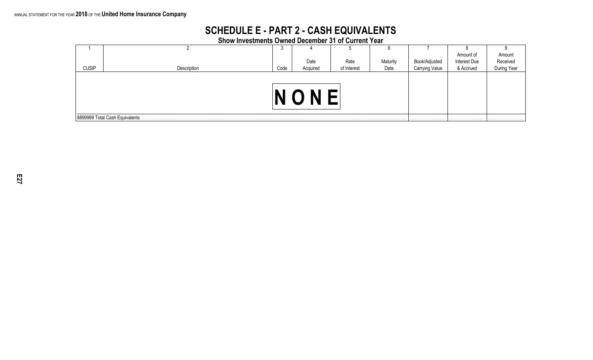# **SCHEDULE E - PART 2 - CASH EQUIVALENTS**

**Show Investments Owned December 31 of Current Year**

|              |             | <b>U</b> |                                 | J           |          |                       |              |                                   |  |  |  |  |  |
|--------------|-------------|----------|---------------------------------|-------------|----------|-----------------------|--------------|-----------------------------------|--|--|--|--|--|
|              |             |          |                                 |             |          |                       | Amount of    |                                   |  |  |  |  |  |
|              |             |          | Date                            | Rate        | Maturity | Book/Adjusted         | Interest Due |                                   |  |  |  |  |  |
| <b>CUSIP</b> | Description | Code     | Acquired                        | of Interest | Date     | <b>Carrying Value</b> | & Accrued    | Amount<br>Received<br>During Year |  |  |  |  |  |
|              |             |          |                                 |             |          |                       |              |                                   |  |  |  |  |  |
|              |             |          |                                 |             |          |                       |              |                                   |  |  |  |  |  |
|              |             |          | N                               |             |          |                       |              |                                   |  |  |  |  |  |
|              |             |          |                                 |             |          |                       |              |                                   |  |  |  |  |  |
|              |             |          |                                 |             |          |                       |              |                                   |  |  |  |  |  |
|              |             |          | 8899999 Total Cash Equivalents. |             |          |                       |              |                                   |  |  |  |  |  |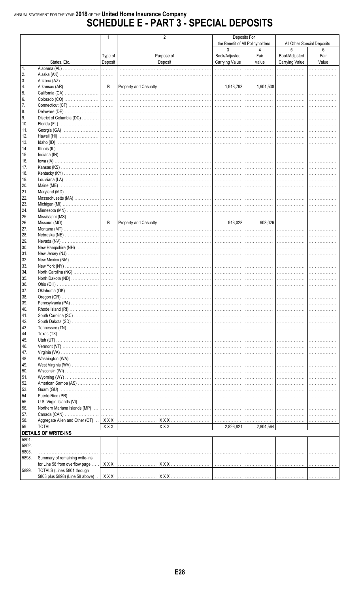# ANNUAL STATEMENT FOR THE YEAR 2018 OF THE United Home Insurance Company<br>SCHEDULE E - PART 3 - SPECIAL DEPOSITS

|                |                                       |         | 2          |                            | Deposits For                     |                |                            |
|----------------|---------------------------------------|---------|------------|----------------------------|----------------------------------|----------------|----------------------------|
|                |                                       |         |            |                            | the Benefit of All Policyholders |                | All Other Special Deposits |
|                |                                       |         |            | 3                          | 4                                | 5              | 6                          |
|                |                                       | Type of | Purpose of | Book/Adjusted              | Fair                             | Book/Adjusted  | Fair                       |
| 1.             | States, Etc.                          | Deposit | Deposit    | <b>Carrying Value</b><br>. | Value<br>.                       | Carrying Value | Value                      |
| 2.             |                                       |         |            |                            |                                  |                |                            |
| 3.             |                                       |         |            | . 1                        | .                                |                |                            |
| 4.             |                                       |         |            |                            |                                  |                |                            |
| 5.             |                                       |         |            | .                          | .                                |                |                            |
| 6.             |                                       |         |            |                            |                                  |                |                            |
| 7.             |                                       |         |            |                            |                                  |                |                            |
| 8.             |                                       |         |            |                            |                                  |                |                            |
| 9.             | District of Columbia (DC)             |         |            |                            |                                  |                |                            |
| 10.            |                                       |         |            |                            |                                  |                |                            |
| 11.            |                                       |         |            |                            |                                  |                |                            |
| 12.            |                                       |         |            |                            |                                  |                |                            |
| 13.            |                                       |         |            |                            |                                  |                |                            |
| 14.<br>15.     |                                       |         |            |                            |                                  |                |                            |
| 16.            |                                       |         |            |                            |                                  |                |                            |
| 17.            |                                       |         |            |                            |                                  |                |                            |
| 18.            |                                       |         |            |                            |                                  |                |                            |
| 19.            |                                       |         |            |                            |                                  |                |                            |
| 20.            |                                       |         |            |                            |                                  |                |                            |
| 21.            |                                       |         |            |                            |                                  |                |                            |
| 22.            |                                       |         |            |                            |                                  |                |                            |
| 23.            |                                       |         |            |                            |                                  |                |                            |
| 24.            |                                       |         |            |                            |                                  |                |                            |
| 25.            |                                       |         |            | .                          | .                                |                |                            |
| 26.            |                                       |         |            |                            |                                  |                |                            |
| 27.<br>28.     |                                       |         |            | .                          |                                  |                |                            |
| 29.            |                                       |         |            |                            |                                  |                |                            |
| 30.            |                                       |         |            |                            |                                  |                |                            |
| 31.            |                                       |         |            |                            |                                  |                |                            |
| 32.            |                                       |         |            |                            |                                  |                |                            |
| 33.            |                                       |         |            |                            |                                  |                |                            |
| 34.            |                                       |         |            |                            |                                  |                |                            |
| 35.            |                                       |         |            |                            |                                  |                |                            |
| 36.            |                                       |         |            |                            |                                  |                |                            |
| 37.            |                                       |         |            |                            |                                  |                |                            |
| 38.            | Oregon (OR)                           |         |            |                            |                                  |                |                            |
| 39.<br>40.     |                                       |         |            |                            | .                                |                |                            |
| 41.            |                                       |         |            |                            |                                  |                |                            |
| 42.            |                                       |         |            |                            |                                  |                |                            |
| 43.            |                                       |         |            |                            |                                  |                |                            |
| 44.            |                                       |         |            |                            |                                  |                |                            |
| 45.            |                                       |         |            |                            |                                  |                |                            |
| 46.            |                                       |         |            |                            |                                  |                |                            |
| 47.            |                                       |         |            |                            |                                  |                |                            |
| 48.            |                                       |         |            |                            |                                  |                |                            |
| 49.            |                                       |         |            |                            |                                  |                |                            |
| 50.<br>51.     |                                       |         |            |                            |                                  |                |                            |
| 52.            |                                       |         |            |                            |                                  |                |                            |
| 53.            |                                       |         |            |                            |                                  |                |                            |
| 54.            |                                       |         |            |                            |                                  |                |                            |
| 55.            |                                       |         |            |                            |                                  |                |                            |
| 56.            | Northern Mariana Islands (MP)         |         |            |                            |                                  |                |                            |
| 57.            |                                       |         |            |                            |                                  |                |                            |
| 58.            | Aggregate Alien and Other (OT)    XXX |         |            | .                          |                                  |                |                            |
| 59.            | <b>TOTAL</b>                          | XXX     | X X X      | $\ldots \ldots 2,826,821$  | $\ldots$ 2,804,564               | .              |                            |
|                | <b>DETAILS OF WRITE-INS</b>           |         |            |                            |                                  |                |                            |
| 5801.          |                                       | .       |            |                            |                                  |                |                            |
| 5802.          |                                       | .       |            |                            |                                  |                |                            |
| 5803.<br>5898. | Summary of remaining write-ins        | .       |            |                            |                                  |                |                            |
|                | for Line 58 from overflow page.       | XXX     |            | .                          | .                                |                |                            |
| 5899.          | TOTALS (Lines 5801 through            |         |            |                            |                                  |                |                            |
|                | 5803 plus 5898) (Line 58 above).      | XXX     |            |                            |                                  |                |                            |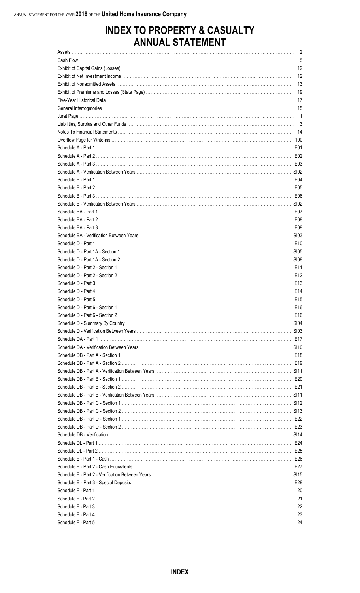|         | $\mathbf{z}$ |
|---------|--------------|
|         | 5            |
|         | -12          |
|         | 12           |
|         | 13           |
|         | 19           |
|         | 17           |
|         | 15           |
|         |              |
|         | 3            |
|         |              |
|         |              |
|         | E01          |
|         | E02          |
|         |              |
|         |              |
|         |              |
|         |              |
|         |              |
|         |              |
|         |              |
|         |              |
|         |              |
|         |              |
|         |              |
|         |              |
|         |              |
|         |              |
|         |              |
|         |              |
|         |              |
|         |              |
|         |              |
|         |              |
|         |              |
|         |              |
|         |              |
|         |              |
|         |              |
|         |              |
|         |              |
|         |              |
| E21 E21 |              |
|         |              |
|         |              |
|         |              |
|         |              |
|         |              |
|         |              |
|         |              |
|         |              |
|         |              |
|         |              |
|         |              |
|         |              |
|         |              |
|         |              |
|         |              |
|         |              |
|         |              |
|         |              |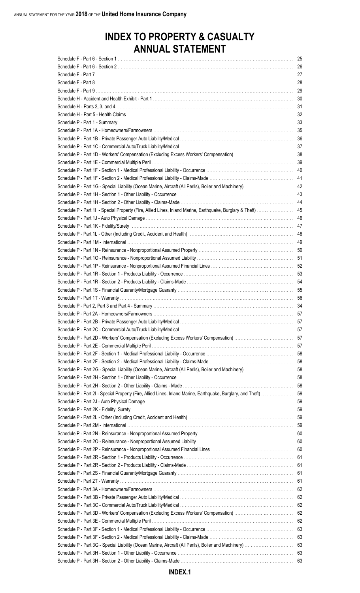|                                                                                                              | 25 |
|--------------------------------------------------------------------------------------------------------------|----|
|                                                                                                              |    |
|                                                                                                              |    |
|                                                                                                              | 28 |
|                                                                                                              | 29 |
|                                                                                                              | 30 |
|                                                                                                              | 31 |
|                                                                                                              |    |
|                                                                                                              | 32 |
|                                                                                                              | 33 |
|                                                                                                              |    |
|                                                                                                              | 36 |
|                                                                                                              |    |
|                                                                                                              | 38 |
|                                                                                                              | 39 |
|                                                                                                              | 40 |
|                                                                                                              | 41 |
|                                                                                                              | 42 |
|                                                                                                              | 43 |
|                                                                                                              | 44 |
|                                                                                                              |    |
| Schedule P - Part 11 - Special Property (Fire, Allied Lines, Inland Marine, Earthquake, Burglary & Theft)    | 45 |
|                                                                                                              | 46 |
|                                                                                                              | 47 |
|                                                                                                              | 48 |
|                                                                                                              | 49 |
|                                                                                                              |    |
|                                                                                                              | 51 |
|                                                                                                              | 52 |
|                                                                                                              | 53 |
|                                                                                                              | 54 |
|                                                                                                              | 55 |
|                                                                                                              | 56 |
|                                                                                                              |    |
|                                                                                                              | 34 |
|                                                                                                              | 57 |
|                                                                                                              | 57 |
|                                                                                                              |    |
|                                                                                                              |    |
|                                                                                                              |    |
|                                                                                                              |    |
|                                                                                                              |    |
|                                                                                                              |    |
|                                                                                                              |    |
|                                                                                                              |    |
| Schedule P - Part 2I - Special Property (Fire, Allied Lines, Inland Marine, Earthquake, Burglary, and Theft) | 59 |
|                                                                                                              | 59 |
|                                                                                                              |    |
|                                                                                                              |    |
|                                                                                                              |    |
|                                                                                                              |    |
|                                                                                                              |    |
|                                                                                                              |    |
|                                                                                                              |    |
|                                                                                                              |    |
|                                                                                                              |    |
|                                                                                                              |    |
|                                                                                                              |    |
|                                                                                                              | 62 |
|                                                                                                              |    |
|                                                                                                              |    |
|                                                                                                              | 62 |
|                                                                                                              |    |
|                                                                                                              | 62 |
|                                                                                                              |    |
|                                                                                                              | 63 |
| Schedule P - Part 3G - Special Liability (Ocean Marine, Aircraft (All Perils), Boiler and Machinery)         | 63 |
|                                                                                                              | 63 |
|                                                                                                              | 63 |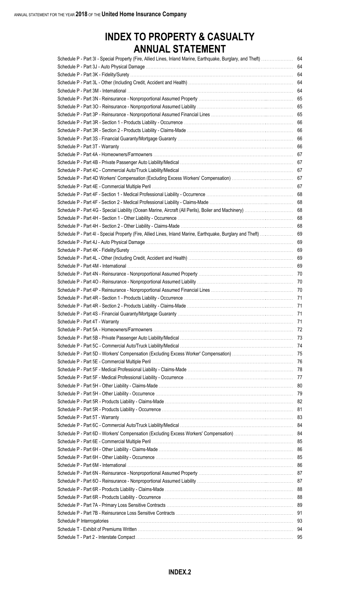| Schedule P - Part 3I - Special Property (Fire, Allied Lines, Inland Marine, Earthquake, Burglary, and Theft) | 64  |
|--------------------------------------------------------------------------------------------------------------|-----|
|                                                                                                              | 64  |
|                                                                                                              | 64  |
|                                                                                                              | 64  |
|                                                                                                              | 64  |
|                                                                                                              | 65  |
|                                                                                                              | 65  |
|                                                                                                              | 65  |
|                                                                                                              |     |
|                                                                                                              | 66  |
|                                                                                                              | 66  |
|                                                                                                              | 66  |
|                                                                                                              | 66  |
|                                                                                                              | 67  |
|                                                                                                              | 67  |
|                                                                                                              | 67  |
|                                                                                                              | 67  |
|                                                                                                              | 67  |
|                                                                                                              | 68  |
|                                                                                                              | 68  |
| Schedule P - Part 4G - Special Liability (Ocean Marine, Aircraft (All Perils), Boiler and Machinery)         | 68  |
|                                                                                                              | 68  |
|                                                                                                              | 68  |
| Schedule P - Part 4I - Special Property (Fire, Allied Lines, Inland Marine, Earthquake, Burglary and Theft)  | 69  |
|                                                                                                              | 69  |
|                                                                                                              | 69  |
|                                                                                                              | 69  |
|                                                                                                              | 69  |
|                                                                                                              | 70  |
|                                                                                                              | 70  |
|                                                                                                              |     |
|                                                                                                              | 70  |
|                                                                                                              | 71  |
|                                                                                                              | 71  |
|                                                                                                              | -71 |
|                                                                                                              |     |
|                                                                                                              |     |
|                                                                                                              |     |
|                                                                                                              |     |
|                                                                                                              |     |
|                                                                                                              |     |
|                                                                                                              |     |
|                                                                                                              |     |
|                                                                                                              |     |
|                                                                                                              |     |
|                                                                                                              |     |
|                                                                                                              |     |
|                                                                                                              |     |
|                                                                                                              |     |
|                                                                                                              |     |
|                                                                                                              |     |
|                                                                                                              |     |
|                                                                                                              |     |
|                                                                                                              |     |
|                                                                                                              |     |
|                                                                                                              |     |
|                                                                                                              |     |
|                                                                                                              |     |
|                                                                                                              |     |
|                                                                                                              |     |
|                                                                                                              |     |
|                                                                                                              |     |
|                                                                                                              | -94 |
|                                                                                                              |     |